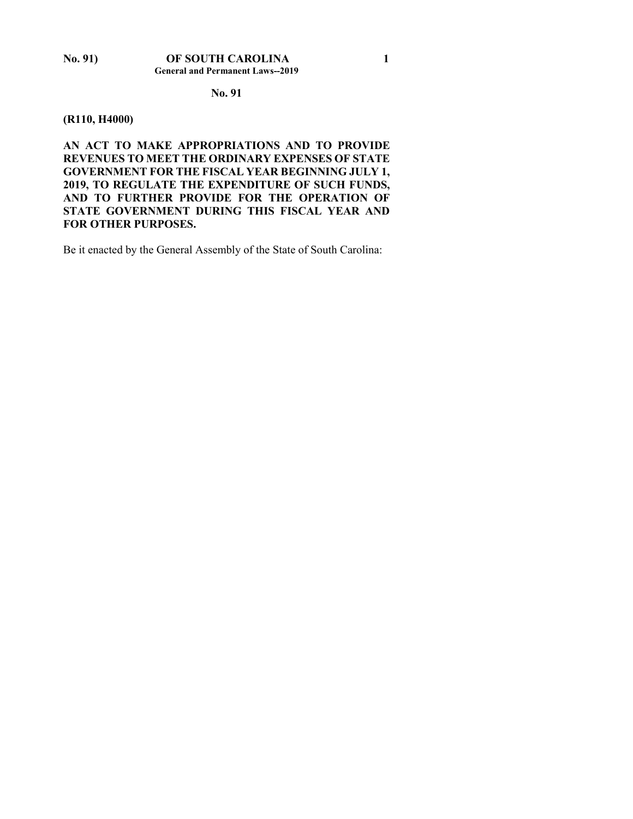#### **No. 91**

#### **(R110, H4000)**

**AN ACT TO MAKE APPROPRIATIONS AND TO PROVIDE REVENUES TO MEET THE ORDINARY EXPENSES OF STATE GOVERNMENT FOR THE FISCAL YEAR BEGINNING JULY 1, 2019, TO REGULATE THE EXPENDITURE OF SUCH FUNDS, AND TO FURTHER PROVIDE FOR THE OPERATION OF STATE GOVERNMENT DURING THIS FISCAL YEAR AND FOR OTHER PURPOSES.**

Be it enacted by the General Assembly of the State of South Carolina: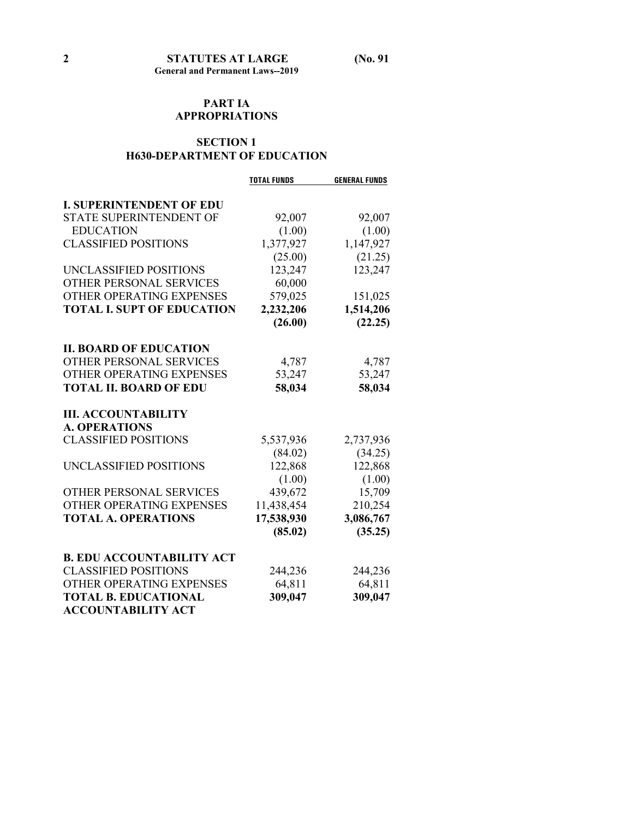### **PART IA APPROPRIATIONS**

### **SECTION 1 H630-DEPARTMENT OF EDUCATION**

|                                   | <b>TOTAL FUNDS</b> | <b>GENERAL FUNDS</b> |
|-----------------------------------|--------------------|----------------------|
| <b>I. SUPERINTENDENT OF EDU</b>   |                    |                      |
| <b>STATE SUPERINTENDENT OF</b>    | 92,007             | 92,007               |
| <b>EDUCATION</b>                  | (1.00)             | (1.00)               |
| <b>CLASSIFIED POSITIONS</b>       | 1,377,927          | 1,147,927            |
|                                   | (25.00)            | (21.25)              |
| UNCLASSIFIED POSITIONS            | 123,247            | 123,247              |
| <b>OTHER PERSONAL SERVICES</b>    | 60,000             |                      |
| OTHER OPERATING EXPENSES          | 579,025            | 151,025              |
| <b>TOTAL I. SUPT OF EDUCATION</b> | 2,232,206          | 1,514,206            |
|                                   | (26.00)            | (22.25)              |
| <b>II. BOARD OF EDUCATION</b>     |                    |                      |
| OTHER PERSONAL SERVICES           | 4,787              | 4,787                |
| OTHER OPERATING EXPENSES          | 53,247             | 53,247               |
| <b>TOTAL II. BOARD OF EDU</b>     | 58,034             | 58,034               |
| <b>III. ACCOUNTABILITY</b>        |                    |                      |
| <b>A. OPERATIONS</b>              |                    |                      |
| <b>CLASSIFIED POSITIONS</b>       | 5,537,936          | 2,737,936            |
|                                   | (84.02)            | (34.25)              |
| UNCLASSIFIED POSITIONS            | 122,868            | 122,868              |
|                                   | (1.00)             | (1.00)               |
| OTHER PERSONAL SERVICES           | 439,672            | 15,709               |
| <b>OTHER OPERATING EXPENSES</b>   | 11,438,454         | 210,254              |
| <b>TOTAL A. OPERATIONS</b>        | 17,538,930         | 3,086,767            |
|                                   | (85.02)            | (35.25)              |
|                                   |                    |                      |
| <b>B. EDU ACCOUNTABILITY ACT</b>  |                    |                      |
| <b>CLASSIFIED POSITIONS</b>       | 244,236            | 244,236              |
| OTHER OPERATING EXPENSES          | 64,811             | 64,811               |
| <b>TOTAL B. EDUCATIONAL</b>       | 309,047            | 309,047              |
| <b>ACCOUNTABILITY ACT</b>         |                    |                      |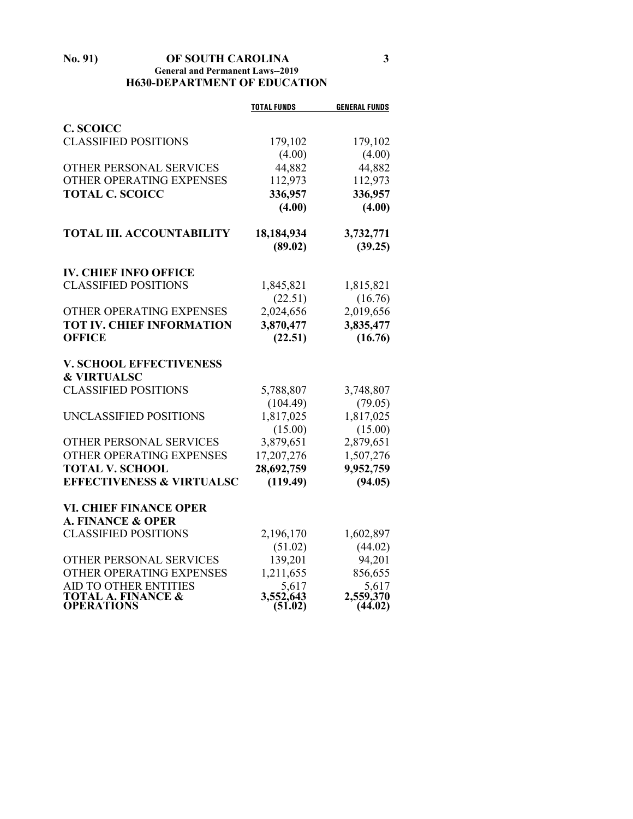#### **No. 91) OF SOUTH CAROLINA 3 General and Permanent Laws--2019 H630-DEPARTMENT OF EDUCATION**

|                                                          | <b>TOTAL FUNDS</b>   | <b>GENERAL FUNDS</b> |
|----------------------------------------------------------|----------------------|----------------------|
| <b>C. SCOICC</b>                                         |                      |                      |
| <b>CLASSIFIED POSITIONS</b>                              | 179,102              | 179,102              |
|                                                          | (4.00)               | (4.00)               |
| OTHER PERSONAL SERVICES                                  | 44,882               | 44,882               |
| OTHER OPERATING EXPENSES                                 | 112,973              | 112,973              |
| <b>TOTAL C. SCOICC</b>                                   | 336,957              | 336,957              |
|                                                          | (4.00)               | (4.00)               |
| <b>TOTAL III. ACCOUNTABILITY</b>                         | 18,184,934           | 3,732,771            |
|                                                          | (89.02)              | (39.25)              |
| <b>IV. CHIEF INFO OFFICE</b>                             |                      |                      |
| <b>CLASSIFIED POSITIONS</b>                              | 1,845,821            | 1,815,821            |
|                                                          | (22.51)              | (16.76)              |
| OTHER OPERATING EXPENSES                                 | 2,024,656            | 2,019,656            |
| <b>TOT IV. CHIEF INFORMATION</b>                         | 3,870,477            | 3,835,477            |
| <b>OFFICE</b>                                            | (22.51)              | (16.76)              |
| <b>V. SCHOOL EFFECTIVENESS</b><br><b>&amp; VIRTUALSC</b> |                      |                      |
| <b>CLASSIFIED POSITIONS</b>                              | 5,788,807            | 3,748,807            |
|                                                          | (104.49)             | (79.05)              |
| UNCLASSIFIED POSITIONS                                   | 1,817,025            | 1,817,025            |
|                                                          | (15.00)              | (15.00)              |
| OTHER PERSONAL SERVICES                                  | 3,879,651            | 2,879,651            |
| OTHER OPERATING EXPENSES                                 | 17,207,276           | 1,507,276            |
| <b>TOTAL V. SCHOOL</b>                                   | 28,692,759           | 9,952,759            |
| <b>EFFECTIVENESS &amp; VIRTUALSC</b>                     | (119.49)             | (94.05)              |
| <b>VI. CHIEF FINANCE OPER</b>                            |                      |                      |
| <b>A. FINANCE &amp; OPER</b>                             |                      |                      |
| <b>CLASSIFIED POSITIONS</b>                              | 2,196,170            | 1,602,897            |
|                                                          | (51.02)              | (44.02)              |
| OTHER PERSONAL SERVICES                                  | 139,201              | 94,201               |
| OTHER OPERATING EXPENSES                                 | 1,211,655            | 856,655              |
| AID TO OTHER ENTITIES                                    | 5,617                | 5,617                |
| <b>TOTAL A. FINANCE &amp;</b><br><b>OPERATIONS</b>       | 3,552,643<br>(51.02) | 2,559,370<br>(44.02) |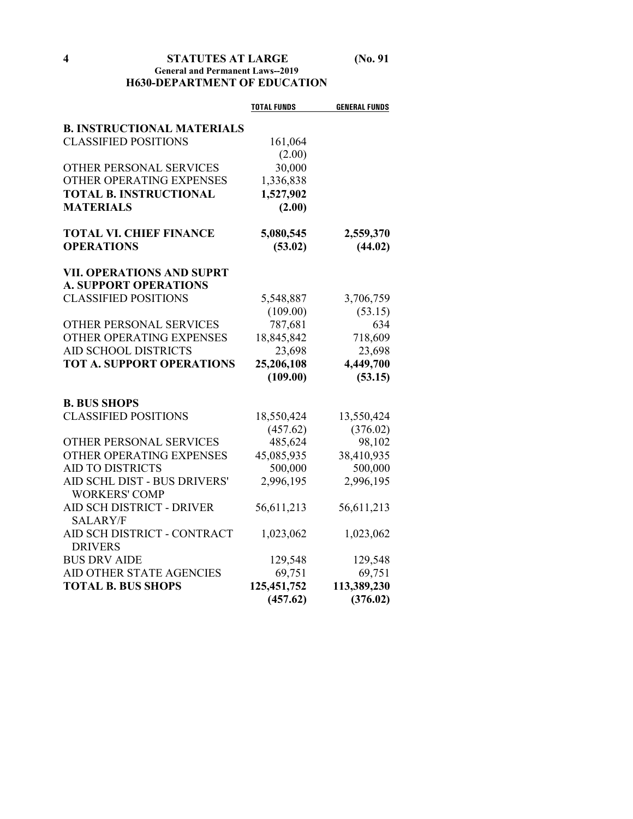### **4 STATUTES AT LARGE (No. 91 General and Permanent Laws--2019 H630-DEPARTMENT OF EDUCATION**

|                                   | <b>TOTAL FUNDS</b> | <b>GENERAL FUNDS</b> |
|-----------------------------------|--------------------|----------------------|
| <b>B. INSTRUCTIONAL MATERIALS</b> |                    |                      |
| <b>CLASSIFIED POSITIONS</b>       | 161,064            |                      |
|                                   | (2.00)             |                      |
| OTHER PERSONAL SERVICES           | 30,000             |                      |
| OTHER OPERATING EXPENSES          | 1,336,838          |                      |
| <b>TOTAL B. INSTRUCTIONAL</b>     | 1,527,902          |                      |
| <b>MATERIALS</b>                  | (2.00)             |                      |
|                                   |                    |                      |
| <b>TOTAL VI. CHIEF FINANCE</b>    | 5,080,545          | 2,559,370            |
| <b>OPERATIONS</b>                 | (53.02)            | (44.02)              |
| <b>VII. OPERATIONS AND SUPRT</b>  |                    |                      |
| <b>A. SUPPORT OPERATIONS</b>      |                    |                      |
| <b>CLASSIFIED POSITIONS</b>       | 5,548,887          | 3,706,759            |
|                                   | (109.00)           | (53.15)              |
| OTHER PERSONAL SERVICES           | 787,681            | 634                  |
| OTHER OPERATING EXPENSES          | 18,845,842         | 718,609              |
| <b>AID SCHOOL DISTRICTS</b>       | 23,698             | 23,698               |
| <b>TOT A. SUPPORT OPERATIONS</b>  | 25,206,108         | 4,449,700            |
|                                   | (109.00)           | (53.15)              |
| <b>B. BUS SHOPS</b>               |                    |                      |
| <b>CLASSIFIED POSITIONS</b>       | 18,550,424         | 13,550,424           |
|                                   | (457.62)           | (376.02)             |
| OTHER PERSONAL SERVICES           | 485,624            | 98,102               |
| OTHER OPERATING EXPENSES          | 45,085,935         | 38,410,935           |
| <b>AID TO DISTRICTS</b>           | 500,000            | 500,000              |
| AID SCHL DIST - BUS DRIVERS'      | 2,996,195          | 2,996,195            |
| <b>WORKERS' COMP</b>              |                    |                      |
| AID SCH DISTRICT - DRIVER         | 56,611,213         | 56,611,213           |
| <b>SALARY/F</b>                   |                    |                      |
| AID SCH DISTRICT - CONTRACT       | 1,023,062          | 1,023,062            |
| <b>DRIVERS</b>                    |                    |                      |
| <b>BUS DRV AIDE</b>               | 129,548            | 129,548              |
| AID OTHER STATE AGENCIES          | 69,751             | 69,751               |
| <b>TOTAL B. BUS SHOPS</b>         | 125,451,752        | 113,389,230          |
|                                   | (457.62)           | (376.02)             |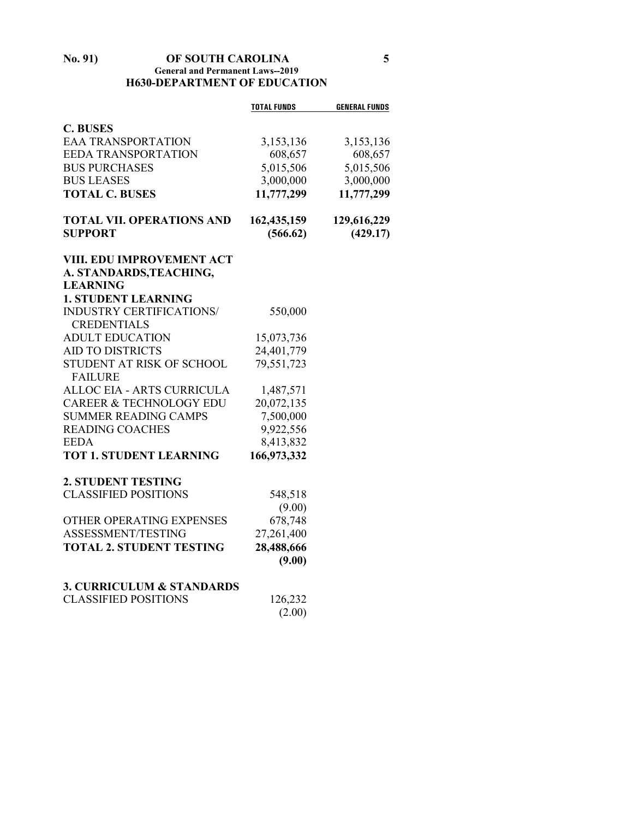#### **No. 91) OF SOUTH CAROLINA 5 General and Permanent Laws--2019 H630-DEPARTMENT OF EDUCATION**

|                                             | <b>TOTAL FUNDS</b> | <b>GENERAL FUNDS</b> |
|---------------------------------------------|--------------------|----------------------|
| <b>C. BUSES</b>                             |                    |                      |
| <b>EAA TRANSPORTATION</b>                   | 3,153,136          | 3,153,136            |
| <b>EEDA TRANSPORTATION</b>                  | 608,657            | 608,657              |
| <b>BUS PURCHASES</b>                        | 5,015,506          | 5,015,506            |
| <b>BUS LEASES</b>                           | 3,000,000          | 3,000,000            |
| <b>TOTAL C. BUSES</b>                       | 11,777,299         | 11,777,299           |
| <b>TOTAL VII. OPERATIONS AND</b>            | 162,435,159        | 129,616,229          |
| <b>SUPPORT</b>                              | (566.62)           | (429.17)             |
| VIII. EDU IMPROVEMENT ACT                   |                    |                      |
| A. STANDARDS, TEACHING,                     |                    |                      |
| <b>LEARNING</b>                             |                    |                      |
| <b>1. STUDENT LEARNING</b>                  |                    |                      |
| INDUSTRY CERTIFICATIONS/                    | 550,000            |                      |
| <b>CREDENTIALS</b>                          |                    |                      |
| <b>ADULT EDUCATION</b>                      | 15,073,736         |                      |
| <b>AID TO DISTRICTS</b>                     | 24,401,779         |                      |
| STUDENT AT RISK OF SCHOOL<br><b>FAILURE</b> | 79,551,723         |                      |
| ALLOC EIA - ARTS CURRICULA                  | 1,487,571          |                      |
| <b>CAREER &amp; TECHNOLOGY EDU</b>          | 20,072,135         |                      |
| <b>SUMMER READING CAMPS</b>                 | 7,500,000          |                      |
| <b>READING COACHES</b>                      | 9,922,556          |                      |
| <b>EEDA</b>                                 | 8,413,832          |                      |
| <b>TOT 1. STUDENT LEARNING</b>              | 166,973,332        |                      |
| <b>2. STUDENT TESTING</b>                   |                    |                      |
| <b>CLASSIFIED POSITIONS</b>                 | 548,518            |                      |
|                                             | (9.00)             |                      |
| OTHER OPERATING EXPENSES                    | 678,748            |                      |
| ASSESSMENT/TESTING                          | 27,261,400         |                      |
| <b>TOTAL 2. STUDENT TESTING</b>             | 28,488,666         |                      |
|                                             | (9.00)             |                      |
| <b>3. CURRICULUM &amp; STANDARDS</b>        |                    |                      |
| <b>CLASSIFIED POSITIONS</b>                 | 126,232            |                      |
|                                             | (2.00)             |                      |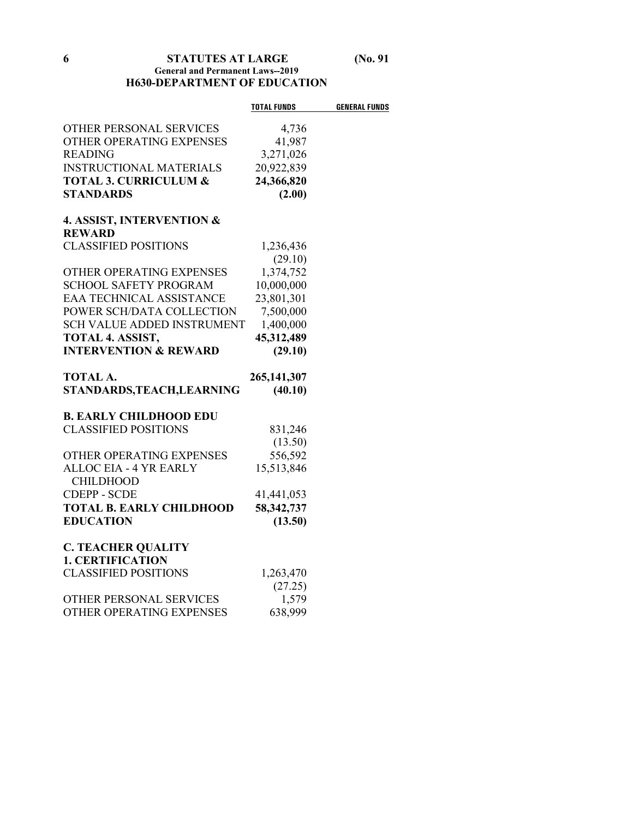### **6 STATUTES AT LARGE (No. 91 General and Permanent Laws--2019 H630-DEPARTMENT OF EDUCATION**

|                                      | <b>TOTAL FUNDS</b> | <b>GENERAL FUNDS</b> |
|--------------------------------------|--------------------|----------------------|
| OTHER PERSONAL SERVICES              | 4,736              |                      |
| OTHER OPERATING EXPENSES             | 41,987             |                      |
| <b>READING</b>                       | 3,271,026          |                      |
| <b>INSTRUCTIONAL MATERIALS</b>       | 20,922,839         |                      |
| <b>TOTAL 3. CURRICULUM &amp;</b>     | 24,366,820         |                      |
| <b>STANDARDS</b>                     | (2.00)             |                      |
| <b>4. ASSIST, INTERVENTION &amp;</b> |                    |                      |
| <b>REWARD</b>                        |                    |                      |
| <b>CLASSIFIED POSITIONS</b>          | 1,236,436          |                      |
|                                      | (29.10)            |                      |
| OTHER OPERATING EXPENSES             | 1,374,752          |                      |
| <b>SCHOOL SAFETY PROGRAM</b>         | 10,000,000         |                      |
| <b>EAA TECHNICAL ASSISTANCE</b>      | 23,801,301         |                      |
| POWER SCH/DATA COLLECTION            | 7,500,000          |                      |
| SCH VALUE ADDED INSTRUMENT           | 1,400,000          |                      |
| TOTAL 4. ASSIST,                     | 45,312,489         |                      |
| <b>INTERVENTION &amp; REWARD</b>     | (29.10)            |                      |
| <b>TOTAL A.</b>                      | 265,141,307        |                      |
| STANDARDS, TEACH, LEARNING           | (40.10)            |                      |
| <b>B. EARLY CHILDHOOD EDU</b>        |                    |                      |
| <b>CLASSIFIED POSITIONS</b>          | 831,246            |                      |
|                                      | (13.50)            |                      |
| OTHER OPERATING EXPENSES             | 556,592            |                      |
| <b>ALLOC EIA - 4 YR EARLY</b>        | 15,513,846         |                      |
| <b>CHILDHOOD</b>                     |                    |                      |
| <b>CDEPP - SCDE</b>                  | 41,441,053         |                      |
| <b>TOTAL B. EARLY CHILDHOOD</b>      | 58,342,737         |                      |
| <b>EDUCATION</b>                     | (13.50)            |                      |
| <b>C. TEACHER QUALITY</b>            |                    |                      |
| <b>1. CERTIFICATION</b>              |                    |                      |
| <b>CLASSIFIED POSITIONS</b>          | 1,263,470          |                      |
|                                      | (27.25)            |                      |
| OTHER PERSONAL SERVICES              | 1,579              |                      |
| OTHER OPERATING EXPENSES             | 638,999            |                      |
|                                      |                    |                      |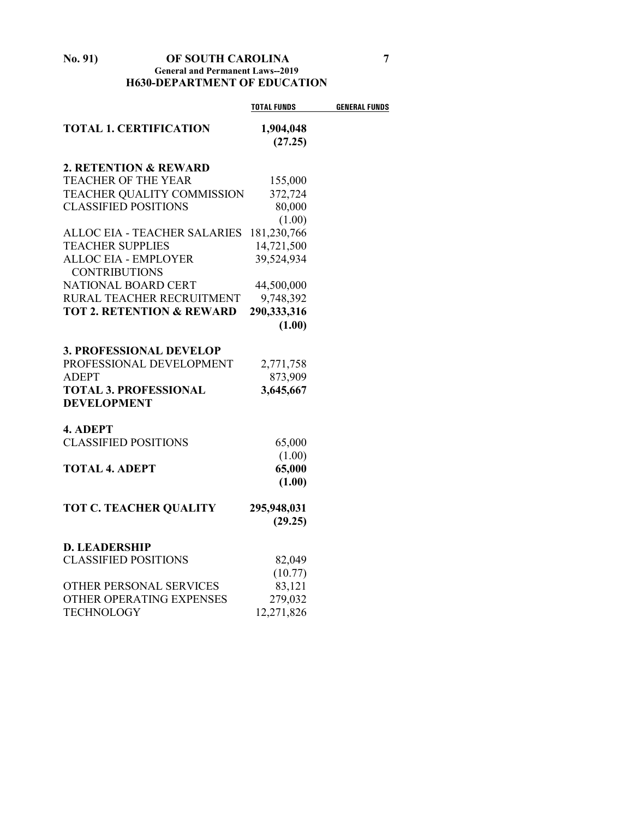#### **No. 91) OF SOUTH CAROLINA 7 General and Permanent Laws--2019 H630-DEPARTMENT OF EDUCATION**

|                                                     | <b>TOTAL FUNDS</b>   | <b>GENERAL FUNDS</b> |
|-----------------------------------------------------|----------------------|----------------------|
| <b>TOTAL 1. CERTIFICATION</b>                       | 1,904,048<br>(27.25) |                      |
| 2. RETENTION & REWARD                               |                      |                      |
| <b>TEACHER OF THE YEAR</b>                          | 155,000              |                      |
| TEACHER QUALITY COMMISSION                          | 372,724              |                      |
| <b>CLASSIFIED POSITIONS</b>                         | 80,000               |                      |
|                                                     | (1.00)               |                      |
| ALLOC EIA - TEACHER SALARIES                        | 181,230,766          |                      |
| <b>TEACHER SUPPLIES</b>                             | 14,721,500           |                      |
| <b>ALLOC EIA - EMPLOYER</b><br><b>CONTRIBUTIONS</b> | 39,524,934           |                      |
| <b>NATIONAL BOARD CERT</b>                          | 44,500,000           |                      |
| RURAL TEACHER RECRUITMENT                           | 9,748,392            |                      |
| <b>TOT 2. RETENTION &amp; REWARD</b>                | 290,333,316          |                      |
|                                                     | (1.00)               |                      |
| <b>3. PROFESSIONAL DEVELOP</b>                      |                      |                      |
| PROFESSIONAL DEVELOPMENT                            | 2,771,758            |                      |
| <b>ADEPT</b>                                        | 873,909              |                      |
| <b>TOTAL 3. PROFESSIONAL</b><br><b>DEVELOPMENT</b>  | 3,645,667            |                      |
|                                                     |                      |                      |
| 4. ADEPT                                            |                      |                      |
| <b>CLASSIFIED POSITIONS</b>                         | 65,000               |                      |
|                                                     | (1.00)               |                      |
| <b>TOTAL 4. ADEPT</b>                               | 65,000               |                      |
|                                                     | (1.00)               |                      |
| <b>TOT C. TEACHER QUALITY</b>                       | 295,948,031          |                      |
|                                                     | (29.25)              |                      |
| <b>D. LEADERSHIP</b>                                |                      |                      |
| <b>CLASSIFIED POSITIONS</b>                         | 82,049               |                      |
|                                                     | (10.77)              |                      |
| OTHER PERSONAL SERVICES                             | 83,121               |                      |
| OTHER OPERATING EXPENSES                            | 279,032              |                      |
| <b>TECHNOLOGY</b>                                   | 12,271,826           |                      |
|                                                     |                      |                      |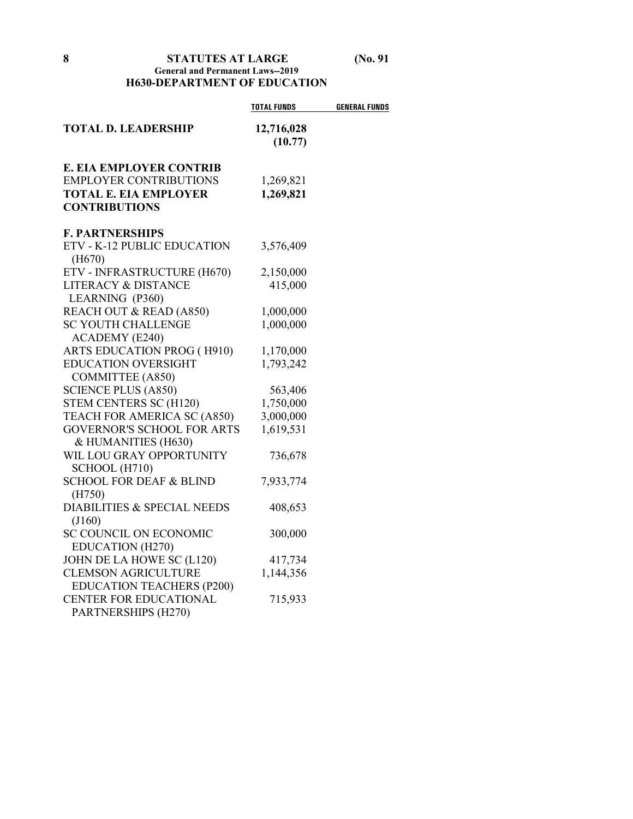### **8 STATUTES AT LARGE (No. 91 General and Permanent Laws--2019 H630-DEPARTMENT OF EDUCATION**

|                                       | <b>TOTAL FUNDS</b>    | <b>GENERAL FUNDS</b> |
|---------------------------------------|-----------------------|----------------------|
| <b>TOTAL D. LEADERSHIP</b>            | 12,716,028<br>(10.77) |                      |
| <b>E. EIA EMPLOYER CONTRIB</b>        |                       |                      |
| <b>EMPLOYER CONTRIBUTIONS</b>         | 1,269,821             |                      |
| <b>TOTAL E. EIA EMPLOYER</b>          | 1,269,821             |                      |
| <b>CONTRIBUTIONS</b>                  |                       |                      |
| <b>F. PARTNERSHIPS</b>                |                       |                      |
| ETV - K-12 PUBLIC EDUCATION<br>(H670) | 3,576,409             |                      |
| ETV - INFRASTRUCTURE (H670)           | 2,150,000             |                      |
| <b>LITERACY &amp; DISTANCE</b>        | 415,000               |                      |
| LEARNING (P360)                       |                       |                      |
| REACH OUT & READ (A850)               | 1,000,000             |                      |
| <b>SC YOUTH CHALLENGE</b>             | 1,000,000             |                      |
| ACADEMY (E240)                        |                       |                      |
| ARTS EDUCATION PROG (H910)            | 1,170,000             |                      |
| <b>EDUCATION OVERSIGHT</b>            | 1,793,242             |                      |
| <b>COMMITTEE (A850)</b>               |                       |                      |
| <b>SCIENCE PLUS (A850)</b>            | 563,406               |                      |
| STEM CENTERS SC (H120)                | 1,750,000             |                      |
| TEACH FOR AMERICA SC (A850)           | 3,000,000             |                      |
| <b>GOVERNOR'S SCHOOL FOR ARTS</b>     | 1,619,531             |                      |
| & HUMANITIES (H630)                   |                       |                      |
| WIL LOU GRAY OPPORTUNITY              | 736,678               |                      |
| SCHOOL (H710)                         |                       |                      |
| <b>SCHOOL FOR DEAF &amp; BLIND</b>    | 7,933,774             |                      |
| (H750)                                |                       |                      |
| DIABILITIES & SPECIAL NEEDS           | 408,653               |                      |
| (J160)                                |                       |                      |
| <b>SC COUNCIL ON ECONOMIC</b>         | 300,000               |                      |
| EDUCATION (H270)                      |                       |                      |
| JOHN DE LA HOWE SC (L120)             | 417,734               |                      |
| <b>CLEMSON AGRICULTURE</b>            | 1,144,356             |                      |
| <b>EDUCATION TEACHERS (P200)</b>      |                       |                      |
| CENTER FOR EDUCATIONAL                | 715,933               |                      |
| PARTNERSHIPS (H270)                   |                       |                      |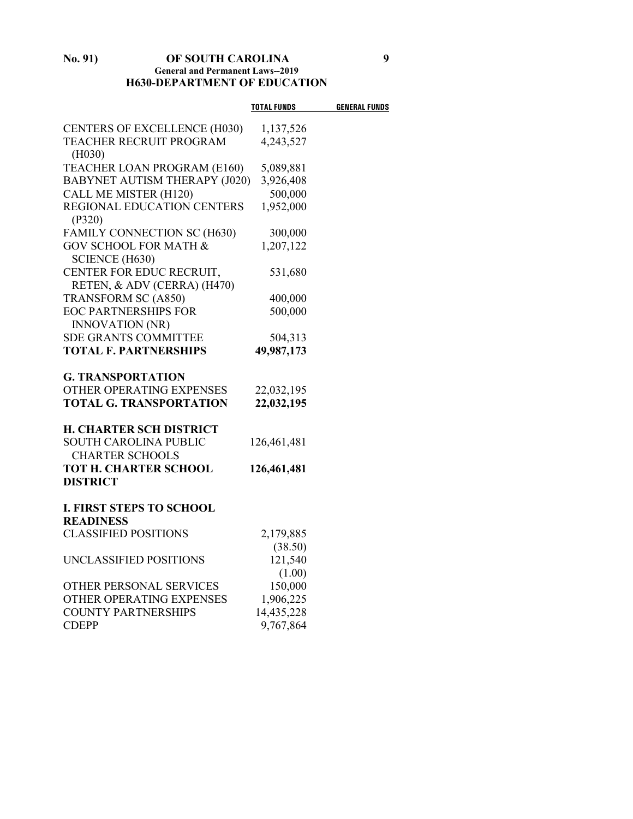#### **No. 91) OF SOUTH CAROLINA 9 General and Permanent Laws--2019 H630-DEPARTMENT OF EDUCATION**

|                                                           | TOTAL FUNDS | <b>GENERAL FUNDS</b> |
|-----------------------------------------------------------|-------------|----------------------|
| <b>CENTERS OF EXCELLENCE (H030)</b>                       | 1,137,526   |                      |
| TEACHER RECRUIT PROGRAM<br>(H030)                         | 4,243,527   |                      |
| TEACHER LOAN PROGRAM (E160)                               | 5,089,881   |                      |
| <b>BABYNET AUTISM THERAPY (J020)</b>                      | 3,926,408   |                      |
| CALL ME MISTER (H120)                                     | 500,000     |                      |
| REGIONAL EDUCATION CENTERS<br>(P320)                      | 1,952,000   |                      |
| FAMILY CONNECTION SC (H630)                               | 300,000     |                      |
| <b>GOV SCHOOL FOR MATH &amp;</b><br><b>SCIENCE (H630)</b> | 1,207,122   |                      |
| CENTER FOR EDUC RECRUIT,<br>RETEN, & ADV (CERRA) (H470)   | 531,680     |                      |
| <b>TRANSFORM SC (A850)</b>                                | 400,000     |                      |
| <b>EOC PARTNERSHIPS FOR</b><br><b>INNOVATION (NR)</b>     | 500,000     |                      |
| <b>SDE GRANTS COMMITTEE</b>                               | 504,313     |                      |
| <b>TOTAL F. PARTNERSHIPS</b>                              | 49,987,173  |                      |
| <b>G. TRANSPORTATION</b>                                  |             |                      |
| OTHER OPERATING EXPENSES                                  | 22,032,195  |                      |
| <b>TOTAL G. TRANSPORTATION</b>                            | 22,032,195  |                      |
| <b>H. CHARTER SCH DISTRICT</b>                            |             |                      |
| <b>SOUTH CAROLINA PUBLIC</b>                              | 126,461,481 |                      |
| <b>CHARTER SCHOOLS</b>                                    |             |                      |
| TOT H. CHARTER SCHOOL<br><b>DISTRICT</b>                  | 126,461,481 |                      |
|                                                           |             |                      |
| <b>I. FIRST STEPS TO SCHOOL</b><br><b>READINESS</b>       |             |                      |
| <b>CLASSIFIED POSITIONS</b>                               | 2,179,885   |                      |
|                                                           | (38.50)     |                      |
| UNCLASSIFIED POSITIONS                                    | 121,540     |                      |
|                                                           | (1.00)      |                      |
| OTHER PERSONAL SERVICES                                   | 150,000     |                      |
| OTHER OPERATING EXPENSES                                  | 1,906,225   |                      |
| <b>COUNTY PARTNERSHIPS</b>                                | 14,435,228  |                      |
| <b>CDEPP</b>                                              | 9,767,864   |                      |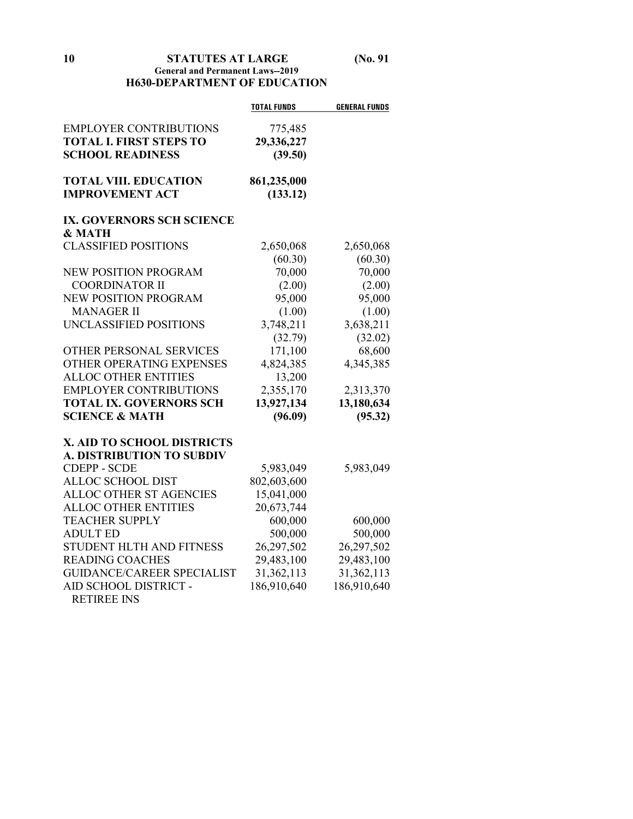**10 STATUTES AT LARGE (No. 91**

### **General and Permanent Laws--2019 H630-DEPARTMENT OF EDUCATION**

|                                   | <b>TOTAL FUNDS</b> | <b>GENERAL FUNDS</b> |
|-----------------------------------|--------------------|----------------------|
| <b>EMPLOYER CONTRIBUTIONS</b>     | 775,485            |                      |
| <b>TOTAL I. FIRST STEPS TO</b>    | 29,336,227         |                      |
| <b>SCHOOL READINESS</b>           | (39.50)            |                      |
|                                   |                    |                      |
| <b>TOTAL VIII. EDUCATION</b>      | 861,235,000        |                      |
| <b>IMPROVEMENT ACT</b>            | (133.12)           |                      |
| IX. GOVERNORS SCH SCIENCE         |                    |                      |
| & MATH                            |                    |                      |
| <b>CLASSIFIED POSITIONS</b>       | 2,650,068          | 2,650,068            |
|                                   | (60.30)            | (60.30)              |
| <b>NEW POSITION PROGRAM</b>       | 70,000             | 70,000               |
| <b>COORDINATOR II</b>             | (2.00)             | (2.00)               |
| <b>NEW POSITION PROGRAM</b>       | 95,000             | 95,000               |
| <b>MANAGER II</b>                 | (1.00)             | (1.00)               |
| UNCLASSIFIED POSITIONS            | 3,748,211          | 3,638,211            |
|                                   | (32.79)            | (32.02)              |
| OTHER PERSONAL SERVICES           | 171,100            | 68,600               |
| OTHER OPERATING EXPENSES          | 4,824,385          | 4,345,385            |
| <b>ALLOC OTHER ENTITIES</b>       | 13,200             |                      |
| <b>EMPLOYER CONTRIBUTIONS</b>     | 2,355,170          | 2,313,370            |
| <b>TOTAL IX. GOVERNORS SCH</b>    | 13,927,134         | 13,180,634           |
| <b>SCIENCE &amp; MATH</b>         | (96.09)            | (95.32)              |
| X. AID TO SCHOOL DISTRICTS        |                    |                      |
| <b>A. DISTRIBUTION TO SUBDIV</b>  |                    |                      |
| <b>CDEPP - SCDE</b>               | 5,983,049          | 5,983,049            |
| <b>ALLOC SCHOOL DIST</b>          | 802,603,600        |                      |
| ALLOC OTHER ST AGENCIES           | 15,041,000         |                      |
| <b>ALLOC OTHER ENTITIES</b>       | 20,673,744         |                      |
| <b>TEACHER SUPPLY</b>             | 600,000            | 600,000              |
| <b>ADULT ED</b>                   | 500,000            | 500,000              |
| STUDENT HLTH AND FITNESS          | 26,297,502         | 26,297,502           |
| <b>READING COACHES</b>            | 29,483,100         | 29,483,100           |
| <b>GUIDANCE/CAREER SPECIALIST</b> | 31,362,113         | 31,362,113           |
| AID SCHOOL DISTRICT -             | 186,910,640        | 186,910,640          |
| <b>RETIREE INS</b>                |                    |                      |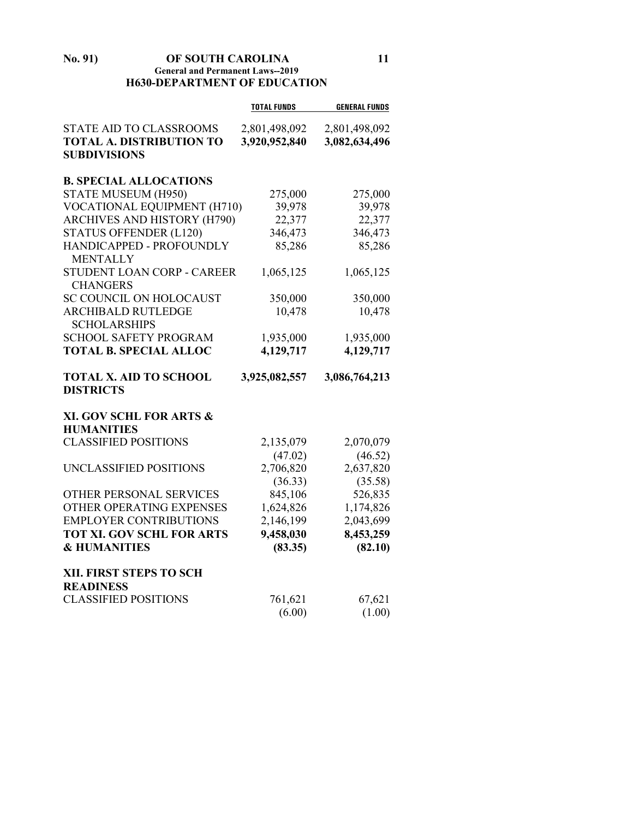#### **No. 91) OF SOUTH CAROLINA 11 General and Permanent Laws--2019 H630-DEPARTMENT OF EDUCATION**

|                                                  | <b>TOTAL FUNDS</b> | <b>GENERAL FUNDS</b> |
|--------------------------------------------------|--------------------|----------------------|
| STATE AID TO CLASSROOMS                          | 2,801,498,092      | 2,801,498,092        |
| <b>TOTAL A. DISTRIBUTION TO</b>                  | 3,920,952,840      | 3,082,634,496        |
| <b>SUBDIVISIONS</b>                              |                    |                      |
|                                                  |                    |                      |
| <b>B. SPECIAL ALLOCATIONS</b>                    |                    |                      |
| STATE MUSEUM (H950)                              | 275,000            | 275,000              |
| VOCATIONAL EQUIPMENT (H710)                      | 39,978             | 39,978               |
| ARCHIVES AND HISTORY (H790)                      | 22,377             | 22,377               |
| <b>STATUS OFFENDER (L120)</b>                    | 346,473            | 346,473              |
| HANDICAPPED - PROFOUNDLY<br><b>MENTALLY</b>      | 85,286             | 85,286               |
| STUDENT LOAN CORP - CAREER<br><b>CHANGERS</b>    | 1,065,125          | 1,065,125            |
| SC COUNCIL ON HOLOCAUST                          | 350,000            | 350,000              |
| <b>ARCHIBALD RUTLEDGE</b><br><b>SCHOLARSHIPS</b> | 10,478             | 10,478               |
| <b>SCHOOL SAFETY PROGRAM</b>                     | 1,935,000          | 1,935,000            |
| <b>TOTAL B. SPECIAL ALLOC</b>                    | 4,129,717          | 4,129,717            |
| <b>TOTAL X. AID TO SCHOOL</b>                    | 3,925,082,557      | 3,086,764,213        |
|                                                  |                    |                      |
| <b>DISTRICTS</b>                                 |                    |                      |
|                                                  |                    |                      |
| XI. GOV SCHL FOR ARTS &                          |                    |                      |
| <b>HUMANITIES</b>                                |                    |                      |
| <b>CLASSIFIED POSITIONS</b>                      | 2,135,079          | 2,070,079            |
|                                                  | (47.02)            | (46.52)              |
| UNCLASSIFIED POSITIONS                           | 2,706,820          | 2,637,820            |
|                                                  | (36.33)            | (35.58)              |
| OTHER PERSONAL SERVICES                          | 845,106            | 526,835              |
| OTHER OPERATING EXPENSES                         | 1,624,826          | 1,174,826            |
| <b>EMPLOYER CONTRIBUTIONS</b>                    | 2,146,199          | 2,043,699            |
| <b>TOT XI. GOV SCHL FOR ARTS</b>                 | 9,458,030          | 8,453,259            |
| <b>&amp; HUMANITIES</b>                          | (83.35)            | (82.10)              |
|                                                  |                    |                      |
| XII. FIRST STEPS TO SCH<br><b>READINESS</b>      |                    |                      |
| <b>CLASSIFIED POSITIONS</b>                      | 761,621            | 67,621               |
|                                                  | (6.00)             | (1.00)               |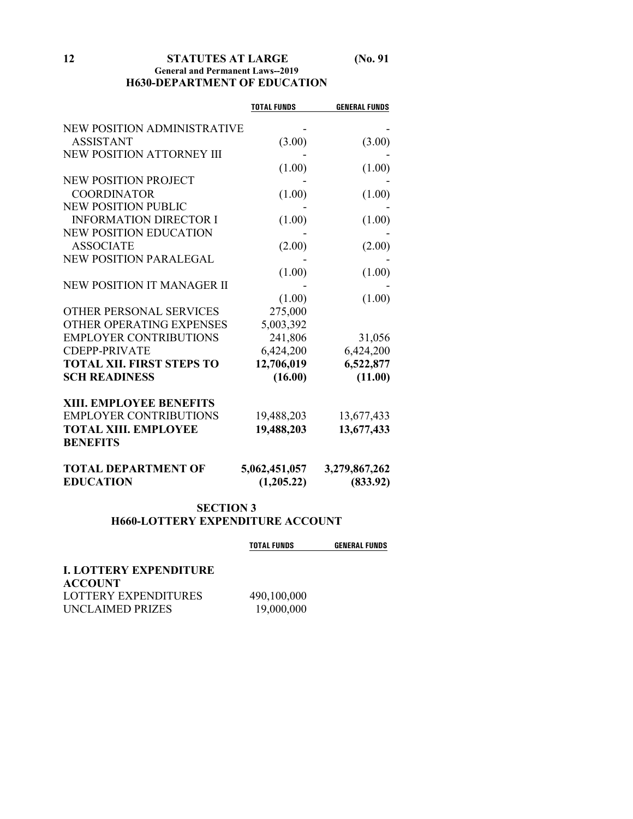#### **12 STATUTES AT LARGE (No. 91 General and Permanent Laws--2019 H630-DEPARTMENT OF EDUCATION**

|                                  | <b>TOTAL FUNDS</b> | <b>GENERAL FUNDS</b> |
|----------------------------------|--------------------|----------------------|
| NEW POSITION ADMINISTRATIVE      |                    |                      |
| <b>ASSISTANT</b>                 | (3.00)             | (3.00)               |
| <b>NEW POSITION ATTORNEY III</b> |                    |                      |
|                                  | (1.00)             | (1.00)               |
| <b>NEW POSITION PROJECT</b>      |                    |                      |
| <b>COORDINATOR</b>               | (1.00)             | (1.00)               |
| <b>NEW POSITION PUBLIC</b>       |                    |                      |
| <b>INFORMATION DIRECTOR I</b>    | (1.00)             | (1.00)               |
| <b>NEW POSITION EDUCATION</b>    |                    |                      |
| <b>ASSOCIATE</b>                 | (2.00)             | (2.00)               |
| <b>NEW POSITION PARALEGAL</b>    |                    |                      |
|                                  | (1.00)             | (1.00)               |
| NEW POSITION IT MANAGER II       |                    |                      |
|                                  | (1.00)             | (1.00)               |
| OTHER PERSONAL SERVICES          | 275,000            |                      |
| OTHER OPERATING EXPENSES         | 5,003,392          |                      |
| <b>EMPLOYER CONTRIBUTIONS</b>    | 241,806            | 31,056               |
| <b>CDEPP-PRIVATE</b>             | 6,424,200          | 6,424,200            |
| <b>TOTAL XII. FIRST STEPS TO</b> | 12,706,019         | 6,522,877            |
| <b>SCH READINESS</b>             | (16.00)            | (11.00)              |
| <b>XIII. EMPLOYEE BENEFITS</b>   |                    |                      |
| <b>EMPLOYER CONTRIBUTIONS</b>    | 19,488,203         | 13,677,433           |
| <b>TOTAL XIII. EMPLOYEE</b>      | 19,488,203         | 13,677,433           |
| <b>BENEFITS</b>                  |                    |                      |
| <b>TOTAL DEPARTMENT OF</b>       | 5,062,451,057      | 3,279,867,262        |
| <b>EDUCATION</b>                 | (1,205.22)         | (833.92)             |
|                                  |                    |                      |

## **SECTION 3 H660-LOTTERY EXPENDITURE ACCOUNT**

|                        | <b>TOTAL FUNDS</b> | <b>GENERAL FUNDS</b> |
|------------------------|--------------------|----------------------|
| I. LOTTERY EXPENDITURE |                    |                      |
| <b>ACCOUNT</b>         |                    |                      |
| LOTTERY EXPENDITURES   | 490,100,000        |                      |
| UNCLAIMED PRIZES       | 19,000,000         |                      |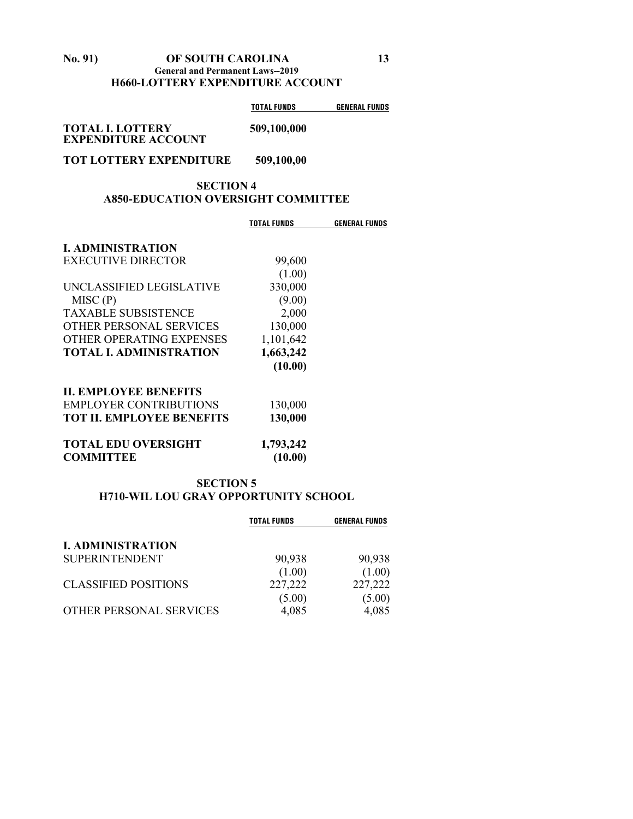#### **No. 91) OF SOUTH CAROLINA 13 General and Permanent Laws--2019 H660-LOTTERY EXPENDITURE ACCOUNT**

|             | <b>GENERAL FUNDS</b> |
|-------------|----------------------|
| 509,100,000 |                      |
|             | TOTAL FUNDS          |

**EXPENDITURE ACCOUNT**

# **TOT LOTTERY EXPENDITURE 509,100,00**

### **SECTION 4 A850-EDUCATION OVERSIGHT COMMITTEE**

| TOTAL FUNDS          | <b>GENERAL FUNDS</b>                                                   |
|----------------------|------------------------------------------------------------------------|
|                      |                                                                        |
|                      |                                                                        |
|                      |                                                                        |
|                      |                                                                        |
|                      |                                                                        |
|                      |                                                                        |
| 130,000              |                                                                        |
| 1,101,642            |                                                                        |
|                      |                                                                        |
| (10.00)              |                                                                        |
|                      |                                                                        |
|                      |                                                                        |
| 130,000              |                                                                        |
| 1,793,242<br>(10.00) |                                                                        |
|                      | 99,600<br>(1.00)<br>330,000<br>(9.00)<br>2,000<br>1,663,242<br>130,000 |

#### **SECTION 5 H710-WIL LOU GRAY OPPORTUNITY SCHOOL**

|                             | <b>TOTAL FUNDS</b> | <b>GENERAL FUNDS</b> |
|-----------------------------|--------------------|----------------------|
| <b>I. ADMINISTRATION</b>    |                    |                      |
| <b>SUPERINTENDENT</b>       | 90,938             | 90,938               |
|                             | (1.00)             | (1.00)               |
| <b>CLASSIFIED POSITIONS</b> | 227,222            | 227,222              |
|                             | (5.00)             | (5.00)               |
| OTHER PERSONAL SERVICES     | 4,085              | 4,085                |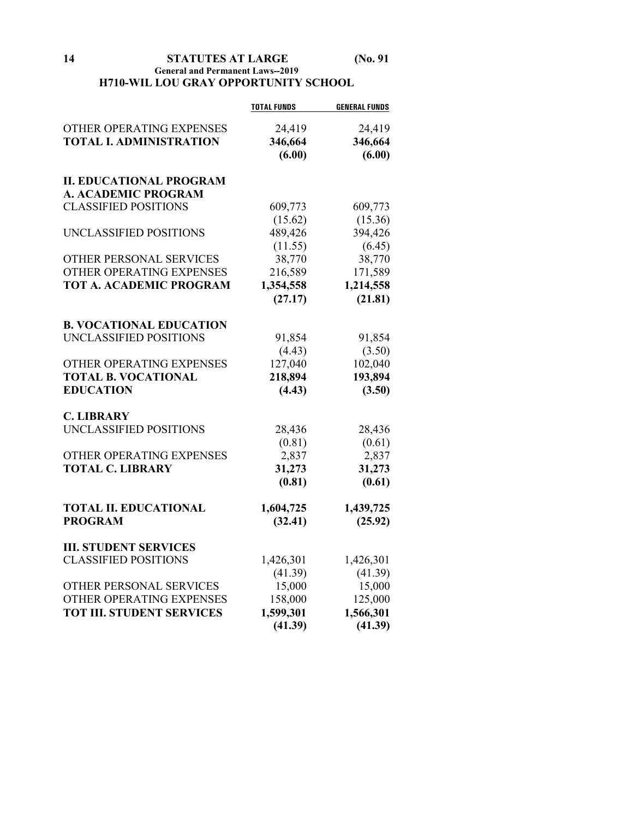**14 STATUTES AT LARGE (No. 91**

### **General and Permanent Laws--2019 H710-WIL LOU GRAY OPPORTUNITY SCHOOL**

|                                  | <b>TOTAL FUNDS</b> | <b>GENERAL FUNDS</b> |
|----------------------------------|--------------------|----------------------|
| OTHER OPERATING EXPENSES         | 24,419             | 24,419               |
| <b>TOTAL I. ADMINISTRATION</b>   | 346,664            | 346,664              |
|                                  | (6.00)             | (6.00)               |
| <b>II. EDUCATIONAL PROGRAM</b>   |                    |                      |
| <b>A. ACADEMIC PROGRAM</b>       |                    |                      |
| <b>CLASSIFIED POSITIONS</b>      | 609,773            | 609,773              |
|                                  | (15.62)            | (15.36)              |
| UNCLASSIFIED POSITIONS           | 489,426            | 394,426              |
|                                  | (11.55)            | (6.45)               |
| OTHER PERSONAL SERVICES          | 38,770             | 38,770               |
| OTHER OPERATING EXPENSES         | 216,589            | 171,589              |
| <b>TOT A. ACADEMIC PROGRAM</b>   | 1,354,558          | 1,214,558            |
|                                  | (27.17)            | (21.81)              |
| <b>B. VOCATIONAL EDUCATION</b>   |                    |                      |
| UNCLASSIFIED POSITIONS           | 91,854             | 91,854               |
|                                  | (4.43)             | (3.50)               |
| OTHER OPERATING EXPENSES         | 127,040            | 102,040              |
| <b>TOTAL B. VOCATIONAL</b>       | 218,894            | 193,894              |
| <b>EDUCATION</b>                 | (4.43)             | (3.50)               |
| <b>C. LIBRARY</b>                |                    |                      |
| UNCLASSIFIED POSITIONS           | 28,436             | 28,436               |
|                                  | (0.81)             | (0.61)               |
| OTHER OPERATING EXPENSES         | 2,837              | 2,837                |
| <b>TOTAL C. LIBRARY</b>          | 31,273             | 31,273               |
|                                  | (0.81)             | (0.61)               |
| <b>TOTAL II. EDUCATIONAL</b>     | 1,604,725          | 1,439,725            |
| <b>PROGRAM</b>                   | (32.41)            | (25.92)              |
| <b>III. STUDENT SERVICES</b>     |                    |                      |
| <b>CLASSIFIED POSITIONS</b>      | 1,426,301          | 1,426,301            |
|                                  | (41.39)            | (41.39)              |
| OTHER PERSONAL SERVICES          | 15,000             | 15,000               |
| OTHER OPERATING EXPENSES         | 158,000            | 125,000              |
| <b>TOT III. STUDENT SERVICES</b> | 1,599,301          | 1,566,301            |
|                                  | (41.39)            | (41.39)              |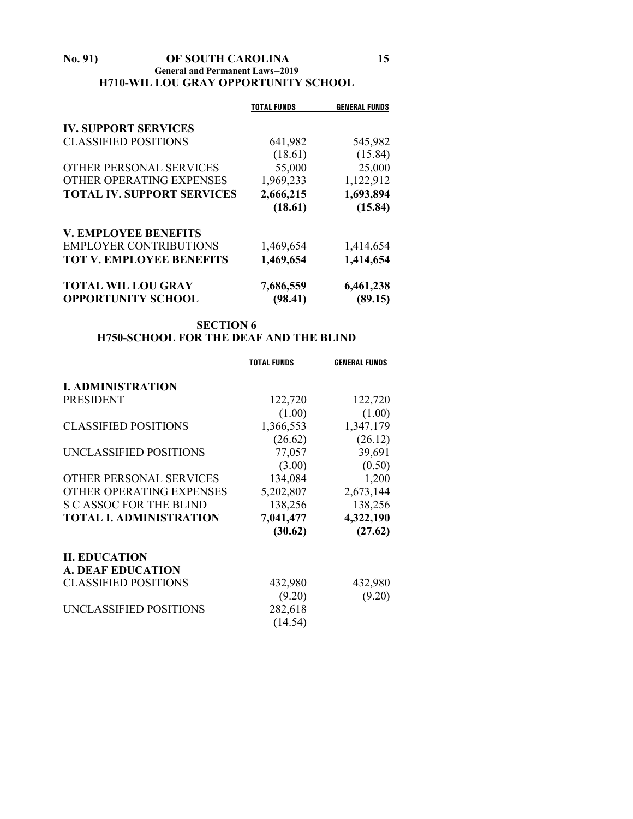#### **No. 91) OF SOUTH CAROLINA 15 General and Permanent Laws--2019 H710-WIL LOU GRAY OPPORTUNITY SCHOOL**

|                                   | <b>TOTAL FUNDS</b> | <b>GENERAL FUNDS</b> |
|-----------------------------------|--------------------|----------------------|
| <b>IV. SUPPORT SERVICES</b>       |                    |                      |
| <b>CLASSIFIED POSITIONS</b>       | 641,982            | 545,982              |
|                                   | (18.61)            | (15.84)              |
| OTHER PERSONAL SERVICES           | 55,000             | 25,000               |
| OTHER OPERATING EXPENSES          | 1,969,233          | 1,122,912            |
| <b>TOTAL IV. SUPPORT SERVICES</b> | 2,666,215          | 1,693,894            |
|                                   | (18.61)            | (15.84)              |
| <b>V. EMPLOYEE BENEFITS</b>       |                    |                      |
| <b>EMPLOYER CONTRIBUTIONS</b>     | 1,469,654          | 1,414,654            |
| <b>TOT V. EMPLOYEE BENEFITS</b>   | 1,469,654          | 1,414,654            |
| <b>TOTAL WIL LOU GRAY</b>         | 7,686,559          | 6,461,238            |
| <b>OPPORTUNITY SCHOOL</b>         | (98.41)            | (89.15)              |

## **SECTION 6 H750-SCHOOL FOR THE DEAF AND THE BLIND**

|                                | <b>TOTAL FUNDS</b> | <b>GENERAL FUNDS</b> |
|--------------------------------|--------------------|----------------------|
| <b>I. ADMINISTRATION</b>       |                    |                      |
| <b>PRESIDENT</b>               | 122,720            | 122,720              |
|                                | (1.00)             | (1.00)               |
| <b>CLASSIFIED POSITIONS</b>    | 1,366,553          | 1,347,179            |
|                                | (26.62)            | (26.12)              |
| UNCLASSIFIED POSITIONS         | 77,057             | 39,691               |
|                                | (3.00)             | (0.50)               |
| OTHER PERSONAL SERVICES        | 134,084            | 1,200                |
| OTHER OPERATING EXPENSES       | 5,202,807          | 2,673,144            |
| <b>S C ASSOC FOR THE BLIND</b> | 138,256            | 138,256              |
| <b>TOTAL I. ADMINISTRATION</b> | 7,041,477          | 4,322,190            |
|                                | (30.62)            | (27.62)              |
| <b>II. EDUCATION</b>           |                    |                      |
| <b>A. DEAF EDUCATION</b>       |                    |                      |
| <b>CLASSIFIED POSITIONS</b>    | 432,980            | 432,980              |
|                                | (9.20)             | (9.20)               |
| UNCLASSIFIED POSITIONS         | 282,618            |                      |
|                                | (14.54)            |                      |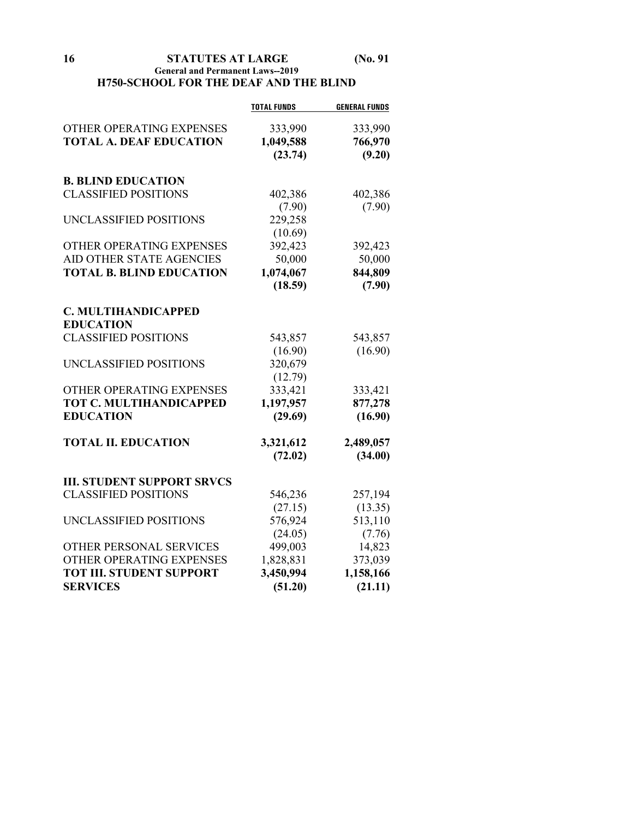**16 STATUTES AT LARGE (No. 91**

#### **General and Permanent Laws--2019 H750-SCHOOL FOR THE DEAF AND THE BLIND**

|                                   | <b>TOTAL FUNDS</b> | <b>GENERAL FUNDS</b> |
|-----------------------------------|--------------------|----------------------|
| OTHER OPERATING EXPENSES          | 333,990            | 333,990              |
| <b>TOTAL A. DEAF EDUCATION</b>    | 1,049,588          | 766,970              |
|                                   | (23.74)            | (9.20)               |
|                                   |                    |                      |
| <b>B. BLIND EDUCATION</b>         |                    |                      |
| <b>CLASSIFIED POSITIONS</b>       | 402,386            | 402,386              |
|                                   | (7.90)             | (7.90)               |
| UNCLASSIFIED POSITIONS            | 229,258            |                      |
|                                   | (10.69)            |                      |
| OTHER OPERATING EXPENSES          | 392,423            | 392,423              |
| AID OTHER STATE AGENCIES          | 50,000             | 50,000               |
| <b>TOTAL B. BLIND EDUCATION</b>   | 1,074,067          | 844,809              |
|                                   | (18.59)            | (7.90)               |
| C. MULTIHANDICAPPED               |                    |                      |
| <b>EDUCATION</b>                  |                    |                      |
| <b>CLASSIFIED POSITIONS</b>       | 543,857            | 543,857              |
|                                   | (16.90)            | (16.90)              |
| UNCLASSIFIED POSITIONS            | 320,679            |                      |
|                                   | (12.79)            |                      |
| OTHER OPERATING EXPENSES          | 333,421            | 333,421              |
| <b>TOT C. MULTIHANDICAPPED</b>    | 1,197,957          | 877,278              |
| <b>EDUCATION</b>                  | (29.69)            | (16.90)              |
| <b>TOTAL II. EDUCATION</b>        | 3,321,612          | 2,489,057            |
|                                   | (72.02)            | (34.00)              |
|                                   |                    |                      |
| <b>III. STUDENT SUPPORT SRVCS</b> |                    |                      |
| <b>CLASSIFIED POSITIONS</b>       | 546,236            | 257,194              |
|                                   | (27.15)            | (13.35)              |
| UNCLASSIFIED POSITIONS            | 576,924            | 513,110              |
|                                   | (24.05)            | (7.76)               |
| OTHER PERSONAL SERVICES           | 499,003            | 14,823               |
| OTHER OPERATING EXPENSES          | 1,828,831          | 373,039              |
| <b>TOT III. STUDENT SUPPORT</b>   | 3,450,994          | 1,158,166            |
| <b>SERVICES</b>                   | (51.20)            | (21.11)              |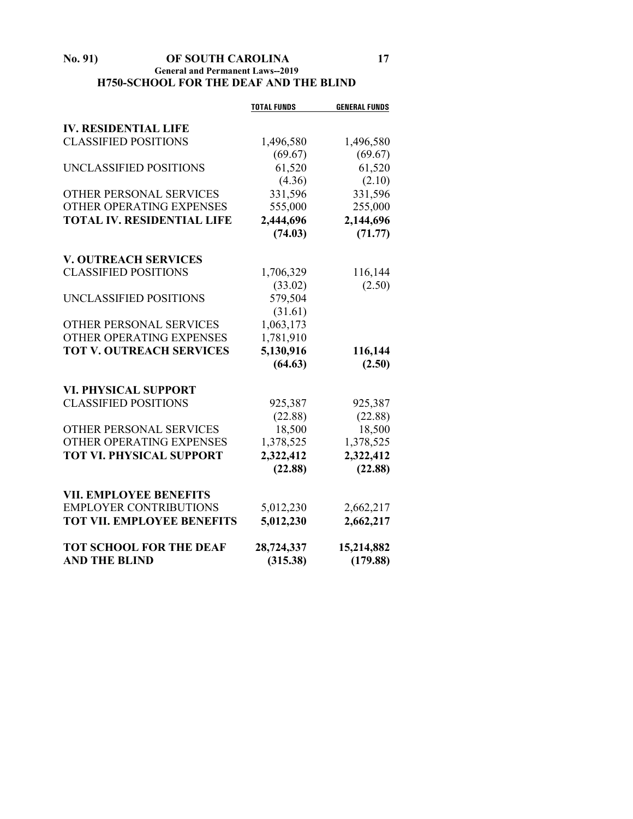#### **No. 91) OF SOUTH CAROLINA 17 General and Permanent Laws--2019 H750-SCHOOL FOR THE DEAF AND THE BLIND**

|                                   | <b>TOTAL FUNDS</b> | <b>GENERAL FUNDS</b> |
|-----------------------------------|--------------------|----------------------|
| <b>IV. RESIDENTIAL LIFE</b>       |                    |                      |
| <b>CLASSIFIED POSITIONS</b>       | 1,496,580          | 1,496,580            |
|                                   | (69.67)            | (69.67)              |
| UNCLASSIFIED POSITIONS            | 61,520             | 61,520               |
|                                   | (4.36)             | (2.10)               |
| <b>OTHER PERSONAL SERVICES</b>    | 331,596            | 331,596              |
| OTHER OPERATING EXPENSES          | 555,000            | 255,000              |
| <b>TOTAL IV. RESIDENTIAL LIFE</b> | 2,444,696          | 2,144,696            |
|                                   | (74.03)            | (71.77)              |
| <b>V. OUTREACH SERVICES</b>       |                    |                      |
| <b>CLASSIFIED POSITIONS</b>       | 1,706,329          | 116,144              |
|                                   | (33.02)            | (2.50)               |
| UNCLASSIFIED POSITIONS            | 579,504            |                      |
|                                   | (31.61)            |                      |
| OTHER PERSONAL SERVICES           | 1,063,173          |                      |
| OTHER OPERATING EXPENSES          | 1,781,910          |                      |
| <b>TOT V. OUTREACH SERVICES</b>   | 5,130,916          | 116,144              |
|                                   | (64.63)            | (2.50)               |
|                                   |                    |                      |
| <b>VI. PHYSICAL SUPPORT</b>       |                    |                      |
| <b>CLASSIFIED POSITIONS</b>       | 925,387            | 925,387              |
|                                   | (22.88)            | (22.88)              |
| <b>OTHER PERSONAL SERVICES</b>    | 18,500             | 18,500               |
| OTHER OPERATING EXPENSES          | 1,378,525          | 1,378,525            |
| <b>TOT VI. PHYSICAL SUPPORT</b>   | 2,322,412          | 2,322,412            |
|                                   | (22.88)            | (22.88)              |
| <b>VII. EMPLOYEE BENEFITS</b>     |                    |                      |
| <b>EMPLOYER CONTRIBUTIONS</b>     | 5,012,230          | 2,662,217            |
| <b>TOT VII. EMPLOYEE BENEFITS</b> | 5,012,230          | 2,662,217            |
| <b>TOT SCHOOL FOR THE DEAF</b>    | 28,724,337         | 15,214,882           |
| <b>AND THE BLIND</b>              | (315.38)           | (179.88)             |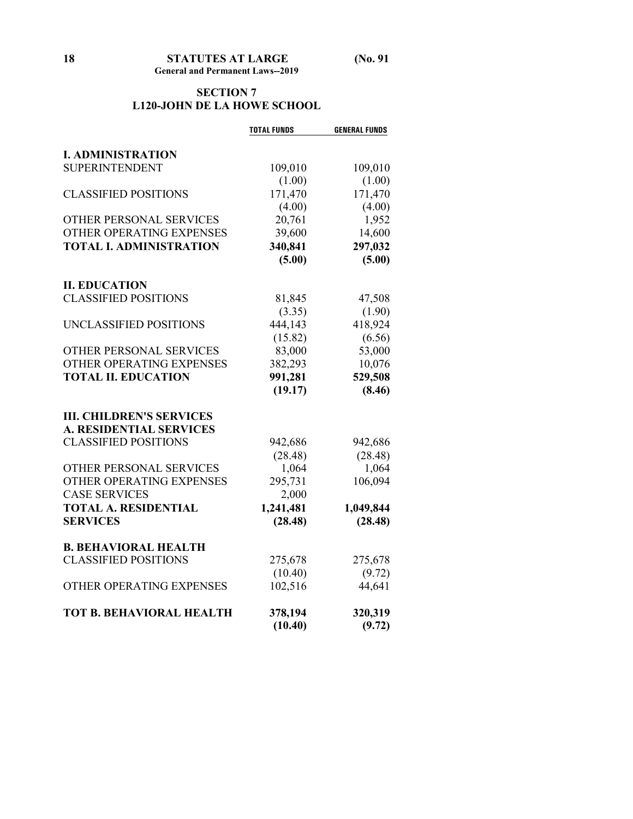### **SECTION 7 L120-JOHN DE LA HOWE SCHOOL**

|                                 | <b>TOTAL FUNDS</b> | <b>GENERAL FUNDS</b> |
|---------------------------------|--------------------|----------------------|
| <b>I. ADMINISTRATION</b>        |                    |                      |
| <b>SUPERINTENDENT</b>           | 109,010            | 109,010              |
|                                 | (1.00)             | (1.00)               |
| <b>CLASSIFIED POSITIONS</b>     | 171,470            | 171,470              |
|                                 | (4.00)             | (4.00)               |
| OTHER PERSONAL SERVICES         | 20,761             | 1,952                |
| OTHER OPERATING EXPENSES        | 39,600             | 14,600               |
| <b>TOTAL I. ADMINISTRATION</b>  | 340,841            | 297,032              |
|                                 | (5.00)             | (5.00)               |
|                                 |                    |                      |
| <b>II. EDUCATION</b>            |                    |                      |
| <b>CLASSIFIED POSITIONS</b>     | 81,845             | 47,508               |
|                                 | (3.35)             | (1.90)               |
| UNCLASSIFIED POSITIONS          | 444,143            | 418,924              |
|                                 | (15.82)            | (6.56)               |
| OTHER PERSONAL SERVICES         | 83,000             | 53,000               |
| OTHER OPERATING EXPENSES        | 382,293            | 10,076               |
| <b>TOTAL II. EDUCATION</b>      | 991,281            | 529,508              |
|                                 | (19.17)            | (8.46)               |
| <b>III. CHILDREN'S SERVICES</b> |                    |                      |
| <b>A. RESIDENTIAL SERVICES</b>  |                    |                      |
| <b>CLASSIFIED POSITIONS</b>     | 942,686            | 942,686              |
|                                 | (28.48)            | (28.48)              |
| OTHER PERSONAL SERVICES         | 1,064              | 1,064                |
| OTHER OPERATING EXPENSES        | 295,731            | 106,094              |
| <b>CASE SERVICES</b>            | 2,000              |                      |
| <b>TOTAL A. RESIDENTIAL</b>     | 1,241,481          | 1,049,844            |
| <b>SERVICES</b>                 | (28.48)            | (28.48)              |
| <b>B. BEHAVIORAL HEALTH</b>     |                    |                      |
| <b>CLASSIFIED POSITIONS</b>     | 275,678            | 275,678              |
|                                 | (10.40)            | (9.72)               |
| OTHER OPERATING EXPENSES        | 102,516            | 44,641               |
| <b>TOT B. BEHAVIORAL HEALTH</b> | 378,194            | 320,319              |
|                                 | (10.40)            | (9.72)               |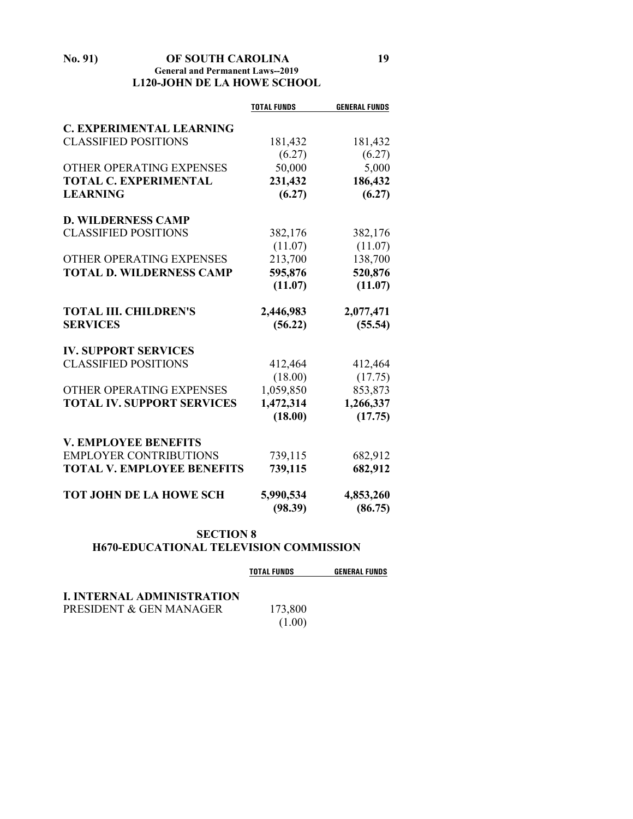#### **No. 91) OF SOUTH CAROLINA 19 General and Permanent Laws--2019 L120-JOHN DE LA HOWE SCHOOL**

|                                   | <b>TOTAL FUNDS</b>   | <b>GENERAL FUNDS</b> |
|-----------------------------------|----------------------|----------------------|
| <b>C. EXPERIMENTAL LEARNING</b>   |                      |                      |
| <b>CLASSIFIED POSITIONS</b>       | 181,432              | 181,432              |
|                                   | (6.27)               | (6.27)               |
| OTHER OPERATING EXPENSES          | 50,000               | 5,000                |
| <b>TOTAL C. EXPERIMENTAL</b>      | 231,432              | 186,432              |
| <b>LEARNING</b>                   | (6.27)               | (6.27)               |
| <b>D. WILDERNESS CAMP</b>         |                      |                      |
| <b>CLASSIFIED POSITIONS</b>       | 382,176              | 382,176              |
|                                   | (11.07)              | (11.07)              |
| OTHER OPERATING EXPENSES          | 213,700              | 138,700              |
| <b>TOTAL D. WILDERNESS CAMP</b>   | 595,876              | 520,876              |
|                                   | (11.07)              | (11.07)              |
| <b>TOTAL III. CHILDREN'S</b>      | 2,446,983            | 2,077,471            |
| <b>SERVICES</b>                   | (56.22)              | (55.54)              |
| <b>IV. SUPPORT SERVICES</b>       |                      |                      |
| <b>CLASSIFIED POSITIONS</b>       | 412,464              | 412,464              |
|                                   | (18.00)              | (17.75)              |
| OTHER OPERATING EXPENSES          | 1,059,850            | 853,873              |
| <b>TOTAL IV. SUPPORT SERVICES</b> | 1,472,314            | 1,266,337            |
|                                   | (18.00)              | (17.75)              |
| <b>V. EMPLOYEE BENEFITS</b>       |                      |                      |
| <b>EMPLOYER CONTRIBUTIONS</b>     | 739,115              | 682,912              |
| <b>TOTAL V. EMPLOYEE BENEFITS</b> | 739,115              | 682,912              |
| <b>TOT JOHN DE LA HOWE SCH</b>    | 5,990,534<br>(98.39) | 4,853,260<br>(86.75) |

#### **SECTION 8 H670-EDUCATIONAL TELEVISION COMMISSION**

|                                   | <b>TOTAL FUNDS</b> | <b>GENERAL FUNDS</b> |
|-----------------------------------|--------------------|----------------------|
| <b>I. INTERNAL ADMINISTRATION</b> |                    |                      |
| PRESIDENT & GEN MANAGER           | 173,800            |                      |
|                                   | (1.00)             |                      |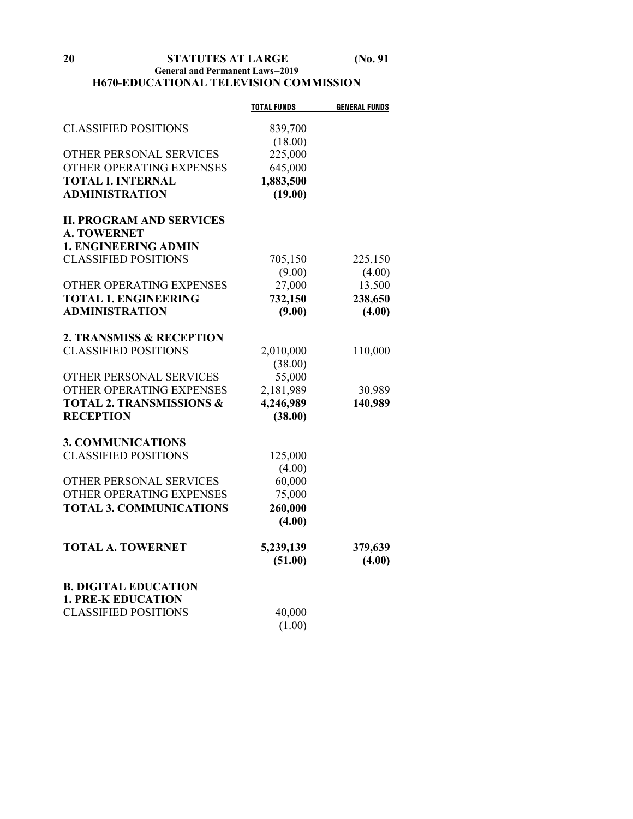### **20 STATUTES AT LARGE (No. 91 General and Permanent Laws--2019 H670-EDUCATIONAL TELEVISION COMMISSION**

|                                     | <b>TOTAL FUNDS</b> | <b>GENERAL FUNDS</b> |
|-------------------------------------|--------------------|----------------------|
| <b>CLASSIFIED POSITIONS</b>         | 839,700            |                      |
|                                     | (18.00)            |                      |
| OTHER PERSONAL SERVICES             | 225,000            |                      |
| OTHER OPERATING EXPENSES            | 645,000            |                      |
| <b>TOTAL I. INTERNAL</b>            | 1,883,500          |                      |
| <b>ADMINISTRATION</b>               | (19.00)            |                      |
| <b>II. PROGRAM AND SERVICES</b>     |                    |                      |
| <b>A. TOWERNET</b>                  |                    |                      |
| <b>1. ENGINEERING ADMIN</b>         |                    |                      |
| <b>CLASSIFIED POSITIONS</b>         | 705,150            | 225,150              |
|                                     | (9.00)             | (4.00)               |
| OTHER OPERATING EXPENSES            | 27,000             | 13,500               |
| <b>TOTAL 1. ENGINEERING</b>         | 732,150            | 238,650              |
| <b>ADMINISTRATION</b>               | (9.00)             | (4.00)               |
|                                     |                    |                      |
| 2. TRANSMISS & RECEPTION            |                    |                      |
| <b>CLASSIFIED POSITIONS</b>         | 2,010,000          | 110,000              |
|                                     | (38.00)            |                      |
| OTHER PERSONAL SERVICES             | 55,000             |                      |
| OTHER OPERATING EXPENSES            | 2,181,989          | 30,989               |
| <b>TOTAL 2. TRANSMISSIONS &amp;</b> | 4,246,989          | 140,989              |
| <b>RECEPTION</b>                    | (38.00)            |                      |
| <b>3. COMMUNICATIONS</b>            |                    |                      |
| <b>CLASSIFIED POSITIONS</b>         | 125,000            |                      |
|                                     | (4.00)             |                      |
| OTHER PERSONAL SERVICES             | 60,000             |                      |
| OTHER OPERATING EXPENSES            | 75,000             |                      |
| <b>TOTAL 3. COMMUNICATIONS</b>      | 260,000            |                      |
|                                     | (4.00)             |                      |
| <b>TOTAL A. TOWERNET</b>            | 5,239,139          | 379,639              |
|                                     | (51.00)            | (4.00)               |
| <b>B. DIGITAL EDUCATION</b>         |                    |                      |
| <b>1. PRE-K EDUCATION</b>           |                    |                      |
| <b>CLASSIFIED POSITIONS</b>         | 40,000             |                      |
|                                     | (1.00)             |                      |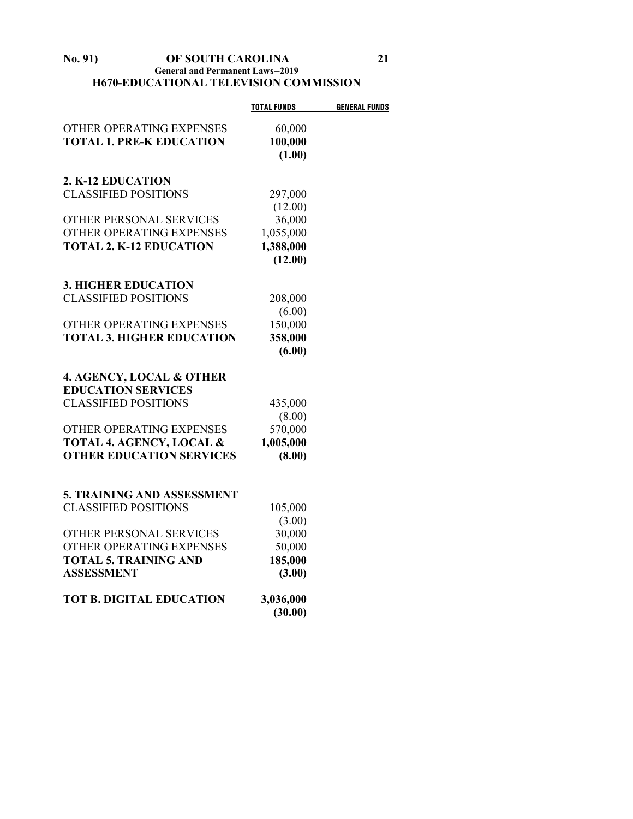#### **No. 91) OF SOUTH CAROLINA 21 General and Permanent Laws--2019 H670-EDUCATIONAL TELEVISION COMMISSION**

|                                     | <b>TOTAL FUNDS</b>   | <b>GENERAL FUNDS</b> |
|-------------------------------------|----------------------|----------------------|
| OTHER OPERATING EXPENSES            | 60,000               |                      |
| <b>TOTAL 1. PRE-K EDUCATION</b>     | 100,000              |                      |
|                                     | (1.00)               |                      |
|                                     |                      |                      |
| 2. K-12 EDUCATION                   |                      |                      |
| <b>CLASSIFIED POSITIONS</b>         | 297,000              |                      |
|                                     | (12.00)              |                      |
| OTHER PERSONAL SERVICES             | 36,000               |                      |
| OTHER OPERATING EXPENSES            | 1,055,000            |                      |
| <b>TOTAL 2. K-12 EDUCATION</b>      | 1,388,000            |                      |
|                                     | (12.00)              |                      |
|                                     |                      |                      |
| <b>3. HIGHER EDUCATION</b>          |                      |                      |
| <b>CLASSIFIED POSITIONS</b>         | 208,000              |                      |
|                                     | (6.00)               |                      |
| OTHER OPERATING EXPENSES            | 150,000              |                      |
| <b>TOTAL 3. HIGHER EDUCATION</b>    | 358,000              |                      |
|                                     | (6.00)               |                      |
|                                     |                      |                      |
| 4. AGENCY, LOCAL & OTHER            |                      |                      |
| <b>EDUCATION SERVICES</b>           |                      |                      |
| <b>CLASSIFIED POSITIONS</b>         | 435,000              |                      |
|                                     | (8.00)               |                      |
| OTHER OPERATING EXPENSES            | 570,000              |                      |
| <b>TOTAL 4. AGENCY, LOCAL &amp;</b> | 1,005,000            |                      |
| <b>OTHER EDUCATION SERVICES</b>     | (8.00)               |                      |
|                                     |                      |                      |
| <b>5. TRAINING AND ASSESSMENT</b>   |                      |                      |
| <b>CLASSIFIED POSITIONS</b>         | 105,000              |                      |
|                                     | (3.00)               |                      |
| OTHER PERSONAL SERVICES             | 30,000               |                      |
| OTHER OPERATING EXPENSES            | 50,000               |                      |
| <b>TOTAL 5. TRAINING AND</b>        | 185,000              |                      |
| <b>ASSESSMENT</b>                   | (3.00)               |                      |
| <b>TOT B. DIGITAL EDUCATION</b>     |                      |                      |
|                                     | 3,036,000<br>(30.00) |                      |
|                                     |                      |                      |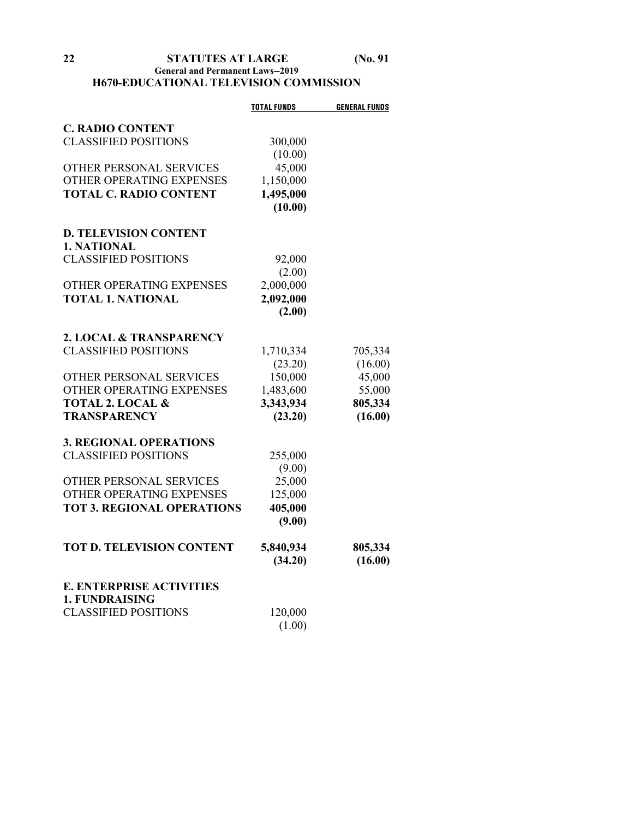## **22 STATUTES AT LARGE (No. 91 General and Permanent Laws--2019 H670-EDUCATIONAL TELEVISION COMMISSION**

|                                   | <b>TOTAL FUNDS</b> | <b>GENERAL FUNDS</b> |
|-----------------------------------|--------------------|----------------------|
| <b>C. RADIO CONTENT</b>           |                    |                      |
| <b>CLASSIFIED POSITIONS</b>       | 300,000            |                      |
|                                   | (10.00)            |                      |
| OTHER PERSONAL SERVICES           | 45,000             |                      |
| OTHER OPERATING EXPENSES          | 1,150,000          |                      |
| <b>TOTAL C. RADIO CONTENT</b>     | 1,495,000          |                      |
|                                   | (10.00)            |                      |
| <b>D. TELEVISION CONTENT</b>      |                    |                      |
| 1. NATIONAL                       |                    |                      |
| <b>CLASSIFIED POSITIONS</b>       | 92,000             |                      |
|                                   | (2.00)             |                      |
| OTHER OPERATING EXPENSES          | 2,000,000          |                      |
| <b>TOTAL 1. NATIONAL</b>          | 2,092,000          |                      |
|                                   | (2.00)             |                      |
|                                   |                    |                      |
| 2. LOCAL & TRANSPARENCY           |                    |                      |
| <b>CLASSIFIED POSITIONS</b>       | 1,710,334          | 705,334              |
|                                   | (23.20)            | (16.00)              |
| OTHER PERSONAL SERVICES           | 150,000            | 45,000               |
| OTHER OPERATING EXPENSES          | 1,483,600          | 55,000               |
| <b>TOTAL 2. LOCAL &amp;</b>       | 3,343,934          | 805,334              |
| <b>TRANSPARENCY</b>               | (23.20)            | (16.00)              |
| <b>3. REGIONAL OPERATIONS</b>     |                    |                      |
| <b>CLASSIFIED POSITIONS</b>       | 255,000            |                      |
|                                   | (9.00)             |                      |
| OTHER PERSONAL SERVICES           | 25,000             |                      |
| OTHER OPERATING EXPENSES          | 125,000            |                      |
| <b>TOT 3. REGIONAL OPERATIONS</b> | 405,000            |                      |
|                                   | (9.00)             |                      |
| <b>TOT D. TELEVISION CONTENT</b>  | 5,840,934          | 805,334              |
|                                   | (34.20)            | (16.00)              |
| <b>E. ENTERPRISE ACTIVITIES</b>   |                    |                      |
| <b>1. FUNDRAISING</b>             |                    |                      |
| <b>CLASSIFIED POSITIONS</b>       | 120,000            |                      |
|                                   | (1.00)             |                      |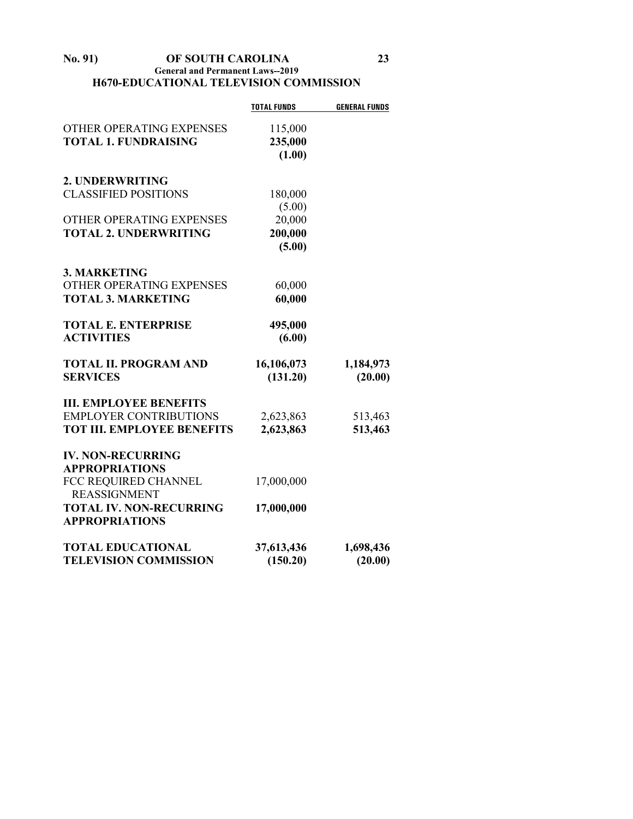#### **No. 91) OF SOUTH CAROLINA 23 General and Permanent Laws--2019 H670-EDUCATIONAL TELEVISION COMMISSION**

|                                   | <b>TOTAL FUNDS</b> | <b>GENERAL FUNDS</b> |
|-----------------------------------|--------------------|----------------------|
| OTHER OPERATING EXPENSES          | 115,000            |                      |
| <b>TOTAL 1. FUNDRAISING</b>       | 235,000            |                      |
|                                   | (1.00)             |                      |
| 2. UNDERWRITING                   |                    |                      |
| <b>CLASSIFIED POSITIONS</b>       | 180,000            |                      |
|                                   | (5.00)             |                      |
| OTHER OPERATING EXPENSES          | 20,000             |                      |
| <b>TOTAL 2. UNDERWRITING</b>      | 200,000            |                      |
|                                   | (5.00)             |                      |
| <b>3. MARKETING</b>               |                    |                      |
| OTHER OPERATING EXPENSES          | 60,000             |                      |
| <b>TOTAL 3. MARKETING</b>         | 60,000             |                      |
| <b>TOTAL E. ENTERPRISE</b>        | 495,000            |                      |
| <b>ACTIVITIES</b>                 | (6.00)             |                      |
| <b>TOTAL II. PROGRAM AND</b>      | 16,106,073         | 1,184,973            |
| <b>SERVICES</b>                   | (131.20)           | (20.00)              |
| <b>III. EMPLOYEE BENEFITS</b>     |                    |                      |
| <b>EMPLOYER CONTRIBUTIONS</b>     | 2,623,863          | 513,463              |
| <b>TOT III. EMPLOYEE BENEFITS</b> | 2,623,863          | 513,463              |
| <b>IV. NON-RECURRING</b>          |                    |                      |
| <b>APPROPRIATIONS</b>             |                    |                      |
| FCC REQUIRED CHANNEL              | 17,000,000         |                      |
| <b>REASSIGNMENT</b>               |                    |                      |
| <b>TOTAL IV. NON-RECURRING</b>    | 17,000,000         |                      |
| <b>APPROPRIATIONS</b>             |                    |                      |
| <b>TOTAL EDUCATIONAL</b>          | 37,613,436         | 1,698,436            |
| <b>TELEVISION COMMISSION</b>      | (150.20)           | (20.00)              |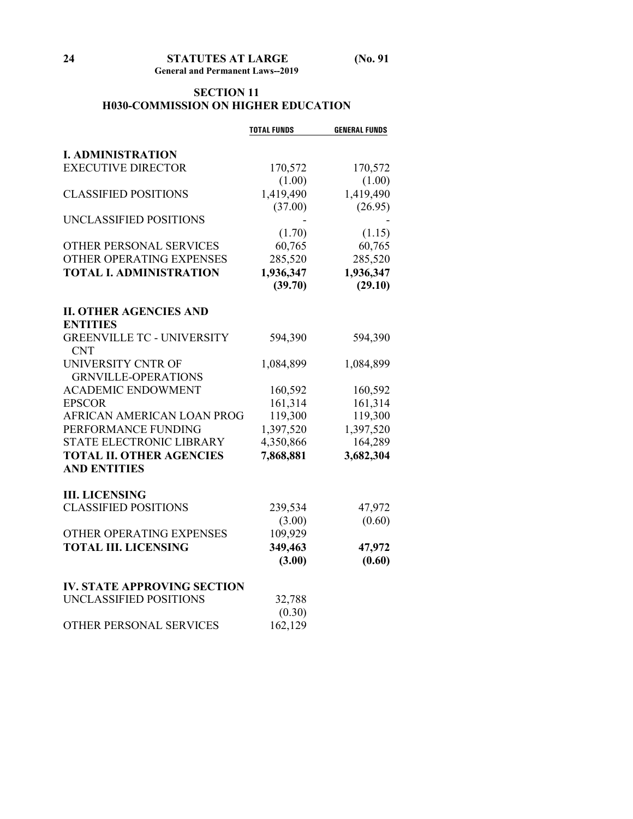## **SECTION 11 H030-COMMISSION ON HIGHER EDUCATION**

|                                    | <b>TOTAL FUNDS</b> | <b>GENERAL FUNDS</b> |
|------------------------------------|--------------------|----------------------|
| <b>I. ADMINISTRATION</b>           |                    |                      |
| <b>EXECUTIVE DIRECTOR</b>          | 170,572            | 170,572              |
|                                    | (1.00)             | (1.00)               |
| <b>CLASSIFIED POSITIONS</b>        | 1,419,490          | 1,419,490            |
|                                    |                    |                      |
| UNCLASSIFIED POSITIONS             | (37.00)            | (26.95)              |
|                                    |                    |                      |
| OTHER PERSONAL SERVICES            | (1.70)<br>60,765   | (1.15)<br>60,765     |
|                                    |                    |                      |
| OTHER OPERATING EXPENSES           | 285,520            | 285,520              |
| <b>TOTAL I. ADMINISTRATION</b>     | 1,936,347          | 1,936,347            |
|                                    | (39.70)            | (29.10)              |
| <b>II. OTHER AGENCIES AND</b>      |                    |                      |
| <b>ENTITIES</b>                    |                    |                      |
| <b>GREENVILLE TC - UNIVERSITY</b>  | 594,390            | 594,390              |
| <b>CNT</b>                         |                    |                      |
| UNIVERSITY CNTR OF                 | 1,084,899          | 1,084,899            |
| <b>GRNVILLE-OPERATIONS</b>         |                    |                      |
| <b>ACADEMIC ENDOWMENT</b>          | 160,592            | 160,592              |
| <b>EPSCOR</b>                      | 161,314            | 161,314              |
| AFRICAN AMERICAN LOAN PROG         | 119,300            | 119,300              |
| PERFORMANCE FUNDING                | 1,397,520          | 1,397,520            |
| STATE ELECTRONIC LIBRARY           | 4,350,866          | 164,289              |
| <b>TOTAL II. OTHER AGENCIES</b>    | 7,868,881          | 3,682,304            |
| <b>AND ENTITIES</b>                |                    |                      |
| <b>III. LICENSING</b>              |                    |                      |
| <b>CLASSIFIED POSITIONS</b>        | 239,534            | 47,972               |
|                                    | (3.00)             | (0.60)               |
| OTHER OPERATING EXPENSES           | 109,929            |                      |
| <b>TOTAL III. LICENSING</b>        | 349,463            | 47,972               |
|                                    | (3.00)             | (0.60)               |
|                                    |                    |                      |
| <b>IV. STATE APPROVING SECTION</b> |                    |                      |
| UNCLASSIFIED POSITIONS             | 32,788             |                      |
|                                    | (0.30)             |                      |
| OTHER PERSONAL SERVICES            | 162,129            |                      |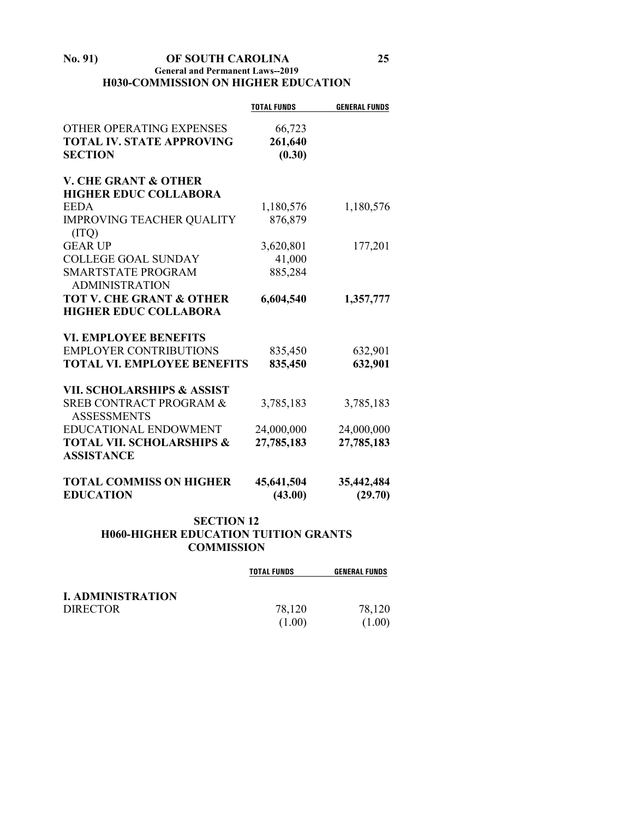#### **No. 91) OF SOUTH CAROLINA 25 General and Permanent Laws--2019 H030-COMMISSION ON HIGHER EDUCATION**

|                                                          | <b>TOTAL FUNDS</b> | <b>GENERAL FUNDS</b> |
|----------------------------------------------------------|--------------------|----------------------|
| OTHER OPERATING EXPENSES                                 | 66,723             |                      |
| <b>TOTAL IV. STATE APPROVING</b>                         | 261,640            |                      |
| <b>SECTION</b>                                           | (0.30)             |                      |
| <b>V. CHE GRANT &amp; OTHER</b>                          |                    |                      |
| <b>HIGHER EDUC COLLABORA</b>                             |                    |                      |
| <b>EEDA</b>                                              | 1,180,576          | 1,180,576            |
| <b>IMPROVING TEACHER QUALITY</b>                         | 876,879            |                      |
| (TTO)                                                    |                    |                      |
| <b>GEAR UP</b>                                           | 3,620,801          | 177,201              |
| <b>COLLEGE GOAL SUNDAY</b>                               | 41,000             |                      |
| <b>SMARTSTATE PROGRAM</b>                                | 885,284            |                      |
| <b>ADMINISTRATION</b>                                    |                    |                      |
| <b>TOT V. CHE GRANT &amp; OTHER</b>                      | 6,604,540          | 1,357,777            |
| <b>HIGHER EDUC COLLABORA</b>                             |                    |                      |
| <b>VI. EMPLOYEE BENEFITS</b>                             |                    |                      |
| <b>EMPLOYER CONTRIBUTIONS</b>                            | 835,450            | 632,901              |
| <b>TOTAL VI. EMPLOYEE BENEFITS</b>                       | 835,450            | 632,901              |
| <b>VII. SCHOLARSHIPS &amp; ASSIST</b>                    |                    |                      |
| <b>SREB CONTRACT PROGRAM &amp;</b><br><b>ASSESSMENTS</b> | 3,785,183          | 3,785,183            |
| <b>EDUCATIONAL ENDOWMENT</b>                             | 24,000,000         | 24,000,000           |
| <b>TOTAL VII. SCHOLARSHIPS &amp;</b>                     | 27,785,183         | 27,785,183           |
| <b>ASSISTANCE</b>                                        |                    |                      |
| <b>TOTAL COMMISS ON HIGHER</b>                           | 45,641,504         | 35,442,484           |
| <b>EDUCATION</b>                                         | (43.00)            | (29.70)              |

### **SECTION 12 H060-HIGHER EDUCATION TUITION GRANTS COMMISSION**

|                          | <b>TOTAL FUNDS</b> | <b>GENERAL FUNDS</b> |
|--------------------------|--------------------|----------------------|
| <b>I. ADMINISTRATION</b> |                    |                      |
| <b>DIRECTOR</b>          | 78.120             | 78,120               |
|                          | (1.00)             | (1.00)               |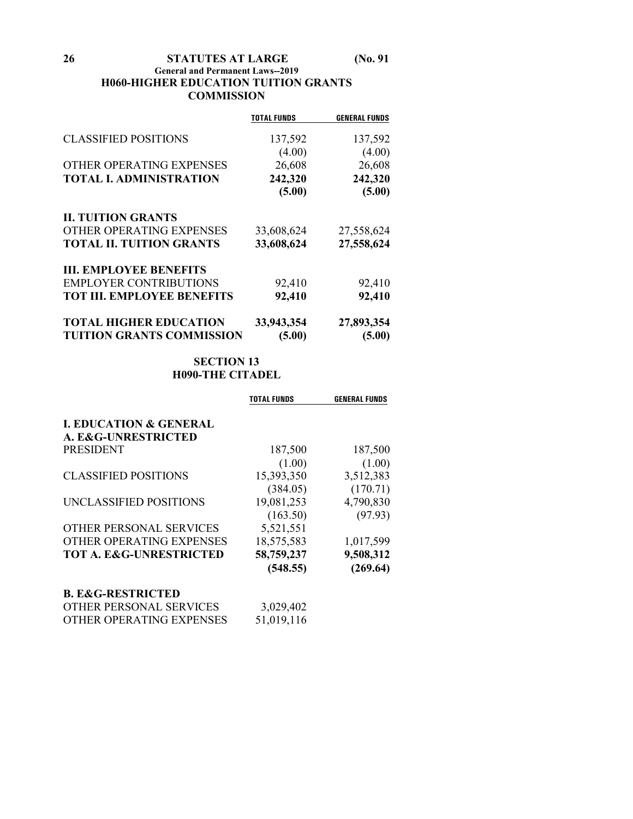**26 STATUTES AT LARGE (No. 91**

#### **General and Permanent Laws--2019 H060-HIGHER EDUCATION TUITION GRANTS COMMISSION**

|                                   | <b>TOTAL FUNDS</b> | <b>GENERAL FUNDS</b> |
|-----------------------------------|--------------------|----------------------|
|                                   |                    |                      |
| <b>CLASSIFIED POSITIONS</b>       | 137,592            | 137,592              |
|                                   | (4.00)             | (4.00)               |
| OTHER OPERATING EXPENSES          | 26,608             | 26,608               |
| <b>TOTAL I. ADMINISTRATION</b>    | 242,320            | 242,320              |
|                                   | (5.00)             | (5.00)               |
| <b>II. TUITION GRANTS</b>         |                    |                      |
| OTHER OPERATING EXPENSES          | 33,608,624         | 27,558,624           |
| <b>TOTAL II. TUITION GRANTS</b>   | 33,608,624         | 27,558,624           |
| <b>III. EMPLOYEE BENEFITS</b>     |                    |                      |
| <b>EMPLOYER CONTRIBUTIONS</b>     | 92,410             | 92,410               |
| <b>TOT III. EMPLOYEE BENEFITS</b> | 92,410             | 92,410               |
| <b>TOTAL HIGHER EDUCATION</b>     | 33,943,354         | 27,893,354           |
| <b>TUITION GRANTS COMMISSION</b>  | (5.00)             | (5.00)               |

## **SECTION 13 H090-THE CITADEL**

|                                    | TOTAL FUNDS | <b>GENERAL FUNDS</b> |
|------------------------------------|-------------|----------------------|
| <b>I. EDUCATION &amp; GENERAL</b>  |             |                      |
| A. E&G-UNRESTRICTED                |             |                      |
| <b>PRESIDENT</b>                   | 187,500     | 187,500              |
|                                    | (1.00)      | (1.00)               |
| <b>CLASSIFIED POSITIONS</b>        | 15,393,350  | 3,512,383            |
|                                    | (384.05)    | (170.71)             |
| UNCLASSIFIED POSITIONS             | 19,081,253  | 4,790,830            |
|                                    | (163.50)    | (97.93)              |
| <b>OTHER PERSONAL SERVICES</b>     | 5,521,551   |                      |
| OTHER OPERATING EXPENSES           | 18,575,583  | 1,017,599            |
| <b>TOT A. E&amp;G-UNRESTRICTED</b> | 58,759,237  | 9,508,312            |
|                                    | (548.55)    | (269.64)             |
| <b>B. E&amp;G-RESTRICTED</b>       |             |                      |
| OTHER PERSONAL SERVICES            | 3,029,402   |                      |
| OTHER OPERATING EXPENSES           | 51,019,116  |                      |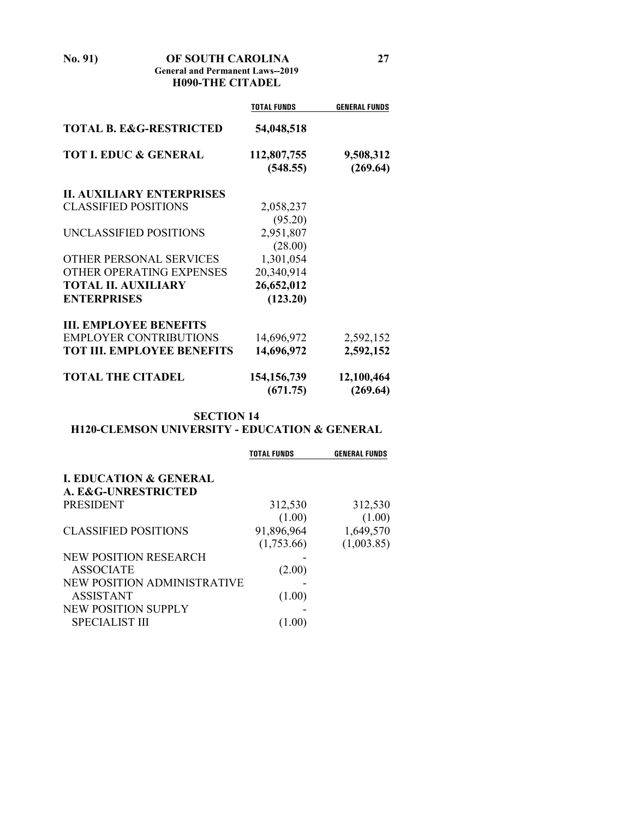**No. 91) OF SOUTH CAROLINA 27 General and Permanent Laws--2019**

**H090-THE CITADEL**

|                                    | <b>TOTAL FUNDS</b> | <b>GENERAL FUNDS</b> |
|------------------------------------|--------------------|----------------------|
| <b>TOTAL B. E&amp;G-RESTRICTED</b> | 54,048,518         |                      |
| <b>TOT I. EDUC &amp; GENERAL</b>   | 112,807,755        | 9,508,312            |
|                                    | (548.55)           | (269.64)             |
| <b>II. AUXILIARY ENTERPRISES</b>   |                    |                      |
| <b>CLASSIFIED POSITIONS</b>        | 2,058,237          |                      |
|                                    | (95.20)            |                      |
| UNCLASSIFIED POSITIONS             | 2,951,807          |                      |
|                                    | (28.00)            |                      |
| OTHER PERSONAL SERVICES            | 1,301,054          |                      |
| OTHER OPERATING EXPENSES           | 20,340,914         |                      |
| <b>TOTAL II. AUXILIARY</b>         | 26,652,012         |                      |
| <b>ENTERPRISES</b>                 | (123.20)           |                      |
| <b>III. EMPLOYEE BENEFITS</b>      |                    |                      |
| <b>EMPLOYER CONTRIBUTIONS</b>      | 14,696,972         | 2,592,152            |
| <b>TOT III. EMPLOYEE BENEFITS</b>  | 14,696,972         | 2,592,152            |
| <b>TOTAL THE CITADEL</b>           | 154, 156, 739      | 12,100,464           |
|                                    | (671.75)           | (269.64)             |

## **SECTION 14**

# **H120-CLEMSON UNIVERSITY - EDUCATION & GENERAL**

| <b>I. EDUCATION &amp; GENERAL</b> |            |            |
|-----------------------------------|------------|------------|
| A. E&G-UNRESTRICTED               |            |            |
| <b>PRESIDENT</b>                  | 312,530    | 312,530    |
|                                   | (1.00)     | (1.00)     |
| <b>CLASSIFIED POSITIONS</b>       | 91,896,964 | 1,649,570  |
|                                   | (1,753.66) | (1,003.85) |
| NEW POSITION RESEARCH             |            |            |
| <b>ASSOCIATE</b>                  | (2.00)     |            |
| NEW POSITION ADMINISTRATIVE       |            |            |
| <b>ASSISTANT</b>                  | (1.00)     |            |
| NEW POSITION SUPPLY               |            |            |
| <b>SPECIALIST III</b>             | 1.00)      |            |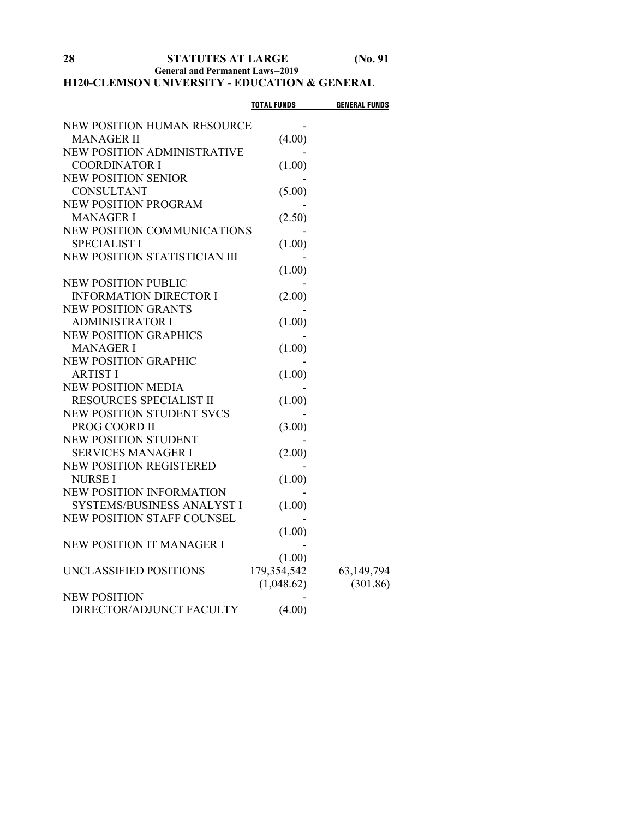# **28 STATUTES AT LARGE (No. 91**

**General and Permanent Laws--2019**

## **H120-CLEMSON UNIVERSITY - EDUCATION & GENERAL**

|                                   | <b>TOTAL FUNDS</b> | <b>GENERAL FUNDS</b> |
|-----------------------------------|--------------------|----------------------|
| NEW POSITION HUMAN RESOURCE       |                    |                      |
| <b>MANAGER II</b>                 | (4.00)             |                      |
| NEW POSITION ADMINISTRATIVE       |                    |                      |
| <b>COORDINATOR I</b>              | (1.00)             |                      |
| <b>NEW POSITION SENIOR</b>        |                    |                      |
| <b>CONSULTANT</b>                 | (5.00)             |                      |
| NEW POSITION PROGRAM              |                    |                      |
| <b>MANAGER I</b>                  | (2.50)             |                      |
| NEW POSITION COMMUNICATIONS       |                    |                      |
| <b>SPECIALIST I</b>               | (1.00)             |                      |
| NEW POSITION STATISTICIAN III     |                    |                      |
|                                   | (1.00)             |                      |
| <b>NEW POSITION PUBLIC</b>        |                    |                      |
| <b>INFORMATION DIRECTOR I</b>     | (2.00)             |                      |
| <b>NEW POSITION GRANTS</b>        |                    |                      |
| <b>ADMINISTRATOR I</b>            | (1.00)             |                      |
| <b>NEW POSITION GRAPHICS</b>      |                    |                      |
| <b>MANAGER I</b>                  | (1.00)             |                      |
| <b>NEW POSITION GRAPHIC</b>       |                    |                      |
| <b>ARTIST I</b>                   | (1.00)             |                      |
| <b>NEW POSITION MEDIA</b>         |                    |                      |
| RESOURCES SPECIALIST II           | (1.00)             |                      |
| <b>NEW POSITION STUDENT SVCS</b>  |                    |                      |
| PROG COORD II                     | (3.00)             |                      |
| <b>NEW POSITION STUDENT</b>       |                    |                      |
| <b>SERVICES MANAGER I</b>         | (2.00)             |                      |
| <b>NEW POSITION REGISTERED</b>    |                    |                      |
| <b>NURSE I</b>                    | (1.00)             |                      |
| NEW POSITION INFORMATION          |                    |                      |
| SYSTEMS/BUSINESS ANALYST I        | (1.00)             |                      |
| <b>NEW POSITION STAFF COUNSEL</b> |                    |                      |
|                                   | (1.00)             |                      |
| <b>NEW POSITION IT MANAGER I</b>  |                    |                      |
|                                   | (1.00)             |                      |
| UNCLASSIFIED POSITIONS            | 179,354,542        | 63,149,794           |
|                                   | (1,048.62)         | (301.86)             |
| <b>NEW POSITION</b>               |                    |                      |
| DIRECTOR/ADJUNCT FACULTY          | (4.00)             |                      |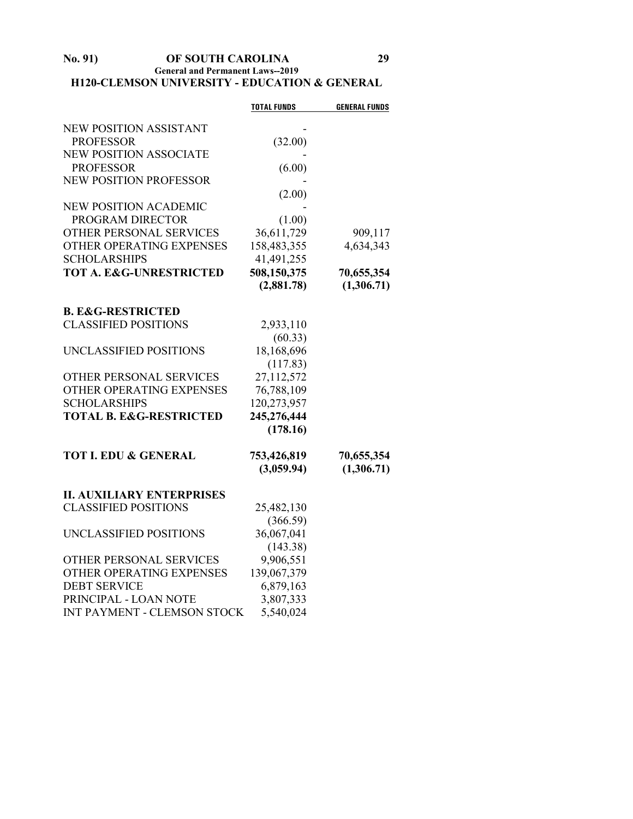#### **No. 91) OF SOUTH CAROLINA 29 General and Permanent Laws--2019 H120-CLEMSON UNIVERSITY - EDUCATION & GENERAL**

|                                    | <b>TOTAL FUNDS</b>        | <b>GENERAL FUNDS</b>     |
|------------------------------------|---------------------------|--------------------------|
| NEW POSITION ASSISTANT             |                           |                          |
| <b>PROFESSOR</b>                   | (32.00)                   |                          |
| <b>NEW POSITION ASSOCIATE</b>      |                           |                          |
| <b>PROFESSOR</b>                   | (6.00)                    |                          |
| <b>NEW POSITION PROFESSOR</b>      |                           |                          |
|                                    | (2.00)                    |                          |
| <b>NEW POSITION ACADEMIC</b>       |                           |                          |
| PROGRAM DIRECTOR                   | (1.00)                    |                          |
| OTHER PERSONAL SERVICES            | 36,611,729                | 909,117                  |
| OTHER OPERATING EXPENSES           | 158,483,355               | 4,634,343                |
| <b>SCHOLARSHIPS</b>                | 41,491,255                |                          |
| <b>TOT A. E&amp;G-UNRESTRICTED</b> | 508,150,375               | 70,655,354               |
|                                    | (2,881.78)                | (1,306.71)               |
|                                    |                           |                          |
| <b>B. E&amp;G-RESTRICTED</b>       |                           |                          |
| <b>CLASSIFIED POSITIONS</b>        | 2,933,110                 |                          |
|                                    | (60.33)                   |                          |
| UNCLASSIFIED POSITIONS             | 18,168,696                |                          |
|                                    | (117.83)                  |                          |
| OTHER PERSONAL SERVICES            | 27,112,572                |                          |
| OTHER OPERATING EXPENSES           | 76,788,109                |                          |
| <b>SCHOLARSHIPS</b>                | 120,273,957               |                          |
| <b>TOTAL B. E&amp;G-RESTRICTED</b> | 245,276,444               |                          |
|                                    | (178.16)                  |                          |
|                                    |                           |                          |
| <b>TOT I. EDU &amp; GENERAL</b>    | 753,426,819<br>(3,059.94) | 70,655,354<br>(1,306.71) |
|                                    |                           |                          |
| <b>II. AUXILIARY ENTERPRISES</b>   |                           |                          |
| <b>CLASSIFIED POSITIONS</b>        | 25,482,130                |                          |
|                                    | (366.59)                  |                          |
| UNCLASSIFIED POSITIONS             | 36,067,041                |                          |
|                                    | (143.38)                  |                          |
| OTHER PERSONAL SERVICES            | 9,906,551                 |                          |
| OTHER OPERATING EXPENSES           | 139,067,379               |                          |
| <b>DEBT SERVICE</b>                | 6,879,163                 |                          |
| PRINCIPAL - LOAN NOTE              | 3,807,333                 |                          |
| INT PAYMENT - CLEMSON STOCK        | 5,540,024                 |                          |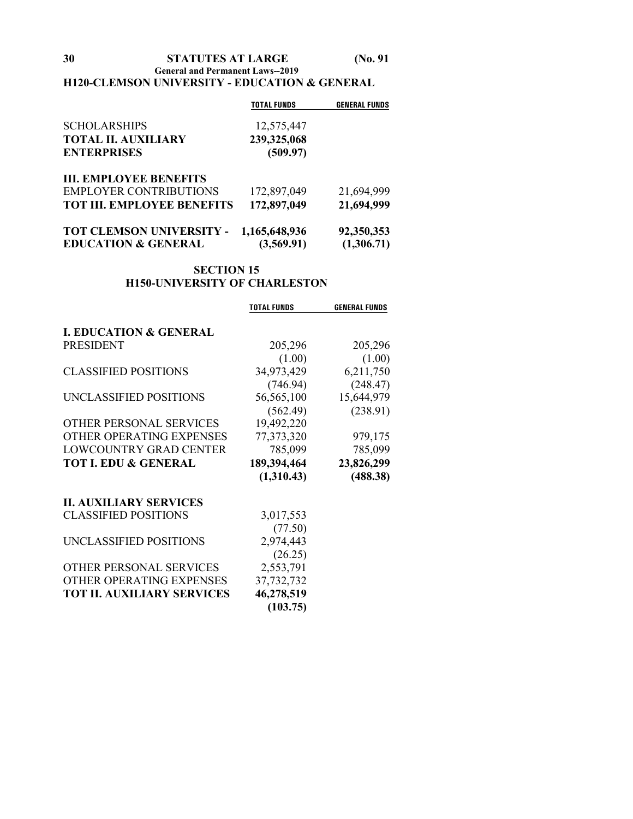**General and Permanent Laws--2019**

### **H120-CLEMSON UNIVERSITY - EDUCATION & GENERAL**

|                                   | <b>TOTAL FUNDS</b> | <b>GENERAL FUNDS</b> |
|-----------------------------------|--------------------|----------------------|
| <b>SCHOLARSHIPS</b>               | 12,575,447         |                      |
| <b>TOTAL II. AUXILIARY</b>        | 239,325,068        |                      |
| <b>ENTERPRISES</b>                | (509.97)           |                      |
| <b>III. EMPLOYEE BENEFITS</b>     |                    |                      |
| <b>EMPLOYER CONTRIBUTIONS</b>     | 172,897,049        | 21,694,999           |
| <b>TOT III. EMPLOYEE BENEFITS</b> | 172,897,049        | 21,694,999           |
| TOT CLEMSON UNIVERSITY -          | 1,165,648,936      | 92,350,353           |
| <b>EDUCATION &amp; GENERAL</b>    | (3,569.91)         | (1,306.71)           |

## **SECTION 15 H150-UNIVERSITY OF CHARLESTON**

|                                   | <b>TOTAL FUNDS</b> | <b>GENERAL FUNDS</b> |
|-----------------------------------|--------------------|----------------------|
|                                   |                    |                      |
| <b>I. EDUCATION &amp; GENERAL</b> |                    |                      |
| <b>PRESIDENT</b>                  | 205,296            | 205,296              |
|                                   | (1.00)             | (1.00)               |
| <b>CLASSIFIED POSITIONS</b>       | 34,973,429         | 6,211,750            |
|                                   | (746.94)           | (248.47)             |
| UNCLASSIFIED POSITIONS            | 56,565,100         | 15,644,979           |
|                                   | (562.49)           | (238.91)             |
| OTHER PERSONAL SERVICES           | 19,492,220         |                      |
| OTHER OPERATING EXPENSES          | 77,373,320         | 979,175              |
| <b>LOWCOUNTRY GRAD CENTER</b>     | 785,099            | 785,099              |
| <b>TOT I. EDU &amp; GENERAL</b>   | 189,394,464        | 23,826,299           |
|                                   | (1,310.43)         | (488.38)             |
| <b>II. AUXILIARY SERVICES</b>     |                    |                      |
| <b>CLASSIFIED POSITIONS</b>       | 3,017,553          |                      |
|                                   | (77.50)            |                      |
| UNCLASSIFIED POSITIONS            | 2,974,443          |                      |
|                                   | (26.25)            |                      |
| OTHER PERSONAL SERVICES           | 2,553,791          |                      |
| OTHER OPERATING EXPENSES          | 37,732,732         |                      |
| <b>TOT II. AUXILIARY SERVICES</b> | 46,278,519         |                      |
|                                   | (103.75)           |                      |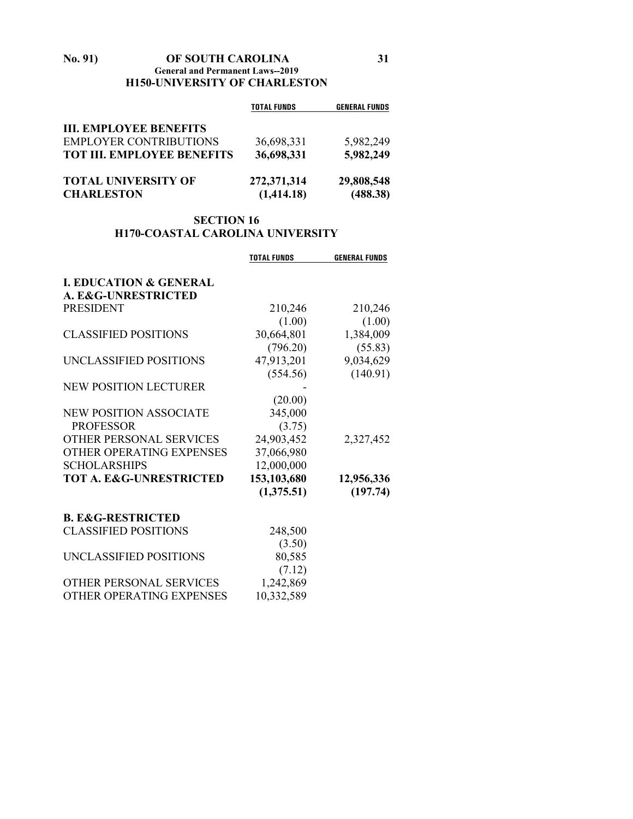#### **No. 91) OF SOUTH CAROLINA 31 General and Permanent Laws--2019 H150-UNIVERSITY OF CHARLESTON**

|                                   | <b>TOTAL FUNDS</b> | <b>GENERAL FUNDS</b> |
|-----------------------------------|--------------------|----------------------|
| <b>III. EMPLOYEE BENEFITS</b>     |                    |                      |
| <b>EMPLOYER CONTRIBUTIONS</b>     | 36,698,331         | 5,982,249            |
| <b>TOT III. EMPLOYEE BENEFITS</b> | 36,698,331         | 5,982,249            |
| <b>TOTAL UNIVERSITY OF</b>        | 272,371,314        | 29,808,548           |
| <b>CHARLESTON</b>                 | (1,414.18)         | (488.38)             |

### **SECTION 16 H170-COASTAL CAROLINA UNIVERSITY**

|                                    | <b>TOTAL FUNDS</b> | <b>GENERAL FUNDS</b> |
|------------------------------------|--------------------|----------------------|
| <b>I. EDUCATION &amp; GENERAL</b>  |                    |                      |
| A. E&G-UNRESTRICTED                |                    |                      |
| <b>PRESIDENT</b>                   | 210,246            | 210,246              |
|                                    | (1.00)             | (1.00)               |
| <b>CLASSIFIED POSITIONS</b>        | 30,664,801         | 1,384,009            |
|                                    | (796.20)           | (55.83)              |
| UNCLASSIFIED POSITIONS             | 47,913,201         | 9,034,629            |
|                                    | (554.56)           | (140.91)             |
| NEW POSITION LECTURER              |                    |                      |
|                                    | (20.00)            |                      |
| <b>NEW POSITION ASSOCIATE</b>      | 345,000            |                      |
| <b>PROFESSOR</b>                   | (3.75)             |                      |
| OTHER PERSONAL SERVICES            | 24,903,452         | 2,327,452            |
| OTHER OPERATING EXPENSES           | 37,066,980         |                      |
| <b>SCHOLARSHIPS</b>                | 12,000,000         |                      |
| <b>TOT A. E&amp;G-UNRESTRICTED</b> | 153,103,680        | 12,956,336           |
|                                    | (1,375.51)         | (197.74)             |
| <b>B. E&amp;G-RESTRICTED</b>       |                    |                      |
| <b>CLASSIFIED POSITIONS</b>        | 248,500            |                      |
|                                    | (3.50)             |                      |
| UNCLASSIFIED POSITIONS             | 80,585             |                      |
|                                    | (7.12)             |                      |
| OTHER PERSONAL SERVICES            | 1,242,869          |                      |
| OTHER OPERATING EXPENSES           | 10,332,589         |                      |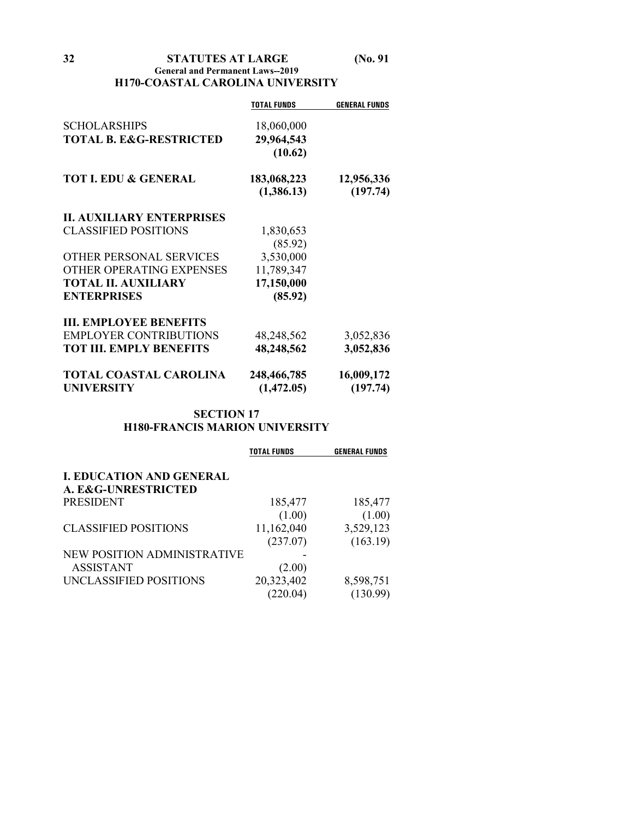**32 STATUTES AT LARGE (No. 91**

#### **General and Permanent Laws--2019 H170-COASTAL CAROLINA UNIVERSITY**

| <b>TOTAL FUNDS</b> | <b>GENERAL FUNDS</b>                                                                                                                                        |
|--------------------|-------------------------------------------------------------------------------------------------------------------------------------------------------------|
|                    |                                                                                                                                                             |
|                    |                                                                                                                                                             |
|                    |                                                                                                                                                             |
|                    |                                                                                                                                                             |
|                    | 12,956,336                                                                                                                                                  |
| (1,386.13)         | (197.74)                                                                                                                                                    |
|                    |                                                                                                                                                             |
|                    |                                                                                                                                                             |
|                    |                                                                                                                                                             |
|                    |                                                                                                                                                             |
|                    |                                                                                                                                                             |
|                    |                                                                                                                                                             |
|                    |                                                                                                                                                             |
|                    |                                                                                                                                                             |
|                    |                                                                                                                                                             |
| 48,248,562         | 3,052,836                                                                                                                                                   |
| 48,248,562         | 3,052,836                                                                                                                                                   |
|                    | 16,009,172                                                                                                                                                  |
|                    | (197.74)                                                                                                                                                    |
|                    | 18,060,000<br>29,964,543<br>(10.62)<br>183,068,223<br>1,830,653<br>(85.92)<br>3,530,000<br>11,789,347<br>17,150,000<br>(85.92)<br>248,466,785<br>(1,472.05) |

### **SECTION 17 H180-FRANCIS MARION UNIVERSITY**

|                                 | <b>TOTAL FUNDS</b> | <b>GENERAL FUNDS</b> |
|---------------------------------|--------------------|----------------------|
| <b>I. EDUCATION AND GENERAL</b> |                    |                      |
| A. E&G-UNRESTRICTED             |                    |                      |
| <b>PRESIDENT</b>                | 185,477            | 185,477              |
|                                 | (1.00)             | (1.00)               |
| <b>CLASSIFIED POSITIONS</b>     | 11,162,040         | 3,529,123            |
|                                 | (237.07)           | (163.19)             |
| NEW POSITION ADMINISTRATIVE     |                    |                      |
| <b>ASSISTANT</b>                | (2.00)             |                      |
| UNCLASSIFIED POSITIONS          | 20,323,402         | 8,598,751            |
|                                 | (220.04)           | (130.99)             |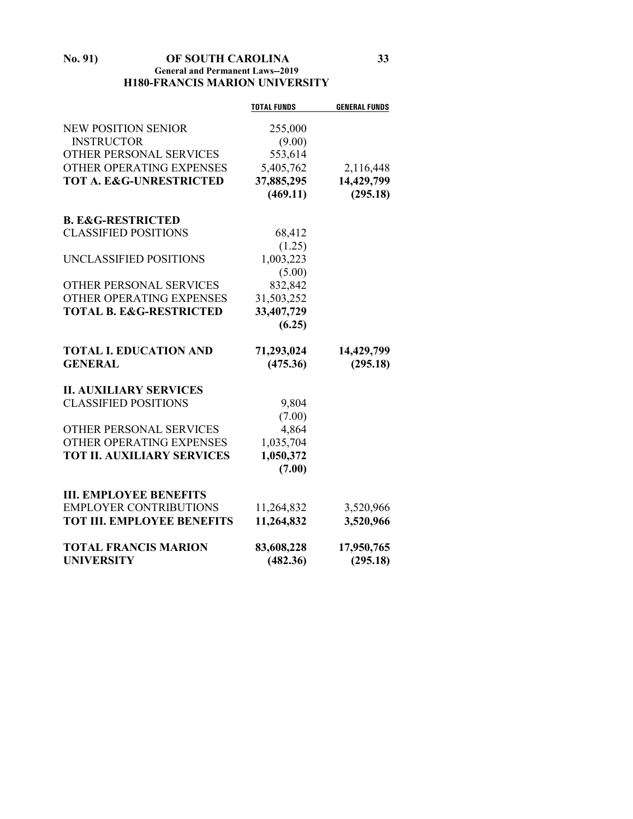### **No. 91) OF SOUTH CAROLINA 33 General and Permanent Laws--2019 H180-FRANCIS MARION UNIVERSITY**

|                                    | <b>TOTAL FUNDS</b> | <b>GENERAL FUNDS</b> |
|------------------------------------|--------------------|----------------------|
| <b>NEW POSITION SENIOR</b>         | 255,000            |                      |
| <b>INSTRUCTOR</b>                  | (9.00)             |                      |
| OTHER PERSONAL SERVICES            | 553,614            |                      |
| OTHER OPERATING EXPENSES           | 5,405,762          | 2,116,448            |
| <b>TOT A. E&amp;G-UNRESTRICTED</b> | 37,885,295         | 14,429,799           |
|                                    | (469.11)           | (295.18)             |
| <b>B. E&amp;G-RESTRICTED</b>       |                    |                      |
| <b>CLASSIFIED POSITIONS</b>        | 68,412             |                      |
|                                    | (1.25)             |                      |
| UNCLASSIFIED POSITIONS             | 1,003,223          |                      |
|                                    | (5.00)             |                      |
| OTHER PERSONAL SERVICES            | 832,842            |                      |
| OTHER OPERATING EXPENSES           | 31,503,252         |                      |
| <b>TOTAL B. E&amp;G-RESTRICTED</b> | 33,407,729         |                      |
|                                    | (6.25)             |                      |
| <b>TOTAL I. EDUCATION AND</b>      | 71,293,024         | 14,429,799           |
| <b>GENERAL</b>                     | (475.36)           | (295.18)             |
| <b>II. AUXILIARY SERVICES</b>      |                    |                      |
| <b>CLASSIFIED POSITIONS</b>        | 9,804              |                      |
|                                    | (7.00)             |                      |
| OTHER PERSONAL SERVICES            | 4,864              |                      |
| OTHER OPERATING EXPENSES           | 1,035,704          |                      |
| <b>TOT II. AUXILIARY SERVICES</b>  | 1,050,372          |                      |
|                                    | (7.00)             |                      |
| <b>III. EMPLOYEE BENEFITS</b>      |                    |                      |
| <b>EMPLOYER CONTRIBUTIONS</b>      | 11,264,832         | 3,520,966            |
| <b>TOT III. EMPLOYEE BENEFITS</b>  | 11,264,832         | 3,520,966            |
| <b>TOTAL FRANCIS MARION</b>        | 83,608,228         | 17,950,765           |
| <b>UNIVERSITY</b>                  | (482.36)           | (295.18)             |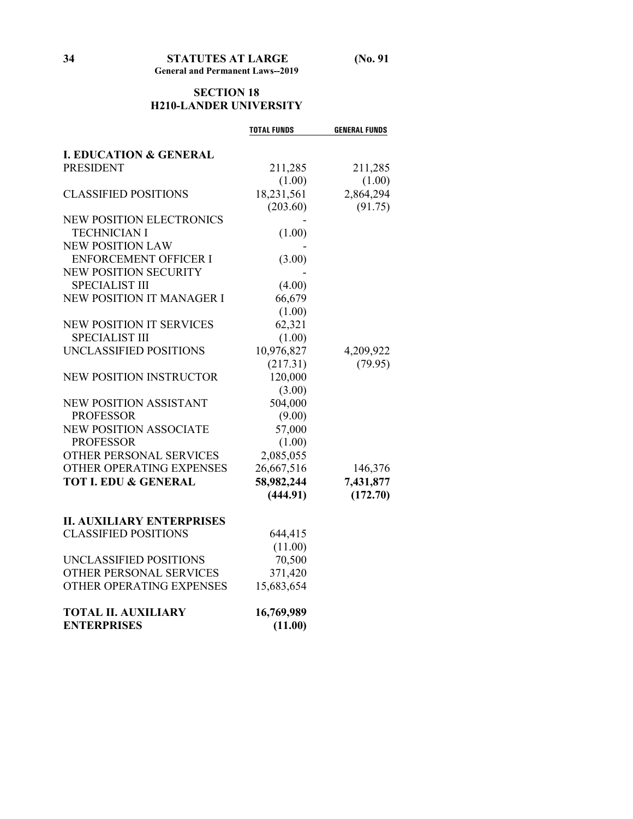## **SECTION 18 H210-LANDER UNIVERSITY**

|                                   | <b>TOTAL FUNDS</b> | <b>GENERAL FUNDS</b> |
|-----------------------------------|--------------------|----------------------|
|                                   |                    |                      |
| <b>I. EDUCATION &amp; GENERAL</b> |                    |                      |
| <b>PRESIDENT</b>                  | 211,285            | 211,285              |
|                                   | (1.00)             | (1.00)               |
| <b>CLASSIFIED POSITIONS</b>       | 18,231,561         | 2,864,294            |
|                                   | (203.60)           | (91.75)              |
| <b>NEW POSITION ELECTRONICS</b>   |                    |                      |
| <b>TECHNICIAN I</b>               | (1.00)             |                      |
| <b>NEW POSITION LAW</b>           |                    |                      |
| <b>ENFORCEMENT OFFICER I</b>      | (3.00)             |                      |
| <b>NEW POSITION SECURITY</b>      |                    |                      |
| <b>SPECIALIST III</b>             | (4.00)             |                      |
| <b>NEW POSITION IT MANAGER I</b>  | 66,679             |                      |
|                                   | (1.00)             |                      |
| <b>NEW POSITION IT SERVICES</b>   | 62,321             |                      |
| <b>SPECIALIST III</b>             | (1.00)             |                      |
| UNCLASSIFIED POSITIONS            | 10,976,827         | 4,209,922            |
|                                   | (217.31)           | (79.95)              |
| <b>NEW POSITION INSTRUCTOR</b>    | 120,000            |                      |
|                                   | (3.00)             |                      |
| <b>NEW POSITION ASSISTANT</b>     | 504,000            |                      |
| <b>PROFESSOR</b>                  | (9.00)             |                      |
| <b>NEW POSITION ASSOCIATE</b>     | 57,000             |                      |
| <b>PROFESSOR</b>                  | (1.00)             |                      |
| OTHER PERSONAL SERVICES           | 2,085,055          |                      |
| OTHER OPERATING EXPENSES          | 26,667,516         | 146,376              |
| <b>TOT I. EDU &amp; GENERAL</b>   | 58,982,244         | 7,431,877            |
|                                   | (444.91)           | (172.70)             |
| <b>II. AUXILIARY ENTERPRISES</b>  |                    |                      |
| <b>CLASSIFIED POSITIONS</b>       | 644,415            |                      |
|                                   | (11.00)            |                      |
| UNCLASSIFIED POSITIONS            | 70,500             |                      |
| OTHER PERSONAL SERVICES           | 371,420            |                      |
| OTHER OPERATING EXPENSES          | 15,683,654         |                      |
|                                   |                    |                      |
| <b>TOTAL II. AUXILIARY</b>        | 16,769,989         |                      |
| <b>ENTERPRISES</b>                | (11.00)            |                      |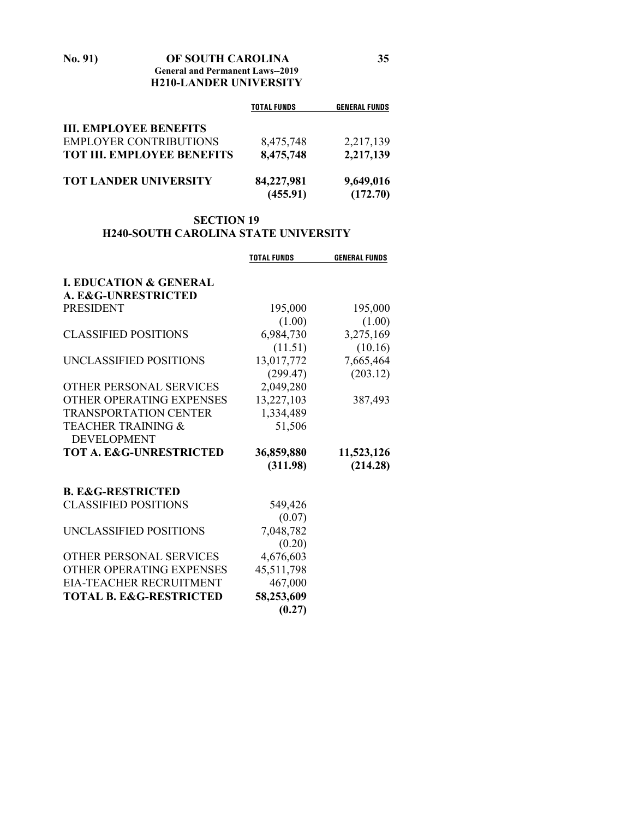**No. 91) OF SOUTH CAROLINA 35 General and Permanent Laws--2019 H210-LANDER UNIVERSITY**

|                                   | <b>TOTAL FUNDS</b>     | <b>GENERAL FUNDS</b>  |
|-----------------------------------|------------------------|-----------------------|
| <b>III. EMPLOYEE BENEFITS</b>     |                        |                       |
| <b>EMPLOYER CONTRIBUTIONS</b>     | 8,475,748              | 2,217,139             |
| <b>TOT III. EMPLOYEE BENEFITS</b> | 8,475,748              | 2,217,139             |
| <b>TOT LANDER UNIVERSITY</b>      | 84,227,981<br>(455.91) | 9,649,016<br>(172.70) |

## **SECTION 19 H240-SOUTH CAROLINA STATE UNIVERSITY**

| <b>TOTAL FUNDS</b> | <b>GENERAL FUNDS</b>                                                                                                 |
|--------------------|----------------------------------------------------------------------------------------------------------------------|
|                    |                                                                                                                      |
|                    |                                                                                                                      |
| 195,000            | 195,000                                                                                                              |
| (1.00)             | (1.00)                                                                                                               |
| 6,984,730          | 3,275,169                                                                                                            |
| (11.51)            | (10.16)                                                                                                              |
| 13,017,772         | 7,665,464                                                                                                            |
|                    | (203.12)                                                                                                             |
|                    |                                                                                                                      |
| 13,227,103         | 387,493                                                                                                              |
| 1,334,489          |                                                                                                                      |
|                    |                                                                                                                      |
|                    |                                                                                                                      |
|                    | 11,523,126                                                                                                           |
| (311.98)           | (214.28)                                                                                                             |
|                    |                                                                                                                      |
|                    |                                                                                                                      |
|                    |                                                                                                                      |
|                    |                                                                                                                      |
|                    |                                                                                                                      |
|                    |                                                                                                                      |
|                    |                                                                                                                      |
| 467,000            |                                                                                                                      |
| 58,253,609         |                                                                                                                      |
| (0.27)             |                                                                                                                      |
|                    | (299.47)<br>2,049,280<br>51,506<br>36,859,880<br>549,426<br>(0.07)<br>7,048,782<br>(0.20)<br>4,676,603<br>45,511,798 |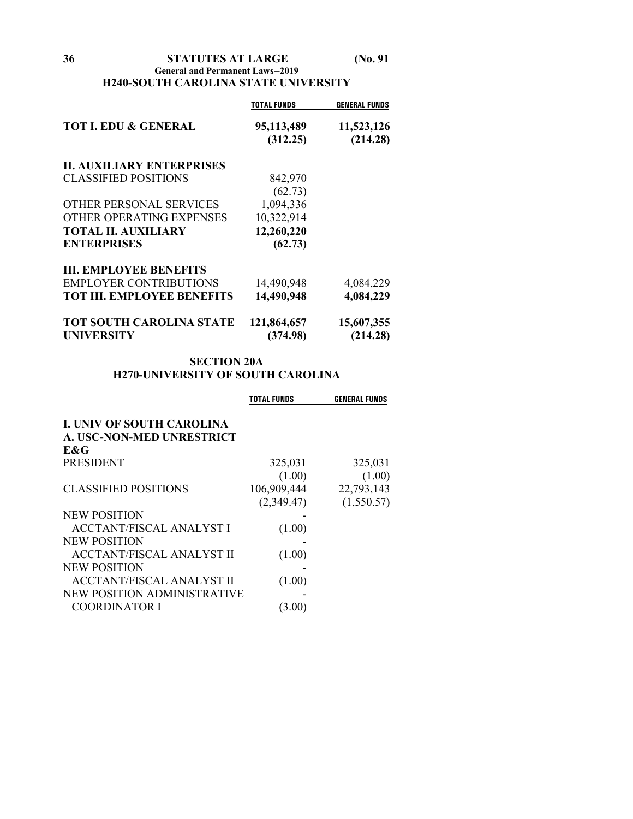**36 STATUTES AT LARGE (No. 91**

### **General and Permanent Laws--2019 H240-SOUTH CAROLINA STATE UNIVERSITY**

|                                   | TOTAL FUNDS | <b>GENERAL FUNDS</b> |
|-----------------------------------|-------------|----------------------|
| <b>TOT I. EDU &amp; GENERAL</b>   | 95,113,489  | 11,523,126           |
|                                   | (312.25)    | (214.28)             |
| <b>IL AUXILIARY ENTERPRISES</b>   |             |                      |
| <b>CLASSIFIED POSITIONS</b>       | 842,970     |                      |
|                                   | (62.73)     |                      |
| OTHER PERSONAL SERVICES           | 1,094,336   |                      |
| OTHER OPERATING EXPENSES          | 10,322,914  |                      |
| <b>TOTAL II. AUXILIARY</b>        | 12,260,220  |                      |
| <b>ENTERPRISES</b>                | (62.73)     |                      |
| <b>III. EMPLOYEE BENEFITS</b>     |             |                      |
| <b>EMPLOYER CONTRIBUTIONS</b>     | 14,490,948  | 4,084,229            |
| <b>TOT III. EMPLOYEE BENEFITS</b> | 14,490,948  | 4,084,229            |
| TOT SOUTH CAROLINA STATE          | 121,864,657 | 15,607,355           |
| <b>UNIVERSITY</b>                 | (374.98)    | (214.28)             |

### **SECTION 20A H270-UNIVERSITY OF SOUTH CAROLINA**

|                                  | TOTAL FUNDS | <b>GENERAL FUNDS</b> |
|----------------------------------|-------------|----------------------|
| <b>I. UNIV OF SOUTH CAROLINA</b> |             |                      |
| A. USC-NON-MED UNRESTRICT        |             |                      |
| E&G                              |             |                      |
| <b>PRESIDENT</b>                 | 325,031     | 325,031              |
|                                  | (1.00)      | (1.00)               |
| <b>CLASSIFIED POSITIONS</b>      | 106,909,444 | 22,793,143           |
|                                  | (2,349.47)  | (1,550.57)           |
| <b>NEW POSITION</b>              |             |                      |
| <b>ACCTANT/FISCAL ANALYST I</b>  | (1.00)      |                      |
| <b>NEW POSITION</b>              |             |                      |
| <b>ACCTANT/FISCAL ANALYST II</b> | (1.00)      |                      |
| <b>NEW POSITION</b>              |             |                      |
| <b>ACCTANT/FISCAL ANALYST II</b> | (1.00)      |                      |
| NEW POSITION ADMINISTRATIVE      |             |                      |
| <b>COORDINATOR I</b>             | (3.00)      |                      |
|                                  |             |                      |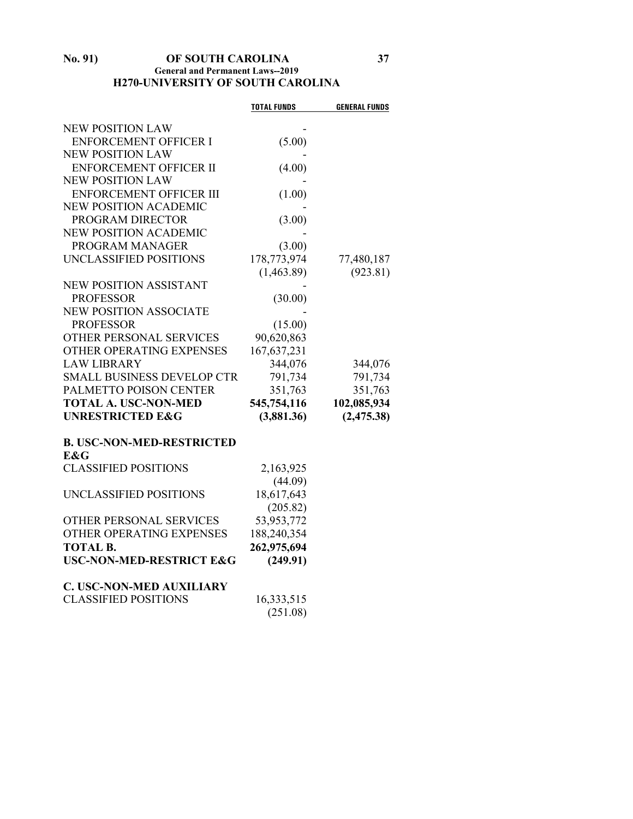#### **No. 91) OF SOUTH CAROLINA 37 General and Permanent Laws--2019 H270-UNIVERSITY OF SOUTH CAROLINA**

|                                     | <b>TOTAL FUNDS</b> | <b>GENERAL FUNDS</b> |
|-------------------------------------|--------------------|----------------------|
| <b>NEW POSITION LAW</b>             |                    |                      |
| <b>ENFORCEMENT OFFICER I</b>        | (5.00)             |                      |
| <b>NEW POSITION LAW</b>             |                    |                      |
| <b>ENFORCEMENT OFFICER II</b>       | (4.00)             |                      |
| <b>NEW POSITION LAW</b>             |                    |                      |
| ENFORCEMENT OFFICER III             | (1.00)             |                      |
| <b>NEW POSITION ACADEMIC</b>        |                    |                      |
| PROGRAM DIRECTOR                    | (3.00)             |                      |
| NEW POSITION ACADEMIC               |                    |                      |
| PROGRAM MANAGER                     | (3.00)             |                      |
| UNCLASSIFIED POSITIONS              | 178,773,974        | 77,480,187           |
|                                     | (1,463.89)         | (923.81)             |
| <b>NEW POSITION ASSISTANT</b>       |                    |                      |
| <b>PROFESSOR</b>                    | (30.00)            |                      |
| <b>NEW POSITION ASSOCIATE</b>       |                    |                      |
| <b>PROFESSOR</b>                    | (15.00)            |                      |
| OTHER PERSONAL SERVICES             | 90,620,863         |                      |
| OTHER OPERATING EXPENSES            | 167,637,231        |                      |
| <b>LAW LIBRARY</b>                  | 344,076            | 344,076              |
| <b>SMALL BUSINESS DEVELOP CTR</b>   | 791,734            | 791,734              |
| PALMETTO POISON CENTER              | 351,763            | 351,763              |
| <b>TOTAL A. USC-NON-MED</b>         | 545,754,116        | 102,085,934          |
| <b>UNRESTRICTED E&amp;G</b>         | (3,881.36)         | (2, 475.38)          |
| <b>B. USC-NON-MED-RESTRICTED</b>    |                    |                      |
| E&G                                 |                    |                      |
| <b>CLASSIFIED POSITIONS</b>         | 2,163,925          |                      |
|                                     | (44.09)            |                      |
| UNCLASSIFIED POSITIONS              | 18,617,643         |                      |
|                                     | (205.82)           |                      |
| OTHER PERSONAL SERVICES             | 53,953,772         |                      |
| OTHER OPERATING EXPENSES            | 188,240,354        |                      |
| <b>TOTAL B.</b>                     | 262,975,694        |                      |
| <b>USC-NON-MED-RESTRICT E&amp;G</b> | (249.91)           |                      |
| <b>C. USC-NON-MED AUXILIARY</b>     |                    |                      |
| <b>CLASSIFIED POSITIONS</b>         | 16,333,515         |                      |
|                                     | (251.08)           |                      |
|                                     |                    |                      |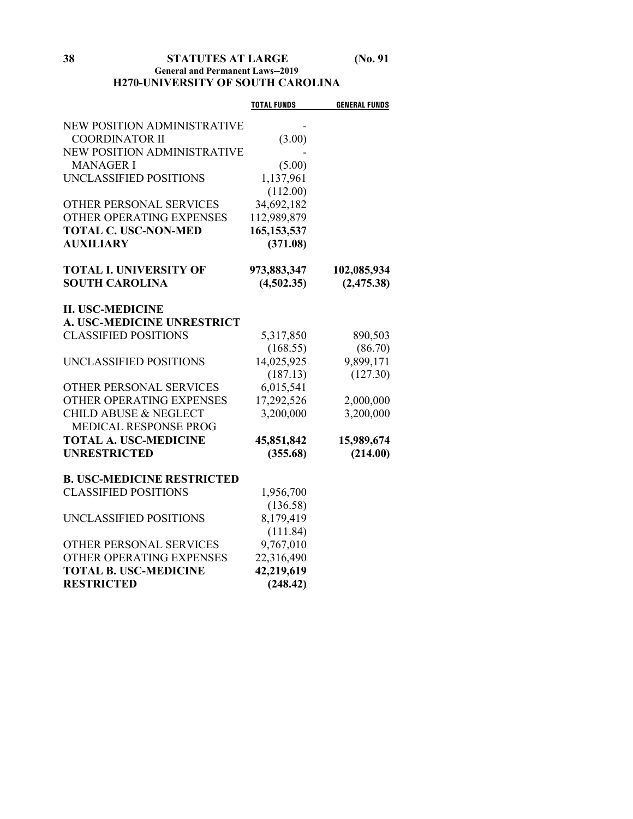# **38 STATUTES AT LARGE (No. 91 General and Permanent Laws--2019 H270-UNIVERSITY OF SOUTH CAROLINA**

|                                    | <b>TOTAL FUNDS</b> | <b>GENERAL FUNDS</b> |
|------------------------------------|--------------------|----------------------|
| NEW POSITION ADMINISTRATIVE        |                    |                      |
| <b>COORDINATOR II</b>              | (3.00)             |                      |
| <b>NEW POSITION ADMINISTRATIVE</b> |                    |                      |
| <b>MANAGER I</b>                   | (5.00)             |                      |
| UNCLASSIFIED POSITIONS             | 1,137,961          |                      |
|                                    | (112.00)           |                      |
| OTHER PERSONAL SERVICES            | 34,692,182         |                      |
| OTHER OPERATING EXPENSES           | 112,989,879        |                      |
| <b>TOTAL C. USC-NON-MED</b>        | 165, 153, 537      |                      |
| <b>AUXILIARY</b>                   | (371.08)           |                      |
| <b>TOTAL I. UNIVERSITY OF</b>      | 973,883,347        | 102,085,934          |
| <b>SOUTH CAROLINA</b>              | (4,502.35)         | (2, 475.38)          |
|                                    |                    |                      |
| <b>II. USC-MEDICINE</b>            |                    |                      |
| A. USC-MEDICINE UNRESTRICT         |                    |                      |
| <b>CLASSIFIED POSITIONS</b>        | 5,317,850          | 890,503              |
|                                    | (168.55)           | (86.70)              |
| UNCLASSIFIED POSITIONS             | 14,025,925         | 9,899,171            |
|                                    | (187.13)           | (127.30)             |
| OTHER PERSONAL SERVICES            | 6,015,541          |                      |
| OTHER OPERATING EXPENSES           | 17,292,526         | 2,000,000            |
| <b>CHILD ABUSE &amp; NEGLECT</b>   | 3,200,000          | 3,200,000            |
| <b>MEDICAL RESPONSE PROG</b>       |                    |                      |
| <b>TOTAL A. USC-MEDICINE</b>       | 45,851,842         | 15,989,674           |
| <b>UNRESTRICTED</b>                | (355.68)           | (214.00)             |
| <b>B. USC-MEDICINE RESTRICTED</b>  |                    |                      |
| <b>CLASSIFIED POSITIONS</b>        | 1,956,700          |                      |
|                                    | (136.58)           |                      |
| UNCLASSIFIED POSITIONS             | 8,179,419          |                      |
|                                    | (111.84)           |                      |
| OTHER PERSONAL SERVICES            | 9,767,010          |                      |
| OTHER OPERATING EXPENSES           | 22,316,490         |                      |
| <b>TOTAL B. USC-MEDICINE</b>       | 42,219,619         |                      |
| <b>RESTRICTED</b>                  | (248.42)           |                      |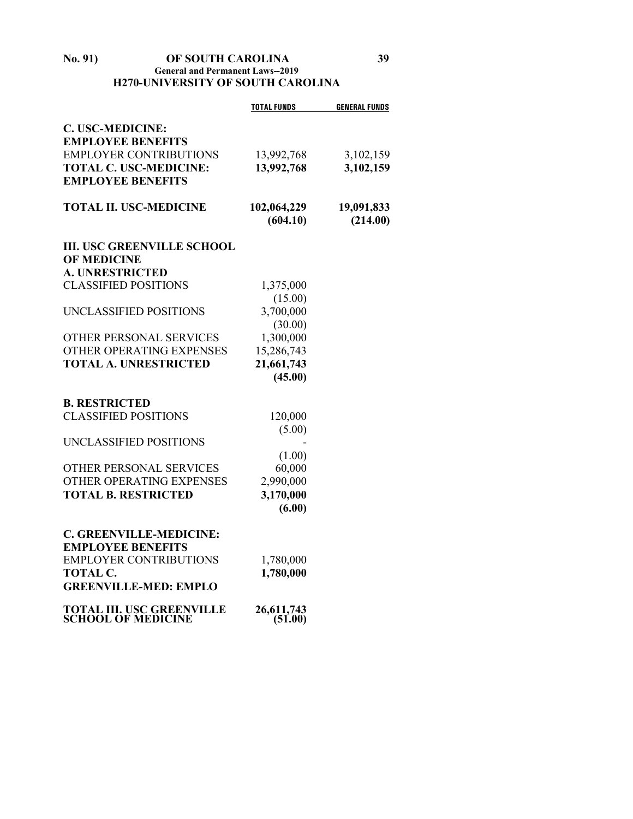#### **No. 91) OF SOUTH CAROLINA 39 General and Permanent Laws--2019 H270-UNIVERSITY OF SOUTH CAROLINA**

|                                   | <b>TOTAL FUNDS</b>   | <b>GENERAL FUNDS</b> |
|-----------------------------------|----------------------|----------------------|
| C. USC-MEDICINE:                  |                      |                      |
| <b>EMPLOYEE BENEFITS</b>          |                      |                      |
| <b>EMPLOYER CONTRIBUTIONS</b>     | 13,992,768           | 3,102,159            |
| <b>TOTAL C. USC-MEDICINE:</b>     | 13,992,768           | 3,102,159            |
| <b>EMPLOYEE BENEFITS</b>          |                      |                      |
| <b>TOTAL II. USC-MEDICINE</b>     | 102,064,229          | 19,091,833           |
|                                   | (604.10)             | (214.00)             |
| <b>III. USC GREENVILLE SCHOOL</b> |                      |                      |
| <b>OF MEDICINE</b>                |                      |                      |
| <b>A. UNRESTRICTED</b>            |                      |                      |
| <b>CLASSIFIED POSITIONS</b>       | 1,375,000            |                      |
|                                   | (15.00)              |                      |
| UNCLASSIFIED POSITIONS            | 3,700,000            |                      |
| OTHER PERSONAL SERVICES           | (30.00)<br>1,300,000 |                      |
| OTHER OPERATING EXPENSES          | 15,286,743           |                      |
| <b>TOTAL A. UNRESTRICTED</b>      | 21,661,743           |                      |
|                                   | (45.00)              |                      |
|                                   |                      |                      |
| <b>B. RESTRICTED</b>              |                      |                      |
| <b>CLASSIFIED POSITIONS</b>       | 120,000              |                      |
|                                   | (5.00)               |                      |
| UNCLASSIFIED POSITIONS            |                      |                      |
|                                   | (1.00)               |                      |
| OTHER PERSONAL SERVICES           | 60,000               |                      |
| OTHER OPERATING EXPENSES          | 2,990,000            |                      |
| <b>TOTAL B. RESTRICTED</b>        | 3,170,000            |                      |
|                                   | (6.00)               |                      |
| C. GREENVILLE-MEDICINE:           |                      |                      |
| <b>EMPLOYEE BENEFITS</b>          |                      |                      |
| <b>EMPLOYER CONTRIBUTIONS</b>     | 1,780,000            |                      |
| TOTAL C.                          | 1,780,000            |                      |
| <b>GREENVILLE-MED: EMPLO</b>      |                      |                      |
| <b>TOTAL III. USC GREENVILLE</b>  | 26,611,743           |                      |
| <b>SCHOOL OF MEDICINE</b>         | (51.00)              |                      |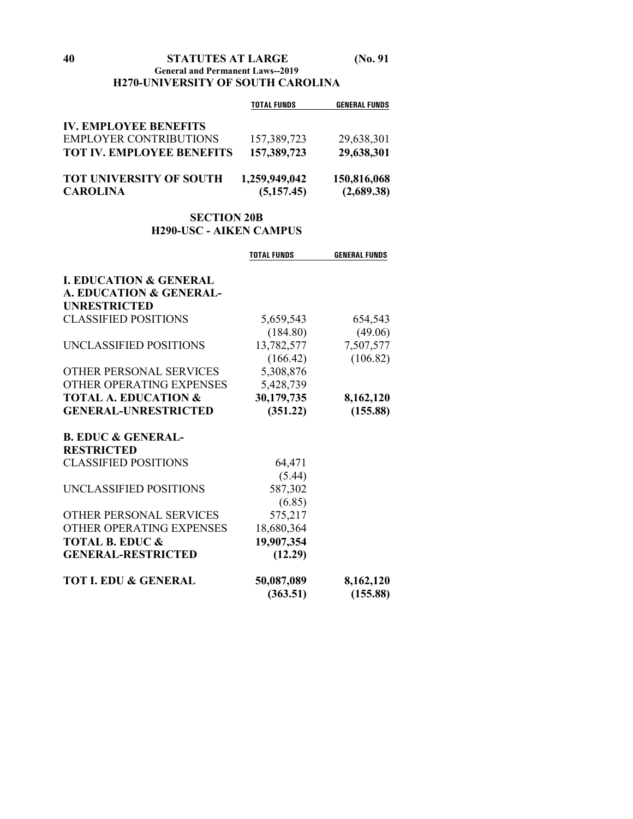# **H270-UNIVERSITY OF SOUTH CAROLINA**

|                                  | <b>TOTAL FUNDS</b> | <b>GENERAL FUNDS</b> |
|----------------------------------|--------------------|----------------------|
| <b>IV. EMPLOYEE BENEFITS</b>     |                    |                      |
| <b>EMPLOYER CONTRIBUTIONS</b>    | 157,389,723        | 29,638,301           |
| <b>TOT IV. EMPLOYEE BENEFITS</b> | 157,389,723        | 29,638,301           |
| TOT UNIVERSITY OF SOUTH          | 1,259,949,042      | 150,816,068          |
| <b>CAROLINA</b>                  | (5,157.45)         | (2,689.38)           |

# **SECTION 20B H290-USC - AIKEN CAMPUS**

|                                   | <b>TOTAL FUNDS</b> | <b>GENERAL FUNDS</b> |
|-----------------------------------|--------------------|----------------------|
| <b>L. EDUCATION &amp; GENERAL</b> |                    |                      |
| A. EDUCATION & GENERAL-           |                    |                      |
| <b>UNRESTRICTED</b>               |                    |                      |
| <b>CLASSIFIED POSITIONS</b>       |                    |                      |
|                                   | 5,659,543          | 654,543              |
|                                   | (184.80)           | (49.06)              |
| UNCLASSIFIED POSITIONS            | 13,782,577         | 7,507,577            |
|                                   | (166.42)           | (106.82)             |
| OTHER PERSONAL SERVICES           | 5,308,876          |                      |
| OTHER OPERATING EXPENSES          | 5,428,739          |                      |
| <b>TOTAL A. EDUCATION &amp;</b>   | 30,179,735         | 8,162,120            |
| <b>GENERAL-UNRESTRICTED</b>       | (351.22)           | (155.88)             |
| <b>B. EDUC &amp; GENERAL-</b>     |                    |                      |
| <b>RESTRICTED</b>                 |                    |                      |
| <b>CLASSIFIED POSITIONS</b>       | 64,471             |                      |
|                                   | (5.44)             |                      |
| UNCLASSIFIED POSITIONS            | 587,302            |                      |
|                                   | (6.85)             |                      |
| <b>OTHER PERSONAL SERVICES</b>    | 575,217            |                      |
| OTHER OPERATING EXPENSES          | 18,680,364         |                      |
| <b>TOTAL B. EDUC &amp;</b>        | 19,907,354         |                      |
| <b>GENERAL-RESTRICTED</b>         | (12.29)            |                      |
|                                   |                    |                      |
| <b>TOT I. EDU &amp; GENERAL</b>   | 50,087,089         | 8,162,120            |
|                                   | (363.51)           | (155.88)             |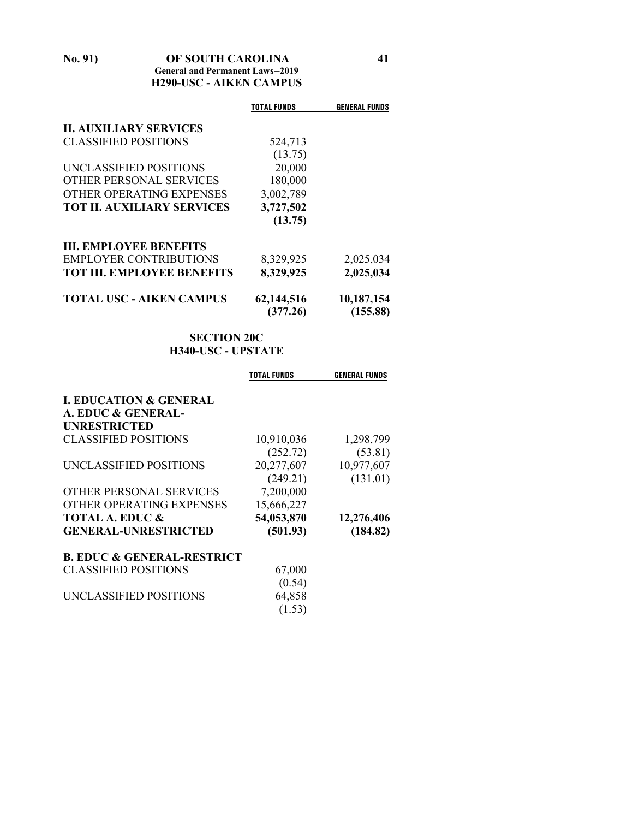# **No. 91) OF SOUTH CAROLINA 41 General and Permanent Laws--2019 H290-USC - AIKEN CAMPUS**

|                                   | <b>TOTAL FUNDS</b> | <b>GENERAL FUNDS</b> |
|-----------------------------------|--------------------|----------------------|
| <b>II. AUXILIARY SERVICES</b>     |                    |                      |
| <b>CLASSIFIED POSITIONS</b>       | 524,713            |                      |
|                                   | (13.75)            |                      |
| UNCLASSIFIED POSITIONS            | 20,000             |                      |
| OTHER PERSONAL SERVICES           | 180,000            |                      |
| OTHER OPERATING EXPENSES          | 3,002,789          |                      |
| <b>TOT II. AUXILIARY SERVICES</b> | 3,727,502          |                      |
|                                   | (13.75)            |                      |
| <b>III. EMPLOYEE BENEFITS</b>     |                    |                      |
| <b>EMPLOYER CONTRIBUTIONS</b>     | 8,329,925          | 2,025,034            |
| <b>TOT III. EMPLOYEE BENEFITS</b> | 8,329,925          | 2,025,034            |
| <b>TOTAL USC - AIKEN CAMPUS</b>   | 62,144,516         | 10,187,154           |
|                                   | (377.26)           | (155.88)             |

# **SECTION 20C H340-USC - UPSTATE**

|                                       | TOTAL FUNDS | <b>GENERAL FUNDS</b> |
|---------------------------------------|-------------|----------------------|
| <b>I. EDUCATION &amp; GENERAL</b>     |             |                      |
| A. EDUC & GENERAL-                    |             |                      |
| <b>UNRESTRICTED</b>                   |             |                      |
| <b>CLASSIFIED POSITIONS</b>           | 10,910,036  | 1,298,799            |
|                                       | (252.72)    | (53.81)              |
| UNCLASSIFIED POSITIONS                | 20,277,607  | 10,977,607           |
|                                       | (249.21)    | (131.01)             |
| OTHER PERSONAL SERVICES               | 7,200,000   |                      |
| OTHER OPERATING EXPENSES              | 15,666,227  |                      |
| <b>TOTAL A. EDUC &amp;</b>            | 54,053,870  | 12,276,406           |
| <b>GENERAL-UNRESTRICTED</b>           | (501.93)    | (184.82)             |
| <b>B. EDUC &amp; GENERAL-RESTRICT</b> |             |                      |
| CLASSIFIED POSITIONS                  | 67,000      |                      |
|                                       | (0.54)      |                      |
| UNCLASSIFIED POSITIONS                | 64,858      |                      |
|                                       | (1.53)      |                      |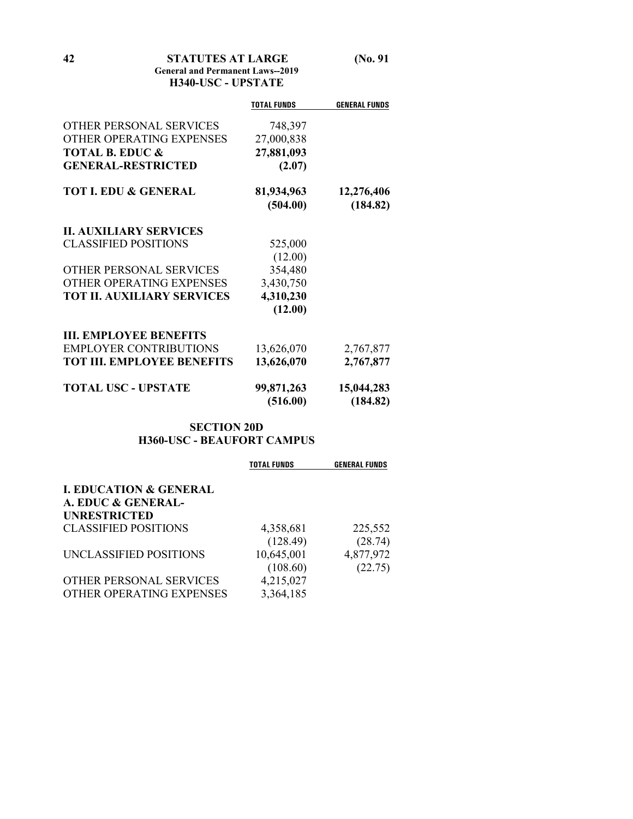**42 STATUTES AT LARGE (No. 91 General and Permanent Laws--2019**

# **H340-USC - UPSTATE**

|                                   | <b>TOTAL FUNDS</b>     | <b>GENERAL FUNDS</b>   |
|-----------------------------------|------------------------|------------------------|
| OTHER PERSONAL SERVICES           | 748,397                |                        |
| OTHER OPERATING EXPENSES          | 27,000,838             |                        |
| <b>TOTAL B. EDUC &amp;</b>        | 27,881,093             |                        |
| <b>GENERAL-RESTRICTED</b>         | (2.07)                 |                        |
| <b>TOT I. EDU &amp; GENERAL</b>   | 81,934,963             | 12,276,406             |
|                                   | (504.00)               | (184.82)               |
| <b>II. AUXILIARY SERVICES</b>     |                        |                        |
| <b>CLASSIFIED POSITIONS</b>       | 525,000                |                        |
|                                   | (12.00)                |                        |
| OTHER PERSONAL SERVICES           | 354,480                |                        |
| OTHER OPERATING EXPENSES          | 3,430,750              |                        |
| <b>TOT II. AUXILIARY SERVICES</b> | 4,310,230              |                        |
|                                   | (12.00)                |                        |
| <b>III. EMPLOYEE BENEFITS</b>     |                        |                        |
| <b>EMPLOYER CONTRIBUTIONS</b>     | 13,626,070             | 2,767,877              |
| <b>TOT III. EMPLOYEE BENEFITS</b> | 13,626,070             | 2,767,877              |
| <b>TOTAL USC - UPSTATE</b>        | 99,871,263<br>(516.00) | 15,044,283<br>(184.82) |

# **SECTION 20D H360-USC - BEAUFORT CAMPUS**

|                                   | <b>TOTAL FUNDS</b> | <b>GENERAL FUNDS</b> |
|-----------------------------------|--------------------|----------------------|
| <b>I. EDUCATION &amp; GENERAL</b> |                    |                      |
| A. EDUC & GENERAL-                |                    |                      |
| <b>UNRESTRICTED</b>               |                    |                      |
| <b>CLASSIFIED POSITIONS</b>       | 4,358,681          | 225,552              |
|                                   | (128.49)           | (28.74)              |
| UNCLASSIFIED POSITIONS            | 10,645,001         | 4,877,972            |
|                                   | (108.60)           | (22.75)              |
| OTHER PERSONAL SERVICES           | 4,215,027          |                      |
| OTHER OPERATING EXPENSES          | 3,364,185          |                      |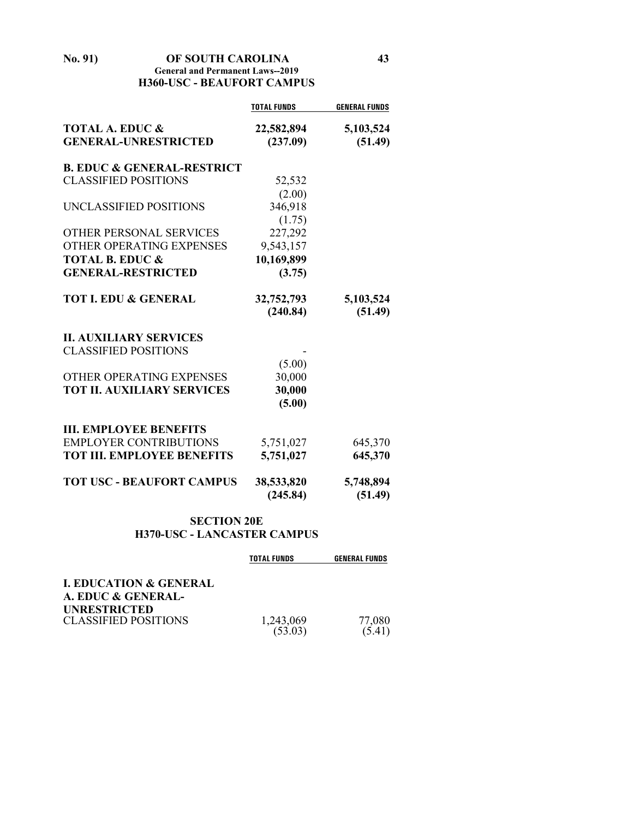| No. 91) | OF SOUTH CAROLINA                       | 43 |
|---------|-----------------------------------------|----|
|         | <b>General and Permanent Laws--2019</b> |    |
|         | <b>H360-USC - BEAUFORT CAMPUS</b>       |    |

|                                                           | <b>TOTAL FUNDS</b>     | <b>GENERAL FUNDS</b> |
|-----------------------------------------------------------|------------------------|----------------------|
| <b>TOTAL A. EDUC &amp;</b><br><b>GENERAL-UNRESTRICTED</b> | 22,582,894<br>(237.09) | 5,103,524<br>(51.49) |
| <b>B. EDUC &amp; GENERAL-RESTRICT</b>                     |                        |                      |
| <b>CLASSIFIED POSITIONS</b>                               | 52,532                 |                      |
|                                                           | (2.00)                 |                      |
| UNCLASSIFIED POSITIONS                                    | 346,918                |                      |
|                                                           | (1.75)                 |                      |
| <b>OTHER PERSONAL SERVICES</b>                            | 227,292                |                      |
| OTHER OPERATING EXPENSES                                  | 9,543,157              |                      |
| <b>TOTAL B. EDUC &amp;</b>                                | 10,169,899             |                      |
| <b>GENERAL-RESTRICTED</b>                                 | (3.75)                 |                      |
| <b>TOT I. EDU &amp; GENERAL</b>                           | 32,752,793             | 5,103,524            |
|                                                           | (240.84)               | (51.49)              |
| <b>II. AUXILIARY SERVICES</b>                             |                        |                      |
| <b>CLASSIFIED POSITIONS</b>                               |                        |                      |
|                                                           | (5.00)                 |                      |
| OTHER OPERATING EXPENSES                                  | 30,000                 |                      |
| <b>TOT II. AUXILIARY SERVICES</b>                         | 30,000                 |                      |
|                                                           | (5.00)                 |                      |
| <b>III. EMPLOYEE BENEFITS</b>                             |                        |                      |
| <b>EMPLOYER CONTRIBUTIONS</b>                             | 5,751,027              | 645,370              |
| <b>TOT III. EMPLOYEE BENEFITS</b>                         | 5,751,027              | 645,370              |
| <b>TOT USC - BEAUFORT CAMPUS</b>                          | 38,533,820             | 5,748,894            |
|                                                           | (245.84)               | (51.49)              |

# **SECTION 20E H370-USC - LANCASTER CAMPUS**

|                                                         | <b>TOTAL FUNDS</b>   | <b>GENERAL FUNDS</b> |
|---------------------------------------------------------|----------------------|----------------------|
| <b>I. EDUCATION &amp; GENERAL</b><br>A. EDUC & GENERAL- |                      |                      |
| <b>UNRESTRICTED</b><br><b>CLASSIFIED POSITIONS</b>      | 1,243,069<br>(53.03) | 77,080<br>(5.41)     |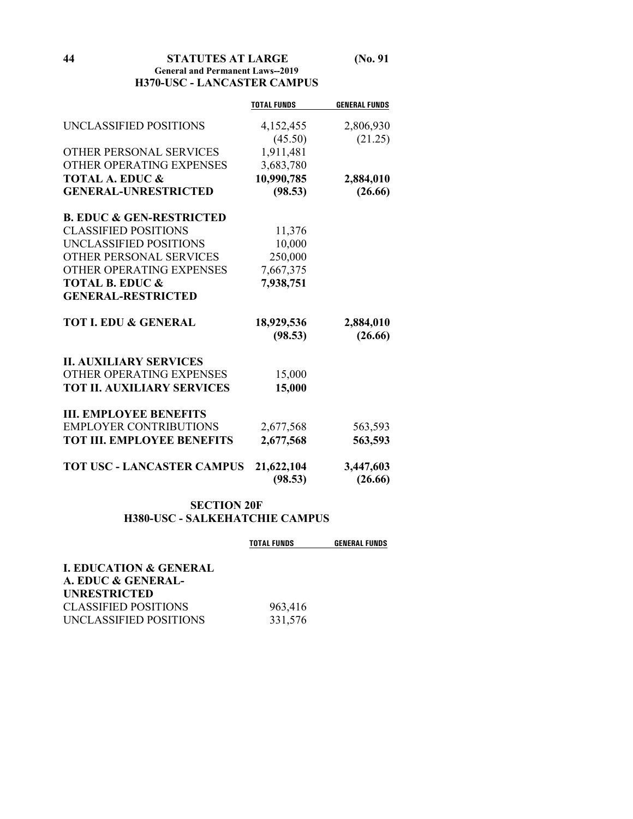#### **44 STATUTES AT LARGE (No. 91 General and Permanent Laws--2019 H370-USC - LANCASTER CAMPUS**

|                                     | <b>TOTAL FUNDS</b> | <b>GENERAL FUNDS</b> |
|-------------------------------------|--------------------|----------------------|
| UNCLASSIFIED POSITIONS              | 4,152,455          | 2,806,930            |
|                                     | (45.50)            | (21.25)              |
| <b>OTHER PERSONAL SERVICES</b>      | 1,911,481          |                      |
| OTHER OPERATING EXPENSES            | 3,683,780          |                      |
| <b>TOTAL A. EDUC &amp;</b>          | 10,990,785         | 2,884,010            |
| <b>GENERAL-UNRESTRICTED</b>         | (98.53)            | (26.66)              |
| <b>B. EDUC &amp; GEN-RESTRICTED</b> |                    |                      |
| <b>CLASSIFIED POSITIONS</b>         | 11,376             |                      |
| UNCLASSIFIED POSITIONS              | 10,000             |                      |
| OTHER PERSONAL SERVICES             | 250,000            |                      |
| OTHER OPERATING EXPENSES            | 7,667,375          |                      |
| <b>TOTAL B. EDUC &amp;</b>          | 7,938,751          |                      |
| <b>GENERAL-RESTRICTED</b>           |                    |                      |
| <b>TOT I. EDU &amp; GENERAL</b>     | 18,929,536         | 2,884,010            |
|                                     | (98.53)            | (26.66)              |
| <b>II. AUXILIARY SERVICES</b>       |                    |                      |
| OTHER OPERATING EXPENSES            | 15,000             |                      |
| <b>TOT II. AUXILIARY SERVICES</b>   | 15,000             |                      |
| <b>III. EMPLOYEE BENEFITS</b>       |                    |                      |
| <b>EMPLOYER CONTRIBUTIONS</b>       | 2,677,568          | 563,593              |
| <b>TOT III. EMPLOYEE BENEFITS</b>   | 2,677,568          | 563,593              |
| <b>TOT USC - LANCASTER CAMPUS</b>   | 21,622,104         | 3,447,603            |
|                                     | (98.53)            | (26.66)              |
|                                     |                    |                      |

# **SECTION 20F H380-USC - SALKEHATCHIE CAMPUS**

|                                   | <b>TOTAL FUNDS</b> | <b>GENERAL FUNDS</b> |
|-----------------------------------|--------------------|----------------------|
| <b>I. EDUCATION &amp; GENERAL</b> |                    |                      |
| A. EDUC & GENERAL-                |                    |                      |
| <b>UNRESTRICTED</b>               |                    |                      |
| <b>CLASSIFIED POSITIONS</b>       | 963,416            |                      |
| UNCLASSIFIED POSITIONS            | 331,576            |                      |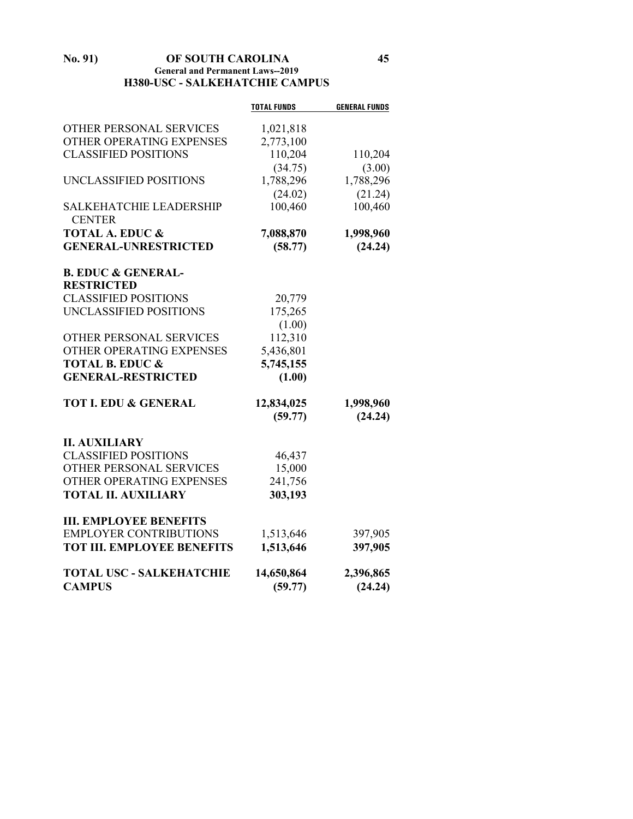#### **No. 91) OF SOUTH CAROLINA 45 General and Permanent Laws--2019 H380-USC - SALKEHATCHIE CAMPUS**

|                                                       | <b>TOTAL FUNDS</b> | <b>GENERAL FUNDS</b> |
|-------------------------------------------------------|--------------------|----------------------|
| OTHER PERSONAL SERVICES                               | 1,021,818          |                      |
| OTHER OPERATING EXPENSES                              | 2,773,100          |                      |
| <b>CLASSIFIED POSITIONS</b>                           | 110,204            | 110,204              |
|                                                       | (34.75)            | (3.00)               |
| UNCLASSIFIED POSITIONS                                | 1,788,296          | 1,788,296            |
|                                                       | (24.02)            | (21.24)              |
| <b>SALKEHATCHIE LEADERSHIP</b><br><b>CENTER</b>       | 100,460            | 100,460              |
| <b>TOTAL A. EDUC &amp;</b>                            | 7,088,870          | 1,998,960            |
| <b>GENERAL-UNRESTRICTED</b>                           | (58.77)            | (24.24)              |
| <b>B. EDUC &amp; GENERAL-</b>                         |                    |                      |
| <b>RESTRICTED</b>                                     |                    |                      |
| <b>CLASSIFIED POSITIONS</b><br>UNCLASSIFIED POSITIONS | 20,779             |                      |
|                                                       | 175,265            |                      |
| OTHER PERSONAL SERVICES                               | (1.00)<br>112,310  |                      |
| OTHER OPERATING EXPENSES                              | 5,436,801          |                      |
| <b>TOTAL B. EDUC &amp;</b>                            | 5,745,155          |                      |
| <b>GENERAL-RESTRICTED</b>                             | (1.00)             |                      |
| <b>TOT I. EDU &amp; GENERAL</b>                       | 12,834,025         | 1,998,960            |
|                                                       | (59.77)            | (24.24)              |
| <b>II. AUXILIARY</b>                                  |                    |                      |
| <b>CLASSIFIED POSITIONS</b>                           | 46,437             |                      |
| OTHER PERSONAL SERVICES                               | 15,000             |                      |
| OTHER OPERATING EXPENSES                              | 241,756            |                      |
| <b>TOTAL II. AUXILIARY</b>                            | 303,193            |                      |
| <b>III. EMPLOYEE BENEFITS</b>                         |                    |                      |
| <b>EMPLOYER CONTRIBUTIONS</b>                         | 1,513,646          | 397,905              |
| <b>TOT III. EMPLOYEE BENEFITS</b>                     | 1,513,646          | 397,905              |
| <b>TOTAL USC - SALKEHATCHIE</b>                       | 14,650,864         | 2,396,865            |
| <b>CAMPUS</b>                                         | (59.77)            | (24.24)              |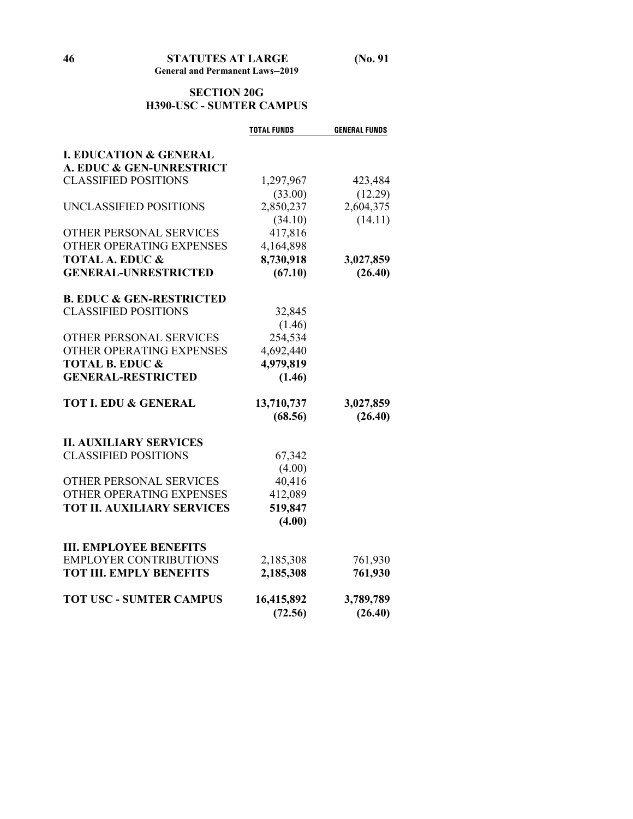# **SECTION 20G H390-USC - SUMTER CAMPUS**

|                                     | <b>TOTAL FUNDS</b> | <b>GENERAL FUNDS</b> |
|-------------------------------------|--------------------|----------------------|
|                                     |                    |                      |
| <b>I. EDUCATION &amp; GENERAL</b>   |                    |                      |
| A. EDUC & GEN-UNRESTRICT            |                    |                      |
| <b>CLASSIFIED POSITIONS</b>         | 1,297,967          | 423,484              |
|                                     | (33.00)            | (12.29)              |
| UNCLASSIFIED POSITIONS              | 2,850,237          | 2,604,375            |
|                                     | (34.10)            | (14.11)              |
| OTHER PERSONAL SERVICES             | 417,816            |                      |
| OTHER OPERATING EXPENSES            | 4,164,898          |                      |
| <b>TOTAL A. EDUC &amp;</b>          | 8,730,918          | 3,027,859            |
| <b>GENERAL-UNRESTRICTED</b>         | (67.10)            | (26.40)              |
| <b>B. EDUC &amp; GEN-RESTRICTED</b> |                    |                      |
| <b>CLASSIFIED POSITIONS</b>         | 32,845             |                      |
|                                     | (1.46)             |                      |
| OTHER PERSONAL SERVICES             | 254,534            |                      |
| OTHER OPERATING EXPENSES            | 4,692,440          |                      |
| <b>TOTAL B. EDUC &amp;</b>          | 4,979,819          |                      |
| <b>GENERAL-RESTRICTED</b>           | (1.46)             |                      |
|                                     |                    |                      |
| <b>TOT I. EDU &amp; GENERAL</b>     | 13,710,737         | 3,027,859            |
|                                     | (68.56)            | (26.40)              |
|                                     |                    |                      |
| <b>II. AUXILIARY SERVICES</b>       |                    |                      |
| <b>CLASSIFIED POSITIONS</b>         | 67,342             |                      |
|                                     | (4.00)             |                      |
| OTHER PERSONAL SERVICES             | 40,416             |                      |
| OTHER OPERATING EXPENSES            | 412,089            |                      |
| <b>TOT II. AUXILIARY SERVICES</b>   | 519,847            |                      |
|                                     | (4.00)             |                      |
| <b>III. EMPLOYEE BENEFITS</b>       |                    |                      |
| <b>EMPLOYER CONTRIBUTIONS</b>       | 2,185,308          | 761,930              |
| <b>TOT III. EMPLY BENEFITS</b>      | 2,185,308          | 761,930              |
|                                     |                    |                      |
| <b>TOT USC - SUMTER CAMPUS</b>      | 16,415,892         | 3,789,789            |
|                                     | (72.56)            | (26.40)              |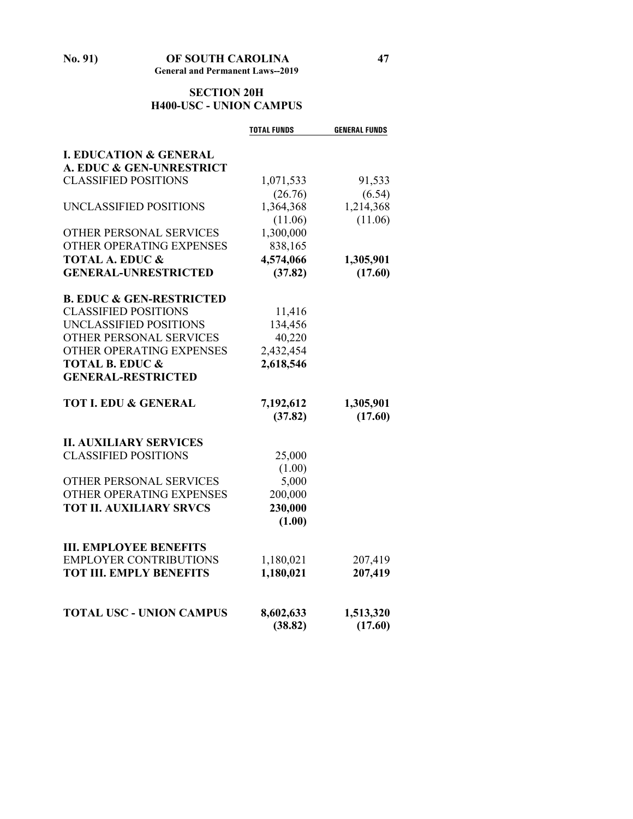# **SECTION 20H H400-USC - UNION CAMPUS**

|                                     | <b>TOTAL FUNDS</b> | <b>GENERAL FUNDS</b> |
|-------------------------------------|--------------------|----------------------|
|                                     |                    |                      |
| <b>I. EDUCATION &amp; GENERAL</b>   |                    |                      |
| A. EDUC & GEN-UNRESTRICT            |                    |                      |
| <b>CLASSIFIED POSITIONS</b>         | 1,071,533          | 91,533               |
|                                     | (26.76)            | (6.54)               |
| UNCLASSIFIED POSITIONS              | 1,364,368          | 1,214,368            |
|                                     | (11.06)            | (11.06)              |
| OTHER PERSONAL SERVICES             | 1,300,000          |                      |
| OTHER OPERATING EXPENSES            | 838,165            |                      |
| <b>TOTAL A. EDUC &amp;</b>          | 4,574,066          | 1,305,901            |
| <b>GENERAL-UNRESTRICTED</b>         | (37.82)            | (17.60)              |
| <b>B. EDUC &amp; GEN-RESTRICTED</b> |                    |                      |
| <b>CLASSIFIED POSITIONS</b>         | 11,416             |                      |
| UNCLASSIFIED POSITIONS              | 134,456            |                      |
| OTHER PERSONAL SERVICES             | 40,220             |                      |
| OTHER OPERATING EXPENSES            | 2,432,454          |                      |
| <b>TOTAL B. EDUC &amp;</b>          | 2,618,546          |                      |
| <b>GENERAL-RESTRICTED</b>           |                    |                      |
| <b>TOT I. EDU &amp; GENERAL</b>     | 7,192,612          | 1,305,901            |
|                                     | (37.82)            | (17.60)              |
| <b>II. AUXILIARY SERVICES</b>       |                    |                      |
| <b>CLASSIFIED POSITIONS</b>         | 25,000             |                      |
|                                     | (1.00)             |                      |
| OTHER PERSONAL SERVICES             | 5,000              |                      |
| OTHER OPERATING EXPENSES            | 200,000            |                      |
| <b>TOT II. AUXILIARY SRVCS</b>      | 230,000            |                      |
|                                     | (1.00)             |                      |
| <b>III. EMPLOYEE BENEFITS</b>       |                    |                      |
| <b>EMPLOYER CONTRIBUTIONS</b>       | 1,180,021          | 207,419              |
| <b>TOT III. EMPLY BENEFITS</b>      | 1,180,021          | 207,419              |
|                                     |                    |                      |
| <b>TOTAL USC - UNION CAMPUS</b>     | 8,602,633          | 1,513,320            |
|                                     | (38.82)            | (17.60)              |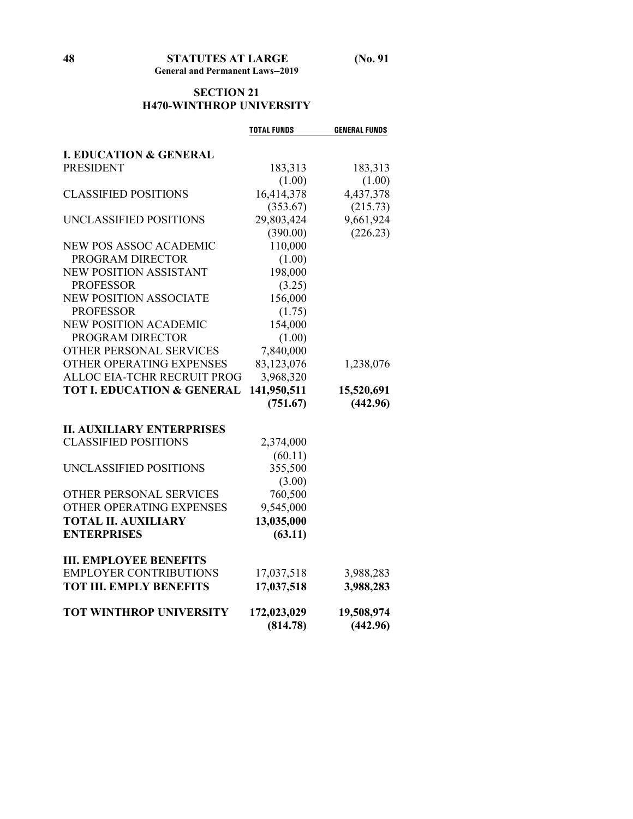# **SECTION 21 H470-WINTHROP UNIVERSITY**

|                                       | <b>TOTAL FUNDS</b> | <b>GENERAL FUNDS</b> |
|---------------------------------------|--------------------|----------------------|
|                                       |                    |                      |
| <b>I. EDUCATION &amp; GENERAL</b>     |                    |                      |
| <b>PRESIDENT</b>                      | 183,313            | 183,313              |
|                                       | (1.00)             | (1.00)               |
| <b>CLASSIFIED POSITIONS</b>           | 16,414,378         | 4,437,378            |
|                                       | (353.67)           | (215.73)             |
| UNCLASSIFIED POSITIONS                | 29,803,424         | 9,661,924            |
|                                       | (390.00)           | (226.23)             |
| <b>NEW POS ASSOC ACADEMIC</b>         | 110,000            |                      |
| PROGRAM DIRECTOR                      | (1.00)             |                      |
| NEW POSITION ASSISTANT                | 198,000            |                      |
| <b>PROFESSOR</b>                      | (3.25)             |                      |
| <b>NEW POSITION ASSOCIATE</b>         | 156,000            |                      |
| <b>PROFESSOR</b>                      | (1.75)             |                      |
| <b>NEW POSITION ACADEMIC</b>          | 154,000            |                      |
| PROGRAM DIRECTOR                      | (1.00)             |                      |
| OTHER PERSONAL SERVICES               | 7,840,000          |                      |
| OTHER OPERATING EXPENSES              | 83,123,076         | 1,238,076            |
| ALLOC EIA-TCHR RECRUIT PROG           | 3,968,320          |                      |
| <b>TOT I. EDUCATION &amp; GENERAL</b> | 141,950,511        | 15,520,691           |
|                                       | (751.67)           | (442.96)             |
|                                       |                    |                      |
| <b>II. AUXILIARY ENTERPRISES</b>      |                    |                      |
| <b>CLASSIFIED POSITIONS</b>           | 2,374,000          |                      |
|                                       | (60.11)            |                      |
| UNCLASSIFIED POSITIONS                | 355,500            |                      |
|                                       | (3.00)             |                      |
| OTHER PERSONAL SERVICES               | 760,500            |                      |
| OTHER OPERATING EXPENSES              | 9,545,000          |                      |
| <b>TOTAL II. AUXILIARY</b>            | 13,035,000         |                      |
| <b>ENTERPRISES</b>                    | (63.11)            |                      |
| <b>III. EMPLOYEE BENEFITS</b>         |                    |                      |
| <b>EMPLOYER CONTRIBUTIONS</b>         | 17,037,518         | 3,988,283            |
| <b>TOT III. EMPLY BENEFITS</b>        | 17,037,518         | 3,988,283            |
|                                       |                    |                      |
| <b>TOT WINTHROP UNIVERSITY</b>        | 172,023,029        | 19,508,974           |
|                                       | (814.78)           | (442.96)             |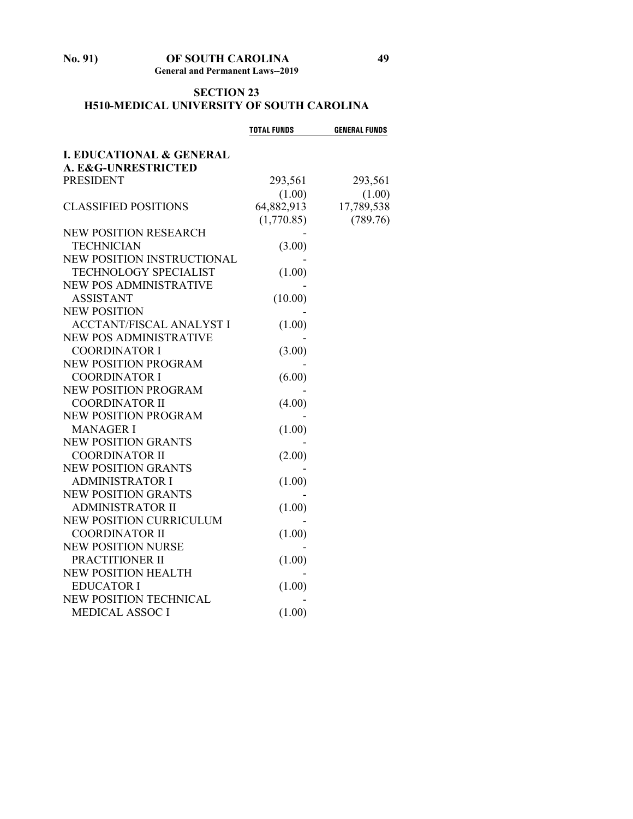#### **No. 91) OF SOUTH CAROLINA 49 General and Permanent Laws--2019**

# **SECTION 23 H510-MEDICAL UNIVERSITY OF SOUTH CAROLINA**

|                                                            | <b>TOTAL FUNDS</b> | <b>GENERAL FUNDS</b> |
|------------------------------------------------------------|--------------------|----------------------|
| <b>I. EDUCATIONAL &amp; GENERAL</b><br>A. E&G-UNRESTRICTED |                    |                      |
| <b>PRESIDENT</b>                                           | 293,561            | 293,561              |
|                                                            | (1.00)             | (1.00)               |
| <b>CLASSIFIED POSITIONS</b>                                | 64,882,913         | 17,789,538           |
|                                                            | (1,770.85)         | (789.76)             |
| <b>NEW POSITION RESEARCH</b>                               |                    |                      |
| <b>TECHNICIAN</b>                                          | (3.00)             |                      |
| NEW POSITION INSTRUCTIONAL                                 |                    |                      |
| TECHNOLOGY SPECIALIST                                      | (1.00)             |                      |
| <b>NEW POS ADMINISTRATIVE</b>                              |                    |                      |
| <b>ASSISTANT</b>                                           | (10.00)            |                      |
| <b>NEW POSITION</b>                                        |                    |                      |
| <b>ACCTANT/FISCAL ANALYST I</b>                            | (1.00)             |                      |
| <b>NEW POS ADMINISTRATIVE</b>                              |                    |                      |
| <b>COORDINATOR I</b>                                       | (3.00)             |                      |
| <b>NEW POSITION PROGRAM</b>                                |                    |                      |
| <b>COORDINATOR I</b>                                       | (6.00)             |                      |
| NEW POSITION PROGRAM                                       |                    |                      |
| <b>COORDINATOR II</b>                                      | (4.00)             |                      |
| NEW POSITION PROGRAM                                       |                    |                      |
| <b>MANAGER I</b>                                           | (1.00)             |                      |
| <b>NEW POSITION GRANTS</b>                                 |                    |                      |
| <b>COORDINATOR II</b>                                      | (2.00)             |                      |
| <b>NEW POSITION GRANTS</b>                                 |                    |                      |
| <b>ADMINISTRATOR I</b>                                     | (1.00)             |                      |
| <b>NEW POSITION GRANTS</b>                                 |                    |                      |
| <b>ADMINISTRATOR II</b>                                    | (1.00)             |                      |
| NEW POSITION CURRICULUM                                    |                    |                      |
| <b>COORDINATOR II</b>                                      | (1.00)             |                      |
| <b>NEW POSITION NURSE</b>                                  |                    |                      |
| PRACTITIONER II                                            | (1.00)             |                      |
| <b>NEW POSITION HEALTH</b>                                 |                    |                      |
| <b>EDUCATOR I</b>                                          | (1.00)             |                      |
| NEW POSITION TECHNICAL                                     |                    |                      |
| <b>MEDICAL ASSOC I</b>                                     | (1.00)             |                      |
|                                                            |                    |                      |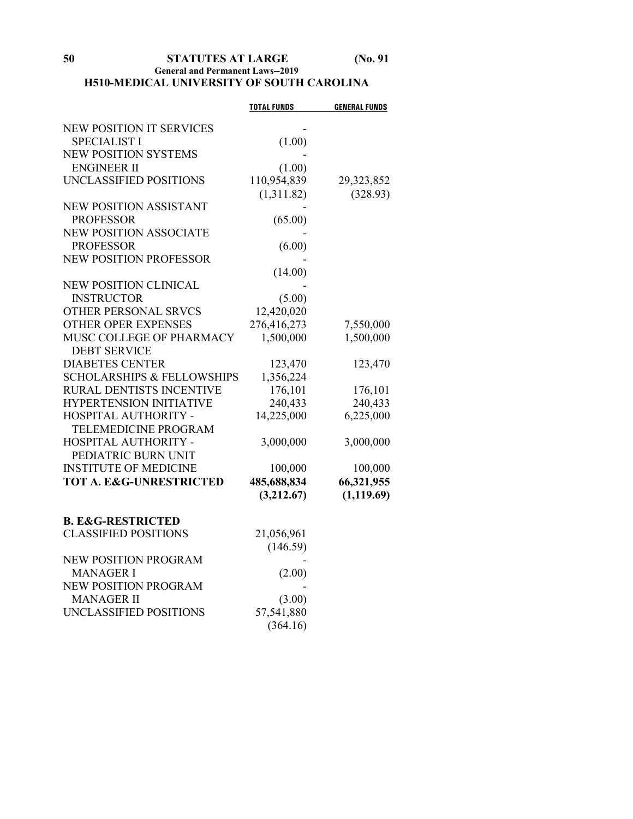# **General and Permanent Laws--2019 H510-MEDICAL UNIVERSITY OF SOUTH CAROLINA**

|                                       | <b>TOTAL FUNDS</b>   | <b>GENERAL FUNDS</b> |
|---------------------------------------|----------------------|----------------------|
| <b>NEW POSITION IT SERVICES</b>       |                      |                      |
| <b>SPECIALIST I</b>                   | (1.00)               |                      |
| <b>NEW POSITION SYSTEMS</b>           |                      |                      |
| <b>ENGINEER II</b>                    | (1.00)               |                      |
| UNCLASSIFIED POSITIONS                | 110,954,839          | 29,323,852           |
|                                       | (1,311.82)           | (328.93)             |
| <b>NEW POSITION ASSISTANT</b>         |                      |                      |
| <b>PROFESSOR</b>                      | (65.00)              |                      |
| <b>NEW POSITION ASSOCIATE</b>         |                      |                      |
| <b>PROFESSOR</b>                      | (6.00)               |                      |
| <b>NEW POSITION PROFESSOR</b>         |                      |                      |
|                                       | (14.00)              |                      |
| <b>NEW POSITION CLINICAL</b>          |                      |                      |
| <b>INSTRUCTOR</b>                     | (5.00)               |                      |
| OTHER PERSONAL SRVCS                  | 12,420,020           |                      |
| <b>OTHER OPER EXPENSES</b>            | 276,416,273          | 7,550,000            |
| MUSC COLLEGE OF PHARMACY              | 1,500,000            | 1,500,000            |
| <b>DEBT SERVICE</b>                   |                      |                      |
| <b>DIABETES CENTER</b>                | 123,470              | 123,470              |
| <b>SCHOLARSHIPS &amp; FELLOWSHIPS</b> | 1,356,224            |                      |
| RURAL DENTISTS INCENTIVE              | 176,101              | 176,101              |
| <b>HYPERTENSION INITIATIVE</b>        | 240,433              | 240,433              |
| HOSPITAL AUTHORITY -                  | 14,225,000           | 6,225,000            |
| TELEMEDICINE PROGRAM                  |                      |                      |
| HOSPITAL AUTHORITY -                  | 3,000,000            | 3,000,000            |
| PEDIATRIC BURN UNIT                   |                      |                      |
| <b>INSTITUTE OF MEDICINE</b>          | 100,000              | 100,000              |
| <b>TOT A. E&amp;G-UNRESTRICTED</b>    | 485,688,834          | 66,321,955           |
|                                       | (3,212.67)           | (1, 119.69)          |
| <b>B. E&amp;G-RESTRICTED</b>          |                      |                      |
| <b>CLASSIFIED POSITIONS</b>           | 21,056,961           |                      |
|                                       | (146.59)             |                      |
| <b>NEW POSITION PROGRAM</b>           |                      |                      |
| <b>MANAGER I</b>                      | (2.00)               |                      |
| NEW POSITION PROGRAM                  |                      |                      |
| <b>MANAGER II</b>                     |                      |                      |
| UNCLASSIFIED POSITIONS                | (3.00)<br>57,541,880 |                      |
|                                       | (364.16)             |                      |
|                                       |                      |                      |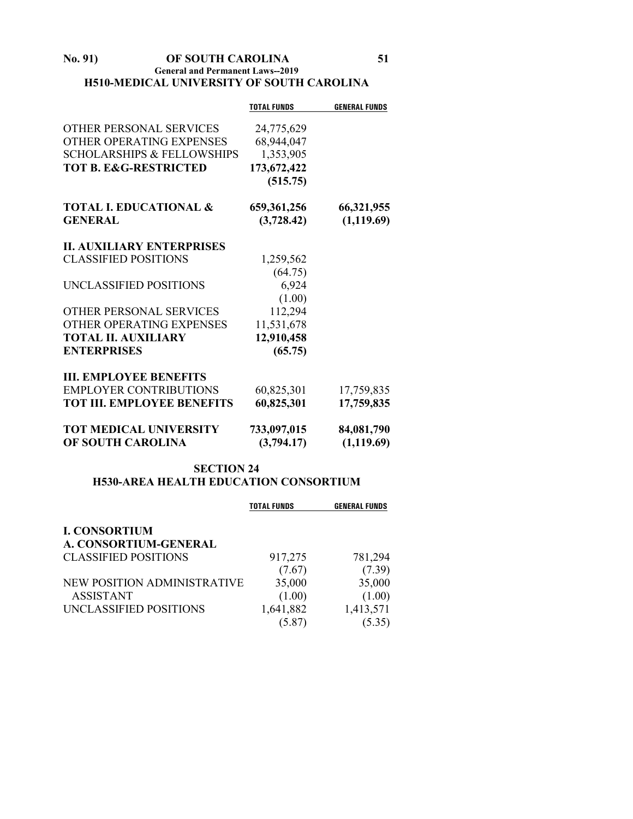#### **No. 91) OF SOUTH CAROLINA 51 General and Permanent Laws--2019 H510-MEDICAL UNIVERSITY OF SOUTH CAROLINA**

|                                       | <b>TOTAL FUNDS</b> | <b>GENERAL FUNDS</b> |
|---------------------------------------|--------------------|----------------------|
| <b>OTHER PERSONAL SERVICES</b>        | 24,775,629         |                      |
| OTHER OPERATING EXPENSES              | 68,944,047         |                      |
| <b>SCHOLARSHIPS &amp; FELLOWSHIPS</b> | 1,353,905          |                      |
| <b>TOT B. E&amp;G-RESTRICTED</b>      | 173,672,422        |                      |
|                                       | (515.75)           |                      |
| <b>TOTAL I. EDUCATIONAL &amp;</b>     | 659, 361, 256      | 66,321,955           |
| <b>GENERAL</b>                        | (3,728.42)         | (1,119.69)           |
| <b>II. AUXILIARY ENTERPRISES</b>      |                    |                      |
| <b>CLASSIFIED POSITIONS</b>           | 1,259,562          |                      |
|                                       | (64.75)            |                      |
| UNCLASSIFIED POSITIONS                | 6,924              |                      |
|                                       | (1.00)             |                      |
| OTHER PERSONAL SERVICES               | 112,294            |                      |
| OTHER OPERATING EXPENSES              | 11,531,678         |                      |
| <b>TOTAL II. AUXILIARY</b>            | 12,910,458         |                      |
| <b>ENTERPRISES</b>                    | (65.75)            |                      |
| <b>III. EMPLOYEE BENEFITS</b>         |                    |                      |
| <b>EMPLOYER CONTRIBUTIONS</b>         | 60,825,301         | 17,759,835           |
| <b>TOT III. EMPLOYEE BENEFITS</b>     | 60,825,301         | 17,759,835           |
| <b>TOT MEDICAL UNIVERSITY</b>         | 733,097,015        | 84,081,790           |
| OF SOUTH CAROLINA                     | (3,794.17)         | (1,119.69)           |

# **SECTION 24 H530-AREA HEALTH EDUCATION CONSORTIUM**

|                             | <b>TOTAL FUNDS</b> | <b>GENERAL FUNDS</b> |
|-----------------------------|--------------------|----------------------|
| <b>I. CONSORTIUM</b>        |                    |                      |
| A. CONSORTIUM-GENERAL       |                    |                      |
| <b>CLASSIFIED POSITIONS</b> | 917,275            | 781,294              |
|                             | (7.67)             | (7.39)               |
| NEW POSITION ADMINISTRATIVE | 35,000             | 35,000               |
| <b>ASSISTANT</b>            | (1.00)             | (1.00)               |
| UNCLASSIFIED POSITIONS      | 1,641,882          | 1,413,571            |
|                             | (5.87)             | (5.35)               |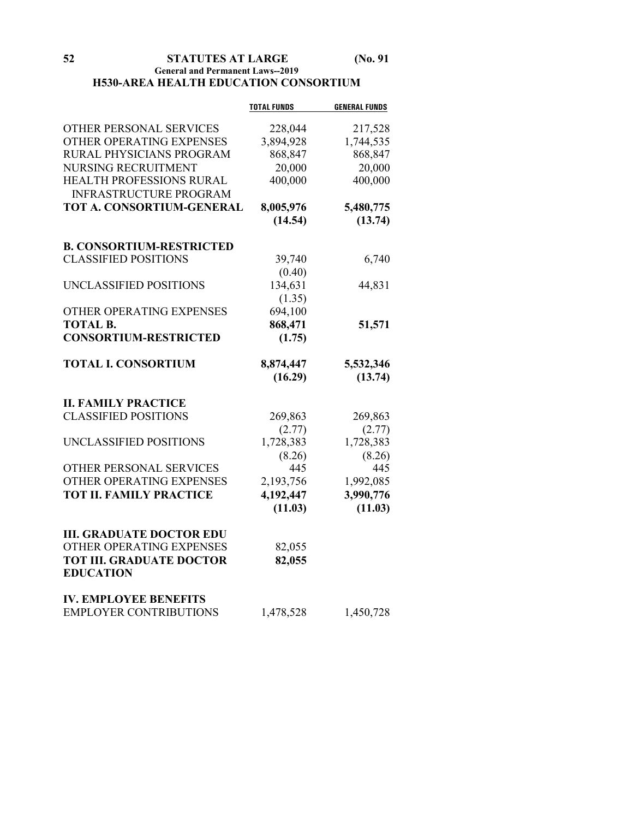# **General and Permanent Laws--2019 H530-AREA HEALTH EDUCATION CONSORTIUM**

|                                 | <b>TOTAL FUNDS</b> | <b>GENERAL FUNDS</b> |
|---------------------------------|--------------------|----------------------|
| OTHER PERSONAL SERVICES         | 228,044            | 217,528              |
| OTHER OPERATING EXPENSES        | 3,894,928          | 1,744,535            |
| RURAL PHYSICIANS PROGRAM        | 868,847            | 868,847              |
| NURSING RECRUITMENT             | 20,000             | 20,000               |
| HEALTH PROFESSIONS RURAL        | 400,000            | 400,000              |
| <b>INFRASTRUCTURE PROGRAM</b>   |                    |                      |
| TOT A. CONSORTIUM-GENERAL       | 8,005,976          | 5,480,775            |
|                                 | (14.54)            | (13.74)              |
|                                 |                    |                      |
| <b>B. CONSORTIUM-RESTRICTED</b> |                    |                      |
| <b>CLASSIFIED POSITIONS</b>     | 39,740             | 6,740                |
|                                 | (0.40)             |                      |
| UNCLASSIFIED POSITIONS          | 134,631            | 44,831               |
|                                 | (1.35)             |                      |
| OTHER OPERATING EXPENSES        | 694,100            |                      |
| <b>TOTAL B.</b>                 | 868,471            | 51,571               |
| <b>CONSORTIUM-RESTRICTED</b>    | (1.75)             |                      |
| <b>TOTAL I. CONSORTIUM</b>      | 8,874,447          | 5,532,346            |
|                                 | (16.29)            | (13.74)              |
| <b>II. FAMILY PRACTICE</b>      |                    |                      |
| <b>CLASSIFIED POSITIONS</b>     | 269,863            | 269,863              |
|                                 | (2.77)             | (2.77)               |
| UNCLASSIFIED POSITIONS          | 1,728,383          | 1,728,383            |
|                                 | (8.26)             | (8.26)               |
| OTHER PERSONAL SERVICES         | 445                | 445                  |
| OTHER OPERATING EXPENSES        | 2,193,756          | 1,992,085            |
| <b>TOT II. FAMILY PRACTICE</b>  |                    |                      |
|                                 | 4,192,447          | 3,990,776            |
|                                 | (11.03)            | (11.03)              |
| <b>III. GRADUATE DOCTOR EDU</b> |                    |                      |
| OTHER OPERATING EXPENSES        | 82,055             |                      |
| <b>TOT III. GRADUATE DOCTOR</b> | 82,055             |                      |
| <b>EDUCATION</b>                |                    |                      |
| <b>IV. EMPLOYEE BENEFITS</b>    |                    |                      |
| <b>EMPLOYER CONTRIBUTIONS</b>   | 1,478,528          | 1,450,728            |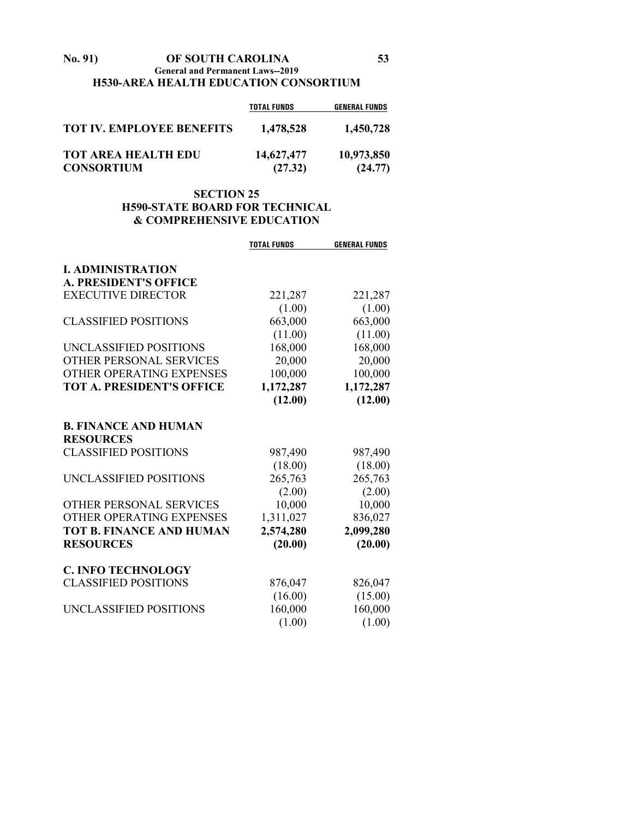#### **No. 91) OF SOUTH CAROLINA 53 General and Permanent Laws--2019 H530-AREA HEALTH EDUCATION CONSORTIUM**

|                                                 | <b>TOTAL FUNDS</b>    | <b>GENERAL FUNDS</b>  |
|-------------------------------------------------|-----------------------|-----------------------|
| <b>TOT IV. EMPLOYEE BENEFITS</b>                | 1,478,528             | 1,450,728             |
| <b>TOT AREA HEALTH EDU</b><br><b>CONSORTIUM</b> | 14,627,477<br>(27.32) | 10,973,850<br>(24.77) |

# **SECTION 25 H590-STATE BOARD FOR TECHNICAL & COMPREHENSIVE EDUCATION**

|                                  | <b>TOTAL FUNDS</b> | <b>GENERAL FUNDS</b> |
|----------------------------------|--------------------|----------------------|
| <b>I. ADMINISTRATION</b>         |                    |                      |
| <b>A. PRESIDENT'S OFFICE</b>     |                    |                      |
| <b>EXECUTIVE DIRECTOR</b>        | 221,287            | 221,287              |
|                                  | (1.00)             | (1.00)               |
| <b>CLASSIFIED POSITIONS</b>      | 663,000            | 663,000              |
|                                  | (11.00)            | (11.00)              |
| UNCLASSIFIED POSITIONS           | 168,000            | 168,000              |
| <b>OTHER PERSONAL SERVICES</b>   | 20,000             | 20,000               |
| OTHER OPERATING EXPENSES         | 100,000            | 100,000              |
| <b>TOT A. PRESIDENT'S OFFICE</b> | 1,172,287          | 1,172,287            |
|                                  | (12.00)            | (12.00)              |
| <b>B. FINANCE AND HUMAN</b>      |                    |                      |
| <b>RESOURCES</b>                 |                    |                      |
| <b>CLASSIFIED POSITIONS</b>      | 987,490            | 987,490              |
|                                  | (18.00)            | (18.00)              |
| UNCLASSIFIED POSITIONS           | 265,763            | 265,763              |
|                                  | (2.00)             | (2.00)               |
| OTHER PERSONAL SERVICES          | 10,000             | 10,000               |
| OTHER OPERATING EXPENSES         | 1,311,027          | 836,027              |
| <b>TOT B. FINANCE AND HUMAN</b>  | 2,574,280          | 2,099,280            |
| <b>RESOURCES</b>                 | (20.00)            | (20.00)              |
| <b>C. INFO TECHNOLOGY</b>        |                    |                      |
| <b>CLASSIFIED POSITIONS</b>      | 876,047            | 826,047              |
|                                  | (16.00)            | (15.00)              |
| UNCLASSIFIED POSITIONS           | 160,000            | 160,000              |
|                                  | (1.00)             | (1.00)               |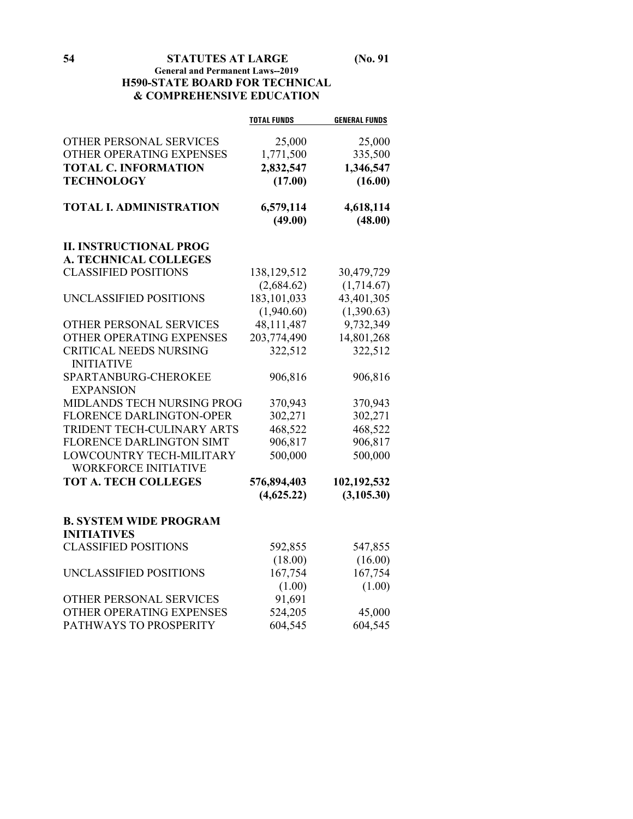# **54 STATUTES AT LARGE (No. 91 General and Permanent Laws--2019 H590-STATE BOARD FOR TECHNICAL & COMPREHENSIVE EDUCATION**

|                                 | <b>TOTAL FUNDS</b> | <b>GENERAL FUNDS</b> |
|---------------------------------|--------------------|----------------------|
| OTHER PERSONAL SERVICES         | 25,000             | 25,000               |
| OTHER OPERATING EXPENSES        | 1,771,500          | 335,500              |
| <b>TOTAL C. INFORMATION</b>     | 2,832,547          | 1,346,547            |
| <b>TECHNOLOGY</b>               | (17.00)            | (16.00)              |
|                                 |                    |                      |
| <b>TOTAL I. ADMINISTRATION</b>  | 6,579,114          | 4,618,114            |
|                                 | (49.00)            | (48.00)              |
| <b>II. INSTRUCTIONAL PROG</b>   |                    |                      |
| <b>A. TECHNICAL COLLEGES</b>    |                    |                      |
| <b>CLASSIFIED POSITIONS</b>     | 138,129,512        | 30,479,729           |
|                                 | (2,684.62)         | (1,714.67)           |
| UNCLASSIFIED POSITIONS          | 183, 101, 033      | 43,401,305           |
|                                 | (1,940.60)         | (1,390.63)           |
| OTHER PERSONAL SERVICES         | 48,111,487         | 9,732,349            |
| OTHER OPERATING EXPENSES        | 203,774,490        | 14,801,268           |
| <b>CRITICAL NEEDS NURSING</b>   | 322,512            | 322,512              |
| <b>INITIATIVE</b>               |                    |                      |
| SPARTANBURG-CHEROKEE            | 906,816            | 906,816              |
| <b>EXPANSION</b>                |                    |                      |
| MIDLANDS TECH NURSING PROG      | 370,943            | 370,943              |
| <b>FLORENCE DARLINGTON-OPER</b> | 302,271            | 302,271              |
| TRIDENT TECH-CULINARY ARTS      | 468,522            | 468,522              |
| FLORENCE DARLINGTON SIMT        | 906,817            | 906,817              |
| LOWCOUNTRY TECH-MILITARY        | 500,000            | 500,000              |
| <b>WORKFORCE INITIATIVE</b>     |                    |                      |
| <b>TOT A. TECH COLLEGES</b>     | 576,894,403        | 102,192,532          |
|                                 | (4,625.22)         | (3, 105.30)          |
| <b>B. SYSTEM WIDE PROGRAM</b>   |                    |                      |
| <b>INITIATIVES</b>              |                    |                      |
| <b>CLASSIFIED POSITIONS</b>     | 592,855            | 547,855              |
|                                 | (18.00)            | (16.00)              |
| UNCLASSIFIED POSITIONS          | 167,754            | 167,754              |
|                                 | (1.00)             | (1.00)               |
| OTHER PERSONAL SERVICES         | 91,691             |                      |
| OTHER OPERATING EXPENSES        | 524,205            | 45,000               |
| PATHWAYS TO PROSPERITY          | 604,545            | 604,545              |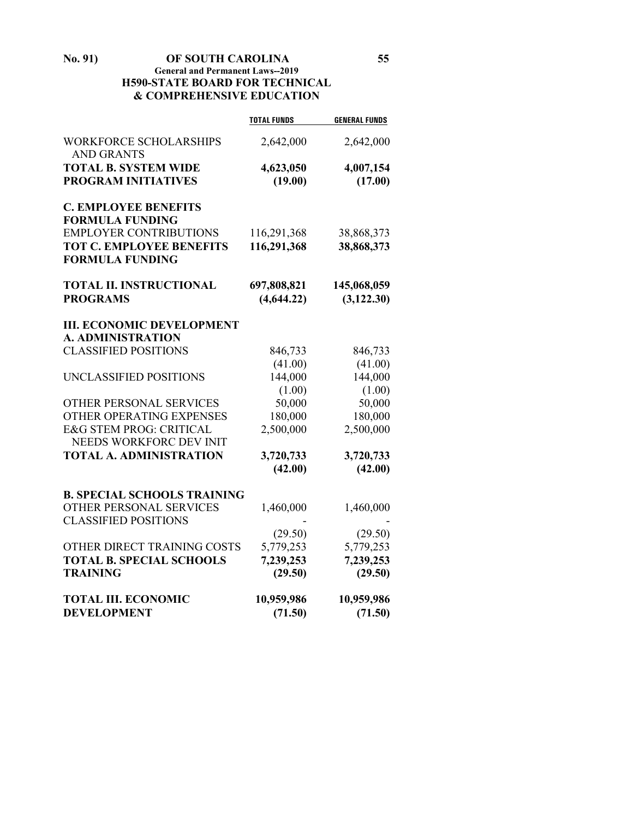**No. 91) OF SOUTH CAROLINA 55 General and Permanent Laws--2019 H590-STATE BOARD FOR TECHNICAL & COMPREHENSIVE EDUCATION**

|                                                    | <b>TOTAL FUNDS</b> | <b>GENERAL FUNDS</b> |
|----------------------------------------------------|--------------------|----------------------|
| <b>WORKFORCE SCHOLARSHIPS</b><br><b>AND GRANTS</b> | 2,642,000          | 2,642,000            |
| <b>TOTAL B. SYSTEM WIDE</b>                        | 4,623,050          | 4,007,154            |
| <b>PROGRAM INITIATIVES</b>                         | (19.00)            | (17.00)              |
|                                                    |                    |                      |
| <b>C. EMPLOYEE BENEFITS</b>                        |                    |                      |
| <b>FORMULA FUNDING</b>                             |                    |                      |
| <b>EMPLOYER CONTRIBUTIONS</b>                      | 116,291,368        | 38,868,373           |
| <b>TOT C. EMPLOYEE BENEFITS</b>                    | 116,291,368        | 38,868,373           |
| <b>FORMULA FUNDING</b>                             |                    |                      |
| <b>TOTAL II. INSTRUCTIONAL</b>                     | 697,808,821        | 145,068,059          |
| <b>PROGRAMS</b>                                    | (4,644.22)         | (3, 122.30)          |
|                                                    |                    |                      |
| <b>III. ECONOMIC DEVELOPMENT</b>                   |                    |                      |
| <b>A. ADMINISTRATION</b>                           |                    |                      |
| <b>CLASSIFIED POSITIONS</b>                        | 846,733            | 846,733              |
|                                                    | (41.00)            | (41.00)              |
| UNCLASSIFIED POSITIONS                             | 144,000            | 144,000              |
|                                                    | (1.00)             | (1.00)               |
| OTHER PERSONAL SERVICES                            | 50,000             | 50,000               |
| <b>OTHER OPERATING EXPENSES</b>                    | 180,000            | 180,000              |
| <b>E&amp;G STEM PROG: CRITICAL</b>                 | 2,500,000          | 2,500,000            |
| NEEDS WORKFORC DEV INIT                            |                    |                      |
| <b>TOTAL A. ADMINISTRATION</b>                     | 3,720,733          | 3,720,733            |
|                                                    | (42.00)            | (42.00)              |
|                                                    |                    |                      |
| <b>B. SPECIAL SCHOOLS TRAINING</b>                 |                    |                      |
| OTHER PERSONAL SERVICES                            | 1,460,000          | 1,460,000            |
| <b>CLASSIFIED POSITIONS</b>                        |                    |                      |
|                                                    | (29.50)            | (29.50)              |
| OTHER DIRECT TRAINING COSTS                        | 5,779,253          | 5,779,253            |
| <b>TOTAL B. SPECIAL SCHOOLS</b>                    | 7,239,253          | 7,239,253            |
| <b>TRAINING</b>                                    | (29.50)            | (29.50)              |
| <b>TOTAL III. ECONOMIC</b>                         | 10,959,986         | 10,959,986           |
| <b>DEVELOPMENT</b>                                 | (71.50)            | (71.50)              |
|                                                    |                    |                      |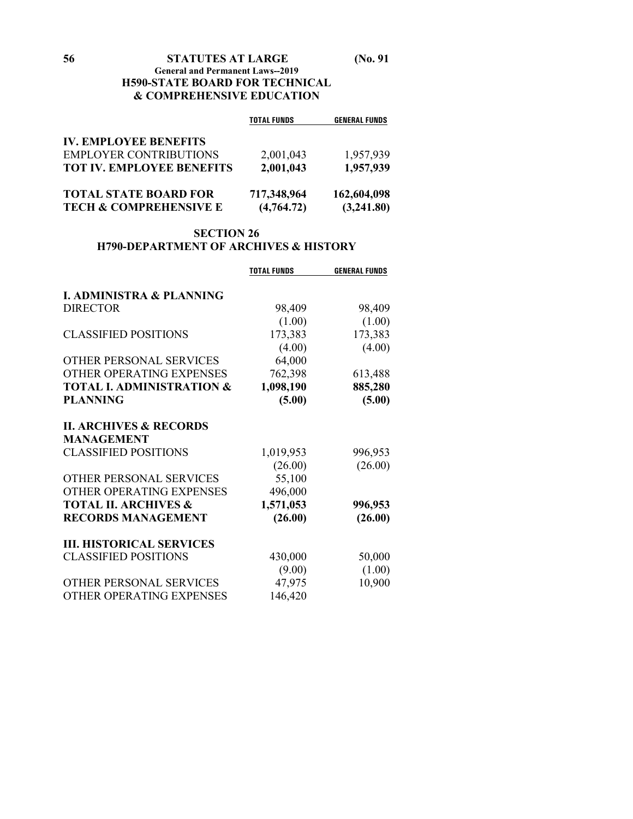#### **General and Permanent Laws--2019 H590-STATE BOARD FOR TECHNICAL & COMPREHENSIVE EDUCATION**

|                                   | <b>TOTAL FUNDS</b> | <b>GENERAL FUNDS</b> |
|-----------------------------------|--------------------|----------------------|
| <b>IV. EMPLOYEE BENEFITS</b>      |                    |                      |
| <b>EMPLOYER CONTRIBUTIONS</b>     | 2,001,043          | 1,957,939            |
| <b>TOT IV. EMPLOYEE BENEFITS</b>  | 2,001,043          | 1,957,939            |
| <b>TOTAL STATE BOARD FOR</b>      | 717,348,964        | 162,604,098          |
| <b>TECH &amp; COMPREHENSIVE E</b> | (4,764.72)         | (3,241.80)           |

# **SECTION 26 H790-DEPARTMENT OF ARCHIVES & HISTORY**

|                                      | <b>TOTAL FUNDS</b> | <b>GENERAL FUNDS</b> |
|--------------------------------------|--------------------|----------------------|
|                                      |                    |                      |
| <b>I. ADMINISTRA &amp; PLANNING</b>  |                    |                      |
| <b>DIRECTOR</b>                      | 98,409             | 98,409               |
|                                      | (1.00)             | (1.00)               |
| <b>CLASSIFIED POSITIONS</b>          | 173,383            | 173,383              |
|                                      | (4.00)             | (4.00)               |
| OTHER PERSONAL SERVICES              | 64,000             |                      |
| OTHER OPERATING EXPENSES             | 762,398            | 613,488              |
| <b>TOTAL I. ADMINISTRATION &amp;</b> | 1,098,190          | 885,280              |
| <b>PLANNING</b>                      | (5.00)             | (5.00)               |
| <b>II. ARCHIVES &amp; RECORDS</b>    |                    |                      |
| <b>MANAGEMENT</b>                    |                    |                      |
| <b>CLASSIFIED POSITIONS</b>          | 1,019,953          | 996,953              |
|                                      | (26.00)            | (26.00)              |
| OTHER PERSONAL SERVICES              | 55,100             |                      |
| OTHER OPERATING EXPENSES             | 496,000            |                      |
| <b>TOTAL II. ARCHIVES &amp;</b>      | 1,571,053          | 996,953              |
| <b>RECORDS MANAGEMENT</b>            |                    |                      |
|                                      | (26.00)            | (26.00)              |
| <b>III. HISTORICAL SERVICES</b>      |                    |                      |
| <b>CLASSIFIED POSITIONS</b>          | 430,000            | 50,000               |
|                                      | (9.00)             | (1.00)               |
| OTHER PERSONAL SERVICES              | 47,975             | 10,900               |
| OTHER OPERATING EXPENSES             | 146,420            |                      |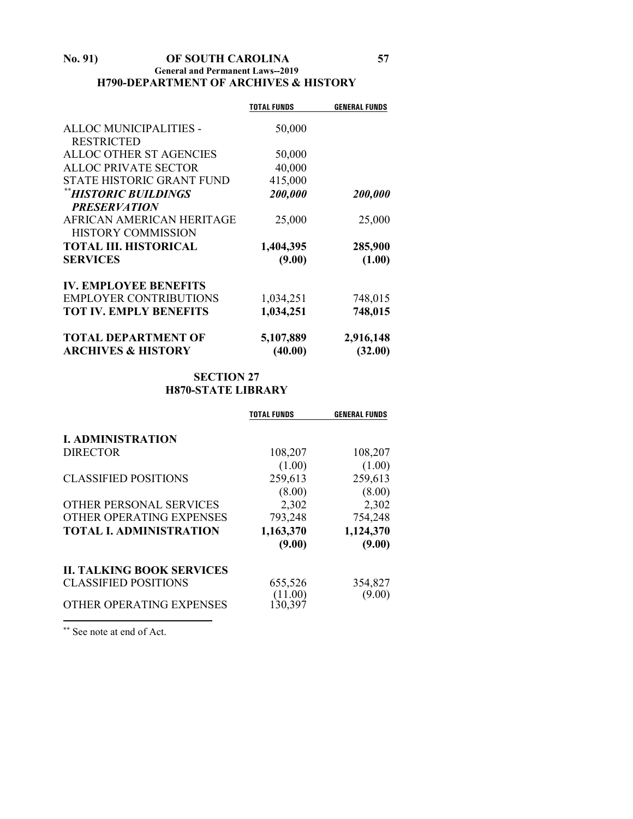#### **No. 91) OF SOUTH CAROLINA 57 General and Permanent Laws--2019 H790-DEPARTMENT OF ARCHIVES & HISTORY**

|                                  | <b>TOTAL FUNDS</b> | <b>GENERAL FUNDS</b> |
|----------------------------------|--------------------|----------------------|
|                                  |                    |                      |
| ALLOC MUNICIPALITIES -           | 50,000             |                      |
| <b>RESTRICTED</b>                |                    |                      |
| ALLOC OTHER ST AGENCIES          | 50,000             |                      |
| <b>ALLOC PRIVATE SECTOR</b>      | 40,000             |                      |
| <b>STATE HISTORIC GRANT FUND</b> | 415,000            |                      |
| **HISTORIC BUILDINGS             | 200,000            | 200,000              |
| <b>PRESERVATION</b>              |                    |                      |
| AFRICAN AMERICAN HERITAGE        | 25,000             | 25,000               |
| <b>HISTORY COMMISSION</b>        |                    |                      |
| <b>TOTAL III. HISTORICAL</b>     | 1,404,395          | 285,900              |
| <b>SERVICES</b>                  | (9.00)             | (1.00)               |
| <b>IV. EMPLOYEE BENEFITS</b>     |                    |                      |
| <b>EMPLOYER CONTRIBUTIONS</b>    | 1,034,251          | 748,015              |
| <b>TOT IV. EMPLY BENEFITS</b>    | 1,034,251          | 748,015              |
| <b>TOTAL DEPARTMENT OF</b>       | 5,107,889          | 2,916,148            |
| <b>ARCHIVES &amp; HISTORY</b>    | (40.00)            | (32.00)              |

# **SECTION 27 H870-STATE LIBRARY**

|                                  | TOTAL FUNDS | <b>GENERAL FUNDS</b> |
|----------------------------------|-------------|----------------------|
| <b>I. ADMINISTRATION</b>         |             |                      |
| <b>DIRECTOR</b>                  | 108,207     | 108,207              |
|                                  | (1.00)      | (1.00)               |
| <b>CLASSIFIED POSITIONS</b>      | 259,613     | 259,613              |
|                                  | (8.00)      | (8.00)               |
| OTHER PERSONAL SERVICES          | 2,302       | 2,302                |
| OTHER OPERATING EXPENSES         | 793,248     | 754,248              |
| <b>TOTAL I. ADMINISTRATION</b>   | 1,163,370   | 1,124,370            |
|                                  | (9.00)      | (9.00)               |
| <b>II. TALKING BOOK SERVICES</b> |             |                      |
| <b>CLASSIFIED POSITIONS</b>      | 655,526     | 354,827              |
|                                  | 11.00)      | (9.00)               |
| OTHER OPERATING EXPENSES         | 130.397     |                      |

<span id="page-56-0"></span>\*\* See note at end of Act.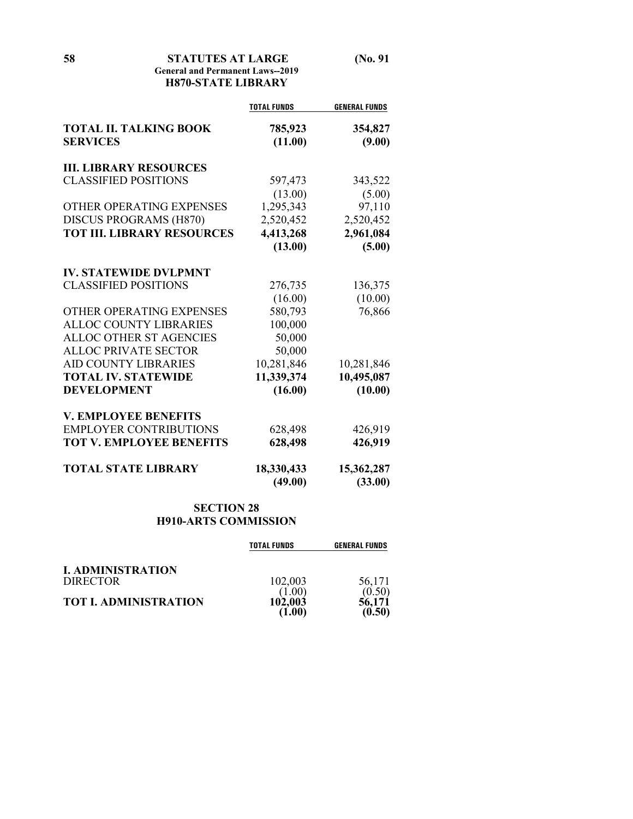# **General and Permanent Laws--2019 H870-STATE LIBRARY**

|                                                  | <b>TOTAL FUNDS</b> | <b>GENERAL FUNDS</b> |
|--------------------------------------------------|--------------------|----------------------|
| <b>TOTAL II. TALKING BOOK</b><br><b>SERVICES</b> | 785,923<br>(11.00) | 354,827<br>(9.00)    |
| <b>III. LIBRARY RESOURCES</b>                    |                    |                      |
| <b>CLASSIFIED POSITIONS</b>                      | 597,473            | 343,522              |
|                                                  | (13.00)            | (5.00)               |
| OTHER OPERATING EXPENSES                         | 1,295,343          | 97,110               |
| <b>DISCUS PROGRAMS (H870)</b>                    | 2,520,452          | 2,520,452            |
| <b>TOT III. LIBRARY RESOURCES</b>                | 4,413,268          | 2,961,084            |
|                                                  | (13.00)            | (5.00)               |
| <b>IV. STATEWIDE DVLPMNT</b>                     |                    |                      |
| <b>CLASSIFIED POSITIONS</b>                      | 276,735            | 136,375              |
|                                                  | (16.00)            | (10.00)              |
| OTHER OPERATING EXPENSES                         | 580,793            | 76,866               |
| <b>ALLOC COUNTY LIBRARIES</b>                    | 100,000            |                      |
| ALLOC OTHER ST AGENCIES                          | 50,000             |                      |
| <b>ALLOC PRIVATE SECTOR</b>                      | 50,000             |                      |
| <b>AID COUNTY LIBRARIES</b>                      | 10,281,846         | 10,281,846           |
| <b>TOTAL IV. STATEWIDE</b>                       | 11,339,374         | 10,495,087           |
| <b>DEVELOPMENT</b>                               | (16.00)            | (10.00)              |
| <b>V. EMPLOYEE BENEFITS</b>                      |                    |                      |
| <b>EMPLOYER CONTRIBUTIONS</b>                    | 628,498            | 426,919              |
| <b>TOT V. EMPLOYEE BENEFITS</b>                  | 628,498            | 426,919              |
| <b>TOTAL STATE LIBRARY</b>                       | 18,330,433         | 15,362,287           |
|                                                  | (49.00)            | (33.00)              |

# **SECTION 28 H910-ARTS COMMISSION**

|                              | <b>TOTAL FUNDS</b> | <b>GENERAL FUNDS</b> |
|------------------------------|--------------------|----------------------|
| <b>I. ADMINISTRATION</b>     |                    |                      |
| <b>DIRECTOR</b>              | 102,003            | 56,171               |
|                              |                    | (0.50)               |
| <b>TOT I. ADMINISTRATION</b> | 102,003            | 56.171               |
|                              |                    | (0.50)               |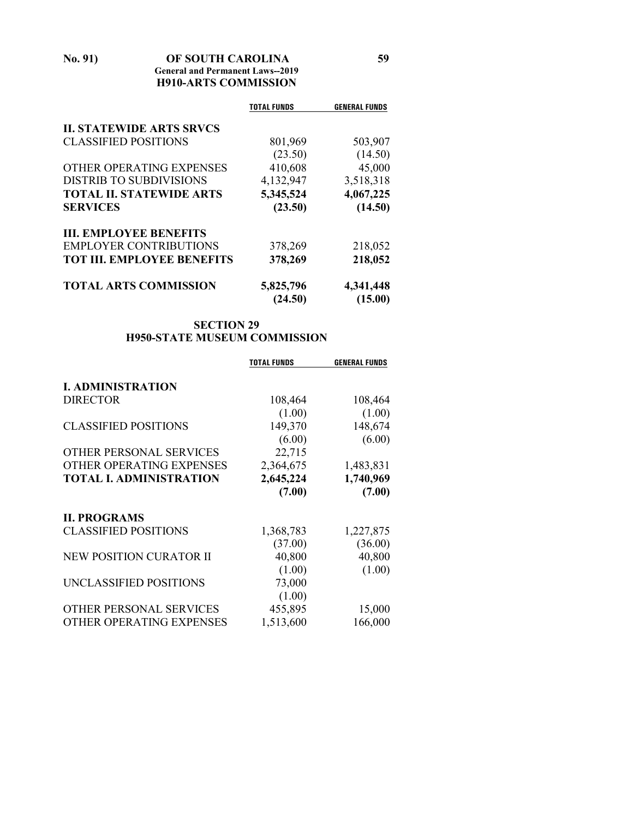# **No. 91) OF SOUTH CAROLINA 59**

# **General and Permanent Laws--2019 H910-ARTS COMMISSION**

|                                   | <b>TOTAL FUNDS</b> | <b>GENERAL FUNDS</b> |
|-----------------------------------|--------------------|----------------------|
| <b>II. STATEWIDE ARTS SRVCS</b>   |                    |                      |
| <b>CLASSIFIED POSITIONS</b>       | 801,969            | 503,907              |
|                                   | (23.50)            | (14.50)              |
| OTHER OPERATING EXPENSES          | 410,608            | 45,000               |
| <b>DISTRIB TO SUBDIVISIONS</b>    | 4,132,947          | 3,518,318            |
| <b>TOTAL II. STATEWIDE ARTS</b>   | 5,345,524          | 4,067,225            |
| <b>SERVICES</b>                   | (23.50)            | (14.50)              |
| <b>III. EMPLOYEE BENEFITS</b>     |                    |                      |
| <b>EMPLOYER CONTRIBUTIONS</b>     | 378,269            | 218,052              |
| <b>TOT III. EMPLOYEE BENEFITS</b> | 378,269            | 218,052              |
| <b>TOTAL ARTS COMMISSION</b>      | 5,825,796          | 4,341,448            |
|                                   | (24.50)            | (15.00)              |

# **SECTION 29 H950-STATE MUSEUM COMMISSION**

|                                | <b>TOTAL FUNDS</b> | <b>GENERAL FUNDS</b> |
|--------------------------------|--------------------|----------------------|
|                                |                    |                      |
| <b>I. ADMINISTRATION</b>       |                    |                      |
| <b>DIRECTOR</b>                | 108,464            | 108,464              |
|                                | (1.00)             | (1.00)               |
| <b>CLASSIFIED POSITIONS</b>    | 149,370            | 148,674              |
|                                | (6.00)             | (6.00)               |
| OTHER PERSONAL SERVICES        | 22,715             |                      |
| OTHER OPERATING EXPENSES       | 2,364,675          | 1,483,831            |
| <b>TOTAL I. ADMINISTRATION</b> | 2,645,224          | 1,740,969            |
|                                | (7.00)             | (7.00)               |
| <b>II. PROGRAMS</b>            |                    |                      |
| <b>CLASSIFIED POSITIONS</b>    | 1,368,783          | 1,227,875            |
|                                | (37.00)            | (36.00)              |
| NEW POSITION CURATOR II        | 40,800             | 40,800               |
|                                | (1.00)             | (1.00)               |
| UNCLASSIFIED POSITIONS         | 73,000             |                      |
|                                | (1.00)             |                      |
| OTHER PERSONAL SERVICES        | 455,895            | 15,000               |
| OTHER OPERATING EXPENSES       | 1,513,600          | 166,000              |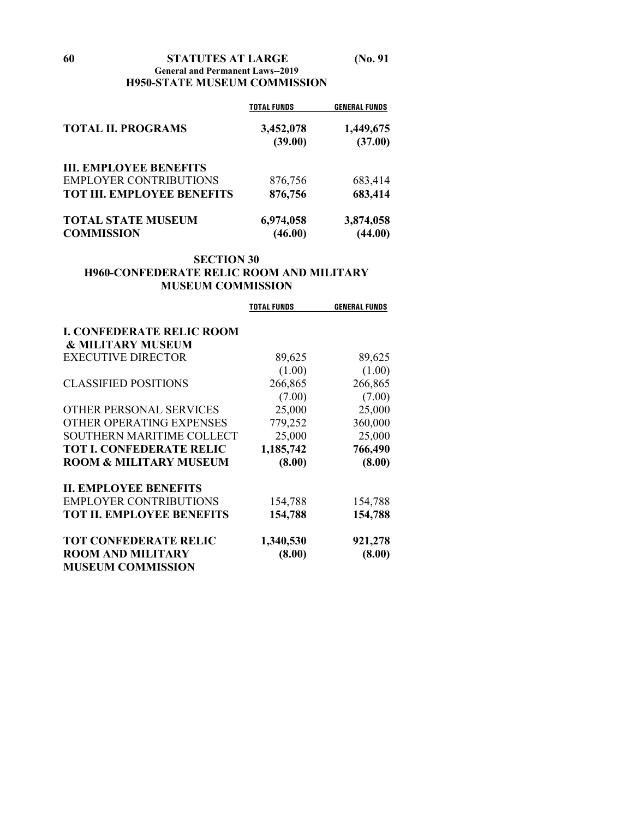#### **60 STATUTES AT LARGE (No. 91 General and Permanent Laws--2019 H950-STATE MUSEUM COMMISSION**

| <b>TOTAL II. PROGRAMS</b>         | <b>TOTAL FUNDS</b><br>3,452,078 | <b>GENERAL FUNDS</b><br>1,449,675 |
|-----------------------------------|---------------------------------|-----------------------------------|
|                                   |                                 |                                   |
|                                   | <b>III. EMPLOYEE BENEFITS</b>   |                                   |
| <b>EMPLOYER CONTRIBUTIONS</b>     | 876,756                         | 683,414                           |
| <b>TOT III. EMPLOYEE BENEFITS</b> | 876,756                         | 683,414                           |
| <b>TOTAL STATE MUSEUM</b>         | 6,974,058                       | 3,874,058                         |
| <b>COMMISSION</b>                 | (46.00)                         | (44.00)                           |

#### **SECTION 30 H960-CONFEDERATE RELIC ROOM AND MILITARY MUSEUM COMMISSION**

|                                   | <b>TOTAL FUNDS</b> | <b>GENERAL FUNDS</b> |
|-----------------------------------|--------------------|----------------------|
| <b>I. CONFEDERATE RELIC ROOM</b>  |                    |                      |
| <b>&amp; MILITARY MUSEUM</b>      |                    |                      |
| <b>EXECUTIVE DIRECTOR</b>         | 89,625             | 89,625               |
|                                   | (1.00)             | (1.00)               |
| <b>CLASSIFIED POSITIONS</b>       | 266,865            | 266,865              |
|                                   | (7.00)             | (7.00)               |
| OTHER PERSONAL SERVICES           | 25,000             | 25,000               |
| OTHER OPERATING EXPENSES          | 779,252            | 360,000              |
| <b>SOUTHERN MARITIME COLLECT</b>  | 25,000             | 25,000               |
| <b>TOT I. CONFEDERATE RELIC</b>   | 1,185,742          | 766,490              |
| <b>ROOM &amp; MILITARY MUSEUM</b> | (8.00)             | (8.00)               |
| <b>II. EMPLOYEE BENEFITS</b>      |                    |                      |
| <b>EMPLOYER CONTRIBUTIONS</b>     | 154,788            | 154,788              |
| <b>TOT II. EMPLOYEE BENEFITS</b>  | 154,788            | 154,788              |
| <b>TOT CONFEDERATE RELIC</b>      | 1,340,530          | 921,278              |
| <b>ROOM AND MILITARY</b>          | (8.00)             | (8.00)               |
| <b>MUSEUM COMMISSION</b>          |                    |                      |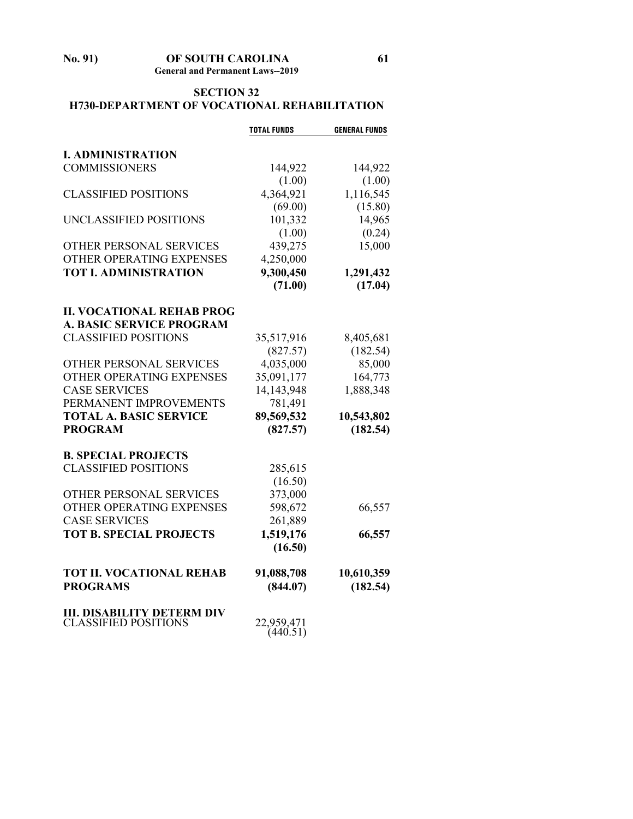**No. 91) OF SOUTH CAROLINA 61 General and Permanent Laws--2019**

# **SECTION 32 H730-DEPARTMENT OF VOCATIONAL REHABILITATION**

|                                   | <b>TOTAL FUNDS</b> | <b>GENERAL FUNDS</b> |
|-----------------------------------|--------------------|----------------------|
|                                   |                    |                      |
| <b>I. ADMINISTRATION</b>          |                    |                      |
| <b>COMMISSIONERS</b>              | 144,922            | 144,922              |
|                                   | (1.00)             | (1.00)               |
| <b>CLASSIFIED POSITIONS</b>       | 4,364,921          | 1,116,545            |
|                                   | (69.00)            | (15.80)              |
| UNCLASSIFIED POSITIONS            | 101,332            | 14,965               |
|                                   | (1.00)             | (0.24)               |
| <b>OTHER PERSONAL SERVICES</b>    | 439,275            | 15,000               |
| OTHER OPERATING EXPENSES          | 4,250,000          |                      |
| <b>TOT I. ADMINISTRATION</b>      | 9,300,450          | 1,291,432            |
|                                   | (71.00)            | (17.04)              |
| <b>II. VOCATIONAL REHAB PROG</b>  |                    |                      |
| <b>A. BASIC SERVICE PROGRAM</b>   |                    |                      |
| <b>CLASSIFIED POSITIONS</b>       | 35,517,916         | 8,405,681            |
|                                   | (827.57)           | (182.54)             |
| OTHER PERSONAL SERVICES           | 4,035,000          | 85,000               |
| OTHER OPERATING EXPENSES          | 35,091,177         | 164,773              |
| <b>CASE SERVICES</b>              | 14, 143, 948       | 1,888,348            |
| PERMANENT IMPROVEMENTS            | 781,491            |                      |
| <b>TOTAL A. BASIC SERVICE</b>     | 89,569,532         | 10,543,802           |
| <b>PROGRAM</b>                    | (827.57)           | (182.54)             |
|                                   |                    |                      |
| <b>B. SPECIAL PROJECTS</b>        |                    |                      |
| <b>CLASSIFIED POSITIONS</b>       | 285,615            |                      |
|                                   | (16.50)            |                      |
| OTHER PERSONAL SERVICES           | 373,000            |                      |
| OTHER OPERATING EXPENSES          | 598,672            | 66,557               |
| <b>CASE SERVICES</b>              | 261,889            |                      |
| <b>TOT B. SPECIAL PROJECTS</b>    | 1,519,176          | 66,557               |
|                                   | (16.50)            |                      |
| <b>TOT II. VOCATIONAL REHAB</b>   | 91,088,708         | 10,610,359           |
| <b>PROGRAMS</b>                   | (844.07)           | (182.54)             |
|                                   |                    |                      |
| <b>III. DISABILITY DETERM DIV</b> |                    |                      |
| <b>CLASSIFIED POSITIONS</b>       | 22,959,471         |                      |
|                                   | (440.51)           |                      |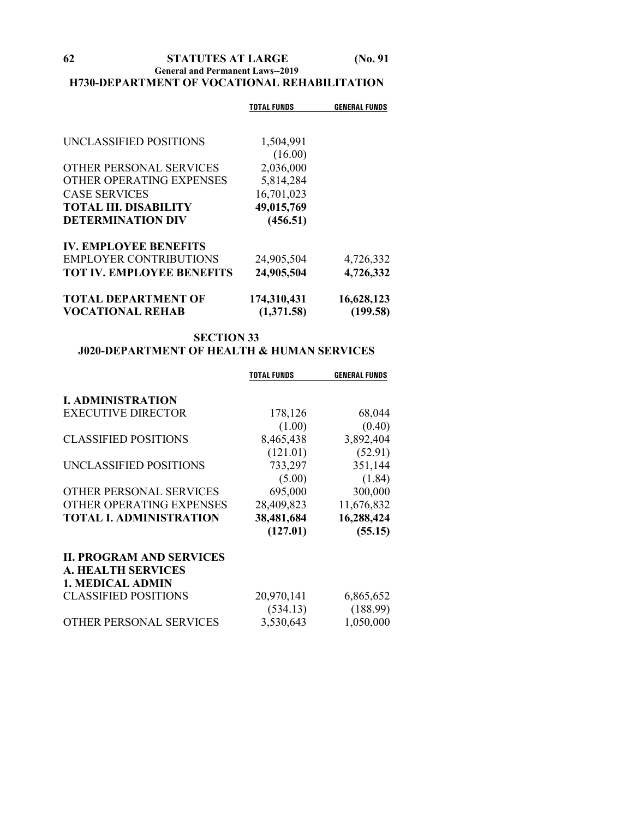**General and Permanent Laws--2019**

# **H730-DEPARTMENT OF VOCATIONAL REHABILITATION**

|                                  | TOTAL FUNDS | <b>GENERAL FUNDS</b> |
|----------------------------------|-------------|----------------------|
|                                  |             |                      |
| UNCLASSIFIED POSITIONS           | 1,504,991   |                      |
|                                  | (16.00)     |                      |
| <b>OTHER PERSONAL SERVICES</b>   | 2,036,000   |                      |
| OTHER OPERATING EXPENSES         | 5,814,284   |                      |
| <b>CASE SERVICES</b>             | 16,701,023  |                      |
| <b>TOTAL III. DISABILITY</b>     | 49,015,769  |                      |
| <b>DETERMINATION DIV</b>         | (456.51)    |                      |
| <b>IV. EMPLOYEE BENEFITS</b>     |             |                      |
| <b>EMPLOYER CONTRIBUTIONS</b>    | 24,905,504  | 4,726,332            |
| <b>TOT IV. EMPLOYEE BENEFITS</b> | 24,905,504  | 4,726,332            |
| <b>TOTAL DEPARTMENT OF</b>       | 174,310,431 | 16,628,123           |
| <b>VOCATIONAL REHAB</b>          | (1,371.58)  | (199.58)             |

# **SECTION 33 J020-DEPARTMENT OF HEALTH & HUMAN SERVICES**

|                                 | <b>TOTAL FUNDS</b> | <b>GENERAL FUNDS</b> |
|---------------------------------|--------------------|----------------------|
|                                 |                    |                      |
| <b>I. ADMINISTRATION</b>        |                    |                      |
| <b>EXECUTIVE DIRECTOR</b>       | 178,126            | 68,044               |
|                                 | (1.00)             | (0.40)               |
| <b>CLASSIFIED POSITIONS</b>     | 8,465,438          | 3,892,404            |
|                                 | (121.01)           | (52.91)              |
| UNCLASSIFIED POSITIONS          | 733,297            | 351,144              |
|                                 | (5.00)             | (1.84)               |
| OTHER PERSONAL SERVICES         | 695,000            | 300,000              |
| OTHER OPERATING EXPENSES        | 28,409,823         | 11,676,832           |
| <b>TOTAL I. ADMINISTRATION</b>  | 38,481,684         | 16,288,424           |
|                                 | (127.01)           | (55.15)              |
| <b>II. PROGRAM AND SERVICES</b> |                    |                      |
| <b>A. HEALTH SERVICES</b>       |                    |                      |
| <b>1. MEDICAL ADMIN</b>         |                    |                      |
| <b>CLASSIFIED POSITIONS</b>     | 20,970,141         | 6,865,652            |
|                                 | (534.13)           | (188.99)             |
| OTHER PERSONAL SERVICES         | 3,530,643          | 1,050,000            |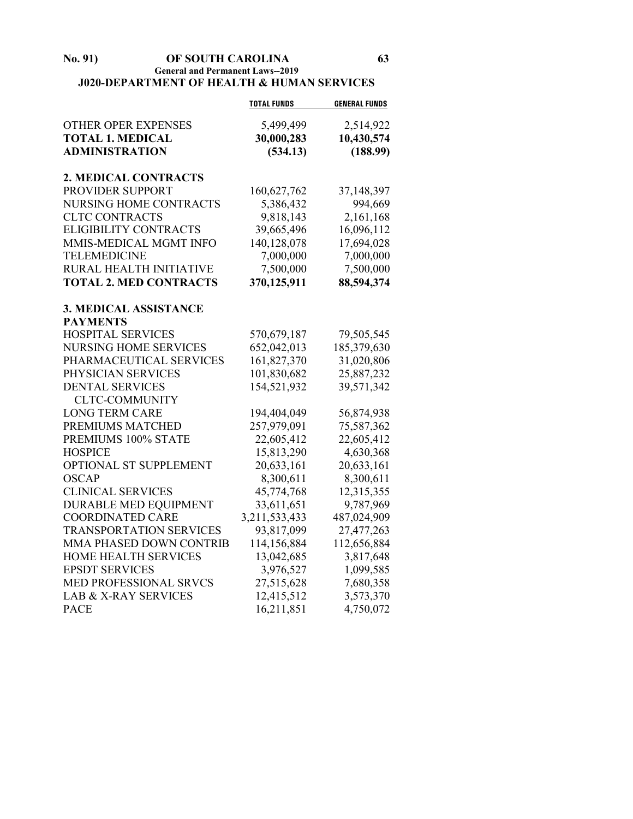#### **No. 91) OF SOUTH CAROLINA 63 General and Permanent Laws--2019 J020-DEPARTMENT OF HEALTH & HUMAN SERVICES**

|                                 | <b>TOTAL FUNDS</b> | <b>GENERAL FUNDS</b> |
|---------------------------------|--------------------|----------------------|
| <b>OTHER OPER EXPENSES</b>      | 5,499,499          | 2,514,922            |
| <b>TOTAL 1. MEDICAL</b>         | 30,000,283         | 10,430,574           |
| <b>ADMINISTRATION</b>           | (534.13)           | (188.99)             |
| <b>2. MEDICAL CONTRACTS</b>     |                    |                      |
| PROVIDER SUPPORT                | 160,627,762        | 37,148,397           |
| NURSING HOME CONTRACTS          | 5,386,432          | 994,669              |
| <b>CLTC CONTRACTS</b>           | 9,818,143          | 2,161,168            |
| <b>ELIGIBILITY CONTRACTS</b>    | 39,665,496         | 16,096,112           |
| MMIS-MEDICAL MGMT INFO          | 140,128,078        | 17,694,028           |
| <b>TELEMEDICINE</b>             | 7,000,000          | 7,000,000            |
| RURAL HEALTH INITIATIVE         | 7,500,000          | 7,500,000            |
| <b>TOTAL 2. MED CONTRACTS</b>   | 370,125,911        | 88,594,374           |
| <b>3. MEDICAL ASSISTANCE</b>    |                    |                      |
| <b>PAYMENTS</b>                 |                    |                      |
| <b>HOSPITAL SERVICES</b>        | 570,679,187        | 79,505,545           |
| <b>NURSING HOME SERVICES</b>    | 652,042,013        | 185,379,630          |
| PHARMACEUTICAL SERVICES         | 161,827,370        | 31,020,806           |
| PHYSICIAN SERVICES              | 101,830,682        | 25,887,232           |
| <b>DENTAL SERVICES</b>          | 154,521,932        | 39,571,342           |
| <b>CLTC-COMMUNITY</b>           |                    |                      |
| <b>LONG TERM CARE</b>           | 194,404,049        | 56,874,938           |
| PREMIUMS MATCHED                | 257,979,091        | 75,587,362           |
| PREMIUMS 100% STATE             | 22,605,412         | 22,605,412           |
| <b>HOSPICE</b>                  | 15,813,290         | 4,630,368            |
| OPTIONAL ST SUPPLEMENT          | 20,633,161         | 20,633,161           |
| <b>OSCAP</b>                    | 8,300,611          | 8,300,611            |
| <b>CLINICAL SERVICES</b>        | 45,774,768         | 12,315,355           |
| <b>DURABLE MED EQUIPMENT</b>    | 33,611,651         | 9,787,969            |
| <b>COORDINATED CARE</b>         | 3,211,533,433      | 487,024,909          |
| <b>TRANSPORTATION SERVICES</b>  | 93,817,099         | 27,477,263           |
| MMA PHASED DOWN CONTRIB         | 114,156,884        | 112,656,884          |
| HOME HEALTH SERVICES            | 13,042,685         | 3,817,648            |
| <b>EPSDT SERVICES</b>           | 3,976,527          | 1,099,585            |
| MED PROFESSIONAL SRVCS          | 27,515,628         | 7,680,358            |
| <b>LAB &amp; X-RAY SERVICES</b> | 12,415,512         | 3,573,370            |
| <b>PACE</b>                     | 16,211,851         | 4,750,072            |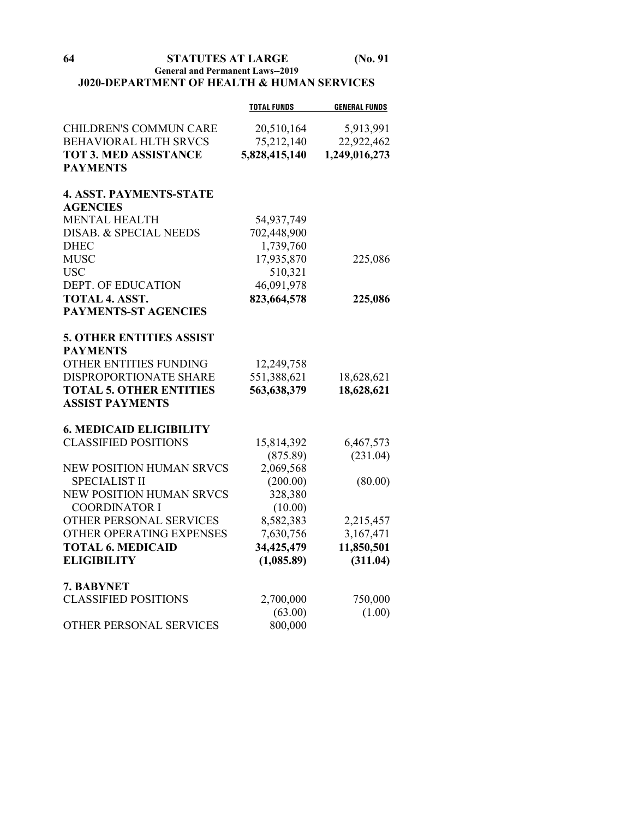# **General and Permanent Laws--2019 J020-DEPARTMENT OF HEALTH & HUMAN SERVICES**

|                                 | <b>TOTAL FUNDS</b> | <b>GENERAL FUNDS</b> |
|---------------------------------|--------------------|----------------------|
| <b>CHILDREN'S COMMUN CARE</b>   | 20,510,164         | 5,913,991            |
| <b>BEHAVIORAL HLTH SRVCS</b>    | 75,212,140         | 22,922,462           |
| <b>TOT 3. MED ASSISTANCE</b>    | 5,828,415,140      | 1,249,016,273        |
| <b>PAYMENTS</b>                 |                    |                      |
| <b>4. ASST. PAYMENTS-STATE</b>  |                    |                      |
| <b>AGENCIES</b>                 |                    |                      |
| <b>MENTAL HEALTH</b>            | 54,937,749         |                      |
| DISAB. & SPECIAL NEEDS          | 702,448,900        |                      |
| <b>DHEC</b>                     | 1,739,760          |                      |
| <b>MUSC</b>                     | 17,935,870         | 225,086              |
| <b>USC</b>                      | 510,321            |                      |
| DEPT. OF EDUCATION              | 46,091,978         |                      |
| <b>TOTAL 4. ASST.</b>           | 823,664,578        | 225,086              |
| <b>PAYMENTS-ST AGENCIES</b>     |                    |                      |
| <b>5. OTHER ENTITIES ASSIST</b> |                    |                      |
| <b>PAYMENTS</b>                 |                    |                      |
| OTHER ENTITIES FUNDING          | 12,249,758         |                      |
| DISPROPORTIONATE SHARE          | 551,388,621        | 18,628,621           |
| <b>TOTAL 5. OTHER ENTITIES</b>  | 563,638,379        | 18,628,621           |
| <b>ASSIST PAYMENTS</b>          |                    |                      |
| <b>6. MEDICAID ELIGIBILITY</b>  |                    |                      |
| <b>CLASSIFIED POSITIONS</b>     | 15,814,392         | 6,467,573            |
|                                 | (875.89)           | (231.04)             |
| <b>NEW POSITION HUMAN SRVCS</b> | 2,069,568          |                      |
| <b>SPECIALIST II</b>            | (200.00)           | (80.00)              |
| NEW POSITION HUMAN SRVCS        | 328,380            |                      |
| <b>COORDINATOR I</b>            | (10.00)            |                      |
| OTHER PERSONAL SERVICES         | 8,582,383          | 2,215,457            |
| OTHER OPERATING EXPENSES        | 7,630,756          | 3,167,471            |
| <b>TOTAL 6. MEDICAID</b>        | 34,425,479         | 11,850,501           |
| <b>ELIGIBILITY</b>              | (1,085.89)         | (311.04)             |
| 7. BABYNET                      |                    |                      |
| <b>CLASSIFIED POSITIONS</b>     | 2,700,000          | 750,000              |
|                                 | (63.00)            | (1.00)               |
| OTHER PERSONAL SERVICES         | 800,000            |                      |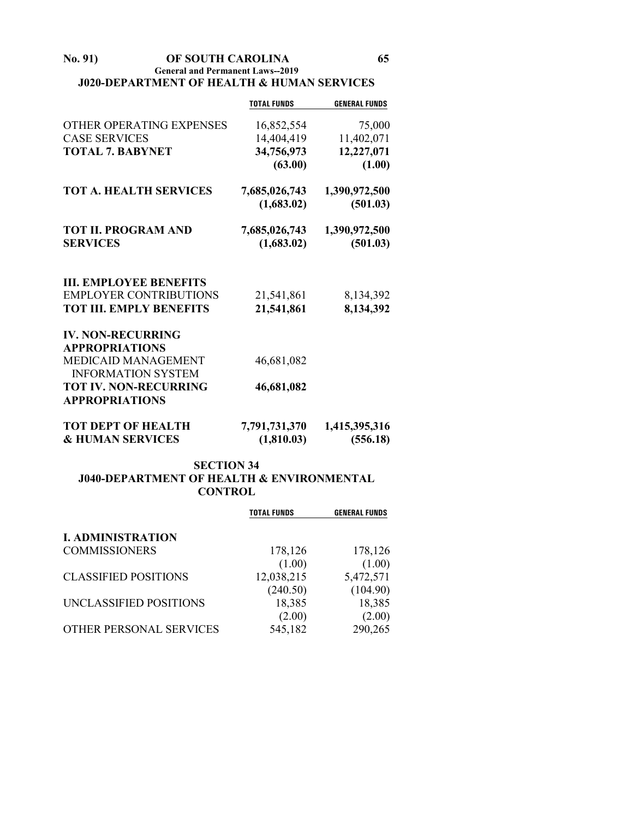#### **No. 91) OF SOUTH CAROLINA 65 General and Permanent Laws--2019 J020-DEPARTMENT OF HEALTH & HUMAN SERVICES**

|                                                          | <b>TOTAL FUNDS</b>          | <b>GENERAL FUNDS</b>      |
|----------------------------------------------------------|-----------------------------|---------------------------|
| OTHER OPERATING EXPENSES                                 | 16,852,554                  | 75,000                    |
| <b>CASE SERVICES</b>                                     | 14,404,419                  | 11,402,071                |
| <b>TOTAL 7. BABYNET</b>                                  | 34,756,973                  | 12,227,071                |
|                                                          | (63.00)                     | (1.00)                    |
| <b>TOT A. HEALTH SERVICES</b>                            | 7,685,026,743               | 1,390,972,500             |
|                                                          | (1,683.02)                  | (501.03)                  |
| <b>TOT II. PROGRAM AND</b>                               | 7,685,026,743               | 1,390,972,500             |
| <b>SERVICES</b>                                          | (1,683.02)                  | (501.03)                  |
| <b>III. EMPLOYEE BENEFITS</b>                            |                             |                           |
| <b>EMPLOYER CONTRIBUTIONS</b>                            | 21,541,861                  | 8,134,392                 |
| <b>TOT III. EMPLY BENEFITS</b>                           | 21,541,861                  | 8,134,392                 |
| <b>IV. NON-RECURRING</b><br><b>APPROPRIATIONS</b>        |                             |                           |
| <b>MEDICAID MANAGEMENT</b>                               | 46,681,082                  |                           |
| <b>INFORMATION SYSTEM</b>                                |                             |                           |
| <b>TOT IV. NON-RECURRING</b>                             | 46,681,082                  |                           |
| <b>APPROPRIATIONS</b>                                    |                             |                           |
| <b>TOT DEPT OF HEALTH</b><br><b>&amp; HUMAN SERVICES</b> | 7,791,731,370<br>(1,810.03) | 1,415,395,316<br>(556.18) |

# **SECTION 34 J040-DEPARTMENT OF HEALTH & ENVIRONMENTAL CONTROL**

|                             | <b>TOTAL FUNDS</b> | <b>GENERAL FUNDS</b> |
|-----------------------------|--------------------|----------------------|
| <b>I. ADMINISTRATION</b>    |                    |                      |
| <b>COMMISSIONERS</b>        | 178,126            | 178,126              |
|                             | (1.00)             | (1.00)               |
| <b>CLASSIFIED POSITIONS</b> | 12,038,215         | 5,472,571            |
|                             | (240.50)           | (104.90)             |
| UNCLASSIFIED POSITIONS      | 18,385             | 18,385               |
|                             | (2.00)             | (2.00)               |
| OTHER PERSONAL SERVICES     | 545,182            | 290,265              |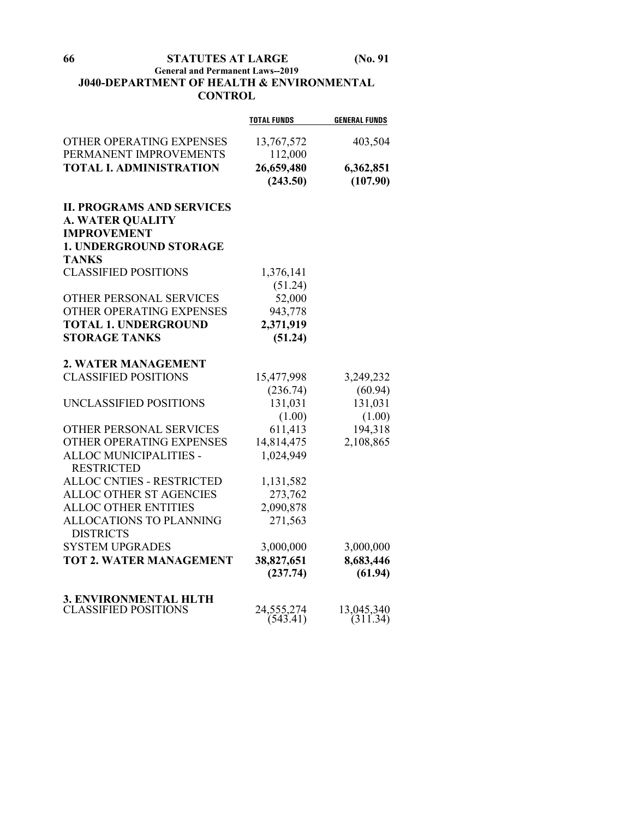# **General and Permanent Laws--2019 J040-DEPARTMENT OF HEALTH & ENVIRONMENTAL CONTROL**

|                                                                                   | <b>TOTAL FUNDS</b>     | <b>GENERAL FUNDS</b>   |
|-----------------------------------------------------------------------------------|------------------------|------------------------|
| OTHER OPERATING EXPENSES<br>PERMANENT IMPROVEMENTS                                | 13,767,572             | 403,504                |
| <b>TOTAL I. ADMINISTRATION</b>                                                    | 112,000                |                        |
|                                                                                   | 26,659,480<br>(243.50) | 6,362,851<br>(107.90)  |
| <b>II. PROGRAMS AND SERVICES</b><br><b>A. WATER QUALITY</b><br><b>IMPROVEMENT</b> |                        |                        |
| <b>1. UNDERGROUND STORAGE</b>                                                     |                        |                        |
| <b>TANKS</b>                                                                      |                        |                        |
| <b>CLASSIFIED POSITIONS</b>                                                       | 1,376,141              |                        |
|                                                                                   | (51.24)                |                        |
| <b>OTHER PERSONAL SERVICES</b>                                                    | 52,000                 |                        |
| OTHER OPERATING EXPENSES                                                          | 943,778                |                        |
| <b>TOTAL 1. UNDERGROUND</b>                                                       | 2,371,919              |                        |
| <b>STORAGE TANKS</b>                                                              | (51.24)                |                        |
| 2. WATER MANAGEMENT                                                               |                        |                        |
| <b>CLASSIFIED POSITIONS</b>                                                       | 15,477,998             | 3,249,232              |
|                                                                                   | (236.74)               | (60.94)                |
| UNCLASSIFIED POSITIONS                                                            | 131,031                | 131,031                |
|                                                                                   | (1.00)                 | (1.00)                 |
| OTHER PERSONAL SERVICES                                                           | 611,413                | 194,318                |
| OTHER OPERATING EXPENSES                                                          | 14,814,475             | 2,108,865              |
| ALLOC MUNICIPALITIES -                                                            | 1,024,949              |                        |
| <b>RESTRICTED</b>                                                                 |                        |                        |
| <b>ALLOC CNTIES - RESTRICTED</b>                                                  | 1,131,582              |                        |
| ALLOC OTHER ST AGENCIES                                                           | 273,762                |                        |
| <b>ALLOC OTHER ENTITIES</b>                                                       | 2,090,878              |                        |
| ALLOCATIONS TO PLANNING<br><b>DISTRICTS</b>                                       | 271,563                |                        |
| <b>SYSTEM UPGRADES</b>                                                            | 3,000,000              | 3,000,000              |
| <b>TOT 2. WATER MANAGEMENT</b>                                                    | 38,827,651             | 8,683,446              |
|                                                                                   | (237.74)               | (61.94)                |
| 3. ENVIRONMENTAL HLTH                                                             |                        |                        |
| <b>CLASSIFIED POSITIONS</b>                                                       | 24,555,274<br>(543.41) | 13,045,340<br>(311.34) |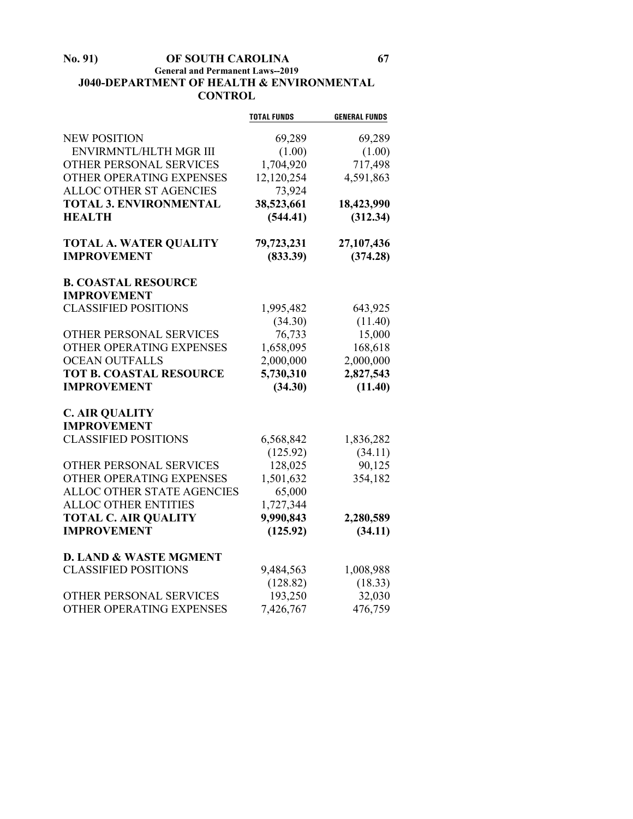# **No. 91) OF SOUTH CAROLINA 67 General and Permanent Laws--2019 J040-DEPARTMENT OF HEALTH & ENVIRONMENTAL CONTROL**

|                                   | <b>TOTAL FUNDS</b> | <b>GENERAL FUNDS</b> |
|-----------------------------------|--------------------|----------------------|
| <b>NEW POSITION</b>               | 69,289             | 69,289               |
| ENVIRMNTL/HLTH MGR III            | (1.00)             | (1.00)               |
| OTHER PERSONAL SERVICES           | 1,704,920          | 717,498              |
| OTHER OPERATING EXPENSES          | 12,120,254         | 4,591,863            |
| ALLOC OTHER ST AGENCIES           | 73,924             |                      |
| <b>TOTAL 3. ENVIRONMENTAL</b>     | 38,523,661         | 18,423,990           |
| <b>HEALTH</b>                     | (544.41)           | (312.34)             |
| <b>TOTAL A. WATER QUALITY</b>     | 79,723,231         | 27,107,436           |
| <b>IMPROVEMENT</b>                | (833.39)           | (374.28)             |
| <b>B. COASTAL RESOURCE</b>        |                    |                      |
| <b>IMPROVEMENT</b>                |                    |                      |
| <b>CLASSIFIED POSITIONS</b>       | 1,995,482          | 643,925              |
|                                   | (34.30)            | (11.40)              |
| OTHER PERSONAL SERVICES           | 76,733             | 15,000               |
| OTHER OPERATING EXPENSES          | 1,658,095          | 168,618              |
| <b>OCEAN OUTFALLS</b>             | 2,000,000          | 2,000,000            |
| <b>TOT B. COASTAL RESOURCE</b>    | 5,730,310          | 2,827,543            |
| <b>IMPROVEMENT</b>                | (34.30)            | (11.40)              |
| <b>C. AIR QUALITY</b>             |                    |                      |
| <b>IMPROVEMENT</b>                |                    |                      |
| <b>CLASSIFIED POSITIONS</b>       | 6,568,842          | 1,836,282            |
|                                   | (125.92)           | (34.11)              |
| <b>OTHER PERSONAL SERVICES</b>    | 128,025            | 90,125               |
| OTHER OPERATING EXPENSES          | 1,501,632          | 354,182              |
| ALLOC OTHER STATE AGENCIES        | 65,000             |                      |
| <b>ALLOC OTHER ENTITIES</b>       | 1,727,344          |                      |
| <b>TOTAL C. AIR QUALITY</b>       | 9,990,843          | 2,280,589            |
| <b>IMPROVEMENT</b>                | (125.92)           | (34.11)              |
| <b>D. LAND &amp; WASTE MGMENT</b> |                    |                      |
| <b>CLASSIFIED POSITIONS</b>       | 9,484,563          | 1,008,988            |
|                                   | (128.82)           | (18.33)              |
| OTHER PERSONAL SERVICES           | 193,250            | 32,030               |
| OTHER OPERATING EXPENSES          | 7,426,767          | 476,759              |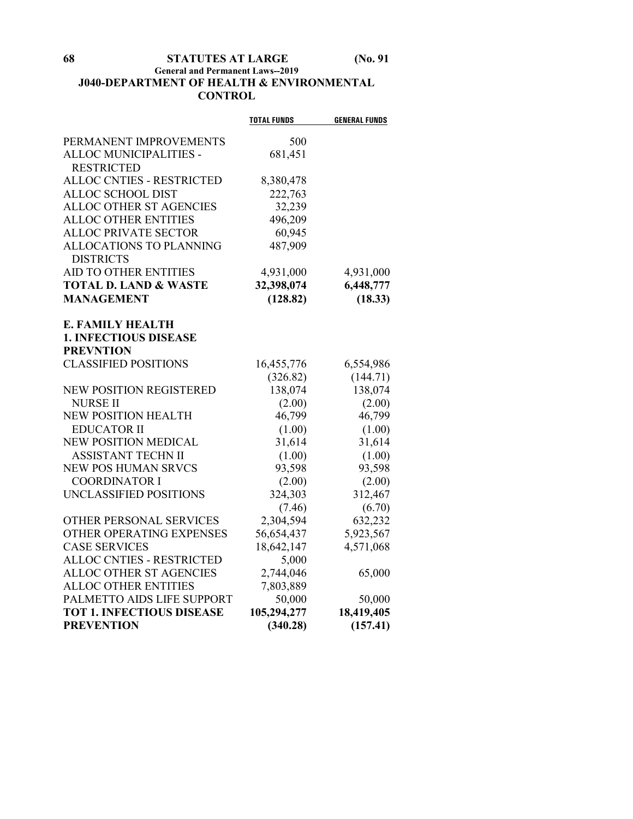# **General and Permanent Laws--2019 J040-DEPARTMENT OF HEALTH & ENVIRONMENTAL CONTROL**

|                                  | <b>TOTAL FUNDS</b> | <b>GENERAL FUNDS</b> |
|----------------------------------|--------------------|----------------------|
| PERMANENT IMPROVEMENTS           | 500                |                      |
| ALLOC MUNICIPALITIES -           | 681,451            |                      |
| <b>RESTRICTED</b>                |                    |                      |
| <b>ALLOC CNTIES - RESTRICTED</b> | 8,380,478          |                      |
| ALLOC SCHOOL DIST                | 222,763            |                      |
| ALLOC OTHER ST AGENCIES          | 32,239             |                      |
| <b>ALLOC OTHER ENTITIES</b>      | 496,209            |                      |
| <b>ALLOC PRIVATE SECTOR</b>      | 60,945             |                      |
| ALLOCATIONS TO PLANNING          | 487,909            |                      |
| <b>DISTRICTS</b>                 |                    |                      |
| <b>AID TO OTHER ENTITIES</b>     | 4,931,000          | 4,931,000            |
| <b>TOTAL D. LAND &amp; WASTE</b> | 32,398,074         | 6,448,777            |
| <b>MANAGEMENT</b>                | (128.82)           | (18.33)              |
|                                  |                    |                      |
| <b>E. FAMILY HEALTH</b>          |                    |                      |
| <b>1. INFECTIOUS DISEASE</b>     |                    |                      |
| <b>PREVNTION</b>                 |                    |                      |
| <b>CLASSIFIED POSITIONS</b>      | 16,455,776         | 6,554,986            |
|                                  | (326.82)           | (144.71)             |
| NEW POSITION REGISTERED          | 138,074            | 138,074              |
| <b>NURSE II</b>                  | (2.00)             | (2.00)               |
| <b>NEW POSITION HEALTH</b>       | 46,799             | 46,799               |
| <b>EDUCATOR II</b>               | (1.00)             | (1.00)               |
| <b>NEW POSITION MEDICAL</b>      | 31,614             | 31,614               |
| <b>ASSISTANT TECHN II</b>        | (1.00)             | (1.00)               |
| <b>NEW POS HUMAN SRVCS</b>       | 93,598             | 93,598               |
| <b>COORDINATOR I</b>             | (2.00)             | (2.00)               |
| UNCLASSIFIED POSITIONS           | 324,303            | 312,467              |
|                                  | (7.46)             | (6.70)               |
| OTHER PERSONAL SERVICES          | 2,304,594          | 632,232              |
| OTHER OPERATING EXPENSES         | 56,654,437         | 5,923,567            |
| <b>CASE SERVICES</b>             | 18,642,147         | 4,571,068            |
| <b>ALLOC CNTIES - RESTRICTED</b> | 5,000              |                      |
| ALLOC OTHER ST AGENCIES          | 2,744,046          | 65,000               |
| <b>ALLOC OTHER ENTITIES</b>      | 7,803,889          |                      |
| PALMETTO AIDS LIFE SUPPORT       | 50,000             | 50,000               |
| <b>TOT 1. INFECTIOUS DISEASE</b> | 105,294,277        | 18,419,405           |
| <b>PREVENTION</b>                | (340.28)           | (157.41)             |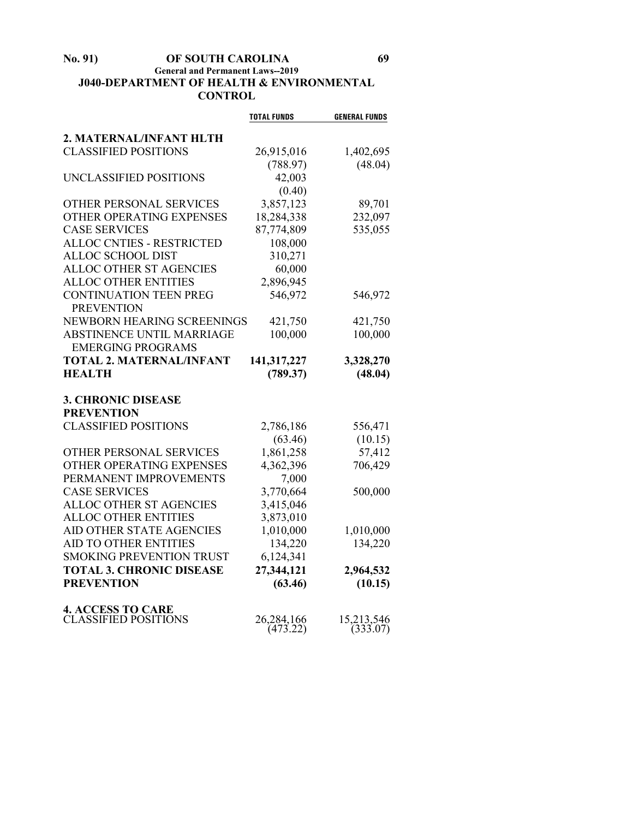# **No. 91) OF SOUTH CAROLINA 69 General and Permanent Laws--2019 J040-DEPARTMENT OF HEALTH & ENVIRONMENTAL CONTROL**

|                                                | <b>TOTAL FUNDS</b> | <b>GENERAL FUNDS</b> |
|------------------------------------------------|--------------------|----------------------|
| 2. MATERNAL/INFANT HLTH                        |                    |                      |
| <b>CLASSIFIED POSITIONS</b>                    | 26,915,016         | 1,402,695            |
|                                                | (788.97)           | (48.04)              |
| UNCLASSIFIED POSITIONS                         | 42,003             |                      |
|                                                | (0.40)             |                      |
| OTHER PERSONAL SERVICES                        | 3,857,123          | 89,701               |
| OTHER OPERATING EXPENSES                       | 18,284,338         | 232,097              |
| <b>CASE SERVICES</b>                           | 87,774,809         | 535,055              |
| <b>ALLOC CNTIES - RESTRICTED</b>               | 108,000            |                      |
| ALLOC SCHOOL DIST                              | 310,271            |                      |
| ALLOC OTHER ST AGENCIES                        | 60,000             |                      |
| <b>ALLOC OTHER ENTITIES</b>                    | 2,896,945          |                      |
| <b>CONTINUATION TEEN PREG</b>                  | 546,972            | 546,972              |
| <b>PREVENTION</b>                              |                    |                      |
| NEWBORN HEARING SCREENINGS                     | 421,750            | 421,750              |
| <b>ABSTINENCE UNTIL MARRIAGE</b>               | 100,000            | 100,000              |
| <b>EMERGING PROGRAMS</b>                       |                    |                      |
| <b>TOTAL 2. MATERNAL/INFANT</b>                | 141,317,227        | 3,328,270            |
| <b>HEALTH</b>                                  | (789.37)           | (48.04)              |
|                                                |                    |                      |
| <b>3. CHRONIC DISEASE</b><br><b>PREVENTION</b> |                    |                      |
| <b>CLASSIFIED POSITIONS</b>                    | 2,786,186          | 556,471              |
|                                                | (63.46)            | (10.15)              |
| OTHER PERSONAL SERVICES                        | 1,861,258          | 57,412               |
| OTHER OPERATING EXPENSES                       | 4,362,396          | 706,429              |
| PERMANENT IMPROVEMENTS                         | 7,000              |                      |
| <b>CASE SERVICES</b>                           | 3,770,664          | 500,000              |
| ALLOC OTHER ST AGENCIES                        | 3,415,046          |                      |
| <b>ALLOC OTHER ENTITIES</b>                    | 3,873,010          |                      |
| AID OTHER STATE AGENCIES                       | 1,010,000          | 1,010,000            |
| AID TO OTHER ENTITIES                          | 134,220            | 134,220              |
| <b>SMOKING PREVENTION TRUST</b>                | 6,124,341          |                      |
| <b>TOTAL 3. CHRONIC DISEASE</b>                | 27,344,121         | 2,964,532            |
| <b>PREVENTION</b>                              | (63.46)            | (10.15)              |
|                                                |                    |                      |
| <b>4. ACCESS TO CARE</b>                       |                    |                      |
| <b>CLASSIFIED POSITIONS</b>                    | 26,284,166         | 15,213,546           |
|                                                | (473.22)           | (333.07)             |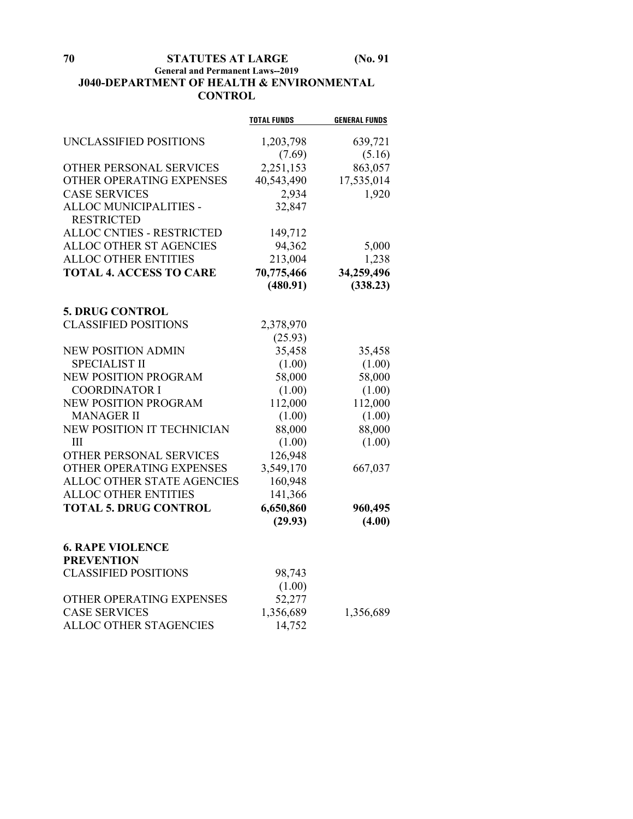# **General and Permanent Laws--2019 J040-DEPARTMENT OF HEALTH & ENVIRONMENTAL CONTROL**

|                                              | <b>TOTAL FUNDS</b> | <b>GENERAL FUNDS</b> |
|----------------------------------------------|--------------------|----------------------|
| UNCLASSIFIED POSITIONS                       | 1,203,798          | 639,721              |
|                                              | (7.69)             | (5.16)               |
| OTHER PERSONAL SERVICES                      | 2,251,153          | 863,057              |
| OTHER OPERATING EXPENSES                     | 40,543,490         | 17,535,014           |
| <b>CASE SERVICES</b>                         | 2,934              | 1,920                |
| ALLOC MUNICIPALITIES -                       | 32,847             |                      |
| <b>RESTRICTED</b>                            |                    |                      |
| ALLOC CNTIES - RESTRICTED                    | 149,712            |                      |
| ALLOC OTHER ST AGENCIES                      | 94,362             | 5,000                |
| <b>ALLOC OTHER ENTITIES</b>                  | 213,004            | 1,238                |
| <b>TOTAL 4. ACCESS TO CARE</b>               | 70,775,466         | 34,259,496           |
|                                              | (480.91)           | (338.23)             |
|                                              |                    |                      |
| <b>5. DRUG CONTROL</b>                       |                    |                      |
| <b>CLASSIFIED POSITIONS</b>                  | 2,378,970          |                      |
|                                              | (25.93)            |                      |
| <b>NEW POSITION ADMIN</b>                    | 35,458             | 35,458               |
| <b>SPECIALIST II</b>                         | (1.00)             | (1.00)               |
| <b>NEW POSITION PROGRAM</b>                  | 58,000             | 58,000               |
| <b>COORDINATOR I</b>                         | (1.00)             | (1.00)               |
| NEW POSITION PROGRAM                         | 112,000            | 112,000              |
| <b>MANAGER II</b>                            | (1.00)             | (1.00)               |
| NEW POSITION IT TECHNICIAN                   | 88,000             | 88,000               |
| Ш                                            | (1.00)             | (1.00)               |
| OTHER PERSONAL SERVICES                      | 126,948            |                      |
| OTHER OPERATING EXPENSES                     | 3,549,170          | 667,037              |
| ALLOC OTHER STATE AGENCIES                   | 160,948            |                      |
| <b>ALLOC OTHER ENTITIES</b>                  | 141,366            |                      |
| <b>TOTAL 5. DRUG CONTROL</b>                 | 6,650,860          | 960,495              |
|                                              | (29.93)            | (4.00)               |
|                                              |                    |                      |
| <b>6. RAPE VIOLENCE</b><br><b>PREVENTION</b> |                    |                      |
| <b>CLASSIFIED POSITIONS</b>                  | 98,743             |                      |
|                                              | (1.00)             |                      |
| OTHER OPERATING EXPENSES                     | 52,277             |                      |
| <b>CASE SERVICES</b>                         | 1,356,689          | 1,356,689            |
| ALLOC OTHER STAGENCIES                       | 14,752             |                      |
|                                              |                    |                      |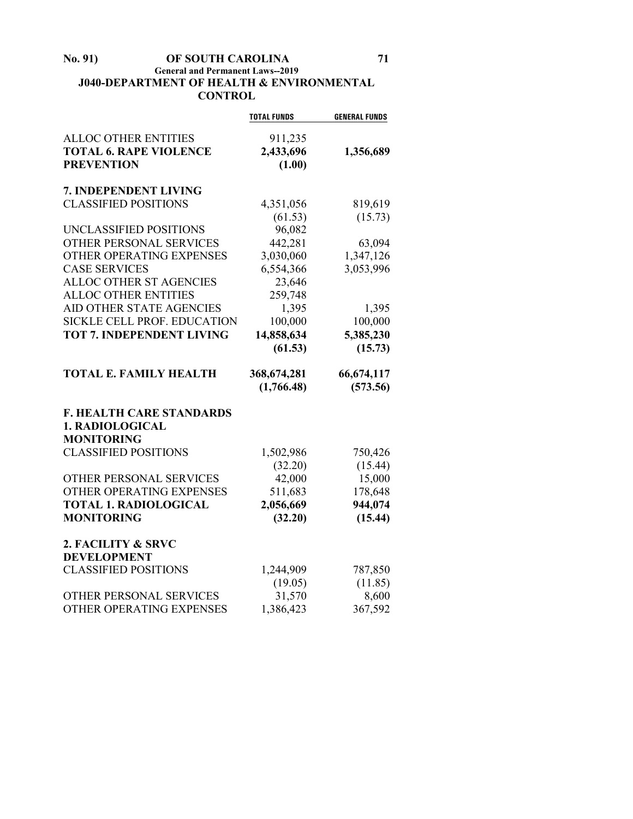#### **No. 91) OF SOUTH CAROLINA 71 General and Permanent Laws--2019 J040-DEPARTMENT OF HEALTH & ENVIRONMENTAL CONTROL**

|                                  | <b>TOTAL FUNDS</b> | <b>GENERAL FUNDS</b> |
|----------------------------------|--------------------|----------------------|
| <b>ALLOC OTHER ENTITIES</b>      | 911,235            |                      |
| <b>TOTAL 6. RAPE VIOLENCE</b>    | 2,433,696          | 1,356,689            |
| <b>PREVENTION</b>                | (1.00)             |                      |
| 7. INDEPENDENT LIVING            |                    |                      |
| <b>CLASSIFIED POSITIONS</b>      | 4,351,056          | 819,619              |
|                                  | (61.53)            | (15.73)              |
| UNCLASSIFIED POSITIONS           | 96,082             |                      |
| <b>OTHER PERSONAL SERVICES</b>   | 442,281            | 63,094               |
| OTHER OPERATING EXPENSES         | 3,030,060          | 1,347,126            |
| <b>CASE SERVICES</b>             | 6,554,366          | 3,053,996            |
| ALLOC OTHER ST AGENCIES          | 23,646             |                      |
| <b>ALLOC OTHER ENTITIES</b>      | 259,748            |                      |
| AID OTHER STATE AGENCIES         | 1,395              | 1,395                |
| SICKLE CELL PROF. EDUCATION      | 100,000            | 100,000              |
| <b>TOT 7. INDEPENDENT LIVING</b> | 14,858,634         | 5,385,230            |
|                                  | (61.53)            | (15.73)              |
| <b>TOTAL E. FAMILY HEALTH</b>    | 368, 674, 281      | 66, 674, 117         |
|                                  | (1,766.48)         | (573.56)             |
| <b>F. HEALTH CARE STANDARDS</b>  |                    |                      |
| 1. RADIOLOGICAL                  |                    |                      |
| <b>MONITORING</b>                |                    |                      |
| <b>CLASSIFIED POSITIONS</b>      | 1,502,986          | 750,426              |
|                                  | (32.20)            | (15.44)              |
| OTHER PERSONAL SERVICES          | 42,000             | 15,000               |
| OTHER OPERATING EXPENSES         | 511,683            | 178,648              |
| <b>TOTAL 1. RADIOLOGICAL</b>     | 2,056,669          | 944,074              |
| <b>MONITORING</b>                | (32.20)            | (15.44)              |
| 2. FACILITY & SRVC               |                    |                      |
| <b>DEVELOPMENT</b>               |                    |                      |
| <b>CLASSIFIED POSITIONS</b>      | 1,244,909          | 787,850              |
|                                  | (19.05)            | (11.85)              |
| OTHER PERSONAL SERVICES          | 31,570             | 8,600                |
| OTHER OPERATING EXPENSES         | 1,386,423          | 367,592              |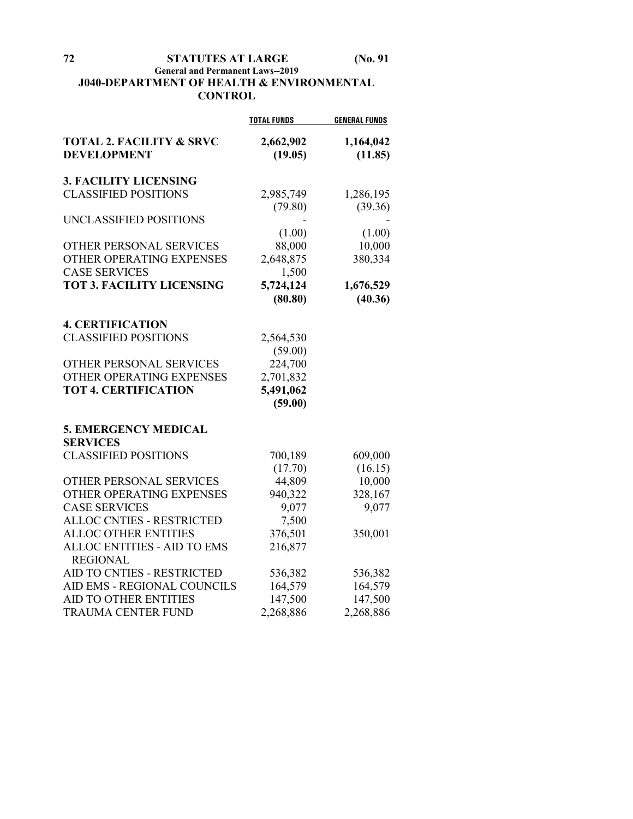# **General and Permanent Laws--2019 J040-DEPARTMENT OF HEALTH & ENVIRONMENTAL CONTROL**

|                                                           | <b>TOTAL FUNDS</b>   | <b>GENERAL FUNDS</b> |
|-----------------------------------------------------------|----------------------|----------------------|
| <b>TOTAL 2. FACILITY &amp; SRVC</b><br><b>DEVELOPMENT</b> | 2,662,902<br>(19.05) | 1,164,042<br>(11.85) |
| <b>3. FACILITY LICENSING</b>                              |                      |                      |
| <b>CLASSIFIED POSITIONS</b>                               | 2,985,749            | 1,286,195            |
|                                                           | (79.80)              | (39.36)              |
| UNCLASSIFIED POSITIONS                                    |                      |                      |
|                                                           | (1.00)               | (1.00)               |
| OTHER PERSONAL SERVICES                                   | 88,000               | 10,000               |
| OTHER OPERATING EXPENSES                                  | 2,648,875            | 380,334              |
| <b>CASE SERVICES</b>                                      | 1,500                |                      |
| <b>TOT 3. FACILITY LICENSING</b>                          | 5,724,124            | 1,676,529            |
|                                                           | (80.80)              | (40.36)              |
| <b>4. CERTIFICATION</b>                                   |                      |                      |
| <b>CLASSIFIED POSITIONS</b>                               | 2,564,530            |                      |
|                                                           | (59.00)              |                      |
| OTHER PERSONAL SERVICES                                   | 224,700              |                      |
| OTHER OPERATING EXPENSES                                  | 2,701,832            |                      |
| <b>TOT 4. CERTIFICATION</b>                               | 5,491,062            |                      |
|                                                           | (59.00)              |                      |
| <b>5. EMERGENCY MEDICAL</b>                               |                      |                      |
| <b>SERVICES</b>                                           |                      |                      |
| <b>CLASSIFIED POSITIONS</b>                               | 700,189              | 609,000              |
|                                                           | (17.70)              | (16.15)              |
| OTHER PERSONAL SERVICES                                   | 44,809               | 10,000               |
| OTHER OPERATING EXPENSES                                  | 940,322              | 328,167              |
| <b>CASE SERVICES</b>                                      | 9,077                | 9,077                |
| <b>ALLOC CNTIES - RESTRICTED</b>                          | 7,500                |                      |
| ALLOC OTHER ENTITIES                                      | 376,501              | 350,001              |
| ALLOC ENTITIES - AID TO EMS                               | 216,877              |                      |
| <b>REGIONAL</b>                                           |                      |                      |
| AID TO CNTIES - RESTRICTED                                | 536,382              | 536,382              |
| AID EMS - REGIONAL COUNCILS                               | 164,579              | 164,579              |
| <b>AID TO OTHER ENTITIES</b>                              | 147,500              | 147,500              |
| <b>TRAUMA CENTER FUND</b>                                 | 2,268,886            | 2,268,886            |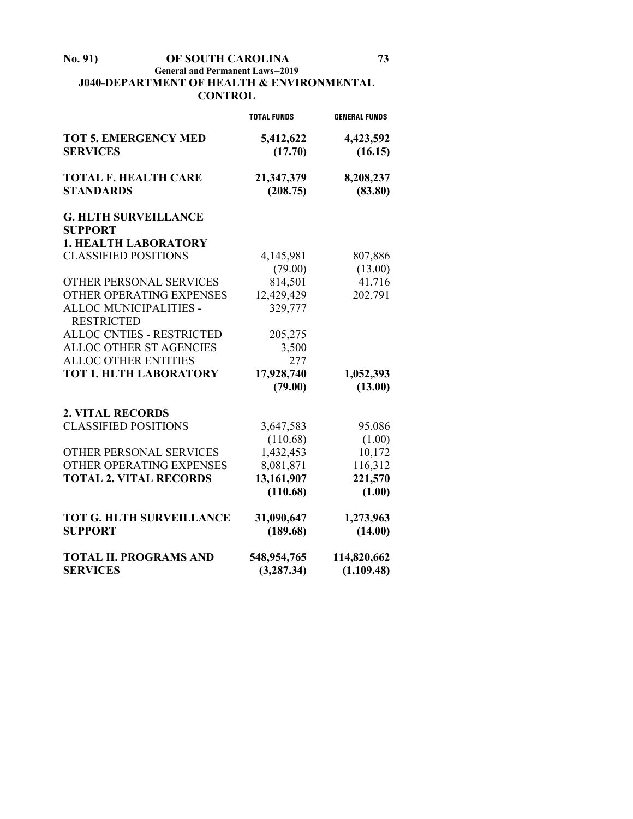## **No. 91) OF SOUTH CAROLINA 73 General and Permanent Laws--2019 J040-DEPARTMENT OF HEALTH & ENVIRONMENTAL CONTROL**

|                        | <b>GENERAL FUNDS</b>                                                   |
|------------------------|------------------------------------------------------------------------|
| 5,412,622<br>(17.70)   | 4,423,592<br>(16.15)                                                   |
| 21,347,379<br>(208.75) | 8,208,237<br>(83.80)                                                   |
|                        |                                                                        |
|                        |                                                                        |
| 4,145,981              | 807,886                                                                |
| (79.00)                | (13.00)                                                                |
| 814,501                | 41,716                                                                 |
| 12,429,429             | 202,791                                                                |
| 329,777                |                                                                        |
|                        |                                                                        |
| 3,500                  |                                                                        |
| 277                    |                                                                        |
| 17,928,740             | 1,052,393                                                              |
| (79.00)                | (13.00)                                                                |
|                        |                                                                        |
| 3,647,583              | 95,086                                                                 |
| (110.68)               | (1.00)                                                                 |
| 1,432,453              | 10,172                                                                 |
| 8,081,871              | 116,312                                                                |
|                        | 221,570                                                                |
|                        | (1.00)                                                                 |
| 31,090,647             | 1,273,963                                                              |
| (189.68)               | (14.00)                                                                |
| 548,954,765            | 114,820,662<br>(1,109.48)                                              |
|                        | <b>TOTAL FUNDS</b><br>205,275<br>13,161,907<br>(110.68)<br>(3, 287.34) |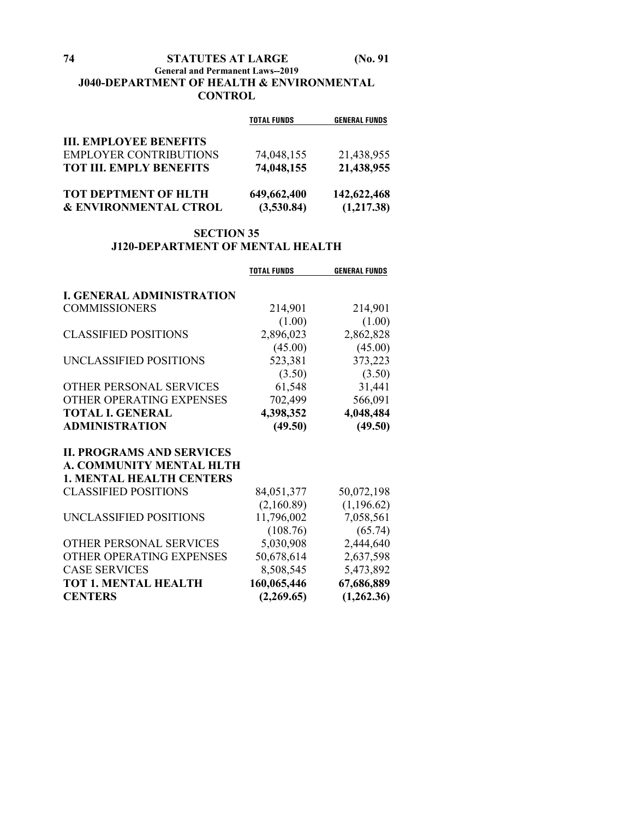# **74 STATUTES AT LARGE (No. 91**

## **General and Permanent Laws--2019 J040-DEPARTMENT OF HEALTH & ENVIRONMENTAL CONTROL**

|                                  | <b>TOTAL FUNDS</b> | <b>GENERAL FUNDS</b> |
|----------------------------------|--------------------|----------------------|
| <b>III. EMPLOYEE BENEFITS</b>    |                    |                      |
| <b>EMPLOYER CONTRIBUTIONS</b>    | 74,048,155         | 21,438,955           |
| <b>TOT III. EMPLY BENEFITS</b>   | 74,048,155         | 21,438,955           |
| <b>TOT DEPTMENT OF HLTH</b>      | 649,662,400        | 142,622,468          |
| <b>&amp; ENVIRONMENTAL CTROL</b> | (3,530.84)         | (1,217.38)           |

## **SECTION 35 J120-DEPARTMENT OF MENTAL HEALTH**

|                                  | <b>TOTAL FUNDS</b> | <b>GENERAL FUNDS</b> |
|----------------------------------|--------------------|----------------------|
| <b>I. GENERAL ADMINISTRATION</b> |                    |                      |
|                                  |                    |                      |
| <b>COMMISSIONERS</b>             | 214,901            | 214,901              |
|                                  | (1.00)             | (1.00)               |
| <b>CLASSIFIED POSITIONS</b>      | 2,896,023          | 2,862,828            |
|                                  | (45.00)            | (45.00)              |
| UNCLASSIFIED POSITIONS           | 523,381            | 373,223              |
|                                  | (3.50)             | (3.50)               |
| OTHER PERSONAL SERVICES          | 61,548             | 31,441               |
| OTHER OPERATING EXPENSES         | 702,499            | 566,091              |
| <b>TOTAL I. GENERAL</b>          | 4,398,352          | 4,048,484            |
| <b>ADMINISTRATION</b>            | (49.50)            | (49.50)              |
| <b>II. PROGRAMS AND SERVICES</b> |                    |                      |
| A. COMMUNITY MENTAL HLTH         |                    |                      |
| <b>1. MENTAL HEALTH CENTERS</b>  |                    |                      |
| <b>CLASSIFIED POSITIONS</b>      | 84,051,377         | 50,072,198           |
|                                  | (2,160.89)         | (1,196.62)           |
| UNCLASSIFIED POSITIONS           | 11,796,002         | 7,058,561            |
|                                  | (108.76)           | (65.74)              |
| OTHER PERSONAL SERVICES          | 5,030,908          | 2,444,640            |
| OTHER OPERATING EXPENSES         | 50,678,614         | 2,637,598            |
| <b>CASE SERVICES</b>             | 8,508,545          | 5,473,892            |
| <b>TOT 1. MENTAL HEALTH</b>      |                    |                      |
|                                  | 160,065,446        | 67,686,889           |
| <b>CENTERS</b>                   | (2,269.65)         | (1,262.36)           |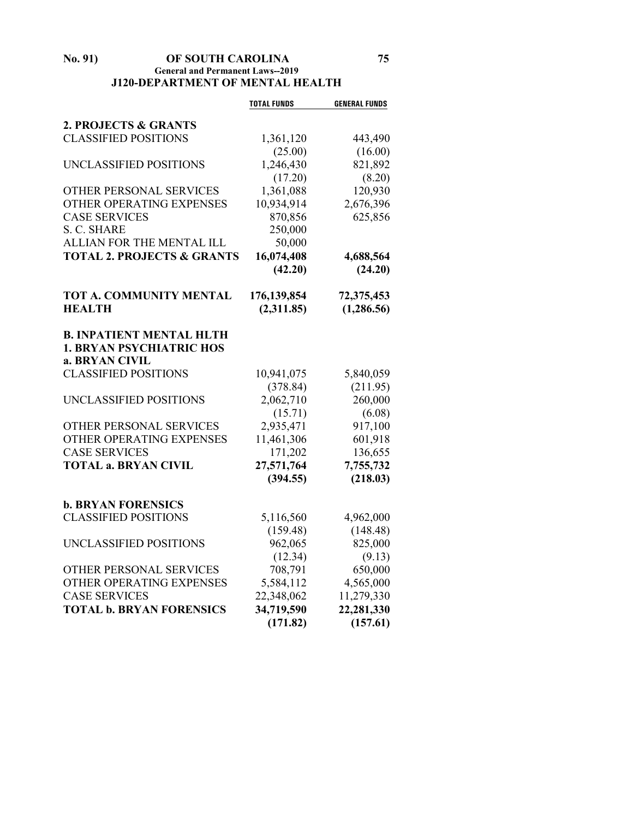#### **No. 91) OF SOUTH CAROLINA 75 General and Permanent Laws--2019 J120-DEPARTMENT OF MENTAL HEALTH**

|                                       | <b>TOTAL FUNDS</b>     | <b>GENERAL FUNDS</b>  |
|---------------------------------------|------------------------|-----------------------|
| 2. PROJECTS & GRANTS                  |                        |                       |
| <b>CLASSIFIED POSITIONS</b>           | 1,361,120              | 443,490               |
|                                       | (25.00)                | (16.00)               |
| UNCLASSIFIED POSITIONS                | 1,246,430              | 821,892               |
|                                       | (17.20)                | (8.20)                |
| OTHER PERSONAL SERVICES               | 1,361,088              | 120,930               |
| OTHER OPERATING EXPENSES              | 10,934,914             | 2,676,396             |
| <b>CASE SERVICES</b>                  | 870,856                | 625,856               |
| S. C. SHARE                           | 250,000                |                       |
| ALLIAN FOR THE MENTAL ILL             | 50,000                 |                       |
| <b>TOTAL 2. PROJECTS &amp; GRANTS</b> | 16,074,408             | 4,688,564             |
|                                       | (42.20)                | (24.20)               |
| TOT A. COMMUNITY MENTAL               | 176,139,854            | 72,375,453            |
| <b>HEALTH</b>                         | (2,311.85)             | (1, 286.56)           |
|                                       |                        |                       |
| <b>B. INPATIENT MENTAL HLTH</b>       |                        |                       |
| <b>1. BRYAN PSYCHIATRIC HOS</b>       |                        |                       |
| a. BRYAN CIVIL                        |                        |                       |
| <b>CLASSIFIED POSITIONS</b>           | 10,941,075             | 5,840,059             |
|                                       | (378.84)               | (211.95)              |
| UNCLASSIFIED POSITIONS                | 2,062,710              | 260,000               |
|                                       | (15.71)                | (6.08)                |
| OTHER PERSONAL SERVICES               | 2,935,471              | 917,100               |
| OTHER OPERATING EXPENSES              | 11,461,306             | 601,918               |
| <b>CASE SERVICES</b>                  | 171,202                | 136,655               |
| <b>TOTAL a. BRYAN CIVIL</b>           | 27,571,764<br>(394.55) | 7,755,732<br>(218.03) |
|                                       |                        |                       |
| <b>b. BRYAN FORENSICS</b>             |                        |                       |
| <b>CLASSIFIED POSITIONS</b>           | 5,116,560              | 4,962,000             |
|                                       | (159.48)               | (148.48)              |
| UNCLASSIFIED POSITIONS                | 962,065                | 825,000               |
|                                       | (12.34)                | (9.13)                |
| OTHER PERSONAL SERVICES               | 708,791                | 650,000               |
| OTHER OPERATING EXPENSES              | 5,584,112              | 4,565,000             |
| <b>CASE SERVICES</b>                  | 22,348,062             | 11,279,330            |
| <b>TOTAL b. BRYAN FORENSICS</b>       | 34,719,590             | 22,281,330            |
|                                       | (171.82)               | (157.61)              |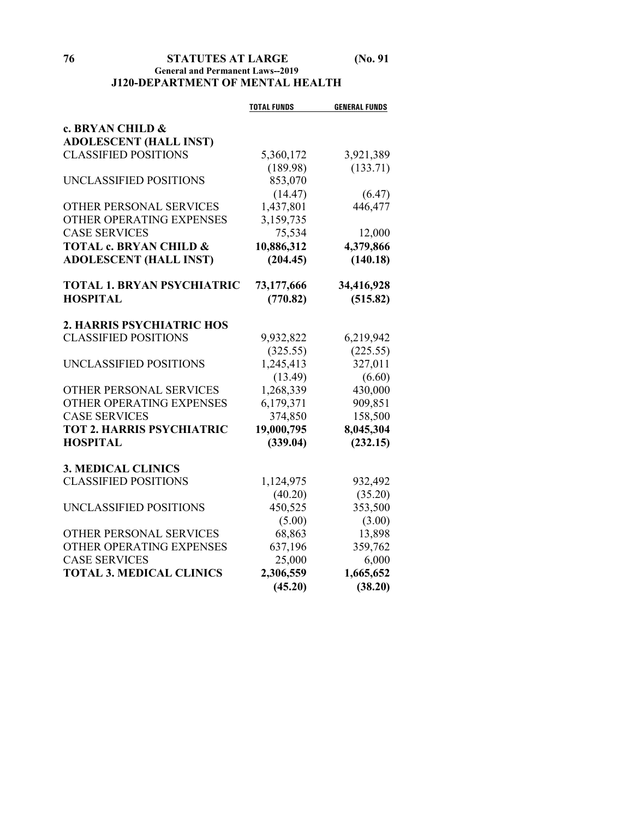## **76 STATUTES AT LARGE (No. 91 General and Permanent Laws--2019 J120-DEPARTMENT OF MENTAL HEALTH**

|                                   | <b>TOTAL FUNDS</b> | <b>GENERAL FUNDS</b> |
|-----------------------------------|--------------------|----------------------|
| c. BRYAN CHILD &                  |                    |                      |
| <b>ADOLESCENT (HALL INST)</b>     |                    |                      |
| <b>CLASSIFIED POSITIONS</b>       | 5,360,172          | 3,921,389            |
|                                   | (189.98)           | (133.71)             |
| UNCLASSIFIED POSITIONS            | 853,070            |                      |
|                                   | (14.47)            | (6.47)               |
| <b>OTHER PERSONAL SERVICES</b>    | 1,437,801          | 446,477              |
| OTHER OPERATING EXPENSES          | 3,159,735          |                      |
| <b>CASE SERVICES</b>              | 75,534             | 12,000               |
| <b>TOTAL c. BRYAN CHILD &amp;</b> | 10,886,312         | 4,379,866            |
| <b>ADOLESCENT (HALL INST)</b>     | (204.45)           | (140.18)             |
| <b>TOTAL 1. BRYAN PSYCHIATRIC</b> | 73,177,666         | 34,416,928           |
| <b>HOSPITAL</b>                   | (770.82)           | (515.82)             |
| 2. HARRIS PSYCHIATRIC HOS         |                    |                      |
| <b>CLASSIFIED POSITIONS</b>       | 9,932,822          | 6,219,942            |
|                                   | (325.55)           | (225.55)             |
| UNCLASSIFIED POSITIONS            | 1,245,413          | 327,011              |
|                                   | (13.49)            | (6.60)               |
| <b>OTHER PERSONAL SERVICES</b>    | 1,268,339          | 430,000              |
| OTHER OPERATING EXPENSES          | 6,179,371          | 909,851              |
| <b>CASE SERVICES</b>              | 374,850            | 158,500              |
| <b>TOT 2. HARRIS PSYCHIATRIC</b>  | 19,000,795         | 8,045,304            |
| <b>HOSPITAL</b>                   | (339.04)           | (232.15)             |
| <b>3. MEDICAL CLINICS</b>         |                    |                      |
| <b>CLASSIFIED POSITIONS</b>       | 1,124,975          | 932,492              |
|                                   | (40.20)            | (35.20)              |
| UNCLASSIFIED POSITIONS            | 450,525            | 353,500              |
|                                   | (5.00)             | (3.00)               |
| OTHER PERSONAL SERVICES           | 68,863             | 13,898               |
| OTHER OPERATING EXPENSES          | 637,196            | 359,762              |
| <b>CASE SERVICES</b>              | 25,000             | 6,000                |
| <b>TOTAL 3. MEDICAL CLINICS</b>   | 2,306,559          | 1,665,652            |
|                                   | (45.20)            | (38.20)              |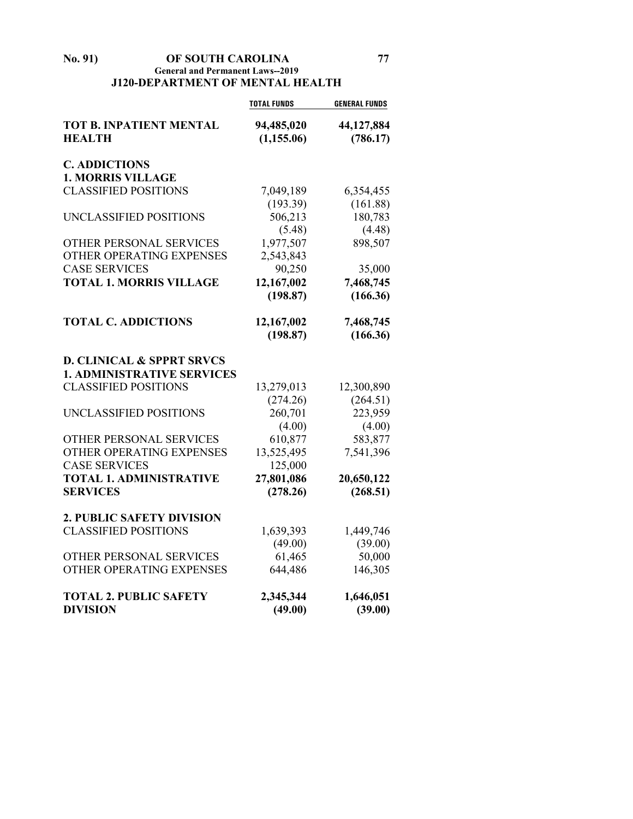### **No. 91) OF SOUTH CAROLINA 77 General and Permanent Laws--2019 J120-DEPARTMENT OF MENTAL HEALTH**

|                                                 | <b>TOTAL FUNDS</b>        | <b>GENERAL FUNDS</b>   |
|-------------------------------------------------|---------------------------|------------------------|
| <b>TOT B. INPATIENT MENTAL</b><br><b>HEALTH</b> | 94,485,020<br>(1, 155.06) | 44,127,884<br>(786.17) |
| <b>C. ADDICTIONS</b>                            |                           |                        |
| <b>1. MORRIS VILLAGE</b>                        |                           |                        |
| <b>CLASSIFIED POSITIONS</b>                     | 7,049,189                 | 6,354,455              |
|                                                 | (193.39)                  | (161.88)               |
| UNCLASSIFIED POSITIONS                          | 506,213                   | 180,783                |
|                                                 | (5.48)                    | (4.48)                 |
| OTHER PERSONAL SERVICES                         | 1,977,507                 | 898,507                |
| OTHER OPERATING EXPENSES                        | 2,543,843                 |                        |
| <b>CASE SERVICES</b>                            | 90,250                    | 35,000                 |
| <b>TOTAL 1. MORRIS VILLAGE</b>                  | 12,167,002                | 7,468,745              |
|                                                 | (198.87)                  | (166.36)               |
| <b>TOTAL C. ADDICTIONS</b>                      | 12,167,002                | 7,468,745              |
|                                                 | (198.87)                  | (166.36)               |
| <b>D. CLINICAL &amp; SPPRT SRVCS</b>            |                           |                        |
| <b>1. ADMINISTRATIVE SERVICES</b>               |                           |                        |
| <b>CLASSIFIED POSITIONS</b>                     | 13,279,013                | 12,300,890             |
|                                                 | (274.26)                  | (264.51)               |
| UNCLASSIFIED POSITIONS                          | 260,701                   | 223,959                |
|                                                 | (4.00)                    | (4.00)                 |
| OTHER PERSONAL SERVICES                         | 610,877                   | 583,877                |
| OTHER OPERATING EXPENSES                        | 13,525,495                | 7,541,396              |
| <b>CASE SERVICES</b>                            | 125,000                   |                        |
| <b>TOTAL 1. ADMINISTRATIVE</b>                  | 27,801,086                | 20,650,122             |
| <b>SERVICES</b>                                 | (278.26)                  | (268.51)               |
| 2. PUBLIC SAFETY DIVISION                       |                           |                        |
| <b>CLASSIFIED POSITIONS</b>                     | 1,639,393                 | 1,449,746              |
|                                                 | (49.00)                   | (39.00)                |
| OTHER PERSONAL SERVICES                         | 61,465                    | 50,000                 |
| OTHER OPERATING EXPENSES                        | 644,486                   | 146,305                |
| <b>TOTAL 2. PUBLIC SAFETY</b>                   | 2,345,344                 | 1,646,051              |
| <b>DIVISION</b>                                 | (49.00)                   | (39.00)                |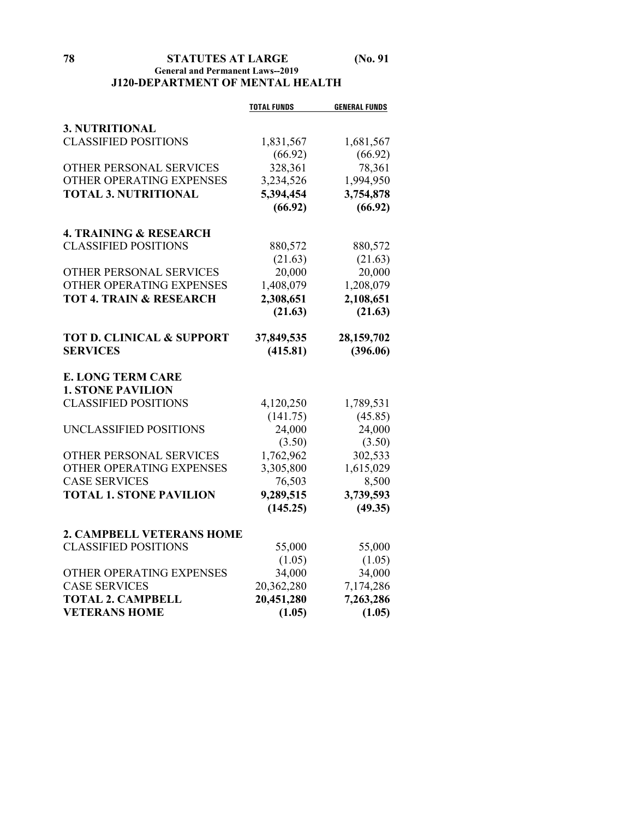## **78 STATUTES AT LARGE (No. 91 General and Permanent Laws--2019 J120-DEPARTMENT OF MENTAL HEALTH**

|                                      | <b>TOTAL FUNDS</b> | <b>GENERAL FUNDS</b> |
|--------------------------------------|--------------------|----------------------|
| 3. NUTRITIONAL                       |                    |                      |
| <b>CLASSIFIED POSITIONS</b>          | 1,831,567          | 1,681,567            |
|                                      | (66.92)            | (66.92)              |
| OTHER PERSONAL SERVICES              | 328,361            | 78,361               |
| OTHER OPERATING EXPENSES             | 3,234,526          | 1,994,950            |
| <b>TOTAL 3. NUTRITIONAL</b>          | 5,394,454          | 3,754,878            |
|                                      | (66.92)            | (66.92)              |
|                                      |                    |                      |
| <b>4. TRAINING &amp; RESEARCH</b>    |                    |                      |
| <b>CLASSIFIED POSITIONS</b>          | 880,572            | 880,572              |
|                                      | (21.63)            | (21.63)              |
| OTHER PERSONAL SERVICES              | 20,000             | 20,000               |
| OTHER OPERATING EXPENSES             | 1,408,079          | 1,208,079            |
| <b>TOT 4. TRAIN &amp; RESEARCH</b>   | 2,308,651          | 2,108,651            |
|                                      | (21.63)            | (21.63)              |
|                                      |                    |                      |
| <b>TOT D. CLINICAL &amp; SUPPORT</b> | 37,849,535         | 28,159,702           |
| <b>SERVICES</b>                      | (415.81)           | (396.06)             |
|                                      |                    |                      |
| <b>E. LONG TERM CARE</b>             |                    |                      |
| <b>1. STONE PAVILION</b>             |                    |                      |
| <b>CLASSIFIED POSITIONS</b>          | 4,120,250          | 1,789,531            |
|                                      | (141.75)           | (45.85)              |
| UNCLASSIFIED POSITIONS               | 24,000             | 24,000               |
|                                      | (3.50)             | (3.50)               |
| OTHER PERSONAL SERVICES              | 1,762,962          | 302,533              |
| OTHER OPERATING EXPENSES             | 3,305,800          | 1,615,029            |
| <b>CASE SERVICES</b>                 | 76,503             | 8,500                |
| <b>TOTAL 1. STONE PAVILION</b>       | 9,289,515          | 3,739,593            |
|                                      | (145.25)           | (49.35)              |
| 2. CAMPBELL VETERANS HOME            |                    |                      |
| <b>CLASSIFIED POSITIONS</b>          | 55,000             | 55,000               |
|                                      | (1.05)             | (1.05)               |
| OTHER OPERATING EXPENSES             | 34,000             | 34,000               |
| <b>CASE SERVICES</b>                 | 20,362,280         | 7,174,286            |
| <b>TOTAL 2. CAMPBELL</b>             | 20,451,280         | 7,263,286            |
| <b>VETERANS HOME</b>                 | (1.05)             | (1.05)               |
|                                      |                    |                      |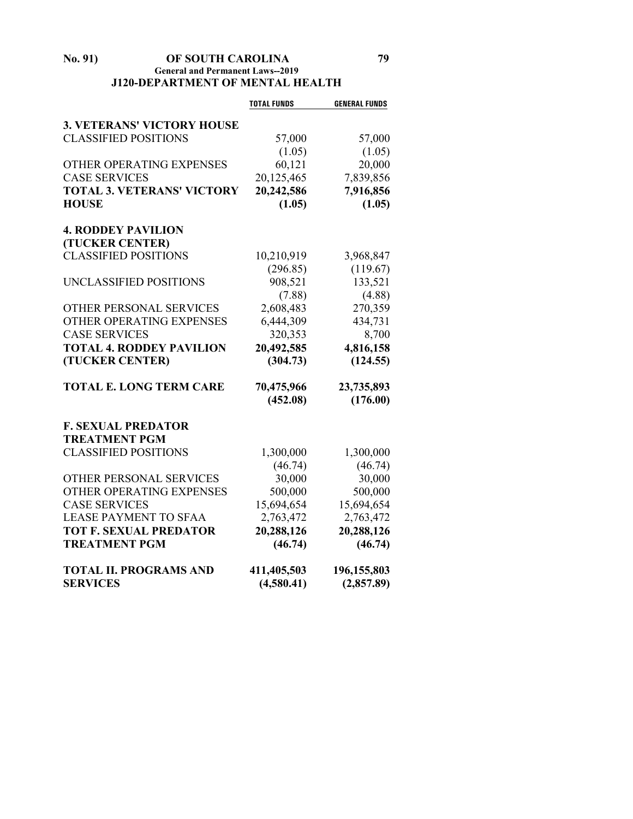### **No. 91) OF SOUTH CAROLINA 79 General and Permanent Laws--2019 J120-DEPARTMENT OF MENTAL HEALTH**

|                                   | <b>TOTAL FUNDS</b> | <b>GENERAL FUNDS</b> |
|-----------------------------------|--------------------|----------------------|
| <b>3. VETERANS' VICTORY HOUSE</b> |                    |                      |
| <b>CLASSIFIED POSITIONS</b>       | 57,000             | 57,000               |
|                                   | (1.05)             | (1.05)               |
| OTHER OPERATING EXPENSES          | 60,121             | 20,000               |
| <b>CASE SERVICES</b>              | 20,125,465         | 7,839,856            |
| <b>TOTAL 3. VETERANS' VICTORY</b> | 20,242,586         | 7,916,856            |
| <b>HOUSE</b>                      | (1.05)             | (1.05)               |
|                                   |                    |                      |
| <b>4. RODDEY PAVILION</b>         |                    |                      |
| (TUCKER CENTER)                   |                    |                      |
| <b>CLASSIFIED POSITIONS</b>       | 10,210,919         | 3,968,847            |
|                                   | (296.85)           | (119.67)             |
| UNCLASSIFIED POSITIONS            | 908,521            | 133,521              |
|                                   | (7.88)             | (4.88)               |
| OTHER PERSONAL SERVICES           | 2,608,483          | 270,359              |
| OTHER OPERATING EXPENSES          | 6,444,309          | 434,731              |
| <b>CASE SERVICES</b>              | 320,353            | 8,700                |
| <b>TOTAL 4. RODDEY PAVILION</b>   | 20,492,585         | 4,816,158            |
| (TUCKER CENTER)                   | (304.73)           | (124.55)             |
| <b>TOTAL E. LONG TERM CARE</b>    | 70,475,966         | 23,735,893           |
|                                   | (452.08)           | (176.00)             |
| <b>F. SEXUAL PREDATOR</b>         |                    |                      |
| <b>TREATMENT PGM</b>              |                    |                      |
| <b>CLASSIFIED POSITIONS</b>       | 1,300,000          | 1,300,000            |
|                                   | (46.74)            | (46.74)              |
| OTHER PERSONAL SERVICES           | 30,000             | 30,000               |
| OTHER OPERATING EXPENSES          | 500,000            | 500,000              |
| <b>CASE SERVICES</b>              | 15,694,654         | 15,694,654           |
| <b>LEASE PAYMENT TO SFAA</b>      | 2,763,472          | 2,763,472            |
| <b>TOT F. SEXUAL PREDATOR</b>     | 20,288,126         | 20,288,126           |
| <b>TREATMENT PGM</b>              | (46.74)            | (46.74)              |
| <b>TOTAL II. PROGRAMS AND</b>     | 411,405,503        | 196,155,803          |
| <b>SERVICES</b>                   | (4,580.41)         | (2,857.89)           |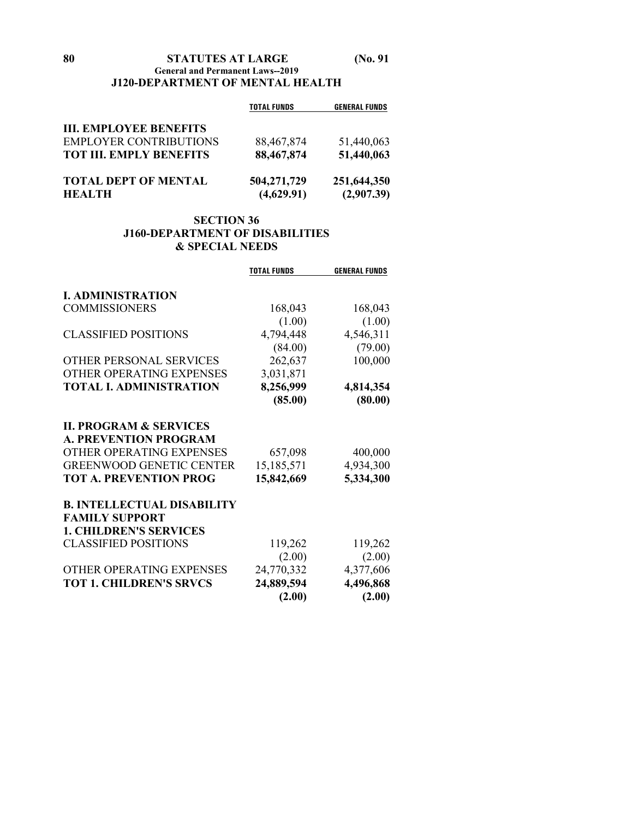## **80 STATUTES AT LARGE (No. 91 General and Permanent Laws--2019 J120-DEPARTMENT OF MENTAL HEALTH**

|                                | <b>TOTAL FUNDS</b> | <b>GENERAL FUNDS</b> |
|--------------------------------|--------------------|----------------------|
| <b>III. EMPLOYEE BENEFITS</b>  |                    |                      |
| <b>EMPLOYER CONTRIBUTIONS</b>  | 88,467,874         | 51,440,063           |
| <b>TOT III. EMPLY BENEFITS</b> | 88,467,874         | 51,440,063           |
| <b>TOTAL DEPT OF MENTAL</b>    | 504,271,729        | 251,644,350          |
| <b>HEALTH</b>                  | (4,629.91)         | (2,907.39)           |

## **SECTION 36 J160-DEPARTMENT OF DISABILITIES & SPECIAL NEEDS**

|                                   | <b>TOTAL FUNDS</b>   | <b>GENERAL FUNDS</b> |
|-----------------------------------|----------------------|----------------------|
| <b>I. ADMINISTRATION</b>          |                      |                      |
| <b>COMMISSIONERS</b>              | 168,043              | 168,043              |
|                                   | (1.00)               | (1.00)               |
| <b>CLASSIFIED POSITIONS</b>       | 4,794,448            | 4,546,311            |
|                                   | (84.00)              | (79.00)              |
| OTHER PERSONAL SERVICES           | 262,637              | 100,000              |
| OTHER OPERATING EXPENSES          | 3,031,871            |                      |
| <b>TOTAL I. ADMINISTRATION</b>    | 8,256,999            | 4,814,354            |
|                                   | (85.00)              | (80.00)              |
| <b>II. PROGRAM &amp; SERVICES</b> |                      |                      |
| <b>A. PREVENTION PROGRAM</b>      |                      |                      |
| OTHER OPERATING EXPENSES          | 657,098              | 400,000              |
| <b>GREENWOOD GENETIC CENTER</b>   | 15,185,571           | 4,934,300            |
| <b>TOT A. PREVENTION PROG</b>     | 15,842,669           | 5,334,300            |
| <b>B. INTELLECTUAL DISABILITY</b> |                      |                      |
| <b>FAMILY SUPPORT</b>             |                      |                      |
| <b>1. CHILDREN'S SERVICES</b>     |                      |                      |
| <b>CLASSIFIED POSITIONS</b>       | 119,262              | 119,262              |
|                                   | (2.00)               | (2.00)               |
| OTHER OPERATING EXPENSES          | 24,770,332           | 4,377,606            |
| <b>TOT 1. CHILDREN'S SRVCS</b>    | 24,889,594<br>(2.00) | 4,496,868<br>(2.00)  |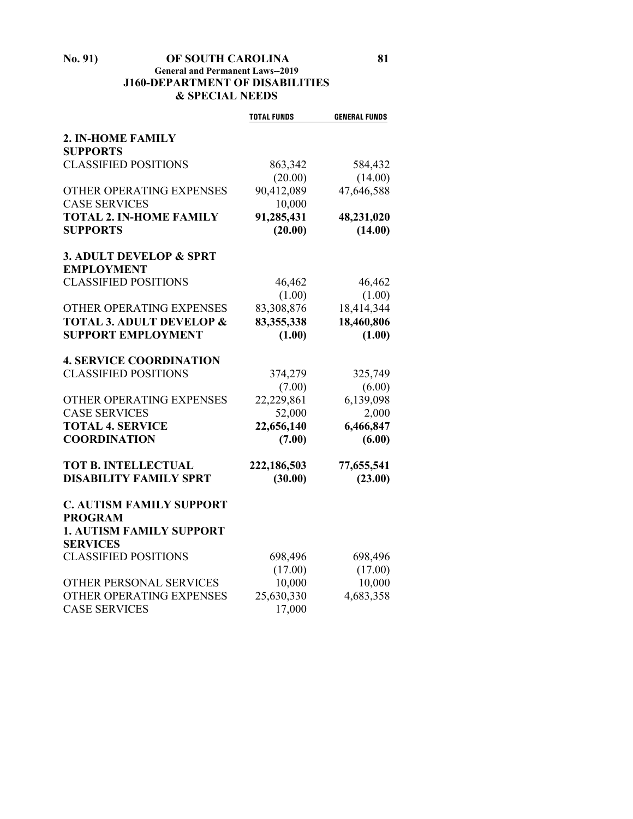## **No. 91) OF SOUTH CAROLINA 81 General and Permanent Laws--2019 J160-DEPARTMENT OF DISABILITIES & SPECIAL NEEDS**

|                                     | <b>TOTAL FUNDS</b> | <b>GENERAL FUNDS</b> |
|-------------------------------------|--------------------|----------------------|
| 2. IN-HOME FAMILY                   |                    |                      |
| <b>SUPPORTS</b>                     |                    |                      |
| <b>CLASSIFIED POSITIONS</b>         | 863,342            | 584,432              |
|                                     | (20.00)            | (14.00)              |
| OTHER OPERATING EXPENSES            | 90,412,089         | 47,646,588           |
| <b>CASE SERVICES</b>                | 10,000             |                      |
| <b>TOTAL 2. IN-HOME FAMILY</b>      | 91,285,431         | 48,231,020           |
| <b>SUPPORTS</b>                     | (20.00)            | (14.00)              |
|                                     |                    |                      |
| 3. ADULT DEVELOP & SPRT             |                    |                      |
| <b>EMPLOYMENT</b>                   |                    |                      |
| <b>CLASSIFIED POSITIONS</b>         | 46,462             | 46,462               |
|                                     | (1.00)             | (1.00)               |
| OTHER OPERATING EXPENSES            | 83,308,876         | 18,414,344           |
| <b>TOTAL 3. ADULT DEVELOP &amp;</b> | 83,355,338         | 18,460,806           |
| <b>SUPPORT EMPLOYMENT</b>           | (1.00)             | (1.00)               |
| <b>4. SERVICE COORDINATION</b>      |                    |                      |
| <b>CLASSIFIED POSITIONS</b>         | 374,279            | 325,749              |
|                                     | (7.00)             | (6.00)               |
| OTHER OPERATING EXPENSES            | 22,229,861         | 6,139,098            |
| <b>CASE SERVICES</b>                | 52,000             | 2,000                |
| <b>TOTAL 4. SERVICE</b>             | 22,656,140         | 6,466,847            |
| <b>COORDINATION</b>                 | (7.00)             | (6.00)               |
| <b>TOT B. INTELLECTUAL</b>          | 222,186,503        | 77,655,541           |
| <b>DISABILITY FAMILY SPRT</b>       | (30.00)            | (23.00)              |
|                                     |                    |                      |
| <b>C. AUTISM FAMILY SUPPORT</b>     |                    |                      |
| <b>PROGRAM</b>                      |                    |                      |
| <b>1. AUTISM FAMILY SUPPORT</b>     |                    |                      |
| <b>SERVICES</b>                     |                    |                      |
| <b>CLASSIFIED POSITIONS</b>         | 698,496            | 698,496              |
|                                     | (17.00)            | (17.00)              |
| OTHER PERSONAL SERVICES             | 10,000             | 10,000               |
| OTHER OPERATING EXPENSES            | 25,630,330         | 4,683,358            |
| <b>CASE SERVICES</b>                | 17,000             |                      |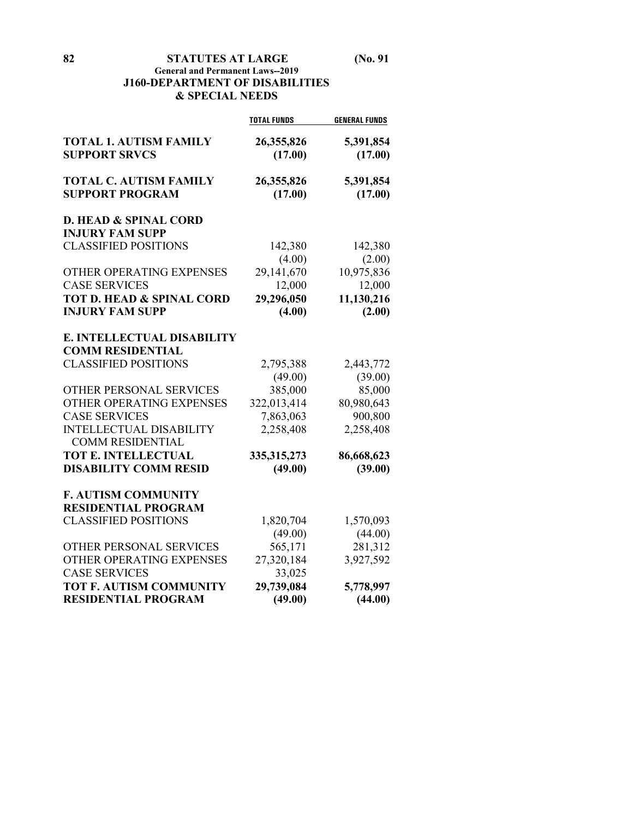## **General and Permanent Laws--2019 J160-DEPARTMENT OF DISABILITIES & SPECIAL NEEDS**

|                                                            | <b>TOTAL FUNDS</b>    | <b>GENERAL FUNDS</b> |
|------------------------------------------------------------|-----------------------|----------------------|
| <b>TOTAL 1. AUTISM FAMILY</b><br><b>SUPPORT SRVCS</b>      | 26,355,826<br>(17.00) | 5,391,854<br>(17.00) |
| <b>TOTAL C. AUTISM FAMILY</b><br><b>SUPPORT PROGRAM</b>    | 26,355,826<br>(17.00) | 5,391,854<br>(17.00) |
| <b>D. HEAD &amp; SPINAL CORD</b><br><b>INJURY FAM SUPP</b> |                       |                      |
| <b>CLASSIFIED POSITIONS</b>                                | 142,380               | 142,380              |
|                                                            | (4.00)                | (2.00)               |
| OTHER OPERATING EXPENSES                                   | 29,141,670            | 10,975,836           |
| <b>CASE SERVICES</b>                                       | 12,000                | 12,000               |
| <b>TOT D. HEAD &amp; SPINAL CORD</b>                       | 29,296,050            | 11,130,216           |
| <b>INJURY FAM SUPP</b>                                     | (4.00)                | (2.00)               |
| E. INTELLECTUAL DISABILITY                                 |                       |                      |
| <b>COMM RESIDENTIAL</b>                                    |                       |                      |
| <b>CLASSIFIED POSITIONS</b>                                | 2,795,388             | 2,443,772            |
|                                                            | (49.00)               | (39.00)              |
| <b>OTHER PERSONAL SERVICES</b>                             | 385,000               | 85,000               |
| OTHER OPERATING EXPENSES                                   | 322,013,414           | 80,980,643           |
| <b>CASE SERVICES</b>                                       | 7,863,063             | 900,800              |
| <b>INTELLECTUAL DISABILITY</b><br><b>COMM RESIDENTIAL</b>  | 2,258,408             | 2,258,408            |
| TOT E. INTELLECTUAL                                        | 335, 315, 273         | 86,668,623           |
| <b>DISABILITY COMM RESID</b>                               | (49.00)               | (39.00)              |
| <b>F. AUTISM COMMUNITY</b>                                 |                       |                      |
| <b>RESIDENTIAL PROGRAM</b>                                 |                       |                      |
| <b>CLASSIFIED POSITIONS</b>                                | 1,820,704             | 1,570,093            |
|                                                            | (49.00)               | (44.00)              |
| OTHER PERSONAL SERVICES                                    | 565,171               | 281,312              |
| OTHER OPERATING EXPENSES                                   | 27,320,184            | 3,927,592            |
| <b>CASE SERVICES</b>                                       | 33,025                |                      |
| TOT F. AUTISM COMMUNITY                                    | 29,739,084            | 5,778,997            |
| <b>RESIDENTIAL PROGRAM</b>                                 | (49.00)               | (44.00)              |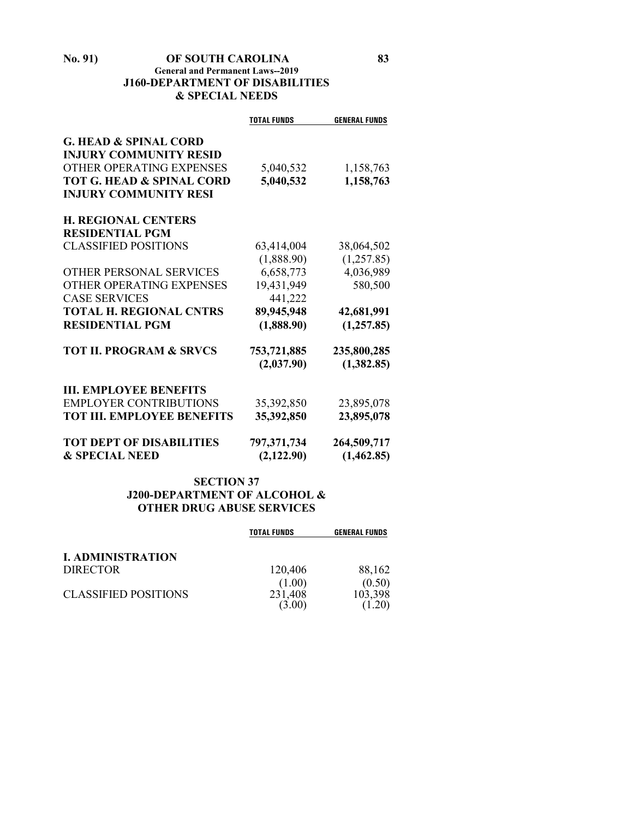## **No. 91) OF SOUTH CAROLINA 83 General and Permanent Laws--2019 J160-DEPARTMENT OF DISABILITIES & SPECIAL NEEDS**

|                                      | <b>TOTAL FUNDS</b> | <b>GENERAL FUNDS</b> |
|--------------------------------------|--------------------|----------------------|
| <b>G. HEAD &amp; SPINAL CORD</b>     |                    |                      |
| <b>INJURY COMMUNITY RESID</b>        |                    |                      |
| OTHER OPERATING EXPENSES             | 5,040,532          | 1,158,763            |
| <b>TOT G. HEAD &amp; SPINAL CORD</b> | 5,040,532          | 1,158,763            |
| <b>INJURY COMMUNITY RESI</b>         |                    |                      |
| <b>H. REGIONAL CENTERS</b>           |                    |                      |
| <b>RESIDENTIAL PGM</b>               |                    |                      |
| <b>CLASSIFIED POSITIONS</b>          | 63,414,004         | 38,064,502           |
|                                      | (1,888.90)         | (1,257.85)           |
| <b>OTHER PERSONAL SERVICES</b>       | 6,658,773          | 4,036,989            |
| OTHER OPERATING EXPENSES             | 19,431,949         | 580,500              |
| <b>CASE SERVICES</b>                 | 441,222            |                      |
| <b>TOTAL H. REGIONAL CNTRS</b>       | 89,945,948         | 42,681,991           |
| <b>RESIDENTIAL PGM</b>               | (1,888.90)         | (1,257.85)           |
| <b>TOT II. PROGRAM &amp; SRVCS</b>   | 753,721,885        | 235,800,285          |
|                                      | (2,037.90)         | (1,382.85)           |
| <b>III. EMPLOYEE BENEFITS</b>        |                    |                      |
| <b>EMPLOYER CONTRIBUTIONS</b>        | 35,392,850         | 23,895,078           |
| <b>TOT III. EMPLOYEE BENEFITS</b>    | 35,392,850         | 23,895,078           |
| <b>TOT DEPT OF DISABILITIES</b>      | 797,371,734        | 264,509,717          |
| <b>&amp; SPECIAL NEED</b>            | (2,122.90)         | (1,462.85)           |

## **SECTION 37 J200-DEPARTMENT OF ALCOHOL & OTHER DRUG ABUSE SERVICES**

|                             | <b>TOTAL FUNDS</b> | <b>GENERAL FUNDS</b> |
|-----------------------------|--------------------|----------------------|
| <b>I. ADMINISTRATION</b>    |                    |                      |
| <b>DIRECTOR</b>             | 120,406            | 88,162               |
| <b>CLASSIFIED POSITIONS</b> | (1.00)<br>231,408  | (0.50)<br>103,398    |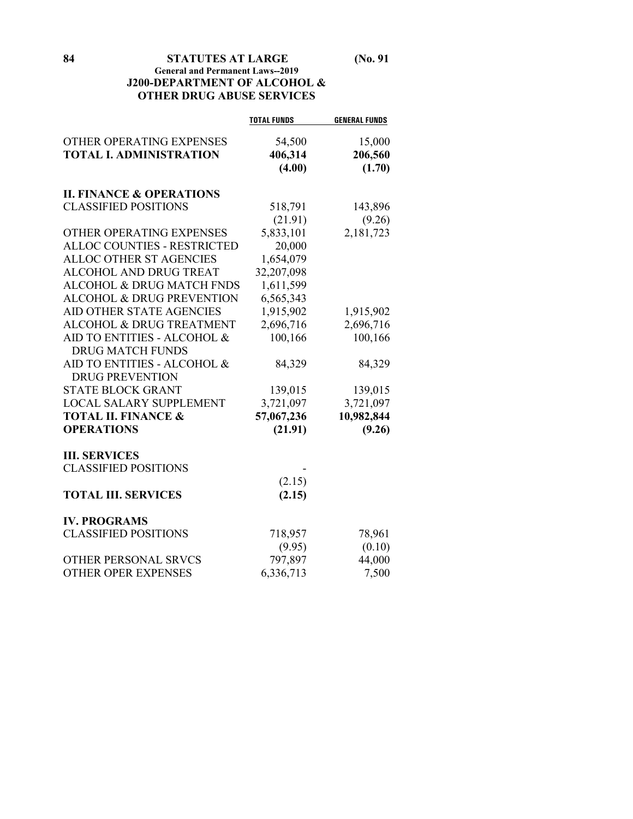**84 STATUTES AT LARGE (No. 91 General and Permanent Laws--2019 J200-DEPARTMENT OF ALCOHOL & OTHER DRUG ABUSE SERVICES**

|                                     | <b>TOTAL FUNDS</b> | <b>GENERAL FUNDS</b> |
|-------------------------------------|--------------------|----------------------|
| OTHER OPERATING EXPENSES            | 54,500             | 15,000               |
| <b>TOTAL I. ADMINISTRATION</b>      | 406,314            | 206,560              |
|                                     | (4.00)             | (1.70)               |
| <b>II. FINANCE &amp; OPERATIONS</b> |                    |                      |
| <b>CLASSIFIED POSITIONS</b>         | 518,791            | 143,896              |
|                                     | (21.91)            | (9.26)               |
| OTHER OPERATING EXPENSES            | 5,833,101          | 2,181,723            |
| <b>ALLOC COUNTIES - RESTRICTED</b>  | 20,000             |                      |
| <b>ALLOC OTHER ST AGENCIES</b>      | 1,654,079          |                      |
| <b>ALCOHOL AND DRUG TREAT</b>       | 32,207,098         |                      |
| ALCOHOL & DRUG MATCH FNDS           | 1,611,599          |                      |
| ALCOHOL & DRUG PREVENTION           | 6,565,343          |                      |
| AID OTHER STATE AGENCIES            | 1,915,902          | 1,915,902            |
| ALCOHOL & DRUG TREATMENT            | 2,696,716          | 2,696,716            |
| AID TO ENTITIES - ALCOHOL &         | 100,166            | 100,166              |
| <b>DRUG MATCH FUNDS</b>             |                    |                      |
| AID TO ENTITIES - ALCOHOL &         | 84,329             | 84,329               |
| <b>DRUG PREVENTION</b>              |                    |                      |
| <b>STATE BLOCK GRANT</b>            | 139,015            | 139,015              |
| <b>LOCAL SALARY SUPPLEMENT</b>      | 3,721,097          | 3,721,097            |
| <b>TOTAL II. FINANCE &amp;</b>      | 57,067,236         | 10,982,844           |
| <b>OPERATIONS</b>                   | (21.91)            | (9.26)               |
| <b>III. SERVICES</b>                |                    |                      |
| <b>CLASSIFIED POSITIONS</b>         |                    |                      |
|                                     | (2.15)             |                      |
| <b>TOTAL III. SERVICES</b>          | (2.15)             |                      |
| <b>IV. PROGRAMS</b>                 |                    |                      |
| <b>CLASSIFIED POSITIONS</b>         | 718,957            | 78,961               |
|                                     | (9.95)             | (0.10)               |
| OTHER PERSONAL SRVCS                | 797,897            | 44,000               |
| <b>OTHER OPER EXPENSES</b>          | 6,336,713          | 7,500                |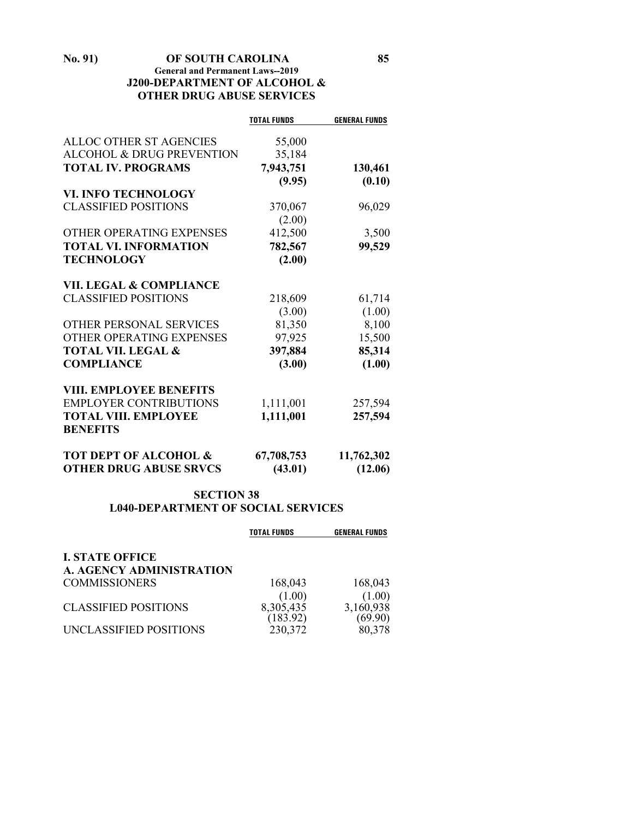**No. 91) OF SOUTH CAROLINA 85 General and Permanent Laws--2019 J200-DEPARTMENT OF ALCOHOL & OTHER DRUG ABUSE SERVICES**

|                                    | <b>TOTAL FUNDS</b> | <b>GENERAL FUNDS</b> |
|------------------------------------|--------------------|----------------------|
| ALLOC OTHER ST AGENCIES            | 55,000             |                      |
| ALCOHOL & DRUG PREVENTION          | 35,184             |                      |
| <b>TOTAL IV. PROGRAMS</b>          | 7,943,751          | 130,461              |
|                                    | (9.95)             | (0.10)               |
| <b>VI. INFO TECHNOLOGY</b>         |                    |                      |
| <b>CLASSIFIED POSITIONS</b>        | 370,067            | 96,029               |
|                                    | (2.00)             |                      |
| OTHER OPERATING EXPENSES           | 412,500            | 3,500                |
| <b>TOTAL VI. INFORMATION</b>       | 782,567            | 99,529               |
| <b>TECHNOLOGY</b>                  | (2.00)             |                      |
|                                    |                    |                      |
| <b>VII. LEGAL &amp; COMPLIANCE</b> |                    |                      |
| <b>CLASSIFIED POSITIONS</b>        | 218,609            | 61,714               |
|                                    | (3.00)             | (1.00)               |
| OTHER PERSONAL SERVICES            | 81,350             | 8,100                |
| OTHER OPERATING EXPENSES           | 97,925             | 15,500               |
| <b>TOTAL VII. LEGAL &amp;</b>      | 397,884            | 85,314               |
| <b>COMPLIANCE</b>                  | (3.00)             | (1.00)               |
| <b>VIII. EMPLOYEE BENEFITS</b>     |                    |                      |
| <b>EMPLOYER CONTRIBUTIONS</b>      | 1,111,001          | 257,594              |
| <b>TOTAL VIII. EMPLOYEE</b>        | 1,111,001          | 257,594              |
| <b>BENEFITS</b>                    |                    |                      |
| <b>TOT DEPT OF ALCOHOL &amp;</b>   | 67,708,753         | 11,762,302           |
| <b>OTHER DRUG ABUSE SRVCS</b>      | (43.01)            | (12.06)              |

## **SECTION 38 L040-DEPARTMENT OF SOCIAL SERVICES**

|                             | <b>TOTAL FUNDS</b> | <b>GENERAL FUNDS</b> |
|-----------------------------|--------------------|----------------------|
| <b>I. STATE OFFICE</b>      |                    |                      |
| A. AGENCY ADMINISTRATION    |                    |                      |
| <b>COMMISSIONERS</b>        | 168,043            | 168,043              |
|                             | (1.00)             | (1.00)               |
| <b>CLASSIFIED POSITIONS</b> | 8,305,435          | 3,160,938            |
|                             | (183.92)           | (69.90)              |
| UNCLASSIFIED POSITIONS      | 230,372            | 80,378               |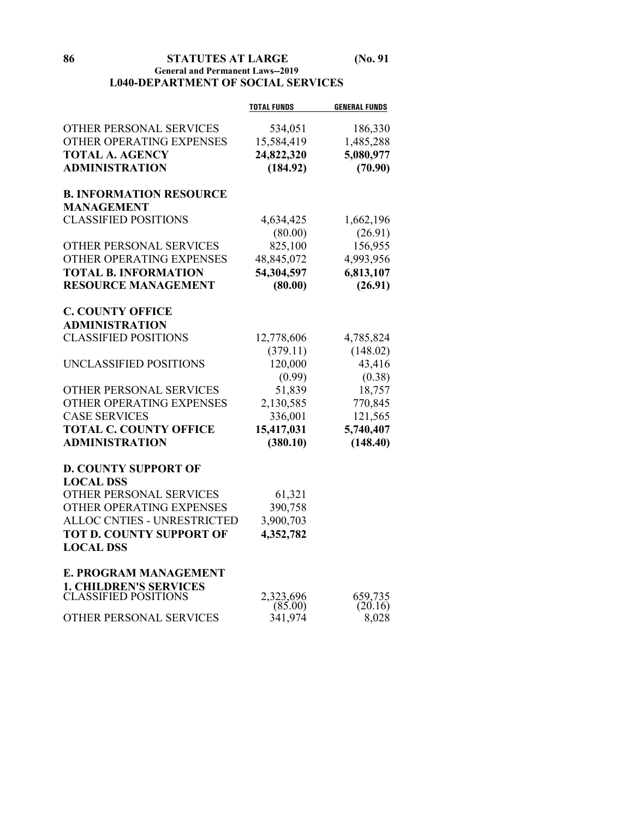**86 STATUTES AT LARGE (No. 91**

## **General and Permanent Laws--2019 L040-DEPARTMENT OF SOCIAL SERVICES**

|                                                     | <b>TOTAL FUNDS</b>   | <b>GENERAL FUNDS</b> |
|-----------------------------------------------------|----------------------|----------------------|
| OTHER PERSONAL SERVICES                             | 534,051              | 186,330              |
| OTHER OPERATING EXPENSES                            | 15,584,419           | 1,485,288            |
| <b>TOTAL A. AGENCY</b>                              | 24,822,320           | 5,080,977            |
| <b>ADMINISTRATION</b>                               | (184.92)             | (70.90)              |
|                                                     |                      |                      |
| <b>B. INFORMATION RESOURCE</b><br><b>MANAGEMENT</b> |                      |                      |
| <b>CLASSIFIED POSITIONS</b>                         | 4,634,425            | 1,662,196            |
|                                                     | (80.00)              | (26.91)              |
| OTHER PERSONAL SERVICES                             | 825,100              | 156,955              |
| OTHER OPERATING EXPENSES                            | 48,845,072           | 4,993,956            |
| <b>TOTAL B. INFORMATION</b>                         | 54,304,597           | 6,813,107            |
| <b>RESOURCE MANAGEMENT</b>                          | (80.00)              | (26.91)              |
|                                                     |                      |                      |
| <b>C. COUNTY OFFICE</b>                             |                      |                      |
| <b>ADMINISTRATION</b>                               |                      |                      |
| <b>CLASSIFIED POSITIONS</b>                         | 12,778,606           | 4,785,824            |
|                                                     | (379.11)             | (148.02)             |
| UNCLASSIFIED POSITIONS                              | 120,000              | 43,416               |
|                                                     | (0.99)               | (0.38)               |
| OTHER PERSONAL SERVICES                             | 51,839               | 18,757               |
| OTHER OPERATING EXPENSES                            | 2,130,585            | 770,845              |
| <b>CASE SERVICES</b>                                | 336,001              | 121,565              |
| <b>TOTAL C. COUNTY OFFICE</b>                       | 15,417,031           | 5,740,407            |
| <b>ADMINISTRATION</b>                               | (380.10)             | (148.40)             |
| <b>D. COUNTY SUPPORT OF</b>                         |                      |                      |
| <b>LOCAL DSS</b>                                    |                      |                      |
| OTHER PERSONAL SERVICES                             | 61,321               |                      |
| OTHER OPERATING EXPENSES                            | 390,758              |                      |
| <b>ALLOC CNTIES - UNRESTRICTED</b>                  | 3,900,703            |                      |
| <b>TOT D. COUNTY SUPPORT OF</b>                     | 4,352,782            |                      |
| <b>LOCAL DSS</b>                                    |                      |                      |
| E. PROGRAM MANAGEMENT                               |                      |                      |
| <b>1. CHILDREN'S SERVICES</b>                       |                      |                      |
| CLASSIFIED POSITIONS                                | 2,323,696<br>(85.00) | 659,735<br>(20.16)   |
| OTHER PERSONAL SERVICES                             | 341,974              | 8,028                |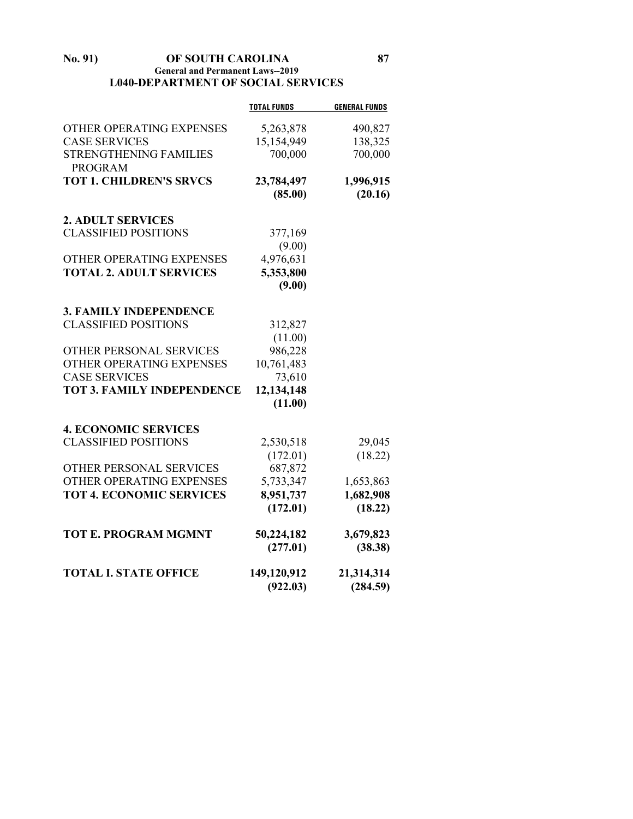## **No. 91) OF SOUTH CAROLINA 87 General and Permanent Laws--2019 L040-DEPARTMENT OF SOCIAL SERVICES**

|                                   | <b>TOTAL FUNDS</b> | <b>GENERAL FUNDS</b> |
|-----------------------------------|--------------------|----------------------|
| OTHER OPERATING EXPENSES          | 5,263,878          | 490,827              |
| <b>CASE SERVICES</b>              | 15,154,949         | 138,325              |
| <b>STRENGTHENING FAMILIES</b>     | 700,000            | 700,000              |
| <b>PROGRAM</b>                    |                    |                      |
| <b>TOT 1. CHILDREN'S SRVCS</b>    | 23,784,497         | 1,996,915            |
|                                   | (85.00)            | (20.16)              |
|                                   |                    |                      |
| <b>2. ADULT SERVICES</b>          |                    |                      |
| <b>CLASSIFIED POSITIONS</b>       | 377,169            |                      |
|                                   | (9.00)             |                      |
| OTHER OPERATING EXPENSES          | 4,976,631          |                      |
| <b>TOTAL 2. ADULT SERVICES</b>    | 5,353,800          |                      |
|                                   | (9.00)             |                      |
| <b>3. FAMILY INDEPENDENCE</b>     |                    |                      |
| <b>CLASSIFIED POSITIONS</b>       | 312,827            |                      |
|                                   | (11.00)            |                      |
| OTHER PERSONAL SERVICES           | 986,228            |                      |
| OTHER OPERATING EXPENSES          | 10,761,483         |                      |
| <b>CASE SERVICES</b>              | 73,610             |                      |
| <b>TOT 3. FAMILY INDEPENDENCE</b> | 12,134,148         |                      |
|                                   | (11.00)            |                      |
|                                   |                    |                      |
| <b>4. ECONOMIC SERVICES</b>       |                    |                      |
| <b>CLASSIFIED POSITIONS</b>       | 2,530,518          | 29,045               |
|                                   | (172.01)           | (18.22)              |
| OTHER PERSONAL SERVICES           | 687,872            |                      |
| OTHER OPERATING EXPENSES          | 5,733,347          | 1,653,863            |
| <b>TOT 4. ECONOMIC SERVICES</b>   | 8,951,737          | 1,682,908            |
|                                   | (172.01)           | (18.22)              |
| <b>TOT E. PROGRAM MGMNT</b>       | 50,224,182         | 3,679,823            |
|                                   | (277.01)           | (38.38)              |
|                                   |                    |                      |
| <b>TOTAL I. STATE OFFICE</b>      | 149,120,912        | 21,314,314           |
|                                   | (922.03)           | (284.59)             |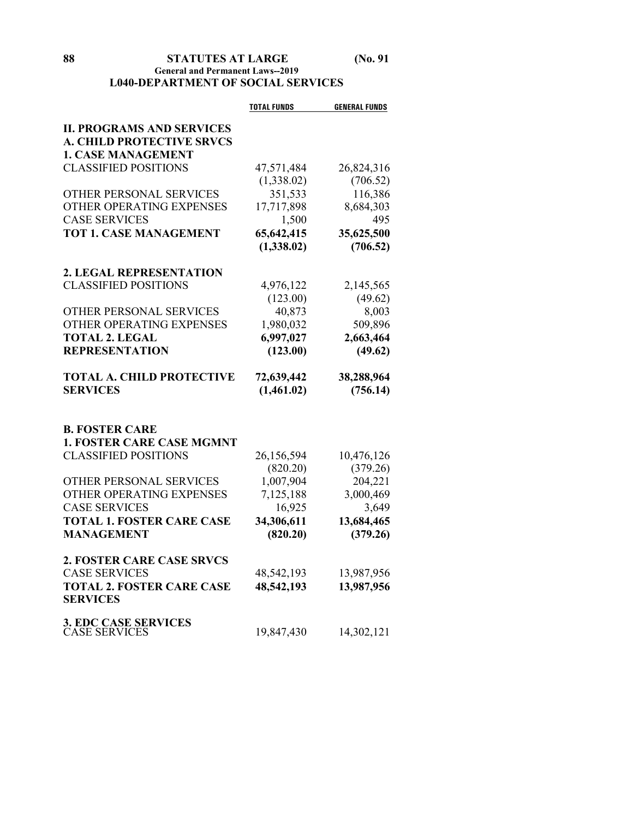## **88 STATUTES AT LARGE (No. 91 General and Permanent Laws--2019 L040-DEPARTMENT OF SOCIAL SERVICES**

|                                  | <b>TOTAL FUNDS</b> | <b>GENERAL FUNDS</b> |
|----------------------------------|--------------------|----------------------|
| <b>II. PROGRAMS AND SERVICES</b> |                    |                      |
| <b>A. CHILD PROTECTIVE SRVCS</b> |                    |                      |
| <b>1. CASE MANAGEMENT</b>        |                    |                      |
| <b>CLASSIFIED POSITIONS</b>      | 47,571,484         | 26,824,316           |
|                                  | (1,338.02)         | (706.52)             |
| OTHER PERSONAL SERVICES          | 351,533            | 116,386              |
| OTHER OPERATING EXPENSES         | 17,717,898         | 8,684,303            |
| <b>CASE SERVICES</b>             | 1,500              | 495                  |
| <b>TOT 1. CASE MANAGEMENT</b>    | 65,642,415         | 35,625,500           |
|                                  | (1,338.02)         | (706.52)             |
| 2. LEGAL REPRESENTATION          |                    |                      |
| <b>CLASSIFIED POSITIONS</b>      | 4,976,122          | 2,145,565            |
|                                  | (123.00)           | (49.62)              |
| OTHER PERSONAL SERVICES          | 40,873             | 8,003                |
| OTHER OPERATING EXPENSES         | 1,980,032          | 509,896              |
| <b>TOTAL 2. LEGAL</b>            | 6,997,027          | 2,663,464            |
| <b>REPRESENTATION</b>            | (123.00)           | (49.62)              |
|                                  |                    |                      |
| <b>TOTAL A. CHILD PROTECTIVE</b> | 72,639,442         | 38,288,964           |
| <b>SERVICES</b>                  | (1,461.02)         | (756.14)             |
|                                  |                    |                      |
| <b>B. FOSTER CARE</b>            |                    |                      |
| <b>1. FOSTER CARE CASE MGMNT</b> |                    |                      |
| <b>CLASSIFIED POSITIONS</b>      | 26,156,594         | 10,476,126           |
|                                  | (820.20)           | (379.26)             |
| OTHER PERSONAL SERVICES          | 1,007,904          | 204,221              |
| OTHER OPERATING EXPENSES         | 7,125,188          | 3,000,469            |
| <b>CASE SERVICES</b>             | 16,925             | 3,649                |
| <b>TOTAL 1. FOSTER CARE CASE</b> | 34,306,611         | 13,684,465           |
| <b>MANAGEMENT</b>                | (820.20)           | (379.26)             |
| <b>2. FOSTER CARE CASE SRVCS</b> |                    |                      |
| <b>CASE SERVICES</b>             | 48,542,193         | 13,987,956           |
| <b>TOTAL 2. FOSTER CARE CASE</b> | 48,542,193         | 13,987,956           |
| <b>SERVICES</b>                  |                    |                      |
| 3. EDC CASE SERVICES             |                    |                      |
| <b>CASE SERVICES</b>             | 19,847,430         | 14,302,121           |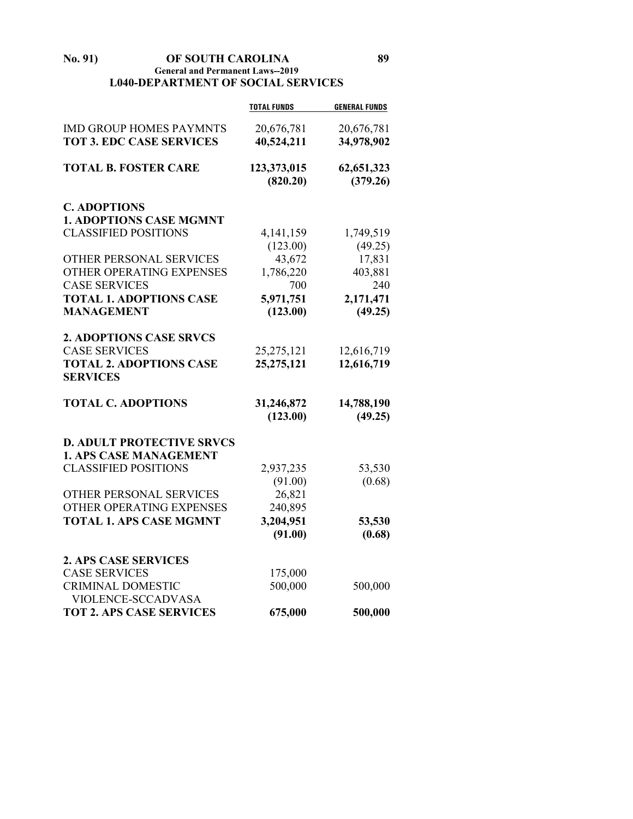**No. 91) OF SOUTH CAROLINA 89 General and Permanent Laws--2019 L040-DEPARTMENT OF SOCIAL SERVICES**

|                                  | <b>TOTAL FUNDS</b> | <b>GENERAL FUNDS</b> |
|----------------------------------|--------------------|----------------------|
| <b>IMD GROUP HOMES PAYMNTS</b>   | 20,676,781         | 20,676,781           |
| <b>TOT 3. EDC CASE SERVICES</b>  | 40,524,211         | 34,978,902           |
|                                  |                    |                      |
| <b>TOTAL B. FOSTER CARE</b>      | 123,373,015        | 62,651,323           |
|                                  | (820.20)           | (379.26)             |
| <b>C. ADOPTIONS</b>              |                    |                      |
| <b>1. ADOPTIONS CASE MGMNT</b>   |                    |                      |
| <b>CLASSIFIED POSITIONS</b>      | 4, 141, 159        | 1,749,519            |
|                                  | (123.00)           | (49.25)              |
| OTHER PERSONAL SERVICES          | 43,672             | 17,831               |
| OTHER OPERATING EXPENSES         | 1,786,220          | 403,881              |
| <b>CASE SERVICES</b>             | 700                | 240                  |
| <b>TOTAL 1. ADOPTIONS CASE</b>   | 5,971,751          | 2,171,471            |
| <b>MANAGEMENT</b>                | (123.00)           | (49.25)              |
|                                  |                    |                      |
| <b>2. ADOPTIONS CASE SRVCS</b>   |                    |                      |
| <b>CASE SERVICES</b>             | 25, 275, 121       | 12,616,719           |
| <b>TOTAL 2. ADOPTIONS CASE</b>   | 25,275,121         | 12,616,719           |
| <b>SERVICES</b>                  |                    |                      |
| <b>TOTAL C. ADOPTIONS</b>        | 31,246,872         | 14,788,190           |
|                                  | (123.00)           | (49.25)              |
| <b>D. ADULT PROTECTIVE SRVCS</b> |                    |                      |
| <b>1. APS CASE MANAGEMENT</b>    |                    |                      |
| <b>CLASSIFIED POSITIONS</b>      | 2,937,235          | 53,530               |
|                                  | (91.00)            | (0.68)               |
| OTHER PERSONAL SERVICES          | 26,821             |                      |
| OTHER OPERATING EXPENSES         | 240,895            |                      |
| <b>TOTAL 1. APS CASE MGMNT</b>   | 3,204,951          | 53,530               |
|                                  | (91.00)            | (0.68)               |
|                                  |                    |                      |
| <b>2. APS CASE SERVICES</b>      |                    |                      |
| <b>CASE SERVICES</b>             | 175,000            |                      |
| <b>CRIMINAL DOMESTIC</b>         | 500,000            | 500,000              |
| <b>VIOLENCE-SCCADVASA</b>        |                    |                      |
| <b>TOT 2. APS CASE SERVICES</b>  | 675,000            | 500,000              |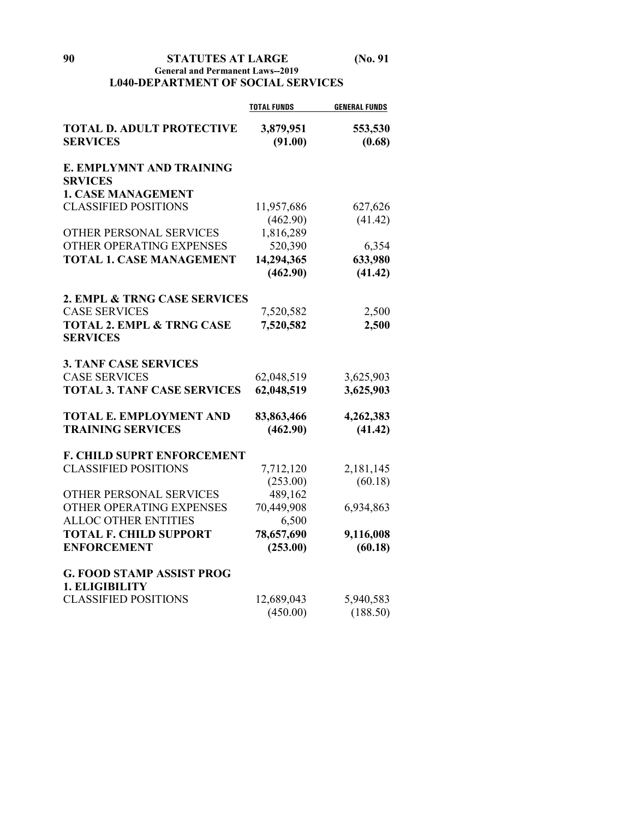## **General and Permanent Laws--2019 L040-DEPARTMENT OF SOCIAL SERVICES**

|                                      | <b>TOTAL FUNDS</b> | <b>GENERAL FUNDS</b> |
|--------------------------------------|--------------------|----------------------|
| <b>TOTAL D. ADULT PROTECTIVE</b>     | 3,879,951          | 553,530              |
| <b>SERVICES</b>                      | (91.00)            | (0.68)               |
| E. EMPLYMNT AND TRAINING             |                    |                      |
| <b>SRVICES</b>                       |                    |                      |
| <b>1. CASE MANAGEMENT</b>            |                    |                      |
| <b>CLASSIFIED POSITIONS</b>          | 11,957,686         | 627,626              |
|                                      | (462.90)           | (41.42)              |
| OTHER PERSONAL SERVICES              | 1,816,289          |                      |
| OTHER OPERATING EXPENSES             | 520,390            | 6,354                |
| <b>TOTAL 1. CASE MANAGEMENT</b>      | 14,294,365         | 633,980              |
|                                      | (462.90)           | (41.42)              |
| 2. EMPL & TRNG CASE SERVICES         |                    |                      |
| <b>CASE SERVICES</b>                 | 7,520,582          | 2,500                |
| <b>TOTAL 2. EMPL &amp; TRNG CASE</b> | 7,520,582          | 2,500                |
| <b>SERVICES</b>                      |                    |                      |
| <b>3. TANF CASE SERVICES</b>         |                    |                      |
| <b>CASE SERVICES</b>                 | 62,048,519         | 3,625,903            |
| <b>TOTAL 3. TANF CASE SERVICES</b>   | 62,048,519         | 3,625,903            |
| <b>TOTAL E. EMPLOYMENT AND</b>       | 83,863,466         | 4,262,383            |
| <b>TRAINING SERVICES</b>             | (462.90)           | (41.42)              |
| <b>F. CHILD SUPRT ENFORCEMENT</b>    |                    |                      |
| <b>CLASSIFIED POSITIONS</b>          | 7,712,120          | 2,181,145            |
|                                      | (253.00)           | (60.18)              |
| OTHER PERSONAL SERVICES              | 489,162            |                      |
| OTHER OPERATING EXPENSES             | 70,449,908         | 6,934,863            |
| <b>ALLOC OTHER ENTITIES</b>          | 6,500              |                      |
| <b>TOTAL F. CHILD SUPPORT</b>        | 78,657,690         | 9,116,008            |
| <b>ENFORCEMENT</b>                   | (253.00)           | (60.18)              |
| <b>G. FOOD STAMP ASSIST PROG</b>     |                    |                      |
| 1. ELIGIBILITY                       |                    |                      |
| <b>CLASSIFIED POSITIONS</b>          | 12,689,043         | 5,940,583            |
|                                      | (450.00)           | (188.50)             |
|                                      |                    |                      |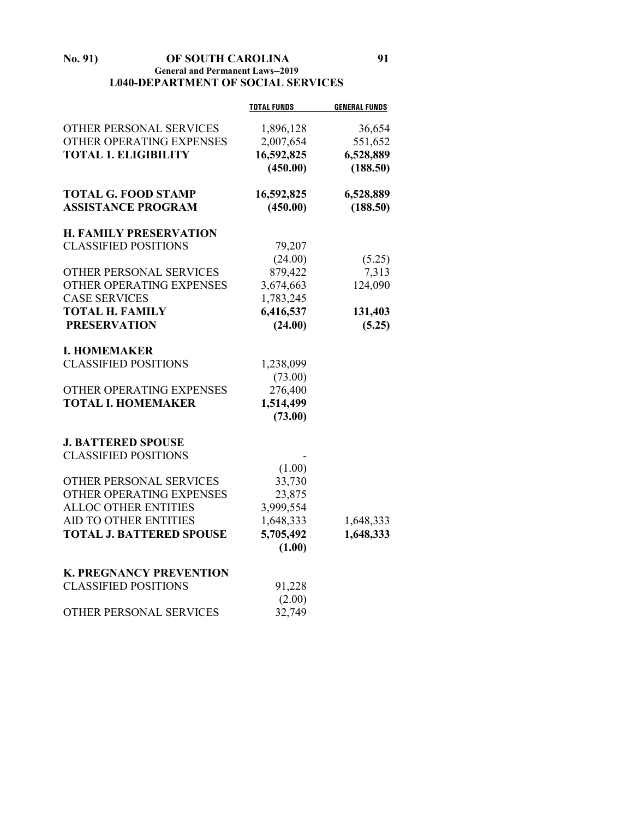### **No. 91) OF SOUTH CAROLINA 91 General and Permanent Laws--2019 L040-DEPARTMENT OF SOCIAL SERVICES**

|                                 | <b>TOTAL FUNDS</b> | <b>GENERAL FUNDS</b> |
|---------------------------------|--------------------|----------------------|
| OTHER PERSONAL SERVICES         | 1,896,128          | 36,654               |
| OTHER OPERATING EXPENSES        | 2,007,654          | 551,652              |
| <b>TOTAL 1. ELIGIBILITY</b>     | 16,592,825         | 6,528,889            |
|                                 | (450.00)           | (188.50)             |
| <b>TOTAL G. FOOD STAMP</b>      | 16,592,825         | 6,528,889            |
| <b>ASSISTANCE PROGRAM</b>       | (450.00)           | (188.50)             |
| <b>H. FAMILY PRESERVATION</b>   |                    |                      |
| <b>CLASSIFIED POSITIONS</b>     | 79,207             |                      |
|                                 | (24.00)            | (5.25)               |
| OTHER PERSONAL SERVICES         | 879,422            | 7,313                |
| OTHER OPERATING EXPENSES        | 3,674,663          | 124,090              |
| <b>CASE SERVICES</b>            | 1,783,245          |                      |
| <b>TOTAL H. FAMILY</b>          | 6,416,537          | 131,403              |
| <b>PRESERVATION</b>             | (24.00)            | (5.25)               |
| <b>I. HOMEMAKER</b>             |                    |                      |
| <b>CLASSIFIED POSITIONS</b>     | 1,238,099          |                      |
|                                 | (73.00)            |                      |
| OTHER OPERATING EXPENSES        | 276,400            |                      |
| <b>TOTAL I. HOMEMAKER</b>       | 1,514,499          |                      |
|                                 | (73.00)            |                      |
| <b>J. BATTERED SPOUSE</b>       |                    |                      |
| <b>CLASSIFIED POSITIONS</b>     |                    |                      |
|                                 | (1.00)             |                      |
| OTHER PERSONAL SERVICES         | 33,730             |                      |
| OTHER OPERATING EXPENSES        | 23,875             |                      |
| <b>ALLOC OTHER ENTITIES</b>     | 3,999,554          |                      |
| <b>AID TO OTHER ENTITIES</b>    | 1,648,333          | 1,648,333            |
| <b>TOTAL J. BATTERED SPOUSE</b> | 5,705,492          | 1,648,333            |
|                                 | (1.00)             |                      |
| <b>K. PREGNANCY PREVENTION</b>  |                    |                      |
| <b>CLASSIFIED POSITIONS</b>     | 91,228             |                      |
|                                 | (2.00)             |                      |
| OTHER PERSONAL SERVICES         | 32,749             |                      |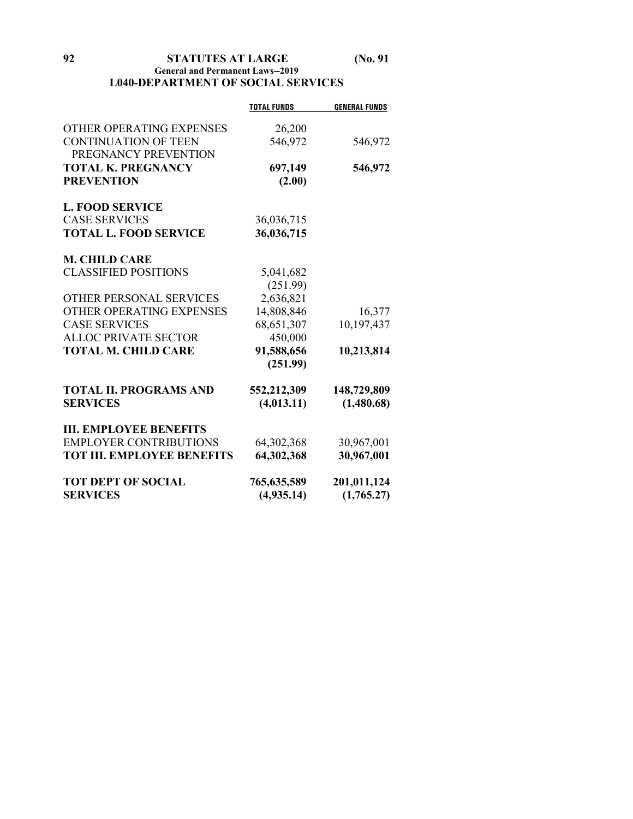**92 STATUTES AT LARGE (No. 91**

## **General and Permanent Laws--2019 L040-DEPARTMENT OF SOCIAL SERVICES**

|                                   | <b>TOTAL FUNDS</b> | <b>GENERAL FUNDS</b> |
|-----------------------------------|--------------------|----------------------|
| OTHER OPERATING EXPENSES          | 26,200             |                      |
| <b>CONTINUATION OF TEEN</b>       | 546,972            | 546,972              |
| PREGNANCY PREVENTION              |                    |                      |
| <b>TOTAL K. PREGNANCY</b>         | 697,149            | 546,972              |
| <b>PREVENTION</b>                 | (2.00)             |                      |
| <b>L. FOOD SERVICE</b>            |                    |                      |
| <b>CASE SERVICES</b>              | 36,036,715         |                      |
| <b>TOTAL L. FOOD SERVICE</b>      | 36,036,715         |                      |
| <b>M. CHILD CARE</b>              |                    |                      |
| <b>CLASSIFIED POSITIONS</b>       | 5,041,682          |                      |
|                                   | (251.99)           |                      |
| OTHER PERSONAL SERVICES           | 2,636,821          |                      |
| OTHER OPERATING EXPENSES          | 14,808,846         | 16,377               |
| <b>CASE SERVICES</b>              | 68, 651, 307       | 10,197,437           |
| ALLOC PRIVATE SECTOR              | 450,000            |                      |
| <b>TOTAL M. CHILD CARE</b>        | 91,588,656         | 10,213,814           |
|                                   | (251.99)           |                      |
| <b>TOTAL II. PROGRAMS AND</b>     | 552,212,309        | 148,729,809          |
| <b>SERVICES</b>                   | (4, 013.11)        | (1,480.68)           |
| <b>III. EMPLOYEE BENEFITS</b>     |                    |                      |
| <b>EMPLOYER CONTRIBUTIONS</b>     | 64,302,368         | 30,967,001           |
| <b>TOT III. EMPLOYEE BENEFITS</b> | 64,302,368         | 30,967,001           |
| <b>TOT DEPT OF SOCIAL</b>         | 765,635,589        | 201,011,124          |
| <b>SERVICES</b>                   | (4,935,14)         | (1,765.27)           |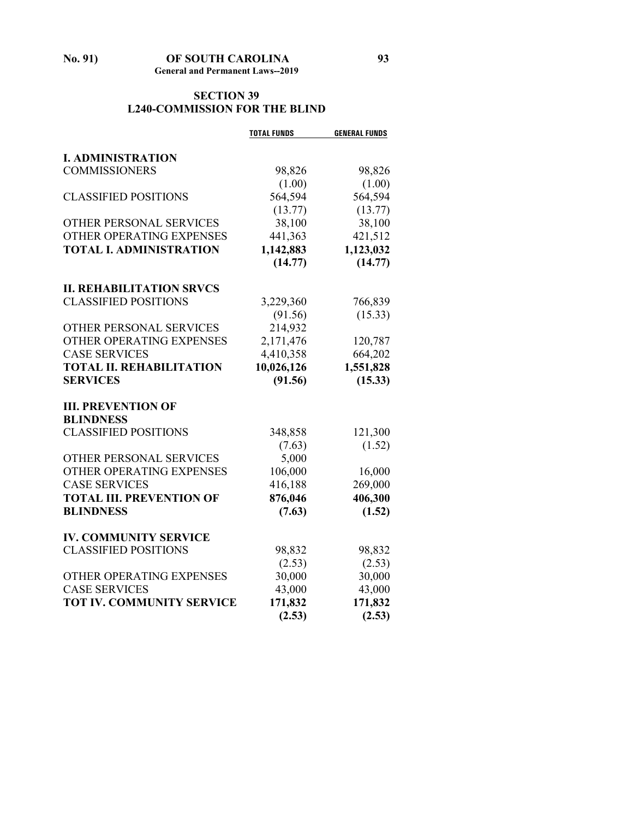# **SECTION 39 L240-COMMISSION FOR THE BLIND**

|                                                                | <b>TOTAL FUNDS</b> | <b>GENERAL FUNDS</b> |
|----------------------------------------------------------------|--------------------|----------------------|
|                                                                |                    |                      |
| <b>I. ADMINISTRATION</b>                                       |                    |                      |
| <b>COMMISSIONERS</b>                                           | 98,826             | 98,826               |
|                                                                | (1.00)             | (1.00)               |
| <b>CLASSIFIED POSITIONS</b>                                    | 564,594            | 564,594              |
|                                                                | (13.77)            | (13.77)              |
| OTHER PERSONAL SERVICES                                        | 38,100             | 38,100               |
| OTHER OPERATING EXPENSES                                       | 441,363            | 421,512              |
| <b>TOTAL I. ADMINISTRATION</b>                                 | 1,142,883          | 1,123,032            |
|                                                                | (14.77)            | (14.77)              |
|                                                                |                    |                      |
| <b>II. REHABILITATION SRVCS</b><br><b>CLASSIFIED POSITIONS</b> |                    |                      |
|                                                                | 3,229,360          | 766,839              |
|                                                                | (91.56)            | (15.33)              |
| OTHER PERSONAL SERVICES                                        | 214,932            |                      |
| OTHER OPERATING EXPENSES                                       | 2,171,476          | 120,787              |
| <b>CASE SERVICES</b>                                           | 4,410,358          | 664,202              |
| <b>TOTAL II. REHABILITATION</b>                                | 10,026,126         | 1,551,828            |
| <b>SERVICES</b>                                                | (91.56)            | (15.33)              |
| <b>III. PREVENTION OF</b>                                      |                    |                      |
| <b>BLINDNESS</b>                                               |                    |                      |
| <b>CLASSIFIED POSITIONS</b>                                    | 348,858            | 121,300              |
|                                                                | (7.63)             | (1.52)               |
| OTHER PERSONAL SERVICES                                        | 5,000              |                      |
| OTHER OPERATING EXPENSES                                       | 106,000            | 16,000               |
| <b>CASE SERVICES</b>                                           | 416,188            | 269,000              |
| <b>TOTAL III. PREVENTION OF</b>                                | 876,046            | 406,300              |
| <b>BLINDNESS</b>                                               | (7.63)             | (1.52)               |
|                                                                |                    |                      |
| <b>IV. COMMUNITY SERVICE</b>                                   |                    |                      |
| <b>CLASSIFIED POSITIONS</b>                                    | 98,832             | 98,832               |
|                                                                | (2.53)             | (2.53)               |
| OTHER OPERATING EXPENSES                                       | 30,000             | 30,000               |
| <b>CASE SERVICES</b>                                           | 43,000             | 43,000               |
| <b>TOT IV. COMMUNITY SERVICE</b>                               | 171,832            | 171,832              |
|                                                                | (2.53)             | (2.53)               |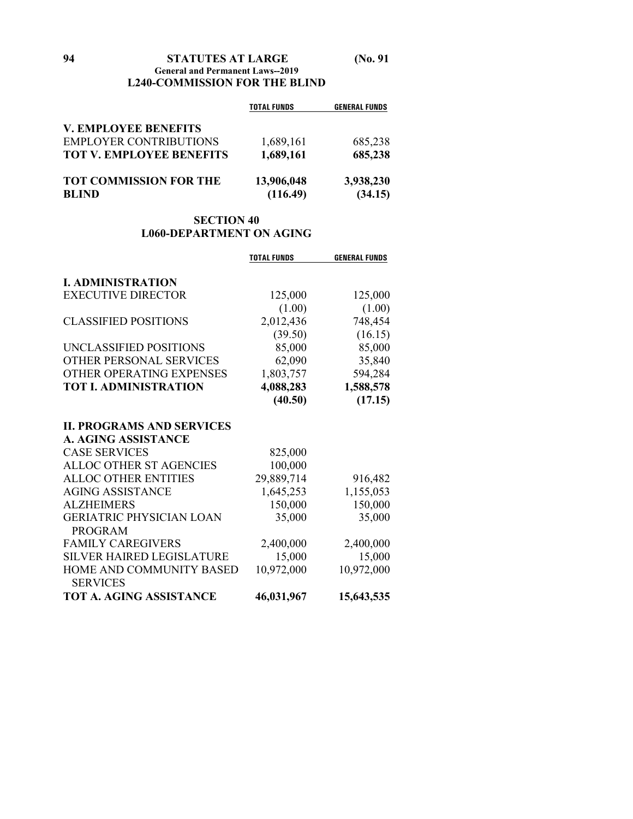|                        | <b>GENERAL FUNDS</b> |
|------------------------|----------------------|
|                        |                      |
| 1,689,161              | 685,238              |
| 1,689,161              | 685,238              |
| 13,906,048<br>(116.49) | 3,938,230<br>(34.15) |
|                        | <b>TOTAL FUNDS</b>   |

# **SECTION 40 L060-DEPARTMENT ON AGING**

|                                  | <b>TOTAL FUNDS</b> | <b>GENERAL FUNDS</b> |
|----------------------------------|--------------------|----------------------|
| <b>I. ADMINISTRATION</b>         |                    |                      |
| <b>EXECUTIVE DIRECTOR</b>        | 125,000            | 125,000              |
|                                  | (1.00)             | (1.00)               |
| <b>CLASSIFIED POSITIONS</b>      | 2,012,436          | 748,454              |
|                                  | (39.50)            | (16.15)              |
| UNCLASSIFIED POSITIONS           | 85,000             | 85,000               |
| <b>OTHER PERSONAL SERVICES</b>   | 62,090             | 35,840               |
| OTHER OPERATING EXPENSES         | 1,803,757          | 594,284              |
| <b>TOT I. ADMINISTRATION</b>     | 4,088,283          | 1,588,578            |
|                                  | (40.50)            | (17.15)              |
| <b>II. PROGRAMS AND SERVICES</b> |                    |                      |
| A. AGING ASSISTANCE              |                    |                      |
| <b>CASE SERVICES</b>             | 825,000            |                      |
| ALLOC OTHER ST AGENCIES          | 100,000            |                      |
| <b>ALLOC OTHER ENTITIES</b>      | 29,889,714         | 916,482              |
| <b>AGING ASSISTANCE</b>          | 1,645,253          | 1,155,053            |
| <b>ALZHEIMERS</b>                | 150,000            | 150,000              |
| <b>GERIATRIC PHYSICIAN LOAN</b>  | 35,000             | 35,000               |
| <b>PROGRAM</b>                   |                    |                      |
| <b>FAMILY CAREGIVERS</b>         | 2,400,000          | 2,400,000            |
| <b>SILVER HAIRED LEGISLATURE</b> | 15,000             | 15,000               |
| HOME AND COMMUNITY BASED         | 10,972,000         | 10,972,000           |
| <b>SERVICES</b>                  |                    |                      |
| <b>TOT A. AGING ASSISTANCE</b>   | 46,031,967         | 15,643,535           |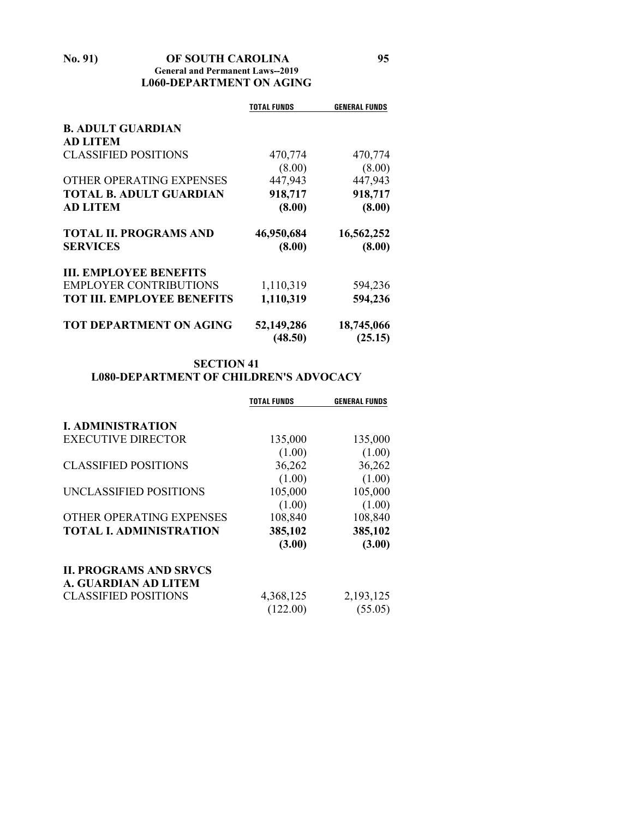## **No. 91) OF SOUTH CAROLINA 95 General and Permanent Laws--2019 L060-DEPARTMENT ON AGING**

|                                   | TOTAL FUNDS           | <b>GENERAL FUNDS</b>  |
|-----------------------------------|-----------------------|-----------------------|
| <b>B. ADULT GUARDIAN</b>          |                       |                       |
| <b>AD LITEM</b>                   |                       |                       |
| <b>CLASSIFIED POSITIONS</b>       | 470,774               | 470,774               |
|                                   | (8.00)                | (8.00)                |
| OTHER OPERATING EXPENSES          | 447,943               | 447,943               |
| <b>TOTAL B. ADULT GUARDIAN</b>    | 918,717               | 918,717               |
| <b>AD LITEM</b>                   | (8.00)                | (8.00)                |
| <b>TOTAL II. PROGRAMS AND</b>     | 46,950,684            | 16,562,252            |
| <b>SERVICES</b>                   | (8.00)                | (8.00)                |
| <b>III. EMPLOYEE BENEFITS</b>     |                       |                       |
| <b>EMPLOYER CONTRIBUTIONS</b>     | 1,110,319             | 594,236               |
| <b>TOT III. EMPLOYEE BENEFITS</b> | 1,110,319             | 594,236               |
| <b>TOT DEPARTMENT ON AGING</b>    | 52,149,286<br>(48.50) | 18,745,066<br>(25.15) |

## **SECTION 41 L080-DEPARTMENT OF CHILDREN'S ADVOCACY**

|                                | TOTAL FUNDS | <b>GENERAL FUNDS</b> |
|--------------------------------|-------------|----------------------|
| <b>I. ADMINISTRATION</b>       |             |                      |
| <b>EXECUTIVE DIRECTOR</b>      | 135,000     | 135,000              |
|                                | (1.00)      | (1.00)               |
| <b>CLASSIFIED POSITIONS</b>    | 36,262      | 36,262               |
|                                | (1.00)      | (1.00)               |
| UNCLASSIFIED POSITIONS         | 105,000     | 105,000              |
|                                | (1.00)      | (1.00)               |
| OTHER OPERATING EXPENSES       | 108,840     | 108,840              |
| <b>TOTAL I. ADMINISTRATION</b> | 385,102     | 385,102              |
|                                | (3.00)      | (3.00)               |
| <b>II. PROGRAMS AND SRVCS</b>  |             |                      |
| <b>A. GUARDIAN AD LITEM</b>    |             |                      |
| <b>CLASSIFIED POSITIONS</b>    | 4,368,125   | 2,193,125            |
|                                | (122.00)    | (55.05)              |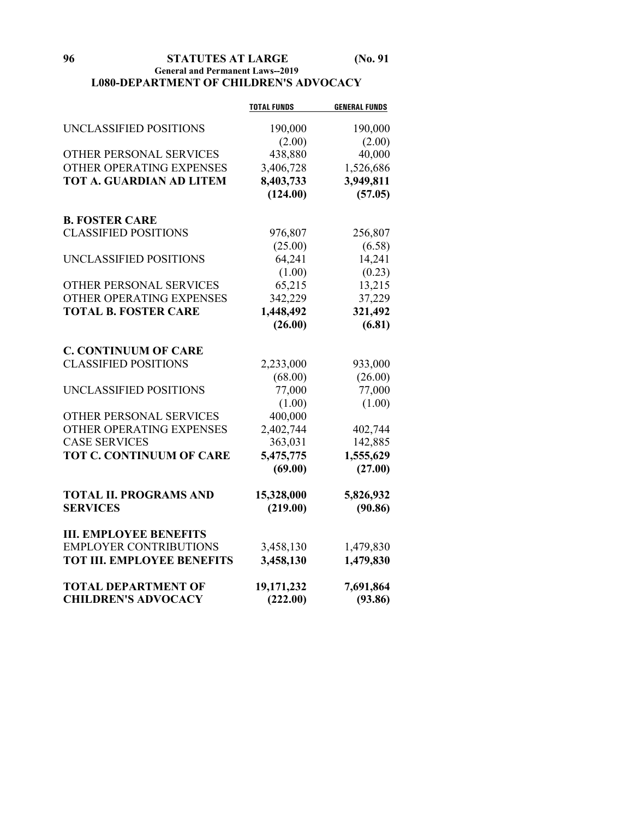**96 STATUTES AT LARGE (No. 91**

### **General and Permanent Laws--2019 L080-DEPARTMENT OF CHILDREN'S ADVOCACY**

|                                   | <b>TOTAL FUNDS</b> | <b>GENERAL FUNDS</b> |
|-----------------------------------|--------------------|----------------------|
| UNCLASSIFIED POSITIONS            | 190,000            | 190,000              |
|                                   | (2.00)             | (2.00)               |
| OTHER PERSONAL SERVICES           | 438,880            | 40,000               |
| OTHER OPERATING EXPENSES          | 3,406,728          | 1,526,686            |
| TOT A. GUARDIAN AD LITEM          | 8,403,733          | 3,949,811            |
|                                   | (124.00)           | (57.05)              |
| <b>B. FOSTER CARE</b>             |                    |                      |
| <b>CLASSIFIED POSITIONS</b>       | 976,807            | 256,807              |
|                                   | (25.00)            | (6.58)               |
| UNCLASSIFIED POSITIONS            | 64,241             | 14,241               |
|                                   | (1.00)             | (0.23)               |
| OTHER PERSONAL SERVICES           | 65,215             | 13,215               |
| OTHER OPERATING EXPENSES          | 342,229            | 37,229               |
| <b>TOTAL B. FOSTER CARE</b>       | 1,448,492          | 321,492              |
|                                   | (26.00)            | (6.81)               |
| <b>C. CONTINUUM OF CARE</b>       |                    |                      |
| <b>CLASSIFIED POSITIONS</b>       | 2,233,000          | 933,000              |
|                                   | (68.00)            | (26.00)              |
| UNCLASSIFIED POSITIONS            | 77,000             | 77,000               |
|                                   | (1.00)             | (1.00)               |
| OTHER PERSONAL SERVICES           | 400,000            |                      |
| OTHER OPERATING EXPENSES          | 2,402,744          | 402,744              |
| <b>CASE SERVICES</b>              | 363,031            | 142,885              |
| <b>TOT C. CONTINUUM OF CARE</b>   | 5,475,775          | 1,555,629            |
|                                   | (69.00)            | (27.00)              |
| <b>TOTAL II. PROGRAMS AND</b>     | 15,328,000         | 5,826,932            |
| <b>SERVICES</b>                   | (219.00)           | (90.86)              |
| <b>III. EMPLOYEE BENEFITS</b>     |                    |                      |
| <b>EMPLOYER CONTRIBUTIONS</b>     | 3,458,130          | 1,479,830            |
| <b>TOT III. EMPLOYEE BENEFITS</b> | 3,458,130          | 1,479,830            |
| <b>TOTAL DEPARTMENT OF</b>        | 19,171,232         | 7,691,864            |
| <b>CHILDREN'S ADVOCACY</b>        | (222.00)           | (93.86)              |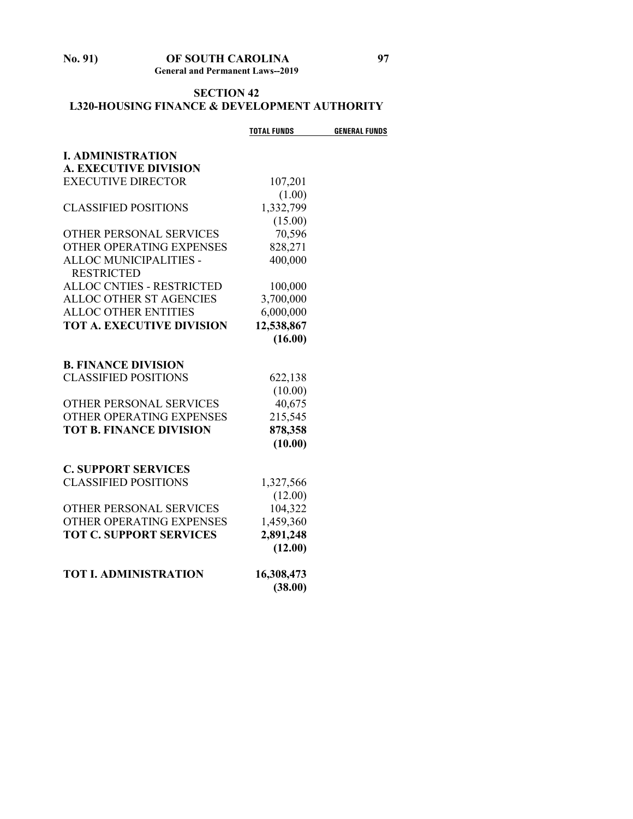## **No. 91) OF SOUTH CAROLINA 97 General and Permanent Laws--2019**

# **SECTION 42 L320-HOUSING FINANCE & DEVELOPMENT AUTHORITY**

|                                  | <b>TOTAL FUNDS</b> | <b>GENERAL FUNDS</b> |
|----------------------------------|--------------------|----------------------|
| <b>I. ADMINISTRATION</b>         |                    |                      |
| <b>A. EXECUTIVE DIVISION</b>     |                    |                      |
| <b>EXECUTIVE DIRECTOR</b>        | 107,201            |                      |
|                                  | (1.00)             |                      |
| <b>CLASSIFIED POSITIONS</b>      | 1,332,799          |                      |
|                                  | (15.00)            |                      |
| OTHER PERSONAL SERVICES          | 70,596             |                      |
| OTHER OPERATING EXPENSES         | 828,271            |                      |
| ALLOC MUNICIPALITIES -           | 400,000            |                      |
| <b>RESTRICTED</b>                |                    |                      |
| <b>ALLOC CNTIES - RESTRICTED</b> | 100,000            |                      |
| <b>ALLOC OTHER ST AGENCIES</b>   | 3,700,000          |                      |
| <b>ALLOC OTHER ENTITIES</b>      | 6,000,000          |                      |
| <b>TOT A. EXECUTIVE DIVISION</b> | 12,538,867         |                      |
|                                  | (16.00)            |                      |
| <b>B. FINANCE DIVISION</b>       |                    |                      |
| <b>CLASSIFIED POSITIONS</b>      | 622,138            |                      |
|                                  | (10.00)            |                      |
| OTHER PERSONAL SERVICES          | 40,675             |                      |
| OTHER OPERATING EXPENSES         | 215,545            |                      |
| <b>TOT B. FINANCE DIVISION</b>   | 878,358            |                      |
|                                  | (10.00)            |                      |
| <b>C. SUPPORT SERVICES</b>       |                    |                      |
| <b>CLASSIFIED POSITIONS</b>      | 1,327,566          |                      |
|                                  | (12.00)            |                      |
| OTHER PERSONAL SERVICES          | 104,322            |                      |
| OTHER OPERATING EXPENSES         | 1,459,360          |                      |
| <b>TOT C. SUPPORT SERVICES</b>   | 2,891,248          |                      |
|                                  | (12.00)            |                      |
| <b>TOT I. ADMINISTRATION</b>     | 16,308,473         |                      |
|                                  | (38.00)            |                      |
|                                  |                    |                      |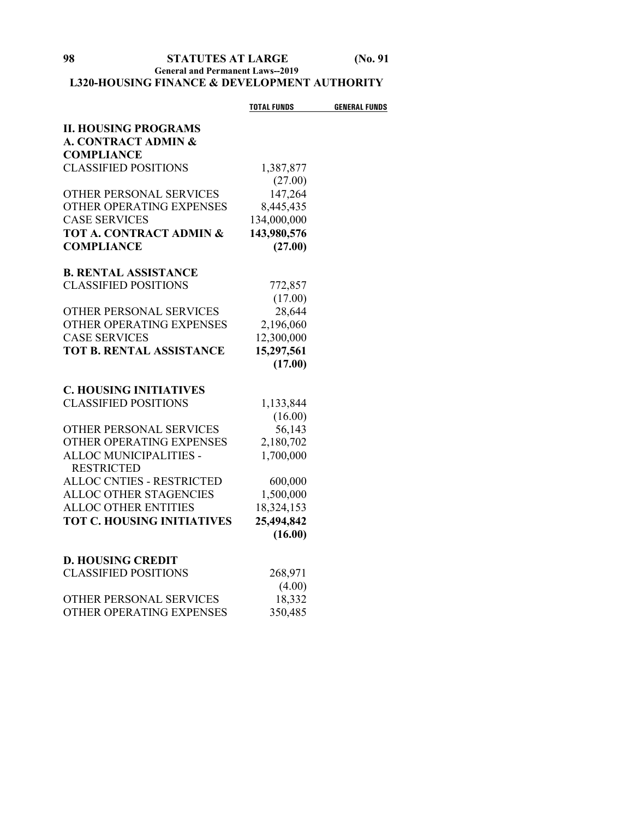## **General and Permanent Laws--2019 L320-HOUSING FINANCE & DEVELOPMENT AUTHORITY**

|                                   | <b>TOTAL FUNDS</b> | <b>GENERAL FUNDS</b> |
|-----------------------------------|--------------------|----------------------|
| <b>II. HOUSING PROGRAMS</b>       |                    |                      |
| A. CONTRACT ADMIN &               |                    |                      |
| <b>COMPLIANCE</b>                 |                    |                      |
| <b>CLASSIFIED POSITIONS</b>       | 1,387,877          |                      |
|                                   | (27.00)            |                      |
| OTHER PERSONAL SERVICES           | 147,264            |                      |
| OTHER OPERATING EXPENSES          | 8,445,435          |                      |
| <b>CASE SERVICES</b>              | 134,000,000        |                      |
| TOT A. CONTRACT ADMIN &           | 143,980,576        |                      |
| <b>COMPLIANCE</b>                 | (27.00)            |                      |
| <b>B. RENTAL ASSISTANCE</b>       |                    |                      |
| <b>CLASSIFIED POSITIONS</b>       | 772,857            |                      |
|                                   | (17.00)            |                      |
| OTHER PERSONAL SERVICES           | 28,644             |                      |
| OTHER OPERATING EXPENSES          | 2,196,060          |                      |
| <b>CASE SERVICES</b>              | 12,300,000         |                      |
| <b>TOT B. RENTAL ASSISTANCE</b>   | 15,297,561         |                      |
|                                   | (17.00)            |                      |
| <b>C. HOUSING INITIATIVES</b>     |                    |                      |
| <b>CLASSIFIED POSITIONS</b>       | 1,133,844          |                      |
|                                   | (16.00)            |                      |
| OTHER PERSONAL SERVICES           | 56,143             |                      |
| OTHER OPERATING EXPENSES          | 2,180,702          |                      |
| ALLOC MUNICIPALITIES -            | 1,700,000          |                      |
| <b>RESTRICTED</b>                 |                    |                      |
| <b>ALLOC CNTIES - RESTRICTED</b>  | 600,000            |                      |
| ALLOC OTHER STAGENCIES            | 1,500,000          |                      |
| <b>ALLOC OTHER ENTITIES</b>       | 18,324,153         |                      |
| <b>TOT C. HOUSING INITIATIVES</b> | 25,494,842         |                      |
|                                   | (16.00)            |                      |
| <b>D. HOUSING CREDIT</b>          |                    |                      |
| <b>CLASSIFIED POSITIONS</b>       | 268,971            |                      |
|                                   | (4.00)             |                      |
| OTHER PERSONAL SERVICES           | 18,332             |                      |
| OTHER OPERATING EXPENSES          | 350,485            |                      |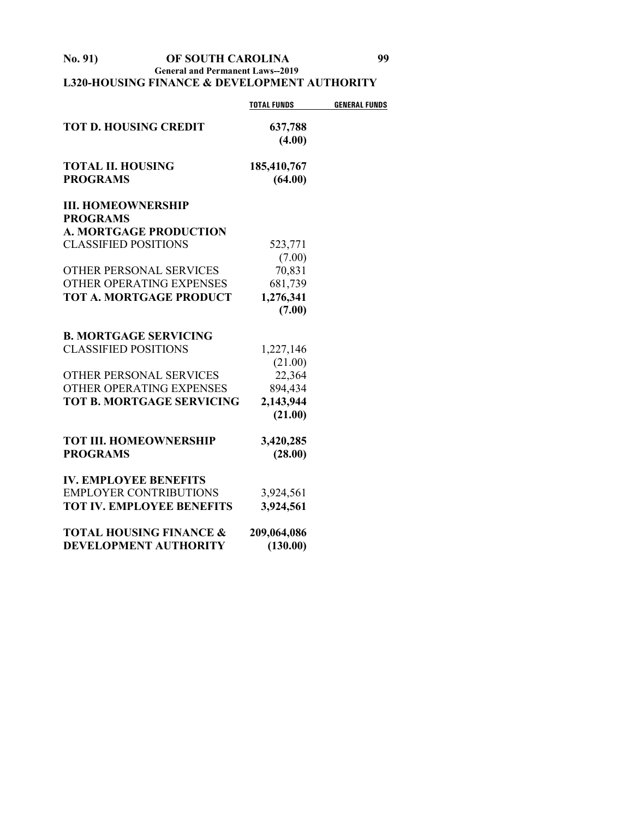**No. 91) OF SOUTH CAROLINA 99 General and Permanent Laws--2019 L320-HOUSING FINANCE & DEVELOPMENT AUTHORITY**

|                                             | <b>TOTAL FUNDS</b>     | <b>GENERAL FUNDS</b> |
|---------------------------------------------|------------------------|----------------------|
| <b>TOT D. HOUSING CREDIT</b>                | 637,788<br>(4.00)      |                      |
| <b>TOTAL II. HOUSING</b><br><b>PROGRAMS</b> | 185,410,767<br>(64.00) |                      |
| <b>III. HOMEOWNERSHIP</b>                   |                        |                      |
| <b>PROGRAMS</b>                             |                        |                      |
| <b>A. MORTGAGE PRODUCTION</b>               |                        |                      |
| <b>CLASSIFIED POSITIONS</b>                 | 523,771                |                      |
|                                             | (7.00)                 |                      |
| OTHER PERSONAL SERVICES                     | 70,831                 |                      |
| OTHER OPERATING EXPENSES                    | 681,739                |                      |
| <b>TOT A. MORTGAGE PRODUCT</b>              | 1,276,341              |                      |
|                                             | (7.00)                 |                      |
| <b>B. MORTGAGE SERVICING</b>                |                        |                      |
| <b>CLASSIFIED POSITIONS</b>                 | 1,227,146              |                      |
|                                             | (21.00)                |                      |
| <b>OTHER PERSONAL SERVICES</b>              | 22,364                 |                      |
| OTHER OPERATING EXPENSES                    | 894,434                |                      |
| <b>TOT B. MORTGAGE SERVICING</b>            | 2,143,944              |                      |
|                                             | (21.00)                |                      |
| <b>TOT III. HOMEOWNERSHIP</b>               | 3,420,285              |                      |
| <b>PROGRAMS</b>                             | (28.00)                |                      |
| <b>IV. EMPLOYEE BENEFITS</b>                |                        |                      |
| <b>EMPLOYER CONTRIBUTIONS</b>               | 3,924,561              |                      |
| <b>TOT IV. EMPLOYEE BENEFITS</b>            | 3,924,561              |                      |
| <b>TOTAL HOUSING FINANCE &amp;</b>          | 209,064,086            |                      |
| <b>DEVELOPMENT AUTHORITY</b>                | (130.00)               |                      |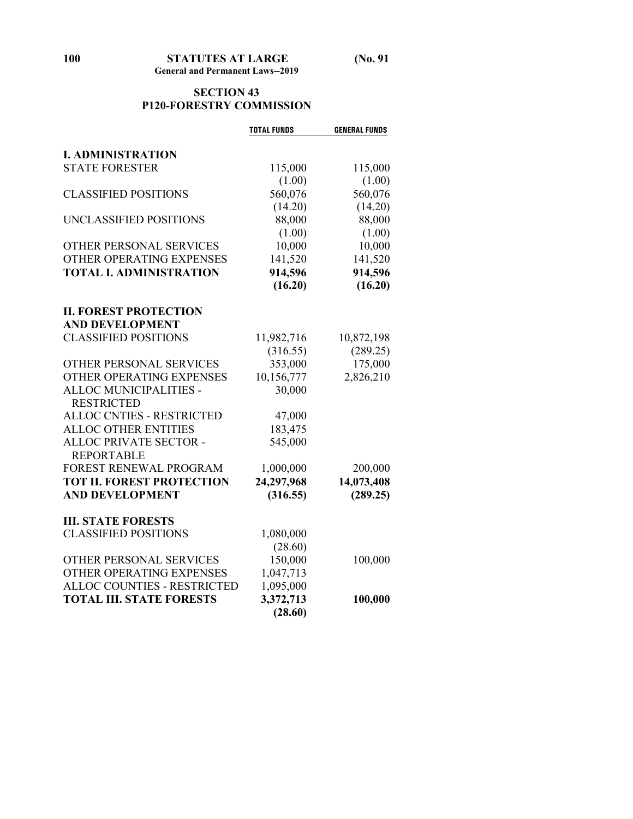## **SECTION 43 P120-FORESTRY COMMISSION**

|                                    | <b>TOTAL FUNDS</b> | <b>GENERAL FUNDS</b> |
|------------------------------------|--------------------|----------------------|
|                                    |                    |                      |
| <b>I. ADMINISTRATION</b>           |                    |                      |
| <b>STATE FORESTER</b>              | 115,000            | 115,000              |
|                                    | (1.00)             | (1.00)               |
| <b>CLASSIFIED POSITIONS</b>        | 560,076            | 560,076              |
|                                    | (14.20)            | (14.20)              |
| UNCLASSIFIED POSITIONS             | 88,000             | 88,000               |
|                                    | (1.00)             | (1.00)               |
| OTHER PERSONAL SERVICES            | 10,000             | 10,000               |
| OTHER OPERATING EXPENSES           | 141,520            | 141,520              |
| <b>TOTAL I. ADMINISTRATION</b>     | 914,596            | 914,596              |
|                                    | (16.20)            | (16.20)              |
|                                    |                    |                      |
| <b>II. FOREST PROTECTION</b>       |                    |                      |
| <b>AND DEVELOPMENT</b>             |                    |                      |
| <b>CLASSIFIED POSITIONS</b>        | 11,982,716         | 10,872,198           |
|                                    | (316.55)           | (289.25)             |
| OTHER PERSONAL SERVICES            | 353,000            | 175,000              |
| OTHER OPERATING EXPENSES           | 10,156,777         | 2,826,210            |
| ALLOC MUNICIPALITIES -             | 30,000             |                      |
| <b>RESTRICTED</b>                  |                    |                      |
| ALLOC CNTIES - RESTRICTED          | 47,000             |                      |
| <b>ALLOC OTHER ENTITIES</b>        | 183,475            |                      |
| ALLOC PRIVATE SECTOR -             | 545,000            |                      |
| <b>REPORTABLE</b>                  |                    |                      |
| FOREST RENEWAL PROGRAM             | 1,000,000          | 200,000              |
| <b>TOT II. FOREST PROTECTION</b>   | 24,297,968         | 14,073,408           |
| <b>AND DEVELOPMENT</b>             | (316.55)           | (289.25)             |
| <b>III. STATE FORESTS</b>          |                    |                      |
| <b>CLASSIFIED POSITIONS</b>        | 1,080,000          |                      |
|                                    | (28.60)            |                      |
| OTHER PERSONAL SERVICES            | 150,000            | 100,000              |
| OTHER OPERATING EXPENSES           | 1,047,713          |                      |
| <b>ALLOC COUNTIES - RESTRICTED</b> | 1,095,000          |                      |
| <b>TOTAL III. STATE FORESTS</b>    | 3,372,713          | 100,000              |
|                                    | (28.60)            |                      |
|                                    |                    |                      |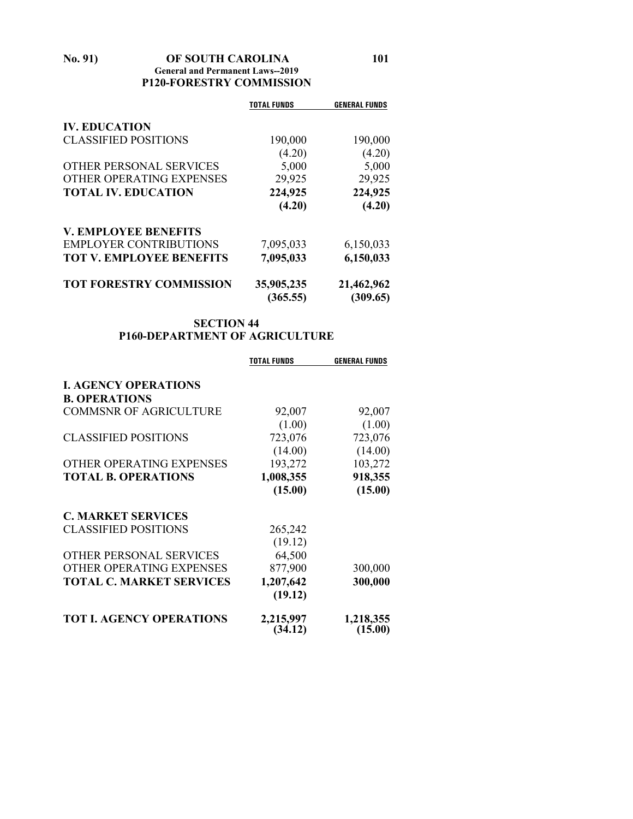**No. 91) OF SOUTH CAROLINA 101 General and Permanent Laws--2019 P120-FORESTRY COMMISSION**

|                                 | <b>TOTAL FUNDS</b> | <b>GENERAL FUNDS</b> |
|---------------------------------|--------------------|----------------------|
| <b>IV. EDUCATION</b>            |                    |                      |
| <b>CLASSIFIED POSITIONS</b>     | 190,000            | 190,000              |
|                                 | (4.20)             | (4.20)               |
| <b>OTHER PERSONAL SERVICES</b>  | 5,000              | 5,000                |
| OTHER OPERATING EXPENSES        | 29,925             | 29,925               |
| <b>TOTAL IV. EDUCATION</b>      | 224,925            | 224,925              |
|                                 | (4.20)             | (4.20)               |
| <b>V. EMPLOYEE BENEFITS</b>     |                    |                      |
| <b>EMPLOYER CONTRIBUTIONS</b>   | 7,095,033          | 6,150,033            |
| <b>TOT V. EMPLOYEE BENEFITS</b> | 7,095,033          | 6,150,033            |
| <b>TOT FORESTRY COMMISSION</b>  | 35,905,235         | 21,462,962           |
|                                 | (365.55)           | (309.65)             |

## **SECTION 44 P160-DEPARTMENT OF AGRICULTURE**

|                                 | <b>TOTAL FUNDS</b>   | <b>GENERAL FUNDS</b> |
|---------------------------------|----------------------|----------------------|
| <b>I. AGENCY OPERATIONS</b>     |                      |                      |
| <b>B. OPERATIONS</b>            |                      |                      |
| <b>COMMSNR OF AGRICULTURE</b>   | 92,007               | 92,007               |
|                                 | (1.00)               | (1.00)               |
| <b>CLASSIFIED POSITIONS</b>     | 723,076              | 723,076              |
|                                 | (14.00)              | (14.00)              |
| OTHER OPERATING EXPENSES        | 193,272              | 103,272              |
| <b>TOTAL B. OPERATIONS</b>      | 1,008,355            | 918,355              |
|                                 | (15.00)              | (15.00)              |
| <b>C. MARKET SERVICES</b>       |                      |                      |
| <b>CLASSIFIED POSITIONS</b>     | 265,242              |                      |
|                                 | (19.12)              |                      |
| OTHER PERSONAL SERVICES         | 64,500               |                      |
| OTHER OPERATING EXPENSES        | 877,900              | 300,000              |
| <b>TOTAL C. MARKET SERVICES</b> | 1,207,642            | 300,000              |
|                                 | (19.12)              |                      |
| <b>TOT I. AGENCY OPERATIONS</b> | 2,215,997<br>(34.12) | 1,218,355<br>(15.00) |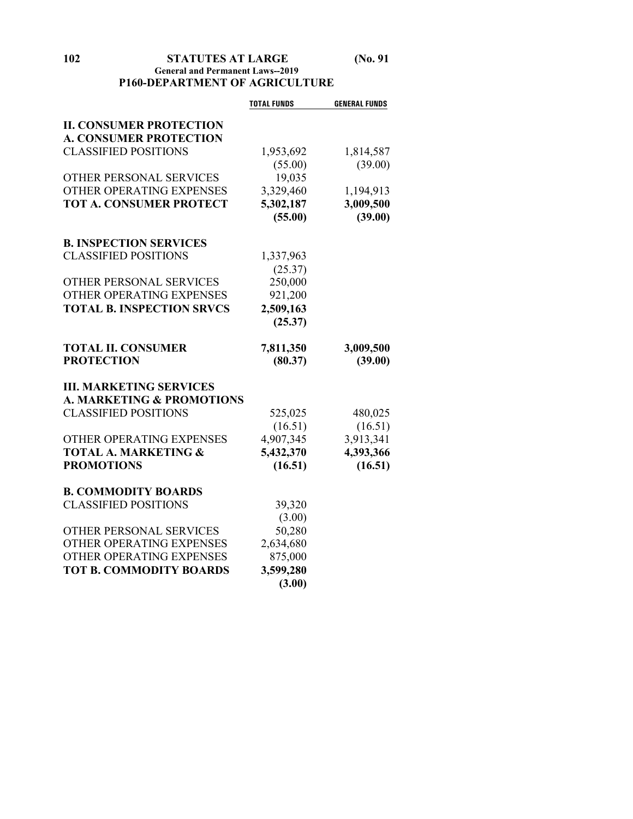## **102 STATUTES AT LARGE (No. 91 General and Permanent Laws--2019 P160-DEPARTMENT OF AGRICULTURE**

|                                      | <b>TOTAL FUNDS</b> | <b>GENERAL FUNDS</b> |
|--------------------------------------|--------------------|----------------------|
| <b>II. CONSUMER PROTECTION</b>       |                    |                      |
| <b>A. CONSUMER PROTECTION</b>        |                    |                      |
| <b>CLASSIFIED POSITIONS</b>          | 1,953,692          | 1,814,587            |
|                                      | (55.00)            | (39.00)              |
| OTHER PERSONAL SERVICES              | 19,035             |                      |
| OTHER OPERATING EXPENSES             | 3,329,460          | 1,194,913            |
| <b>TOT A. CONSUMER PROTECT</b>       | 5,302,187          | 3,009,500            |
|                                      | (55.00)            | (39.00)              |
|                                      |                    |                      |
| <b>B. INSPECTION SERVICES</b>        |                    |                      |
| <b>CLASSIFIED POSITIONS</b>          | 1,337,963          |                      |
|                                      | (25.37)            |                      |
| OTHER PERSONAL SERVICES              | 250,000            |                      |
| OTHER OPERATING EXPENSES             | 921,200            |                      |
| <b>TOTAL B. INSPECTION SRVCS</b>     | 2,509,163          |                      |
|                                      | (25.37)            |                      |
|                                      |                    |                      |
| <b>TOTAL II. CONSUMER</b>            | 7,811,350          | 3,009,500            |
| <b>PROTECTION</b>                    | (80.37)            | (39.00)              |
|                                      |                    |                      |
| <b>III. MARKETING SERVICES</b>       |                    |                      |
| <b>A. MARKETING &amp; PROMOTIONS</b> |                    |                      |
| <b>CLASSIFIED POSITIONS</b>          | 525,025            | 480,025              |
|                                      | (16.51)            | (16.51)              |
| OTHER OPERATING EXPENSES             | 4,907,345          | 3,913,341            |
| <b>TOTAL A. MARKETING &amp;</b>      | 5,432,370          | 4,393,366            |
| <b>PROMOTIONS</b>                    | (16.51)            | (16.51)              |
|                                      |                    |                      |
| <b>B. COMMODITY BOARDS</b>           |                    |                      |
| <b>CLASSIFIED POSITIONS</b>          | 39,320             |                      |
|                                      | (3.00)             |                      |
| OTHER PERSONAL SERVICES              | 50,280             |                      |
| OTHER OPERATING EXPENSES             | 2,634,680          |                      |
| OTHER OPERATING EXPENSES             | 875,000            |                      |
| <b>TOT B. COMMODITY BOARDS</b>       | 3,599,280          |                      |
|                                      | (3.00)             |                      |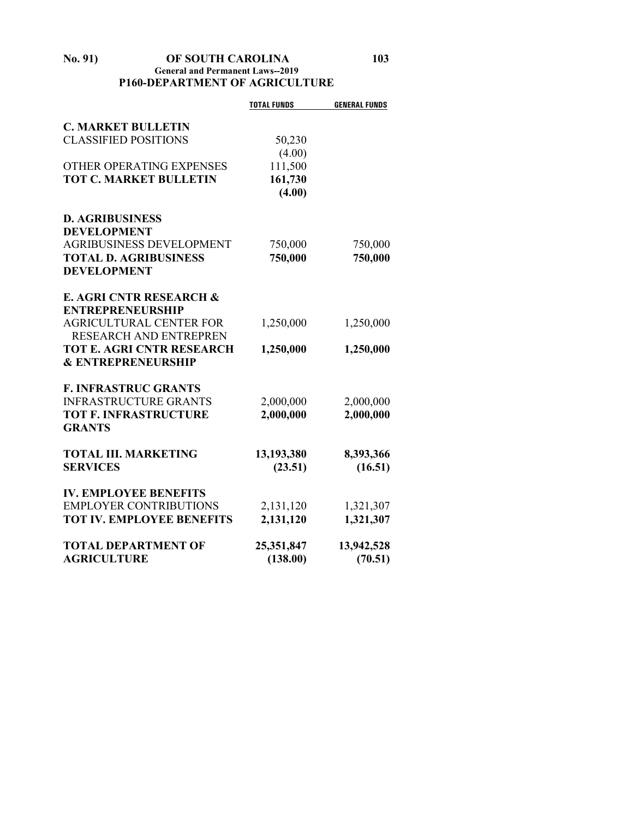## **No. 91) OF SOUTH CAROLINA 103 General and Permanent Laws--2019 P160-DEPARTMENT OF AGRICULTURE**

|                                  | <b>TOTAL FUNDS</b> | <b>GENERAL FUNDS</b> |
|----------------------------------|--------------------|----------------------|
|                                  |                    |                      |
| <b>C. MARKET BULLETIN</b>        |                    |                      |
| <b>CLASSIFIED POSITIONS</b>      | 50,230             |                      |
|                                  | (4.00)             |                      |
| OTHER OPERATING EXPENSES         | 111,500            |                      |
| <b>TOT C. MARKET BULLETIN</b>    | 161,730            |                      |
|                                  | (4.00)             |                      |
| <b>D. AGRIBUSINESS</b>           |                    |                      |
| <b>DEVELOPMENT</b>               |                    |                      |
| <b>AGRIBUSINESS DEVELOPMENT</b>  | 750,000            | 750,000              |
| <b>TOTAL D. AGRIBUSINESS</b>     | 750,000            | 750,000              |
| <b>DEVELOPMENT</b>               |                    |                      |
|                                  |                    |                      |
| E. AGRI CNTR RESEARCH &          |                    |                      |
| <b>ENTREPRENEURSHIP</b>          |                    |                      |
| <b>AGRICULTURAL CENTER FOR</b>   | 1,250,000          | 1,250,000            |
| <b>RESEARCH AND ENTREPREN</b>    |                    |                      |
| <b>TOT E. AGRI CNTR RESEARCH</b> | 1,250,000          | 1,250,000            |
| <b>&amp; ENTREPRENEURSHIP</b>    |                    |                      |
|                                  |                    |                      |
| <b>F. INFRASTRUC GRANTS</b>      |                    |                      |
| <b>INFRASTRUCTURE GRANTS</b>     | 2,000,000          | 2,000,000            |
| <b>TOT F. INFRASTRUCTURE</b>     | 2,000,000          | 2,000,000            |
| <b>GRANTS</b>                    |                    |                      |
| <b>TOTAL III. MARKETING</b>      | 13,193,380         | 8,393,366            |
| <b>SERVICES</b>                  | (23.51)            | (16.51)              |
|                                  |                    |                      |
| <b>IV. EMPLOYEE BENEFITS</b>     |                    |                      |
| <b>EMPLOYER CONTRIBUTIONS</b>    | 2,131,120          | 1,321,307            |
| <b>TOT IV. EMPLOYEE BENEFITS</b> | 2,131,120          | 1,321,307            |
|                                  |                    |                      |
| <b>TOTAL DEPARTMENT OF</b>       | 25,351,847         | 13,942,528           |
| <b>AGRICULTURE</b>               | (138.00)           | (70.51)              |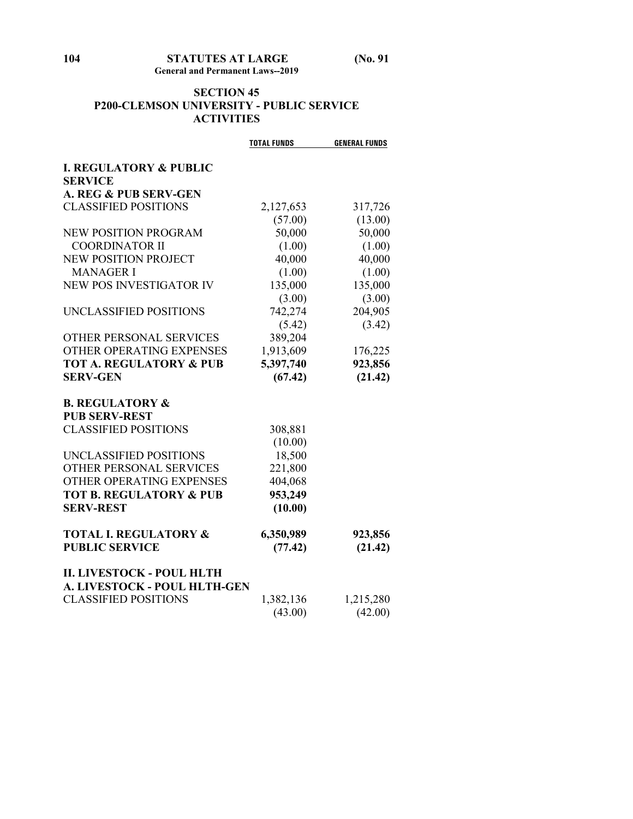## **SECTION 45 P200-CLEMSON UNIVERSITY - PUBLIC SERVICE ACTIVITIES**

|                                     | <b>TOTAL FUNDS</b> | <b>GENERAL FUNDS</b> |
|-------------------------------------|--------------------|----------------------|
| <b>I. REGULATORY &amp; PUBLIC</b>   |                    |                      |
| <b>SERVICE</b>                      |                    |                      |
| A. REG & PUB SERV-GEN               |                    |                      |
| <b>CLASSIFIED POSITIONS</b>         | 2,127,653          | 317,726              |
|                                     | (57.00)            | (13.00)              |
| <b>NEW POSITION PROGRAM</b>         | 50,000             | 50,000               |
| <b>COORDINATOR II</b>               | (1.00)             | (1.00)               |
| NEW POSITION PROJECT                | 40,000             | 40,000               |
| <b>MANAGER I</b>                    | (1.00)             | (1.00)               |
| NEW POS INVESTIGATOR IV             | 135,000            | 135,000              |
|                                     | (3.00)             | (3.00)               |
| UNCLASSIFIED POSITIONS              | 742,274            | 204,905              |
|                                     | (5.42)             | (3.42)               |
| <b>OTHER PERSONAL SERVICES</b>      | 389,204            |                      |
| OTHER OPERATING EXPENSES            | 1,913,609          | 176,225              |
| <b>TOT A. REGULATORY &amp; PUB</b>  | 5,397,740          | 923,856              |
| <b>SERV-GEN</b>                     | (67.42)            | (21.42)              |
| <b>B. REGULATORY &amp;</b>          |                    |                      |
| <b>PUB SERV-REST</b>                |                    |                      |
| <b>CLASSIFIED POSITIONS</b>         | 308,881            |                      |
|                                     | (10.00)            |                      |
| UNCLASSIFIED POSITIONS              | 18,500             |                      |
| OTHER PERSONAL SERVICES             | 221,800            |                      |
| OTHER OPERATING EXPENSES            | 404,068            |                      |
| <b>TOT B. REGULATORY &amp; PUB</b>  | 953,249            |                      |
| <b>SERV-REST</b>                    | (10.00)            |                      |
| <b>TOTAL I. REGULATORY &amp;</b>    | 6,350,989          | 923,856              |
| <b>PUBLIC SERVICE</b>               | (77.42)            | (21.42)              |
| <b>II. LIVESTOCK - POUL HLTH</b>    |                    |                      |
| <b>A. LIVESTOCK - POUL HLTH-GEN</b> |                    |                      |
| <b>CLASSIFIED POSITIONS</b>         | 1,382,136          | 1,215,280            |
|                                     | (43.00)            | (42.00)              |
|                                     |                    |                      |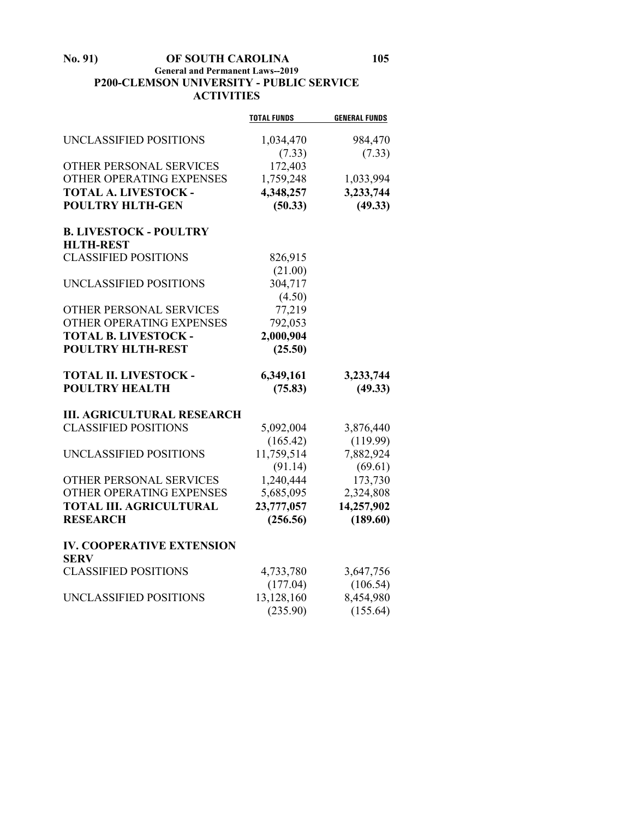**No. 91) OF SOUTH CAROLINA 105**

## **General and Permanent Laws--2019 P200-CLEMSON UNIVERSITY - PUBLIC SERVICE ACTIVITIES**

|                                                 | <b>TOTAL FUNDS</b> | <b>GENERAL FUNDS</b> |
|-------------------------------------------------|--------------------|----------------------|
|                                                 |                    |                      |
| UNCLASSIFIED POSITIONS                          | 1,034,470          | 984,470              |
| OTHER PERSONAL SERVICES                         | (7.33)<br>172,403  | (7.33)               |
| OTHER OPERATING EXPENSES                        | 1,759,248          | 1,033,994            |
| <b>TOTAL A. LIVESTOCK -</b>                     | 4,348,257          | 3,233,744            |
| <b>POULTRY HLTH-GEN</b>                         | (50.33)            | (49.33)              |
|                                                 |                    |                      |
| <b>B. LIVESTOCK - POULTRY</b>                   |                    |                      |
| <b>HLTH-REST</b>                                |                    |                      |
| <b>CLASSIFIED POSITIONS</b>                     | 826,915            |                      |
|                                                 | (21.00)            |                      |
| UNCLASSIFIED POSITIONS                          | 304,717            |                      |
|                                                 | (4.50)             |                      |
| OTHER PERSONAL SERVICES                         | 77,219             |                      |
| OTHER OPERATING EXPENSES                        | 792,053            |                      |
| <b>TOTAL B. LIVESTOCK -</b>                     | 2,000,904          |                      |
| <b>POULTRY HLTH-REST</b>                        | (25.50)            |                      |
|                                                 |                    |                      |
| <b>TOTAL II. LIVESTOCK -</b>                    | 6,349,161          | 3,233,744            |
| <b>POULTRY HEALTH</b>                           | (75.83)            | (49.33)              |
|                                                 |                    |                      |
| <b>III. AGRICULTURAL RESEARCH</b>               |                    |                      |
| <b>CLASSIFIED POSITIONS</b>                     | 5,092,004          | 3,876,440            |
|                                                 | (165.42)           | (119.99)             |
| UNCLASSIFIED POSITIONS                          | 11,759,514         | 7,882,924            |
|                                                 | (91.14)            | (69.61)              |
| OTHER PERSONAL SERVICES                         | 1,240,444          | 173,730              |
| OTHER OPERATING EXPENSES                        | 5,685,095          | 2,324,808            |
| <b>TOTAL III. AGRICULTURAL</b>                  | 23,777,057         | 14,257,902           |
| <b>RESEARCH</b>                                 | (256.56)           | (189.60)             |
|                                                 |                    |                      |
| <b>IV. COOPERATIVE EXTENSION</b><br><b>SERV</b> |                    |                      |
| <b>CLASSIFIED POSITIONS</b>                     | 4,733,780          | 3,647,756            |
|                                                 | (177.04)           | (106.54)             |
| UNCLASSIFIED POSITIONS                          | 13,128,160         | 8,454,980            |
|                                                 | (235.90)           | (155.64)             |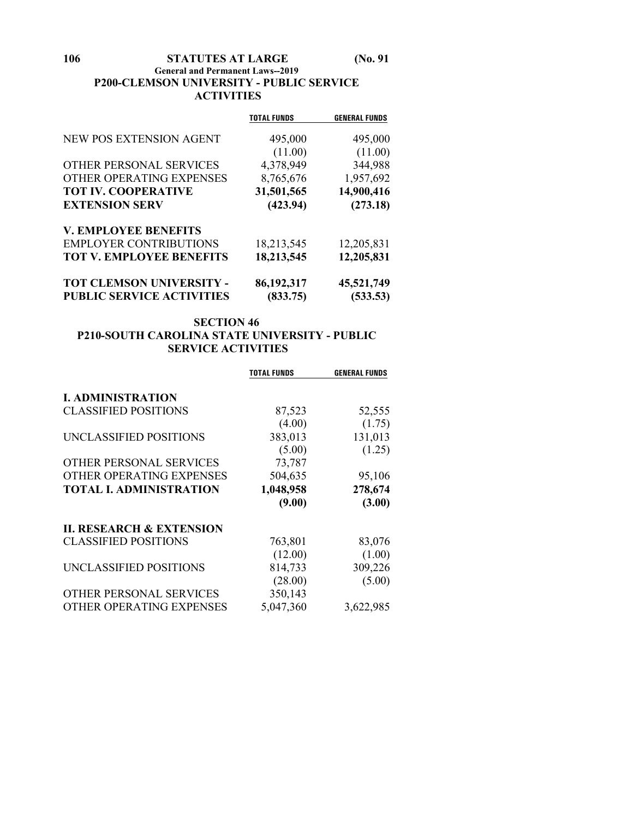# **106 STATUTES AT LARGE (No. 91**

## **General and Permanent Laws--2019 P200-CLEMSON UNIVERSITY - PUBLIC SERVICE ACTIVITIES**

|                                  | <b>TOTAL FUNDS</b> | <b>GENERAL FUNDS</b> |
|----------------------------------|--------------------|----------------------|
| NEW POS EXTENSION AGENT          | 495,000            | 495,000              |
|                                  | (11.00)            | (11.00)              |
| OTHER PERSONAL SERVICES          | 4,378,949          | 344,988              |
| OTHER OPERATING EXPENSES         | 8,765,676          | 1,957,692            |
| <b>TOT IV. COOPERATIVE</b>       | 31,501,565         | 14,900,416           |
| <b>EXTENSION SERV</b>            | (423.94)           | (273.18)             |
| <b>V. EMPLOYEE BENEFITS</b>      |                    |                      |
| <b>EMPLOYER CONTRIBUTIONS</b>    | 18,213,545         | 12,205,831           |
| <b>TOT V. EMPLOYEE BENEFITS</b>  | 18,213,545         | 12,205,831           |
| TOT CLEMSON UNIVERSITY -         | 86,192,317         | 45,521,749           |
| <b>PUBLIC SERVICE ACTIVITIES</b> | (833.75)           | (533.53)             |

## **SECTION 46 P210-SOUTH CAROLINA STATE UNIVERSITY - PUBLIC SERVICE ACTIVITIES**

|                                     | <b>TOTAL FUNDS</b> | <b>GENERAL FUNDS</b> |
|-------------------------------------|--------------------|----------------------|
| <b>I. ADMINISTRATION</b>            |                    |                      |
| <b>CLASSIFIED POSITIONS</b>         | 87,523             | 52,555               |
|                                     | (4.00)             | (1.75)               |
| UNCLASSIFIED POSITIONS              | 383,013            | 131,013              |
|                                     | (5.00)             | (1.25)               |
| OTHER PERSONAL SERVICES             | 73,787             |                      |
| OTHER OPERATING EXPENSES            | 504,635            | 95,106               |
| <b>TOTAL I. ADMINISTRATION</b>      | 1,048,958          | 278,674              |
|                                     | (9.00)             | (3.00)               |
| <b>II. RESEARCH &amp; EXTENSION</b> |                    |                      |
| <b>CLASSIFIED POSITIONS</b>         | 763,801            | 83,076               |
|                                     | (12.00)            | (1.00)               |
| UNCLASSIFIED POSITIONS              | 814,733            | 309,226              |
|                                     | (28.00)            | (5.00)               |
| OTHER PERSONAL SERVICES             | 350,143            |                      |
| OTHER OPERATING EXPENSES            | 5,047,360          | 3,622,985            |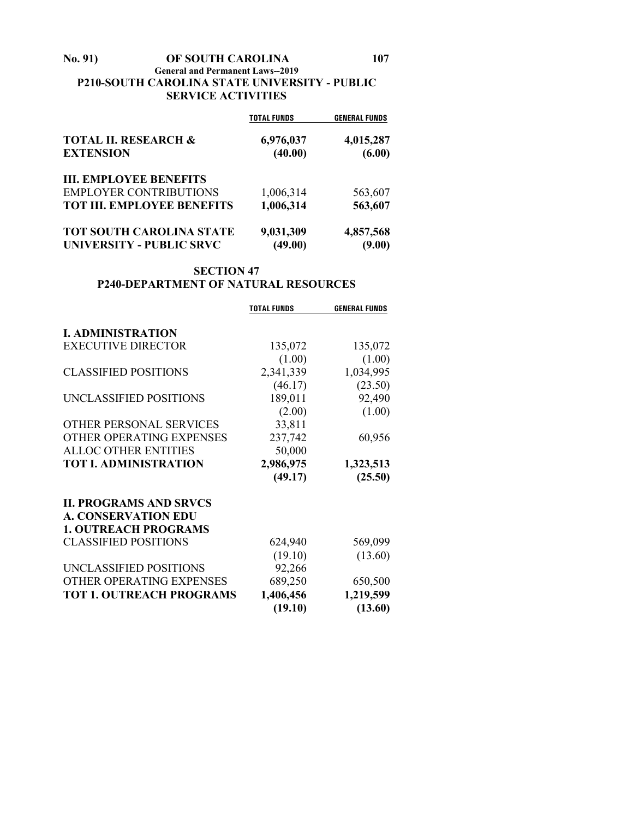## **No. 91) OF SOUTH CAROLINA 107 General and Permanent Laws--2019 P210-SOUTH CAROLINA STATE UNIVERSITY - PUBLIC SERVICE ACTIVITIES**

|                                                     | <b>TOTAL FUNDS</b>   | <b>GENERAL FUNDS</b> |
|-----------------------------------------------------|----------------------|----------------------|
| <b>TOTAL II. RESEARCH &amp;</b><br><b>EXTENSION</b> | 6,976,037<br>(40.00) | 4,015,287<br>(6.00)  |
| <b>III. EMPLOYEE BENEFITS</b>                       |                      |                      |
| <b>EMPLOYER CONTRIBUTIONS</b>                       | 1,006,314            | 563,607              |
| <b>TOT III. EMPLOYEE BENEFITS</b>                   | 1,006,314            | 563,607              |
| <b>TOT SOUTH CAROLINA STATE</b>                     | 9,031,309            | 4,857,568            |
| <b>UNIVERSITY - PUBLIC SRVC</b>                     | (49.00)              | (9.00)               |

## **SECTION 47 P240-DEPARTMENT OF NATURAL RESOURCES**

|                                 | <b>TOTAL FUNDS</b> | <b>GENERAL FUNDS</b> |
|---------------------------------|--------------------|----------------------|
|                                 |                    |                      |
| <b>I. ADMINISTRATION</b>        |                    |                      |
| <b>EXECUTIVE DIRECTOR</b>       | 135,072            | 135,072              |
|                                 | (1.00)             | (1.00)               |
| <b>CLASSIFIED POSITIONS</b>     | 2,341,339          | 1,034,995            |
|                                 | (46.17)            | (23.50)              |
| UNCLASSIFIED POSITIONS          | 189,011            | 92,490               |
|                                 | (2.00)             | (1.00)               |
| OTHER PERSONAL SERVICES         | 33,811             |                      |
| OTHER OPERATING EXPENSES        | 237,742            | 60,956               |
| <b>ALLOC OTHER ENTITIES</b>     | 50,000             |                      |
| <b>TOT I. ADMINISTRATION</b>    | 2,986,975          | 1,323,513            |
|                                 | (49.17)            | (25.50)              |
| <b>II. PROGRAMS AND SRVCS</b>   |                    |                      |
| <b>A. CONSERVATION EDU</b>      |                    |                      |
| <b>1. OUTREACH PROGRAMS</b>     |                    |                      |
| <b>CLASSIFIED POSITIONS</b>     | 624,940            | 569,099              |
|                                 | (19.10)            | (13.60)              |
| UNCLASSIFIED POSITIONS          | 92,266             |                      |
| OTHER OPERATING EXPENSES        | 689,250            | 650,500              |
| <b>TOT 1. OUTREACH PROGRAMS</b> | 1,406,456          | 1,219,599            |
|                                 | (19.10)            | (13.60)              |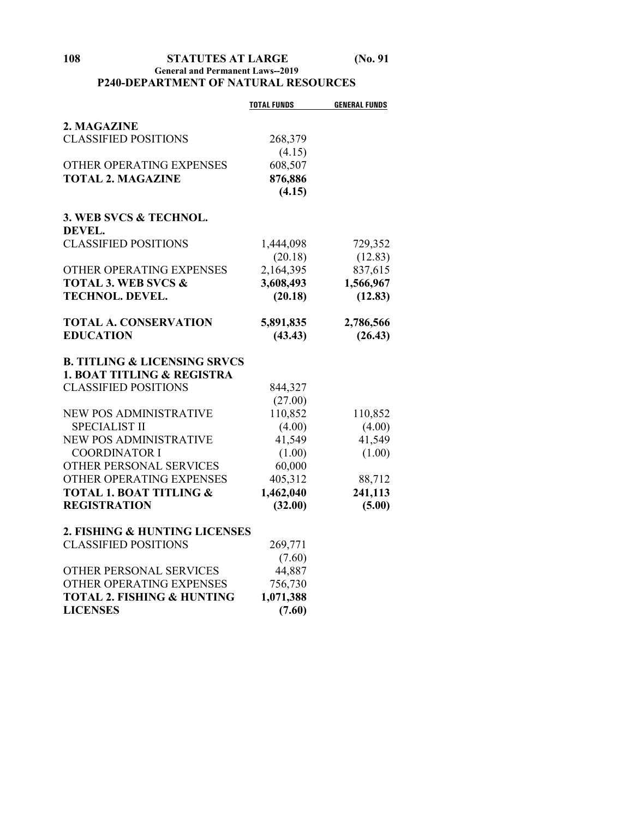## **General and Permanent Laws--2019 P240-DEPARTMENT OF NATURAL RESOURCES**

|                                         | <b>TOTAL FUNDS</b> | <b>GENERAL FUNDS</b> |
|-----------------------------------------|--------------------|----------------------|
| 2. MAGAZINE                             |                    |                      |
| <b>CLASSIFIED POSITIONS</b>             | 268,379            |                      |
|                                         | (4.15)             |                      |
| OTHER OPERATING EXPENSES                | 608,507            |                      |
| <b>TOTAL 2. MAGAZINE</b>                | 876,886            |                      |
|                                         | (4.15)             |                      |
| 3. WEB SVCS & TECHNOL.                  |                    |                      |
| <b>DEVEL.</b>                           |                    |                      |
| <b>CLASSIFIED POSITIONS</b>             | 1,444,098          | 729,352              |
|                                         | (20.18)            | (12.83)              |
| OTHER OPERATING EXPENSES                | 2,164,395          | 837,615              |
| TOTAL 3. WEB SVCS &                     | 3,608,493          | 1,566,967            |
| TECHNOL. DEVEL.                         | (20.18)            | (12.83)              |
|                                         |                    |                      |
| <b>TOTAL A. CONSERVATION</b>            | 5,891,835          | 2,786,566            |
| <b>EDUCATION</b>                        | (43.43)            | (26.43)              |
| <b>B. TITLING &amp; LICENSING SRVCS</b> |                    |                      |
| <b>1. BOAT TITLING &amp; REGISTRA</b>   |                    |                      |
| <b>CLASSIFIED POSITIONS</b>             | 844,327            |                      |
|                                         | (27.00)            |                      |
| <b>NEW POS ADMINISTRATIVE</b>           | 110,852            | 110,852              |
| <b>SPECIALIST II</b>                    | (4.00)             | (4.00)               |
| NEW POS ADMINISTRATIVE                  | 41,549             | 41,549               |
| <b>COORDINATOR I</b>                    | (1.00)             | (1.00)               |
| OTHER PERSONAL SERVICES                 | 60,000             |                      |
| OTHER OPERATING EXPENSES                | 405,312            | 88,712               |
| <b>TOTAL 1. BOAT TITLING &amp;</b>      | 1,462,040          | 241,113              |
| <b>REGISTRATION</b>                     | (32.00)            | (5.00)               |
| 2. FISHING & HUNTING LICENSES           |                    |                      |
| <b>CLASSIFIED POSITIONS</b>             | 269,771            |                      |
|                                         | (7.60)             |                      |
| OTHER PERSONAL SERVICES                 | 44,887             |                      |
| OTHER OPERATING EXPENSES                | 756,730            |                      |
| <b>TOTAL 2. FISHING &amp; HUNTING</b>   | 1,071,388          |                      |
| <b>LICENSES</b>                         | (7.60)             |                      |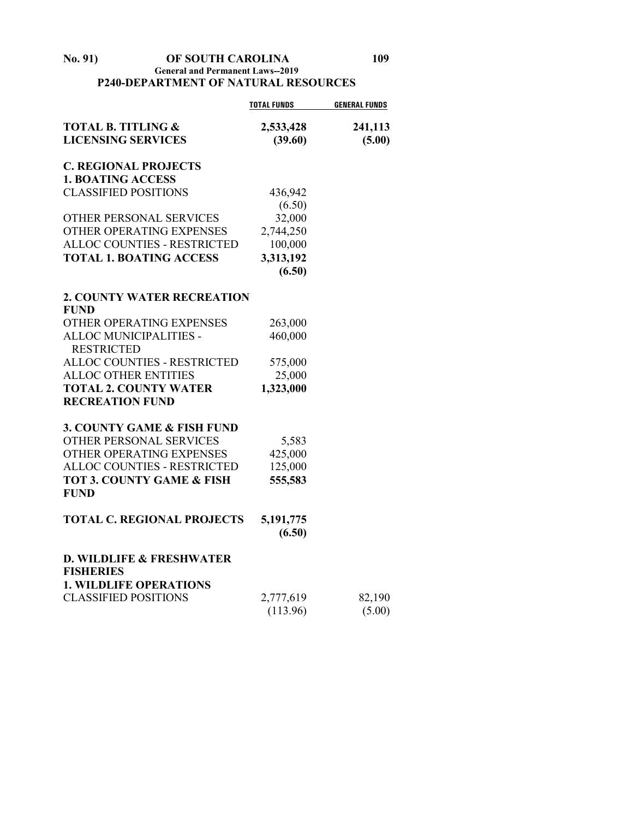## **No. 91) OF SOUTH CAROLINA 109 General and Permanent Laws--2019 P240-DEPARTMENT OF NATURAL RESOURCES**

|                                      | <b>TOTAL FUNDS</b> | <b>GENERAL FUNDS</b> |
|--------------------------------------|--------------------|----------------------|
| <b>TOTAL B. TITLING &amp;</b>        | 2,533,428          | 241,113              |
| <b>LICENSING SERVICES</b>            | (39.60)            | (5.00)               |
| <b>C. REGIONAL PROJECTS</b>          |                    |                      |
| <b>1. BOATING ACCESS</b>             |                    |                      |
| <b>CLASSIFIED POSITIONS</b>          | 436,942            |                      |
|                                      | (6.50)             |                      |
| OTHER PERSONAL SERVICES              | 32,000             |                      |
| OTHER OPERATING EXPENSES             | 2,744,250          |                      |
| ALLOC COUNTIES - RESTRICTED          | 100,000            |                      |
| <b>TOTAL 1. BOATING ACCESS</b>       | 3,313,192          |                      |
|                                      | (6.50)             |                      |
| <b>2. COUNTY WATER RECREATION</b>    |                    |                      |
| <b>FUND</b>                          |                    |                      |
| OTHER OPERATING EXPENSES             | 263,000            |                      |
| ALLOC MUNICIPALITIES -               | 460,000            |                      |
| <b>RESTRICTED</b>                    |                    |                      |
| ALLOC COUNTIES - RESTRICTED          | 575,000            |                      |
| <b>ALLOC OTHER ENTITIES</b>          | 25,000             |                      |
| <b>TOTAL 2. COUNTY WATER</b>         | 1,323,000          |                      |
| <b>RECREATION FUND</b>               |                    |                      |
| 3. COUNTY GAME & FISH FUND           |                    |                      |
| OTHER PERSONAL SERVICES              | 5,583              |                      |
| OTHER OPERATING EXPENSES             | 425,000            |                      |
| <b>ALLOC COUNTIES - RESTRICTED</b>   | 125,000            |                      |
| <b>TOT 3. COUNTY GAME &amp; FISH</b> | 555,583            |                      |
| <b>FUND</b>                          |                    |                      |
| <b>TOTAL C. REGIONAL PROJECTS</b>    | 5,191,775          |                      |
|                                      | (6.50)             |                      |
| <b>D. WILDLIFE &amp; FRESHWATER</b>  |                    |                      |
| <b>FISHERIES</b>                     |                    |                      |
| <b>1. WILDLIFE OPERATIONS</b>        |                    |                      |
| <b>CLASSIFIED POSITIONS</b>          | 2,777,619          | 82,190               |
|                                      | (113.96)           | (5.00)               |
|                                      |                    |                      |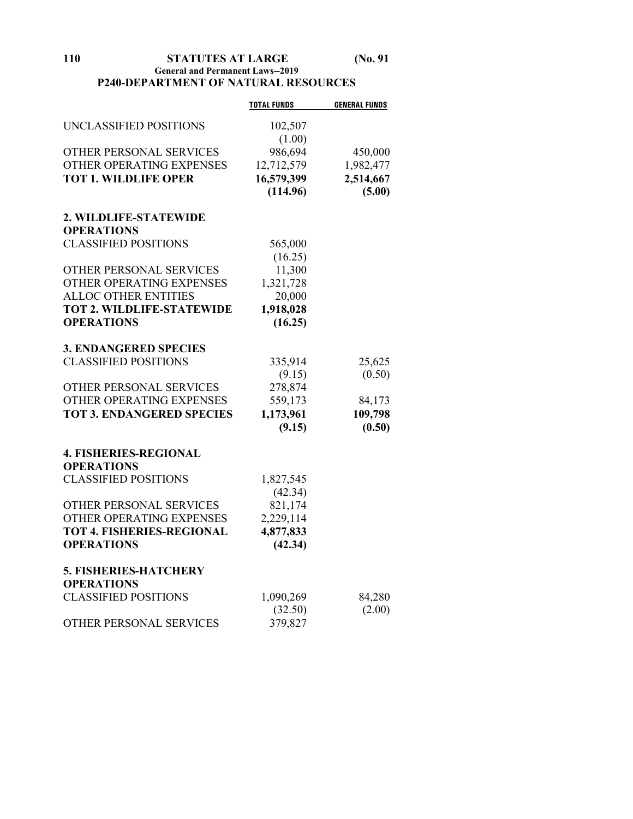**110 STATUTES AT LARGE (No. 91 General and Permanent Laws--2019 P240-DEPARTMENT OF NATURAL RESOURCES**

|                                  | <b>TOTAL FUNDS</b> | <b>GENERAL FUNDS</b> |
|----------------------------------|--------------------|----------------------|
| UNCLASSIFIED POSITIONS           | 102,507            |                      |
|                                  | (1.00)             |                      |
| OTHER PERSONAL SERVICES          | 986,694            | 450,000              |
| OTHER OPERATING EXPENSES         | 12,712,579         | 1,982,477            |
| <b>TOT 1. WILDLIFE OPER</b>      | 16,579,399         | 2,514,667            |
|                                  | (114.96)           | (5.00)               |
| 2. WILDLIFE-STATEWIDE            |                    |                      |
| <b>OPERATIONS</b>                |                    |                      |
| <b>CLASSIFIED POSITIONS</b>      | 565,000            |                      |
|                                  | (16.25)            |                      |
| OTHER PERSONAL SERVICES          | 11,300             |                      |
| OTHER OPERATING EXPENSES         | 1,321,728          |                      |
| <b>ALLOC OTHER ENTITIES</b>      | 20,000             |                      |
| <b>TOT 2. WILDLIFE-STATEWIDE</b> | 1,918,028          |                      |
| <b>OPERATIONS</b>                | (16.25)            |                      |
| <b>3. ENDANGERED SPECIES</b>     |                    |                      |
| <b>CLASSIFIED POSITIONS</b>      | 335,914            | 25,625               |
|                                  | (9.15)             | (0.50)               |
| OTHER PERSONAL SERVICES          | 278,874            |                      |
| OTHER OPERATING EXPENSES         | 559,173            | 84,173               |
| <b>TOT 3. ENDANGERED SPECIES</b> | 1,173,961          | 109,798              |
|                                  | (9.15)             | (0.50)               |
| <b>4. FISHERIES-REGIONAL</b>     |                    |                      |
| <b>OPERATIONS</b>                |                    |                      |
| <b>CLASSIFIED POSITIONS</b>      | 1,827,545          |                      |
|                                  | (42.34)            |                      |
| OTHER PERSONAL SERVICES          | 821,174            |                      |
| OTHER OPERATING EXPENSES         | 2,229,114          |                      |
| <b>TOT 4. FISHERIES-REGIONAL</b> | 4,877,833          |                      |
| <b>OPERATIONS</b>                | (42.34)            |                      |
| <b>5. FISHERIES-HATCHERY</b>     |                    |                      |
| <b>OPERATIONS</b>                |                    |                      |
| <b>CLASSIFIED POSITIONS</b>      | 1,090,269          | 84,280               |
|                                  | (32.50)            | (2.00)               |
| OTHER PERSONAL SERVICES          | 379,827            |                      |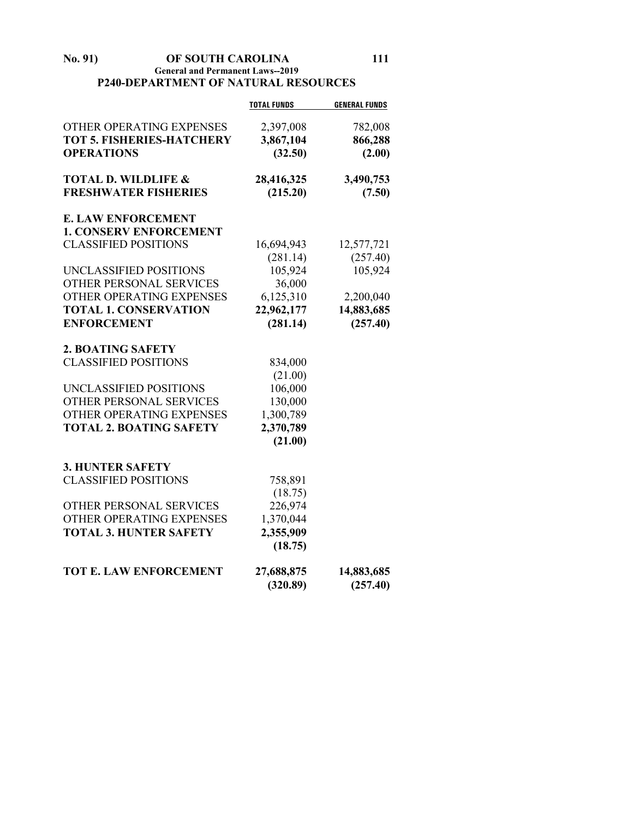## **No. 91) OF SOUTH CAROLINA 111 General and Permanent Laws--2019 P240-DEPARTMENT OF NATURAL RESOURCES**

|                                  | <b>TOTAL FUNDS</b> | <b>GENERAL FUNDS</b> |
|----------------------------------|--------------------|----------------------|
| OTHER OPERATING EXPENSES         | 2,397,008          | 782,008              |
| <b>TOT 5. FISHERIES-HATCHERY</b> | 3,867,104          | 866,288              |
| <b>OPERATIONS</b>                | (32.50)            | (2.00)               |
|                                  |                    |                      |
| <b>TOTAL D. WILDLIFE &amp;</b>   | 28,416,325         | 3,490,753            |
| <b>FRESHWATER FISHERIES</b>      | (215.20)           | (7.50)               |
| <b>E. LAW ENFORCEMENT</b>        |                    |                      |
| <b>1. CONSERV ENFORCEMENT</b>    |                    |                      |
| <b>CLASSIFIED POSITIONS</b>      | 16,694,943         | 12,577,721           |
|                                  | (281.14)           | (257.40)             |
| UNCLASSIFIED POSITIONS           | 105,924            | 105,924              |
| OTHER PERSONAL SERVICES          | 36,000             |                      |
| OTHER OPERATING EXPENSES         | 6,125,310          | 2,200,040            |
| <b>TOTAL 1. CONSERVATION</b>     | 22,962,177         | 14,883,685           |
| <b>ENFORCEMENT</b>               | (281.14)           | (257.40)             |
| 2. BOATING SAFETY                |                    |                      |
| <b>CLASSIFIED POSITIONS</b>      | 834,000            |                      |
|                                  | (21.00)            |                      |
| UNCLASSIFIED POSITIONS           | 106,000            |                      |
| OTHER PERSONAL SERVICES          | 130,000            |                      |
| OTHER OPERATING EXPENSES         | 1,300,789          |                      |
| <b>TOTAL 2. BOATING SAFETY</b>   | 2,370,789          |                      |
|                                  | (21.00)            |                      |
| <b>3. HUNTER SAFETY</b>          |                    |                      |
| <b>CLASSIFIED POSITIONS</b>      | 758,891            |                      |
|                                  | (18.75)            |                      |
| OTHER PERSONAL SERVICES          | 226,974            |                      |
| OTHER OPERATING EXPENSES         | 1,370,044          |                      |
| <b>TOTAL 3. HUNTER SAFETY</b>    | 2,355,909          |                      |
|                                  | (18.75)            |                      |
| TOT E. LAW ENFORCEMENT           | 27,688,875         | 14,883,685           |
|                                  | (320.89)           | (257.40)             |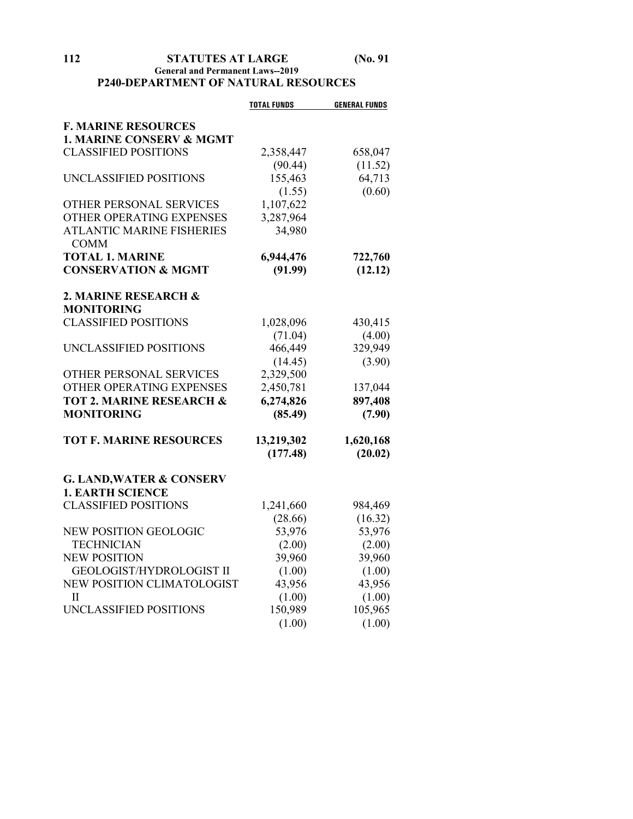## **112 STATUTES AT LARGE (No. 91 General and Permanent Laws--2019 P240-DEPARTMENT OF NATURAL RESOURCES**

|                                     | <b>TOTAL FUNDS</b> | <b>GENERAL FUNDS</b> |
|-------------------------------------|--------------------|----------------------|
| <b>F. MARINE RESOURCES</b>          |                    |                      |
| <b>1. MARINE CONSERV &amp; MGMT</b> |                    |                      |
| <b>CLASSIFIED POSITIONS</b>         | 2,358,447          | 658,047              |
|                                     | (90.44)            | (11.52)              |
| UNCLASSIFIED POSITIONS              | 155,463            | 64,713               |
|                                     | (1.55)             | (0.60)               |
| OTHER PERSONAL SERVICES             | 1,107,622          |                      |
| OTHER OPERATING EXPENSES            | 3,287,964          |                      |
| <b>ATLANTIC MARINE FISHERIES</b>    | 34,980             |                      |
| <b>COMM</b>                         |                    |                      |
| <b>TOTAL 1. MARINE</b>              | 6,944,476          | 722,760              |
| <b>CONSERVATION &amp; MGMT</b>      | (91.99)            | (12.12)              |
|                                     |                    |                      |
| 2. MARINE RESEARCH &                |                    |                      |
| <b>MONITORING</b>                   |                    |                      |
| <b>CLASSIFIED POSITIONS</b>         | 1,028,096          | 430,415              |
|                                     | (71.04)            | (4.00)               |
| UNCLASSIFIED POSITIONS              | 466,449            | 329,949              |
|                                     | (14.45)            | (3.90)               |
| OTHER PERSONAL SERVICES             | 2,329,500          |                      |
| OTHER OPERATING EXPENSES            | 2,450,781          | 137,044              |
| <b>TOT 2. MARINE RESEARCH &amp;</b> | 6,274,826          | 897,408              |
| <b>MONITORING</b>                   | (85.49)            | (7.90)               |
| <b>TOT F. MARINE RESOURCES</b>      | 13,219,302         | 1,620,168            |
|                                     | (177.48)           | (20.02)              |
|                                     |                    |                      |
| <b>G. LAND, WATER &amp; CONSERV</b> |                    |                      |
| <b>1. EARTH SCIENCE</b>             |                    |                      |
| <b>CLASSIFIED POSITIONS</b>         | 1,241,660          | 984,469              |
|                                     | (28.66)            | (16.32)              |
| <b>NEW POSITION GEOLOGIC</b>        | 53,976             | 53,976               |
| <b>TECHNICIAN</b>                   | (2.00)             | (2.00)               |
| <b>NEW POSITION</b>                 | 39,960             | 39,960               |
| <b>GEOLOGIST/HYDROLOGIST II</b>     | (1.00)             | (1.00)               |
| NEW POSITION CLIMATOLOGIST          | 43,956             | 43,956               |
| H                                   | (1.00)             | (1.00)               |
| UNCLASSIFIED POSITIONS              | 150,989            | 105,965              |
|                                     | (1.00)             | (1.00)               |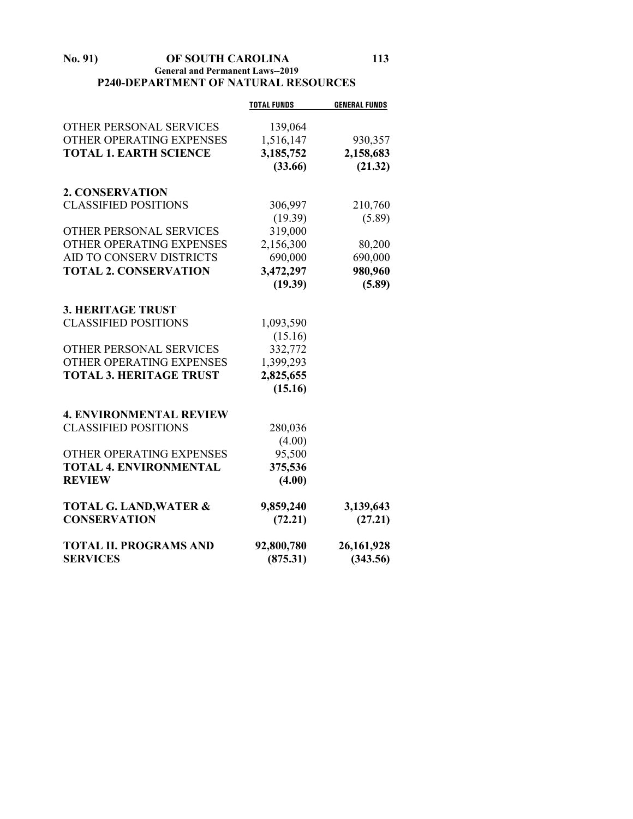## **No. 91) OF SOUTH CAROLINA 113 General and Permanent Laws--2019 P240-DEPARTMENT OF NATURAL RESOURCES**

|                                   | <b>TOTAL FUNDS</b> | <b>GENERAL FUNDS</b> |
|-----------------------------------|--------------------|----------------------|
| <b>OTHER PERSONAL SERVICES</b>    | 139,064            |                      |
| OTHER OPERATING EXPENSES          | 1,516,147          | 930,357              |
| <b>TOTAL 1. EARTH SCIENCE</b>     | 3,185,752          | 2,158,683            |
|                                   | (33.66)            | (21.32)              |
| 2. CONSERVATION                   |                    |                      |
| <b>CLASSIFIED POSITIONS</b>       | 306,997            | 210,760              |
|                                   | (19.39)            | (5.89)               |
| OTHER PERSONAL SERVICES           | 319,000            |                      |
| OTHER OPERATING EXPENSES          | 2,156,300          | 80,200               |
| AID TO CONSERV DISTRICTS          | 690,000            | 690,000              |
| <b>TOTAL 2. CONSERVATION</b>      | 3,472,297          | 980,960              |
|                                   | (19.39)            | (5.89)               |
| <b>3. HERITAGE TRUST</b>          |                    |                      |
| <b>CLASSIFIED POSITIONS</b>       | 1,093,590          |                      |
|                                   | (15.16)            |                      |
| OTHER PERSONAL SERVICES           | 332,772            |                      |
| OTHER OPERATING EXPENSES          | 1,399,293          |                      |
| <b>TOTAL 3. HERITAGE TRUST</b>    | 2,825,655          |                      |
|                                   | (15.16)            |                      |
| <b>4. ENVIRONMENTAL REVIEW</b>    |                    |                      |
| <b>CLASSIFIED POSITIONS</b>       | 280,036            |                      |
|                                   | (4.00)             |                      |
| OTHER OPERATING EXPENSES          | 95,500             |                      |
| <b>TOTAL 4. ENVIRONMENTAL</b>     | 375,536            |                      |
| <b>REVIEW</b>                     | (4.00)             |                      |
| <b>TOTAL G. LAND, WATER &amp;</b> | 9,859,240          | 3,139,643            |
| <b>CONSERVATION</b>               | (72.21)            | (27.21)              |
| <b>TOTAL II. PROGRAMS AND</b>     | 92,800,780         | 26, 161, 928         |
| <b>SERVICES</b>                   | (875.31)           | (343.56)             |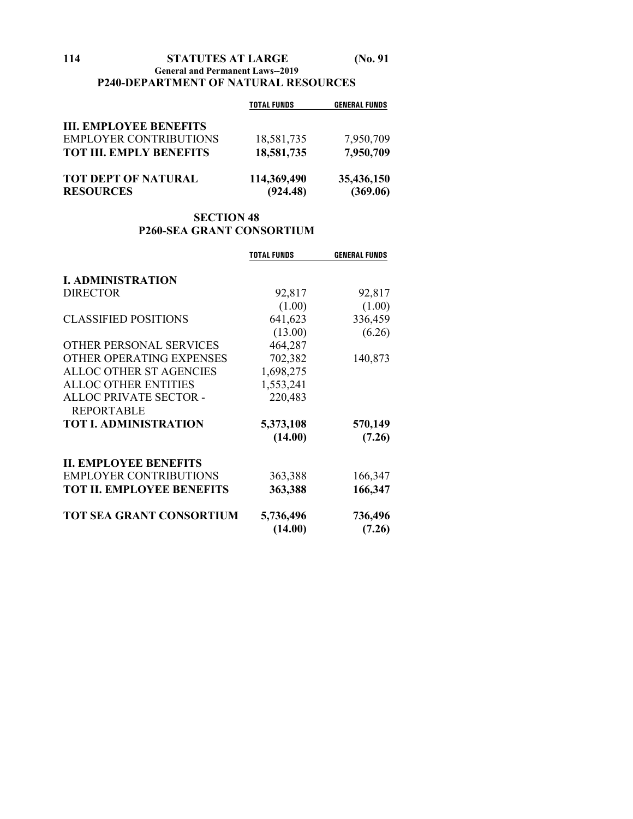## **114 STATUTES AT LARGE (No. 91 General and Permanent Laws--2019 P240-DEPARTMENT OF NATURAL RESOURCES**

|                                | <b>TOTAL FUNDS</b> | <b>GENERAL FUNDS</b> |
|--------------------------------|--------------------|----------------------|
| <b>III. EMPLOYEE BENEFITS</b>  |                    |                      |
| <b>EMPLOYER CONTRIBUTIONS</b>  | 18,581,735         | 7,950,709            |
| <b>TOT III. EMPLY BENEFITS</b> | 18,581,735         | 7,950,709            |
| <b>TOT DEPT OF NATURAL</b>     | 114,369,490        | 35,436,150           |
| <b>RESOURCES</b>               | (924.48)           | (369.06)             |

# **SECTION 48 P260-SEA GRANT CONSORTIUM**

|                                  | <b>TOTAL FUNDS</b> | <b>GENERAL FUNDS</b> |
|----------------------------------|--------------------|----------------------|
| <b>I. ADMINISTRATION</b>         |                    |                      |
|                                  |                    |                      |
| <b>DIRECTOR</b>                  | 92,817             | 92,817               |
|                                  | (1.00)             | (1.00)               |
| <b>CLASSIFIED POSITIONS</b>      | 641,623            | 336,459              |
|                                  | (13.00)            | (6.26)               |
| OTHER PERSONAL SERVICES          | 464,287            |                      |
| OTHER OPERATING EXPENSES         | 702,382            | 140,873              |
| <b>ALLOC OTHER ST AGENCIES</b>   | 1,698,275          |                      |
| <b>ALLOC OTHER ENTITIES</b>      | 1,553,241          |                      |
| ALLOC PRIVATE SECTOR -           | 220,483            |                      |
| <b>REPORTABLE</b>                |                    |                      |
| <b>TOT I. ADMINISTRATION</b>     | 5,373,108          | 570,149              |
|                                  | (14.00)            | (7.26)               |
| <b>II. EMPLOYEE BENEFITS</b>     |                    |                      |
| <b>EMPLOYER CONTRIBUTIONS</b>    | 363,388            | 166,347              |
| <b>TOT II. EMPLOYEE BENEFITS</b> | 363,388            | 166,347              |
| <b>TOT SEA GRANT CONSORTIUM</b>  | 5,736,496          | 736,496              |
|                                  | (14.00)            | (7.26)               |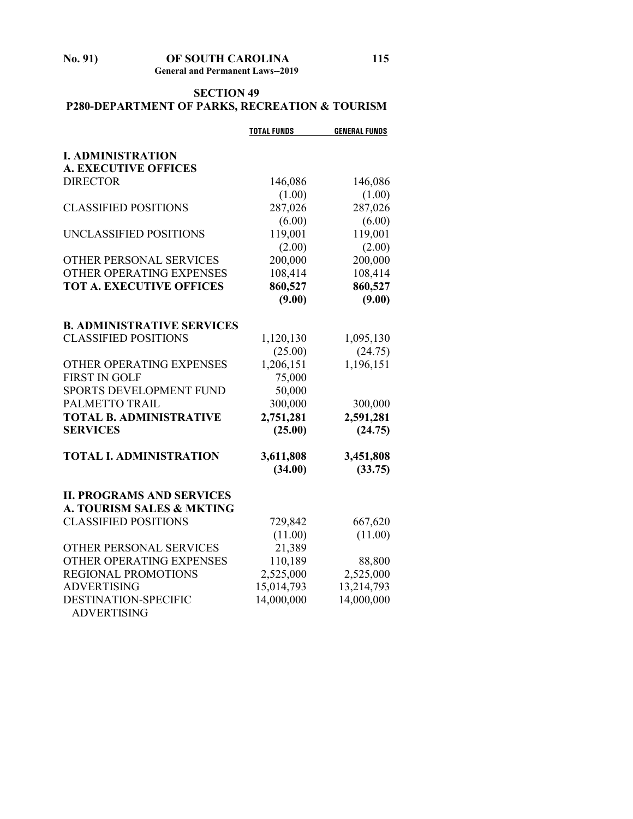**No. 91) OF SOUTH CAROLINA 115 General and Permanent Laws--2019**

# **SECTION 49 P280-DEPARTMENT OF PARKS, RECREATION & TOURISM**

|                                                                          | <b>TOTAL FUNDS</b> | <b>GENERAL FUNDS</b>    |
|--------------------------------------------------------------------------|--------------------|-------------------------|
| <b>I. ADMINISTRATION</b>                                                 |                    |                         |
| <b>A. EXECUTIVE OFFICES</b>                                              |                    |                         |
| <b>DIRECTOR</b>                                                          | 146,086            | 146,086                 |
|                                                                          | (1.00)             | (1.00)                  |
| <b>CLASSIFIED POSITIONS</b>                                              | 287,026            | 287,026                 |
|                                                                          | (6.00)             | (6.00)                  |
| UNCLASSIFIED POSITIONS                                                   | 119,001            | 119,001                 |
|                                                                          | (2.00)             | (2.00)                  |
| <b>OTHER PERSONAL SERVICES</b>                                           | 200,000            | 200,000                 |
| OTHER OPERATING EXPENSES                                                 | 108,414            | 108,414                 |
| <b>TOT A. EXECUTIVE OFFICES</b>                                          | 860,527            | 860,527                 |
|                                                                          | (9.00)             | (9.00)                  |
| <b>B. ADMINISTRATIVE SERVICES</b>                                        |                    |                         |
| <b>CLASSIFIED POSITIONS</b>                                              | 1,120,130          | 1,095,130               |
|                                                                          | (25.00)            | (24.75)                 |
| <b>OTHER OPERATING EXPENSES</b>                                          | 1,206,151          | 1,196,151               |
| <b>FIRST IN GOLF</b>                                                     | 75,000             |                         |
| <b>SPORTS DEVELOPMENT FUND</b>                                           | 50,000             |                         |
| PALMETTO TRAIL                                                           | 300,000            | 300,000                 |
| <b>TOTAL B. ADMINISTRATIVE</b>                                           | 2,751,281          | 2,591,281               |
| <b>SERVICES</b>                                                          | (25.00)            | (24.75)                 |
| <b>TOTAL I. ADMINISTRATION</b>                                           | 3,611,808          | 3,451,808               |
|                                                                          | (34.00)            | (33.75)                 |
|                                                                          |                    |                         |
| <b>II. PROGRAMS AND SERVICES</b><br><b>A. TOURISM SALES &amp; MKTING</b> |                    |                         |
| <b>CLASSIFIED POSITIONS</b>                                              | 729,842            | 667,620                 |
|                                                                          | (11.00)            | (11.00)                 |
| OTHER PERSONAL SERVICES                                                  | 21,389             |                         |
| OTHER OPERATING EXPENSES                                                 | 110,189            |                         |
| REGIONAL PROMOTIONS                                                      | 2,525,000          | 88,800                  |
| <b>ADVERTISING</b>                                                       | 15,014,793         | 2,525,000<br>13,214,793 |
| <b>DESTINATION-SPECIFIC</b>                                              | 14,000,000         | 14,000,000              |
| <b>ADVERTISING</b>                                                       |                    |                         |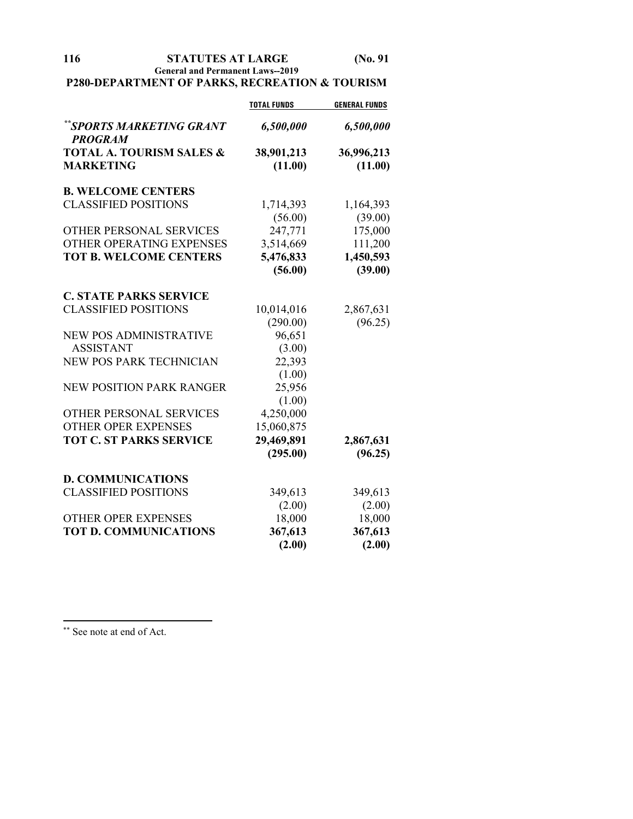**116 STATUTES AT LARGE (No. 91 General and Permanent Laws--2019**

# **P280-DEPARTMENT OF PARKS, RECREATION & TOURISM**

|                                             | <b>TOTAL FUNDS</b> | <b>GENERAL FUNDS</b> |
|---------------------------------------------|--------------------|----------------------|
| ** SPORTS MARKETING GRANT<br><b>PROGRAM</b> | 6,500,000          | 6,500,000            |
| <b>TOTAL A. TOURISM SALES &amp;</b>         | 38,901,213         | 36,996,213           |
| <b>MARKETING</b>                            | (11.00)            | (11.00)              |
| <b>B. WELCOME CENTERS</b>                   |                    |                      |
| <b>CLASSIFIED POSITIONS</b>                 | 1,714,393          | 1,164,393            |
|                                             | (56.00)            | (39.00)              |
| OTHER PERSONAL SERVICES                     | 247,771            | 175,000              |
| OTHER OPERATING EXPENSES                    | 3,514,669          | 111,200              |
| <b>TOT B. WELCOME CENTERS</b>               | 5,476,833          | 1,450,593            |
|                                             | (56.00)            | (39.00)              |
| <b>C. STATE PARKS SERVICE</b>               |                    |                      |
| <b>CLASSIFIED POSITIONS</b>                 | 10,014,016         | 2,867,631            |
|                                             | (290.00)           | (96.25)              |
| <b>NEW POS ADMINISTRATIVE</b>               | 96,651             |                      |
| <b>ASSISTANT</b>                            | (3.00)             |                      |
| NEW POS PARK TECHNICIAN                     | 22,393             |                      |
|                                             | (1.00)             |                      |
| <b>NEW POSITION PARK RANGER</b>             | 25,956             |                      |
|                                             | (1.00)             |                      |
| <b>OTHER PERSONAL SERVICES</b>              | 4,250,000          |                      |
| <b>OTHER OPER EXPENSES</b>                  | 15,060,875         |                      |
| <b>TOT C. ST PARKS SERVICE</b>              | 29,469,891         | 2,867,631            |
|                                             | (295.00)           | (96.25)              |
| <b>D. COMMUNICATIONS</b>                    |                    |                      |
| <b>CLASSIFIED POSITIONS</b>                 | 349,613            | 349,613              |
|                                             | (2.00)             | (2.00)               |
| <b>OTHER OPER EXPENSES</b>                  | 18,000             | 18,000               |
| <b>TOT D. COMMUNICATIONS</b>                | 367,613            | 367,613              |
|                                             | (2.00)             | (2.00)               |

<span id="page-115-0"></span>\*\* See note at end of Act.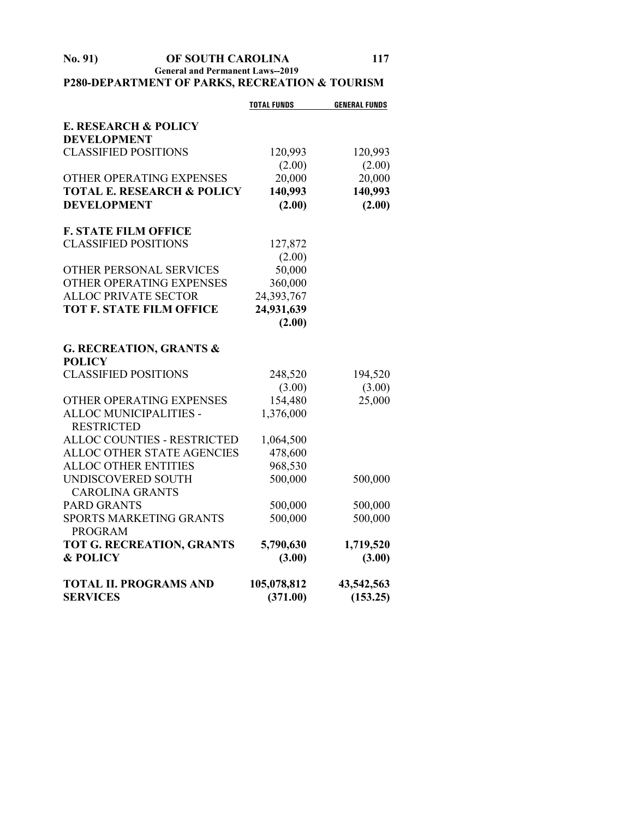## **No. 91) OF SOUTH CAROLINA 117 General and Permanent Laws--2019 P280-DEPARTMENT OF PARKS, RECREATION & TOURISM**

|                                       | <b>TOTAL FUNDS</b> | <b>GENERAL FUNDS</b> |
|---------------------------------------|--------------------|----------------------|
| <b>E. RESEARCH &amp; POLICY</b>       |                    |                      |
| <b>DEVELOPMENT</b>                    |                    |                      |
| <b>CLASSIFIED POSITIONS</b>           | 120,993            | 120,993              |
|                                       | (2.00)             | (2.00)               |
| OTHER OPERATING EXPENSES              | 20,000             | 20,000               |
| <b>TOTAL E. RESEARCH &amp; POLICY</b> | 140,993            | 140,993              |
| <b>DEVELOPMENT</b>                    | (2.00)             | (2.00)               |
|                                       |                    |                      |
| <b>F. STATE FILM OFFICE</b>           |                    |                      |
| <b>CLASSIFIED POSITIONS</b>           | 127,872            |                      |
|                                       | (2.00)             |                      |
| OTHER PERSONAL SERVICES               | 50,000             |                      |
| OTHER OPERATING EXPENSES              | 360,000            |                      |
| <b>ALLOC PRIVATE SECTOR</b>           | 24,393,767         |                      |
| <b>TOT F. STATE FILM OFFICE</b>       | 24,931,639         |                      |
|                                       | (2.00)             |                      |
| <b>G. RECREATION, GRANTS &amp;</b>    |                    |                      |
| <b>POLICY</b>                         |                    |                      |
| <b>CLASSIFIED POSITIONS</b>           | 248,520            | 194,520              |
|                                       | (3.00)             | (3.00)               |
| OTHER OPERATING EXPENSES              | 154,480            | 25,000               |
| ALLOC MUNICIPALITIES -                | 1,376,000          |                      |
| <b>RESTRICTED</b>                     |                    |                      |
| ALLOC COUNTIES - RESTRICTED           | 1,064,500          |                      |
| ALLOC OTHER STATE AGENCIES            | 478,600            |                      |
| <b>ALLOC OTHER ENTITIES</b>           | 968,530            |                      |
| UNDISCOVERED SOUTH                    | 500,000            | 500,000              |
| <b>CAROLINA GRANTS</b>                |                    |                      |
| <b>PARD GRANTS</b>                    | 500,000            | 500,000              |
| SPORTS MARKETING GRANTS               | 500,000            | 500,000              |
| <b>PROGRAM</b>                        |                    |                      |
| TOT G. RECREATION, GRANTS             | 5,790,630          | 1,719,520            |
| <b>&amp; POLICY</b>                   | (3.00)             | (3.00)               |
| <b>TOTAL II. PROGRAMS AND</b>         | 105,078,812        | 43,542,563           |
| <b>SERVICES</b>                       | (371.00)           | (153.25)             |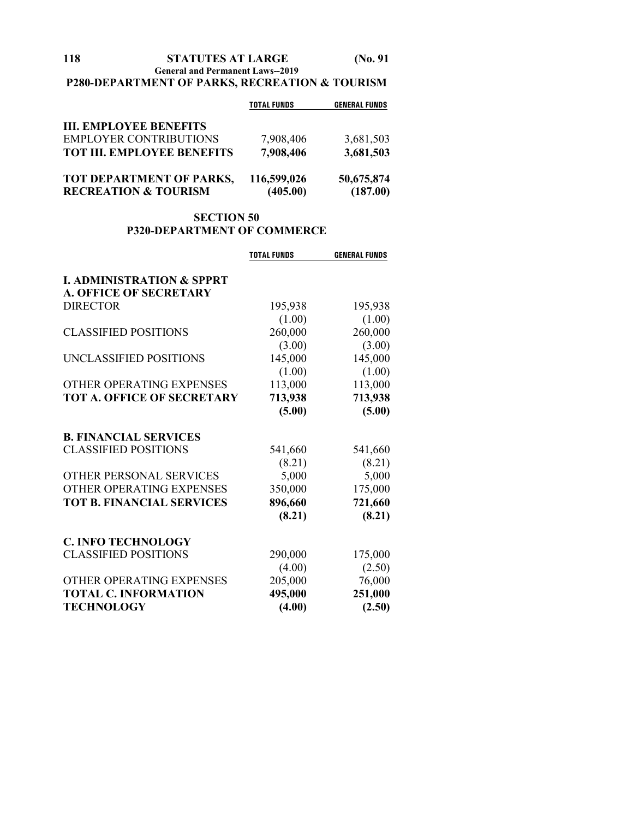## **118 STATUTES AT LARGE (No. 91 General and Permanent Laws--2019**

# **P280-DEPARTMENT OF PARKS, RECREATION & TOURISM**

|                                                             | <b>TOTAL FUNDS</b>      | <b>GENERAL FUNDS</b>   |
|-------------------------------------------------------------|-------------------------|------------------------|
| <b>III. EMPLOYEE BENEFITS</b>                               |                         |                        |
| <b>EMPLOYER CONTRIBUTIONS</b>                               | 7,908,406               | 3,681,503              |
| <b>TOT III. EMPLOYEE BENEFITS</b>                           | 7,908,406               | 3,681,503              |
| TOT DEPARTMENT OF PARKS,<br><b>RECREATION &amp; TOURISM</b> | 116,599,026<br>(405.00) | 50,675,874<br>(187.00) |

## **SECTION 50 P320-DEPARTMENT OF COMMERCE**

|                                      | <b>TOTAL FUNDS</b> | <b>GENERAL FUNDS</b> |
|--------------------------------------|--------------------|----------------------|
| <b>I. ADMINISTRATION &amp; SPPRT</b> |                    |                      |
| <b>A. OFFICE OF SECRETARY</b>        |                    |                      |
| <b>DIRECTOR</b>                      | 195,938            | 195,938              |
|                                      | (1.00)             | (1.00)               |
| <b>CLASSIFIED POSITIONS</b>          | 260,000            | 260,000              |
|                                      | (3.00)             | (3.00)               |
| UNCLASSIFIED POSITIONS               | 145,000            | 145,000              |
|                                      | (1.00)             | (1.00)               |
| OTHER OPERATING EXPENSES             | 113,000            | 113,000              |
| TOT A. OFFICE OF SECRETARY           | 713,938            | 713,938              |
|                                      | (5.00)             | (5.00)               |
| <b>B. FINANCIAL SERVICES</b>         |                    |                      |
| <b>CLASSIFIED POSITIONS</b>          | 541,660            | 541,660              |
|                                      | (8.21)             | (8.21)               |
| OTHER PERSONAL SERVICES              | 5,000              | 5,000                |
| OTHER OPERATING EXPENSES             | 350,000            | 175,000              |
| <b>TOT B. FINANCIAL SERVICES</b>     | 896,660            | 721,660              |
|                                      | (8.21)             | (8.21)               |
| <b>C. INFO TECHNOLOGY</b>            |                    |                      |
| <b>CLASSIFIED POSITIONS</b>          | 290,000            | 175,000              |
|                                      | (4.00)             | (2.50)               |
| OTHER OPERATING EXPENSES             | 205,000            | 76,000               |
| <b>TOTAL C. INFORMATION</b>          | 495,000            | 251,000              |
| <b>TECHNOLOGY</b>                    | (4.00)             | (2.50)               |
|                                      |                    |                      |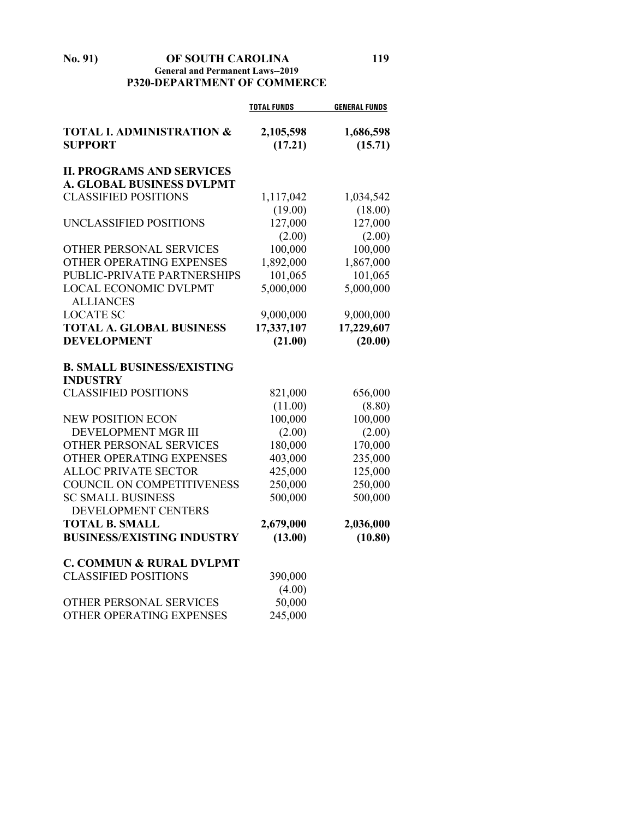## **No. 91) OF SOUTH CAROLINA 119 General and Permanent Laws--2019 P320-DEPARTMENT OF COMMERCE**

|                                                        | <b>TOTAL FUNDS</b>   | <b>GENERAL FUNDS</b> |
|--------------------------------------------------------|----------------------|----------------------|
| <b>TOTAL I. ADMINISTRATION &amp;</b><br><b>SUPPORT</b> | 2,105,598<br>(17.21) | 1,686,598<br>(15.71) |
| <b>II. PROGRAMS AND SERVICES</b>                       |                      |                      |
| <b>A. GLOBAL BUSINESS DVLPMT</b>                       |                      |                      |
| <b>CLASSIFIED POSITIONS</b>                            | 1,117,042            | 1,034,542            |
|                                                        | (19.00)              | (18.00)              |
| UNCLASSIFIED POSITIONS                                 | 127,000              | 127,000              |
|                                                        | (2.00)               | (2.00)               |
| OTHER PERSONAL SERVICES                                | 100,000              | 100,000              |
| OTHER OPERATING EXPENSES                               | 1,892,000            | 1,867,000            |
| PUBLIC-PRIVATE PARTNERSHIPS                            | 101,065              | 101,065              |
| <b>LOCAL ECONOMIC DVLPMT</b><br><b>ALLIANCES</b>       | 5,000,000            | 5,000,000            |
| <b>LOCATE SC</b>                                       | 9,000,000            | 9,000,000            |
| <b>TOTAL A. GLOBAL BUSINESS</b>                        | 17,337,107           | 17,229,607           |
| <b>DEVELOPMENT</b>                                     | (21.00)              | (20.00)              |
| <b>B. SMALL BUSINESS/EXISTING</b>                      |                      |                      |
| <b>INDUSTRY</b>                                        |                      |                      |
| <b>CLASSIFIED POSITIONS</b>                            | 821,000              | 656,000              |
|                                                        | (11.00)              | (8.80)               |
| <b>NEW POSITION ECON</b>                               | 100,000              | 100,000              |
| DEVELOPMENT MGR III                                    | (2.00)               | (2.00)               |
| OTHER PERSONAL SERVICES                                | 180,000              | 170,000              |
| OTHER OPERATING EXPENSES                               | 403,000              | 235,000              |
| <b>ALLOC PRIVATE SECTOR</b>                            | 425,000              | 125,000              |
| COUNCIL ON COMPETITIVENESS                             | 250,000              | 250,000              |
| <b>SC SMALL BUSINESS</b>                               | 500,000              | 500,000              |
| DEVELOPMENT CENTERS                                    |                      |                      |
| <b>TOTAL B. SMALL</b>                                  | 2,679,000            | 2,036,000            |
| <b>BUSINESS/EXISTING INDUSTRY</b>                      | (13.00)              | (10.80)              |
| <b>C. COMMUN &amp; RURAL DVLPMT</b>                    |                      |                      |
| <b>CLASSIFIED POSITIONS</b>                            | 390,000              |                      |
|                                                        | (4.00)               |                      |
| OTHER PERSONAL SERVICES                                | 50,000               |                      |
| OTHER OPERATING EXPENSES                               | 245,000              |                      |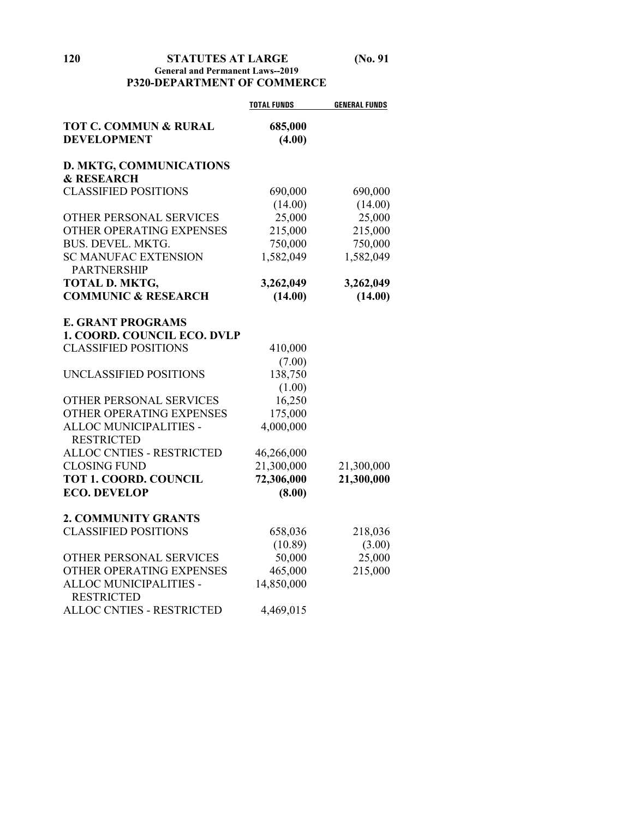## **General and Permanent Laws--2019 P320-DEPARTMENT OF COMMERCE**

|                                  | <b>TOTAL FUNDS</b> | <b>GENERAL FUNDS</b> |
|----------------------------------|--------------------|----------------------|
| <b>TOT C. COMMUN &amp; RURAL</b> | 685,000            |                      |
| <b>DEVELOPMENT</b>               | (4.00)             |                      |
|                                  |                    |                      |
| <b>D. MKTG, COMMUNICATIONS</b>   |                    |                      |
| <b>&amp; RESEARCH</b>            |                    |                      |
| <b>CLASSIFIED POSITIONS</b>      | 690,000            | 690,000              |
|                                  | (14.00)            | (14.00)              |
| OTHER PERSONAL SERVICES          | 25,000             | 25,000               |
| OTHER OPERATING EXPENSES         | 215,000            | 215,000              |
| BUS. DEVEL. MKTG.                | 750,000            | 750,000              |
| <b>SC MANUFAC EXTENSION</b>      | 1,582,049          | 1,582,049            |
| <b>PARTNERSHIP</b>               |                    |                      |
| <b>TOTAL D. MKTG,</b>            | 3,262,049          | 3,262,049            |
| <b>COMMUNIC &amp; RESEARCH</b>   | (14.00)            | (14.00)              |
|                                  |                    |                      |
| <b>E. GRANT PROGRAMS</b>         |                    |                      |
| 1. COORD. COUNCIL ECO. DVLP      |                    |                      |
| <b>CLASSIFIED POSITIONS</b>      | 410,000            |                      |
|                                  | (7.00)             |                      |
| UNCLASSIFIED POSITIONS           | 138,750            |                      |
|                                  | (1.00)             |                      |
| OTHER PERSONAL SERVICES          | 16,250             |                      |
| OTHER OPERATING EXPENSES         | 175,000            |                      |
| ALLOC MUNICIPALITIES -           | 4,000,000          |                      |
| <b>RESTRICTED</b>                |                    |                      |
| <b>ALLOC CNTIES - RESTRICTED</b> | 46,266,000         |                      |
| <b>CLOSING FUND</b>              | 21,300,000         | 21,300,000           |
| <b>TOT 1. COORD. COUNCIL</b>     | 72,306,000         | 21,300,000           |
| <b>ECO. DEVELOP</b>              | (8.00)             |                      |
|                                  |                    |                      |
| <b>2. COMMUNITY GRANTS</b>       |                    |                      |
| <b>CLASSIFIED POSITIONS</b>      | 658,036            | 218,036              |
|                                  | (10.89)            | (3.00)               |
| OTHER PERSONAL SERVICES          | 50,000             | 25,000               |
| OTHER OPERATING EXPENSES         | 465,000            | 215,000              |
| ALLOC MUNICIPALITIES -           | 14,850,000         |                      |
| <b>RESTRICTED</b>                |                    |                      |
| ALLOC CNTIES - RESTRICTED        | 4,469,015          |                      |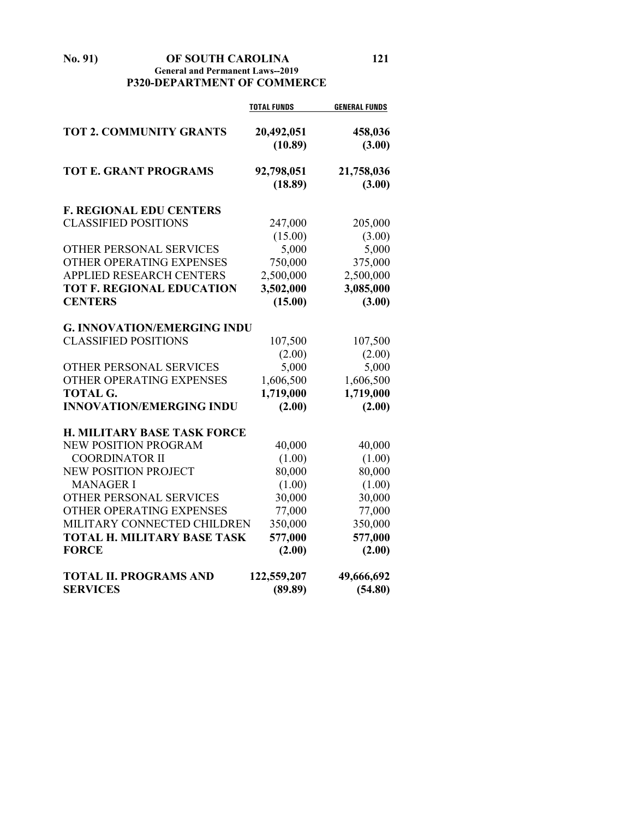**No. 91) OF SOUTH CAROLINA 121 General and Permanent Laws--2019 P320-DEPARTMENT OF COMMERCE**

|                                                                   | <b>TOTAL FUNDS</b>    | <b>GENERAL FUNDS</b> |
|-------------------------------------------------------------------|-----------------------|----------------------|
| <b>TOT 2. COMMUNITY GRANTS</b>                                    | 20,492,051<br>(10.89) | 458,036<br>(3.00)    |
| <b>TOT E. GRANT PROGRAMS</b>                                      | 92,798,051<br>(18.89) | 21,758,036<br>(3.00) |
| <b>F. REGIONAL EDU CENTERS</b>                                    |                       |                      |
| <b>CLASSIFIED POSITIONS</b>                                       | 247,000               | 205,000              |
|                                                                   | (15.00)               | (3.00)               |
| OTHER PERSONAL SERVICES                                           | 5,000                 | 5,000                |
| OTHER OPERATING EXPENSES                                          | 750,000               | 375,000              |
| <b>APPLIED RESEARCH CENTERS</b>                                   | 2,500,000             | 2,500,000            |
| <b>TOT F. REGIONAL EDUCATION</b>                                  | 3,502,000             | 3,085,000            |
| <b>CENTERS</b>                                                    | (15.00)               | (3.00)               |
|                                                                   |                       |                      |
| <b>G. INNOVATION/EMERGING INDU</b><br><b>CLASSIFIED POSITIONS</b> |                       |                      |
|                                                                   | 107,500<br>(2.00)     | 107,500<br>(2.00)    |
| OTHER PERSONAL SERVICES                                           | 5,000                 | 5,000                |
| OTHER OPERATING EXPENSES                                          | 1,606,500             | 1,606,500            |
| <b>TOTAL G.</b>                                                   | 1,719,000             | 1,719,000            |
| <b>INNOVATION/EMERGING INDU</b>                                   | (2.00)                | (2.00)               |
|                                                                   |                       |                      |
| <b>H. MILITARY BASE TASK FORCE</b>                                |                       |                      |
| NEW POSITION PROGRAM                                              | 40,000                | 40,000               |
| <b>COORDINATOR II</b>                                             | (1.00)                | (1.00)               |
| NEW POSITION PROJECT                                              | 80,000                | 80,000               |
| <b>MANAGER I</b><br>OTHER PERSONAL SERVICES                       | (1.00)                | (1.00)               |
| OTHER OPERATING EXPENSES                                          | 30,000                | 30,000               |
| MILITARY CONNECTED CHILDREN                                       | 77,000                | 77,000               |
| <b>TOTAL H. MILITARY BASE TASK</b>                                | 350,000<br>577,000    | 350,000<br>577,000   |
| <b>FORCE</b>                                                      | (2.00)                | (2.00)               |
|                                                                   |                       |                      |
| <b>TOTAL II. PROGRAMS AND</b>                                     | 122,559,207           | 49,666,692           |
| <b>SERVICES</b>                                                   | (89.89)               | (54.80)              |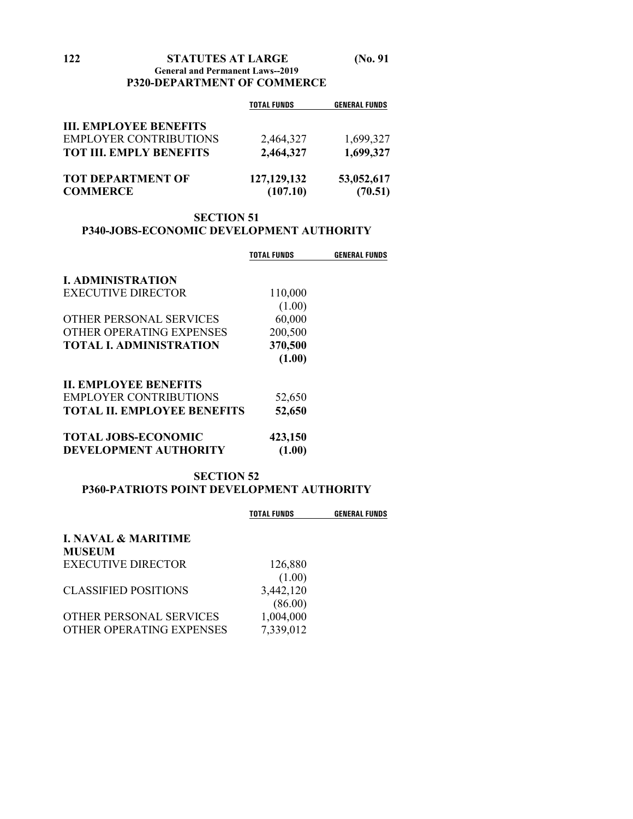|                                | <b>TOTAL FUNDS</b> | <b>GENERAL FUNDS</b> |
|--------------------------------|--------------------|----------------------|
| <b>III. EMPLOYEE BENEFITS</b>  |                    |                      |
| <b>EMPLOYER CONTRIBUTIONS</b>  | 2,464,327          | 1,699,327            |
| <b>TOT III. EMPLY BENEFITS</b> | 2,464,327          | 1,699,327            |
| <b>TOT DEPARTMENT OF</b>       | 127, 129, 132      | 53,052,617           |
| <b>COMMERCE</b>                | (107.10)           | (70.51)              |

# **SECTION 51 P340-JOBS-ECONOMIC DEVELOPMENT AUTHORITY**

|                                    | TOTAL FUNDS | <b>GENERAL FUNDS</b> |
|------------------------------------|-------------|----------------------|
| <b>I. ADMINISTRATION</b>           |             |                      |
| <b>EXECUTIVE DIRECTOR</b>          | 110,000     |                      |
|                                    | (1.00)      |                      |
| OTHER PERSONAL SERVICES            | 60,000      |                      |
| OTHER OPERATING EXPENSES           | 200,500     |                      |
| <b>TOTAL I. ADMINISTRATION</b>     | 370,500     |                      |
|                                    | (1.00)      |                      |
| <b>IL EMPLOYEE BENEFITS</b>        |             |                      |
| <b>EMPLOYER CONTRIBUTIONS</b>      | 52,650      |                      |
| <b>TOTAL II. EMPLOYEE BENEFITS</b> | 52,650      |                      |
| <b>TOTAL JOBS-ECONOMIC</b>         | 423,150     |                      |
| <b>DEVELOPMENT AUTHORITY</b>       | (1.00)      |                      |

## **SECTION 52 P360-PATRIOTS POINT DEVELOPMENT AUTHORITY**

|                                                     | <b>TOTAL FUNDS</b>     | <b>GENERAL FUNDS</b> |
|-----------------------------------------------------|------------------------|----------------------|
| <b>I. NAVAL &amp; MARITIME</b><br><b>MUSEUM</b>     |                        |                      |
| EXECUTIVE DIRECTOR                                  | 126,880<br>(1.00)      |                      |
| <b>CLASSIFIED POSITIONS</b>                         | 3,442,120<br>(86.00)   |                      |
| OTHER PERSONAL SERVICES<br>OTHER OPERATING EXPENSES | 1,004,000<br>7,339,012 |                      |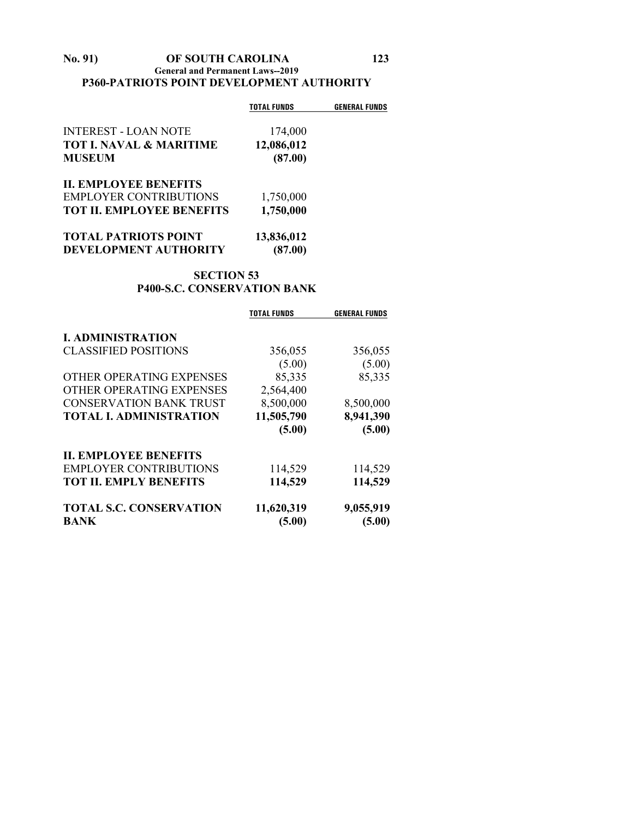## **No. 91) OF SOUTH CAROLINA 123 General and Permanent Laws--2019 P360-PATRIOTS POINT DEVELOPMENT AUTHORITY**

| <b>TOTAL FUNDS</b> | <b>GENERAL FUNDS</b>  |
|--------------------|-----------------------|
|                    |                       |
|                    |                       |
| (87.00)            |                       |
|                    |                       |
| 1,750,000          |                       |
| 1,750,000          |                       |
| 13,836,012         |                       |
| (87.00)            |                       |
|                    | 174,000<br>12,086,012 |

## **SECTION 53 P400-S.C. CONSERVATION BANK**

|                                | <b>TOTAL FUNDS</b> | <b>GENERAL FUNDS</b> |
|--------------------------------|--------------------|----------------------|
| <b>I. ADMINISTRATION</b>       |                    |                      |
| <b>CLASSIFIED POSITIONS</b>    | 356,055            | 356,055              |
|                                | (5.00)             | (5.00)               |
| OTHER OPERATING EXPENSES       | 85,335             | 85,335               |
| OTHER OPERATING EXPENSES       | 2,564,400          |                      |
| <b>CONSERVATION BANK TRUST</b> | 8,500,000          | 8,500,000            |
| <b>TOTAL I. ADMINISTRATION</b> | 11,505,790         | 8,941,390            |
|                                | (5.00)             | (5.00)               |
| <b>II. EMPLOYEE BENEFITS</b>   |                    |                      |
| <b>EMPLOYER CONTRIBUTIONS</b>  | 114,529            | 114,529              |
| <b>TOT II. EMPLY BENEFITS</b>  | 114,529            | 114,529              |
| <b>TOTAL S.C. CONSERVATION</b> | 11,620,319         | 9,055,919            |
| <b>BANK</b>                    | (5.00)             | (5.00)               |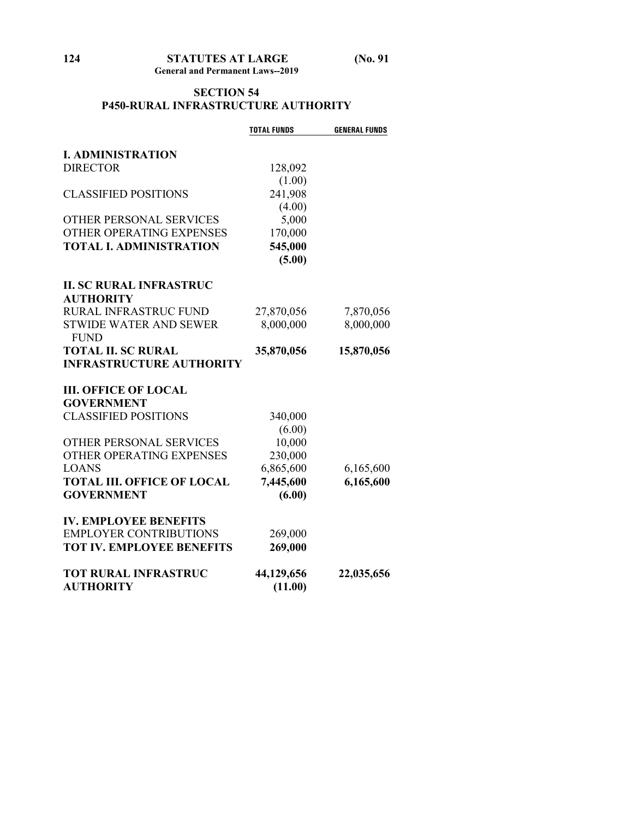# **SECTION 54 P450-RURAL INFRASTRUCTURE AUTHORITY**

|                                   | <b>TOTAL FUNDS</b> | <b>GENERAL FUNDS</b> |
|-----------------------------------|--------------------|----------------------|
|                                   |                    |                      |
| <b>I. ADMINISTRATION</b>          |                    |                      |
| <b>DIRECTOR</b>                   | 128,092            |                      |
|                                   | (1.00)             |                      |
| <b>CLASSIFIED POSITIONS</b>       | 241,908            |                      |
|                                   | (4.00)             |                      |
| OTHER PERSONAL SERVICES           | 5,000              |                      |
| OTHER OPERATING EXPENSES          | 170,000            |                      |
| <b>TOTAL I. ADMINISTRATION</b>    | 545,000            |                      |
|                                   | (5.00)             |                      |
| <b>II. SC RURAL INFRASTRUC</b>    |                    |                      |
| <b>AUTHORITY</b>                  |                    |                      |
| RURAL INFRASTRUC FUND             | 27,870,056         | 7,870,056            |
| <b>STWIDE WATER AND SEWER</b>     | 8,000,000          | 8,000,000            |
| <b>FUND</b>                       |                    |                      |
| <b>TOTAL II. SC RURAL</b>         | 35,870,056         | 15,870,056           |
| <b>INFRASTRUCTURE AUTHORITY</b>   |                    |                      |
| <b>III. OFFICE OF LOCAL</b>       |                    |                      |
| <b>GOVERNMENT</b>                 |                    |                      |
| <b>CLASSIFIED POSITIONS</b>       | 340,000            |                      |
|                                   | (6.00)             |                      |
| OTHER PERSONAL SERVICES           | 10,000             |                      |
| OTHER OPERATING EXPENSES          | 230,000            |                      |
| <b>LOANS</b>                      | 6,865,600          | 6,165,600            |
| <b>TOTAL III. OFFICE OF LOCAL</b> | 7,445,600          | 6,165,600            |
| <b>GOVERNMENT</b>                 | (6.00)             |                      |
|                                   |                    |                      |
| <b>IV. EMPLOYEE BENEFITS</b>      |                    |                      |
| <b>EMPLOYER CONTRIBUTIONS</b>     | 269,000            |                      |
| <b>TOT IV. EMPLOYEE BENEFITS</b>  | 269,000            |                      |
| <b>TOT RURAL INFRASTRUC</b>       | 44,129,656         | 22,035,656           |
| <b>AUTHORITY</b>                  | (11.00)            |                      |
|                                   |                    |                      |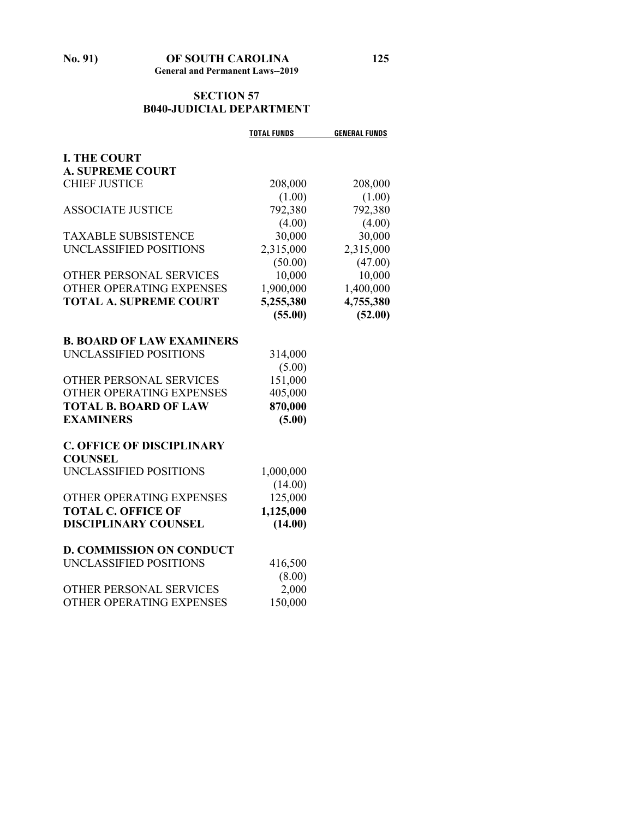# **SECTION 57 B040-JUDICIAL DEPARTMENT**

|                                  | <b>TOTAL FUNDS</b> | <b>GENERAL FUNDS</b> |
|----------------------------------|--------------------|----------------------|
| <b>I. THE COURT</b>              |                    |                      |
| <b>A. SUPREME COURT</b>          |                    |                      |
| <b>CHIEF JUSTICE</b>             | 208,000            | 208,000              |
|                                  | (1.00)             | (1.00)               |
| <b>ASSOCIATE JUSTICE</b>         | 792,380            | 792,380              |
|                                  | (4.00)             | (4.00)               |
| <b>TAXABLE SUBSISTENCE</b>       | 30,000             | 30,000               |
| UNCLASSIFIED POSITIONS           | 2,315,000          | 2,315,000            |
|                                  | (50.00)            | (47.00)              |
| OTHER PERSONAL SERVICES          | 10,000             | 10,000               |
| OTHER OPERATING EXPENSES         | 1,900,000          | 1,400,000            |
| <b>TOTAL A. SUPREME COURT</b>    | 5,255,380          | 4,755,380            |
|                                  | (55.00)            | (52.00)              |
| <b>B. BOARD OF LAW EXAMINERS</b> |                    |                      |
| UNCLASSIFIED POSITIONS           | 314,000            |                      |
|                                  | (5.00)             |                      |
| OTHER PERSONAL SERVICES          | 151,000            |                      |
| OTHER OPERATING EXPENSES         | 405,000            |                      |
| <b>TOTAL B. BOARD OF LAW</b>     | 870,000            |                      |
| <b>EXAMINERS</b>                 | (5.00)             |                      |
|                                  |                    |                      |
| <b>C. OFFICE OF DISCIPLINARY</b> |                    |                      |
| <b>COUNSEL</b>                   |                    |                      |
| UNCLASSIFIED POSITIONS           | 1,000,000          |                      |
|                                  | (14.00)            |                      |
| OTHER OPERATING EXPENSES         | 125,000            |                      |
| <b>TOTAL C. OFFICE OF</b>        | 1,125,000          |                      |
| <b>DISCIPLINARY COUNSEL</b>      | (14.00)            |                      |
| <b>D. COMMISSION ON CONDUCT</b>  |                    |                      |
| UNCLASSIFIED POSITIONS           | 416,500            |                      |
|                                  | (8.00)             |                      |
| OTHER PERSONAL SERVICES          | 2,000              |                      |
| OTHER OPERATING EXPENSES         | 150,000            |                      |
|                                  |                    |                      |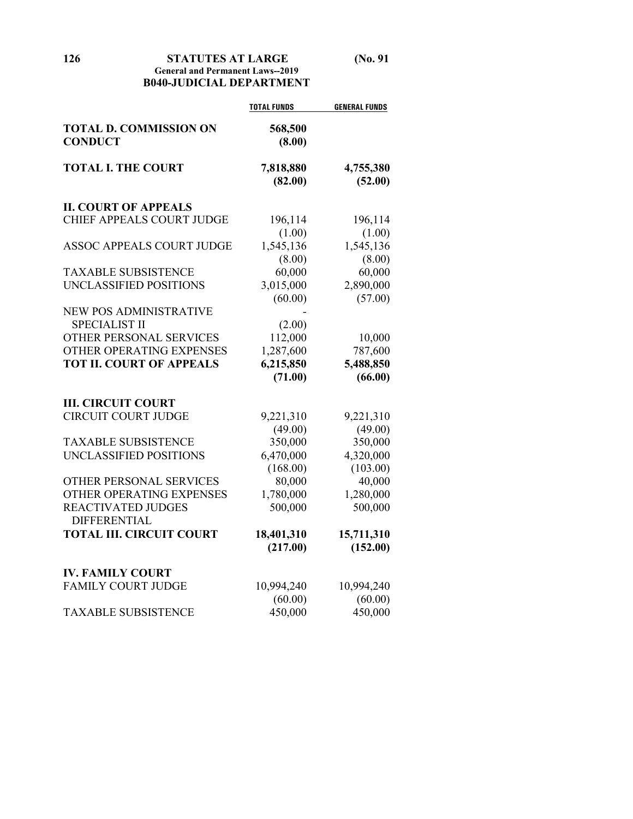**126 STATUTES AT LARGE (No. 91**

## **General and Permanent Laws--2019 B040-JUDICIAL DEPARTMENT**

|                                                 | <b>TOTAL FUNDS</b>   | <b>GENERAL FUNDS</b> |
|-------------------------------------------------|----------------------|----------------------|
| <b>TOTAL D. COMMISSION ON</b><br><b>CONDUCT</b> | 568,500<br>(8.00)    |                      |
| <b>TOTAL I. THE COURT</b>                       | 7,818,880<br>(82.00) | 4,755,380<br>(52.00) |
| <b>II. COURT OF APPEALS</b>                     |                      |                      |
| CHIEF APPEALS COURT JUDGE                       | 196,114              | 196,114              |
|                                                 | (1.00)               | (1.00)               |
| <b>ASSOC APPEALS COURT JUDGE</b>                | 1,545,136            | 1,545,136            |
|                                                 | (8.00)               | (8.00)               |
| <b>TAXABLE SUBSISTENCE</b>                      | 60,000               | 60,000               |
| UNCLASSIFIED POSITIONS                          | 3,015,000            | 2,890,000            |
|                                                 | (60.00)              | (57.00)              |
| <b>NEW POS ADMINISTRATIVE</b>                   |                      |                      |
| <b>SPECIALIST II</b>                            | (2.00)               |                      |
| OTHER PERSONAL SERVICES                         | 112,000              | 10,000               |
| OTHER OPERATING EXPENSES                        | 1,287,600            | 787,600              |
| <b>TOT II. COURT OF APPEALS</b>                 | 6,215,850            | 5,488,850            |
|                                                 | (71.00)              | (66.00)              |
| <b>III. CIRCUIT COURT</b>                       |                      |                      |
| <b>CIRCUIT COURT JUDGE</b>                      | 9,221,310            | 9,221,310            |
|                                                 | (49.00)              | (49.00)              |
| <b>TAXABLE SUBSISTENCE</b>                      | 350,000              | 350,000              |
| UNCLASSIFIED POSITIONS                          | 6,470,000            | 4,320,000            |
|                                                 | (168.00)             | (103.00)             |
| OTHER PERSONAL SERVICES                         | 80,000               | 40,000               |
| OTHER OPERATING EXPENSES                        | 1,780,000            | 1,280,000            |
| <b>REACTIVATED JUDGES</b>                       | 500,000              | 500,000              |
| <b>DIFFERENTIAL</b>                             |                      |                      |
| <b>TOTAL III. CIRCUIT COURT</b>                 | 18,401,310           | 15,711,310           |
|                                                 | (217.00)             | (152.00)             |
|                                                 |                      |                      |
| <b>IV. FAMILY COURT</b>                         |                      |                      |
| <b>FAMILY COURT JUDGE</b>                       | 10,994,240           | 10,994,240           |
|                                                 | (60.00)              | (60.00)              |
| <b>TAXABLE SUBSISTENCE</b>                      | 450,000              | 450,000              |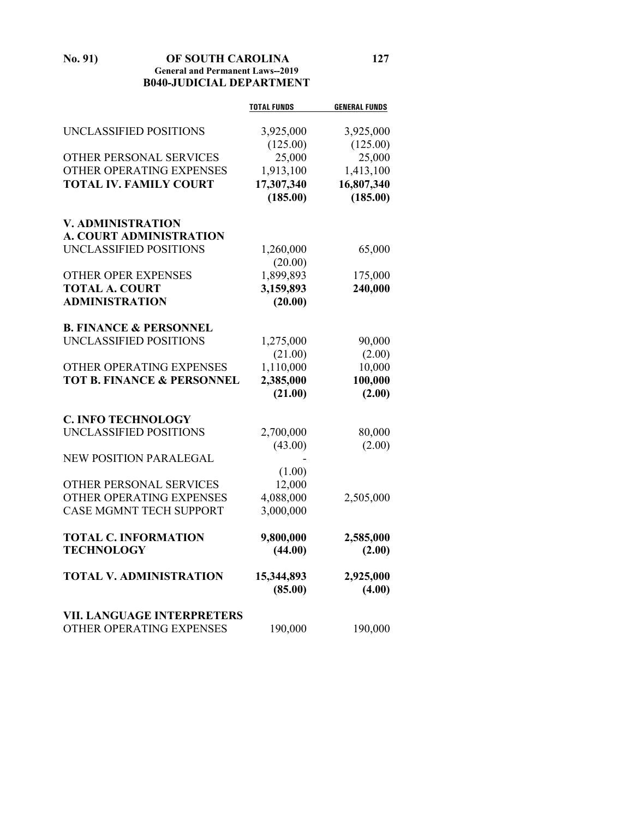**No. 91) OF SOUTH CAROLINA 127 General and Permanent Laws--2019 B040-JUDICIAL DEPARTMENT**

|                                       | <b>TOTAL FUNDS</b> | <b>GENERAL FUNDS</b> |
|---------------------------------------|--------------------|----------------------|
| UNCLASSIFIED POSITIONS                | 3,925,000          | 3,925,000            |
|                                       | (125.00)           | (125.00)             |
| OTHER PERSONAL SERVICES               | 25,000             | 25,000               |
| OTHER OPERATING EXPENSES              | 1,913,100          | 1,413,100            |
| <b>TOTAL IV. FAMILY COURT</b>         | 17,307,340         | 16,807,340           |
|                                       | (185.00)           | (185.00)             |
| <b>V. ADMINISTRATION</b>              |                    |                      |
| <b>A. COURT ADMINISTRATION</b>        |                    |                      |
| UNCLASSIFIED POSITIONS                | 1,260,000          | 65,000               |
|                                       | (20.00)            |                      |
| OTHER OPER EXPENSES                   | 1,899,893          | 175,000              |
| <b>TOTAL A. COURT</b>                 | 3,159,893          | 240,000              |
| <b>ADMINISTRATION</b>                 | (20.00)            |                      |
| <b>B. FINANCE &amp; PERSONNEL</b>     |                    |                      |
| UNCLASSIFIED POSITIONS                | 1,275,000          | 90,000               |
|                                       | (21.00)            | (2.00)               |
| OTHER OPERATING EXPENSES              | 1,110,000          | 10,000               |
| <b>TOT B. FINANCE &amp; PERSONNEL</b> | 2,385,000          | 100,000              |
|                                       | (21.00)            | (2.00)               |
| <b>C. INFO TECHNOLOGY</b>             |                    |                      |
| UNCLASSIFIED POSITIONS                | 2,700,000          | 80,000               |
|                                       | (43.00)            | (2.00)               |
| <b>NEW POSITION PARALEGAL</b>         |                    |                      |
|                                       | (1.00)             |                      |
| OTHER PERSONAL SERVICES               | 12,000             |                      |
| OTHER OPERATING EXPENSES              | 4,088,000          | 2,505,000            |
| <b>CASE MGMNT TECH SUPPORT</b>        | 3,000,000          |                      |
| <b>TOTAL C. INFORMATION</b>           | 9,800,000          | 2,585,000            |
| <b>TECHNOLOGY</b>                     | (44.00)            | (2.00)               |
| <b>TOTAL V. ADMINISTRATION</b>        | 15,344,893         | 2,925,000            |
|                                       | (85.00)            | (4.00)               |
| <b>VII. LANGUAGE INTERPRETERS</b>     |                    |                      |
| OTHER OPERATING EXPENSES              | 190,000            | 190,000              |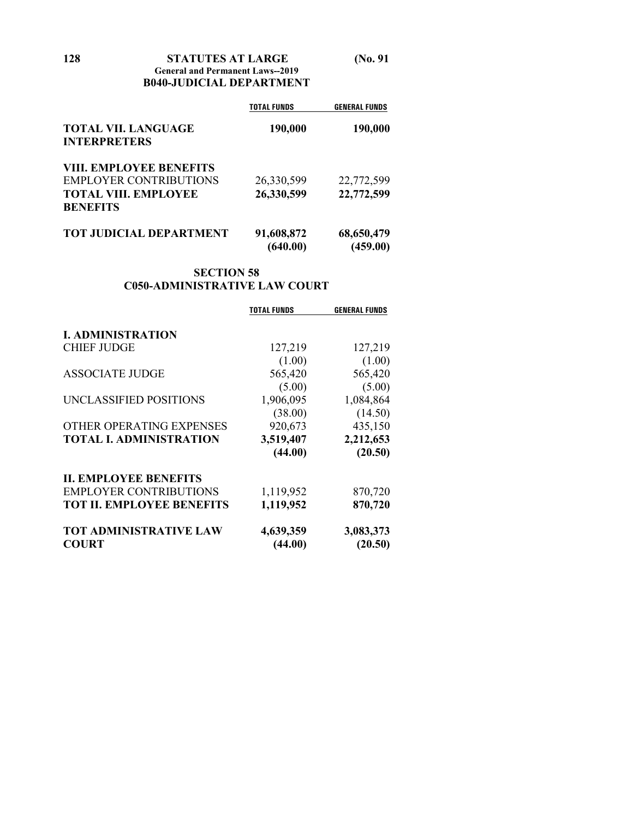**128 STATUTES AT LARGE (No. 91 General and Permanent Laws--2019 B040-JUDICIAL DEPARTMENT**

|                                | <b>TOTAL FUNDS</b> | <b>GENERAL FUNDS</b> |
|--------------------------------|--------------------|----------------------|
| <b>TOTAL VII. LANGUAGE</b>     | 190,000            | 190,000              |
| <b>INTERPRETERS</b>            |                    |                      |
| <b>VIII. EMPLOYEE BENEFITS</b> |                    |                      |
| <b>EMPLOYER CONTRIBUTIONS</b>  | 26,330,599         | 22,772,599           |
| <b>TOTAL VIII. EMPLOYEE</b>    | 26,330,599         | 22,772,599           |
| <b>BENEFITS</b>                |                    |                      |
| <b>TOT JUDICIAL DEPARTMENT</b> | 91,608,872         | 68,650,479           |
|                                | (640.00)           | (459.00)             |

## **SECTION 58 C050-ADMINISTRATIVE LAW COURT**

|                                  | <b>TOTAL FUNDS</b> | <b>GENERAL FUNDS</b> |
|----------------------------------|--------------------|----------------------|
|                                  |                    |                      |
| <b>I. ADMINISTRATION</b>         |                    |                      |
| <b>CHIEF JUDGE</b>               | 127,219            | 127,219              |
|                                  | (1.00)             | (1.00)               |
| <b>ASSOCIATE JUDGE</b>           | 565,420            | 565,420              |
|                                  | (5.00)             | (5.00)               |
| UNCLASSIFIED POSITIONS           | 1,906,095          | 1,084,864            |
|                                  | (38.00)            | (14.50)              |
| OTHER OPERATING EXPENSES         | 920,673            | 435,150              |
| <b>TOTAL I. ADMINISTRATION</b>   | 3,519,407          | 2,212,653            |
|                                  | (44.00)            | (20.50)              |
| <b>II. EMPLOYEE BENEFITS</b>     |                    |                      |
| <b>EMPLOYER CONTRIBUTIONS</b>    | 1,119,952          | 870,720              |
| <b>TOT II. EMPLOYEE BENEFITS</b> | 1,119,952          | 870,720              |
| <b>TOT ADMINISTRATIVE LAW</b>    | 4,639,359          | 3,083,373            |
| <b>COURT</b>                     | (44.00)            | (20.50)              |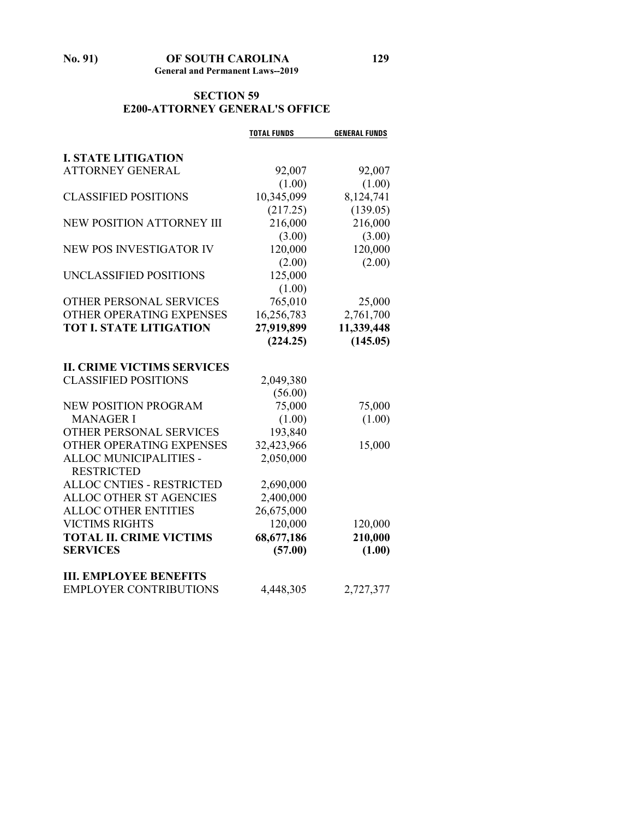# **SECTION 59 E200-ATTORNEY GENERAL'S OFFICE**

|                                   | <b>TOTAL FUNDS</b> | <b>GENERAL FUNDS</b> |
|-----------------------------------|--------------------|----------------------|
| <b>I. STATE LITIGATION</b>        |                    |                      |
| <b>ATTORNEY GENERAL</b>           | 92,007             | 92,007               |
|                                   | (1.00)             | (1.00)               |
| CLASSIFIED POSITIONS              | 10,345,099         | 8,124,741            |
|                                   | (217.25)           | (139.05)             |
| <b>NEW POSITION ATTORNEY III</b>  | 216,000            | 216,000              |
|                                   | (3.00)             | (3.00)               |
| <b>NEW POS INVESTIGATOR IV</b>    | 120,000            | 120,000              |
|                                   | (2.00)             | (2.00)               |
| UNCLASSIFIED POSITIONS            | 125,000            |                      |
|                                   | (1.00)             |                      |
| OTHER PERSONAL SERVICES           | 765,010            | 25,000               |
| OTHER OPERATING EXPENSES          | 16,256,783         | 2,761,700            |
| <b>TOT I. STATE LITIGATION</b>    | 27,919,899         | 11,339,448           |
|                                   | (224.25)           | (145.05)             |
|                                   |                    |                      |
| <b>II. CRIME VICTIMS SERVICES</b> |                    |                      |
| <b>CLASSIFIED POSITIONS</b>       | 2,049,380          |                      |
|                                   | (56.00)            |                      |
| <b>NEW POSITION PROGRAM</b>       | 75,000             | 75,000               |
| <b>MANAGER I</b>                  | (1.00)             | (1.00)               |
| <b>OTHER PERSONAL SERVICES</b>    | 193,840            |                      |
| OTHER OPERATING EXPENSES          | 32,423,966         | 15,000               |
| ALLOC MUNICIPALITIES -            | 2,050,000          |                      |
| <b>RESTRICTED</b>                 |                    |                      |
| <b>ALLOC CNTIES - RESTRICTED</b>  | 2,690,000          |                      |
| ALLOC OTHER ST AGENCIES           | 2,400,000          |                      |
| <b>ALLOC OTHER ENTITIES</b>       | 26,675,000         |                      |
| <b>VICTIMS RIGHTS</b>             | 120,000            | 120,000              |
| <b>TOTAL II. CRIME VICTIMS</b>    | 68,677,186         | 210,000              |
| <b>SERVICES</b>                   | (57.00)            | (1.00)               |
|                                   |                    |                      |
| <b>III. EMPLOYEE BENEFITS</b>     |                    |                      |
| <b>EMPLOYER CONTRIBUTIONS</b>     | 4,448,305          | 2,727,377            |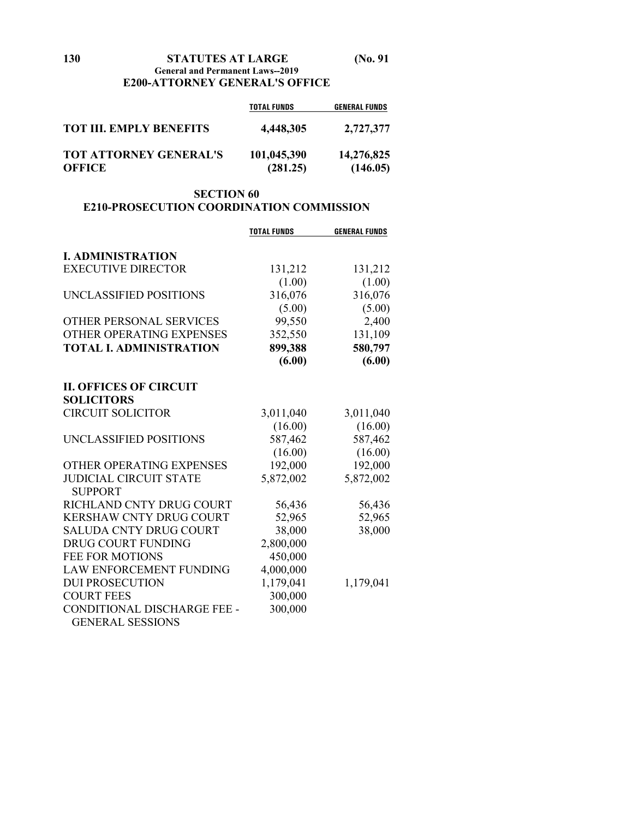| 130 | <b>STATUTES AT LARGE</b>              | $(N_0, 91)$ |
|-----|---------------------------------------|-------------|
|     | General and Permanent Laws--2019      |             |
|     | <b>E200-ATTORNEY GENERAL'S OFFICE</b> |             |

|                                                | <b>TOTAL FUNDS</b>      | <b>GENERAL FUNDS</b>   |
|------------------------------------------------|-------------------------|------------------------|
| <b>TOT III. EMPLY BENEFITS</b>                 | 4,448,305               | 2,727,377              |
| <b>TOT ATTORNEY GENERAL'S</b><br><b>OFFICE</b> | 101,045,390<br>(281.25) | 14,276,825<br>(146.05) |

## **SECTION 60 E210-PROSECUTION COORDINATION COMMISSION**

|                                | <b>TOTAL FUNDS</b> | <b>GENERAL FUNDS</b> |
|--------------------------------|--------------------|----------------------|
| <b>I. ADMINISTRATION</b>       |                    |                      |
| <b>EXECUTIVE DIRECTOR</b>      | 131,212            | 131,212              |
|                                | (1.00)             | (1.00)               |
| UNCLASSIFIED POSITIONS         | 316,076            | 316,076              |
|                                | (5.00)             | (5.00)               |
| OTHER PERSONAL SERVICES        | 99,550             | 2,400                |
| OTHER OPERATING EXPENSES       | 352,550            | 131,109              |
| <b>TOTAL I. ADMINISTRATION</b> | 899,388            | 580,797              |
|                                | (6.00)             | (6.00)               |
| <b>II. OFFICES OF CIRCUIT</b>  |                    |                      |
| <b>SOLICITORS</b>              |                    |                      |
| <b>CIRCUIT SOLICITOR</b>       | 3,011,040          | 3,011,040            |
|                                | (16.00)            | (16.00)              |
| UNCLASSIFIED POSITIONS         | 587,462            | 587,462              |
|                                | (16.00)            | (16.00)              |
| OTHER OPERATING EXPENSES       | 192,000            | 192,000              |
| <b>JUDICIAL CIRCUIT STATE</b>  | 5,872,002          | 5,872,002            |
| <b>SUPPORT</b>                 |                    |                      |
| RICHLAND CNTY DRUG COURT       | 56,436             | 56,436               |
| KERSHAW CNTY DRUG COURT        | 52,965             | 52,965               |
| <b>SALUDA CNTY DRUG COURT</b>  | 38,000             | 38,000               |
| <b>DRUG COURT FUNDING</b>      | 2,800,000          |                      |
| <b>FEE FOR MOTIONS</b>         | 450,000            |                      |
| <b>LAW ENFORCEMENT FUNDING</b> | 4,000,000          |                      |
| <b>DUI PROSECUTION</b>         | 1,179,041          | 1,179,041            |
| <b>COURT FEES</b>              | 300,000            |                      |
| CONDITIONAL DISCHARGE FEE -    | 300,000            |                      |
| <b>GENERAL SESSIONS</b>        |                    |                      |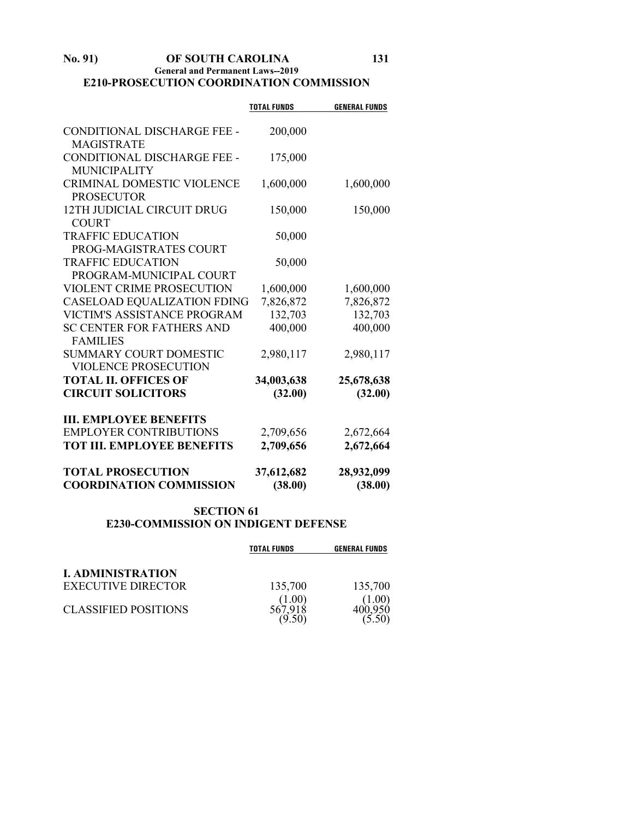## **No. 91) OF SOUTH CAROLINA 131 General and Permanent Laws--2019 E210-PROSECUTION COORDINATION COMMISSION**

|                                    | <b>TOTAL FUNDS</b> | <b>GENERAL FUNDS</b> |
|------------------------------------|--------------------|----------------------|
|                                    |                    |                      |
| CONDITIONAL DISCHARGE FEE -        | 200,000            |                      |
| <b>MAGISTRATE</b>                  |                    |                      |
| CONDITIONAL DISCHARGE FEE -        | 175,000            |                      |
| <b>MUNICIPALITY</b>                |                    |                      |
| <b>CRIMINAL DOMESTIC VIOLENCE</b>  | 1,600,000          | 1,600,000            |
| <b>PROSECUTOR</b>                  |                    |                      |
| 12TH JUDICIAL CIRCUIT DRUG         | 150,000            | 150,000              |
| <b>COURT</b>                       |                    |                      |
| <b>TRAFFIC EDUCATION</b>           | 50,000             |                      |
| PROG-MAGISTRATES COURT             |                    |                      |
| <b>TRAFFIC EDUCATION</b>           | 50,000             |                      |
| PROGRAM-MUNICIPAL COURT            |                    |                      |
| <b>VIOLENT CRIME PROSECUTION</b>   | 1,600,000          | 1,600,000            |
| <b>CASELOAD EQUALIZATION FDING</b> | 7,826,872          | 7,826,872            |
| <b>VICTIM'S ASSISTANCE PROGRAM</b> | 132,703            | 132,703              |
| <b>SC CENTER FOR FATHERS AND</b>   | 400,000            | 400,000              |
| <b>FAMILIES</b>                    |                    |                      |
| <b>SUMMARY COURT DOMESTIC</b>      | 2,980,117          | 2,980,117            |
| <b>VIOLENCE PROSECUTION</b>        |                    |                      |
| <b>TOTAL II. OFFICES OF</b>        | 34,003,638         | 25,678,638           |
| <b>CIRCUIT SOLICITORS</b>          | (32.00)            | (32.00)              |
|                                    |                    |                      |
| <b>III. EMPLOYEE BENEFITS</b>      |                    |                      |
| <b>EMPLOYER CONTRIBUTIONS</b>      | 2,709,656          | 2,672,664            |
| <b>TOT III. EMPLOYEE BENEFITS</b>  | 2,709,656          | 2,672,664            |
| <b>TOTAL PROSECUTION</b>           | 37,612,682         | 28,932,099           |
| <b>COORDINATION COMMISSION</b>     | (38.00)            | (38.00)              |

## **SECTION 61 E230-COMMISSION ON INDIGENT DEFENSE**

|                             | <b>TOTAL FUNDS</b> | <b>GENERAL FUNDS</b> |
|-----------------------------|--------------------|----------------------|
| <b>I. ADMINISTRATION</b>    |                    |                      |
| <b>EXECUTIVE DIRECTOR</b>   | 135,700            | 135,700              |
| <b>CLASSIFIED POSITIONS</b> | 1.00)              | $1.00^\circ$         |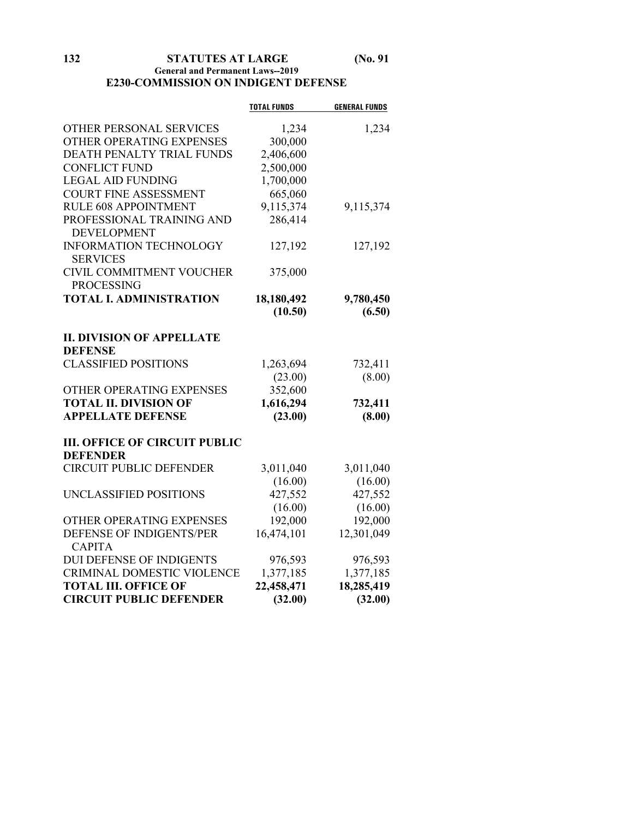## **General and Permanent Laws--2019 E230-COMMISSION ON INDIGENT DEFENSE**

|                                                    | <b>TOTAL FUNDS</b> | <b>GENERAL FUNDS</b> |
|----------------------------------------------------|--------------------|----------------------|
| OTHER PERSONAL SERVICES                            | 1,234              | 1,234                |
| OTHER OPERATING EXPENSES                           | 300,000            |                      |
| DEATH PENALTY TRIAL FUNDS                          | 2,406,600          |                      |
| <b>CONFLICT FUND</b>                               | 2,500,000          |                      |
| <b>LEGAL AID FUNDING</b>                           | 1,700,000          |                      |
| <b>COURT FINE ASSESSMENT</b>                       | 665,060            |                      |
| RULE 608 APPOINTMENT                               | 9,115,374          | 9,115,374            |
| PROFESSIONAL TRAINING AND<br><b>DEVELOPMENT</b>    | 286,414            |                      |
| <b>INFORMATION TECHNOLOGY</b><br><b>SERVICES</b>   | 127,192            | 127,192              |
| CIVIL COMMITMENT VOUCHER<br><b>PROCESSING</b>      | 375,000            |                      |
| <b>TOTAL I. ADMINISTRATION</b>                     | 18,180,492         | 9,780,450            |
|                                                    | (10.50)            | (6.50)               |
|                                                    |                    |                      |
| <b>II. DIVISION OF APPELLATE</b><br><b>DEFENSE</b> |                    |                      |
| <b>CLASSIFIED POSITIONS</b>                        | 1,263,694          | 732,411              |
|                                                    | (23.00)            | (8.00)               |
| OTHER OPERATING EXPENSES                           | 352,600            |                      |
| <b>TOTAL II. DIVISION OF</b>                       | 1,616,294          | 732,411              |
| <b>APPELLATE DEFENSE</b>                           | (23.00)            | (8.00)               |
| <b>III. OFFICE OF CIRCUIT PUBLIC</b>               |                    |                      |
| <b>DEFENDER</b>                                    |                    |                      |
| <b>CIRCUIT PUBLIC DEFENDER</b>                     | 3,011,040          | 3,011,040            |
|                                                    | (16.00)            | (16.00)              |
| UNCLASSIFIED POSITIONS                             | 427,552            | 427,552              |
|                                                    | (16.00)            | (16.00)              |
| OTHER OPERATING EXPENSES                           | 192,000            | 192,000              |
| DEFENSE OF INDIGENTS/PER<br><b>CAPITA</b>          | 16,474,101         | 12,301,049           |
| <b>DUI DEFENSE OF INDIGENTS</b>                    | 976,593            | 976,593              |
| CRIMINAL DOMESTIC VIOLENCE                         | 1,377,185          | 1,377,185            |
| <b>TOTAL III. OFFICE OF</b>                        | 22,458,471         | 18,285,419           |
| <b>CIRCUIT PUBLIC DEFENDER</b>                     | (32.00)            | (32.00)              |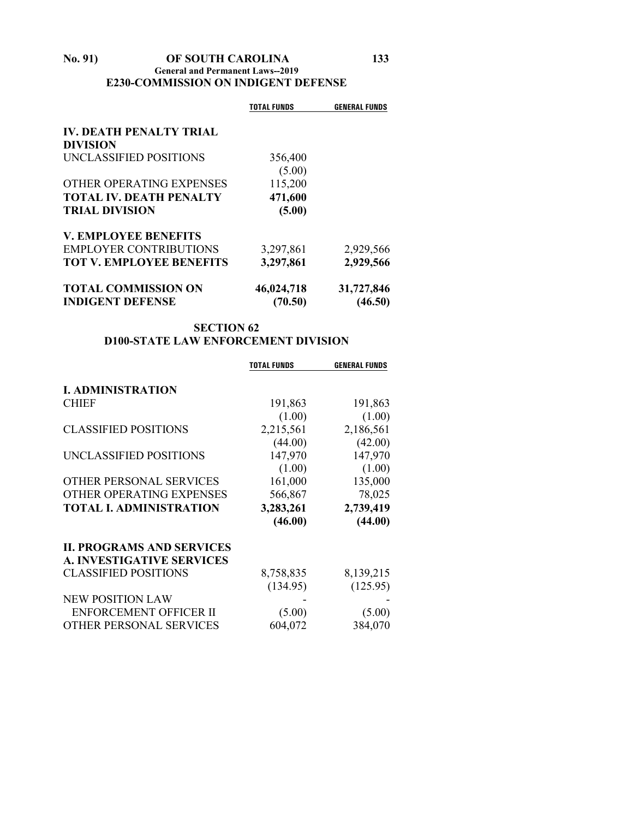## **No. 91) OF SOUTH CAROLINA 133 General and Permanent Laws--2019 E230-COMMISSION ON INDIGENT DEFENSE**

|                                                   | TOTAL FUNDS       | <b>GENERAL FUNDS</b> |
|---------------------------------------------------|-------------------|----------------------|
| <b>IV. DEATH PENALTY TRIAL</b><br><b>DIVISION</b> |                   |                      |
| UNCLASSIFIED POSITIONS                            | 356,400<br>(5.00) |                      |
| OTHER OPERATING EXPENSES                          | 115,200           |                      |
| <b>TOTAL IV. DEATH PENALTY</b>                    | 471,600           |                      |
| <b>TRIAL DIVISION</b>                             | (5.00)            |                      |
| <b>V. EMPLOYEE BENEFITS</b>                       |                   |                      |
| <b>EMPLOYER CONTRIBUTIONS</b>                     | 3,297,861         | 2,929,566            |
| <b>TOT V. EMPLOYEE BENEFITS</b>                   | 3,297,861         | 2,929,566            |
| <b>TOTAL COMMISSION ON</b>                        | 46,024,718        | 31,727,846           |
| <b>INDIGENT DEFENSE</b>                           | (70.50)           | (46.50)              |

# **SECTION 62 D100-STATE LAW ENFORCEMENT DIVISION**

|                                  | <b>TOTAL FUNDS</b> | <b>GENERAL FUNDS</b> |
|----------------------------------|--------------------|----------------------|
| <b>I. ADMINISTRATION</b>         |                    |                      |
| <b>CHIEF</b>                     | 191,863            | 191,863              |
|                                  | (1.00)             | (1.00)               |
| <b>CLASSIFIED POSITIONS</b>      | 2,215,561          | 2,186,561            |
|                                  | (44.00)            | (42.00)              |
| UNCLASSIFIED POSITIONS           | 147,970            | 147,970              |
|                                  | (1.00)             | (1.00)               |
| OTHER PERSONAL SERVICES          | 161,000            | 135,000              |
| OTHER OPERATING EXPENSES         | 566,867            | 78,025               |
| <b>TOTAL I. ADMINISTRATION</b>   | 3,283,261          | 2,739,419            |
|                                  | (46.00)            | (44.00)              |
| <b>II. PROGRAMS AND SERVICES</b> |                    |                      |
| <b>A. INVESTIGATIVE SERVICES</b> |                    |                      |
| <b>CLASSIFIED POSITIONS</b>      | 8,758,835          | 8,139,215            |
|                                  | (134.95)           | (125.95)             |
| <b>NEW POSITION LAW</b>          |                    |                      |
| <b>ENFORCEMENT OFFICER II</b>    | (5.00)             | (5.00)               |
| OTHER PERSONAL SERVICES          | 604,072            | 384,070              |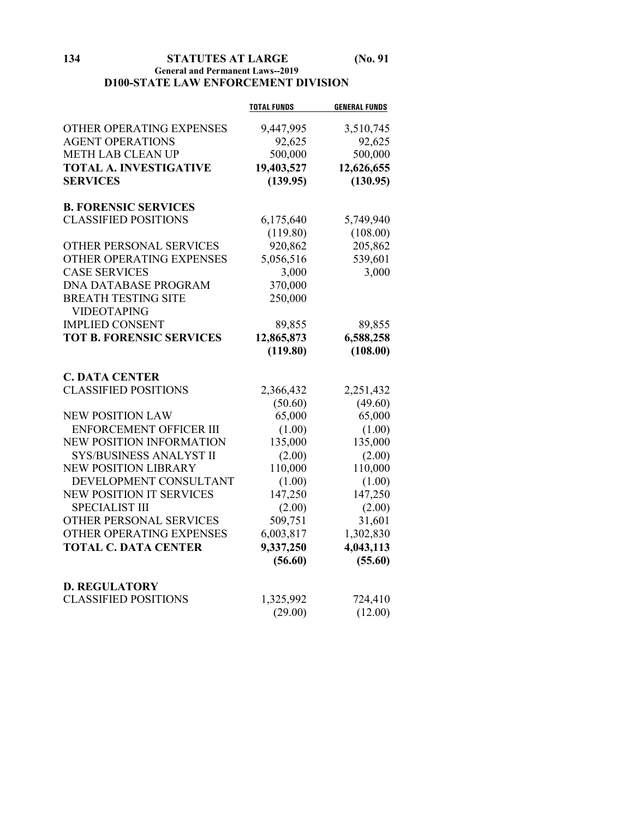**134 STATUTES AT LARGE (No. 91**

## **General and Permanent Laws--2019 D100-STATE LAW ENFORCEMENT DIVISION**

|                                 | <b>TOTAL FUNDS</b> | <b>GENERAL FUNDS</b> |
|---------------------------------|--------------------|----------------------|
| OTHER OPERATING EXPENSES        | 9,447,995          | 3,510,745            |
| <b>AGENT OPERATIONS</b>         | 92,625             | 92,625               |
| <b>METH LAB CLEAN UP</b>        | 500,000            | 500,000              |
| <b>TOTAL A. INVESTIGATIVE</b>   | 19,403,527         | 12,626,655           |
| <b>SERVICES</b>                 | (139.95)           | (130.95)             |
|                                 |                    |                      |
| <b>B. FORENSIC SERVICES</b>     |                    |                      |
| <b>CLASSIFIED POSITIONS</b>     | 6,175,640          | 5,749,940            |
|                                 | (119.80)           | (108.00)             |
| OTHER PERSONAL SERVICES         | 920,862            | 205,862              |
| OTHER OPERATING EXPENSES        | 5,056,516          | 539,601              |
| <b>CASE SERVICES</b>            | 3,000              | 3,000                |
| <b>DNA DATABASE PROGRAM</b>     | 370,000            |                      |
| <b>BREATH TESTING SITE</b>      | 250,000            |                      |
| <b>VIDEOTAPING</b>              |                    |                      |
| <b>IMPLIED CONSENT</b>          | 89,855             | 89,855               |
| <b>TOT B. FORENSIC SERVICES</b> | 12,865,873         | 6,588,258            |
|                                 | (119.80)           | (108.00)             |
|                                 |                    |                      |
| <b>C. DATA CENTER</b>           |                    |                      |
| <b>CLASSIFIED POSITIONS</b>     | 2,366,432          | 2,251,432            |
|                                 | (50.60)            | (49.60)              |
| <b>NEW POSITION LAW</b>         | 65,000             | 65,000               |
| ENFORCEMENT OFFICER III         | (1.00)             | (1.00)               |
| NEW POSITION INFORMATION        | 135,000            | 135,000              |
| SYS/BUSINESS ANALYST II         | (2.00)             | (2.00)               |
| <b>NEW POSITION LIBRARY</b>     | 110,000            | 110,000              |
| DEVELOPMENT CONSULTANT          | (1.00)             | (1.00)               |
| <b>NEW POSITION IT SERVICES</b> | 147,250            | 147,250              |
| <b>SPECIALIST III</b>           | (2.00)             | (2.00)               |
| <b>OTHER PERSONAL SERVICES</b>  | 509,751            | 31,601               |
| OTHER OPERATING EXPENSES        | 6,003,817          | 1,302,830            |
| <b>TOTAL C. DATA CENTER</b>     | 9,337,250          | 4,043,113            |
|                                 | (56.60)            | (55.60)              |
|                                 |                    |                      |
| <b>D. REGULATORY</b>            |                    |                      |
| <b>CLASSIFIED POSITIONS</b>     | 1,325,992          | 724,410              |
|                                 | (29.00)            | (12.00)              |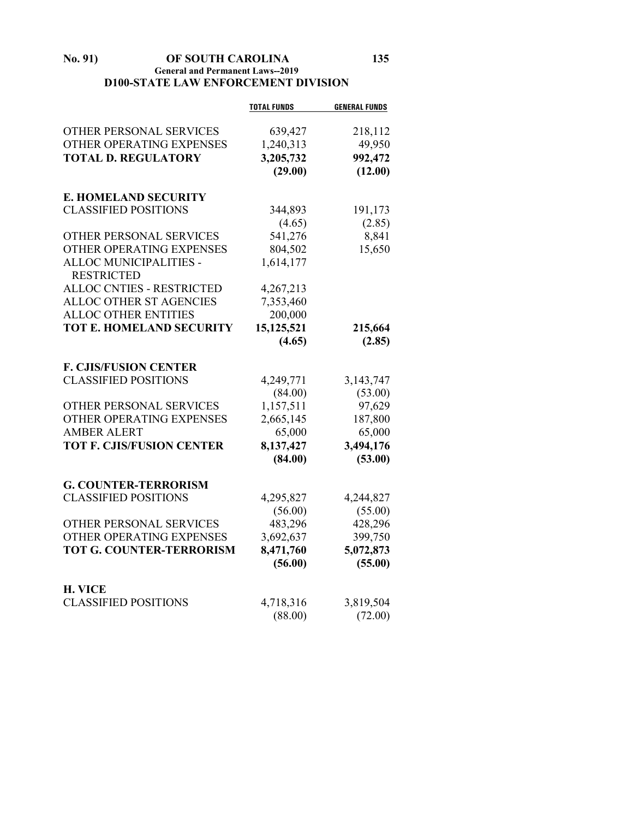**No. 91) OF SOUTH CAROLINA 135 General and Permanent Laws--2019 D100-STATE LAW ENFORCEMENT DIVISION**

|                                  | <b>TOTAL FUNDS</b> | <b>GENERAL FUNDS</b> |
|----------------------------------|--------------------|----------------------|
| OTHER PERSONAL SERVICES          | 639,427            | 218,112              |
| OTHER OPERATING EXPENSES         | 1,240,313          | 49,950               |
| <b>TOTAL D. REGULATORY</b>       | 3,205,732          | 992,472              |
|                                  | (29.00)            | (12.00)              |
| <b>E. HOMELAND SECURITY</b>      |                    |                      |
| <b>CLASSIFIED POSITIONS</b>      | 344,893            | 191,173              |
|                                  | (4.65)             | (2.85)               |
| OTHER PERSONAL SERVICES          | 541,276            | 8,841                |
| OTHER OPERATING EXPENSES         | 804,502            | 15,650               |
| ALLOC MUNICIPALITIES -           | 1,614,177          |                      |
| <b>RESTRICTED</b>                |                    |                      |
| <b>ALLOC CNTIES - RESTRICTED</b> | 4,267,213          |                      |
| ALLOC OTHER ST AGENCIES          | 7,353,460          |                      |
| <b>ALLOC OTHER ENTITIES</b>      | 200,000            |                      |
| <b>TOT E. HOMELAND SECURITY</b>  | 15,125,521         | 215,664              |
|                                  | (4.65)             | (2.85)               |
| <b>F. CJIS/FUSION CENTER</b>     |                    |                      |
| <b>CLASSIFIED POSITIONS</b>      | 4,249,771          | 3,143,747            |
|                                  | (84.00)            | (53.00)              |
| OTHER PERSONAL SERVICES          | 1,157,511          | 97,629               |
| OTHER OPERATING EXPENSES         | 2,665,145          | 187,800              |
| <b>AMBER ALERT</b>               | 65,000             | 65,000               |
| <b>TOT F. CJIS/FUSION CENTER</b> | 8,137,427          | 3,494,176            |
|                                  | (84.00)            | (53.00)              |
| <b>G. COUNTER-TERRORISM</b>      |                    |                      |
| <b>CLASSIFIED POSITIONS</b>      | 4,295,827          | 4,244,827            |
|                                  | (56.00)            | (55.00)              |
| OTHER PERSONAL SERVICES          | 483,296            | 428,296              |
| OTHER OPERATING EXPENSES         | 3,692,637          | 399,750              |
| <b>TOT G. COUNTER-TERRORISM</b>  | 8,471,760          | 5,072,873            |
|                                  | (56.00)            | (55.00)              |
| <b>H. VICE</b>                   |                    |                      |
| <b>CLASSIFIED POSITIONS</b>      | 4,718,316          | 3,819,504            |
|                                  | (88.00)            | (72.00)              |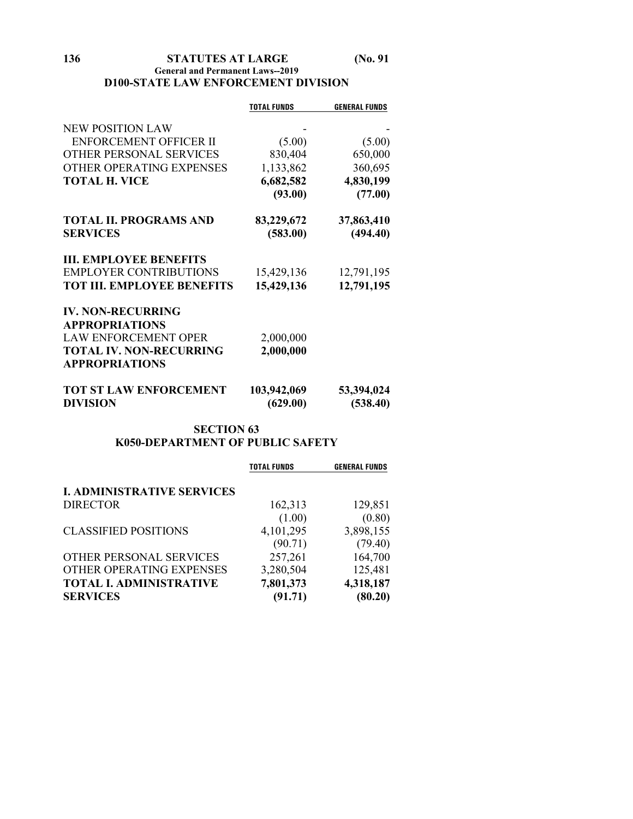## **136 STATUTES AT LARGE (No. 91 General and Permanent Laws--2019 D100-STATE LAW ENFORCEMENT DIVISION**

|                                   | <b>TOTAL FUNDS</b> | <b>GENERAL FUNDS</b> |
|-----------------------------------|--------------------|----------------------|
|                                   |                    |                      |
| <b>NEW POSITION LAW</b>           |                    |                      |
| <b>ENFORCEMENT OFFICER II</b>     | (5.00)             | (5.00)               |
| <b>OTHER PERSONAL SERVICES</b>    | 830,404            | 650,000              |
| OTHER OPERATING EXPENSES          | 1,133,862          | 360,695              |
| TOTAL H. VICE                     | 6,682,582          | 4,830,199            |
|                                   | (93.00)            | (77.00)              |
| <b>TOTAL II. PROGRAMS AND</b>     | 83,229,672         | 37,863,410           |
| <b>SERVICES</b>                   | (583.00)           | (494.40)             |
| <b>III. EMPLOYEE BENEFITS</b>     |                    |                      |
| <b>EMPLOYER CONTRIBUTIONS</b>     | 15,429,136         | 12,791,195           |
| <b>TOT III. EMPLOYEE BENEFITS</b> | 15,429,136         | 12,791,195           |
| <b>IV. NON-RECURRING</b>          |                    |                      |
| <b>APPROPRIATIONS</b>             |                    |                      |
| <b>LAW ENFORCEMENT OPER</b>       | 2,000,000          |                      |
| <b>TOTAL IV. NON-RECURRING</b>    | 2,000,000          |                      |
| <b>APPROPRIATIONS</b>             |                    |                      |
| <b>TOT ST LAW ENFORCEMENT</b>     | 103,942,069        | 53,394,024           |
| <b>DIVISION</b>                   | (629.00)           | (538.40)             |

## **SECTION 63 K050-DEPARTMENT OF PUBLIC SAFETY**

|                                   | <b>TOTAL FUNDS</b> | <b>GENERAL FUNDS</b> |
|-----------------------------------|--------------------|----------------------|
| <b>I. ADMINISTRATIVE SERVICES</b> |                    |                      |
| <b>DIRECTOR</b>                   | 162,313            | 129,851              |
|                                   | (1.00)             | (0.80)               |
| <b>CLASSIFIED POSITIONS</b>       | 4,101,295          | 3,898,155            |
|                                   | (90.71)            | (79.40)              |
| OTHER PERSONAL SERVICES           | 257,261            | 164,700              |
| OTHER OPERATING EXPENSES          | 3,280,504          | 125,481              |
| <b>TOTAL I. ADMINISTRATIVE</b>    | 7,801,373          | 4,318,187            |
| <b>SERVICES</b>                   | (91.71)            | (80.20)              |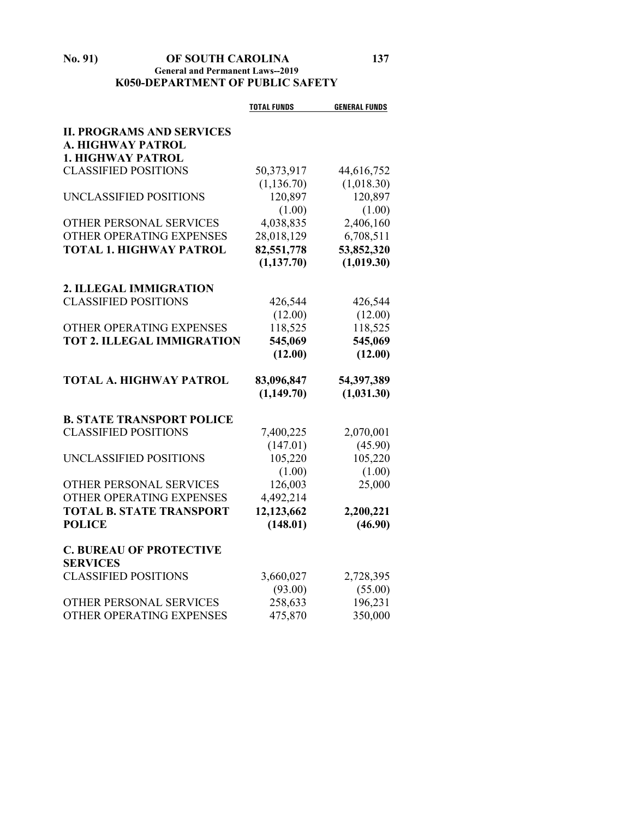#### **No. 91) OF SOUTH CAROLINA 137 General and Permanent Laws--2019 K050-DEPARTMENT OF PUBLIC SAFETY**

|                                   | <b>TOTAL FUNDS</b> | <b>GENERAL FUNDS</b> |
|-----------------------------------|--------------------|----------------------|
| <b>II. PROGRAMS AND SERVICES</b>  |                    |                      |
| A. HIGHWAY PATROL                 |                    |                      |
| <b>1. HIGHWAY PATROL</b>          |                    |                      |
| <b>CLASSIFIED POSITIONS</b>       | 50,373,917         | 44,616,752           |
|                                   | (1, 136.70)        | (1,018.30)           |
| UNCLASSIFIED POSITIONS            | 120,897            | 120,897              |
|                                   | (1.00)             | (1.00)               |
| OTHER PERSONAL SERVICES           | 4,038,835          | 2,406,160            |
| OTHER OPERATING EXPENSES          | 28,018,129         | 6,708,511            |
| <b>TOTAL 1. HIGHWAY PATROL</b>    | 82,551,778         | 53,852,320           |
|                                   | (1, 137.70)        | (1,019.30)           |
| 2. ILLEGAL IMMIGRATION            |                    |                      |
| <b>CLASSIFIED POSITIONS</b>       | 426,544            | 426,544              |
|                                   | (12.00)            | (12.00)              |
| OTHER OPERATING EXPENSES          | 118,525            | 118,525              |
| <b>TOT 2. ILLEGAL IMMIGRATION</b> | 545,069            | 545,069              |
|                                   | (12.00)            | (12.00)              |
|                                   |                    |                      |
| <b>TOTAL A. HIGHWAY PATROL</b>    | 83,096,847         | 54,397,389           |
|                                   | (1,149.70)         | (1,031.30)           |
| <b>B. STATE TRANSPORT POLICE</b>  |                    |                      |
| <b>CLASSIFIED POSITIONS</b>       | 7,400,225          | 2,070,001            |
|                                   | (147.01)           | (45.90)              |
| UNCLASSIFIED POSITIONS            | 105,220            | 105,220              |
|                                   | (1.00)             | (1.00)               |
| <b>OTHER PERSONAL SERVICES</b>    | 126,003            | 25,000               |
| OTHER OPERATING EXPENSES          | 4,492,214          |                      |
| <b>TOTAL B. STATE TRANSPORT</b>   | 12,123,662         | 2,200,221            |
| <b>POLICE</b>                     | (148.01)           | (46.90)              |
| <b>C. BUREAU OF PROTECTIVE</b>    |                    |                      |
| <b>SERVICES</b>                   |                    |                      |
| <b>CLASSIFIED POSITIONS</b>       | 3,660,027          | 2,728,395            |
|                                   | (93.00)            | (55.00)              |
| OTHER PERSONAL SERVICES           | 258,633            | 196,231              |
| OTHER OPERATING EXPENSES          | 475,870            | 350,000              |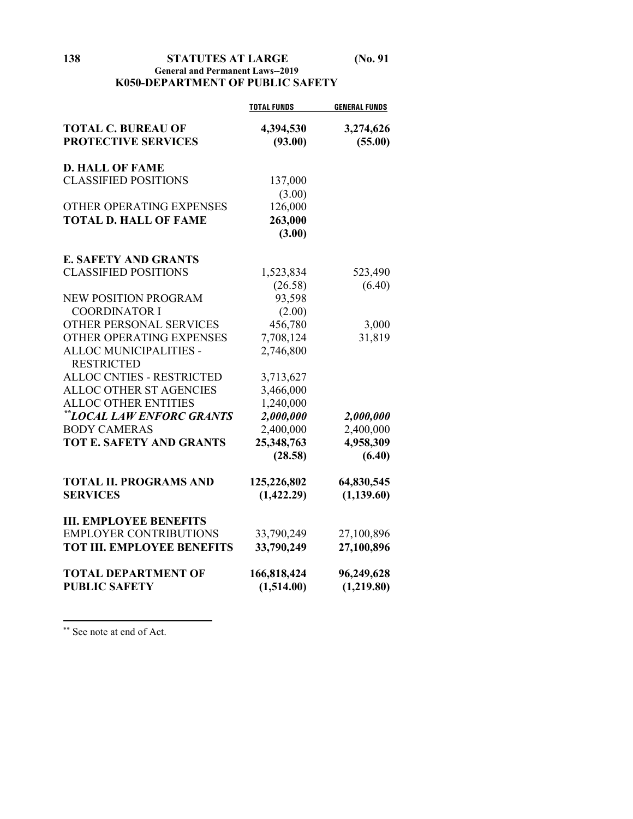**138 STATUTES AT LARGE (No. 91**

## **General and Permanent Laws--2019 K050-DEPARTMENT OF PUBLIC SAFETY**

|                                   | <b>TOTAL FUNDS</b> | <b>GENERAL FUNDS</b> |
|-----------------------------------|--------------------|----------------------|
| <b>TOTAL C. BUREAU OF</b>         | 4,394,530          | 3,274,626            |
| <b>PROTECTIVE SERVICES</b>        | (93.00)            | (55.00)              |
|                                   |                    |                      |
| <b>D. HALL OF FAME</b>            |                    |                      |
| <b>CLASSIFIED POSITIONS</b>       | 137,000            |                      |
|                                   | (3.00)             |                      |
| OTHER OPERATING EXPENSES          | 126,000            |                      |
| <b>TOTAL D. HALL OF FAME</b>      | 263,000            |                      |
|                                   | (3.00)             |                      |
| <b>E. SAFETY AND GRANTS</b>       |                    |                      |
| <b>CLASSIFIED POSITIONS</b>       | 1,523,834          | 523,490              |
|                                   | (26.58)            | (6.40)               |
| NEW POSITION PROGRAM              | 93,598             |                      |
| <b>COORDINATOR I</b>              | (2.00)             |                      |
| OTHER PERSONAL SERVICES           | 456,780            | 3,000                |
| OTHER OPERATING EXPENSES          | 7,708,124          | 31,819               |
| ALLOC MUNICIPALITIES -            | 2,746,800          |                      |
| <b>RESTRICTED</b>                 |                    |                      |
| <b>ALLOC CNTIES - RESTRICTED</b>  | 3,713,627          |                      |
| <b>ALLOC OTHER ST AGENCIES</b>    | 3,466,000          |                      |
| <b>ALLOC OTHER ENTITIES</b>       | 1,240,000          |                      |
| **LOCAL LAW ENFORC GRANTS         | 2,000,000          | 2,000,000            |
| <b>BODY CAMERAS</b>               | 2,400,000          | 2,400,000            |
| <b>TOT E. SAFETY AND GRANTS</b>   | 25,348,763         | 4,958,309            |
|                                   | (28.58)            | (6.40)               |
| <b>TOTAL II. PROGRAMS AND</b>     | 125,226,802        | 64,830,545           |
| <b>SERVICES</b>                   | (1,422.29)         | (1, 139.60)          |
|                                   |                    |                      |
| <b>III. EMPLOYEE BENEFITS</b>     |                    |                      |
| <b>EMPLOYER CONTRIBUTIONS</b>     | 33,790,249         | 27,100,896           |
| <b>TOT III. EMPLOYEE BENEFITS</b> | 33,790,249         | 27,100,896           |
| <b>TOTAL DEPARTMENT OF</b>        | 166,818,424        | 96,249,628           |
| <b>PUBLIC SAFETY</b>              | (1,514.00)         | (1,219.80)           |
|                                   |                    |                      |

<span id="page-137-0"></span>\*\* See note at end of Act.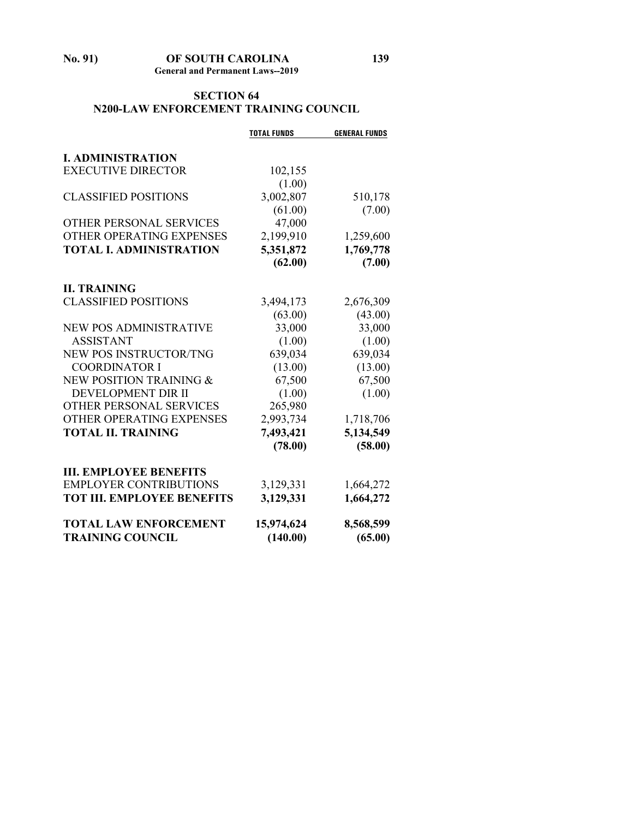# **SECTION 64 N200-LAW ENFORCEMENT TRAINING COUNCIL**

|                                   | <b>TOTAL FUNDS</b> | <b>GENERAL FUNDS</b> |
|-----------------------------------|--------------------|----------------------|
| <b>I. ADMINISTRATION</b>          |                    |                      |
| <b>EXECUTIVE DIRECTOR</b>         | 102,155            |                      |
|                                   | (1.00)             |                      |
| <b>CLASSIFIED POSITIONS</b>       | 3,002,807          | 510,178              |
|                                   | (61.00)            | (7.00)               |
| <b>OTHER PERSONAL SERVICES</b>    | 47,000             |                      |
| OTHER OPERATING EXPENSES          | 2,199,910          | 1,259,600            |
| <b>TOTAL I. ADMINISTRATION</b>    | 5,351,872          | 1,769,778            |
|                                   | (62.00)            | (7.00)               |
| <b>II. TRAINING</b>               |                    |                      |
| <b>CLASSIFIED POSITIONS</b>       | 3,494,173          | 2,676,309            |
|                                   | (63.00)            | (43.00)              |
| NEW POS ADMINISTRATIVE            | 33,000             | 33,000               |
| <b>ASSISTANT</b>                  | (1.00)             | (1.00)               |
| <b>NEW POS INSTRUCTOR/TNG</b>     | 639,034            | 639,034              |
| <b>COORDINATOR I</b>              | (13.00)            | (13.00)              |
| NEW POSITION TRAINING &           | 67,500             | 67,500               |
| DEVELOPMENT DIR II                | (1.00)             | (1.00)               |
| OTHER PERSONAL SERVICES           | 265,980            |                      |
| <b>OTHER OPERATING EXPENSES</b>   | 2,993,734          | 1,718,706            |
| <b>TOTAL II. TRAINING</b>         | 7,493,421          | 5,134,549            |
|                                   | (78.00)            | (58.00)              |
| <b>III. EMPLOYEE BENEFITS</b>     |                    |                      |
| <b>EMPLOYER CONTRIBUTIONS</b>     | 3,129,331          | 1,664,272            |
| <b>TOT III. EMPLOYEE BENEFITS</b> | 3,129,331          | 1,664,272            |
| <b>TOTAL LAW ENFORCEMENT</b>      | 15,974,624         | 8,568,599            |
| <b>TRAINING COUNCIL</b>           | (140.00)           | (65.00)              |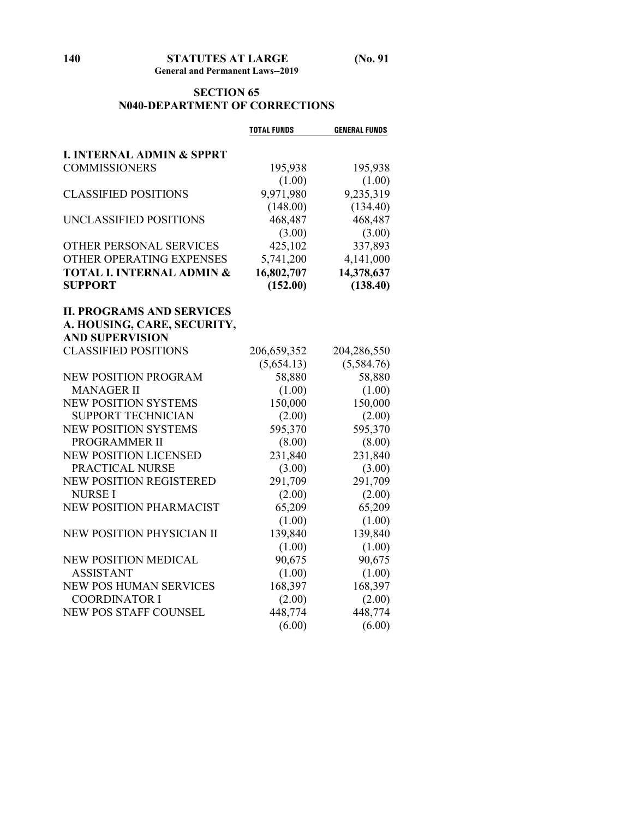## **SECTION 65 N040-DEPARTMENT OF CORRECTIONS**

|                                      | <b>TOTAL FUNDS</b> | <b>GENERAL FUNDS</b> |
|--------------------------------------|--------------------|----------------------|
| <b>I. INTERNAL ADMIN &amp; SPPRT</b> |                    |                      |
| <b>COMMISSIONERS</b>                 | 195,938            | 195,938              |
|                                      | (1.00)             | (1.00)               |
| <b>CLASSIFIED POSITIONS</b>          | 9,971,980          | 9,235,319            |
|                                      | (148.00)           | (134.40)             |
| UNCLASSIFIED POSITIONS               | 468,487            | 468,487              |
|                                      | (3.00)             | (3.00)               |
| OTHER PERSONAL SERVICES              | 425,102            | 337,893              |
| OTHER OPERATING EXPENSES             | 5,741,200          | 4,141,000            |
| <b>TOTAL I. INTERNAL ADMIN &amp;</b> | 16,802,707         | 14,378,637           |
| <b>SUPPORT</b>                       | (152.00)           | (138.40)             |
|                                      |                    |                      |
| <b>II. PROGRAMS AND SERVICES</b>     |                    |                      |
| A. HOUSING, CARE, SECURITY,          |                    |                      |
| <b>AND SUPERVISION</b>               |                    |                      |
| <b>CLASSIFIED POSITIONS</b>          | 206,659,352        | 204,286,550          |
|                                      | (5,654.13)         | (5,584.76)           |
| <b>NEW POSITION PROGRAM</b>          | 58,880             | 58,880               |
| <b>MANAGER II</b>                    | (1.00)             | (1.00)               |
| <b>NEW POSITION SYSTEMS</b>          | 150,000            | 150,000              |
| <b>SUPPORT TECHNICIAN</b>            | (2.00)             | (2.00)               |
| <b>NEW POSITION SYSTEMS</b>          | 595,370            | 595,370              |
| PROGRAMMER II                        | (8.00)             | (8.00)               |
| <b>NEW POSITION LICENSED</b>         | 231,840            | 231,840              |
| PRACTICAL NURSE                      | (3.00)             | (3.00)               |
| <b>NEW POSITION REGISTERED</b>       | 291,709            | 291,709              |
| <b>NURSEI</b>                        | (2.00)             | (2.00)               |
| <b>NEW POSITION PHARMACIST</b>       | 65,209             | 65,209               |
|                                      | (1.00)             | (1.00)               |
| NEW POSITION PHYSICIAN II            | 139,840            | 139,840              |
|                                      | (1.00)             | (1.00)               |
| <b>NEW POSITION MEDICAL</b>          | 90,675             | 90,675               |
| <b>ASSISTANT</b>                     | (1.00)             | (1.00)               |
| NEW POS HUMAN SERVICES               | 168,397            | 168,397              |
| <b>COORDINATOR I</b>                 | (2.00)             | (2.00)               |
| <b>NEW POS STAFF COUNSEL</b>         | 448,774            | 448,774              |
|                                      | (6.00)             | (6.00)               |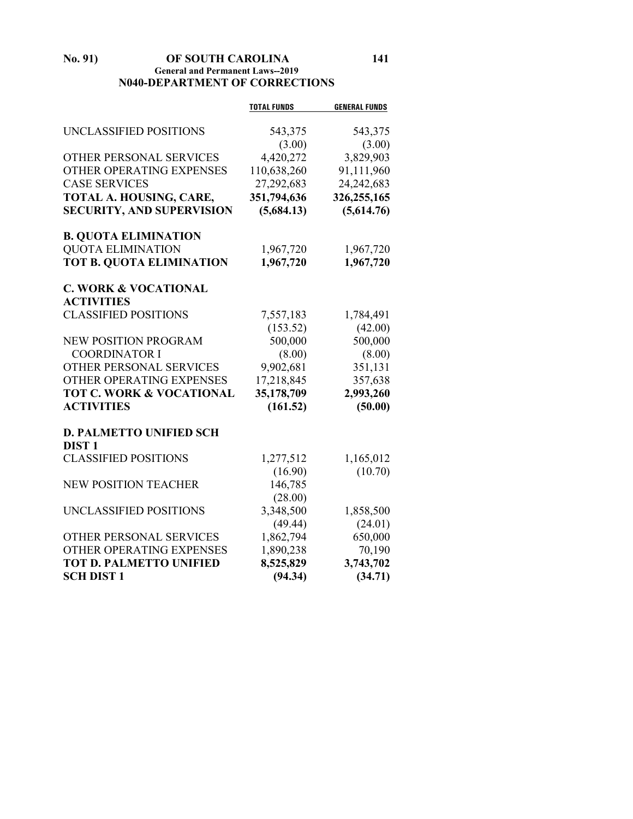## **No. 91) OF SOUTH CAROLINA 141 General and Permanent Laws--2019 N040-DEPARTMENT OF CORRECTIONS**

|                                  | <b>TOTAL FUNDS</b> | <b>GENERAL FUNDS</b> |
|----------------------------------|--------------------|----------------------|
|                                  |                    |                      |
| UNCLASSIFIED POSITIONS           | 543,375            | 543,375              |
|                                  | (3.00)             | (3.00)               |
| OTHER PERSONAL SERVICES          | 4,420,272          | 3,829,903            |
| OTHER OPERATING EXPENSES         | 110,638,260        | 91,111,960           |
| <b>CASE SERVICES</b>             | 27,292,683         | 24, 242, 683         |
| TOTAL A. HOUSING, CARE,          | 351,794,636        | 326,255,165          |
| <b>SECURITY, AND SUPERVISION</b> | (5,684.13)         | (5,614.76)           |
| <b>B. QUOTA ELIMINATION</b>      |                    |                      |
| <b>QUOTA ELIMINATION</b>         | 1,967,720          | 1,967,720            |
| TOT B. QUOTA ELIMINATION         | 1,967,720          | 1,967,720            |
| <b>C. WORK &amp; VOCATIONAL</b>  |                    |                      |
| <b>ACTIVITIES</b>                |                    |                      |
| <b>CLASSIFIED POSITIONS</b>      | 7,557,183          | 1,784,491            |
|                                  | (153.52)           | (42.00)              |
| <b>NEW POSITION PROGRAM</b>      | 500,000            | 500,000              |
| <b>COORDINATOR I</b>             | (8.00)             | (8.00)               |
| OTHER PERSONAL SERVICES          | 9,902,681          | 351,131              |
| OTHER OPERATING EXPENSES         | 17,218,845         | 357,638              |
| TOT C. WORK & VOCATIONAL         | 35,178,709         | 2,993,260            |
| <b>ACTIVITIES</b>                | (161.52)           | (50.00)              |
| <b>D. PALMETTO UNIFIED SCH</b>   |                    |                      |
| <b>DIST1</b>                     |                    |                      |
| <b>CLASSIFIED POSITIONS</b>      | 1,277,512          | 1,165,012            |
|                                  | (16.90)            | (10.70)              |
| <b>NEW POSITION TEACHER</b>      | 146,785            |                      |
|                                  | (28.00)            |                      |
| UNCLASSIFIED POSITIONS           | 3,348,500          | 1,858,500            |
|                                  | (49.44)            | (24.01)              |
| OTHER PERSONAL SERVICES          | 1,862,794          | 650,000              |
| OTHER OPERATING EXPENSES         | 1,890,238          | 70,190               |
| <b>TOT D. PALMETTO UNIFIED</b>   | 8,525,829          | 3,743,702            |
| <b>SCH DIST 1</b>                | (94.34)            | (34.71)              |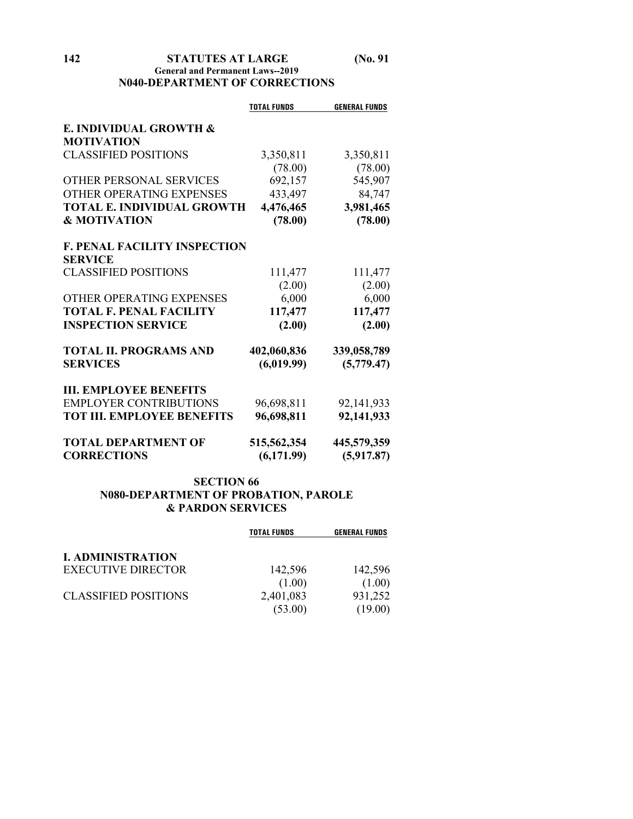## **142 STATUTES AT LARGE (No. 91 General and Permanent Laws--2019 N040-DEPARTMENT OF CORRECTIONS**

|                                     | <b>TOTAL FUNDS</b> | <b>GENERAL FUNDS</b> |
|-------------------------------------|--------------------|----------------------|
| E. INDIVIDUAL GROWTH &              |                    |                      |
| <b>MOTIVATION</b>                   |                    |                      |
| <b>CLASSIFIED POSITIONS</b>         | 3,350,811          | 3,350,811            |
|                                     | (78.00)            | (78.00)              |
| <b>OTHER PERSONAL SERVICES</b>      | 692,157            | 545,907              |
| OTHER OPERATING EXPENSES            | 433,497            | 84,747               |
| <b>TOTAL E. INDIVIDUAL GROWTH</b>   | 4,476,465          | 3,981,465            |
| <b>&amp; MOTIVATION</b>             | (78.00)            | (78.00)              |
| <b>F. PENAL FACILITY INSPECTION</b> |                    |                      |
| <b>SERVICE</b>                      |                    |                      |
| <b>CLASSIFIED POSITIONS</b>         | 111,477            | 111,477              |
|                                     | (2.00)             | (2.00)               |
| OTHER OPERATING EXPENSES            | 6,000              | 6,000                |
| <b>TOTAL F. PENAL FACILITY</b>      | 117,477            | 117,477              |
| <b>INSPECTION SERVICE</b>           | (2.00)             | (2.00)               |
| <b>TOTAL II. PROGRAMS AND</b>       | 402,060,836        | 339,058,789          |
| <b>SERVICES</b>                     | (6,019.99)         | (5,779.47)           |
| <b>III. EMPLOYEE BENEFITS</b>       |                    |                      |
| <b>EMPLOYER CONTRIBUTIONS</b>       | 96,698,811         | 92, 141, 933         |
| <b>TOT III. EMPLOYEE BENEFITS</b>   | 96,698,811         | 92,141,933           |
| <b>TOTAL DEPARTMENT OF</b>          | 515,562,354        | 445,579,359          |
| <b>CORRECTIONS</b>                  | (6,171.99)         | (5,917.87)           |

## **SECTION 66 N080-DEPARTMENT OF PROBATION, PAROLE & PARDON SERVICES**

|                             | <b>TOTAL FUNDS</b> | <b>GENERAL FUNDS</b> |
|-----------------------------|--------------------|----------------------|
| <b>I. ADMINISTRATION</b>    |                    |                      |
| <b>EXECUTIVE DIRECTOR</b>   | 142,596            | 142,596              |
|                             | (1.00)             | (1.00)               |
| <b>CLASSIFIED POSITIONS</b> | 2,401,083          | 931,252              |
|                             | (53.00)            | (19.00)              |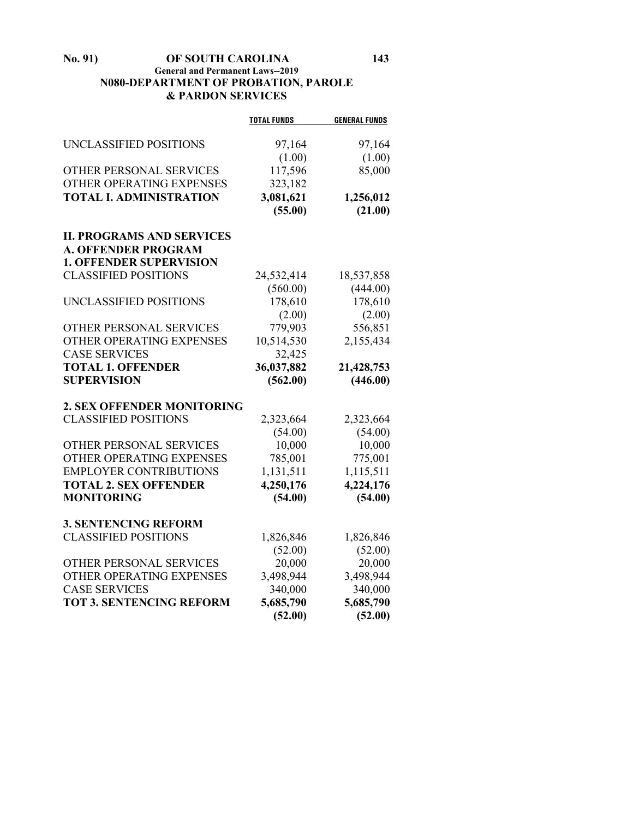## **No. 91) OF SOUTH CAROLINA 143 General and Permanent Laws--2019 N080-DEPARTMENT OF PROBATION, PAROLE & PARDON SERVICES**

|                                  | <b>TOTAL FUNDS</b> | <b>GENERAL FUNDS</b> |
|----------------------------------|--------------------|----------------------|
| UNCLASSIFIED POSITIONS           | 97,164             | 97,164               |
|                                  | (1.00)             | (1.00)               |
| <b>OTHER PERSONAL SERVICES</b>   | 117,596            | 85,000               |
| OTHER OPERATING EXPENSES         | 323,182            |                      |
| <b>TOTAL I. ADMINISTRATION</b>   | 3,081,621          | 1,256,012            |
|                                  | (55.00)            | (21.00)              |
|                                  |                    |                      |
| <b>II. PROGRAMS AND SERVICES</b> |                    |                      |
| <b>A. OFFENDER PROGRAM</b>       |                    |                      |
| <b>1. OFFENDER SUPERVISION</b>   |                    |                      |
| <b>CLASSIFIED POSITIONS</b>      | 24,532,414         | 18,537,858           |
|                                  | (560.00)           | (444.00)             |
| UNCLASSIFIED POSITIONS           | 178,610            | 178,610              |
|                                  | (2.00)             | (2.00)               |
| OTHER PERSONAL SERVICES          | 779,903            | 556,851              |
| OTHER OPERATING EXPENSES         | 10,514,530         | 2,155,434            |
| <b>CASE SERVICES</b>             | 32,425             |                      |
| <b>TOTAL 1. OFFENDER</b>         | 36,037,882         | 21,428,753           |
| <b>SUPERVISION</b>               | (562.00)           | (446.00)             |
| 2. SEX OFFENDER MONITORING       |                    |                      |
| <b>CLASSIFIED POSITIONS</b>      | 2,323,664          | 2,323,664            |
|                                  | (54.00)            | (54.00)              |
| OTHER PERSONAL SERVICES          | 10,000             | 10,000               |
| OTHER OPERATING EXPENSES         | 785,001            | 775,001              |
| <b>EMPLOYER CONTRIBUTIONS</b>    | 1,131,511          | 1,115,511            |
| <b>TOTAL 2. SEX OFFENDER</b>     | 4,250,176          | 4,224,176            |
| <b>MONITORING</b>                | (54.00)            | (54.00)              |
| <b>3. SENTENCING REFORM</b>      |                    |                      |
| <b>CLASSIFIED POSITIONS</b>      | 1,826,846          | 1,826,846            |
|                                  | (52.00)            | (52.00)              |
| OTHER PERSONAL SERVICES          | 20,000             | 20,000               |
| OTHER OPERATING EXPENSES         | 3,498,944          | 3,498,944            |
| <b>CASE SERVICES</b>             | 340,000            | 340,000              |
| <b>TOT 3. SENTENCING REFORM</b>  | 5,685,790          | 5,685,790            |
|                                  | (52.00)            | (52.00)              |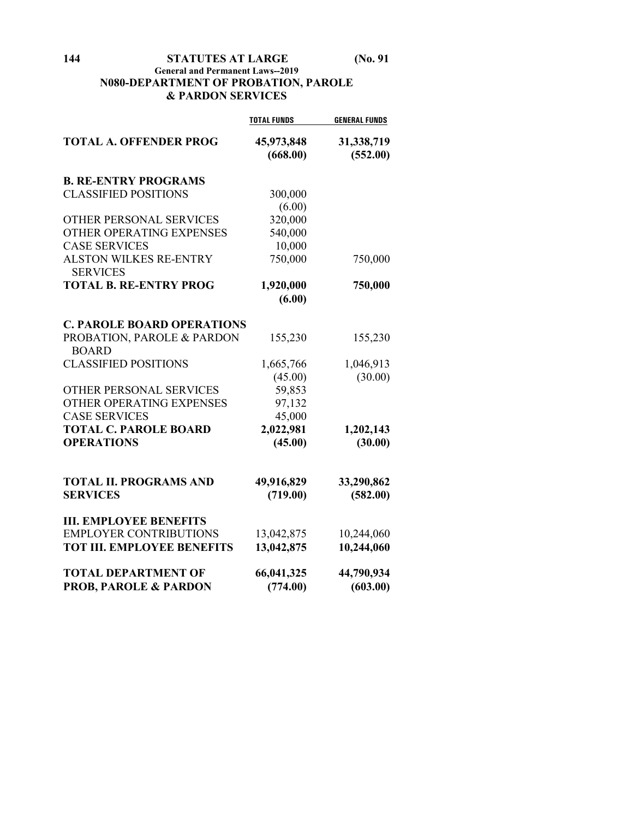**144 STATUTES AT LARGE (No. 91**

## **General and Permanent Laws--2019 N080-DEPARTMENT OF PROBATION, PAROLE & PARDON SERVICES**

|                                                  | <b>TOTAL FUNDS</b>     | <b>GENERAL FUNDS</b>   |
|--------------------------------------------------|------------------------|------------------------|
| <b>TOTAL A. OFFENDER PROG</b>                    | 45,973,848<br>(668.00) | 31,338,719<br>(552.00) |
| <b>B. RE-ENTRY PROGRAMS</b>                      |                        |                        |
| <b>CLASSIFIED POSITIONS</b>                      | 300,000                |                        |
|                                                  | (6.00)                 |                        |
| OTHER PERSONAL SERVICES                          | 320,000                |                        |
| OTHER OPERATING EXPENSES                         | 540,000                |                        |
| <b>CASE SERVICES</b>                             | 10,000                 |                        |
| <b>ALSTON WILKES RE-ENTRY</b><br><b>SERVICES</b> | 750,000                | 750,000                |
| <b>TOTAL B. RE-ENTRY PROG</b>                    | 1,920,000              | 750,000                |
|                                                  | (6.00)                 |                        |
| <b>C. PAROLE BOARD OPERATIONS</b>                |                        |                        |
| PROBATION, PAROLE & PARDON<br><b>BOARD</b>       | 155,230                | 155,230                |
| <b>CLASSIFIED POSITIONS</b>                      | 1,665,766              | 1,046,913              |
|                                                  | (45.00)                | (30.00)                |
| <b>OTHER PERSONAL SERVICES</b>                   | 59,853                 |                        |
| OTHER OPERATING EXPENSES                         | 97,132                 |                        |
| <b>CASE SERVICES</b>                             | 45,000                 |                        |
| <b>TOTAL C. PAROLE BOARD</b>                     | 2,022,981              | 1,202,143              |
| <b>OPERATIONS</b>                                | (45.00)                | (30.00)                |
| <b>TOTAL II. PROGRAMS AND</b>                    | 49,916,829             | 33,290,862             |
| <b>SERVICES</b>                                  | (719.00)               | (582.00)               |
| <b>III. EMPLOYEE BENEFITS</b>                    |                        |                        |
| <b>EMPLOYER CONTRIBUTIONS</b>                    | 13,042,875             | 10,244,060             |
| <b>TOT III. EMPLOYEE BENEFITS</b>                | 13,042,875             | 10,244,060             |
| <b>TOTAL DEPARTMENT OF</b>                       | 66,041,325             | 44,790,934             |
| <b>PROB, PAROLE &amp; PARDON</b>                 | (774.00)               | (603.00)               |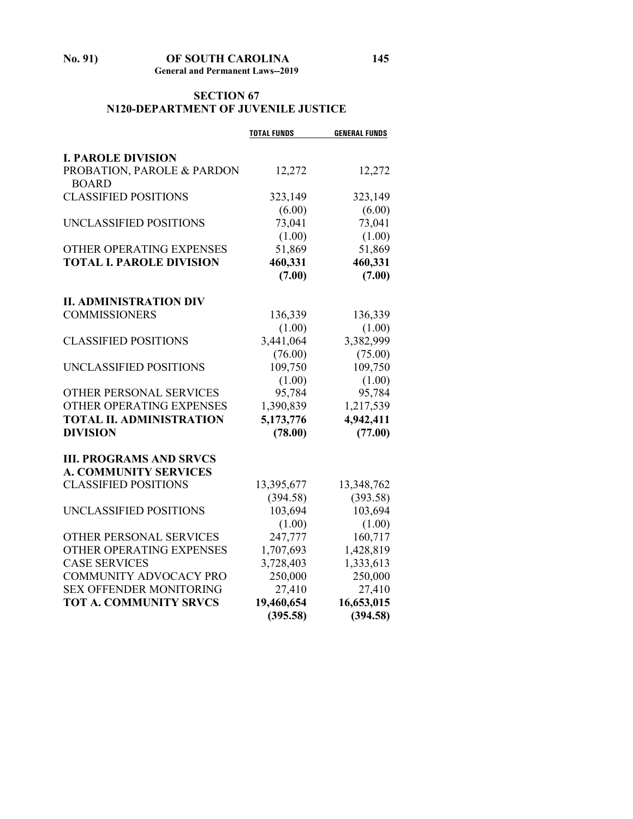#### **No. 91) OF SOUTH CAROLINA 145 General and Permanent Laws--2019**

# **SECTION 67**

#### **N120-DEPARTMENT OF JUVENILE JUSTICE**

|                                 | <b>TOTAL FUNDS</b> | <b>GENERAL FUNDS</b> |
|---------------------------------|--------------------|----------------------|
|                                 |                    |                      |
| <b>I. PAROLE DIVISION</b>       |                    |                      |
| PROBATION, PAROLE & PARDON      | 12,272             | 12,272               |
| <b>BOARD</b>                    |                    |                      |
| <b>CLASSIFIED POSITIONS</b>     | 323,149            | 323,149              |
|                                 | (6.00)             | (6.00)               |
| UNCLASSIFIED POSITIONS          | 73,041             | 73,041               |
|                                 | (1.00)             | (1.00)               |
| OTHER OPERATING EXPENSES        | 51,869             | 51,869               |
| <b>TOTAL I. PAROLE DIVISION</b> | 460,331            | 460,331              |
|                                 | (7.00)             | (7.00)               |
| <b>II. ADMINISTRATION DIV</b>   |                    |                      |
| <b>COMMISSIONERS</b>            | 136,339            | 136,339              |
|                                 | (1.00)             | (1.00)               |
| <b>CLASSIFIED POSITIONS</b>     | 3,441,064          | 3,382,999            |
|                                 | (76.00)            | (75.00)              |
| UNCLASSIFIED POSITIONS          | 109,750            | 109,750              |
|                                 | (1.00)             | (1.00)               |
| OTHER PERSONAL SERVICES         | 95,784             | 95,784               |
| OTHER OPERATING EXPENSES        | 1,390,839          | 1,217,539            |
| <b>TOTAL II. ADMINISTRATION</b> | 5,173,776          | 4,942,411            |
| <b>DIVISION</b>                 |                    | (77.00)              |
|                                 | (78.00)            |                      |
| <b>III. PROGRAMS AND SRVCS</b>  |                    |                      |
| <b>A. COMMUNITY SERVICES</b>    |                    |                      |
| <b>CLASSIFIED POSITIONS</b>     | 13,395,677         | 13,348,762           |
|                                 | (394.58)           | (393.58)             |
| UNCLASSIFIED POSITIONS          | 103,694            | 103,694              |
|                                 | (1.00)             | (1.00)               |
| OTHER PERSONAL SERVICES         | 247,777            | 160,717              |
| OTHER OPERATING EXPENSES        | 1,707,693          | 1,428,819            |
| <b>CASE SERVICES</b>            | 3,728,403          | 1,333,613            |
| COMMUNITY ADVOCACY PRO          | 250,000            | 250,000              |
| <b>SEX OFFENDER MONITORING</b>  | 27,410             | 27,410               |
| <b>TOT A. COMMUNITY SRVCS</b>   | 19,460,654         | 16,653,015           |
|                                 | (395.58)           | (394.58)             |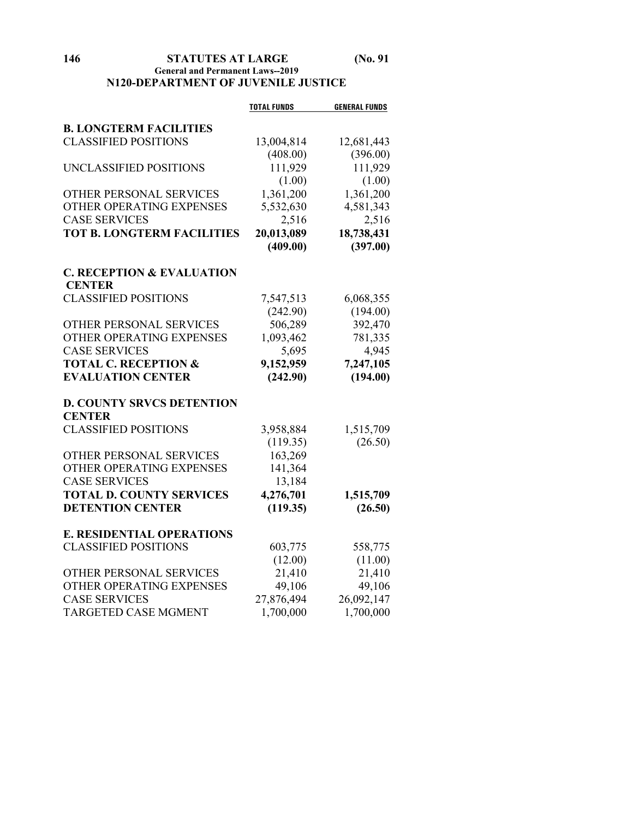#### **146 STATUTES AT LARGE (No. 91 General and Permanent Laws--2019 N120-DEPARTMENT OF JUVENILE JUSTICE**

|                                      | <b>TOTAL FUNDS</b> | <b>GENERAL FUNDS</b> |
|--------------------------------------|--------------------|----------------------|
| <b>B. LONGTERM FACILITIES</b>        |                    |                      |
| <b>CLASSIFIED POSITIONS</b>          | 13,004,814         | 12,681,443           |
|                                      | (408.00)           | (396.00)             |
| UNCLASSIFIED POSITIONS               | 111,929            | 111,929              |
|                                      | (1.00)             | (1.00)               |
| OTHER PERSONAL SERVICES              | 1,361,200          | 1,361,200            |
| OTHER OPERATING EXPENSES             | 5,532,630          | 4,581,343            |
| <b>CASE SERVICES</b>                 | 2,516              | 2,516                |
| <b>TOT B. LONGTERM FACILITIES</b>    | 20,013,089         | 18,738,431           |
|                                      | (409.00)           | (397.00)             |
|                                      |                    |                      |
| <b>C. RECEPTION &amp; EVALUATION</b> |                    |                      |
| <b>CENTER</b>                        |                    |                      |
| <b>CLASSIFIED POSITIONS</b>          | 7,547,513          | 6,068,355            |
|                                      | (242.90)           | (194.00)             |
| OTHER PERSONAL SERVICES              | 506,289            | 392,470              |
| OTHER OPERATING EXPENSES             | 1,093,462          | 781,335              |
| <b>CASE SERVICES</b>                 | 5,695              | 4,945                |
| <b>TOTAL C. RECEPTION &amp;</b>      | 9,152,959          | 7,247,105            |
| <b>EVALUATION CENTER</b>             | (242.90)           | (194.00)             |
|                                      |                    |                      |
| <b>D. COUNTY SRVCS DETENTION</b>     |                    |                      |
| <b>CENTER</b>                        |                    |                      |
| <b>CLASSIFIED POSITIONS</b>          | 3,958,884          | 1,515,709            |
|                                      | (119.35)           | (26.50)              |
| OTHER PERSONAL SERVICES              | 163,269            |                      |
| OTHER OPERATING EXPENSES             | 141,364            |                      |
| <b>CASE SERVICES</b>                 | 13,184             |                      |
| <b>TOTAL D. COUNTY SERVICES</b>      | 4,276,701          | 1,515,709            |
| <b>DETENTION CENTER</b>              | (119.35)           | (26.50)              |
| <b>E. RESIDENTIAL OPERATIONS</b>     |                    |                      |
| <b>CLASSIFIED POSITIONS</b>          | 603,775            | 558,775              |
|                                      | (12.00)            | (11.00)              |
| OTHER PERSONAL SERVICES              | 21,410             | 21,410               |
| OTHER OPERATING EXPENSES             | 49,106             | 49,106               |
| <b>CASE SERVICES</b>                 | 27,876,494         | 26,092,147           |
| <b>TARGETED CASE MGMENT</b>          | 1,700,000          | 1,700,000            |
|                                      |                    |                      |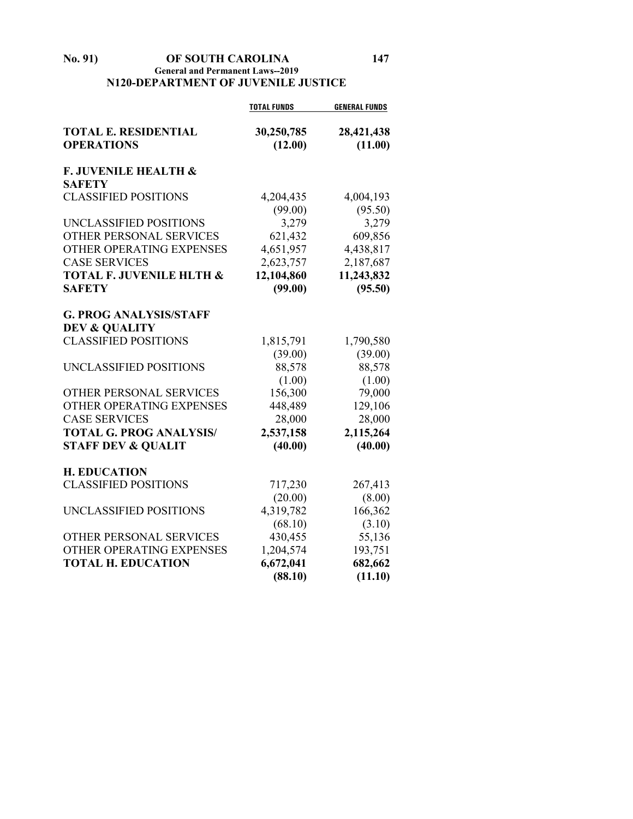#### **No. 91) OF SOUTH CAROLINA 147 General and Permanent Laws--2019 N120-DEPARTMENT OF JUVENILE JUSTICE**

|                                                           | <b>TOTAL FUNDS</b>    | <b>GENERAL FUNDS</b>  |
|-----------------------------------------------------------|-----------------------|-----------------------|
| <b>TOTAL E. RESIDENTIAL</b><br><b>OPERATIONS</b>          | 30,250,785<br>(12.00) | 28,421,438<br>(11.00) |
| <b>F. JUVENILE HEALTH &amp;</b><br><b>SAFETY</b>          |                       |                       |
| <b>CLASSIFIED POSITIONS</b>                               | 4,204,435             | 4,004,193             |
|                                                           | (99.00)               | (95.50)               |
| UNCLASSIFIED POSITIONS                                    | 3,279                 | 3,279                 |
| OTHER PERSONAL SERVICES                                   | 621,432               | 609,856               |
| OTHER OPERATING EXPENSES                                  | 4,651,957             | 4,438,817             |
| <b>CASE SERVICES</b>                                      | 2,623,757             | 2,187,687             |
| <b>TOTAL F. JUVENILE HLTH &amp;</b>                       | 12,104,860            | 11,243,832            |
| <b>SAFETY</b>                                             | (99.00)               | (95.50)               |
| <b>G. PROG ANALYSIS/STAFF</b><br><b>DEV &amp; QUALITY</b> |                       |                       |
| <b>CLASSIFIED POSITIONS</b>                               | 1,815,791             | 1,790,580             |
|                                                           | (39.00)               | (39.00)               |
| UNCLASSIFIED POSITIONS                                    | 88,578                | 88,578                |
|                                                           | (1.00)                | (1.00)                |
| OTHER PERSONAL SERVICES                                   | 156,300               | 79,000                |
| OTHER OPERATING EXPENSES                                  | 448,489               | 129,106               |
| <b>CASE SERVICES</b>                                      | 28,000                | 28,000                |
| <b>TOTAL G. PROG ANALYSIS/</b>                            | 2,537,158             | 2,115,264             |
| <b>STAFF DEV &amp; QUALIT</b>                             | (40.00)               | (40.00)               |
| <b>H. EDUCATION</b>                                       |                       |                       |
| <b>CLASSIFIED POSITIONS</b>                               | 717,230               | 267,413               |
|                                                           | (20.00)               | (8.00)                |
| UNCLASSIFIED POSITIONS                                    | 4,319,782             | 166,362               |
|                                                           | (68.10)               | (3.10)                |
| OTHER PERSONAL SERVICES                                   | 430,455               | 55,136                |
| OTHER OPERATING EXPENSES                                  | 1,204,574             | 193,751               |
| <b>TOTAL H. EDUCATION</b>                                 | 6,672,041             | 682,662               |
|                                                           | (88.10)               | (11.10)               |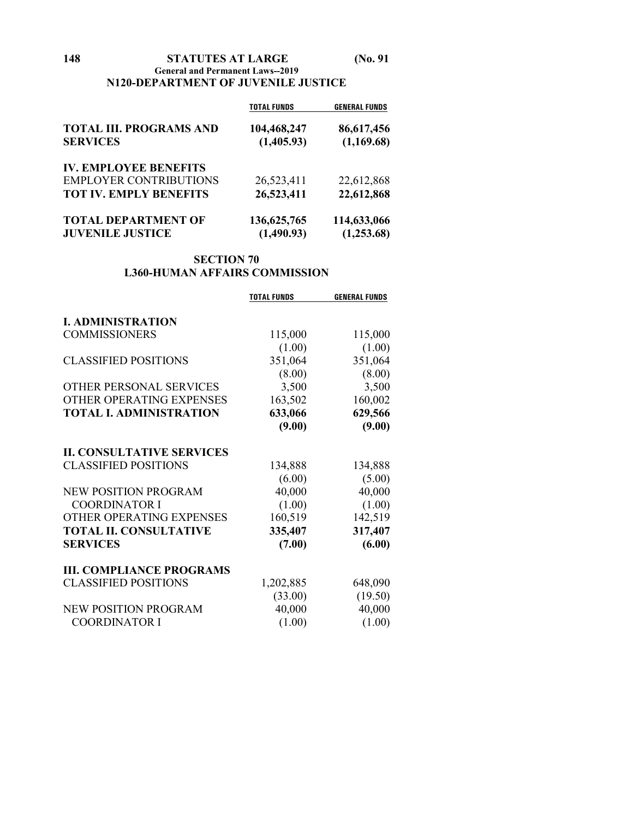#### **General and Permanent Laws--2019 N120-DEPARTMENT OF JUVENILE JUSTICE**

|                                | <b>TOTAL FUNDS</b> | <b>GENERAL FUNDS</b> |
|--------------------------------|--------------------|----------------------|
| <b>TOTAL III. PROGRAMS AND</b> | 104,468,247        | 86,617,456           |
| <b>SERVICES</b>                | (1,405.93)         | (1,169.68)           |
| <b>IV. EMPLOYEE BENEFITS</b>   |                    |                      |
| <b>EMPLOYER CONTRIBUTIONS</b>  | 26,523,411         | 22,612,868           |
| <b>TOT IV. EMPLY BENEFITS</b>  | 26,523,411         | 22,612,868           |
| <b>TOTAL DEPARTMENT OF</b>     | 136, 625, 765      | 114,633,066          |
| <b>JUVENILE JUSTICE</b>        | (1,490.93)         | (1,253.68)           |

#### **SECTION 70 L360-HUMAN AFFAIRS COMMISSION**

|                                  | <b>TOTAL FUNDS</b> | <b>GENERAL FUNDS</b> |
|----------------------------------|--------------------|----------------------|
|                                  |                    |                      |
| <b>I. ADMINISTRATION</b>         |                    |                      |
| <b>COMMISSIONERS</b>             | 115,000            | 115,000              |
|                                  | (1.00)             | (1.00)               |
| <b>CLASSIFIED POSITIONS</b>      | 351,064            | 351,064              |
|                                  | (8.00)             | (8.00)               |
| OTHER PERSONAL SERVICES          | 3,500              | 3,500                |
| OTHER OPERATING EXPENSES         | 163,502            | 160,002              |
| <b>TOTAL I. ADMINISTRATION</b>   | 633,066            | 629,566              |
|                                  | (9.00)             | (9.00)               |
| <b>II. CONSULTATIVE SERVICES</b> |                    |                      |
| <b>CLASSIFIED POSITIONS</b>      | 134,888            | 134,888              |
|                                  | (6.00)             | (5.00)               |
| <b>NEW POSITION PROGRAM</b>      | 40,000             | 40,000               |
| <b>COORDINATOR I</b>             | (1.00)             | (1.00)               |
| OTHER OPERATING EXPENSES         | 160,519            | 142,519              |
| <b>TOTAL II. CONSULTATIVE</b>    | 335,407            | 317,407              |
| <b>SERVICES</b>                  | (7.00)             | (6.00)               |
| <b>III. COMPLIANCE PROGRAMS</b>  |                    |                      |
| <b>CLASSIFIED POSITIONS</b>      | 1,202,885          | 648,090              |
|                                  | (33.00)            | (19.50)              |
| NEW POSITION PROGRAM             | 40,000             | 40,000               |
| <b>COORDINATOR I</b>             | (1.00)             | (1.00)               |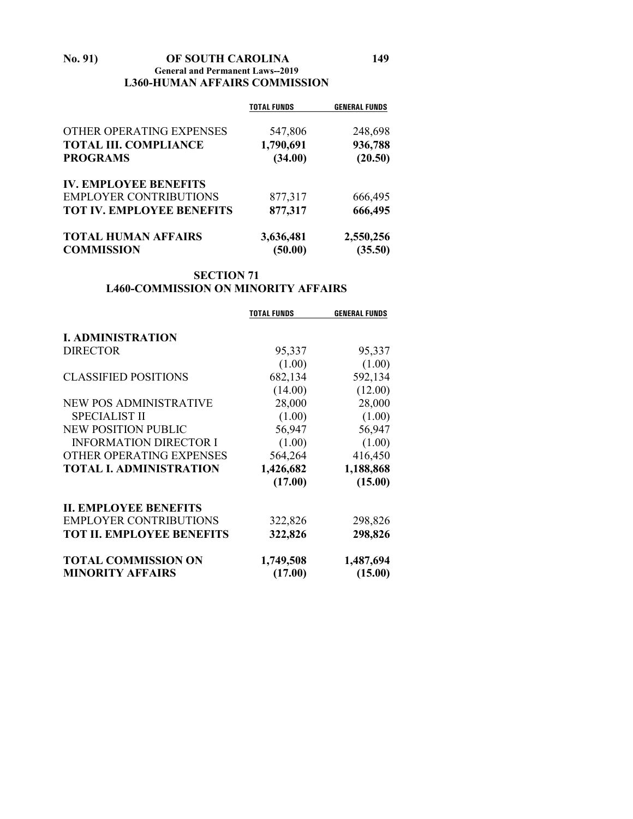#### **No. 91) OF SOUTH CAROLINA 149 General and Permanent Laws--2019 L360-HUMAN AFFAIRS COMMISSION**

|                                  | <b>TOTAL FUNDS</b> | <b>GENERAL FUNDS</b> |
|----------------------------------|--------------------|----------------------|
| OTHER OPERATING EXPENSES         | 547,806            | 248,698              |
| <b>TOTAL III. COMPLIANCE</b>     | 1,790,691          | 936,788              |
| <b>PROGRAMS</b>                  | (34.00)            | (20.50)              |
| <b>IV. EMPLOYEE BENEFITS</b>     |                    |                      |
| <b>EMPLOYER CONTRIBUTIONS</b>    | 877,317            | 666,495              |
| <b>TOT IV. EMPLOYEE BENEFITS</b> | 877,317            | 666,495              |
| <b>TOTAL HUMAN AFFAIRS</b>       | 3,636,481          | 2,550,256            |
| <b>COMMISSION</b>                | (50.00)            | (35.50)              |

#### **SECTION 71 L460-COMMISSION ON MINORITY AFFAIRS**

|                                  | <b>TOTAL FUNDS</b> | <b>GENERAL FUNDS</b> |
|----------------------------------|--------------------|----------------------|
| <b>I. ADMINISTRATION</b>         |                    |                      |
| <b>DIRECTOR</b>                  | 95,337             | 95,337               |
|                                  | (1.00)             | (1.00)               |
| <b>CLASSIFIED POSITIONS</b>      | 682,134            | 592,134              |
|                                  | (14.00)            | (12.00)              |
| <b>NEW POS ADMINISTRATIVE</b>    | 28,000             | 28,000               |
| <b>SPECIALIST II</b>             | (1.00)             | (1.00)               |
| <b>NEW POSITION PUBLIC</b>       | 56,947             | 56,947               |
| <b>INFORMATION DIRECTOR I</b>    | (1.00)             | (1.00)               |
| OTHER OPERATING EXPENSES         | 564,264            | 416,450              |
| <b>TOTAL I. ADMINISTRATION</b>   | 1,426,682          | 1,188,868            |
|                                  | (17.00)            | (15.00)              |
| <b>II. EMPLOYEE BENEFITS</b>     |                    |                      |
| <b>EMPLOYER CONTRIBUTIONS</b>    | 322,826            | 298,826              |
| <b>TOT II. EMPLOYEE BENEFITS</b> | 322,826            | 298,826              |
| <b>TOTAL COMMISSION ON</b>       | 1,749,508          | 1,487,694            |
| <b>MINORITY AFFAIRS</b>          | (17.00)            | (15.00)              |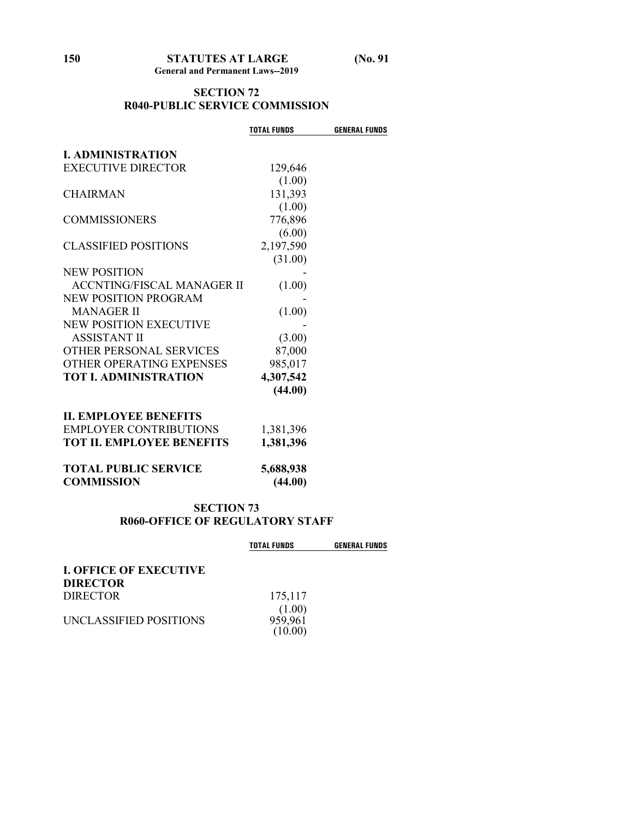#### **SECTION 72 R040-PUBLIC SERVICE COMMISSION**

|                                   | <b>TOTAL FUNDS</b>   | <b>GENERAL FUNDS</b> |
|-----------------------------------|----------------------|----------------------|
| <b>I. ADMINISTRATION</b>          |                      |                      |
|                                   |                      |                      |
| <b>EXECUTIVE DIRECTOR</b>         | 129,646              |                      |
|                                   | (1.00)               |                      |
| <b>CHAIRMAN</b>                   | 131,393              |                      |
|                                   | (1.00)               |                      |
| <b>COMMISSIONERS</b>              | 776,896              |                      |
|                                   | (6.00)               |                      |
| <b>CLASSIFIED POSITIONS</b>       | 2,197,590            |                      |
|                                   | (31.00)              |                      |
| <b>NEW POSITION</b>               |                      |                      |
| <b>ACCNTING/FISCAL MANAGER II</b> | (1.00)               |                      |
| NEW POSITION PROGRAM              |                      |                      |
| <b>MANAGER II</b>                 | (1.00)               |                      |
| <b>NEW POSITION EXECUTIVE</b>     |                      |                      |
| <b>ASSISTANT II</b>               | (3.00)               |                      |
| OTHER PERSONAL SERVICES           | 87,000               |                      |
| OTHER OPERATING EXPENSES          | 985,017              |                      |
| <b>TOT I. ADMINISTRATION</b>      | 4,307,542            |                      |
|                                   | (44.00)              |                      |
|                                   |                      |                      |
| <b>II. EMPLOYEE BENEFITS</b>      |                      |                      |
| <b>EMPLOYER CONTRIBUTIONS</b>     | 1,381,396            |                      |
| <b>TOT II. EMPLOYEE BENEFITS</b>  | 1,381,396            |                      |
| <b>TOTAL PUBLIC SERVICE</b>       |                      |                      |
| <b>COMMISSION</b>                 | 5,688,938<br>(44.00) |                      |
|                                   |                      |                      |

#### **SECTION 73 R060-OFFICE OF REGULATORY STAFF**

|                               | <b>TOTAL FUNDS</b> | <b>GENERAL FUNDS</b> |
|-------------------------------|--------------------|----------------------|
| <b>I. OFFICE OF EXECUTIVE</b> |                    |                      |
| DIRECTOR                      |                    |                      |
| DIRECTOR                      | 175,117            |                      |
|                               | (1.00)             |                      |
| UNCLASSIFIED POSITIONS        | 959,961            |                      |
|                               |                    |                      |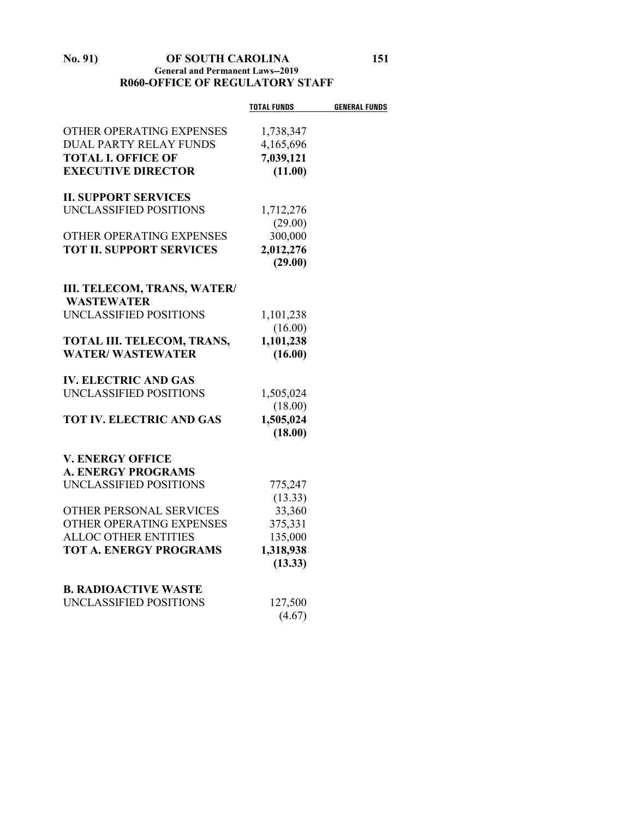#### **No. 91) OF SOUTH CAROLINA 151 General and Permanent Laws--2019 R060-OFFICE OF REGULATORY STAFF**

|                                                         | <b>TOTAL FUNDS</b> | <b>GENERAL FUNDS</b> |
|---------------------------------------------------------|--------------------|----------------------|
| OTHER OPERATING EXPENSES                                | 1,738,347          |                      |
| <b>DUAL PARTY RELAY FUNDS</b>                           | 4,165,696          |                      |
| <b>TOTAL I. OFFICE OF</b>                               | 7,039,121          |                      |
| <b>EXECUTIVE DIRECTOR</b>                               | (11.00)            |                      |
|                                                         |                    |                      |
| <b>II. SUPPORT SERVICES</b>                             |                    |                      |
| UNCLASSIFIED POSITIONS                                  | 1,712,276          |                      |
|                                                         | (29.00)            |                      |
| OTHER OPERATING EXPENSES                                | 300,000            |                      |
| <b>TOT II. SUPPORT SERVICES</b>                         | 2,012,276          |                      |
|                                                         | (29.00)            |                      |
|                                                         |                    |                      |
| <b>III. TELECOM, TRANS, WATER/</b><br><b>WASTEWATER</b> |                    |                      |
| UNCLASSIFIED POSITIONS                                  | 1,101,238          |                      |
|                                                         | (16.00)            |                      |
| TOTAL III. TELECOM, TRANS,                              | 1,101,238          |                      |
| <b>WATER/WASTEWATER</b>                                 | (16.00)            |                      |
| <b>IV. ELECTRIC AND GAS</b>                             |                    |                      |
| UNCLASSIFIED POSITIONS                                  | 1,505,024          |                      |
|                                                         | (18.00)            |                      |
| <b>TOT IV. ELECTRIC AND GAS</b>                         | 1,505,024          |                      |
|                                                         | (18.00)            |                      |
|                                                         |                    |                      |
| <b>V. ENERGY OFFICE</b>                                 |                    |                      |
| <b>A. ENERGY PROGRAMS</b>                               |                    |                      |
| UNCLASSIFIED POSITIONS                                  | 775,247            |                      |
| OTHER PERSONAL SERVICES                                 | (13.33)<br>33,360  |                      |
| OTHER OPERATING EXPENSES                                | 375,331            |                      |
| <b>ALLOC OTHER ENTITIES</b>                             | 135,000            |                      |
| <b>TOT A. ENERGY PROGRAMS</b>                           | 1,318,938          |                      |
|                                                         | (13.33)            |                      |
|                                                         |                    |                      |
| <b>B. RADIOACTIVE WASTE</b>                             |                    |                      |
| UNCLASSIFIED POSITIONS                                  | 127,500            |                      |
|                                                         | (4.67)             |                      |
|                                                         |                    |                      |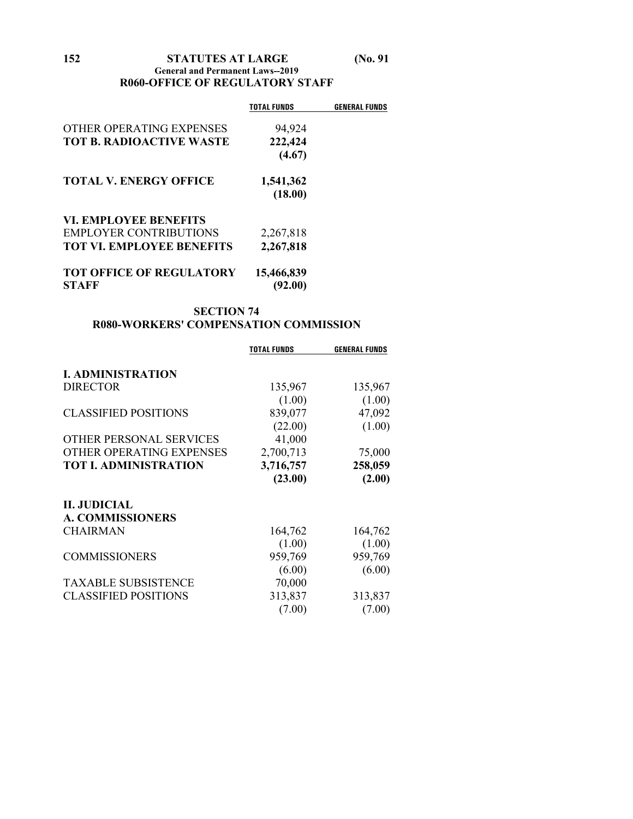#### **General and Permanent Laws--2019 R060-OFFICE OF REGULATORY STAFF**

|                                                 | TOTAL FUNDS           | GENERAL FUNDS |
|-------------------------------------------------|-----------------------|---------------|
| OTHER OPERATING EXPENSES                        | 94,924                |               |
| <b>TOT B. RADIOACTIVE WASTE</b>                 | 222,424               |               |
|                                                 | (4.67)                |               |
| <b>TOTAL V. ENERGY OFFICE</b>                   | 1,541,362             |               |
|                                                 | (18.00)               |               |
| VI. EMPLOYEE BENEFITS                           |                       |               |
| <b>EMPLOYER CONTRIBUTIONS</b>                   | 2,267,818             |               |
| <b>TOT VI. EMPLOYEE BENEFITS</b>                | 2,267,818             |               |
| <b>TOT OFFICE OF REGULATORY</b><br><b>STAFF</b> | 15,466,839<br>(92.00) |               |

#### **SECTION 74 R080-WORKERS' COMPENSATION COMMISSION**

|                             | <b>TOTAL FUNDS</b> | <b>GENERAL FUNDS</b> |
|-----------------------------|--------------------|----------------------|
| <b>I. ADMINISTRATION</b>    |                    |                      |
| <b>DIRECTOR</b>             | 135,967            | 135,967              |
|                             | (1.00)             | (1.00)               |
| <b>CLASSIFIED POSITIONS</b> | 839,077            | 47,092               |
|                             | (22.00)            | (1.00)               |
| OTHER PERSONAL SERVICES     | 41,000             |                      |
| OTHER OPERATING EXPENSES    | 2,700,713          | 75,000               |
| TOT I. ADMINISTRATION       | 3,716,757          | 258,059              |
|                             | (23.00)            | (2.00)               |
| <b>II. JUDICIAL</b>         |                    |                      |
| <b>A. COMMISSIONERS</b>     |                    |                      |
| CHAIRMAN                    | 164,762            | 164,762              |
|                             | (1.00)             | (1.00)               |
| <b>COMMISSIONERS</b>        | 959,769            | 959,769              |
|                             | (6.00)             | (6.00)               |
| <b>TAXABLE SUBSISTENCE</b>  | 70,000             |                      |
| <b>CLASSIFIED POSITIONS</b> | 313,837            | 313,837              |
|                             | (7.00)             | (7.00)               |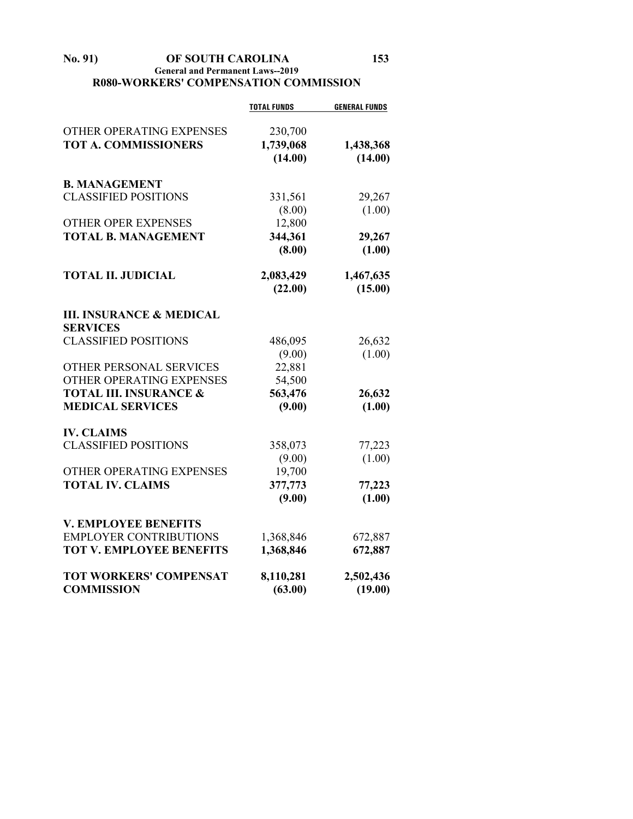#### **No. 91) OF SOUTH CAROLINA 153 General and Permanent Laws--2019 R080-WORKERS' COMPENSATION COMMISSION**

|                                     | <b>TOTAL FUNDS</b> | <b>GENERAL FUNDS</b> |
|-------------------------------------|--------------------|----------------------|
| OTHER OPERATING EXPENSES            | 230,700            |                      |
| <b>TOT A. COMMISSIONERS</b>         | 1,739,068          | 1,438,368            |
|                                     | (14.00)            | (14.00)              |
|                                     |                    |                      |
| <b>B. MANAGEMENT</b>                |                    |                      |
| <b>CLASSIFIED POSITIONS</b>         | 331,561            | 29,267               |
|                                     | (8.00)             | (1.00)               |
| <b>OTHER OPER EXPENSES</b>          | 12,800             |                      |
| <b>TOTAL B. MANAGEMENT</b>          | 344,361            | 29,267               |
|                                     | (8.00)             | (1.00)               |
| <b>TOTAL II. JUDICIAL</b>           | 2,083,429          | 1,467,635            |
|                                     | (22.00)            | (15.00)              |
|                                     |                    |                      |
| <b>III. INSURANCE &amp; MEDICAL</b> |                    |                      |
| <b>SERVICES</b>                     |                    |                      |
| <b>CLASSIFIED POSITIONS</b>         | 486,095            | 26,632               |
|                                     | (9.00)             | (1.00)               |
| OTHER PERSONAL SERVICES             | 22,881             |                      |
| OTHER OPERATING EXPENSES            | 54,500             |                      |
| <b>TOTAL III. INSURANCE &amp;</b>   | 563,476            | 26,632               |
| <b>MEDICAL SERVICES</b>             | (9.00)             | (1.00)               |
| <b>IV. CLAIMS</b>                   |                    |                      |
| <b>CLASSIFIED POSITIONS</b>         | 358,073            | 77,223               |
|                                     | (9.00)             | (1.00)               |
| OTHER OPERATING EXPENSES            | 19,700             |                      |
| <b>TOTAL IV. CLAIMS</b>             | 377,773            | 77,223               |
|                                     | (9.00)             | (1.00)               |
| <b>V. EMPLOYEE BENEFITS</b>         |                    |                      |
| <b>EMPLOYER CONTRIBUTIONS</b>       | 1,368,846          | 672,887              |
| <b>TOT V. EMPLOYEE BENEFITS</b>     | 1,368,846          | 672,887              |
| <b>TOT WORKERS' COMPENSAT</b>       | 8,110,281          | 2,502,436            |
| <b>COMMISSION</b>                   | (63.00)            | (19.00)              |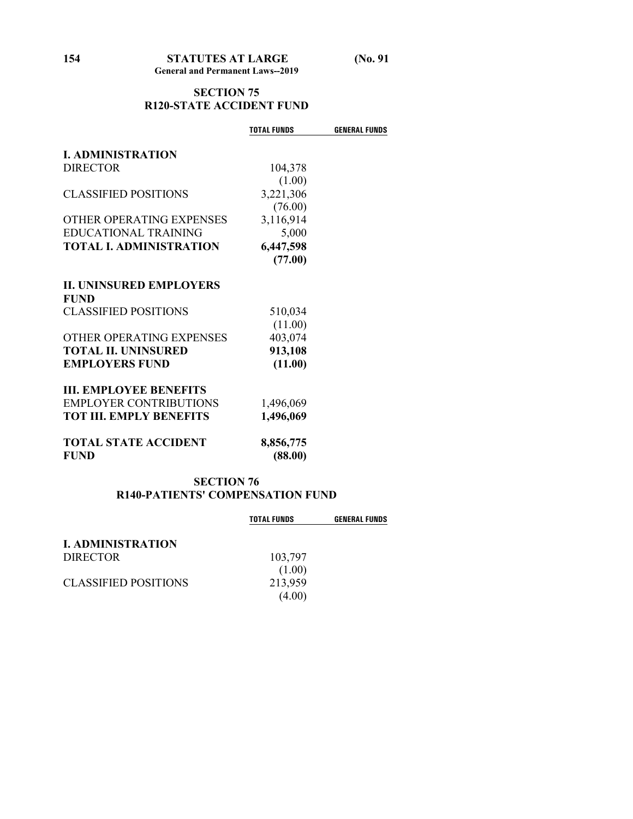#### **SECTION 75 R120-STATE ACCIDENT FUND**

|                                | <b>TOTAL FUNDS</b> | <b>GENERAL FUNDS</b> |
|--------------------------------|--------------------|----------------------|
| <b>I. ADMINISTRATION</b>       |                    |                      |
| <b>DIRECTOR</b>                | 104,378            |                      |
|                                | (1.00)             |                      |
| CLASSIFIED POSITIONS           | 3,221,306          |                      |
|                                | (76.00)            |                      |
| OTHER OPERATING EXPENSES       | 3,116,914          |                      |
| <b>EDUCATIONAL TRAINING</b>    | 5,000              |                      |
| <b>TOTAL I. ADMINISTRATION</b> | 6,447,598          |                      |
|                                | (77.00)            |                      |
|                                |                    |                      |
| <b>IL UNINSURED EMPLOYERS</b>  |                    |                      |
| <b>FUND</b>                    |                    |                      |
| <b>CLASSIFIED POSITIONS</b>    | 510,034            |                      |
|                                | (11.00)            |                      |
| OTHER OPERATING EXPENSES       | 403,074            |                      |
| <b>TOTAL II. UNINSURED</b>     | 913,108            |                      |
| <b>EMPLOYERS FUND</b>          | (11.00)            |                      |
| <b>III. EMPLOYEE BENEFITS</b>  |                    |                      |
| <b>EMPLOYER CONTRIBUTIONS</b>  |                    |                      |
| <b>TOT III. EMPLY BENEFITS</b> | 1,496,069          |                      |
|                                | 1,496,069          |                      |
| <b>TOTAL STATE ACCIDENT</b>    | 8,856,775          |                      |
| <b>FUND</b>                    | (88.00)            |                      |
|                                |                    |                      |

#### **SECTION 76 R140-PATIENTS' COMPENSATION FUND**

|                          | <b>TOTAL FUNDS</b> | <b>GENERAL FUNDS</b> |
|--------------------------|--------------------|----------------------|
| <b>I. ADMINISTRATION</b> |                    |                      |
| <b>DIRECTOR</b>          | 103,797            |                      |
|                          | (1.00)             |                      |
| CLASSIFIED POSITIONS     | 213,959            |                      |
|                          | (4.00)             |                      |
|                          |                    |                      |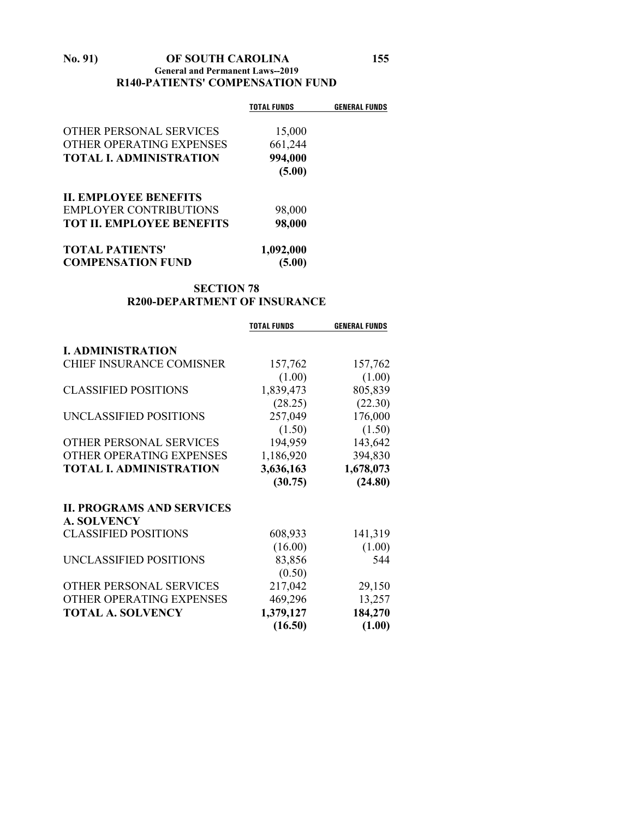#### **No. 91) OF SOUTH CAROLINA 155 General and Permanent Laws--2019 R140-PATIENTS' COMPENSATION FUND**

|                                  | <b>TOTAL FUNDS</b> | <b>GENERAL FUNDS</b> |
|----------------------------------|--------------------|----------------------|
| OTHER PERSONAL SERVICES          | 15,000             |                      |
| OTHER OPERATING EXPENSES         | 661,244            |                      |
| <b>TOTAL I. ADMINISTRATION</b>   | 994,000            |                      |
|                                  | (5.00)             |                      |
| <b>II. EMPLOYEE BENEFITS</b>     |                    |                      |
| <b>EMPLOYER CONTRIBUTIONS</b>    | 98,000             |                      |
| <b>TOT II. EMPLOYEE BENEFITS</b> | 98,000             |                      |
| <b>TOTAL PATIENTS'</b>           | 1,092,000          |                      |
| <b>COMPENSATION FUND</b>         | (5.00)             |                      |

#### **SECTION 78 R200-DEPARTMENT OF INSURANCE**

|                                  | <b>TOTAL FUNDS</b> | <b>GENERAL FUNDS</b> |
|----------------------------------|--------------------|----------------------|
|                                  |                    |                      |
| <b>I. ADMINISTRATION</b>         |                    |                      |
| <b>CHIEF INSURANCE COMISNER</b>  | 157,762            | 157,762              |
|                                  | (1.00)             | (1.00)               |
| <b>CLASSIFIED POSITIONS</b>      | 1,839,473          | 805,839              |
|                                  | (28.25)            | (22.30)              |
| UNCLASSIFIED POSITIONS           | 257,049            | 176,000              |
|                                  | (1.50)             | (1.50)               |
| OTHER PERSONAL SERVICES          | 194,959            | 143,642              |
| OTHER OPERATING EXPENSES         | 1,186,920          | 394,830              |
| <b>TOTAL I. ADMINISTRATION</b>   | 3,636,163          | 1,678,073            |
|                                  | (30.75)            | (24.80)              |
| <b>II. PROGRAMS AND SERVICES</b> |                    |                      |
| <b>A. SOLVENCY</b>               |                    |                      |
| <b>CLASSIFIED POSITIONS</b>      | 608,933            | 141,319              |
|                                  | (16.00)            | (1.00)               |
| UNCLASSIFIED POSITIONS           | 83,856             | 544                  |
|                                  | (0.50)             |                      |
| OTHER PERSONAL SERVICES          | 217,042            | 29,150               |
| OTHER OPERATING EXPENSES         | 469,296            | 13,257               |
| <b>TOTAL A. SOLVENCY</b>         | 1,379,127          | 184,270              |
|                                  | (16.50)            | (1.00)               |
|                                  |                    |                      |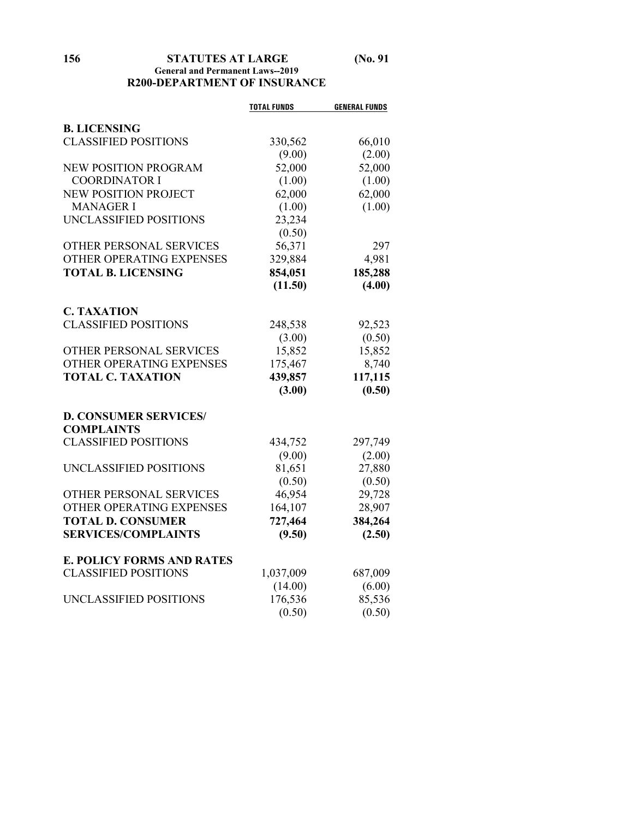#### **156 STATUTES AT LARGE (No. 91 General and Permanent Laws--2019 R200-DEPARTMENT OF INSURANCE**

|                                  | <b>TOTAL FUNDS</b> | <b>GENERAL FUNDS</b> |
|----------------------------------|--------------------|----------------------|
| <b>B. LICENSING</b>              |                    |                      |
| <b>CLASSIFIED POSITIONS</b>      |                    |                      |
|                                  | 330,562            | 66,010               |
| <b>NEW POSITION PROGRAM</b>      | (9.00)             | (2.00)               |
|                                  | 52,000             | 52,000               |
| <b>COORDINATOR I</b>             | (1.00)             | (1.00)               |
| <b>NEW POSITION PROJECT</b>      | 62,000             | 62,000               |
| <b>MANAGER I</b>                 | (1.00)             | (1.00)               |
| UNCLASSIFIED POSITIONS           | 23,234             |                      |
|                                  | (0.50)             |                      |
| OTHER PERSONAL SERVICES          | 56,371             | 297                  |
| OTHER OPERATING EXPENSES         | 329,884            | 4,981                |
| <b>TOTAL B. LICENSING</b>        | 854,051            | 185,288              |
|                                  | (11.50)            | (4.00)               |
| <b>C. TAXATION</b>               |                    |                      |
| <b>CLASSIFIED POSITIONS</b>      | 248,538            | 92,523               |
|                                  | (3.00)             | (0.50)               |
| OTHER PERSONAL SERVICES          | 15,852             | 15,852               |
| OTHER OPERATING EXPENSES         | 175,467            | 8,740                |
| <b>TOTAL C. TAXATION</b>         | 439,857            | 117,115              |
|                                  | (3.00)             | (0.50)               |
|                                  |                    |                      |
| <b>D. CONSUMER SERVICES/</b>     |                    |                      |
| <b>COMPLAINTS</b>                |                    |                      |
| <b>CLASSIFIED POSITIONS</b>      | 434,752            | 297,749              |
|                                  | (9.00)             | (2.00)               |
| UNCLASSIFIED POSITIONS           | 81,651             | 27,880               |
|                                  | (0.50)             | (0.50)               |
| OTHER PERSONAL SERVICES          | 46,954             | 29,728               |
| OTHER OPERATING EXPENSES         | 164,107            | 28,907               |
| <b>TOTAL D. CONSUMER</b>         | 727,464            | 384,264              |
| <b>SERVICES/COMPLAINTS</b>       | (9.50)             | (2.50)               |
|                                  |                    |                      |
| <b>E. POLICY FORMS AND RATES</b> |                    |                      |
| <b>CLASSIFIED POSITIONS</b>      | 1,037,009          | 687,009              |
|                                  | (14.00)            | (6.00)               |
| UNCLASSIFIED POSITIONS           | 176,536            | 85,536               |
|                                  | (0.50)             | (0.50)               |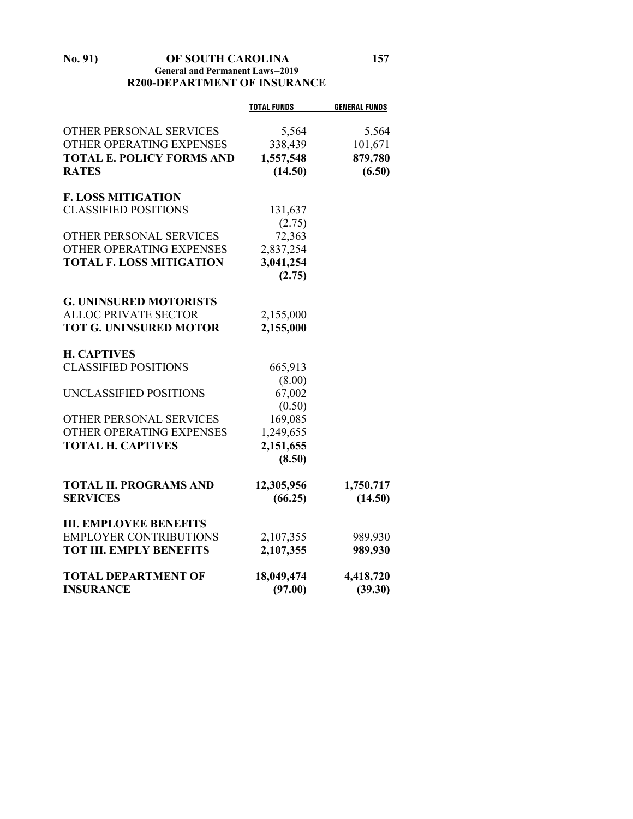#### **No. 91) OF SOUTH CAROLINA 157 General and Permanent Laws--2019 R200-DEPARTMENT OF INSURANCE**

|            | <b>GENERAL FUNDS</b>                                                                                                                                                      |
|------------|---------------------------------------------------------------------------------------------------------------------------------------------------------------------------|
|            | 5,564                                                                                                                                                                     |
|            | 101,671                                                                                                                                                                   |
|            | 879,780                                                                                                                                                                   |
| (14.50)    | (6.50)                                                                                                                                                                    |
|            |                                                                                                                                                                           |
|            |                                                                                                                                                                           |
|            |                                                                                                                                                                           |
|            |                                                                                                                                                                           |
|            |                                                                                                                                                                           |
|            |                                                                                                                                                                           |
|            |                                                                                                                                                                           |
|            |                                                                                                                                                                           |
|            |                                                                                                                                                                           |
|            |                                                                                                                                                                           |
|            |                                                                                                                                                                           |
|            |                                                                                                                                                                           |
|            |                                                                                                                                                                           |
| 665,913    |                                                                                                                                                                           |
| (8.00)     |                                                                                                                                                                           |
| 67,002     |                                                                                                                                                                           |
| (0.50)     |                                                                                                                                                                           |
| 169,085    |                                                                                                                                                                           |
| 1,249,655  |                                                                                                                                                                           |
| 2,151,655  |                                                                                                                                                                           |
| (8.50)     |                                                                                                                                                                           |
|            | 1,750,717                                                                                                                                                                 |
|            | (14.50)                                                                                                                                                                   |
|            |                                                                                                                                                                           |
|            |                                                                                                                                                                           |
| 2,107,355  | 989,930                                                                                                                                                                   |
| 2,107,355  | 989,930                                                                                                                                                                   |
| 18,049,474 | 4,418,720                                                                                                                                                                 |
| (97.00)    | (39.30)                                                                                                                                                                   |
|            | <b>TOTAL FUNDS</b><br>5,564<br>338,439<br>1,557,548<br>131,637<br>(2.75)<br>72,363<br>2,837,254<br>3,041,254<br>(2.75)<br>2,155,000<br>2,155,000<br>12,305,956<br>(66.25) |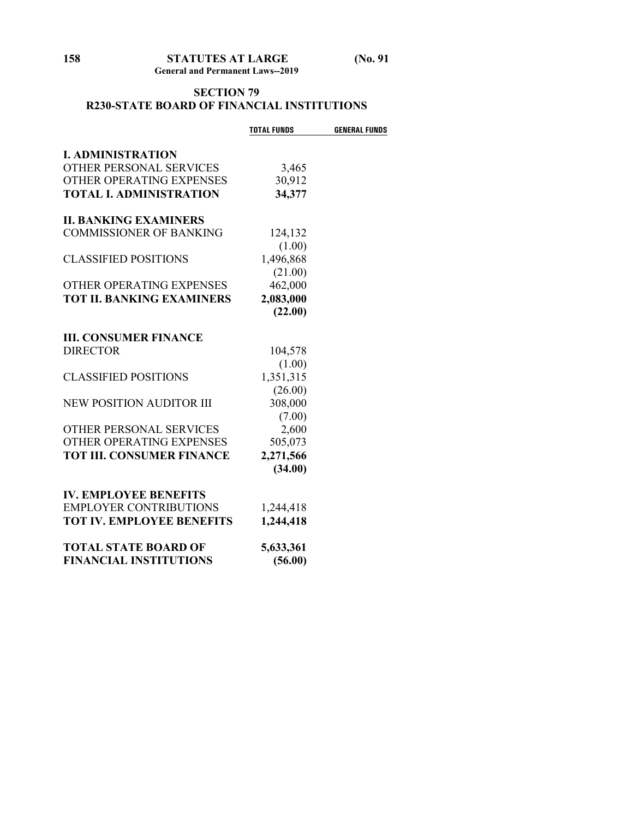#### **SECTION 79 R230-STATE BOARD OF FINANCIAL INSTITUTIONS**

|                                  | <b>TOTAL FUNDS</b> | <b>GENERAL FUNDS</b> |
|----------------------------------|--------------------|----------------------|
| <b>I. ADMINISTRATION</b>         |                    |                      |
| <b>OTHER PERSONAL SERVICES</b>   | 3,465              |                      |
| OTHER OPERATING EXPENSES         | 30,912             |                      |
| <b>TOTAL I. ADMINISTRATION</b>   | 34,377             |                      |
| <b>II. BANKING EXAMINERS</b>     |                    |                      |
| <b>COMMISSIONER OF BANKING</b>   | 124,132            |                      |
|                                  | (1.00)             |                      |
| <b>CLASSIFIED POSITIONS</b>      | 1,496,868          |                      |
|                                  | (21.00)            |                      |
| OTHER OPERATING EXPENSES         | 462,000            |                      |
| <b>TOT II. BANKING EXAMINERS</b> | 2,083,000          |                      |
|                                  | (22.00)            |                      |
| <b>III. CONSUMER FINANCE</b>     |                    |                      |
| <b>DIRECTOR</b>                  | 104,578            |                      |
|                                  | (1.00)             |                      |
| <b>CLASSIFIED POSITIONS</b>      | 1,351,315          |                      |
|                                  | (26.00)            |                      |
| <b>NEW POSITION AUDITOR III</b>  | 308,000            |                      |
|                                  | (7.00)             |                      |
| <b>OTHER PERSONAL SERVICES</b>   | 2,600              |                      |
| OTHER OPERATING EXPENSES         | 505,073            |                      |
| <b>TOT III. CONSUMER FINANCE</b> | 2,271,566          |                      |
|                                  | (34.00)            |                      |
| <b>IV. EMPLOYEE BENEFITS</b>     |                    |                      |
| <b>EMPLOYER CONTRIBUTIONS</b>    | 1,244,418          |                      |
| <b>TOT IV. EMPLOYEE BENEFITS</b> | 1,244,418          |                      |
| <b>TOTAL STATE BOARD OF</b>      | 5,633,361          |                      |
| <b>FINANCIAL INSTITUTIONS</b>    | (56.00)            |                      |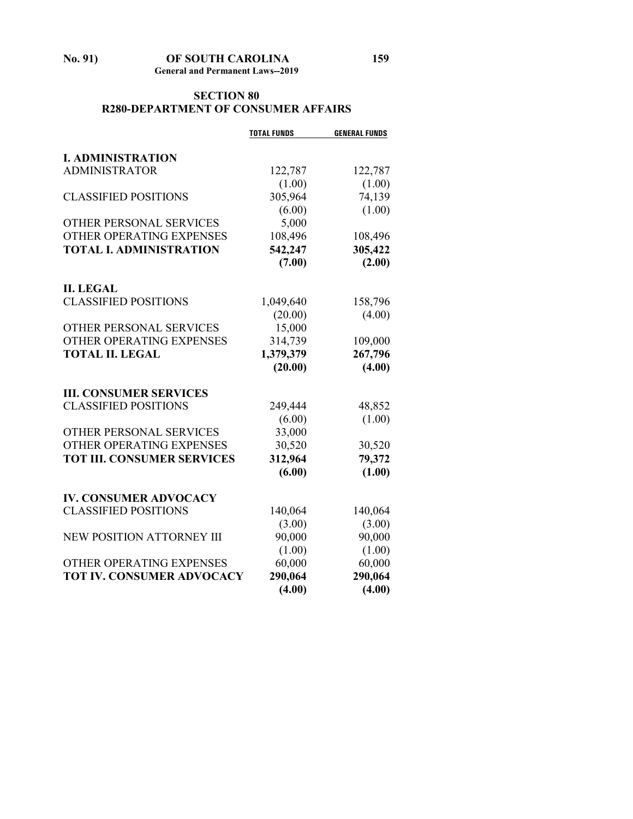## **No. 91) OF SOUTH CAROLINA 159**

**General and Permanent Laws--2019**

#### **SECTION 80 R280-DEPARTMENT OF CONSUMER AFFAIRS**

|                                   | <b>TOTAL FUNDS</b> | <b>GENERAL FUNDS</b> |
|-----------------------------------|--------------------|----------------------|
| <b>I. ADMINISTRATION</b>          |                    |                      |
| <b>ADMINISTRATOR</b>              | 122,787            | 122,787              |
|                                   | (1.00)             | (1.00)               |
| <b>CLASSIFIED POSITIONS</b>       | 305,964            | 74,139               |
|                                   | (6.00)             | (1.00)               |
| OTHER PERSONAL SERVICES           | 5,000              |                      |
| OTHER OPERATING EXPENSES          | 108,496            | 108,496              |
| <b>TOTAL I. ADMINISTRATION</b>    | 542,247            | 305,422              |
|                                   | (7.00)             | (2.00)               |
| <b>II. LEGAL</b>                  |                    |                      |
| <b>CLASSIFIED POSITIONS</b>       | 1,049,640          | 158,796              |
|                                   | (20.00)            | (4.00)               |
| OTHER PERSONAL SERVICES           | 15,000             |                      |
| OTHER OPERATING EXPENSES          | 314,739            | 109,000              |
| <b>TOTAL II. LEGAL</b>            | 1,379,379          | 267,796              |
|                                   | (20.00)            | (4.00)               |
| <b>III. CONSUMER SERVICES</b>     |                    |                      |
| <b>CLASSIFIED POSITIONS</b>       | 249,444            | 48,852               |
|                                   | (6.00)             | (1.00)               |
| OTHER PERSONAL SERVICES           | 33,000             |                      |
| OTHER OPERATING EXPENSES          | 30,520             | 30,520               |
| <b>TOT III. CONSUMER SERVICES</b> | 312,964            | 79,372               |
|                                   | (6.00)             | (1.00)               |
| <b>IV. CONSUMER ADVOCACY</b>      |                    |                      |
| <b>CLASSIFIED POSITIONS</b>       | 140,064            | 140,064              |
|                                   | (3.00)             | (3.00)               |
| NEW POSITION ATTORNEY III         | 90,000             | 90,000               |
|                                   | (1.00)             | (1.00)               |
| OTHER OPERATING EXPENSES          | 60,000             | 60,000               |
| <b>TOT IV. CONSUMER ADVOCACY</b>  | 290,064            | 290,064              |
|                                   | (4.00)             | (4.00)               |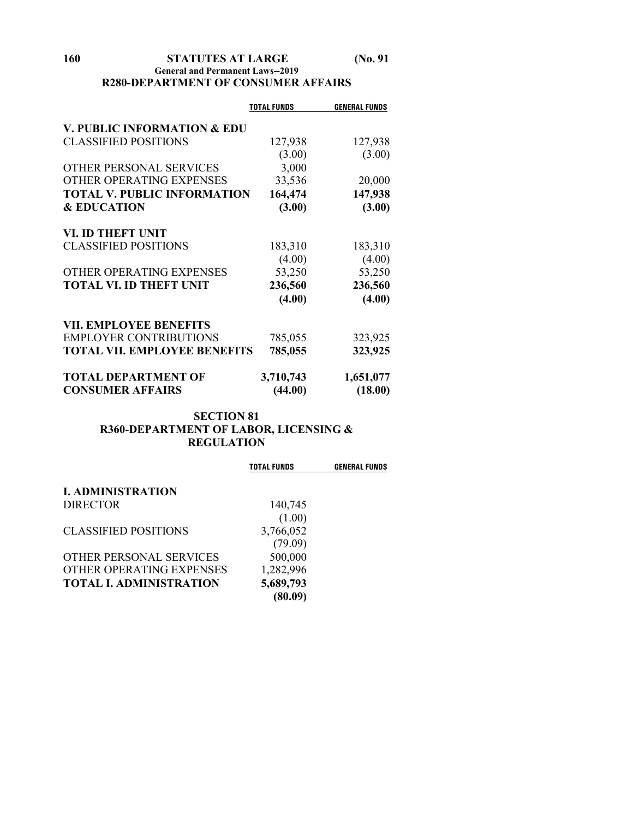#### **160 STATUTES AT LARGE (No. 91 General and Permanent Laws--2019 R280-DEPARTMENT OF CONSUMER AFFAIRS**

|                                        | <b>TOTAL FUNDS</b> | <b>GENERAL FUNDS</b> |
|----------------------------------------|--------------------|----------------------|
| <b>V. PUBLIC INFORMATION &amp; EDU</b> |                    |                      |
| <b>CLASSIFIED POSITIONS</b>            | 127,938            | 127,938              |
|                                        | (3.00)             | (3.00)               |
| OTHER PERSONAL SERVICES                | 3,000              |                      |
|                                        |                    |                      |
| OTHER OPERATING EXPENSES               | 33,536             | 20,000               |
| <b>TOTAL V. PUBLIC INFORMATION</b>     | 164,474            | 147,938              |
| <b>&amp; EDUCATION</b>                 | (3.00)             | (3.00)               |
| VI. ID THEFT UNIT                      |                    |                      |
| <b>CLASSIFIED POSITIONS</b>            | 183,310            | 183,310              |
|                                        | (4.00)             | (4.00)               |
| OTHER OPERATING EXPENSES               | 53,250             | 53,250               |
| <b>TOTAL VI. ID THEFT UNIT</b>         | 236,560            | 236,560              |
|                                        | (4.00)             | (4.00)               |
| <b>VII. EMPLOYEE BENEFITS</b>          |                    |                      |
| <b>EMPLOYER CONTRIBUTIONS</b>          | 785,055            | 323,925              |
| <b>TOTAL VII. EMPLOYEE BENEFITS</b>    | 785,055            | 323,925              |
| <b>TOTAL DEPARTMENT OF</b>             | 3,710,743          | 1,651,077            |
| <b>CONSUMER AFFAIRS</b>                | (44.00)            | (18.00)              |
|                                        |                    |                      |

#### **SECTION 81 R360-DEPARTMENT OF LABOR, LICENSING & REGULATION**

|                                | <b>TOTAL FUNDS</b> | <b>GENERAL FUNDS</b> |
|--------------------------------|--------------------|----------------------|
| <b>I. ADMINISTRATION</b>       |                    |                      |
| <b>DIRECTOR</b>                | 140,745            |                      |
|                                | (1.00)             |                      |
| <b>CLASSIFIED POSITIONS</b>    | 3,766,052          |                      |
|                                | (79.09)            |                      |
| OTHER PERSONAL SERVICES        | 500,000            |                      |
| OTHER OPERATING EXPENSES       | 1,282,996          |                      |
| <b>TOTAL I. ADMINISTRATION</b> | 5,689,793          |                      |
|                                | (80.09)            |                      |
|                                |                    |                      |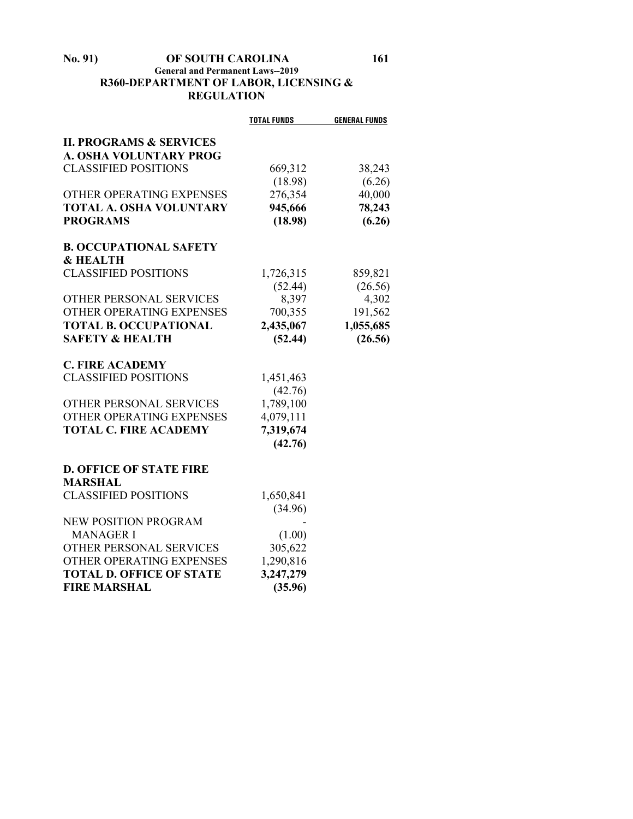#### **No. 91) OF SOUTH CAROLINA 161 General and Permanent Laws--2019 R360-DEPARTMENT OF LABOR, LICENSING & REGULATION**

|                                    | <b>TOTAL FUNDS</b> | <b>GENERAL FUNDS</b> |
|------------------------------------|--------------------|----------------------|
| <b>II. PROGRAMS &amp; SERVICES</b> |                    |                      |
| <b>A. OSHA VOLUNTARY PROG</b>      |                    |                      |
| <b>CLASSIFIED POSITIONS</b>        | 669,312            | 38,243               |
|                                    | (18.98)            | (6.26)               |
| OTHER OPERATING EXPENSES           | 276,354            | 40,000               |
| <b>TOTAL A. OSHA VOLUNTARY</b>     | 945,666            | 78,243               |
| <b>PROGRAMS</b>                    | (18.98)            | (6.26)               |
| <b>B. OCCUPATIONAL SAFETY</b>      |                    |                      |
| <b>&amp; HEALTH</b>                |                    |                      |
| <b>CLASSIFIED POSITIONS</b>        | 1,726,315          | 859,821              |
|                                    | (52.44)            | (26.56)              |
| OTHER PERSONAL SERVICES            | 8,397              | 4,302                |
| OTHER OPERATING EXPENSES           | 700,355            | 191,562              |
| <b>TOTAL B. OCCUPATIONAL</b>       | 2,435,067          | 1,055,685            |
| <b>SAFETY &amp; HEALTH</b>         | (52.44)            | (26.56)              |
| <b>C. FIRE ACADEMY</b>             |                    |                      |
| <b>CLASSIFIED POSITIONS</b>        | 1,451,463          |                      |
|                                    | (42.76)            |                      |
| OTHER PERSONAL SERVICES            | 1,789,100          |                      |
| OTHER OPERATING EXPENSES           | 4,079,111          |                      |
| <b>TOTAL C. FIRE ACADEMY</b>       | 7,319,674          |                      |
|                                    | (42.76)            |                      |
| <b>D. OFFICE OF STATE FIRE</b>     |                    |                      |
| <b>MARSHAL</b>                     |                    |                      |
| <b>CLASSIFIED POSITIONS</b>        | 1,650,841          |                      |
|                                    | (34.96)            |                      |
| <b>NEW POSITION PROGRAM</b>        |                    |                      |
| <b>MANAGER I</b>                   | (1.00)             |                      |
| OTHER PERSONAL SERVICES            | 305,622            |                      |
| OTHER OPERATING EXPENSES           | 1,290,816          |                      |
| <b>TOTAL D. OFFICE OF STATE</b>    | 3,247,279          |                      |
| <b>FIRE MARSHAL</b>                | (35.96)            |                      |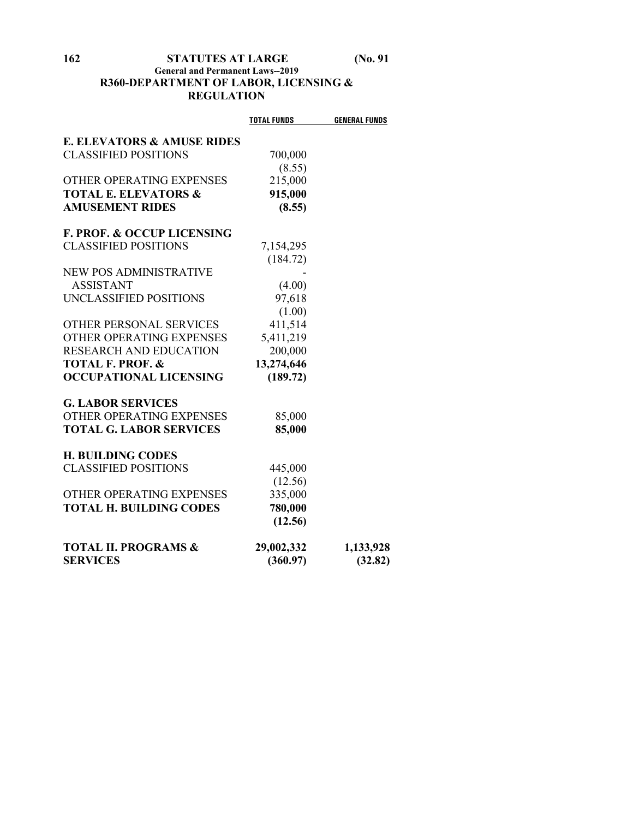### **162 STATUTES AT LARGE (No. 91**

#### **General and Permanent Laws--2019 R360-DEPARTMENT OF LABOR, LICENSING & REGULATION**

|                                       | <b>TOTAL FUNDS</b> | <b>GENERAL FUNDS</b> |
|---------------------------------------|--------------------|----------------------|
| <b>E. ELEVATORS &amp; AMUSE RIDES</b> |                    |                      |
| <b>CLASSIFIED POSITIONS</b>           | 700,000            |                      |
|                                       | (8.55)             |                      |
| OTHER OPERATING EXPENSES              | 215,000            |                      |
| <b>TOTAL E. ELEVATORS &amp;</b>       | 915,000            |                      |
| <b>AMUSEMENT RIDES</b>                | (8.55)             |                      |
| <b>F. PROF. &amp; OCCUP LICENSING</b> |                    |                      |
| <b>CLASSIFIED POSITIONS</b>           | 7,154,295          |                      |
|                                       | (184.72)           |                      |
| NEW POS ADMINISTRATIVE                |                    |                      |
| <b>ASSISTANT</b>                      | (4.00)             |                      |
| UNCLASSIFIED POSITIONS                | 97,618             |                      |
|                                       | (1.00)             |                      |
| OTHER PERSONAL SERVICES               | 411,514            |                      |
| OTHER OPERATING EXPENSES              | 5,411,219          |                      |
| <b>RESEARCH AND EDUCATION</b>         | 200,000            |                      |
| <b>TOTAL F. PROF. &amp;</b>           | 13,274,646         |                      |
| <b>OCCUPATIONAL LICENSING</b>         | (189.72)           |                      |
| <b>G. LABOR SERVICES</b>              |                    |                      |
| OTHER OPERATING EXPENSES              | 85,000             |                      |
| <b>TOTAL G. LABOR SERVICES</b>        | 85,000             |                      |
| <b>H. BUILDING CODES</b>              |                    |                      |
| <b>CLASSIFIED POSITIONS</b>           | 445,000            |                      |
|                                       | (12.56)            |                      |
| OTHER OPERATING EXPENSES              | 335,000            |                      |
| <b>TOTAL H. BUILDING CODES</b>        | 780,000            |                      |
|                                       | (12.56)            |                      |
| <b>TOTAL II. PROGRAMS &amp;</b>       | 29,002,332         | 1,133,928            |
| <b>SERVICES</b>                       | (360.97)           | (32.82)              |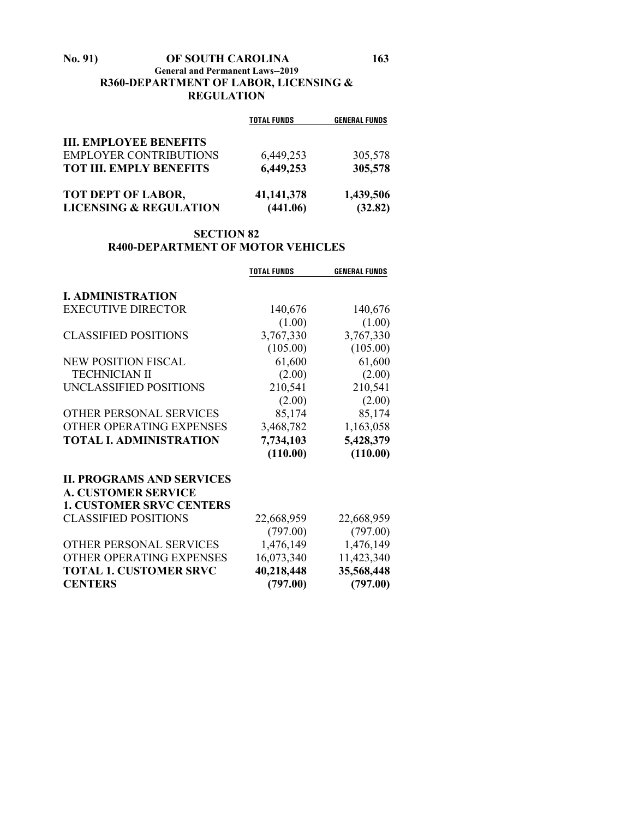#### **No. 91) OF SOUTH CAROLINA 163 General and Permanent Laws--2019 R360-DEPARTMENT OF LABOR, LICENSING & REGULATION**

|                                   | <b>TOTAL FUNDS</b> | <b>GENERAL FUNDS</b> |
|-----------------------------------|--------------------|----------------------|
| <b>III. EMPLOYEE BENEFITS</b>     |                    |                      |
| <b>EMPLOYER CONTRIBUTIONS</b>     | 6,449,253          | 305,578              |
| <b>TOT III. EMPLY BENEFITS</b>    | 6,449,253          | 305,578              |
| <b>TOT DEPT OF LABOR,</b>         | 41,141,378         | 1,439,506            |
| <b>LICENSING &amp; REGULATION</b> | (441.06)           | (32.82)              |

#### **SECTION 82 R400-DEPARTMENT OF MOTOR VEHICLES**

|                                  | <b>TOTAL FUNDS</b> | <b>GENERAL FUNDS</b> |
|----------------------------------|--------------------|----------------------|
|                                  |                    |                      |
| <b>I. ADMINISTRATION</b>         |                    |                      |
| <b>EXECUTIVE DIRECTOR</b>        | 140,676            | 140,676              |
|                                  | (1.00)             | (1.00)               |
| <b>CLASSIFIED POSITIONS</b>      | 3,767,330          | 3,767,330            |
|                                  | (105.00)           | (105.00)             |
| <b>NEW POSITION FISCAL</b>       | 61,600             | 61,600               |
| <b>TECHNICIAN II</b>             | (2.00)             | (2.00)               |
| UNCLASSIFIED POSITIONS           | 210,541            | 210,541              |
|                                  | (2.00)             | (2.00)               |
| OTHER PERSONAL SERVICES          | 85,174             | 85,174               |
| OTHER OPERATING EXPENSES         | 3,468,782          | 1,163,058            |
| <b>TOTAL I. ADMINISTRATION</b>   | 7,734,103          | 5,428,379            |
|                                  | (110.00)           | (110.00)             |
| <b>II. PROGRAMS AND SERVICES</b> |                    |                      |
| <b>A. CUSTOMER SERVICE</b>       |                    |                      |
| <b>1. CUSTOMER SRVC CENTERS</b>  |                    |                      |
| <b>CLASSIFIED POSITIONS</b>      | 22,668,959         | 22,668,959           |
|                                  | (797.00)           | (797.00)             |
| OTHER PERSONAL SERVICES          | 1,476,149          | 1,476,149            |
| OTHER OPERATING EXPENSES         | 16,073,340         | 11,423,340           |
| <b>TOTAL 1. CUSTOMER SRVC</b>    | 40,218,448         | 35,568,448           |
| <b>CENTERS</b>                   | (797.00)           | (797.00)             |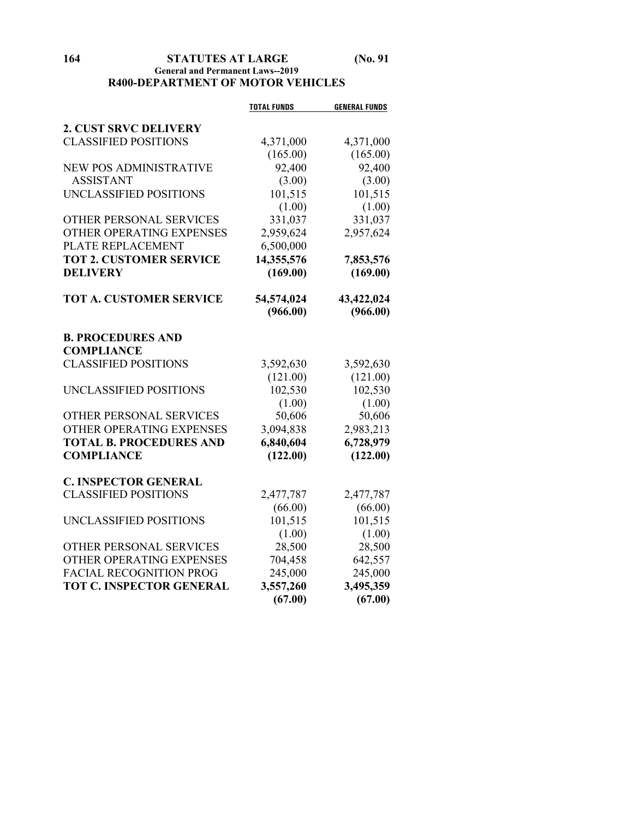#### **164 STATUTES AT LARGE (No. 91 General and Permanent Laws--2019 R400-DEPARTMENT OF MOTOR VEHICLES**

|                                 | <b>TOTAL FUNDS</b> | <b>GENERAL FUNDS</b> |
|---------------------------------|--------------------|----------------------|
| <b>2. CUST SRVC DELIVERY</b>    |                    |                      |
| <b>CLASSIFIED POSITIONS</b>     | 4,371,000          | 4,371,000            |
|                                 | (165.00)           | (165.00)             |
| <b>NEW POS ADMINISTRATIVE</b>   | 92,400             | 92,400               |
| <b>ASSISTANT</b>                | (3.00)             | (3.00)               |
| UNCLASSIFIED POSITIONS          | 101,515            | 101,515              |
|                                 | (1.00)             | (1.00)               |
| OTHER PERSONAL SERVICES         | 331,037            | 331,037              |
| OTHER OPERATING EXPENSES        | 2,959,624          | 2,957,624            |
| PLATE REPLACEMENT               | 6,500,000          |                      |
| <b>TOT 2. CUSTOMER SERVICE</b>  | 14,355,576         | 7,853,576            |
| <b>DELIVERY</b>                 | (169.00)           | (169.00)             |
| <b>TOT A. CUSTOMER SERVICE</b>  | 54,574,024         | 43,422,024           |
|                                 | (966.00)           | (966.00)             |
| <b>B. PROCEDURES AND</b>        |                    |                      |
| <b>COMPLIANCE</b>               |                    |                      |
| <b>CLASSIFIED POSITIONS</b>     | 3,592,630          | 3,592,630            |
|                                 | (121.00)           | (121.00)             |
| UNCLASSIFIED POSITIONS          | 102,530            | 102,530              |
|                                 | (1.00)             | (1.00)               |
| OTHER PERSONAL SERVICES         | 50,606             | 50,606               |
| OTHER OPERATING EXPENSES        | 3,094,838          | 2,983,213            |
| <b>TOTAL B. PROCEDURES AND</b>  | 6,840,604          | 6,728,979            |
| <b>COMPLIANCE</b>               | (122.00)           | (122.00)             |
| <b>C. INSPECTOR GENERAL</b>     |                    |                      |
| <b>CLASSIFIED POSITIONS</b>     | 2,477,787          | 2,477,787            |
|                                 | (66.00)            | (66.00)              |
| UNCLASSIFIED POSITIONS          | 101,515            | 101,515              |
|                                 | (1.00)             | (1.00)               |
| OTHER PERSONAL SERVICES         | 28,500             | 28,500               |
| OTHER OPERATING EXPENSES        | 704,458            | 642,557              |
| <b>FACIAL RECOGNITION PROG</b>  | 245,000            | 245,000              |
| <b>TOT C. INSPECTOR GENERAL</b> | 3,557,260          | 3,495,359            |
|                                 | (67.00)            | (67.00)              |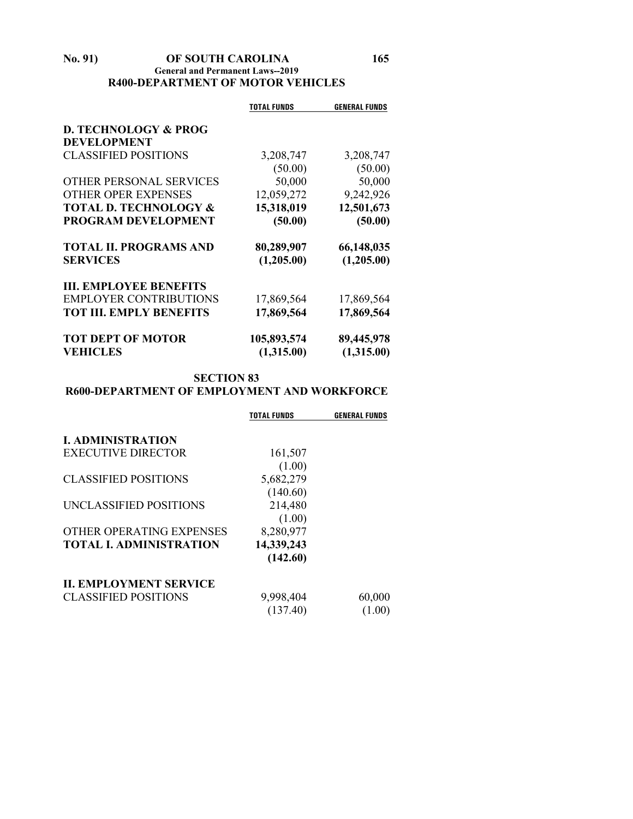#### **No. 91) OF SOUTH CAROLINA 165 General and Permanent Laws--2019 R400-DEPARTMENT OF MOTOR VEHICLES**

|                                  | <b>TOTAL FUNDS</b> | <b>GENERAL FUNDS</b> |
|----------------------------------|--------------------|----------------------|
| <b>D. TECHNOLOGY &amp; PROG</b>  |                    |                      |
| <b>DEVELOPMENT</b>               |                    |                      |
| <b>CLASSIFIED POSITIONS</b>      | 3,208,747          | 3,208,747            |
|                                  | (50.00)            | (50.00)              |
| OTHER PERSONAL SERVICES          | 50,000             | 50,000               |
| <b>OTHER OPER EXPENSES</b>       | 12,059,272         | 9,242,926            |
| <b>TOTAL D. TECHNOLOGY &amp;</b> | 15,318,019         | 12,501,673           |
| <b>PROGRAM DEVELOPMENT</b>       | (50.00)            | (50.00)              |
| <b>TOTAL II. PROGRAMS AND</b>    | 80,289,907         | 66,148,035           |
| <b>SERVICES</b>                  | (1,205.00)         | (1,205.00)           |
| <b>III. EMPLOYEE BENEFITS</b>    |                    |                      |
| <b>EMPLOYER CONTRIBUTIONS</b>    | 17,869,564         | 17,869,564           |
| <b>TOT III. EMPLY BENEFITS</b>   | 17,869,564         | 17,869,564           |
| <b>TOT DEPT OF MOTOR</b>         | 105,893,574        | 89,445,978           |
| <b>VEHICLES</b>                  | (1,315.00)         | (1,315.00)           |

#### **SECTION 83 R600-DEPARTMENT OF EMPLOYMENT AND WORKFORCE**

|                               | TOTAL FUNDS | <b>GENERAL FUNDS</b> |
|-------------------------------|-------------|----------------------|
| <b>I. ADMINISTRATION</b>      |             |                      |
| EXECUTIVE DIRECTOR            | 161,507     |                      |
|                               | (1.00)      |                      |
| <b>CLASSIFIED POSITIONS</b>   | 5,682,279   |                      |
|                               | (140.60)    |                      |
| UNCLASSIFIED POSITIONS        | 214,480     |                      |
|                               | (1.00)      |                      |
| OTHER OPERATING EXPENSES      | 8,280,977   |                      |
| <b>TOTAL L ADMINISTRATION</b> | 14,339,243  |                      |
|                               | (142.60)    |                      |
| <b>II. EMPLOYMENT SERVICE</b> |             |                      |
| <b>CLASSIFIED POSITIONS</b>   | 9,998,404   | 60,000               |
|                               | (137.40)    | (1.00)               |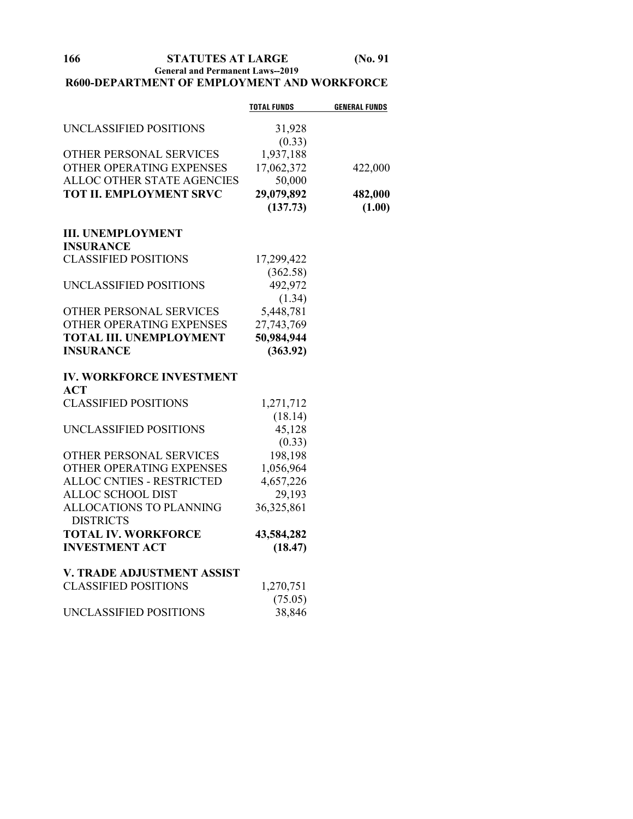**166 STATUTES AT LARGE (No. 91**

**General and Permanent Laws--2019**

#### **R600-DEPARTMENT OF EMPLOYMENT AND WORKFORCE**

|                                             | <b>TOTAL FUNDS</b> | <b>GENERAL FUNDS</b> |
|---------------------------------------------|--------------------|----------------------|
| UNCLASSIFIED POSITIONS                      | 31,928             |                      |
|                                             | (0.33)             |                      |
| OTHER PERSONAL SERVICES                     | 1,937,188          |                      |
| OTHER OPERATING EXPENSES                    | 17,062,372         | 422,000              |
| ALLOC OTHER STATE AGENCIES                  | 50,000             |                      |
| <b>TOT II. EMPLOYMENT SRVC</b>              | 29,079,892         | 482,000              |
|                                             | (137.73)           | (1.00)               |
| <b>III. UNEMPLOYMENT</b>                    |                    |                      |
| <b>INSURANCE</b>                            |                    |                      |
| <b>CLASSIFIED POSITIONS</b>                 | 17,299,422         |                      |
|                                             | (362.58)           |                      |
| UNCLASSIFIED POSITIONS                      | 492,972            |                      |
|                                             | (1.34)             |                      |
| OTHER PERSONAL SERVICES                     | 5,448,781          |                      |
| OTHER OPERATING EXPENSES                    | 27,743,769         |                      |
| <b>TOTAL III. UNEMPLOYMENT</b>              | 50,984,944         |                      |
| <b>INSURANCE</b>                            | (363.92)           |                      |
| <b>IV. WORKFORCE INVESTMENT</b>             |                    |                      |
| <b>ACT</b>                                  |                    |                      |
| <b>CLASSIFIED POSITIONS</b>                 | 1,271,712          |                      |
|                                             | (18.14)            |                      |
| UNCLASSIFIED POSITIONS                      | 45,128             |                      |
|                                             | (0.33)             |                      |
| OTHER PERSONAL SERVICES                     | 198,198            |                      |
| OTHER OPERATING EXPENSES                    | 1,056,964          |                      |
| <b>ALLOC CNTIES - RESTRICTED</b>            | 4,657,226          |                      |
| ALLOC SCHOOL DIST                           | 29,193             |                      |
| ALLOCATIONS TO PLANNING<br><b>DISTRICTS</b> | 36,325,861         |                      |
| <b>TOTAL IV. WORKFORCE</b>                  | 43,584,282         |                      |
| <b>INVESTMENT ACT</b>                       | (18.47)            |                      |
| V. TRADE ADJUSTMENT ASSIST                  |                    |                      |
| <b>CLASSIFIED POSITIONS</b>                 | 1,270,751          |                      |
|                                             | (75.05)            |                      |
| UNCLASSIFIED POSITIONS                      | 38,846             |                      |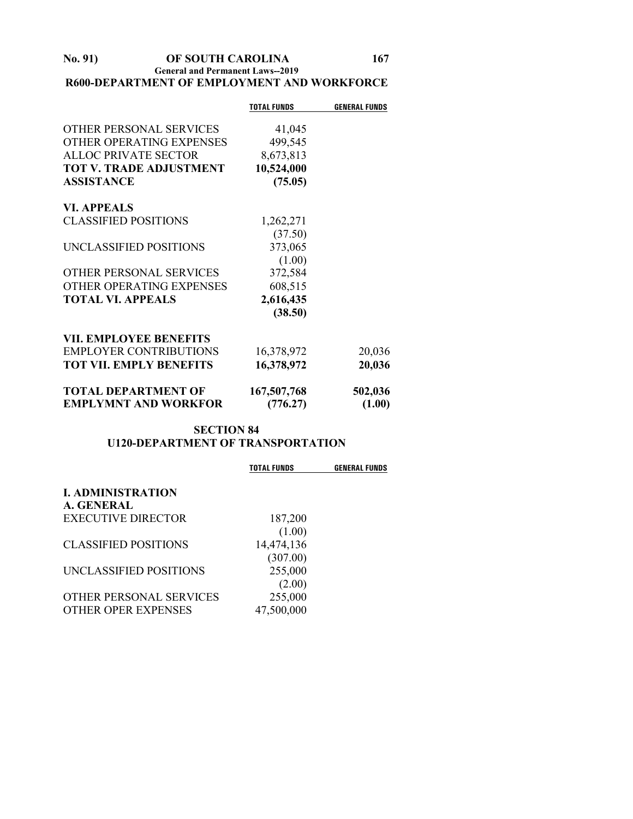#### **No. 91) OF SOUTH CAROLINA 167 General and Permanent Laws--2019 R600-DEPARTMENT OF EMPLOYMENT AND WORKFORCE**

|                                | <b>TOTAL FUNDS</b> | <b>GENERAL FUNDS</b> |
|--------------------------------|--------------------|----------------------|
|                                |                    |                      |
| OTHER PERSONAL SERVICES        | 41,045             |                      |
| OTHER OPERATING EXPENSES       | 499,545            |                      |
| <b>ALLOC PRIVATE SECTOR</b>    | 8,673,813          |                      |
| <b>TOT V. TRADE ADJUSTMENT</b> | 10,524,000         |                      |
| <b>ASSISTANCE</b>              | (75.05)            |                      |
| <b>VI. APPEALS</b>             |                    |                      |
| <b>CLASSIFIED POSITIONS</b>    | 1,262,271          |                      |
|                                | (37.50)            |                      |
| UNCLASSIFIED POSITIONS         | 373,065            |                      |
|                                | (1.00)             |                      |
| OTHER PERSONAL SERVICES        | 372,584            |                      |
| OTHER OPERATING EXPENSES       | 608,515            |                      |
| <b>TOTAL VI. APPEALS</b>       | 2,616,435          |                      |
|                                | (38.50)            |                      |
| <b>VII. EMPLOYEE BENEFITS</b>  |                    |                      |
| <b>EMPLOYER CONTRIBUTIONS</b>  | 16,378,972         | 20,036               |
| <b>TOT VII. EMPLY BENEFITS</b> | 16,378,972         | 20,036               |
| <b>TOTAL DEPARTMENT OF</b>     | 167,507,768        | 502,036              |
| <b>EMPLYMNT AND WORKFOR</b>    | (776.27)           | (1.00)               |

#### **SECTION 84 U120-DEPARTMENT OF TRANSPORTATION**

| <b>TOTAL FUNDS</b> | <b>GENERAL FUNDS</b>                                  |
|--------------------|-------------------------------------------------------|
|                    |                                                       |
|                    |                                                       |
| (1.00)             |                                                       |
| 14,474,136         |                                                       |
| (307.00)           |                                                       |
|                    |                                                       |
|                    |                                                       |
|                    |                                                       |
|                    | 187,200<br>255,000<br>(2.00)<br>255,000<br>47,500,000 |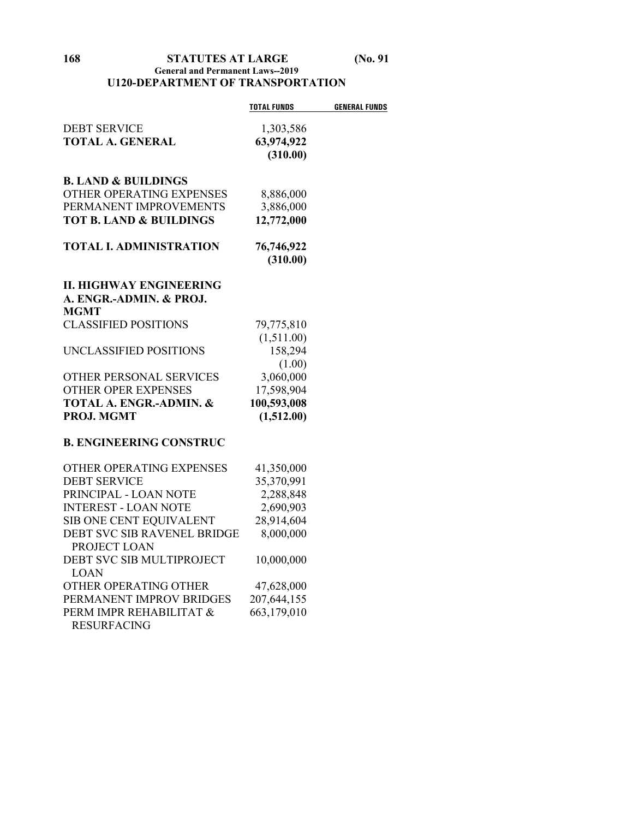#### **168 STATUTES AT LARGE (No. 91 General and Permanent Laws--2019 U120-DEPARTMENT OF TRANSPORTATION**

|                                    | <b>TOTAL FUNDS</b> | <b>GENERAL FUNDS</b> |
|------------------------------------|--------------------|----------------------|
| <b>DEBT SERVICE</b>                | 1,303,586          |                      |
| <b>TOTAL A. GENERAL</b>            | 63,974,922         |                      |
|                                    | (310.00)           |                      |
|                                    |                    |                      |
| <b>B. LAND &amp; BUILDINGS</b>     |                    |                      |
| OTHER OPERATING EXPENSES           | 8,886,000          |                      |
| PERMANENT IMPROVEMENTS             | 3,886,000          |                      |
| <b>TOT B. LAND &amp; BUILDINGS</b> | 12,772,000         |                      |
|                                    |                    |                      |
| <b>TOTAL I. ADMINISTRATION</b>     | 76,746,922         |                      |
|                                    | (310.00)           |                      |
| II. HIGHWAY ENGINEERING            |                    |                      |
| A. ENGR.-ADMIN. & PROJ.            |                    |                      |
| <b>MGMT</b>                        |                    |                      |
| <b>CLASSIFIED POSITIONS</b>        | 79,775,810         |                      |
|                                    | (1,511.00)         |                      |
| UNCLASSIFIED POSITIONS             | 158,294            |                      |
|                                    | (1.00)             |                      |
| OTHER PERSONAL SERVICES            | 3,060,000          |                      |
| <b>OTHER OPER EXPENSES</b>         | 17,598,904         |                      |
| TOTAL A. ENGR.-ADMIN. &            | 100,593,008        |                      |
| PROJ. MGMT                         | (1,512.00)         |                      |
|                                    |                    |                      |
| <b>B. ENGINEERING CONSTRUC</b>     |                    |                      |
| OTHER OPERATING EXPENSES           | 41,350,000         |                      |
| <b>DEBT SERVICE</b>                | 35,370,991         |                      |
| PRINCIPAL - LOAN NOTE              | 2,288,848          |                      |
| <b>INTEREST - LOAN NOTE</b>        | 2,690,903          |                      |
| SIB ONE CENT EQUIVALENT            | 28,914,604         |                      |
| DEBT SVC SIB RAVENEL BRIDGE        | 8,000,000          |                      |
| PROJECT LOAN                       |                    |                      |
| DEBT SVC SIB MULTIPROJECT          | 10,000,000         |                      |
| <b>LOAN</b>                        |                    |                      |
| OTHER OPERATING OTHER              | 47,628,000         |                      |
| PERMANENT IMPROV BRIDGES           | 207,644,155        |                      |
| PERM IMPR REHABILITAT &            | 663,179,010        |                      |
| <b>RESURFACING</b>                 |                    |                      |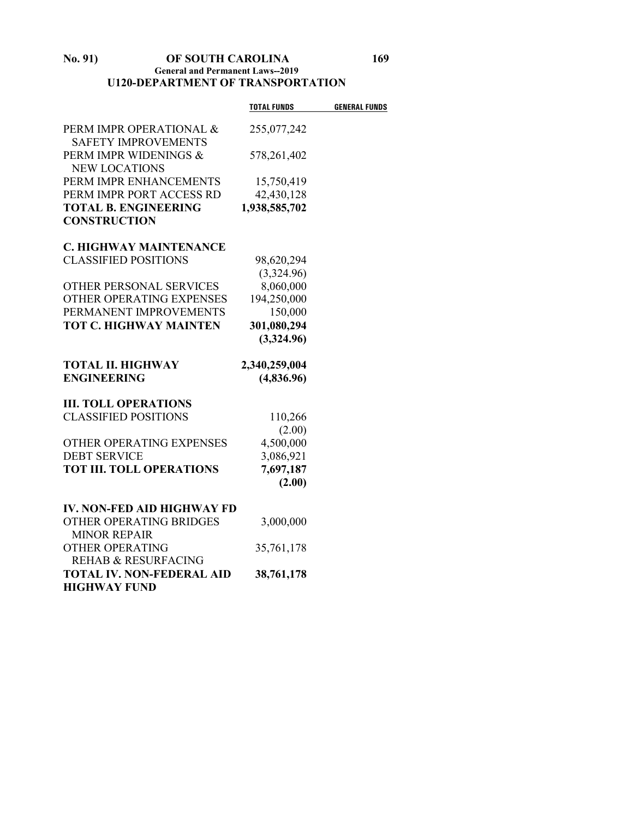#### **No. 91) OF SOUTH CAROLINA 169 General and Permanent Laws--2019 U120-DEPARTMENT OF TRANSPORTATION**

|                                   | <b>TOTAL FUNDS</b> | <b>GENERAL FUNDS</b> |
|-----------------------------------|--------------------|----------------------|
| PERM IMPR OPERATIONAL &           | 255,077,242        |                      |
| <b>SAFETY IMPROVEMENTS</b>        |                    |                      |
| PERM IMPR WIDENINGS &             | 578,261,402        |                      |
| <b>NEW LOCATIONS</b>              |                    |                      |
| PERM IMPR ENHANCEMENTS            | 15,750,419         |                      |
| PERM IMPR PORT ACCESS RD          | 42,430,128         |                      |
| <b>TOTAL B. ENGINEERING</b>       | 1,938,585,702      |                      |
| <b>CONSTRUCTION</b>               |                    |                      |
| C. HIGHWAY MAINTENANCE            |                    |                      |
| <b>CLASSIFIED POSITIONS</b>       | 98,620,294         |                      |
|                                   | (3,324.96)         |                      |
| OTHER PERSONAL SERVICES           | 8,060,000          |                      |
| OTHER OPERATING EXPENSES          | 194,250,000        |                      |
| PERMANENT IMPROVEMENTS            | 150,000            |                      |
| <b>TOT C. HIGHWAY MAINTEN</b>     | 301,080,294        |                      |
|                                   | (3,324.96)         |                      |
| <b>TOTAL II. HIGHWAY</b>          | 2,340,259,004      |                      |
| <b>ENGINEERING</b>                | (4,836.96)         |                      |
| <b>III. TOLL OPERATIONS</b>       |                    |                      |
| <b>CLASSIFIED POSITIONS</b>       | 110,266            |                      |
|                                   | (2.00)             |                      |
| OTHER OPERATING EXPENSES          | 4,500,000          |                      |
| <b>DEBT SERVICE</b>               | 3,086,921          |                      |
| <b>TOT III. TOLL OPERATIONS</b>   | 7,697,187          |                      |
|                                   | (2.00)             |                      |
| <b>IV. NON-FED AID HIGHWAY FD</b> |                    |                      |
| OTHER OPERATING BRIDGES           | 3,000,000          |                      |
| <b>MINOR REPAIR</b>               |                    |                      |
| <b>OTHER OPERATING</b>            | 35,761,178         |                      |
| <b>REHAB &amp; RESURFACING</b>    |                    |                      |
| <b>TOTAL IV. NON-FEDERAL AID</b>  | 38,761,178         |                      |
| <b>HIGHWAY FUND</b>               |                    |                      |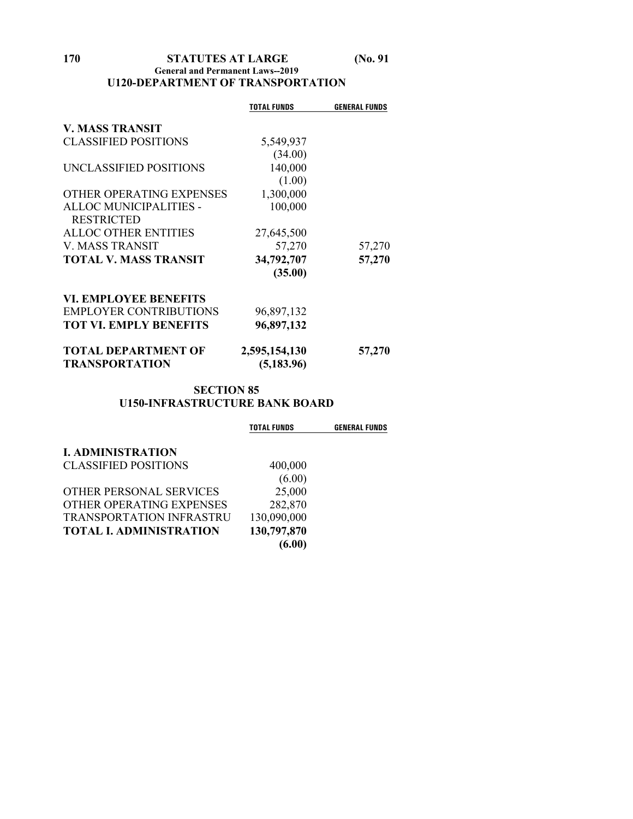#### **170 STATUTES AT LARGE (No. 91 General and Permanent Laws--2019 U120-DEPARTMENT OF TRANSPORTATION**

|                               | <b>TOTAL FUNDS</b> | <b>GENERAL FUNDS</b> |
|-------------------------------|--------------------|----------------------|
| <b>V. MASS TRANSIT</b>        |                    |                      |
| <b>CLASSIFIED POSITIONS</b>   | 5,549,937          |                      |
|                               | (34.00)            |                      |
| UNCLASSIFIED POSITIONS        | 140,000            |                      |
|                               | (1.00)             |                      |
| OTHER OPERATING EXPENSES      | 1,300,000          |                      |
| ALLOC MUNICIPALITIES -        | 100,000            |                      |
| <b>RESTRICTED</b>             |                    |                      |
| <b>ALLOC OTHER ENTITIES</b>   | 27,645,500         |                      |
| <b>V. MASS TRANSIT</b>        | 57,270             | 57,270               |
| <b>TOTAL V. MASS TRANSIT</b>  | 34,792,707         | 57,270               |
|                               | (35.00)            |                      |
| <b>VI. EMPLOYEE BENEFITS</b>  |                    |                      |
| <b>EMPLOYER CONTRIBUTIONS</b> | 96,897,132         |                      |
| <b>TOT VI. EMPLY BENEFITS</b> | 96,897,132         |                      |
| <b>TOTAL DEPARTMENT OF</b>    | 2,595,154,130      | 57,270               |
| <b>TRANSPORTATION</b>         | (5, 183.96)        |                      |

#### **SECTION 85 U150-INFRASTRUCTURE BANK BOARD**

| <b>TOTAL FUNDS</b> | <b>GENERAL FUNDS</b> |
|--------------------|----------------------|
|                    |                      |
|                    |                      |
| (6.00)             |                      |
| 25,000             |                      |
| 282,870            |                      |
| 130,090,000        |                      |
| 130,797,870        |                      |
| (6.00)             |                      |
|                    | 400,000              |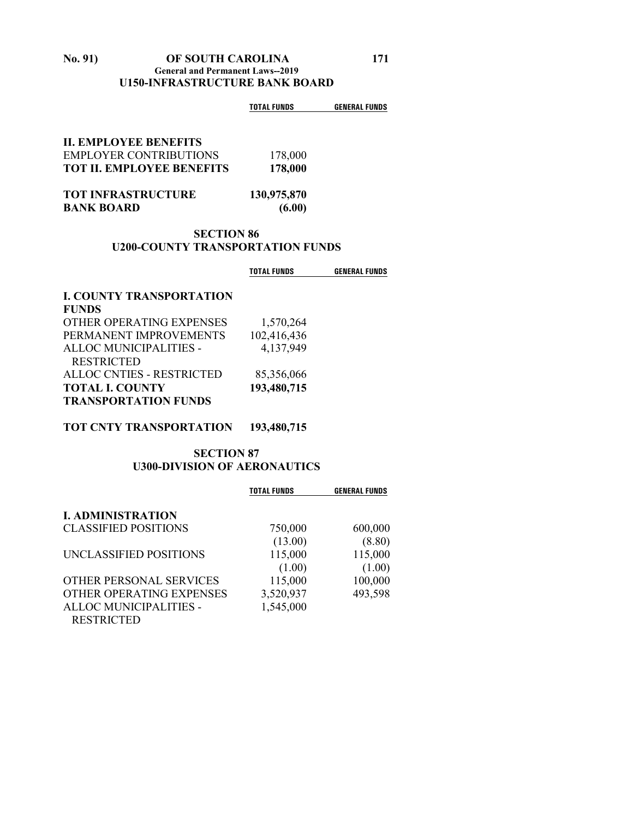#### **No. 91) OF SOUTH CAROLINA 171 General and Permanent Laws--2019 U150-INFRASTRUCTURE BANK BOARD**

|                                                | <b>TOTAL FUNDS</b>    | <b>GENERAL FUNDS</b> |
|------------------------------------------------|-----------------------|----------------------|
| <b>II. EMPLOYEE BENEFITS</b>                   |                       |                      |
| <b>EMPLOYER CONTRIBUTIONS</b>                  | 178,000               |                      |
| <b>TOT II. EMPLOYEE BENEFITS</b>               | 178,000               |                      |
| <b>TOT INFRASTRUCTURE</b><br><b>BANK BOARD</b> | 130,975,870<br>(6.00) |                      |

#### **SECTION 86 U200-COUNTY TRANSPORTATION FUNDS**

|                                  | <b>TOTAL FUNDS</b> | <b>GENERAL FUNDS</b> |
|----------------------------------|--------------------|----------------------|
| <b>I. COUNTY TRANSPORTATION</b>  |                    |                      |
| <b>FUNDS</b>                     |                    |                      |
| OTHER OPERATING EXPENSES         | 1,570,264          |                      |
| PERMANENT IMPROVEMENTS           | 102,416,436        |                      |
| ALLOC MUNICIPALITIES -           | 4,137,949          |                      |
| <b>RESTRICTED</b>                |                    |                      |
| <b>ALLOC CNTIES - RESTRICTED</b> | 85,356,066         |                      |
| <b>TOTAL I. COUNTY</b>           | 193,480,715        |                      |
| <b>TRANSPORTATION FUNDS</b>      |                    |                      |

#### **TOT CNTY TRANSPORTATION 193,480,715**

#### **SECTION 87 U300-DIVISION OF AERONAUTICS**

|                             | <b>TOTAL FUNDS</b> | <b>GENERAL FUNDS</b> |
|-----------------------------|--------------------|----------------------|
| <b>I. ADMINISTRATION</b>    |                    |                      |
| <b>CLASSIFIED POSITIONS</b> | 750,000            | 600,000              |
|                             | (13.00)            | (8.80)               |
| UNCLASSIFIED POSITIONS      | 115,000            | 115,000              |
|                             | (1.00)             | (1.00)               |
| OTHER PERSONAL SERVICES     | 115,000            | 100,000              |
| OTHER OPERATING EXPENSES    | 3,520,937          | 493,598              |
| ALLOC MUNICIPALITIES -      | 1,545,000          |                      |
| <b>RESTRICTED</b>           |                    |                      |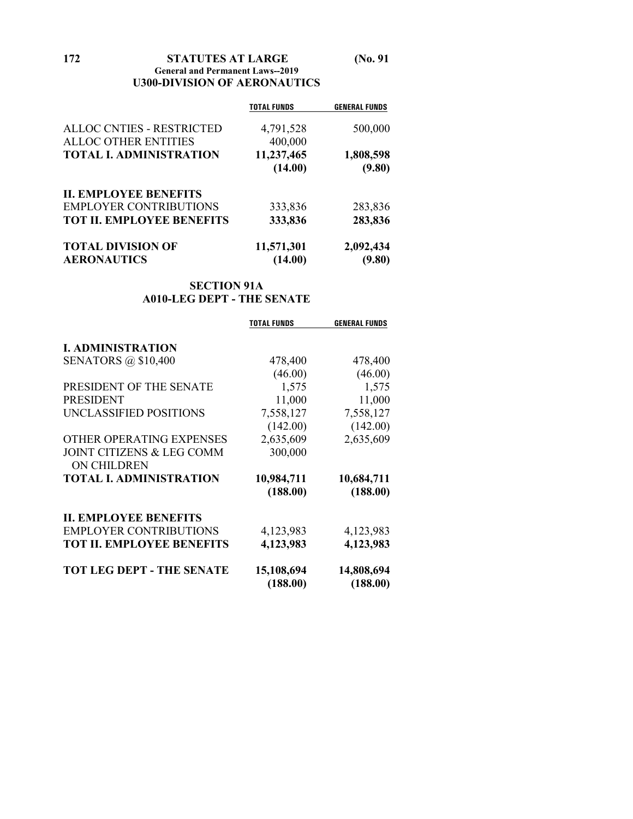**172 STATUTES AT LARGE (No. 91 General and Permanent Laws--2019 U300-DIVISION OF AERONAUTICS**

|                                  | <b>TOTAL FUNDS</b> | <b>GENERAL FUNDS</b> |
|----------------------------------|--------------------|----------------------|
| <b>ALLOC CNTIES - RESTRICTED</b> | 4,791,528          | 500,000              |
| <b>ALLOC OTHER ENTITIES</b>      | 400,000            |                      |
| <b>TOTAL I. ADMINISTRATION</b>   | 11,237,465         | 1,808,598            |
|                                  | (14.00)            | (9.80)               |
| <b>II. EMPLOYEE BENEFITS</b>     |                    |                      |
| <b>EMPLOYER CONTRIBUTIONS</b>    | 333,836            | 283,836              |
| <b>TOT II. EMPLOYEE BENEFITS</b> | 333,836            | 283,836              |
| <b>TOTAL DIVISION OF</b>         | 11,571,301         | 2,092,434            |
| <b>AERONAUTICS</b>               | (14.00)            | (9.80)               |

#### **SECTION 91A A010-LEG DEPT - THE SENATE**

|                                                            | <b>TOTAL FUNDS</b>     | <b>GENERAL FUNDS</b>   |
|------------------------------------------------------------|------------------------|------------------------|
| <b>I. ADMINISTRATION</b>                                   |                        |                        |
| <b>SENATORS</b> @ \$10,400                                 | 478,400                | 478,400                |
|                                                            | (46.00)                | (46.00)                |
| PRESIDENT OF THE SENATE                                    | 1,575                  | 1,575                  |
| <b>PRESIDENT</b>                                           | 11,000                 | 11,000                 |
| UNCLASSIFIED POSITIONS                                     | 7,558,127              | 7,558,127              |
|                                                            | (142.00)               | (142.00)               |
| OTHER OPERATING EXPENSES                                   | 2,635,609              | 2,635,609              |
| <b>JOINT CITIZENS &amp; LEG COMM</b><br><b>ON CHILDREN</b> | 300,000                |                        |
| <b>TOTAL I. ADMINISTRATION</b>                             | 10,984,711             | 10,684,711             |
|                                                            | (188.00)               | (188.00)               |
| <b>II. EMPLOYEE BENEFITS</b>                               |                        |                        |
| <b>EMPLOYER CONTRIBUTIONS</b>                              | 4,123,983              | 4,123,983              |
| <b>TOT II. EMPLOYEE BENEFITS</b>                           | 4,123,983              | 4,123,983              |
| <b>TOT LEG DEPT - THE SENATE</b>                           | 15,108,694<br>(188.00) | 14,808,694<br>(188.00) |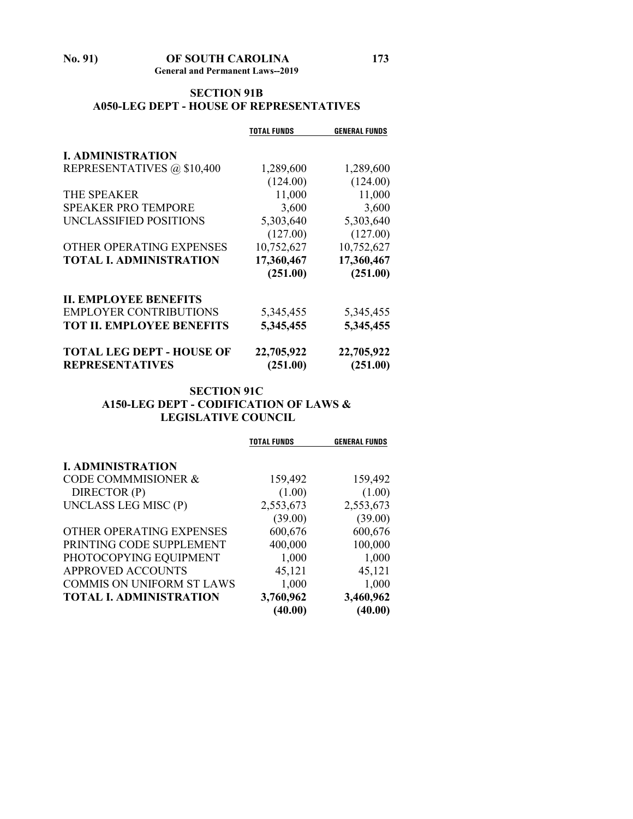#### **No. 91) OF SOUTH CAROLINA 173 General and Permanent Laws--2019**

#### **SECTION 91B A050-LEG DEPT - HOUSE OF REPRESENTATIVES**

|                                  | <b>TOTAL FUNDS</b> | <b>GENERAL FUNDS</b> |
|----------------------------------|--------------------|----------------------|
| <b>I. ADMINISTRATION</b>         |                    |                      |
| REPRESENTATIVES @ \$10,400       | 1,289,600          | 1,289,600            |
|                                  | (124.00)           | (124.00)             |
| THE SPEAKER                      | 11,000             | 11,000               |
| <b>SPEAKER PRO TEMPORE</b>       | 3,600              | 3,600                |
| UNCLASSIFIED POSITIONS           | 5,303,640          | 5,303,640            |
|                                  | (127.00)           | (127.00)             |
| OTHER OPERATING EXPENSES         | 10,752,627         | 10,752,627           |
| <b>TOTAL I. ADMINISTRATION</b>   | 17,360,467         | 17,360,467           |
|                                  | (251.00)           | (251.00)             |
| <b>II. EMPLOYEE BENEFITS</b>     |                    |                      |
| <b>EMPLOYER CONTRIBUTIONS</b>    | 5,345,455          | 5,345,455            |
| <b>TOT II. EMPLOYEE BENEFITS</b> | 5,345,455          | 5,345,455            |
| <b>TOTAL LEG DEPT - HOUSE OF</b> | 22,705,922         | 22,705,922           |
| <b>REPRESENTATIVES</b>           | (251.00)           | (251.00)             |

#### **SECTION 91C A150-LEG DEPT - CODIFICATION OF LAWS & LEGISLATIVE COUNCIL**

|                                  | <b>TOTAL FUNDS</b>   | <b>GENERAL FUNDS</b> |
|----------------------------------|----------------------|----------------------|
| <b>I. ADMINISTRATION</b>         |                      |                      |
| <b>CODE COMMMISIONER &amp;</b>   | 159,492              | 159,492              |
| DIRECTOR (P)                     | (1.00)               | (1.00)               |
| UNCLASS LEG MISC (P)             | 2,553,673            | 2,553,673            |
|                                  | (39.00)              | (39.00)              |
| OTHER OPERATING EXPENSES         | 600,676              | 600,676              |
| PRINTING CODE SUPPLEMENT         | 400,000              | 100,000              |
| PHOTOCOPYING EQUIPMENT           | 1,000                | 1,000                |
| <b>APPROVED ACCOUNTS</b>         | 45,121               | 45,121               |
| <b>COMMIS ON UNIFORM ST LAWS</b> | 1,000                | 1,000                |
| <b>TOTAL I. ADMINISTRATION</b>   | 3,760,962<br>(40.00) | 3,460,962<br>(40.00) |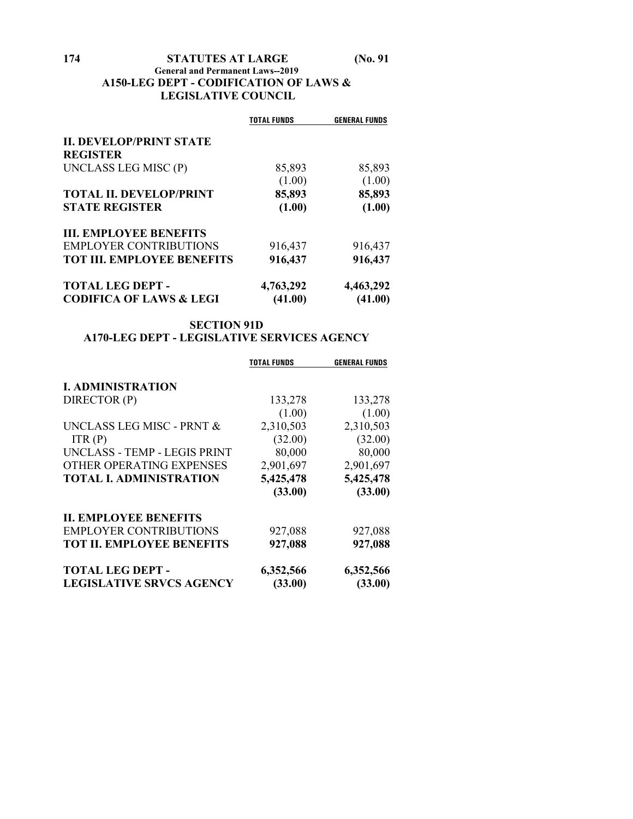#### **174 STATUTES AT LARGE (No. 91 General and Permanent Laws--2019 A150-LEG DEPT - CODIFICATION OF LAWS & LEGISLATIVE COUNCIL**

|                                    | <b>TOTAL FUNDS</b> | <b>GENERAL FUNDS</b> |
|------------------------------------|--------------------|----------------------|
| <b>II. DEVELOP/PRINT STATE</b>     |                    |                      |
| <b>REGISTER</b>                    |                    |                      |
| UNCLASS LEG MISC (P)               | 85,893             | 85,893               |
|                                    | (1.00)             | (1.00)               |
| <b>TOTAL II. DEVELOP/PRINT</b>     | 85,893             | 85,893               |
| <b>STATE REGISTER</b>              | (1.00)             | (1.00)               |
| <b>III. EMPLOYEE BENEFITS</b>      |                    |                      |
| <b>EMPLOYER CONTRIBUTIONS</b>      | 916,437            | 916,437              |
| <b>TOT III. EMPLOYEE BENEFITS</b>  | 916,437            | 916,437              |
| <b>TOTAL LEG DEPT -</b>            | 4,763,292          | 4,463,292            |
| <b>CODIFICA OF LAWS &amp; LEGI</b> | (41.00)            | (41.00)              |

#### **SECTION 91D A170-LEG DEPT - LEGISLATIVE SERVICES AGENCY**

|                                      | <b>TOTAL FUNDS</b> | <b>GENERAL FUNDS</b> |
|--------------------------------------|--------------------|----------------------|
| <b>I. ADMINISTRATION</b>             |                    |                      |
| DIRECTOR (P)                         | 133,278            | 133,278              |
|                                      | (1.00)             | (1.00)               |
| <b>UNCLASS LEG MISC - PRNT &amp;</b> | 2,310,503          | 2,310,503            |
| ITR(P)                               | (32.00)            | (32.00)              |
| UNCLASS - TEMP - LEGIS PRINT         | 80,000             | 80,000               |
| OTHER OPERATING EXPENSES             | 2,901,697          | 2,901,697            |
| <b>TOTAL I. ADMINISTRATION</b>       | 5,425,478          | 5,425,478            |
|                                      | (33.00)            | (33.00)              |
| <b>II. EMPLOYEE BENEFITS</b>         |                    |                      |
| <b>EMPLOYER CONTRIBUTIONS</b>        | 927,088            | 927,088              |
| <b>TOT II. EMPLOYEE BENEFITS</b>     | 927,088            | 927,088              |
| <b>TOTAL LEG DEPT -</b>              | 6,352,566          | 6,352,566            |
| <b>LEGISLATIVE SRVCS AGENCY</b>      | (33.00)            | (33.00)              |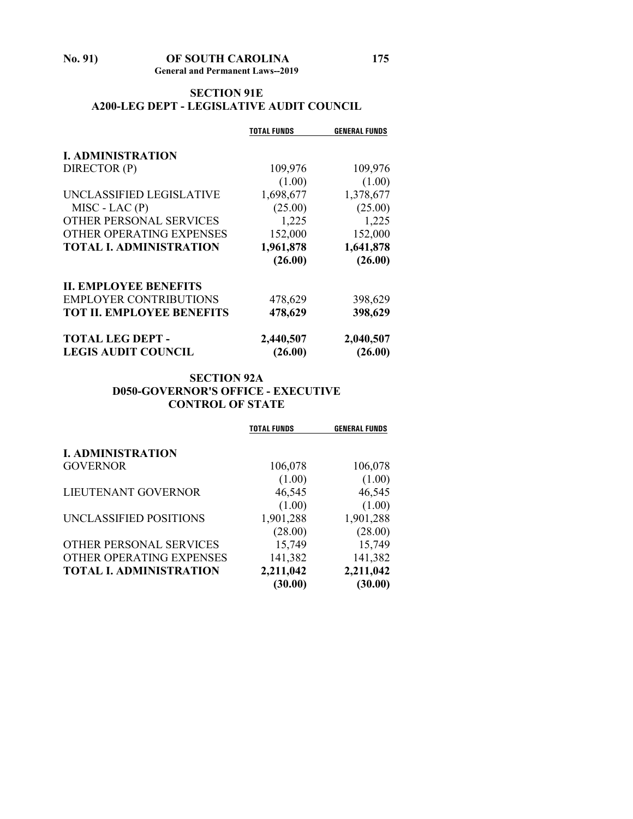#### **SECTION 91E A200-LEG DEPT - LEGISLATIVE AUDIT COUNCIL**

|                                  | <b>TOTAL FUNDS</b> | <b>GENERAL FUNDS</b> |
|----------------------------------|--------------------|----------------------|
|                                  |                    |                      |
| <b>I. ADMINISTRATION</b>         |                    |                      |
| DIRECTOR (P)                     | 109,976            | 109,976              |
|                                  | (1.00)             | (1.00)               |
| UNCLASSIFIED LEGISLATIVE         | 1,698,677          | 1,378,677            |
| $MISC$ - LAC $(P)$               | (25.00)            | (25.00)              |
| OTHER PERSONAL SERVICES          | 1,225              | 1,225                |
| OTHER OPERATING EXPENSES         | 152,000            | 152,000              |
| <b>TOTAL I. ADMINISTRATION</b>   | 1,961,878          | 1,641,878            |
|                                  | (26.00)            | (26.00)              |
| <b>II. EMPLOYEE BENEFITS</b>     |                    |                      |
| <b>EMPLOYER CONTRIBUTIONS</b>    | 478,629            | 398,629              |
| <b>TOT II. EMPLOYEE BENEFITS</b> | 478,629            | 398,629              |
| <b>TOTAL LEG DEPT -</b>          | 2,440,507          | 2,040,507            |
| <b>LEGIS AUDIT COUNCIL</b>       | (26.00)            | (26.00)              |

#### **SECTION 92A D050-GOVERNOR'S OFFICE - EXECUTIVE CONTROL OF STATE**

|                                | <b>TOTAL FUNDS</b> | <b>GENERAL FUNDS</b> |
|--------------------------------|--------------------|----------------------|
| <b>I. ADMINISTRATION</b>       |                    |                      |
| <b>GOVERNOR</b>                | 106,078            | 106,078              |
|                                | (1.00)             | (1.00)               |
| LIEUTENANT GOVERNOR            | 46,545             | 46,545               |
|                                | (1.00)             | (1.00)               |
| UNCLASSIFIED POSITIONS         | 1,901,288          | 1,901,288            |
|                                | (28.00)            | (28.00)              |
| OTHER PERSONAL SERVICES        | 15,749             | 15,749               |
| OTHER OPERATING EXPENSES       | 141,382            | 141,382              |
| <b>TOTAL I. ADMINISTRATION</b> | 2,211,042          | 2,211,042            |
|                                | (30.00)            | (30.00)              |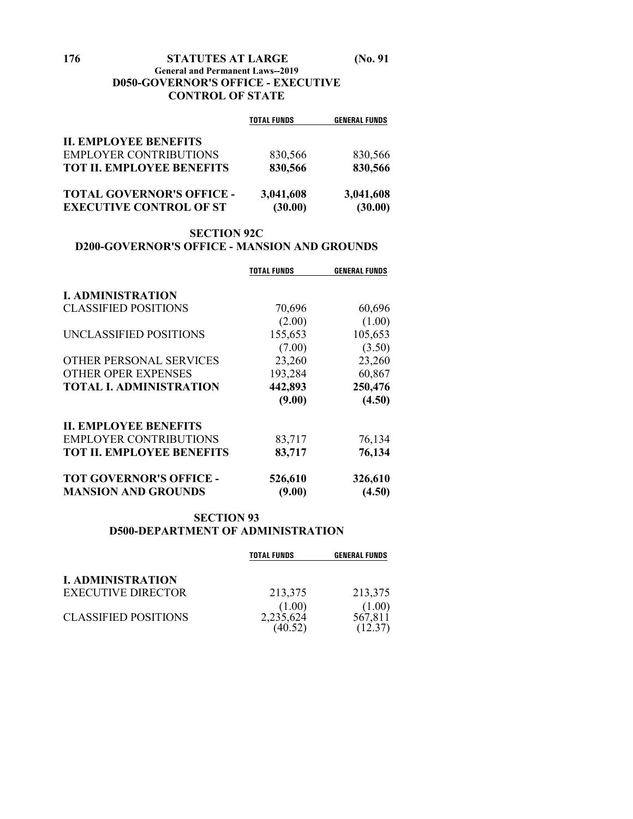#### **176 STATUTES AT LARGE (No. 91**

#### **General and Permanent Laws--2019 D050-GOVERNOR'S OFFICE - EXECUTIVE CONTROL OF STATE**

|                                  | <b>TOTAL FUNDS</b> | <b>GENERAL FUNDS</b> |
|----------------------------------|--------------------|----------------------|
| <b>II. EMPLOYEE BENEFITS</b>     |                    |                      |
| <b>EMPLOYER CONTRIBUTIONS</b>    | 830,566            | 830,566              |
| <b>TOT II. EMPLOYEE BENEFITS</b> | 830,566            | 830,566              |
| <b>TOTAL GOVERNOR'S OFFICE -</b> | 3,041,608          | 3,041,608            |
| <b>EXECUTIVE CONTROL OF ST</b>   | (30.00)            | (30.00)              |

#### **SECTION 92C**

#### **D200-GOVERNOR'S OFFICE - MANSION AND GROUNDS**

|                                  | <b>TOTAL FUNDS</b> | <b>GENERAL FUNDS</b> |
|----------------------------------|--------------------|----------------------|
| <b>I. ADMINISTRATION</b>         |                    |                      |
| <b>CLASSIFIED POSITIONS</b>      | 70,696             | 60,696               |
|                                  | (2.00)             | (1.00)               |
| UNCLASSIFIED POSITIONS           | 155,653            | 105,653              |
|                                  | (7.00)             | (3.50)               |
| OTHER PERSONAL SERVICES          | 23,260             | 23,260               |
| <b>OTHER OPER EXPENSES</b>       | 193,284            | 60,867               |
| <b>TOTAL I. ADMINISTRATION</b>   | 442,893            | 250,476              |
|                                  | (9.00)             | (4.50)               |
| <b>II. EMPLOYEE BENEFITS</b>     |                    |                      |
| <b>EMPLOYER CONTRIBUTIONS</b>    | 83,717             | 76,134               |
| <b>TOT II. EMPLOYEE BENEFITS</b> | 83,717             | 76,134               |
| <b>TOT GOVERNOR'S OFFICE -</b>   | 526,610            | 326,610              |
| <b>MANSION AND GROUNDS</b>       | (9.00)             | (4.50)               |

#### **SECTION 93 D500-DEPARTMENT OF ADMINISTRATION**

|                             | <b>TOTAL FUNDS</b>             | <b>GENERAL FUNDS</b> |
|-----------------------------|--------------------------------|----------------------|
| <b>I. ADMINISTRATION</b>    |                                |                      |
| <b>EXECUTIVE DIRECTOR</b>   | 213,375                        | 213,375              |
| <b>CLASSIFIED POSITIONS</b> | (1.00)<br>2,235,624<br>(40.52) | (1.00)<br>567,811    |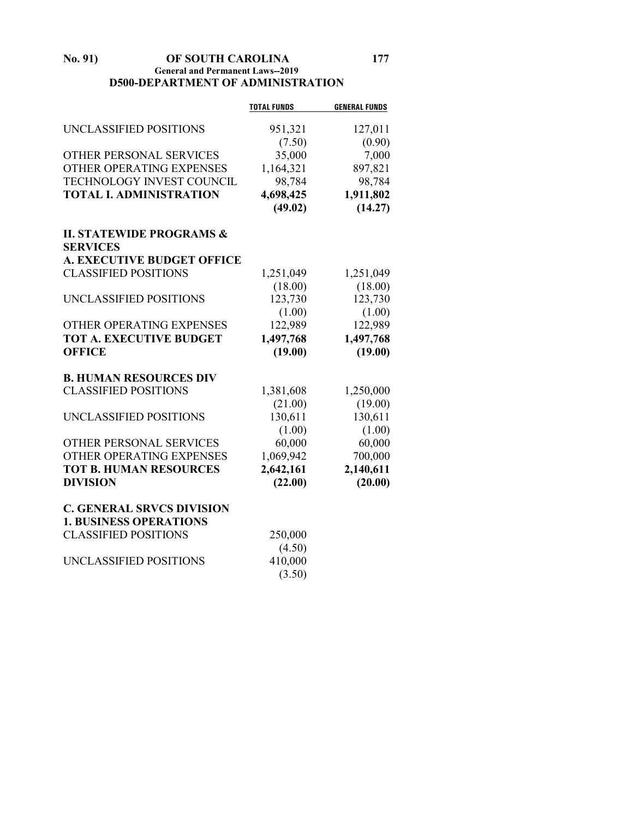#### **No. 91) OF SOUTH CAROLINA 177 General and Permanent Laws--2019 D500-DEPARTMENT OF ADMINISTRATION**

|                                     | <b>TOTAL FUNDS</b> | <b>GENERAL FUNDS</b> |
|-------------------------------------|--------------------|----------------------|
| UNCLASSIFIED POSITIONS              | 951,321            | 127,011              |
|                                     | (7.50)             | (0.90)               |
| OTHER PERSONAL SERVICES             | 35,000             | 7,000                |
| OTHER OPERATING EXPENSES            | 1,164,321          | 897,821              |
| TECHNOLOGY INVEST COUNCIL           | 98,784             | 98,784               |
| <b>TOTAL I. ADMINISTRATION</b>      | 4,698,425          | 1,911,802            |
|                                     | (49.02)            | (14.27)              |
|                                     |                    |                      |
| <b>II. STATEWIDE PROGRAMS &amp;</b> |                    |                      |
| <b>SERVICES</b>                     |                    |                      |
| <b>A. EXECUTIVE BUDGET OFFICE</b>   |                    |                      |
| <b>CLASSIFIED POSITIONS</b>         | 1,251,049          | 1,251,049            |
|                                     | (18.00)            | (18.00)              |
| UNCLASSIFIED POSITIONS              | 123,730            | 123,730              |
|                                     | (1.00)             | (1.00)               |
| OTHER OPERATING EXPENSES            | 122,989            | 122,989              |
| <b>TOT A. EXECUTIVE BUDGET</b>      | 1,497,768          | 1,497,768            |
| <b>OFFICE</b>                       | (19.00)            | (19.00)              |
|                                     |                    |                      |
| <b>B. HUMAN RESOURCES DIV</b>       |                    |                      |
| <b>CLASSIFIED POSITIONS</b>         | 1,381,608          | 1,250,000            |
|                                     | (21.00)            | (19.00)              |
| UNCLASSIFIED POSITIONS              | 130,611            | 130,611              |
|                                     | (1.00)             | (1.00)               |
| OTHER PERSONAL SERVICES             | 60,000             | 60,000               |
| OTHER OPERATING EXPENSES            | 1,069,942          | 700,000              |
| <b>TOT B. HUMAN RESOURCES</b>       | 2,642,161          | 2,140,611            |
| <b>DIVISION</b>                     | (22.00)            | (20.00)              |
|                                     |                    |                      |
| <b>C. GENERAL SRVCS DIVISION</b>    |                    |                      |
| <b>1. BUSINESS OPERATIONS</b>       |                    |                      |
| <b>CLASSIFIED POSITIONS</b>         | 250,000            |                      |
|                                     | (4.50)             |                      |
| UNCLASSIFIED POSITIONS              | 410,000            |                      |
|                                     | (3.50)             |                      |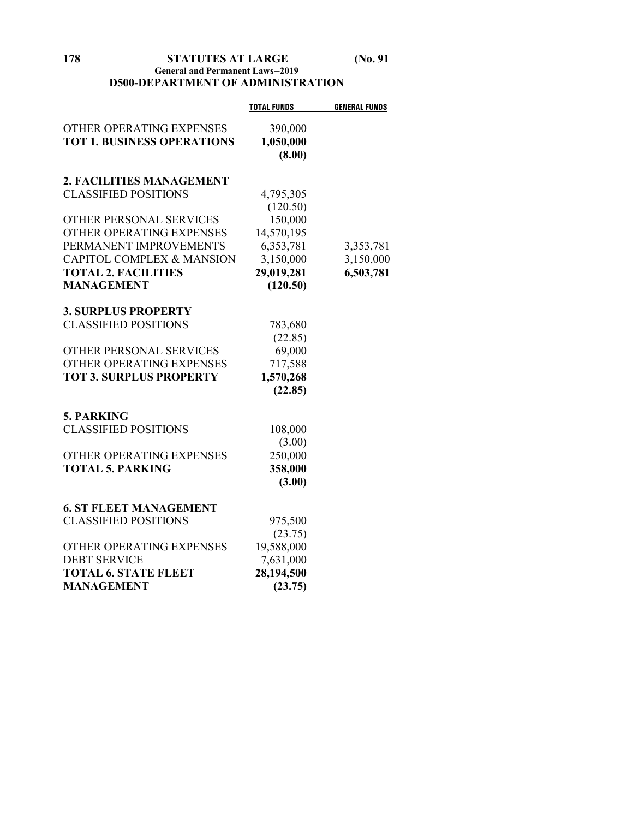**178 STATUTES AT LARGE (No. 91**

#### **General and Permanent Laws--2019 D500-DEPARTMENT OF ADMINISTRATION**

|                                                               | <b>TOTAL FUNDS</b>   | <b>GENERAL FUNDS</b> |
|---------------------------------------------------------------|----------------------|----------------------|
| OTHER OPERATING EXPENSES<br><b>TOT 1. BUSINESS OPERATIONS</b> | 390,000<br>1,050,000 |                      |
|                                                               | (8.00)               |                      |
| 2. FACILITIES MANAGEMENT                                      |                      |                      |
| <b>CLASSIFIED POSITIONS</b>                                   | 4,795,305            |                      |
|                                                               | (120.50)             |                      |
| OTHER PERSONAL SERVICES                                       | 150,000              |                      |
| OTHER OPERATING EXPENSES                                      | 14,570,195           |                      |
| PERMANENT IMPROVEMENTS                                        | 6,353,781            | 3,353,781            |
| CAPITOL COMPLEX & MANSION                                     | 3,150,000            | 3,150,000            |
| <b>TOTAL 2. FACILITIES</b>                                    | 29,019,281           | 6,503,781            |
| <b>MANAGEMENT</b>                                             | (120.50)             |                      |
| <b>3. SURPLUS PROPERTY</b>                                    |                      |                      |
| <b>CLASSIFIED POSITIONS</b>                                   | 783,680              |                      |
|                                                               | (22.85)              |                      |
| OTHER PERSONAL SERVICES                                       | 69,000               |                      |
| OTHER OPERATING EXPENSES                                      | 717,588              |                      |
| <b>TOT 3. SURPLUS PROPERTY</b>                                | 1,570,268            |                      |
|                                                               | (22.85)              |                      |
| <b>5. PARKING</b>                                             |                      |                      |
| <b>CLASSIFIED POSITIONS</b>                                   | 108,000              |                      |
|                                                               | (3.00)               |                      |
| OTHER OPERATING EXPENSES                                      | 250,000              |                      |
| <b>TOTAL 5. PARKING</b>                                       | 358,000              |                      |
|                                                               | (3.00)               |                      |
|                                                               |                      |                      |
| <b>6. ST FLEET MANAGEMENT</b>                                 |                      |                      |
| <b>CLASSIFIED POSITIONS</b>                                   | 975,500              |                      |
|                                                               | (23.75)              |                      |
| OTHER OPERATING EXPENSES                                      | 19,588,000           |                      |
| <b>DEBT SERVICE</b>                                           | 7,631,000            |                      |
| <b>TOTAL 6. STATE FLEET</b>                                   | 28,194,500           |                      |
| <b>MANAGEMENT</b>                                             | (23.75)              |                      |
|                                                               |                      |                      |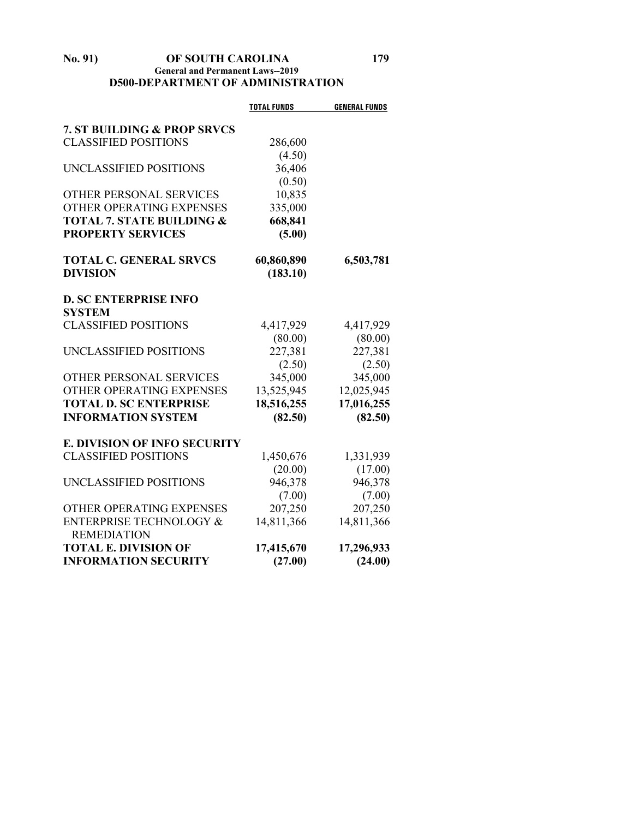#### **No. 91) OF SOUTH CAROLINA 179 General and Permanent Laws--2019 D500-DEPARTMENT OF ADMINISTRATION**

|                                               | <b>TOTAL FUNDS</b> | <b>GENERAL FUNDS</b> |
|-----------------------------------------------|--------------------|----------------------|
| <b>7. ST BUILDING &amp; PROP SRVCS</b>        |                    |                      |
| <b>CLASSIFIED POSITIONS</b>                   | 286,600            |                      |
|                                               |                    |                      |
| UNCLASSIFIED POSITIONS                        | (4.50)             |                      |
|                                               | 36,406             |                      |
|                                               | (0.50)             |                      |
| OTHER PERSONAL SERVICES                       | 10,835             |                      |
| OTHER OPERATING EXPENSES                      | 335,000            |                      |
| <b>TOTAL 7. STATE BUILDING &amp;</b>          | 668,841            |                      |
| <b>PROPERTY SERVICES</b>                      | (5.00)             |                      |
| <b>TOTAL C. GENERAL SRVCS</b>                 | 60,860,890         | 6,503,781            |
| <b>DIVISION</b>                               | (183.10)           |                      |
| <b>D. SC ENTERPRISE INFO</b>                  |                    |                      |
| <b>SYSTEM</b>                                 |                    |                      |
| <b>CLASSIFIED POSITIONS</b>                   | 4,417,929          | 4,417,929            |
|                                               | (80.00)            | (80.00)              |
| UNCLASSIFIED POSITIONS                        | 227,381            | 227,381              |
|                                               | (2.50)             | (2.50)               |
| OTHER PERSONAL SERVICES                       | 345,000            | 345,000              |
| OTHER OPERATING EXPENSES                      | 13,525,945         | 12,025,945           |
| <b>TOTAL D. SC ENTERPRISE</b>                 | 18,516,255         | 17,016,255           |
| <b>INFORMATION SYSTEM</b>                     | (82.50)            | (82.50)              |
| <b>E. DIVISION OF INFO SECURITY</b>           |                    |                      |
| <b>CLASSIFIED POSITIONS</b>                   | 1,450,676          | 1,331,939            |
|                                               | (20.00)            | (17.00)              |
| UNCLASSIFIED POSITIONS                        | 946,378            | 946,378              |
|                                               | (7.00)             | (7.00)               |
| OTHER OPERATING EXPENSES                      | 207,250            | 207,250              |
|                                               |                    |                      |
| ENTERPRISE TECHNOLOGY &<br><b>REMEDIATION</b> | 14,811,366         | 14,811,366           |
| <b>TOTAL E. DIVISION OF</b>                   | 17,415,670         | 17,296,933           |
| <b>INFORMATION SECURITY</b>                   | (27.00)            | (24.00)              |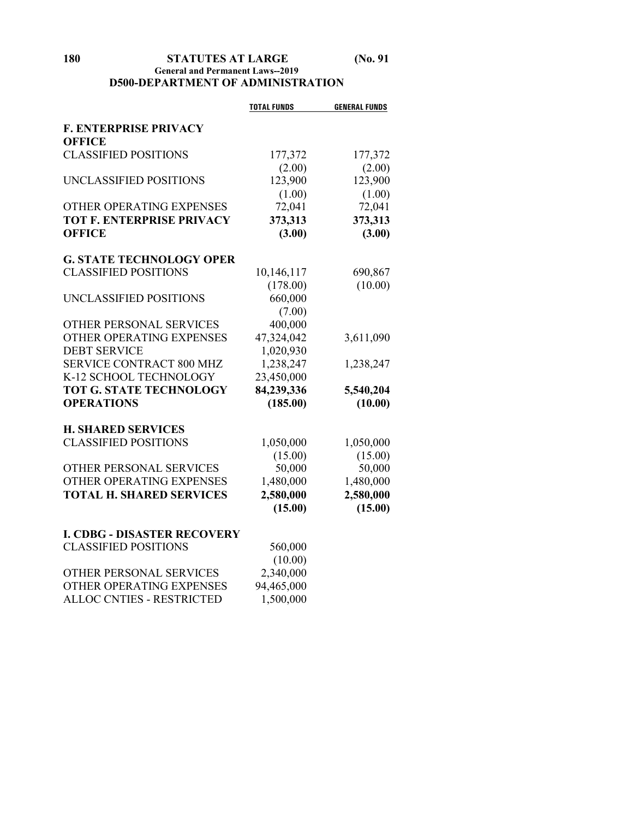#### **180 STATUTES AT LARGE (No. 91 General and Permanent Laws--2019 D500-DEPARTMENT OF ADMINISTRATION**

|                                    | <b>TOTAL FUNDS</b> | <b>GENERAL FUNDS</b> |
|------------------------------------|--------------------|----------------------|
| <b>F. ENTERPRISE PRIVACY</b>       |                    |                      |
| <b>OFFICE</b>                      |                    |                      |
| <b>CLASSIFIED POSITIONS</b>        | 177,372            | 177,372              |
|                                    | (2.00)             | (2.00)               |
| UNCLASSIFIED POSITIONS             | 123,900            | 123,900              |
|                                    | (1.00)             | (1.00)               |
| OTHER OPERATING EXPENSES           | 72,041             | 72,041               |
| <b>TOT F. ENTERPRISE PRIVACY</b>   | 373,313            | 373,313              |
| <b>OFFICE</b>                      | (3.00)             | (3.00)               |
| <b>G. STATE TECHNOLOGY OPER</b>    |                    |                      |
| <b>CLASSIFIED POSITIONS</b>        | 10,146,117         | 690,867              |
|                                    | (178.00)           | (10.00)              |
| UNCLASSIFIED POSITIONS             | 660,000            |                      |
|                                    | (7.00)             |                      |
| OTHER PERSONAL SERVICES            | 400,000            |                      |
| OTHER OPERATING EXPENSES           | 47,324,042         | 3,611,090            |
| <b>DEBT SERVICE</b>                | 1,020,930          |                      |
| SERVICE CONTRACT 800 MHZ           | 1,238,247          | 1,238,247            |
| K-12 SCHOOL TECHNOLOGY             | 23,450,000         |                      |
| <b>TOT G. STATE TECHNOLOGY</b>     | 84,239,336         | 5,540,204            |
| <b>OPERATIONS</b>                  | (185.00)           | (10.00)              |
| <b>H. SHARED SERVICES</b>          |                    |                      |
| <b>CLASSIFIED POSITIONS</b>        | 1,050,000          | 1,050,000            |
|                                    | (15.00)            | (15.00)              |
| OTHER PERSONAL SERVICES            | 50,000             | 50,000               |
| OTHER OPERATING EXPENSES           | 1,480,000          | 1,480,000            |
| <b>TOTAL H. SHARED SERVICES</b>    | 2,580,000          | 2,580,000            |
|                                    | (15.00)            | (15.00)              |
| <b>I. CDBG - DISASTER RECOVERY</b> |                    |                      |
| <b>CLASSIFIED POSITIONS</b>        | 560,000            |                      |
|                                    | (10.00)            |                      |
| OTHER PERSONAL SERVICES            | 2,340,000          |                      |
| OTHER OPERATING EXPENSES           | 94,465,000         |                      |
| <b>ALLOC CNTIES - RESTRICTED</b>   | 1,500,000          |                      |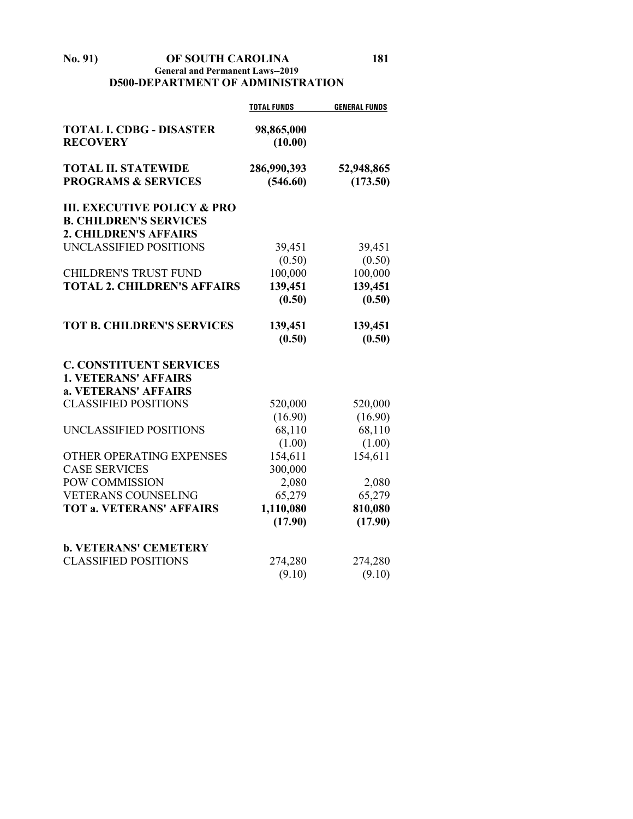#### **No. 91) OF SOUTH CAROLINA 181 General and Permanent Laws--2019 D500-DEPARTMENT OF ADMINISTRATION**

|                                                                         | <b>TOTAL FUNDS</b>      | <b>GENERAL FUNDS</b>   |
|-------------------------------------------------------------------------|-------------------------|------------------------|
| <b>TOTAL I. CDBG - DISASTER</b><br><b>RECOVERY</b>                      | 98,865,000<br>(10.00)   |                        |
| <b>TOTAL II. STATEWIDE</b><br><b>PROGRAMS &amp; SERVICES</b>            | 286,990,393<br>(546.60) | 52,948,865<br>(173.50) |
| <b>III. EXECUTIVE POLICY &amp; PRO</b><br><b>B. CHILDREN'S SERVICES</b> |                         |                        |
| <b>2. CHILDREN'S AFFAIRS</b><br>UNCLASSIFIED POSITIONS                  | 39,451                  | 39,451                 |
| <b>CHILDREN'S TRUST FUND</b>                                            | (0.50)<br>100,000       | (0.50)<br>100,000      |
| <b>TOTAL 2. CHILDREN'S AFFAIRS</b>                                      | 139,451<br>(0.50)       | 139,451<br>(0.50)      |
| <b>TOT B. CHILDREN'S SERVICES</b>                                       | 139,451<br>(0.50)       | 139,451<br>(0.50)      |
| <b>C. CONSTITUENT SERVICES</b>                                          |                         |                        |
| <b>1. VETERANS' AFFAIRS</b>                                             |                         |                        |
| a. VETERANS' AFFAIRS                                                    |                         |                        |
| <b>CLASSIFIED POSITIONS</b>                                             | 520,000                 | 520,000                |
|                                                                         | (16.90)                 | (16.90)                |
| UNCLASSIFIED POSITIONS                                                  | 68,110                  | 68,110                 |
| OTHER OPERATING EXPENSES                                                | (1.00)<br>154,611       | (1.00)<br>154,611      |
| <b>CASE SERVICES</b>                                                    | 300,000                 |                        |
| POW COMMISSION                                                          | 2,080                   | 2,080                  |
| <b>VETERANS COUNSELING</b>                                              | 65,279                  | 65,279                 |
| <b>TOT a. VETERANS' AFFAIRS</b>                                         | 1,110,080<br>(17.90)    | 810,080<br>(17.90)     |
| <b>b. VETERANS' CEMETERY</b>                                            |                         |                        |
| <b>CLASSIFIED POSITIONS</b>                                             | 274,280                 | 274,280                |
|                                                                         | (9.10)                  | (9.10)                 |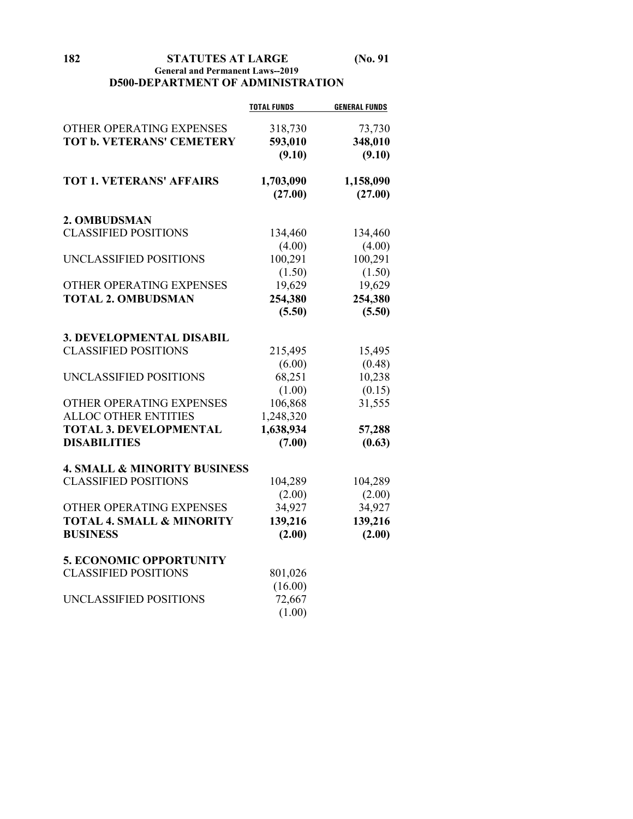**182 STATUTES AT LARGE (No. 91**

#### **General and Permanent Laws--2019 D500-DEPARTMENT OF ADMINISTRATION**

|                                         | <b>TOTAL FUNDS</b> | <b>GENERAL FUNDS</b> |
|-----------------------------------------|--------------------|----------------------|
| OTHER OPERATING EXPENSES                | 318,730            | 73,730               |
| <b>TOT b. VETERANS' CEMETERY</b>        | 593,010            | 348,010              |
|                                         | (9.10)             | (9.10)               |
|                                         |                    |                      |
| <b>TOT 1. VETERANS' AFFAIRS</b>         | 1,703,090          | 1,158,090            |
|                                         | (27.00)            | (27.00)              |
| 2. OMBUDSMAN                            |                    |                      |
| <b>CLASSIFIED POSITIONS</b>             | 134,460            | 134,460              |
|                                         | (4.00)             | (4.00)               |
| UNCLASSIFIED POSITIONS                  | 100,291            | 100,291              |
|                                         | (1.50)             | (1.50)               |
| OTHER OPERATING EXPENSES                | 19,629             | 19,629               |
| <b>TOTAL 2. OMBUDSMAN</b>               | 254,380            | 254,380              |
|                                         | (5.50)             | (5.50)               |
|                                         |                    |                      |
| <b>3. DEVELOPMENTAL DISABIL</b>         |                    |                      |
| <b>CLASSIFIED POSITIONS</b>             | 215,495            | 15,495               |
|                                         | (6.00)             | (0.48)               |
| UNCLASSIFIED POSITIONS                  | 68,251             | 10,238               |
|                                         | (1.00)             | (0.15)               |
| OTHER OPERATING EXPENSES                | 106,868            | 31,555               |
| <b>ALLOC OTHER ENTITIES</b>             | 1,248,320          |                      |
| <b>TOTAL 3. DEVELOPMENTAL</b>           | 1,638,934          | 57,288               |
| <b>DISABILITIES</b>                     | (7.00)             | (0.63)               |
| <b>4. SMALL &amp; MINORITY BUSINESS</b> |                    |                      |
| <b>CLASSIFIED POSITIONS</b>             | 104,289            | 104,289              |
|                                         | (2.00)             | (2.00)               |
| OTHER OPERATING EXPENSES                | 34,927             | 34,927               |
| <b>TOTAL 4. SMALL &amp; MINORITY</b>    | 139,216            | 139,216              |
| <b>BUSINESS</b>                         | (2.00)             | (2.00)               |
| <b>5. ECONOMIC OPPORTUNITY</b>          |                    |                      |
| <b>CLASSIFIED POSITIONS</b>             | 801,026            |                      |
|                                         | (16.00)            |                      |
| UNCLASSIFIED POSITIONS                  | 72,667             |                      |
|                                         | (1.00)             |                      |
|                                         |                    |                      |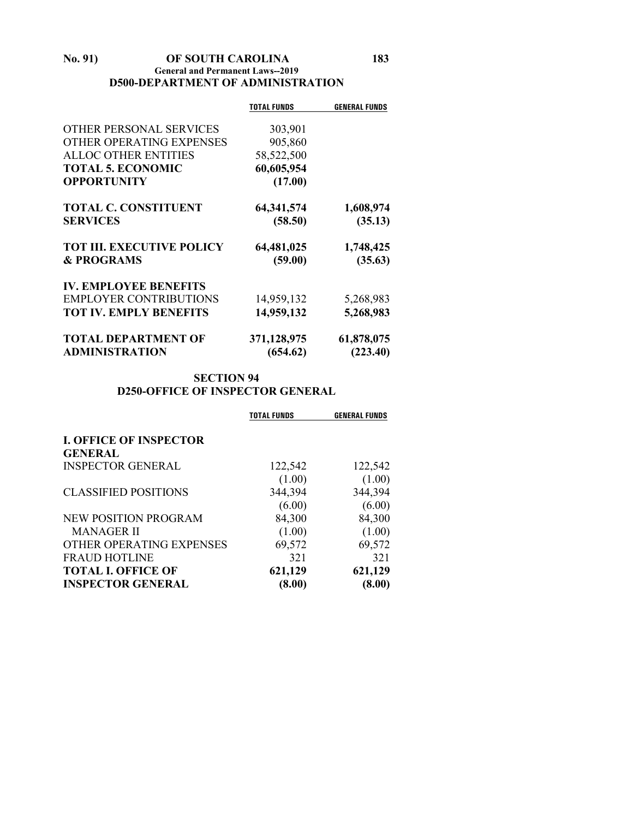#### **No. 91) OF SOUTH CAROLINA 183 General and Permanent Laws--2019 D500-DEPARTMENT OF ADMINISTRATION**

|                                  | <b>TOTAL FUNDS</b> | <b>GENERAL FUNDS</b> |
|----------------------------------|--------------------|----------------------|
|                                  |                    |                      |
| <b>OTHER PERSONAL SERVICES</b>   | 303,901            |                      |
| OTHER OPERATING EXPENSES         | 905,860            |                      |
| <b>ALLOC OTHER ENTITIES</b>      | 58,522,500         |                      |
| <b>TOTAL 5. ECONOMIC</b>         | 60,605,954         |                      |
| <b>OPPORTUNITY</b>               | (17.00)            |                      |
| <b>TOTAL C. CONSTITUENT</b>      | 64, 341, 574       | 1,608,974            |
| <b>SERVICES</b>                  | (58.50)            | (35.13)              |
| <b>TOT III. EXECUTIVE POLICY</b> | 64,481,025         | 1,748,425            |
| <b>&amp; PROGRAMS</b>            | (59.00)            | (35.63)              |
| <b>IV. EMPLOYEE BENEFITS</b>     |                    |                      |
| <b>EMPLOYER CONTRIBUTIONS</b>    | 14,959,132         | 5,268,983            |
| <b>TOT IV. EMPLY BENEFITS</b>    | 14,959,132         | 5,268,983            |
| <b>TOTAL DEPARTMENT OF</b>       | 371,128,975        | 61,878,075           |
| <b>ADMINISTRATION</b>            | (654.62)           | (223.40)             |

# **SECTION 94 D250-OFFICE OF INSPECTOR GENERAL**

|                               | TOTAL FUNDS | <b>GENERAL FUNDS</b> |
|-------------------------------|-------------|----------------------|
| <b>I. OFFICE OF INSPECTOR</b> |             |                      |
| <b>GENERAL</b>                |             |                      |
| <b>INSPECTOR GENERAL</b>      | 122,542     | 122,542              |
|                               | (1.00)      | (1.00)               |
| <b>CLASSIFIED POSITIONS</b>   | 344,394     | 344,394              |
|                               | (6.00)      | (6.00)               |
| <b>NEW POSITION PROGRAM</b>   | 84,300      | 84,300               |
| <b>MANAGER II</b>             | (1.00)      | (1.00)               |
| OTHER OPERATING EXPENSES      | 69,572      | 69,572               |
| <b>FRAUD HOTLINE</b>          | 321         | 321                  |
| <b>TOTAL I. OFFICE OF</b>     | 621,129     | 621,129              |
| <b>INSPECTOR GENERAL</b>      | (8.00)      | (8.00)               |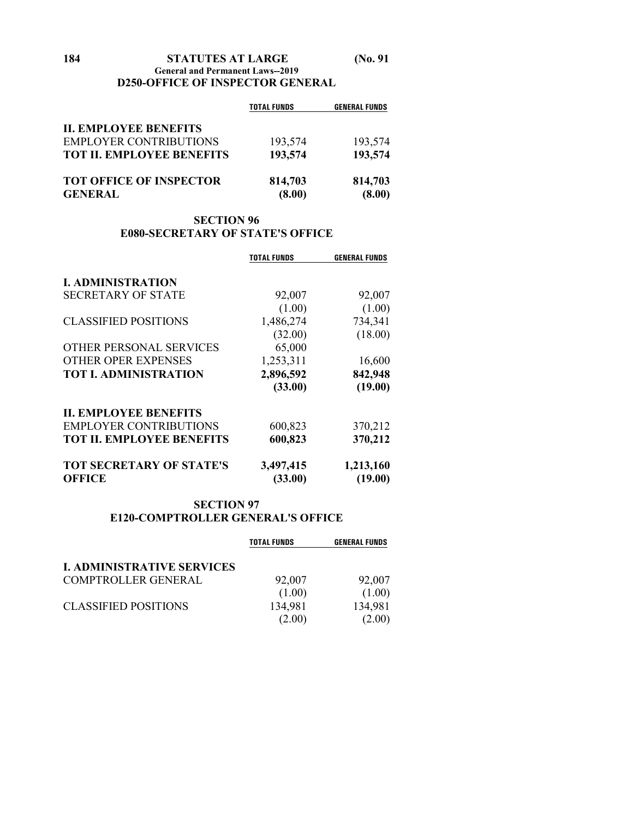|                                  | <b>TOTAL FUNDS</b> | <b>GENERAL FUNDS</b> |
|----------------------------------|--------------------|----------------------|
| <b>II. EMPLOYEE BENEFITS</b>     |                    |                      |
| <b>EMPLOYER CONTRIBUTIONS</b>    | 193,574            | 193,574              |
| <b>TOT II. EMPLOYEE BENEFITS</b> | 193,574            | 193,574              |
| <b>TOT OFFICE OF INSPECTOR</b>   | 814,703            | 814,703              |
| <b>GENERAL</b>                   | (8.00)             | (8.00)               |

# **SECTION 96 E080-SECRETARY OF STATE'S OFFICE**

|                                  | <b>TOTAL FUNDS</b> | <b>GENERAL FUNDS</b> |
|----------------------------------|--------------------|----------------------|
| <b>I. ADMINISTRATION</b>         |                    |                      |
| <b>SECRETARY OF STATE</b>        | 92,007             | 92,007               |
|                                  | (1.00)             | (1.00)               |
| <b>CLASSIFIED POSITIONS</b>      | 1,486,274          | 734,341              |
|                                  | (32.00)            | (18.00)              |
| OTHER PERSONAL SERVICES          | 65,000             |                      |
| <b>OTHER OPER EXPENSES</b>       | 1,253,311          | 16,600               |
| <b>TOT I. ADMINISTRATION</b>     | 2,896,592          | 842,948              |
|                                  | (33.00)            | (19.00)              |
| <b>II. EMPLOYEE BENEFITS</b>     |                    |                      |
| <b>EMPLOYER CONTRIBUTIONS</b>    | 600,823            | 370,212              |
| <b>TOT II. EMPLOYEE BENEFITS</b> | 600,823            | 370,212              |
| <b>TOT SECRETARY OF STATE'S</b>  | 3,497,415          | 1,213,160            |
| <b>OFFICE</b>                    | (33.00)            | (19.00)              |

# **SECTION 97 E120-COMPTROLLER GENERAL'S OFFICE**

|                                   | <b>TOTAL FUNDS</b> | <b>GENERAL FUNDS</b> |
|-----------------------------------|--------------------|----------------------|
| <b>I. ADMINISTRATIVE SERVICES</b> |                    |                      |
| <b>COMPTROLLER GENERAL</b>        | 92,007             | 92,007               |
|                                   | (1.00)             | (1.00)               |
| <b>CLASSIFIED POSITIONS</b>       | 134,981            | 134,981              |
|                                   | (2.00)             | (2.00)               |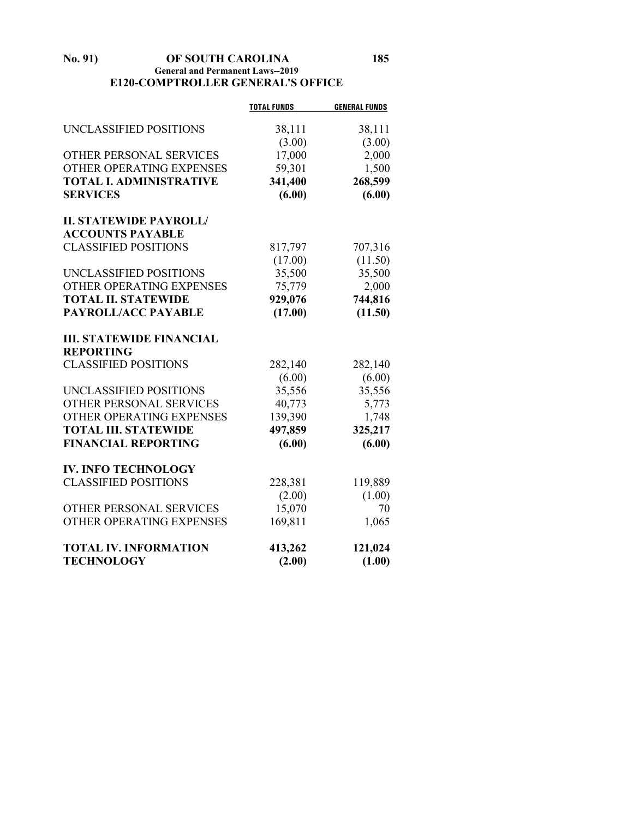#### **No. 91) OF SOUTH CAROLINA 185 General and Permanent Laws--2019 E120-COMPTROLLER GENERAL'S OFFICE**

|                                 | <b>TOTAL FUNDS</b> | <b>GENERAL FUNDS</b> |
|---------------------------------|--------------------|----------------------|
| UNCLASSIFIED POSITIONS          | 38,111             | 38,111               |
|                                 | (3.00)             | (3.00)               |
| OTHER PERSONAL SERVICES         | 17,000             | 2,000                |
| OTHER OPERATING EXPENSES        | 59,301             | 1,500                |
| <b>TOTAL I. ADMINISTRATIVE</b>  | 341,400            | 268,599              |
| <b>SERVICES</b>                 | (6.00)             | (6.00)               |
|                                 |                    |                      |
| <b>II. STATEWIDE PAYROLL/</b>   |                    |                      |
| <b>ACCOUNTS PAYABLE</b>         |                    |                      |
| <b>CLASSIFIED POSITIONS</b>     | 817,797            | 707,316              |
|                                 | (17.00)            | (11.50)              |
| UNCLASSIFIED POSITIONS          | 35,500             | 35,500               |
| OTHER OPERATING EXPENSES        | 75,779             | 2,000                |
| <b>TOTAL II. STATEWIDE</b>      | 929,076            | 744,816              |
| PAYROLL/ACC PAYABLE             | (17.00)            | (11.50)              |
|                                 |                    |                      |
| <b>III. STATEWIDE FINANCIAL</b> |                    |                      |
| <b>REPORTING</b>                |                    |                      |
| <b>CLASSIFIED POSITIONS</b>     | 282,140            | 282,140              |
|                                 | (6.00)             | (6.00)               |
| UNCLASSIFIED POSITIONS          | 35,556             | 35,556               |
| OTHER PERSONAL SERVICES         | 40,773             | 5,773                |
| OTHER OPERATING EXPENSES        | 139,390            | 1,748                |
| <b>TOTAL III. STATEWIDE</b>     | 497,859            | 325,217              |
| <b>FINANCIAL REPORTING</b>      | (6.00)             | (6.00)               |
| <b>IV. INFO TECHNOLOGY</b>      |                    |                      |
| <b>CLASSIFIED POSITIONS</b>     | 228,381            | 119,889              |
|                                 | (2.00)             | (1.00)               |
| OTHER PERSONAL SERVICES         | 15,070             | 70                   |
| OTHER OPERATING EXPENSES        | 169,811            | 1,065                |
| <b>TOTAL IV. INFORMATION</b>    | 413,262            | 121,024              |
| <b>TECHNOLOGY</b>               | (2.00)             | (1.00)               |
|                                 |                    |                      |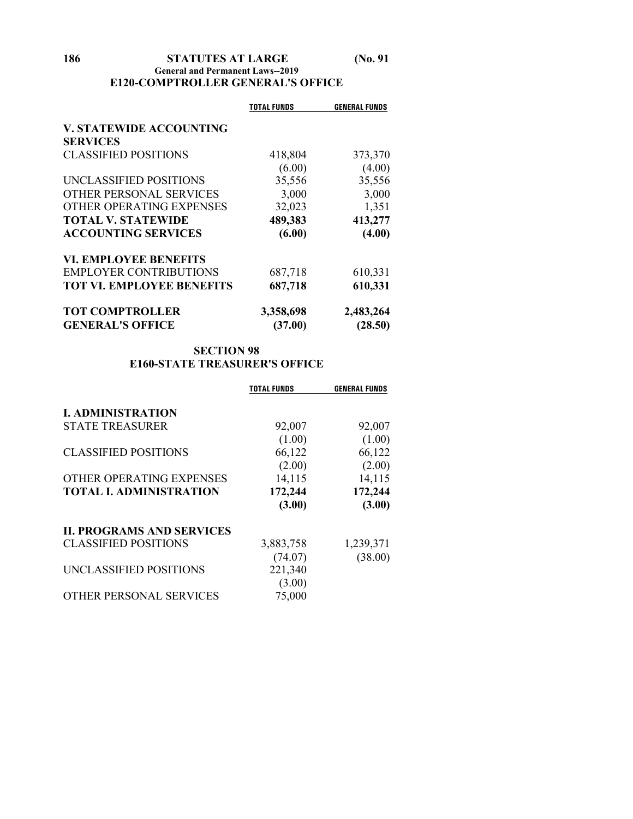#### **186 STATUTES AT LARGE (No. 91 General and Permanent Laws--2019 E120-COMPTROLLER GENERAL'S OFFICE**

|                                  | <b>TOTAL FUNDS</b> | <b>GENERAL FUNDS</b> |
|----------------------------------|--------------------|----------------------|
| <b>V. STATEWIDE ACCOUNTING</b>   |                    |                      |
| <b>SERVICES</b>                  |                    |                      |
| <b>CLASSIFIED POSITIONS</b>      | 418,804            | 373,370              |
|                                  | (6.00)             | (4.00)               |
| UNCLASSIFIED POSITIONS           | 35,556             | 35,556               |
| OTHER PERSONAL SERVICES          | 3,000              | 3,000                |
| OTHER OPERATING EXPENSES         | 32,023             | 1,351                |
| <b>TOTAL V. STATEWIDE</b>        | 489,383            | 413,277              |
| <b>ACCOUNTING SERVICES</b>       | (6.00)             | (4.00)               |
| <b>VI. EMPLOYEE BENEFITS</b>     |                    |                      |
| <b>EMPLOYER CONTRIBUTIONS</b>    | 687,718            | 610,331              |
| <b>TOT VI. EMPLOYEE BENEFITS</b> | 687,718            | 610,331              |
| <b>TOT COMPTROLLER</b>           | 3,358,698          | 2,483,264            |
| <b>GENERAL'S OFFICE</b>          | (37.00)            | (28.50)              |

# **SECTION 98 E160-STATE TREASURER'S OFFICE**

|                                  | <b>TOTAL FUNDS</b> | <b>GENERAL FUNDS</b> |
|----------------------------------|--------------------|----------------------|
| <b>I. ADMINISTRATION</b>         |                    |                      |
| <b>STATE TREASURER</b>           | 92,007             | 92,007               |
|                                  | (1.00)             | (1.00)               |
| <b>CLASSIFIED POSITIONS</b>      | 66,122             | 66,122               |
|                                  | (2.00)             | (2.00)               |
| OTHER OPERATING EXPENSES         | 14,115             | 14,115               |
| <b>TOTAL I. ADMINISTRATION</b>   | 172,244            | 172,244              |
|                                  | (3.00)             | (3.00)               |
| <b>II. PROGRAMS AND SERVICES</b> |                    |                      |
| <b>CLASSIFIED POSITIONS</b>      | 3,883,758          | 1,239,371            |
|                                  | (74.07)            | (38.00)              |
| UNCLASSIFIED POSITIONS           | 221,340            |                      |
|                                  | (3.00)             |                      |
| THER PERSONAL SERVICES           | 75,000             |                      |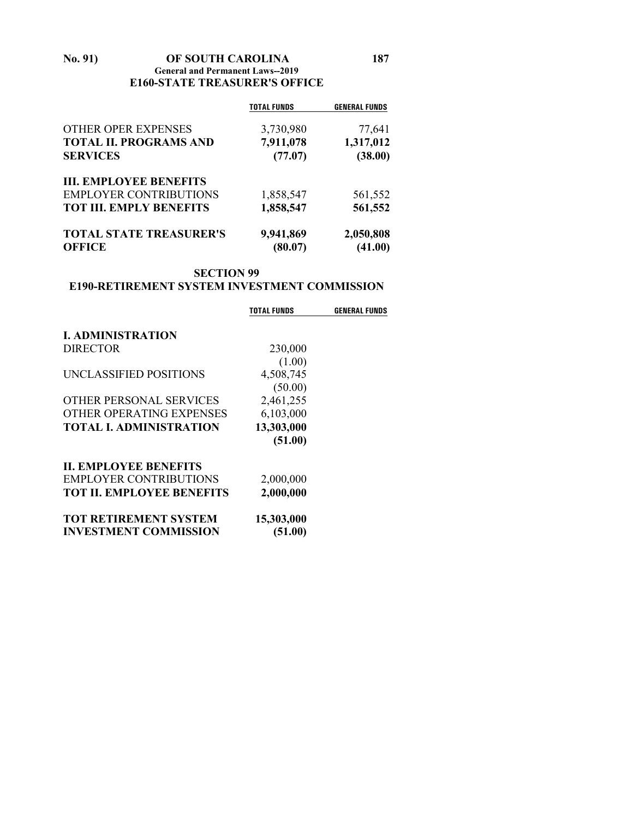#### **No. 91) OF SOUTH CAROLINA 187 General and Permanent Laws--2019 E160-STATE TREASURER'S OFFICE**

| <b>TOTAL FUNDS</b> | <b>GENERAL FUNDS</b> |
|--------------------|----------------------|
| 3,730,980          | 77,641               |
| 7,911,078          | 1,317,012            |
| (77.07)            | (38.00)              |
|                    |                      |
| 1,858,547          | 561,552              |
| 1,858,547          | 561,552              |
| 9,941,869          | 2,050,808<br>(41.00) |
|                    | (80.07)              |

# **SECTION 99**

# **E190-RETIREMENT SYSTEM INVESTMENT COMMISSION**

|                                  | TOTAL FUNDS | <b>GENERAL FUNDS</b> |
|----------------------------------|-------------|----------------------|
| <b>I. ADMINISTRATION</b>         |             |                      |
| <b>DIRECTOR</b>                  | 230,000     |                      |
|                                  | (1.00)      |                      |
| UNCLASSIFIED POSITIONS           | 4,508,745   |                      |
|                                  | (50.00)     |                      |
| OTHER PERSONAL SERVICES          | 2,461,255   |                      |
| OTHER OPERATING EXPENSES         | 6,103,000   |                      |
| <b>TOTAL L ADMINISTRATION</b>    | 13,303,000  |                      |
|                                  | (51.00)     |                      |
| <b>II. EMPLOYEE BENEFITS</b>     |             |                      |
| <b>EMPLOYER CONTRIBUTIONS</b>    | 2,000,000   |                      |
| <b>TOT II. EMPLOYEE BENEFITS</b> | 2,000,000   |                      |
| <b>TOT RETIREMENT SYSTEM</b>     | 15,303,000  |                      |
| <b>INVESTMENT COMMISSION</b>     | (51.00)     |                      |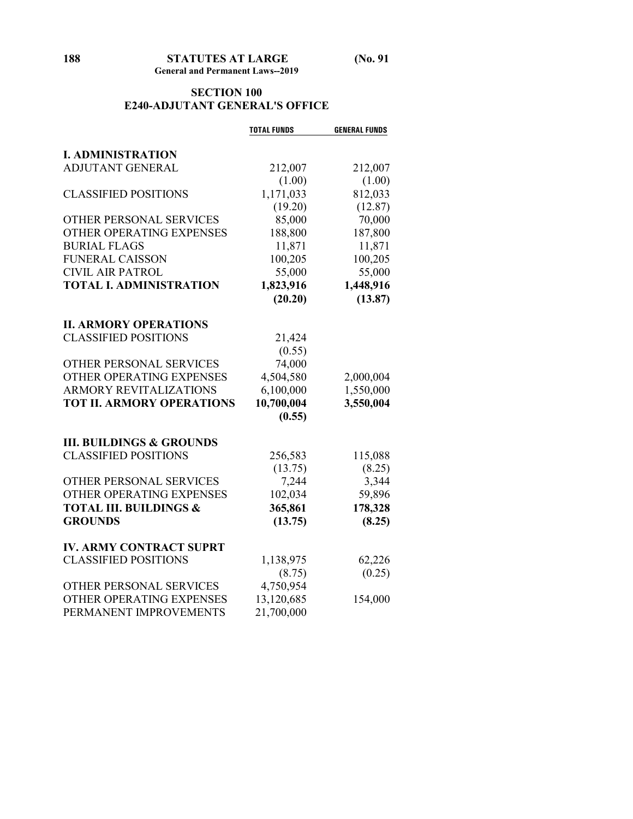#### **SECTION 100 E240-ADJUTANT GENERAL'S OFFICE**

|                                                     | <b>TOTAL FUNDS</b>  | <b>GENERAL FUNDS</b> |
|-----------------------------------------------------|---------------------|----------------------|
| <b>I. ADMINISTRATION</b>                            |                     |                      |
| <b>ADJUTANT GENERAL</b>                             | 212,007             | 212,007              |
|                                                     | (1.00)              | (1.00)               |
| <b>CLASSIFIED POSITIONS</b>                         | 1,171,033           | 812,033              |
|                                                     | (19.20)             | (12.87)              |
| OTHER PERSONAL SERVICES                             | 85,000              | 70,000               |
| OTHER OPERATING EXPENSES                            | 188,800             | 187,800              |
| <b>BURIAL FLAGS</b>                                 | 11,871              | 11,871               |
| <b>FUNERAL CAISSON</b>                              | 100,205             | 100,205              |
| <b>CIVIL AIR PATROL</b>                             | 55,000              | 55,000               |
| <b>TOTAL I. ADMINISTRATION</b>                      | 1,823,916           | 1,448,916            |
|                                                     | (20.20)             | (13.87)              |
|                                                     |                     |                      |
| <b>II. ARMORY OPERATIONS</b>                        |                     |                      |
| <b>CLASSIFIED POSITIONS</b>                         | 21,424              |                      |
|                                                     | (0.55)              |                      |
| OTHER PERSONAL SERVICES                             | 74,000              |                      |
| OTHER OPERATING EXPENSES                            | 4,504,580           | 2,000,004            |
| <b>ARMORY REVITALIZATIONS</b>                       | 6,100,000           | 1,550,000            |
| <b>TOT II. ARMORY OPERATIONS</b>                    | 10,700,004          | 3,550,004            |
|                                                     | (0.55)              |                      |
| <b>III. BUILDINGS &amp; GROUNDS</b>                 |                     |                      |
| <b>CLASSIFIED POSITIONS</b>                         | 256,583             | 115,088              |
|                                                     | (13.75)             | (8.25)               |
| OTHER PERSONAL SERVICES                             | 7,244               | 3,344                |
| OTHER OPERATING EXPENSES                            | 102,034             | 59,896               |
| <b>TOTAL III. BUILDINGS &amp;</b>                   | 365,861             | 178,328              |
| <b>GROUNDS</b>                                      | (13.75)             | (8.25)               |
|                                                     |                     |                      |
| <b>IV. ARMY CONTRACT SUPRT</b>                      |                     |                      |
| <b>CLASSIFIED POSITIONS</b>                         | 1,138,975           | 62,226               |
|                                                     | (8.75)<br>4,750,954 | (0.25)               |
| OTHER PERSONAL SERVICES<br>OTHER OPERATING EXPENSES |                     |                      |
| PERMANENT IMPROVEMENTS                              | 13,120,685          | 154,000              |
|                                                     | 21,700,000          |                      |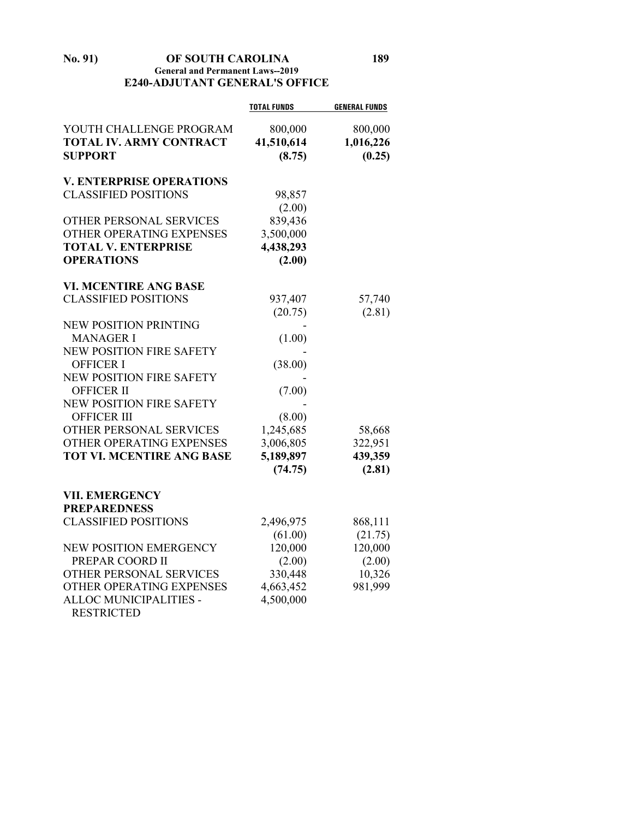**No. 91) OF SOUTH CAROLINA 189 General and Permanent Laws--2019 E240-ADJUTANT GENERAL'S OFFICE**

|                                  | <b>TOTAL FUNDS</b> | <b>GENERAL FUNDS</b> |
|----------------------------------|--------------------|----------------------|
| YOUTH CHALLENGE PROGRAM          | 800,000            | 800,000              |
| <b>TOTAL IV. ARMY CONTRACT</b>   | 41,510,614         | 1,016,226            |
| <b>SUPPORT</b>                   | (8.75)             | (0.25)               |
| <b>V. ENTERPRISE OPERATIONS</b>  |                    |                      |
| <b>CLASSIFIED POSITIONS</b>      | 98,857             |                      |
|                                  | (2.00)             |                      |
| <b>OTHER PERSONAL SERVICES</b>   | 839,436            |                      |
| OTHER OPERATING EXPENSES         | 3,500,000          |                      |
| <b>TOTAL V. ENTERPRISE</b>       | 4,438,293          |                      |
| <b>OPERATIONS</b>                | (2.00)             |                      |
| <b>VI. MCENTIRE ANG BASE</b>     |                    |                      |
| <b>CLASSIFIED POSITIONS</b>      | 937,407            | 57,740               |
|                                  | (20.75)            | (2.81)               |
| <b>NEW POSITION PRINTING</b>     |                    |                      |
| <b>MANAGER I</b>                 | (1.00)             |                      |
| NEW POSITION FIRE SAFETY         |                    |                      |
| <b>OFFICER I</b>                 | (38.00)            |                      |
| <b>NEW POSITION FIRE SAFETY</b>  |                    |                      |
| <b>OFFICER II</b>                | (7.00)             |                      |
| NEW POSITION FIRE SAFETY         |                    |                      |
| <b>OFFICER III</b>               | (8.00)             |                      |
| OTHER PERSONAL SERVICES          | 1,245,685          | 58,668               |
| OTHER OPERATING EXPENSES         | 3,006,805          | 322,951              |
| <b>TOT VI. MCENTIRE ANG BASE</b> | 5,189,897          | 439,359              |
|                                  | (74.75)            | (2.81)               |
| <b>VII. EMERGENCY</b>            |                    |                      |
| <b>PREPAREDNESS</b>              |                    |                      |
| <b>CLASSIFIED POSITIONS</b>      | 2,496,975          | 868,111              |
|                                  | (61.00)            | (21.75)              |
| NEW POSITION EMERGENCY           | 120,000            | 120,000              |
| PREPAR COORD II                  | (2.00)             | (2.00)               |
| OTHER PERSONAL SERVICES          | 330,448            | 10,326               |
| OTHER OPERATING EXPENSES         | 4,663,452          | 981,999              |
| ALLOC MUNICIPALITIES -           | 4,500,000          |                      |

RESTRICTED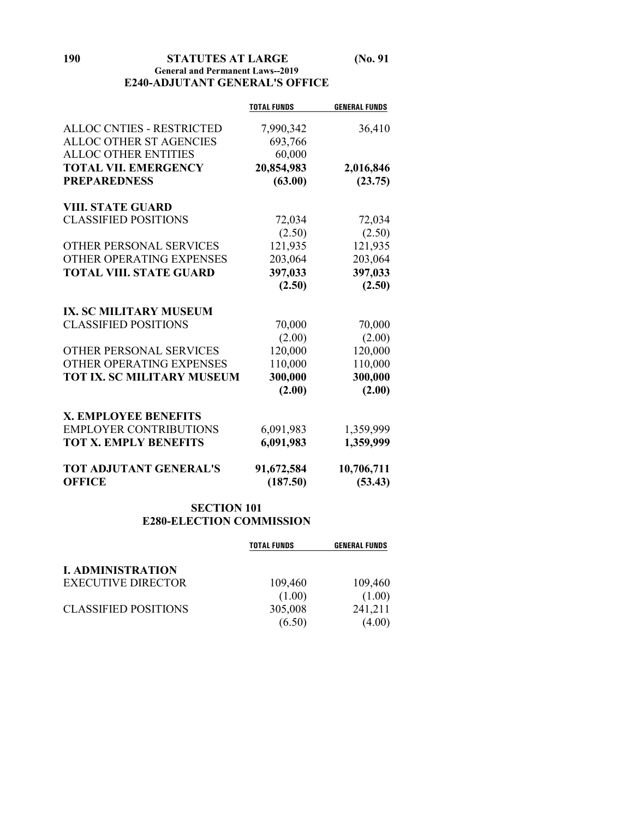**190 STATUTES AT LARGE (No. 91**

#### **General and Permanent Laws--2019 E240-ADJUTANT GENERAL'S OFFICE**

|                                                | <b>TOTAL FUNDS</b>     | <b>GENERAL FUNDS</b>  |
|------------------------------------------------|------------------------|-----------------------|
| <b>ALLOC CNTIES - RESTRICTED</b>               | 7,990,342              | 36,410                |
| <b>ALLOC OTHER ST AGENCIES</b>                 | 693,766                |                       |
| <b>ALLOC OTHER ENTITIES</b>                    | 60,000                 |                       |
| <b>TOTAL VII. EMERGENCY</b>                    | 20,854,983             | 2,016,846             |
| <b>PREPAREDNESS</b>                            | (63.00)                | (23.75)               |
|                                                |                        |                       |
| <b>VIII. STATE GUARD</b>                       |                        |                       |
| <b>CLASSIFIED POSITIONS</b>                    | 72,034                 | 72,034                |
|                                                | (2.50)                 | (2.50)                |
| OTHER PERSONAL SERVICES                        | 121,935                | 121,935               |
| OTHER OPERATING EXPENSES                       | 203,064                | 203,064               |
| <b>TOTAL VIII. STATE GUARD</b>                 | 397,033                | 397,033               |
|                                                | (2.50)                 | (2.50)                |
|                                                |                        |                       |
| <b>IX. SC MILITARY MUSEUM</b>                  |                        |                       |
| <b>CLASSIFIED POSITIONS</b>                    | 70,000                 | 70,000                |
|                                                | (2.00)                 | (2.00)                |
| OTHER PERSONAL SERVICES                        | 120,000                | 120,000               |
| OTHER OPERATING EXPENSES                       | 110,000                | 110,000               |
| <b>TOT IX. SC MILITARY MUSEUM</b>              | 300,000                | 300,000               |
|                                                | (2.00)                 | (2.00)                |
| <b>X. EMPLOYEE BENEFITS</b>                    |                        |                       |
| <b>EMPLOYER CONTRIBUTIONS</b>                  | 6,091,983              | 1,359,999             |
| <b>TOT X. EMPLY BENEFITS</b>                   | 6,091,983              | 1,359,999             |
|                                                |                        |                       |
| <b>TOT ADJUTANT GENERAL'S</b><br><b>OFFICE</b> | 91,672,584<br>(187.50) | 10,706,711<br>(53.43) |

# **SECTION 101 E280-ELECTION COMMISSION**

|                             | <b>TOTAL FUNDS</b> | <b>GENERAL FUNDS</b> |
|-----------------------------|--------------------|----------------------|
| <b>I. ADMINISTRATION</b>    |                    |                      |
| <b>EXECUTIVE DIRECTOR</b>   | 109,460            | 109,460              |
|                             | (1.00)             | (1.00)               |
| <b>CLASSIFIED POSITIONS</b> | 305,008            | 241,211              |
|                             | (6.50)             | (4.00)               |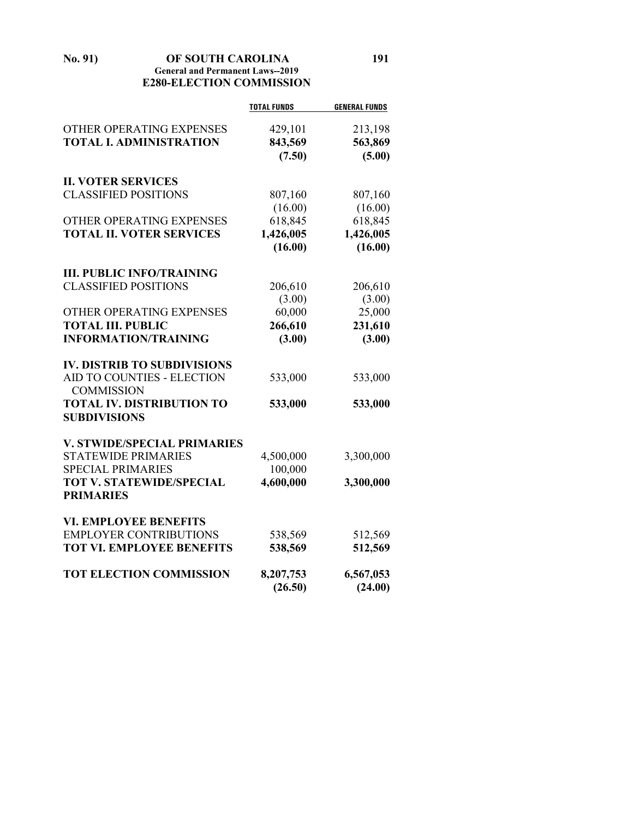**No. 91) OF SOUTH CAROLINA 191 General and Permanent Laws--2019 E280-ELECTION COMMISSION**

|                                    | <b>TOTAL FUNDS</b> | <b>GENERAL FUNDS</b> |
|------------------------------------|--------------------|----------------------|
| OTHER OPERATING EXPENSES           | 429,101            | 213,198              |
| <b>TOTAL I. ADMINISTRATION</b>     | 843,569            | 563,869              |
|                                    | (7.50)             | (5.00)               |
|                                    |                    |                      |
| <b>II. VOTER SERVICES</b>          |                    |                      |
| <b>CLASSIFIED POSITIONS</b>        | 807,160            | 807,160              |
|                                    | (16.00)            | (16.00)              |
| OTHER OPERATING EXPENSES           | 618,845            | 618,845              |
| <b>TOTAL II. VOTER SERVICES</b>    | 1,426,005          | 1,426,005            |
|                                    | (16.00)            | (16.00)              |
| <b>III. PUBLIC INFO/TRAINING</b>   |                    |                      |
| <b>CLASSIFIED POSITIONS</b>        | 206,610            | 206,610              |
|                                    | (3.00)             | (3.00)               |
| OTHER OPERATING EXPENSES           | 60,000             | 25,000               |
| <b>TOTAL III. PUBLIC</b>           | 266,610            | 231,610              |
| <b>INFORMATION/TRAINING</b>        | (3.00)             | (3.00)               |
| <b>IV. DISTRIB TO SUBDIVISIONS</b> |                    |                      |
| AID TO COUNTIES - ELECTION         | 533,000            | 533,000              |
| <b>COMMISSION</b>                  |                    |                      |
| <b>TOTAL IV. DISTRIBUTION TO</b>   | 533,000            | 533,000              |
| <b>SUBDIVISIONS</b>                |                    |                      |
| <b>V. STWIDE/SPECIAL PRIMARIES</b> |                    |                      |
| <b>STATEWIDE PRIMARIES</b>         | 4,500,000          | 3,300,000            |
| <b>SPECIAL PRIMARIES</b>           | 100,000            |                      |
| <b>TOT V. STATEWIDE/SPECIAL</b>    | 4,600,000          | 3,300,000            |
| <b>PRIMARIES</b>                   |                    |                      |
| <b>VI. EMPLOYEE BENEFITS</b>       |                    |                      |
| <b>EMPLOYER CONTRIBUTIONS</b>      | 538,569            | 512,569              |
| <b>TOT VI. EMPLOYEE BENEFITS</b>   | 538,569            | 512,569              |
| <b>TOT ELECTION COMMISSION</b>     | 8,207,753          | 6,567,053            |
|                                    | (26.50)            | (24.00)              |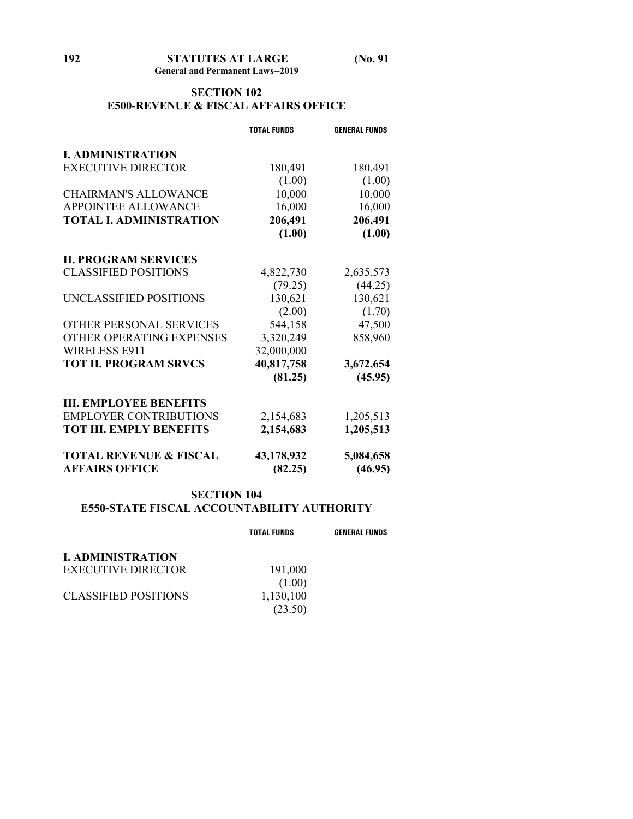# **SECTION 102 E500-REVENUE & FISCAL AFFAIRS OFFICE**

|                                   | <b>TOTAL FUNDS</b> | <b>GENERAL FUNDS</b> |
|-----------------------------------|--------------------|----------------------|
| <b>I. ADMINISTRATION</b>          |                    |                      |
| <b>EXECUTIVE DIRECTOR</b>         | 180,491            | 180,491              |
|                                   | (1.00)             | (1.00)               |
| <b>CHAIRMAN'S ALLOWANCE</b>       | 10,000             | 10,000               |
| APPOINTEE ALLOWANCE               | 16,000             | 16,000               |
| <b>TOTAL I. ADMINISTRATION</b>    | 206,491            | 206,491              |
|                                   | (1.00)             | (1.00)               |
| <b>II. PROGRAM SERVICES</b>       |                    |                      |
| <b>CLASSIFIED POSITIONS</b>       | 4,822,730          | 2,635,573            |
|                                   | (79.25)            | (44.25)              |
| UNCLASSIFIED POSITIONS            | 130,621            | 130,621              |
|                                   | (2.00)             | (1.70)               |
| OTHER PERSONAL SERVICES           | 544,158            | 47,500               |
| OTHER OPERATING EXPENSES          | 3,320,249          | 858,960              |
| <b>WIRELESS E911</b>              | 32,000,000         |                      |
| <b>TOT II. PROGRAM SRVCS</b>      | 40,817,758         | 3,672,654            |
|                                   | (81.25)            | (45.95)              |
| <b>III. EMPLOYEE BENEFITS</b>     |                    |                      |
| <b>EMPLOYER CONTRIBUTIONS</b>     | 2,154,683          | 1,205,513            |
| <b>TOT III. EMPLY BENEFITS</b>    | 2,154,683          | 1,205,513            |
| <b>TOTAL REVENUE &amp; FISCAL</b> | 43,178,932         | 5,084,658            |
| <b>AFFAIRS OFFICE</b>             | (82.25)            | (46.95)              |

# **SECTION 104 E550-STATE FISCAL ACCOUNTABILITY AUTHORITY**

|                             | <b>TOTAL FUNDS</b> | <b>GENERAL FUNDS</b> |
|-----------------------------|--------------------|----------------------|
| <b>L. ADMINISTRATION</b>    |                    |                      |
| <b>EXECUTIVE DIRECTOR</b>   | 191,000            |                      |
|                             | (1.00)             |                      |
| <b>CLASSIFIED POSITIONS</b> | 1,130,100          |                      |
|                             | (23.50)            |                      |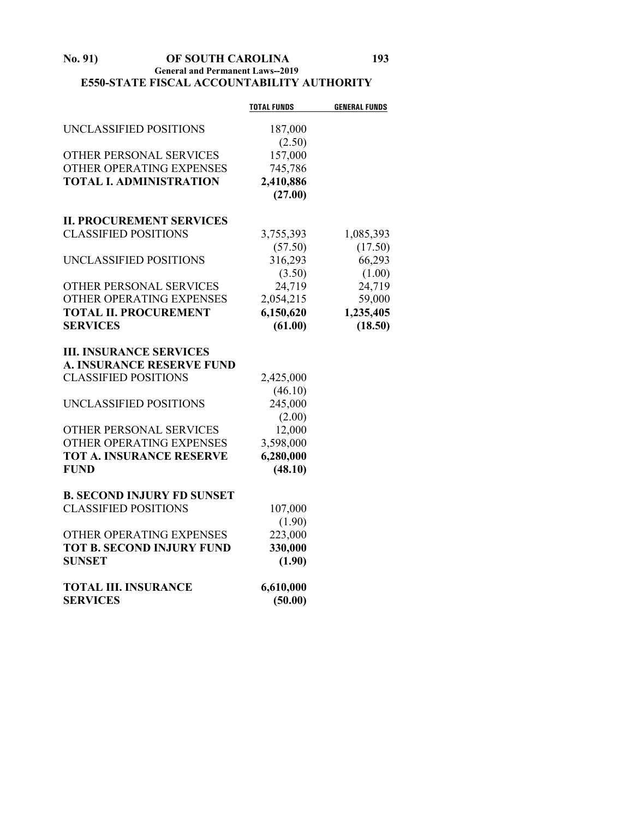#### **No. 91) OF SOUTH CAROLINA 193 General and Permanent Laws--2019 E550-STATE FISCAL ACCOUNTABILITY AUTHORITY**

|                                   | <b>TOTAL FUNDS</b> | <b>GENERAL FUNDS</b> |
|-----------------------------------|--------------------|----------------------|
| UNCLASSIFIED POSITIONS            | 187,000            |                      |
|                                   | (2.50)             |                      |
| OTHER PERSONAL SERVICES           | 157,000            |                      |
| OTHER OPERATING EXPENSES          | 745,786            |                      |
| <b>TOTAL I. ADMINISTRATION</b>    | 2,410,886          |                      |
|                                   | (27.00)            |                      |
| <b>II. PROCUREMENT SERVICES</b>   |                    |                      |
| <b>CLASSIFIED POSITIONS</b>       | 3,755,393          | 1,085,393            |
|                                   | (57.50)            | (17.50)              |
| UNCLASSIFIED POSITIONS            | 316,293            | 66,293               |
|                                   | (3.50)             | (1.00)               |
| OTHER PERSONAL SERVICES           | 24,719             | 24,719               |
| OTHER OPERATING EXPENSES          | 2,054,215          | 59,000               |
| <b>TOTAL II. PROCUREMENT</b>      | 6,150,620          | 1,235,405            |
| <b>SERVICES</b>                   | (61.00)            | (18.50)              |
| <b>III. INSURANCE SERVICES</b>    |                    |                      |
| <b>A. INSURANCE RESERVE FUND</b>  |                    |                      |
| <b>CLASSIFIED POSITIONS</b>       | 2,425,000          |                      |
|                                   | (46.10)            |                      |
| UNCLASSIFIED POSITIONS            | 245,000            |                      |
|                                   | (2.00)             |                      |
| OTHER PERSONAL SERVICES           | 12,000             |                      |
| OTHER OPERATING EXPENSES          | 3,598,000          |                      |
| <b>TOT A. INSURANCE RESERVE</b>   | 6,280,000          |                      |
| <b>FUND</b>                       | (48.10)            |                      |
| <b>B. SECOND INJURY FD SUNSET</b> |                    |                      |
| <b>CLASSIFIED POSITIONS</b>       | 107,000            |                      |
|                                   | (1.90)             |                      |
| OTHER OPERATING EXPENSES          | 223,000            |                      |
| <b>TOT B. SECOND INJURY FUND</b>  | 330,000            |                      |
| <b>SUNSET</b>                     | (1.90)             |                      |
| <b>TOTAL III. INSURANCE</b>       | 6,610,000          |                      |
| <b>SERVICES</b>                   | (50.00)            |                      |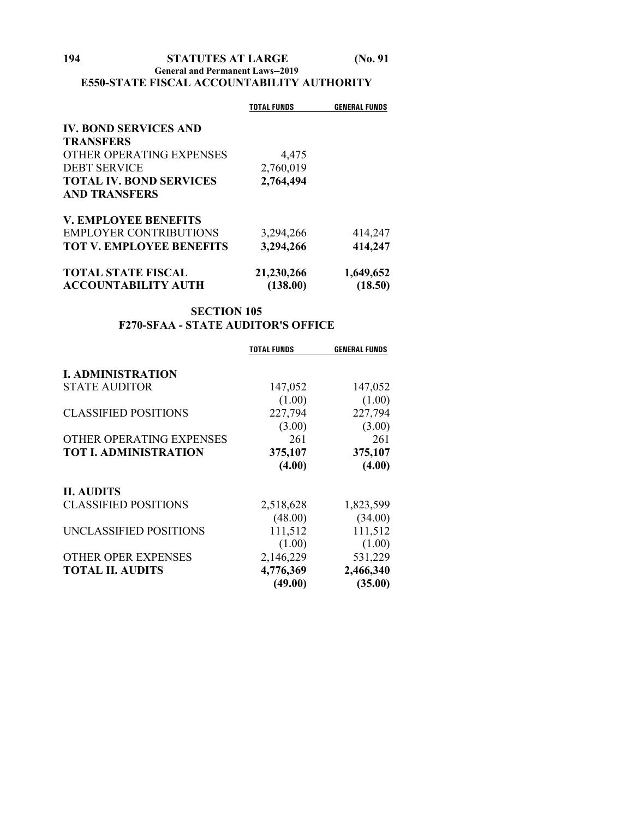#### **General and Permanent Laws--2019 E550-STATE FISCAL ACCOUNTABILITY AUTHORITY**

|                                 | <b>TOTAL FUNDS</b> | <b>GENERAL FUNDS</b> |
|---------------------------------|--------------------|----------------------|
| <b>IV. BOND SERVICES AND</b>    |                    |                      |
| <b>TRANSFERS</b>                |                    |                      |
| OTHER OPERATING EXPENSES        | 4,475              |                      |
| <b>DEBT SERVICE</b>             | 2,760,019          |                      |
| <b>TOTAL IV. BOND SERVICES</b>  | 2,764,494          |                      |
| <b>AND TRANSFERS</b>            |                    |                      |
| <b>V. EMPLOYEE BENEFITS</b>     |                    |                      |
| <b>EMPLOYER CONTRIBUTIONS</b>   | 3,294,266          | 414,247              |
| <b>TOT V. EMPLOYEE BENEFITS</b> | 3,294,266          | 414,247              |
| <b>TOTAL STATE FISCAL</b>       | 21,230,266         | 1,649,652            |
| <b>ACCOUNTABILITY AUTH</b>      | (138.00)           | (18.50)              |

# **SECTION 105 F270-SFAA - STATE AUDITOR'S OFFICE**

|                              | <b>TOTAL FUNDS</b> | <b>GENERAL FUNDS</b> |
|------------------------------|--------------------|----------------------|
| <b>I. ADMINISTRATION</b>     |                    |                      |
| <b>STATE AUDITOR</b>         | 147,052            | 147,052              |
|                              | (1.00)             | (1.00)               |
| <b>CLASSIFIED POSITIONS</b>  | 227,794            | 227,794              |
|                              | (3.00)             | (3.00)               |
| OTHER OPERATING EXPENSES     | 261                | 261                  |
| <b>TOT I. ADMINISTRATION</b> | 375,107            | 375,107              |
|                              | (4.00)             | (4.00)               |
| <b>II. AUDITS</b>            |                    |                      |
| <b>CLASSIFIED POSITIONS</b>  | 2,518,628          | 1,823,599            |
|                              | (48.00)            | (34.00)              |
| UNCLASSIFIED POSITIONS       | 111,512            | 111,512              |
|                              | (1.00)             | (1.00)               |
| OTHER OPER EXPENSES          | 2,146,229          | 531,229              |
| <b>TOTAL II. AUDITS</b>      | 4,776,369          | 2,466,340            |
|                              | (49.00)            | (35.00)              |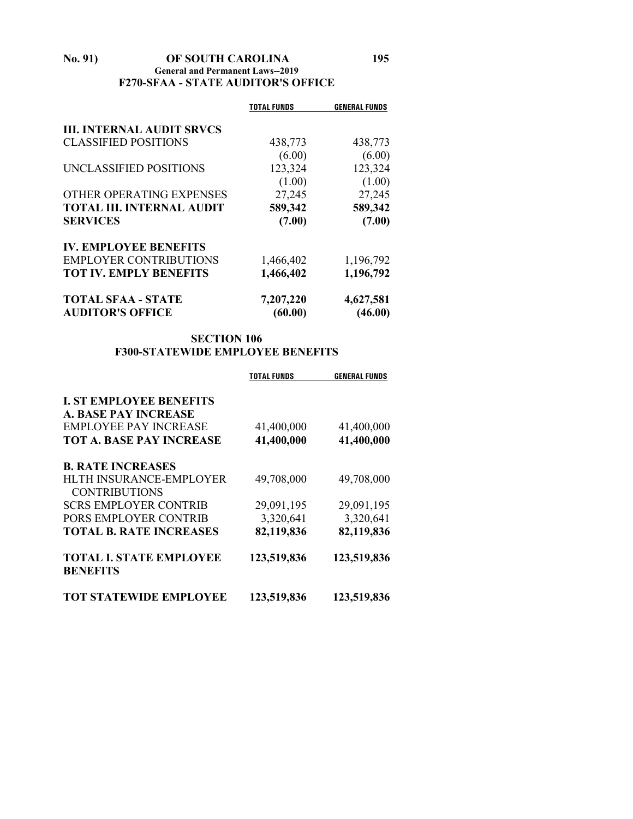#### **No. 91) OF SOUTH CAROLINA 195 General and Permanent Laws--2019 F270-SFAA - STATE AUDITOR'S OFFICE**

|                                  | TOTAL FUNDS | <b>GENERAL FUNDS</b> |
|----------------------------------|-------------|----------------------|
| <b>III. INTERNAL AUDIT SRVCS</b> |             |                      |
| <b>CLASSIFIED POSITIONS</b>      | 438,773     | 438,773              |
|                                  | (6.00)      | (6.00)               |
| UNCLASSIFIED POSITIONS           | 123,324     | 123,324              |
|                                  | (1.00)      | (1.00)               |
| OTHER OPERATING EXPENSES         | 27,245      | 27,245               |
| <b>TOTAL III. INTERNAL AUDIT</b> | 589,342     | 589,342              |
| <b>SERVICES</b>                  | (7.00)      | (7.00)               |
| <b>IV. EMPLOYEE BENEFITS</b>     |             |                      |
| <b>EMPLOYER CONTRIBUTIONS</b>    | 1,466,402   | 1,196,792            |
| <b>TOT IV. EMPLY BENEFITS</b>    | 1,466,402   | 1,196,792            |
| <b>TOTAL SFAA - STATE</b>        | 7,207,220   | 4,627,581            |
| <b>AUDITOR'S OFFICE</b>          | (60.00)     | (46.00)              |

# **SECTION 106 F300-STATEWIDE EMPLOYEE BENEFITS**

|                                 | <b>TOTAL FUNDS</b> | <b>GENERAL FUNDS</b> |
|---------------------------------|--------------------|----------------------|
| <b>I. ST EMPLOYEE BENEFITS</b>  |                    |                      |
| A. BASE PAY INCREASE            |                    |                      |
| EMPLOYEE PAY INCREASE           | 41,400,000         | 41,400,000           |
| <b>TOT A. BASE PAY INCREASE</b> | 41,400,000         | 41,400,000           |
| <b>B. RATE INCREASES</b>        |                    |                      |
| HLTH INSURANCE-EMPLOYER         | 49,708,000         | 49,708,000           |
| <b>CONTRIBUTIONS</b>            |                    |                      |
| <b>SCRS EMPLOYER CONTRIB</b>    | 29,091,195         | 29,091,195           |
| PORS EMPLOYER CONTRIB           | 3,320,641          | 3,320,641            |
| <b>TOTAL B. RATE INCREASES</b>  | 82,119,836         | 82,119,836           |
| <b>TOTAL I. STATE EMPLOYEE</b>  | 123,519,836        | 123,519,836          |
| <b>BENEFITS</b>                 |                    |                      |
| <b>TOT STATEWIDE EMPLOYEE</b>   | 123,519,836        | 123,519,836          |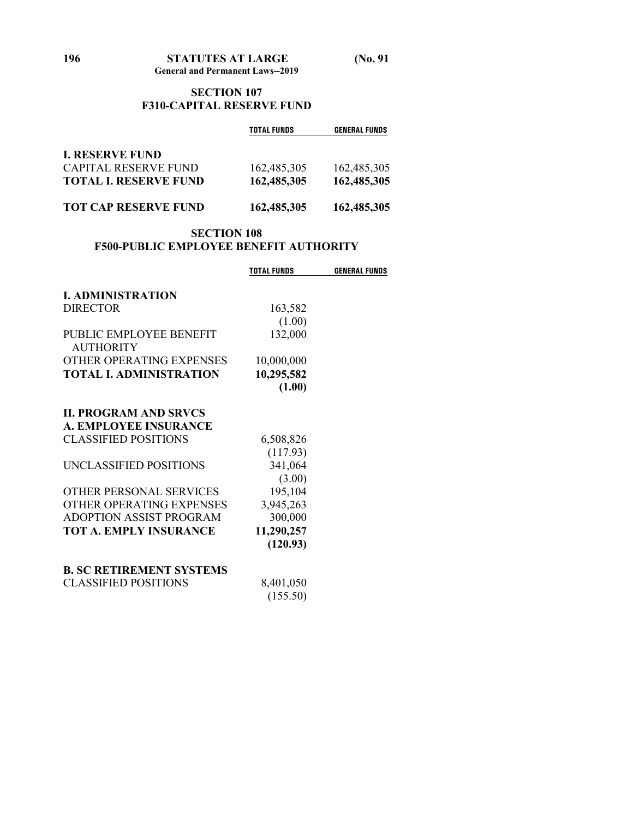### **SECTION 107 F310-CAPITAL RESERVE FUND**

|                              | <b>TOTAL FUNDS</b> | <b>GENERAL FUNDS</b> |
|------------------------------|--------------------|----------------------|
| <b>I. RESERVE FUND</b>       |                    |                      |
| <b>CAPITAL RESERVE FUND</b>  | 162,485,305        | 162,485,305          |
| <b>TOTAL I. RESERVE FUND</b> | 162,485,305        | 162,485,305          |
| <b>TOT CAP RESERVE FUND</b>  | 162,485,305        | 162,485,305          |

# **SECTION 108 F500-PUBLIC EMPLOYEE BENEFIT AUTHORITY**

|                                             | <b>TOTAL FUNDS</b> | <b>GENERAL FUNDS</b> |
|---------------------------------------------|--------------------|----------------------|
| <b>L. ADMINISTRATION</b>                    |                    |                      |
| <b>DIRECTOR</b>                             | 163,582            |                      |
|                                             | (1.00)             |                      |
| PUBLIC EMPLOYEE BENEFIT<br><b>AUTHORITY</b> | 132,000            |                      |
| OTHER OPERATING EXPENSES                    | 10,000,000         |                      |
| <b>TOTAL L ADMINISTRATION</b>               | 10,295,582         |                      |
|                                             | (1.00)             |                      |
| <b>IL PROGRAM AND SRVCS</b>                 |                    |                      |
| A. EMPLOYEE INSURANCE                       |                    |                      |
| <b>CLASSIFIED POSITIONS</b>                 | 6,508,826          |                      |
|                                             | (117.93)           |                      |
| UNCLASSIFIED POSITIONS                      | 341,064            |                      |
|                                             | (3.00)             |                      |
| OTHER PERSONAL SERVICES                     | 195,104            |                      |
| OTHER OPERATING EXPENSES                    | 3,945,263          |                      |
| ADOPTION ASSIST PROGRAM                     | 300,000            |                      |
| <b>TOT A. EMPLY INSURANCE</b>               | 11,290,257         |                      |
|                                             | (120.93)           |                      |
| <b>B. SC RETIREMENT SYSTEMS</b>             |                    |                      |
| <b>CLASSIFIED POSITIONS</b>                 | 8,401,050          |                      |
|                                             | (155.50)           |                      |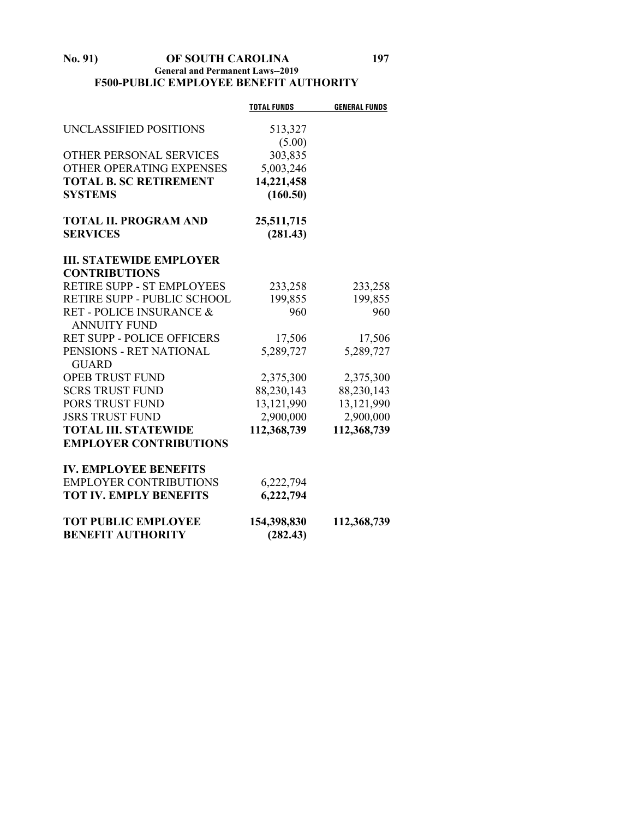#### **No. 91) OF SOUTH CAROLINA 197 General and Permanent Laws--2019 F500-PUBLIC EMPLOYEE BENEFIT AUTHORITY**

|                                   | <b>TOTAL FUNDS</b> | <b>GENERAL FUNDS</b> |
|-----------------------------------|--------------------|----------------------|
| UNCLASSIFIED POSITIONS            | 513,327            |                      |
|                                   | (5.00)             |                      |
| <b>OTHER PERSONAL SERVICES</b>    | 303,835            |                      |
| OTHER OPERATING EXPENSES          | 5,003,246          |                      |
| <b>TOTAL B. SC RETIREMENT</b>     | 14,221,458         |                      |
| <b>SYSTEMS</b>                    | (160.50)           |                      |
| <b>TOTAL II. PROGRAM AND</b>      | 25,511,715         |                      |
| <b>SERVICES</b>                   | (281.43)           |                      |
| <b>III. STATEWIDE EMPLOYER</b>    |                    |                      |
| <b>CONTRIBUTIONS</b>              |                    |                      |
| RETIRE SUPP - ST EMPLOYEES        | 233,258            | 233,258              |
| RETIRE SUPP - PUBLIC SCHOOL       | 199,855            | 199,855              |
| RET - POLICE INSURANCE &          | 960                | 960                  |
| <b>ANNUITY FUND</b>               |                    |                      |
| <b>RET SUPP - POLICE OFFICERS</b> | 17,506             | 17,506               |
| PENSIONS - RET NATIONAL           | 5,289,727          | 5,289,727            |
| <b>GUARD</b>                      |                    |                      |
| <b>OPEB TRUST FUND</b>            | 2,375,300          | 2,375,300            |
| <b>SCRS TRUST FUND</b>            | 88,230,143         | 88,230,143           |
| PORS TRUST FUND                   | 13,121,990         | 13,121,990           |
| <b>JSRS TRUST FUND</b>            | 2,900,000          | 2,900,000            |
| <b>TOTAL III. STATEWIDE</b>       | 112,368,739        | 112,368,739          |
| <b>EMPLOYER CONTRIBUTIONS</b>     |                    |                      |
| <b>IV. EMPLOYEE BENEFITS</b>      |                    |                      |
| <b>EMPLOYER CONTRIBUTIONS</b>     | 6,222,794          |                      |
| <b>TOT IV. EMPLY BENEFITS</b>     | 6,222,794          |                      |
| <b>TOT PUBLIC EMPLOYEE</b>        | 154,398,830        | 112,368,739          |
| <b>BENEFIT AUTHORITY</b>          | (282.43)           |                      |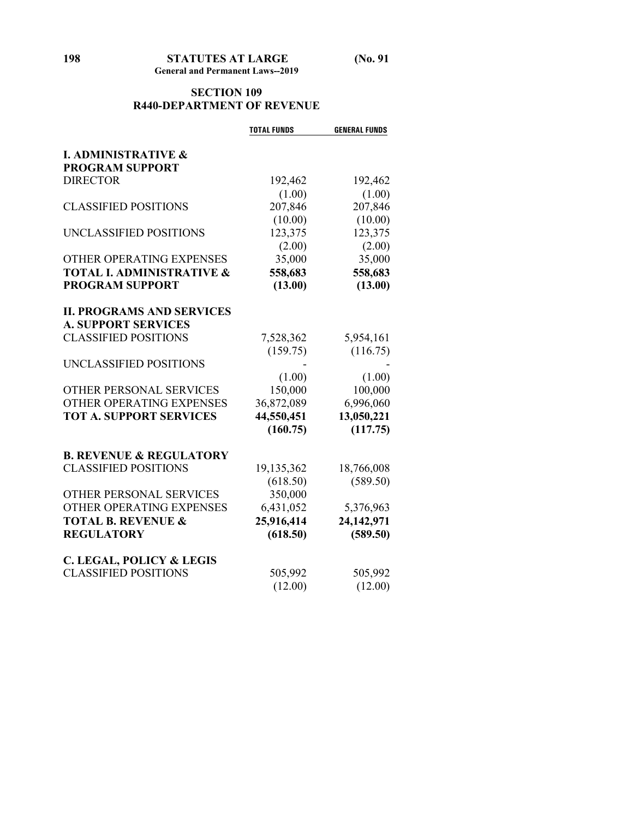#### **SECTION 109 R440-DEPARTMENT OF REVENUE**

|                                      | <b>TOTAL FUNDS</b> | <b>GENERAL FUNDS</b> |
|--------------------------------------|--------------------|----------------------|
| <b>I. ADMINISTRATIVE &amp;</b>       |                    |                      |
| <b>PROGRAM SUPPORT</b>               |                    |                      |
| <b>DIRECTOR</b>                      | 192,462            | 192,462              |
|                                      | (1.00)             | (1.00)               |
| <b>CLASSIFIED POSITIONS</b>          | 207,846            | 207,846              |
|                                      | (10.00)            | (10.00)              |
| UNCLASSIFIED POSITIONS               | 123,375            | 123,375              |
|                                      | (2.00)             | (2.00)               |
| OTHER OPERATING EXPENSES             | 35,000             | 35,000               |
| <b>TOTAL I. ADMINISTRATIVE &amp;</b> | 558,683            | 558,683              |
| <b>PROGRAM SUPPORT</b>               | (13.00)            | (13.00)              |
|                                      |                    |                      |
| <b>II. PROGRAMS AND SERVICES</b>     |                    |                      |
| <b>A. SUPPORT SERVICES</b>           |                    |                      |
| <b>CLASSIFIED POSITIONS</b>          | 7,528,362          | 5,954,161            |
|                                      | (159.75)           | (116.75)             |
| UNCLASSIFIED POSITIONS               |                    |                      |
|                                      | (1.00)             | (1.00)               |
| OTHER PERSONAL SERVICES              | 150,000            | 100,000              |
| OTHER OPERATING EXPENSES             | 36,872,089         | 6,996,060            |
| <b>TOT A. SUPPORT SERVICES</b>       | 44,550,451         | 13,050,221           |
|                                      | (160.75)           | (117.75)             |
|                                      |                    |                      |
| <b>B. REVENUE &amp; REGULATORY</b>   |                    |                      |
| <b>CLASSIFIED POSITIONS</b>          | 19,135,362         | 18,766,008           |
|                                      | (618.50)           | (589.50)             |
| OTHER PERSONAL SERVICES              | 350,000            |                      |
| OTHER OPERATING EXPENSES             | 6,431,052          | 5,376,963            |
| <b>TOTAL B. REVENUE &amp;</b>        | 25,916,414         | 24,142,971           |
| <b>REGULATORY</b>                    | (618.50)           | (589.50)             |
|                                      |                    |                      |
| <b>C. LEGAL, POLICY &amp; LEGIS</b>  |                    |                      |
| <b>CLASSIFIED POSITIONS</b>          | 505,992            | 505,992              |
|                                      | (12.00)            | (12.00)              |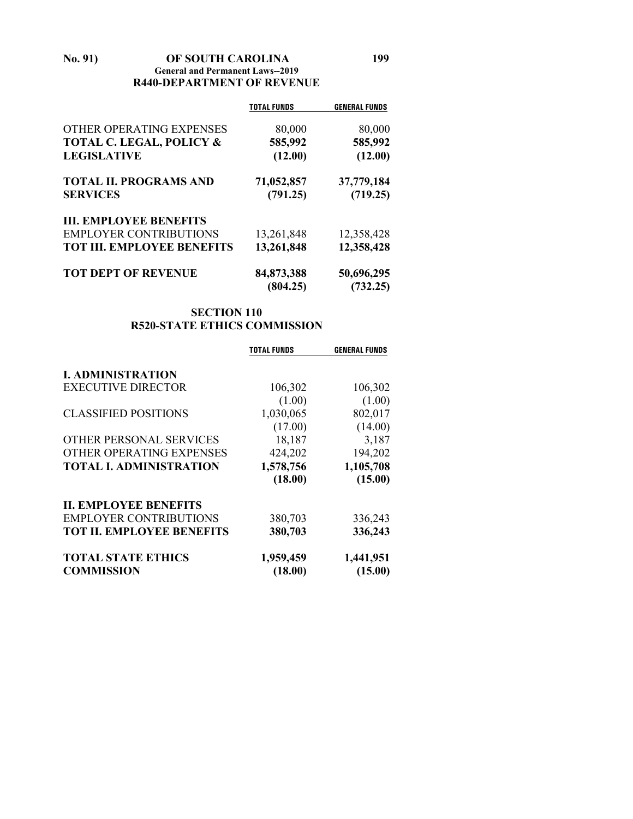#### **No. 91) OF SOUTH CAROLINA 199 General and Permanent Laws--2019 R440-DEPARTMENT OF REVENUE**

|                                     | <b>TOTAL FUNDS</b>     | <b>GENERAL FUNDS</b>   |
|-------------------------------------|------------------------|------------------------|
| OTHER OPERATING EXPENSES            | 80,000                 | 80,000                 |
| <b>TOTAL C. LEGAL, POLICY &amp;</b> | 585,992                | 585,992                |
| <b>LEGISLATIVE</b>                  | (12.00)                | (12.00)                |
| <b>TOTAL II. PROGRAMS AND</b>       | 71,052,857             | 37,779,184             |
| <b>SERVICES</b>                     | (791.25)               | (719.25)               |
| <b>III. EMPLOYEE BENEFITS</b>       |                        |                        |
| <b>EMPLOYER CONTRIBUTIONS</b>       | 13,261,848             | 12,358,428             |
| <b>TOT III. EMPLOYEE BENEFITS</b>   | 13,261,848             | 12,358,428             |
| <b>TOT DEPT OF REVENUE</b>          | 84,873,388<br>(804.25) | 50,696,295<br>(732.25) |

# **SECTION 110 R520-STATE ETHICS COMMISSION**

|                                  | TOTAL FUNDS | <b>GENERAL FUNDS</b> |
|----------------------------------|-------------|----------------------|
| <b>I. ADMINISTRATION</b>         |             |                      |
| <b>EXECUTIVE DIRECTOR</b>        | 106,302     | 106,302              |
|                                  | (1.00)      | (1.00)               |
| <b>CLASSIFIED POSITIONS</b>      | 1,030,065   | 802,017              |
|                                  | (17.00)     | (14.00)              |
| OTHER PERSONAL SERVICES          | 18,187      | 3,187                |
| OTHER OPERATING EXPENSES         | 424,202     | 194,202              |
| <b>TOTAL I. ADMINISTRATION</b>   | 1,578,756   | 1,105,708            |
|                                  | (18.00)     | (15.00)              |
| <b>II. EMPLOYEE BENEFITS</b>     |             |                      |
| <b>EMPLOYER CONTRIBUTIONS</b>    | 380,703     | 336,243              |
| <b>TOT II. EMPLOYEE BENEFITS</b> | 380,703     | 336,243              |
| <b>TOTAL STATE ETHICS</b>        | 1,959,459   | 1,441,951            |
| <b>COMMISSION</b>                | (18.00)     | (15.00)              |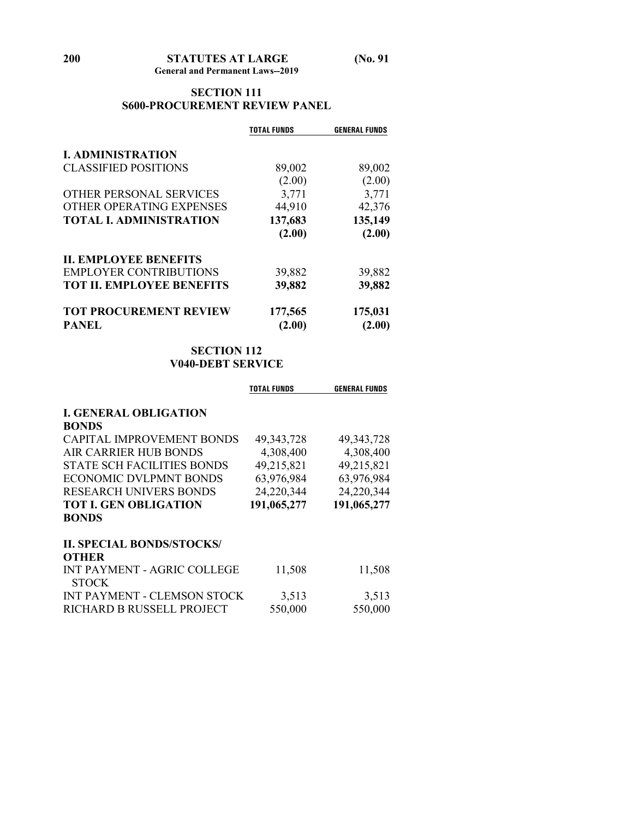# **SECTION 111 S600-PROCUREMENT REVIEW PANEL**

|                                  | <b>TOTAL FUNDS</b> | <b>GENERAL FUNDS</b> |
|----------------------------------|--------------------|----------------------|
| <b>I. ADMINISTRATION</b>         |                    |                      |
| <b>CLASSIFIED POSITIONS</b>      | 89,002             | 89,002               |
|                                  | (2.00)             | (2.00)               |
| <b>OTHER PERSONAL SERVICES</b>   | 3,771              | 3,771                |
| OTHER OPERATING EXPENSES         | 44,910             | 42,376               |
| <b>TOTAL I. ADMINISTRATION</b>   | 137,683            | 135,149              |
|                                  | (2.00)             | (2.00)               |
| <b>II. EMPLOYEE BENEFITS</b>     |                    |                      |
| <b>EMPLOYER CONTRIBUTIONS</b>    | 39,882             | 39,882               |
| <b>TOT II. EMPLOYEE BENEFITS</b> | 39,882             | 39,882               |
| <b>TOT PROCUREMENT REVIEW</b>    | 177,565            | 175,031              |
| <b>PANEL</b>                     | (2.00)             | (2.00)               |

# **SECTION 112 V040-DEBT SERVICE**

|                                             | <b>TOTAL FUNDS</b> | <b>GENERAL FUNDS</b> |
|---------------------------------------------|--------------------|----------------------|
| <b>I. GENERAL OBLIGATION</b>                |                    |                      |
| <b>BONDS</b>                                |                    |                      |
| <b>CAPITAL IMPROVEMENT BONDS</b>            | 49, 343, 728       | 49, 343, 728         |
| AIR CARRIER HUB BONDS                       | 4,308,400          | 4,308,400            |
| <b>STATE SCH FACILITIES BONDS</b>           | 49,215,821         | 49,215,821           |
| ECONOMIC DVLPMNT BONDS                      | 63,976,984         | 63,976,984           |
| <b>RESEARCH UNIVERS BONDS</b>               | 24,220,344         | 24,220,344           |
| <b>TOT I. GEN OBLIGATION</b>                | 191,065,277        | 191,065,277          |
| <b>BONDS</b>                                |                    |                      |
| <b>II. SPECIAL BONDS/STOCKS/</b>            |                    |                      |
| <b>OTHER</b>                                |                    |                      |
| INT PAYMENT - AGRIC COLLEGE<br><b>STOCK</b> | 11,508             | 11,508               |
| <b>INT PAYMENT - CLEMSON STOCK</b>          | 3,513              | 3,513                |
| RICHARD B RUSSELL PROJECT                   | 550,000            | 550,000              |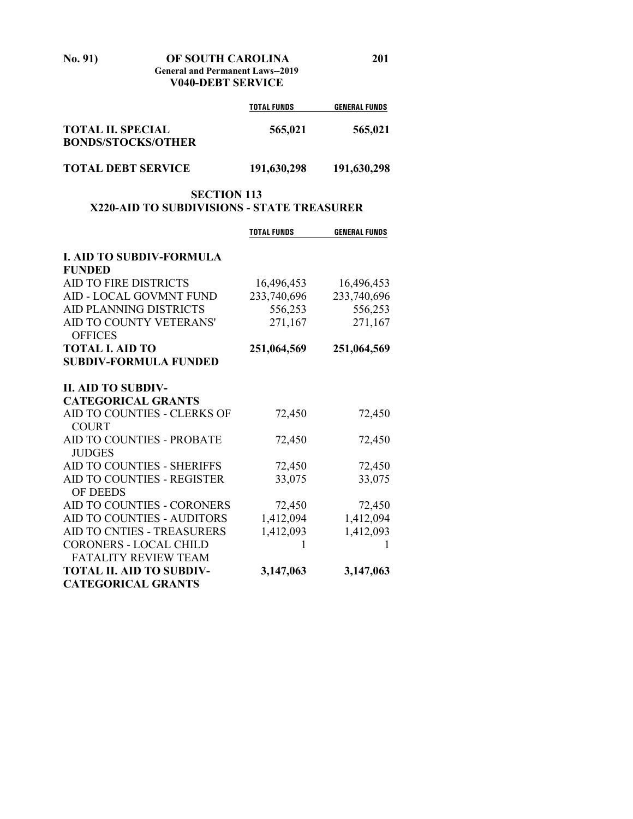**No. 91) OF SOUTH CAROLINA 201 General and Permanent Laws--2019**

**V040-DEBT SERVICE**

|                                                       | <b>TOTAL FUNDS</b> | <b>GENERAL FUNDS</b> |
|-------------------------------------------------------|--------------------|----------------------|
| <b>TOTAL II. SPECIAL</b><br><b>BONDS/STOCKS/OTHER</b> | 565,021            | 565,021              |
| <b>TOTAL DEBT SERVICE</b>                             | 191,630,298        | 191,630,298          |

# **SECTION 113 X220-AID TO SUBDIVISIONS - STATE TREASURER**

|                                   | <b>TOTAL FUNDS</b> | <b>GENERAL FUNDS</b> |
|-----------------------------------|--------------------|----------------------|
|                                   |                    |                      |
| <b>I. AID TO SUBDIV-FORMULA</b>   |                    |                      |
| <b>FUNDED</b>                     |                    |                      |
| <b>AID TO FIRE DISTRICTS</b>      | 16,496,453         | 16,496,453           |
| AID - LOCAL GOVMNT FUND           | 233,740,696        | 233,740,696          |
| <b>AID PLANNING DISTRICTS</b>     | 556,253            | 556,253              |
| AID TO COUNTY VETERANS'           | 271,167            | 271,167              |
| <b>OFFICES</b>                    |                    |                      |
| <b>TOTAL I. AID TO</b>            | 251,064,569        | 251,064,569          |
| <b>SUBDIV-FORMULA FUNDED</b>      |                    |                      |
|                                   |                    |                      |
| <b>II. AID TO SUBDIV-</b>         |                    |                      |
| <b>CATEGORICAL GRANTS</b>         |                    |                      |
| AID TO COUNTIES - CLERKS OF       | 72,450             | 72,450               |
| <b>COURT</b>                      |                    |                      |
| AID TO COUNTIES - PROBATE         | 72,450             | 72,450               |
| <b>JUDGES</b>                     |                    |                      |
| <b>AID TO COUNTIES - SHERIFFS</b> | 72,450             | 72,450               |
| <b>AID TO COUNTIES - REGISTER</b> | 33,075             | 33,075               |
| <b>OF DEEDS</b>                   |                    |                      |
| AID TO COUNTIES - CORONERS        | 72,450             | 72,450               |
| AID TO COUNTIES - AUDITORS        | 1,412,094          | 1,412,094            |
| AID TO CNTIES - TREASURERS        | 1,412,093          | 1,412,093            |
| <b>CORONERS - LOCAL CHILD</b>     | 1                  |                      |
| <b>FATALITY REVIEW TEAM</b>       |                    |                      |
| <b>TOTAL II. AID TO SUBDIV-</b>   | 3,147,063          | 3,147,063            |
| <b>CATEGORICAL GRANTS</b>         |                    |                      |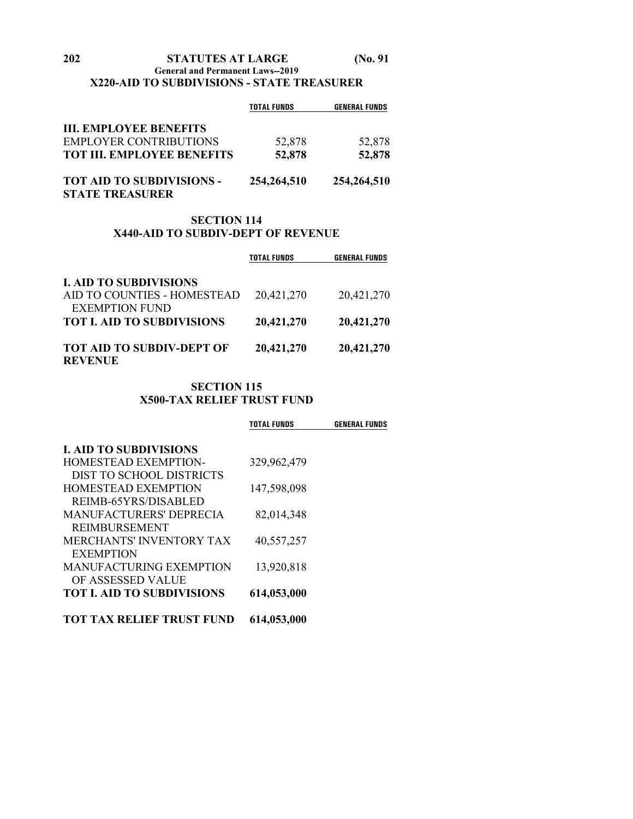**General and Permanent Laws--2019**

# **X220-AID TO SUBDIVISIONS - STATE TREASURER**

|                                   | <b>TOTAL FUNDS</b> | <b>GENERAL FUNDS</b> |
|-----------------------------------|--------------------|----------------------|
| <b>III. EMPLOYEE BENEFITS</b>     |                    |                      |
| EMPLOYER CONTRIBUTIONS            | 52,878             | 52,878               |
| <b>TOT III. EMPLOYEE BENEFITS</b> | 52,878             | 52,878               |
| TOT AID TO SUBDIVISIONS -         | 254, 264, 510      | 254, 264, 510        |
| <b>STATE TREASURER</b>            |                    |                      |

#### **SECTION 114 X440-AID TO SUBDIV-DEPT OF REVENUE**

|                                                            | <b>TOTAL FUNDS</b> | <b>GENERAL FUNDS</b> |
|------------------------------------------------------------|--------------------|----------------------|
| <b>I. AID TO SUBDIVISIONS</b>                              |                    |                      |
| AID TO COUNTIES - HOMESTEAD                                | 20,421,270         | 20,421,270           |
| <b>EXEMPTION FUND</b><br><b>TOT I. AID TO SUBDIVISIONS</b> | 20,421,270         | 20,421,270           |
| <b>TOT AID TO SUBDIV-DEPT OF</b>                           | 20,421,270         | 20,421,270           |
| <b>REVENUE</b>                                             |                    |                      |

# **SECTION 115 X500-TAX RELIEF TRUST FUND**

|                                  | TOTAL FUNDS | <b>GENERAL FUNDS</b> |
|----------------------------------|-------------|----------------------|
| <b>I. AID TO SUBDIVISIONS</b>    |             |                      |
| HOMESTEAD EXEMPTION-             | 329,962,479 |                      |
| DIST TO SCHOOL DISTRICTS         |             |                      |
| <b>HOMESTEAD EXEMPTION</b>       | 147,598,098 |                      |
| REIMB-65YRS/DISABLED             |             |                      |
| <b>MANUFACTURERS' DEPRECIA</b>   | 82,014,348  |                      |
| <b>REIMBURSEMENT</b>             |             |                      |
| <b>MERCHANTS' INVENTORY TAX</b>  | 40,557,257  |                      |
| <b>EXEMPTION</b>                 |             |                      |
| <b>MANUFACTURING EXEMPTION</b>   | 13,920,818  |                      |
| OF ASSESSED VALUE                |             |                      |
| <b>TOT L AID TO SUBDIVISIONS</b> | 614,053,000 |                      |
| <b>TOT TAX RELIEF TRUST FUND</b> | 614,053,000 |                      |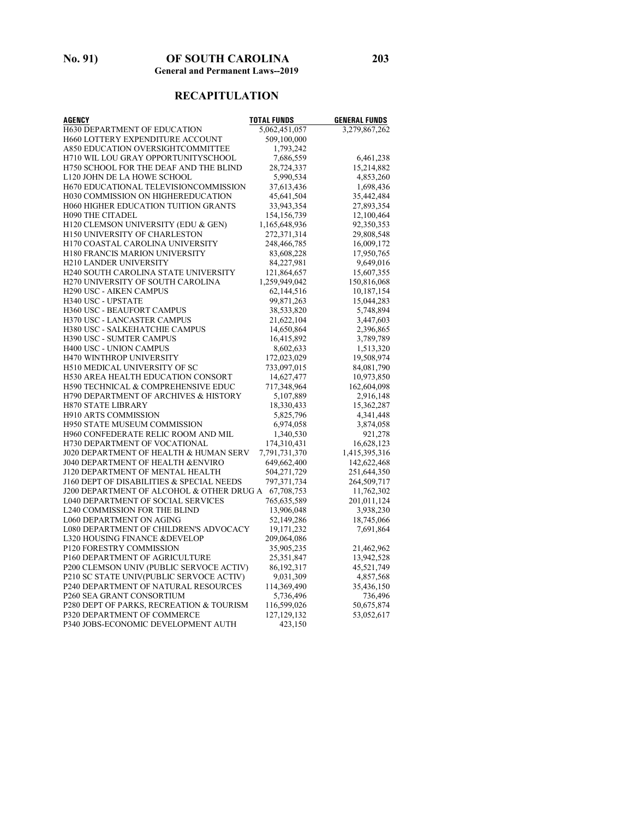# **RECAPITULATION**

| <b>AGENCY</b>                                | <b>TOTAL FUNDS</b> | <b>GENERAL FUNDS</b> |
|----------------------------------------------|--------------------|----------------------|
| <b>H630 DEPARTMENT OF EDUCATION</b>          | 5,062,451,057      | 3,279,867,262        |
| <b>H660 LOTTERY EXPENDITURE ACCOUNT</b>      | 509,100,000        |                      |
| A850 EDUCATION OVERSIGHTCOMMITTEE            | 1,793,242          |                      |
| H710 WIL LOU GRAY OPPORTUNITYSCHOOL          | 7,686,559          | 6,461,238            |
| H750 SCHOOL FOR THE DEAF AND THE BLIND       | 28,724,337         | 15,214,882           |
| L120 JOHN DE LA HOWE SCHOOL                  | 5,990,534          | 4,853,260            |
| H670 EDUCATIONAL TELEVISIONCOMMISSION        | 37,613,436         | 1,698,436            |
| H030 COMMISSION ON HIGHEREDUCATION           | 45,641,504         | 35,442,484           |
| <b>H060 HIGHER EDUCATION TUITION GRANTS</b>  | 33,943,354         | 27,893,354           |
| <b>H090 THE CITADEL</b>                      | 154, 156, 739      | 12,100,464           |
| H120 CLEMSON UNIVERSITY (EDU & GEN)          | 1,165,648,936      | 92,350,353           |
| H150 UNIVERSITY OF CHARLESTON                | 272,371,314        | 29,808,548           |
| <b>H170 COASTAL CAROLINA UNIVERSITY</b>      | 248,466,785        | 16,009,172           |
| <b>H180 FRANCIS MARION UNIVERSITY</b>        | 83,608,228         | 17,950,765           |
| <b>H210 LANDER UNIVERSITY</b>                | 84,227,981         | 9,649,016            |
| H240 SOUTH CAROLINA STATE UNIVERSITY         | 121,864,657        | 15,607,355           |
| <b>H270 UNIVERSITY OF SOUTH CAROLINA</b>     | 1,259,949,042      | 150,816,068          |
| <b>H290 USC - AIKEN CAMPUS</b>               | 62,144,516         | 10,187,154           |
| H340 USC - UPSTATE                           | 99, 871, 263       | 15,044,283           |
| H360 USC - BEAUFORT CAMPUS                   | 38,533,820         | 5,748,894            |
| H370 USC - LANCASTER CAMPUS                  | 21,622,104         | 3,447,603            |
| <b>H380 USC - SALKEHATCHIE CAMPUS</b>        | 14,650,864         | 2,396,865            |
| H390 USC - SUMTER CAMPUS                     | 16,415,892         | 3,789,789            |
| <b>H400 USC - UNION CAMPUS</b>               | 8,602,633          | 1,513,320            |
| H470 WINTHROP UNIVERSITY                     | 172,023,029        | 19,508,974           |
| <b>H510 MEDICAL UNIVERSITY OF SC</b>         | 733,097,015        | 84,081,790           |
| H530 AREA HEALTH EDUCATION CONSORT           | 14,627,477         | 10,973,850           |
| H590 TECHNICAL & COMPREHENSIVE EDUC          | 717,348,964        | 162,604,098          |
| H790 DEPARTMENT OF ARCHIVES & HISTORY        | 5,107,889          | 2,916,148            |
| <b>H870 STATE LIBRARY</b>                    | 18,330,433         | 15,362,287           |
| <b>H910 ARTS COMMISSION</b>                  | 5,825,796          | 4,341,448            |
| <b>H950 STATE MUSEUM COMMISSION</b>          | 6,974,058          | 3,874,058            |
| H960 CONFEDERATE RELIC ROOM AND MIL          | 1,340,530          | 921,278              |
| H730 DEPARTMENT OF VOCATIONAL                | 174,310,431        | 16,628,123           |
| J020 DEPARTMENT OF HEALTH & HUMAN SERV       | 7,791,731,370      | 1,415,395,316        |
| <b>J040 DEPARTMENT OF HEALTH &amp;ENVIRO</b> | 649,662,400        | 142,622,468          |
| J120 DEPARTMENT OF MENTAL HEALTH             | 504,271,729        | 251,644,350          |
| J160 DEPT OF DISABILITIES & SPECIAL NEEDS    | 797, 371, 734      | 264,509,717          |
| J200 DEPARTMENT OF ALCOHOL & OTHER DRUG A    | 67,708,753         | 11,762,302           |
| <b>L040 DEPARTMENT OF SOCIAL SERVICES</b>    | 765,635,589        | 201,011,124          |
| <b>L240 COMMISSION FOR THE BLIND</b>         | 13,906,048         | 3,938,230            |
| <b>L060 DEPARTMENT ON AGING</b>              | 52,149,286         | 18,745,066           |
| L080 DEPARTMENT OF CHILDREN'S ADVOCACY       | 19, 171, 232       | 7,691,864            |
| <b>L320 HOUSING FINANCE &amp;DEVELOP</b>     | 209,064,086        |                      |
| P120 FORESTRY COMMISSION                     | 35,905,235         | 21,462,962           |
| P160 DEPARTMENT OF AGRICULTURE               | 25,351,847         | 13,942,528           |
| P200 CLEMSON UNIV (PUBLIC SERVOCE ACTIV)     | 86, 192, 317       | 45,521,749           |
| P210 SC STATE UNIV(PUBLIC SERVOCE ACTIV)     | 9,031,309          | 4,857,568            |
| <b>P240 DEPARTMENT OF NATURAL RESOURCES</b>  | 114,369,490        | 35,436,150           |
| P260 SEA GRANT CONSORTIUM                    | 5,736,496          | 736,496              |
| P280 DEPT OF PARKS, RECREATION & TOURISM     | 116,599,026        | 50,675,874           |
| P320 DEPARTMENT OF COMMERCE                  | 127, 129, 132      | 53,052,617           |
| P340 JOBS-ECONOMIC DEVELOPMENT AUTH          | 423,150            |                      |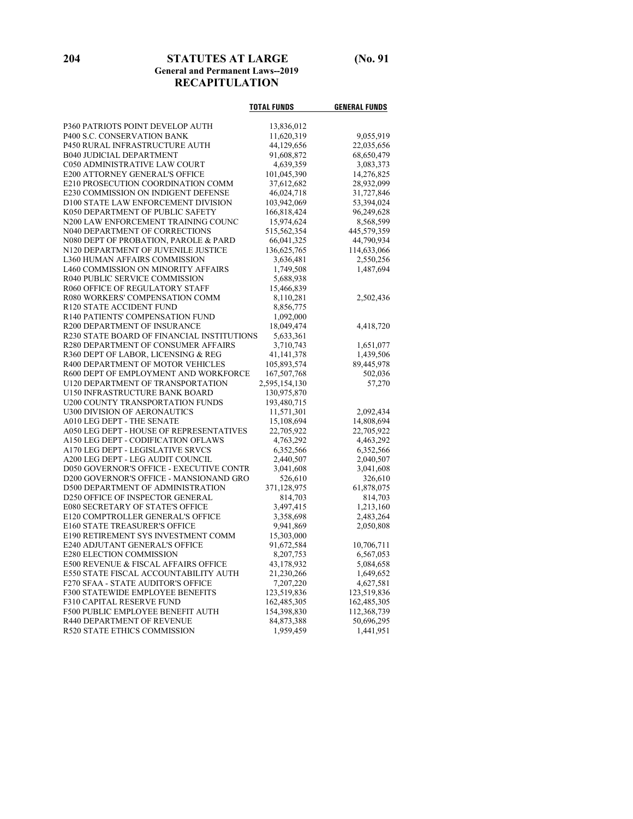**204 STATUTES AT LARGE (No. 91 General and Permanent Laws--2019 RECAPITULATION**

|                                            | <b>TOTAL FUNDS</b> | <b>GENERAL FUNDS</b>    |
|--------------------------------------------|--------------------|-------------------------|
| P360 PATRIOTS POINT DEVELOP AUTH           | 13,836,012         |                         |
| P400 S.C. CONSERVATION BANK                | 11,620,319         | 9,055,919               |
| P450 RURAL INFRASTRUCTURE AUTH             | 44,129,656         | 22,035,656              |
| B040 JUDICIAL DEPARTMENT                   | 91,608,872         | 68,650,479              |
| C050 ADMINISTRATIVE LAW COURT              | 4,639,359          | 3,083,373               |
| E200 ATTORNEY GENERAL'S OFFICE             | 101,045,390        | 14,276,825              |
| E210 PROSECUTION COORDINATION COMM         | 37,612,682         | 28,932,099              |
| E230 COMMISSION ON INDIGENT DEFENSE        | 46,024,718         | 31,727,846              |
| D100 STATE LAW ENFORCEMENT DIVISION        | 103,942,069        | 53,394,024              |
| K050 DEPARTMENT OF PUBLIC SAFETY           | 166,818,424        | 96,249,628              |
| N200 LAW ENFORCEMENT TRAINING COUNC        | 15,974,624         | 8,568,599               |
| N040 DEPARTMENT OF CORRECTIONS             | 515,562,354        | 445,579,359             |
| N080 DEPT OF PROBATION, PAROLE & PARD      | 66,041,325         | 44,790,934              |
| N120 DEPARTMENT OF JUVENILE JUSTICE        | 136,625,765        | 114,633,066             |
| L360 HUMAN AFFAIRS COMMISSION              | 3,636,481          | 2,550,256               |
| L460 COMMISSION ON MINORITY AFFAIRS        | 1,749,508          | 1,487,694               |
| R040 PUBLIC SERVICE COMMISSION             | 5,688,938          |                         |
| R060 OFFICE OF REGULATORY STAFF            | 15,466,839         |                         |
| R080 WORKERS' COMPENSATION COMM            | 8,110,281          | 2,502,436               |
| R120 STATE ACCIDENT FUND                   | 8,856,775          |                         |
| R140 PATIENTS' COMPENSATION FUND           | 1,092,000          |                         |
| <b>R200 DEPARTMENT OF INSURANCE</b>        | 18,049,474         | 4,418,720               |
| R230 STATE BOARD OF FINANCIAL INSTITUTIONS | 5,633,361          |                         |
| R280 DEPARTMENT OF CONSUMER AFFAIRS        | 3,710,743          | 1,651,077               |
| R360 DEPT OF LABOR, LICENSING & REG        | 41, 141, 378       | 1,439,506               |
| R400 DEPARTMENT OF MOTOR VEHICLES          | 105,893,574        | 89,445,978              |
| R600 DEPT OF EMPLOYMENT AND WORKFORCE      | 167,507,768        | 502,036                 |
| U120 DEPARTMENT OF TRANSPORTATION          | 2,595,154,130      | 57,270                  |
| U150 INFRASTRUCTURE BANK BOARD             | 130,975,870        |                         |
| U200 COUNTY TRANSPORTATION FUNDS           | 193,480,715        |                         |
| U300 DIVISION OF AERONAUTICS               | 11,571,301         | 2,092,434               |
| A010 LEG DEPT - THE SENATE                 | 15,108,694         | 14,808,694              |
| A050 LEG DEPT - HOUSE OF REPRESENTATIVES   | 22,705,922         | 22,705,922              |
| A150 LEG DEPT - CODIFICATION OFLAWS        | 4,763,292          | 4,463,292               |
| A170 LEG DEPT - LEGISLATIVE SRVCS          | 6,352,566          | 6,352,566               |
| A200 LEG DEPT - LEG AUDIT COUNCIL          | 2,440,507          | 2,040,507               |
| D050 GOVERNOR'S OFFICE - EXECUTIVE CONTR   | 3,041,608          | 3,041,608               |
| D200 GOVERNOR'S OFFICE - MANSIONAND GRO    | 526,610            | 326,610                 |
| D500 DEPARTMENT OF ADMINISTRATION          | 371,128,975        | 61,878,075              |
| D250 OFFICE OF INSPECTOR GENERAL           | 814,703            | 814,703                 |
| E080 SECRETARY OF STATE'S OFFICE           | 3,497,415          | 1,213,160               |
| E120 COMPTROLLER GENERAL'S OFFICE          | 3,358,698          | 2,483,264               |
| E160 STATE TREASURER'S OFFICE              | 9,941,869          | 2,050,808               |
| E190 RETIREMENT SYS INVESTMENT COMM        | 15,303,000         |                         |
| E240 ADJUTANT GENERAL'S OFFICE             | 91,672,584         | 10,706,711              |
| E280 ELECTION COMMISSION                   | 8,207,753          | 6,567,053               |
| E500 REVENUE & FISCAL AFFAIRS OFFICE       | 43,178,932         | 5,084,658               |
| E550 STATE FISCAL ACCOUNTABILITY AUTH      | 21,230,266         | 1,649,652               |
| F270 SFAA - STATE AUDITOR'S OFFICE         | 7,207,220          | 4,627,581               |
| F300 STATEWIDE EMPLOYEE BENEFITS           | 123,519,836        | 123,519,836             |
| F310 CAPITAL RESERVE FUND                  | 162,485,305        | 162,485,305             |
| F500 PUBLIC EMPLOYEE BENEFIT AUTH          | 154,398,830        | 112,368,739             |
| R440 DEPARTMENT OF REVENUE                 | 84,873,388         |                         |
| R520 STATE ETHICS COMMISSION               | 1,959,459          | 50,696,295<br>1,441,951 |
|                                            |                    |                         |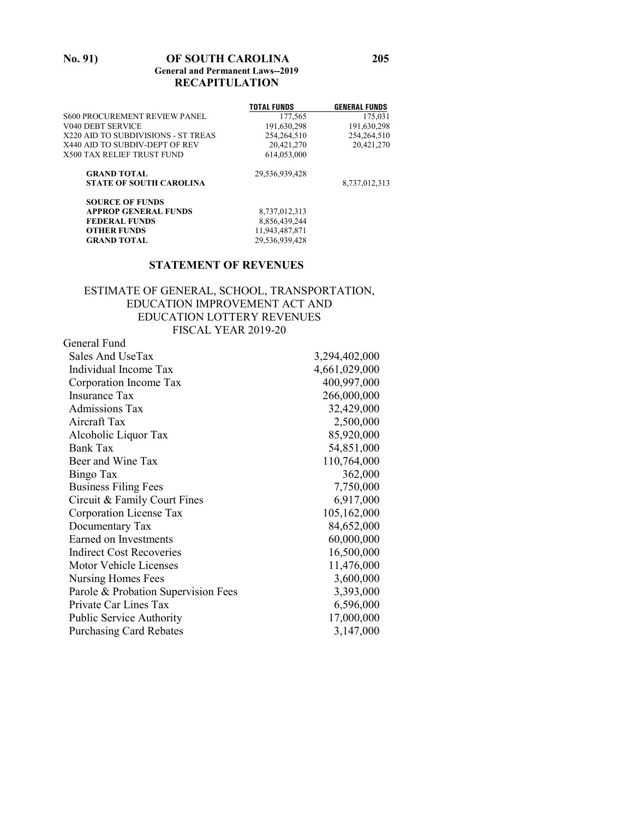#### **No. 91) OF SOUTH CAROLINA 205 General and Permanent Laws--2019 RECAPITULATION**

|                                      | <b>TOTAL FUNDS</b> | <b>GENERAL FUNDS</b> |
|--------------------------------------|--------------------|----------------------|
| <b>S600 PROCUREMENT REVIEW PANEL</b> | 177,565            | 175,031              |
| <b>V040 DEBT SERVICE</b>             | 191,630,298        | 191,630,298          |
| X220 AID TO SUBDIVISIONS - ST TREAS  | 254,264,510        | 254,264,510          |
| X440 AID TO SUBDIV-DEPT OF REV       | 20,421,270         | 20,421,270           |
| <b>X500 TAX RELIEF TRUST FUND</b>    | 614.053.000        |                      |
| <b>GRAND TOTAL</b>                   | 29,536,939,428     |                      |
| <b>STATE OF SOUTH CAROLINA</b>       |                    | 8,737,012,313        |
| <b>SOURCE OF FUNDS</b>               |                    |                      |
| <b>APPROP GENERAL FUNDS</b>          | 8,737,012,313      |                      |
| <b>FEDERAL FUNDS</b>                 | 8,856,439,244      |                      |
| <b>OTHER FUNDS</b>                   | 11,943,487,871     |                      |
| <b>GRAND TOTAL</b>                   | 29,536,939,428     |                      |

#### **STATEMENT OF REVENUES**

#### ESTIMATE OF GENERAL, SCHOOL, TRANSPORTATION, EDUCATION IMPROVEMENT ACT AND EDUCATION LOTTERY REVENUES FISCAL YEAR 2019-20

| General Fund                        |               |
|-------------------------------------|---------------|
| Sales And UseTax                    | 3,294,402,000 |
| Individual Income Tax               | 4,661,029,000 |
| Corporation Income Tax              | 400,997,000   |
| <b>Insurance Tax</b>                | 266,000,000   |
| Admissions Tax                      | 32,429,000    |
| Aircraft Tax                        | 2,500,000     |
| Alcoholic Liquor Tax                | 85,920,000    |
| <b>Bank Tax</b>                     | 54,851,000    |
| Beer and Wine Tax                   | 110,764,000   |
| Bingo Tax                           | 362,000       |
| <b>Business Filing Fees</b>         | 7,750,000     |
| Circuit & Family Court Fines        | 6,917,000     |
| Corporation License Tax             | 105,162,000   |
| Documentary Tax                     | 84,652,000    |
| Earned on Investments               | 60,000,000    |
| <b>Indirect Cost Recoveries</b>     | 16,500,000    |
| Motor Vehicle Licenses              | 11,476,000    |
| Nursing Homes Fees                  | 3,600,000     |
| Parole & Probation Supervision Fees | 3,393,000     |
| Private Car Lines Tax               | 6,596,000     |
| <b>Public Service Authority</b>     | 17,000,000    |
| <b>Purchasing Card Rebates</b>      | 3,147,000     |